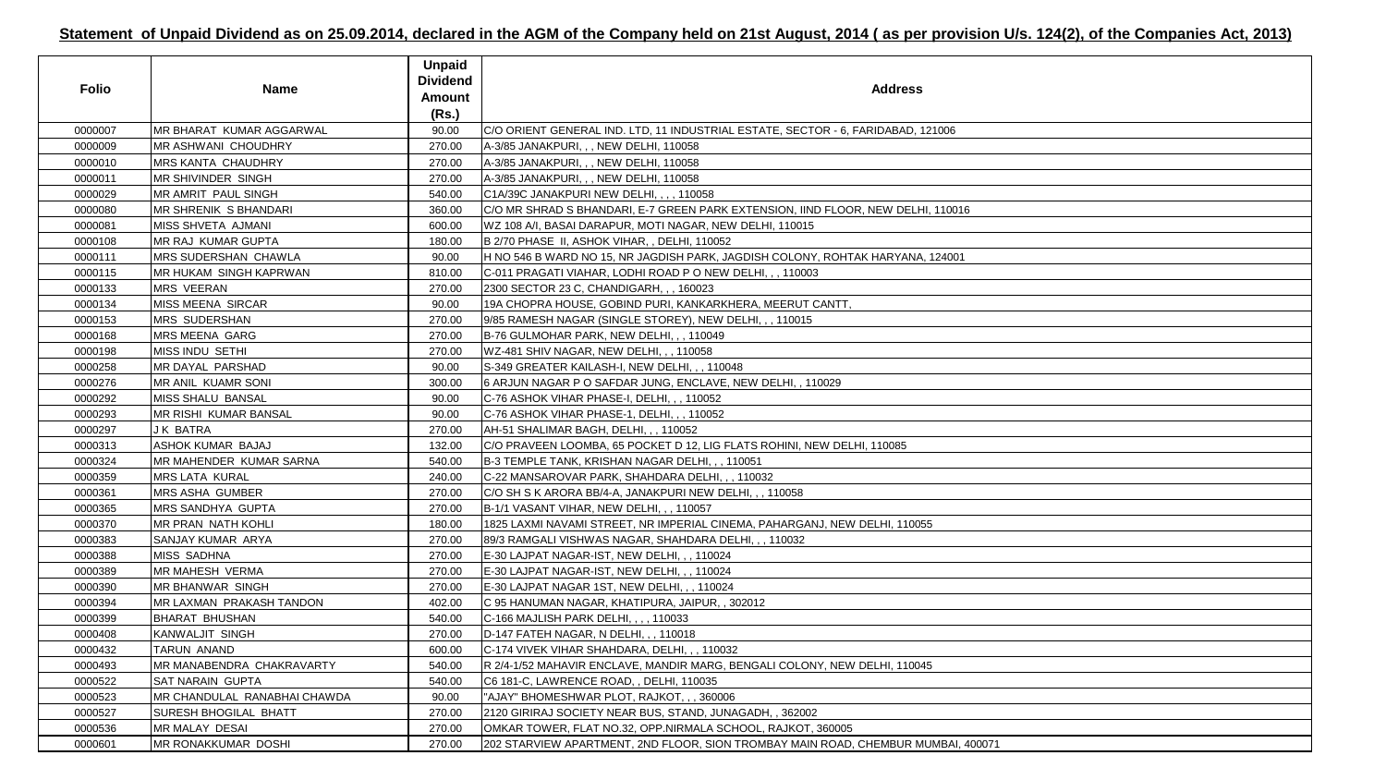| <b>Folio</b> | <b>Name</b>                   | <b>Unpaid</b><br><b>Dividend</b><br><b>Amount</b><br>(Rs.) | <b>Address</b>                                                                    |
|--------------|-------------------------------|------------------------------------------------------------|-----------------------------------------------------------------------------------|
| 0000007      | MR BHARAT KUMAR AGGARWAL      | 90.00                                                      | C/O ORIENT GENERAL IND. LTD, 11 INDUSTRIAL ESTATE, SECTOR - 6, FARIDABAD, 121006  |
| 0000009      | <b>MR ASHWANI CHOUDHRY</b>    | 270.00                                                     | A-3/85 JANAKPURI, , , NEW DELHI, 110058                                           |
| 0000010      | <b>MRS KANTA CHAUDHRY</b>     | 270.00                                                     | A-3/85 JANAKPURI, , , NEW DELHI, 110058                                           |
| 0000011      | MR SHIVINDER SINGH            | 270.00                                                     | A-3/85 JANAKPURI, , , NEW DELHI, 110058                                           |
| 0000029      | MR AMRIT PAUL SINGH           | 540.00                                                     | C1A/39C JANAKPURI NEW DELHI, , , , 110058                                         |
| 0000080      | <b>MR SHRENIK S BHANDARI</b>  | 360.00                                                     | C/O MR SHRAD S BHANDARI, E-7 GREEN PARK EXTENSION, IIND FLOOR, NEW DELHI, 110016  |
| 0000081      | MISS SHVETA AJMANI            | 600.00                                                     | WZ 108 A/I, BASAI DARAPUR, MOTI NAGAR, NEW DELHI, 110015                          |
| 0000108      | <b>MR RAJ KUMAR GUPTA</b>     | 180.00                                                     | B 2/70 PHASE II, ASHOK VIHAR, , DELHI, 110052                                     |
| 0000111      | <b>MRS SUDERSHAN CHAWLA</b>   | 90.00                                                      | H NO 546 B WARD NO 15, NR JAGDISH PARK, JAGDISH COLONY, ROHTAK HARYANA, 124001    |
| 0000115      | <b>MR HUKAM SINGH KAPRWAN</b> | 810.00                                                     | C-011 PRAGATI VIAHAR, LODHI ROAD P O NEW DELHI, , , 110003                        |
| 0000133      | <b>MRS VEERAN</b>             | 270.00                                                     | 2300 SECTOR 23 C, CHANDIGARH, , , 160023                                          |
| 0000134      | MISS MEENA SIRCAR             | 90.00                                                      | 19A CHOPRA HOUSE, GOBIND PURI, KANKARKHERA, MEERUT CANTT,                         |
| 0000153      | <b>MRS SUDERSHAN</b>          | 270.00                                                     | 9/85 RAMESH NAGAR (SINGLE STOREY), NEW DELHI, , , 110015                          |
| 0000168      | <b>MRS MEENA GARG</b>         | 270.00                                                     | B-76 GULMOHAR PARK, NEW DELHI, , , 110049                                         |
| 0000198      | <b>MISS INDU SETHI</b>        | 270.00                                                     | WZ-481 SHIV NAGAR, NEW DELHI, , , 110058                                          |
| 0000258      | MR DAYAL PARSHAD              | 90.00                                                      | S-349 GREATER KAILASH-I, NEW DELHI, , , 110048                                    |
| 0000276      | MR ANIL KUAMR SONI            | 300.00                                                     | 6 ARJUN NAGAR P O SAFDAR JUNG, ENCLAVE, NEW DELHI, , 110029                       |
| 0000292      | MISS SHALU BANSAL             | 90.00                                                      | C-76 ASHOK VIHAR PHASE-I, DELHI, , , 110052                                       |
| 0000293      | MR RISHI KUMAR BANSAL         | 90.00                                                      | C-76 ASHOK VIHAR PHASE-1, DELHI, , , 110052                                       |
| 0000297      | <b>JK BATRA</b>               | 270.00                                                     | AH-51 SHALIMAR BAGH, DELHI, , , 110052                                            |
| 0000313      | ASHOK KUMAR BAJAJ             | 132.00                                                     | C/O PRAVEEN LOOMBA, 65 POCKET D 12, LIG FLATS ROHINI, NEW DELHI, 110085           |
| 0000324      | MR MAHENDER KUMAR SARNA       | 540.00                                                     | B-3 TEMPLE TANK, KRISHAN NAGAR DELHI, , , 110051                                  |
| 0000359      | <b>MRS LATA KURAL</b>         | 240.00                                                     | C-22 MANSAROVAR PARK, SHAHDARA DELHI, , , 110032                                  |
| 0000361      | MRS ASHA GUMBER               | 270.00                                                     | C/O SH S K ARORA BB/4-A, JANAKPURI NEW DELHI, , , 110058                          |
| 0000365      | MRS SANDHYA GUPTA             | 270.00                                                     | B-1/1 VASANT VIHAR, NEW DELHI, , , 110057                                         |
| 0000370      | <b>MR PRAN NATH KOHLI</b>     | 180.00                                                     | 1825 LAXMI NAVAMI STREET, NR IMPERIAL CINEMA, PAHARGANJ, NEW DELHI, 110055        |
| 0000383      | SANJAY KUMAR ARYA             | 270.00                                                     | 89/3 RAMGALI VISHWAS NAGAR, SHAHDARA DELHI, , , 110032                            |
| 0000388      | <b>MISS SADHNA</b>            | 270.00                                                     | E-30 LAJPAT NAGAR-IST, NEW DELHI, , , 110024                                      |
| 0000389      | <b>MR MAHESH VERMA</b>        | 270.00                                                     | E-30 LAJPAT NAGAR-IST, NEW DELHI, , , 110024                                      |
| 0000390      | MR BHANWAR SINGH              | 270.00                                                     | E-30 LAJPAT NAGAR 1ST, NEW DELHI, , , 110024                                      |
| 0000394      | MR LAXMAN PRAKASH TANDON      | 402.00                                                     | C 95 HANUMAN NAGAR, KHATIPURA, JAIPUR, , 302012                                   |
| 0000399      | <b>BHARAT BHUSHAN</b>         | 540.00                                                     | C-166 MAJLISH PARK DELHI, , , , 110033                                            |
| 0000408      | <b>KANWALJIT SINGH</b>        | 270.00                                                     | D-147 FATEH NAGAR, N DELHI, , , 110018                                            |
| 0000432      | <b>TARUN ANAND</b>            | 600.00                                                     | C-174 VIVEK VIHAR SHAHDARA, DELHI, , , 110032                                     |
| 0000493      | MR MANABENDRA CHAKRAVARTY     | 540.00                                                     | R 2/4-1/52 MAHAVIR ENCLAVE, MANDIR MARG, BENGALI COLONY, NEW DELHI, 110045        |
| 0000522      | SAT NARAIN GUPTA              | 540.00                                                     | C6 181-C, LAWRENCE ROAD, , DELHI, 110035                                          |
| 0000523      | MR CHANDULAL RANABHAI CHAWDA  | 90.00                                                      | "AJAY" BHOMESHWAR PLOT, RAJKOT, , , 360006                                        |
| 0000527      | <b>SURESH BHOGILAL BHATT</b>  | 270.00                                                     | 2120 GIRIRAJ SOCIETY NEAR BUS, STAND, JUNAGADH, , 362002                          |
| 0000536      | <b>MR MALAY DESAI</b>         | 270.00                                                     | OMKAR TOWER, FLAT NO.32, OPP.NIRMALA SCHOOL, RAJKOT, 360005                       |
| 0000601      | <b>MR RONAKKUMAR DOSHI</b>    | 270.00                                                     | 202 STARVIEW APARTMENT, 2ND FLOOR, SION TROMBAY MAIN ROAD, CHEMBUR MUMBAI, 400071 |

| 00071 |  |
|-------|--|

## **Statement of Unpaid Dividend as on 25.09.2014, declared in the AGM of the Company held on 21st August, 2014 ( as per provision U/s. 124(2), of the Companies Act, 2013)**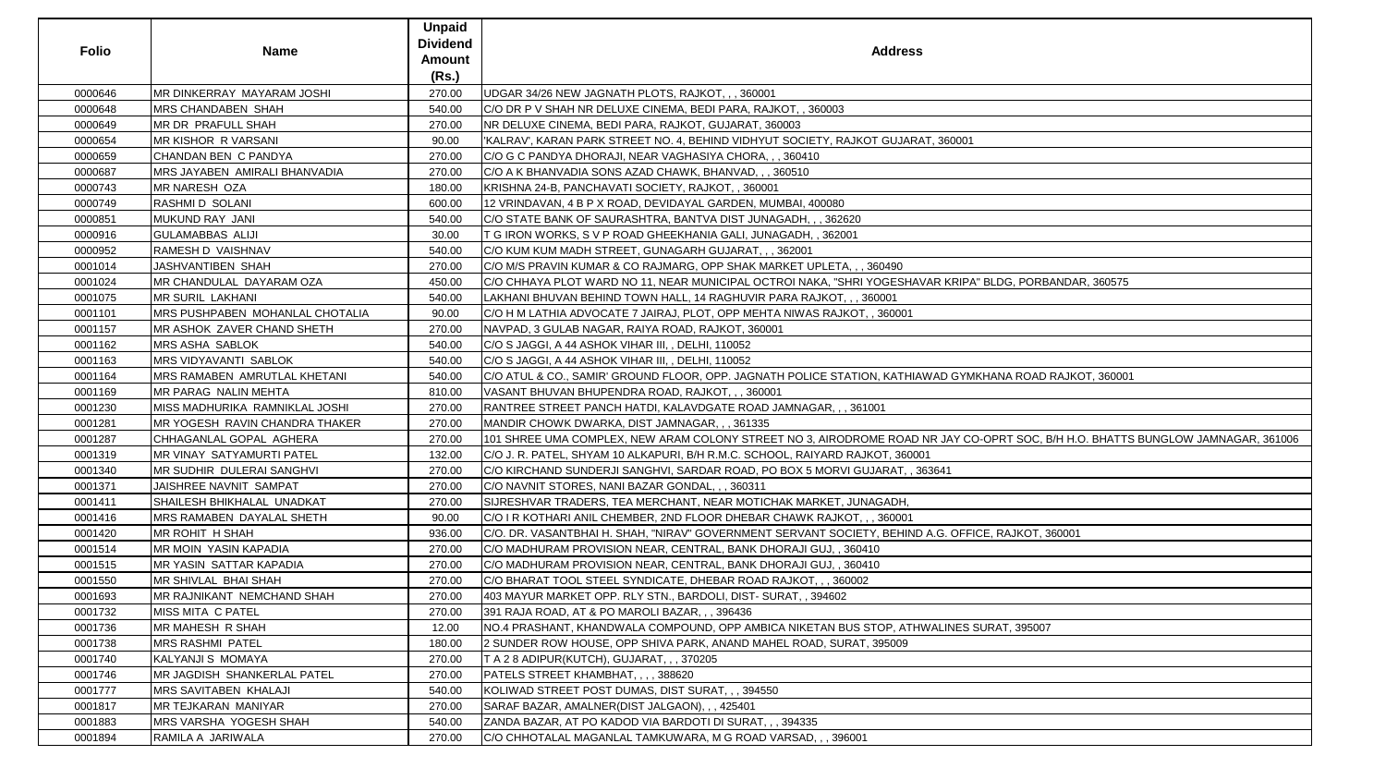|              |                                 | <b>Unpaid</b><br><b>Dividend</b> |                                                                                                                                 |
|--------------|---------------------------------|----------------------------------|---------------------------------------------------------------------------------------------------------------------------------|
| <b>Folio</b> | <b>Name</b>                     | Amount                           | <b>Address</b>                                                                                                                  |
|              |                                 | (Rs.)                            |                                                                                                                                 |
| 0000646      | MR DINKERRAY MAYARAM JOSHI      | 270.00                           | UDGAR 34/26 NEW JAGNATH PLOTS, RAJKOT, , , 360001                                                                               |
| 0000648      | MRS CHANDABEN SHAH              | 540.00                           | C/O DR P V SHAH NR DELUXE CINEMA, BEDI PARA, RAJKOT, , 360003                                                                   |
| 0000649      | MR DR PRAFULL SHAH              | 270.00                           | INR DELUXE CINEMA, BEDI PARA, RAJKOT, GUJARAT, 360003                                                                           |
| 0000654      | MR KISHOR R VARSANI             | 90.00                            | 'KALRAV', KARAN PARK STREET NO. 4, BEHIND VIDHYUT SOCIETY, RAJKOT GUJARAT, 360001                                               |
| 0000659      | CHANDAN BEN C PANDYA            | 270.00                           | C/O G C PANDYA DHORAJI, NEAR VAGHASIYA CHORA, , , 360410                                                                        |
| 0000687      | MRS JAYABEN AMIRALI BHANVADIA   | 270.00                           | C/O A K BHANVADIA SONS AZAD CHAWK, BHANVAD, , , 360510                                                                          |
| 0000743      | MR NARESH OZA                   | 180.00                           | KRISHNA 24-B, PANCHAVATI SOCIETY, RAJKOT, , 360001                                                                              |
| 0000749      | RASHMI D SOLANI                 | 600.00                           | 12 VRINDAVAN, 4 B P X ROAD, DEVIDAYAL GARDEN, MUMBAI, 400080                                                                    |
| 0000851      | MUKUND RAY JANI                 | 540.00                           | C/O STATE BANK OF SAURASHTRA, BANTVA DIST JUNAGADH, , , 362620                                                                  |
| 0000916      | <b>GULAMABBAS ALIJI</b>         | 30.00                            | T G IRON WORKS, S V P ROAD GHEEKHANIA GALI, JUNAGADH, , 362001                                                                  |
| 0000952      | RAMESH D VAISHNAV               | 540.00                           | C/O KUM KUM MADH STREET, GUNAGARH GUJARAT, , , 362001                                                                           |
| 0001014      | JASHVANTIBEN SHAH               | 270.00                           | C/O M/S PRAVIN KUMAR & CO RAJMARG, OPP SHAK MARKET UPLETA, , , 360490                                                           |
| 0001024      | MR CHANDULAL DAYARAM OZA        | 450.00                           | C/O CHHAYA PLOT WARD NO 11, NEAR MUNICIPAL OCTROI NAKA, "SHRI YOGESHAVAR KRIPA" BLDG, PORBANDAR, 360575                         |
| 0001075      | MR SURIL LAKHANI                | 540.00                           | LAKHANI BHUVAN BEHIND TOWN HALL, 14 RAGHUVIR PARA RAJKOT, , , 360001                                                            |
| 0001101      | MRS PUSHPABEN MOHANLAL CHOTALIA | 90.00                            | C/O H M LATHIA ADVOCATE 7 JAIRAJ, PLOT, OPP MEHTA NIWAS RAJKOT, , 360001                                                        |
| 0001157      | MR ASHOK ZAVER CHAND SHETH      | 270.00                           | NAVPAD, 3 GULAB NAGAR, RAIYA ROAD, RAJKOT, 360001                                                                               |
| 0001162      | MRS ASHA SABLOK                 | 540.00                           | C/O S JAGGI, A 44 ASHOK VIHAR III, , DELHI, 110052                                                                              |
| 0001163      | MRS VIDYAVANTI SABLOK           | 540.00                           | C/O S JAGGI, A 44 ASHOK VIHAR III, , DELHI, 110052                                                                              |
| 0001164      | MRS RAMABEN AMRUTLAL KHETANI    | 540.00                           | C/O ATUL & CO., SAMIR' GROUND FLOOR, OPP. JAGNATH POLICE STATION, KATHIAWAD GYMKHANA ROAD RAJKOT, 360001                        |
| 0001169      | MR PARAG NALIN MEHTA            | 810.00                           | VASANT BHUVAN BHUPENDRA ROAD, RAJKOT, , , 360001                                                                                |
| 0001230      | MISS MADHURIKA RAMNIKLAL JOSHI  | 270.00                           | RANTREE STREET PANCH HATDI, KALAVDGATE ROAD JAMNAGAR, , , 361001                                                                |
| 0001281      | MR YOGESH RAVIN CHANDRA THAKER  | 270.00                           | MANDIR CHOWK DWARKA, DIST JAMNAGAR, , , 361335                                                                                  |
| 0001287      | CHHAGANLAL GOPAL AGHERA         | 270.00                           | 101 SHREE UMA COMPLEX, NEW ARAM COLONY STREET NO 3, AIRODROME ROAD NR JAY CO-OPRT SOC, B/H H.O. BHATTS BUNGLOW JAMNAGAR, 361006 |
| 0001319      | MR VINAY SATYAMURTI PATEL       | 132.00                           | C/O J. R. PATEL, SHYAM 10 ALKAPURI, B/H R.M.C. SCHOOL, RAIYARD RAJKOT, 360001                                                   |
| 0001340      | MR SUDHIR DULERAI SANGHVI       | 270.00                           | C/O KIRCHAND SUNDERJI SANGHVI, SARDAR ROAD, PO BOX 5 MORVI GUJARAT, , 363641                                                    |
| 0001371      | JAISHREE NAVNIT SAMPAT          | 270.00                           | C/O NAVNIT STORES, NANI BAZAR GONDAL, , , 360311                                                                                |
| 0001411      | SHAILESH BHIKHALAL UNADKAT      | 270.00                           | SIJRESHVAR TRADERS, TEA MERCHANT, NEAR MOTICHAK MARKET, JUNAGADH,                                                               |
| 0001416      | MRS RAMABEN DAYALAL SHETH       | 90.00                            | C/O I R KOTHARI ANIL CHEMBER, 2ND FLOOR DHEBAR CHAWK RAJKOT, , , 360001                                                         |
| 0001420      | MR ROHIT H SHAH                 | 936.00                           | C/O. DR. VASANTBHAI H. SHAH, "NIRAV" GOVERNMENT SERVANT SOCIETY, BEHIND A.G. OFFICE, RAJKOT, 360001                             |
| 0001514      | MR MOIN YASIN KAPADIA           | 270.00                           | C/O MADHURAM PROVISION NEAR, CENTRAL, BANK DHORAJI GUJ, , 360410                                                                |
| 0001515      | MR YASIN SATTAR KAPADIA         | 270.00                           | C/O MADHURAM PROVISION NEAR, CENTRAL, BANK DHORAJI GUJ,, 360410                                                                 |
| 0001550      | MR SHIVLAL BHAI SHAH            | 270.00                           | C/O BHARAT TOOL STEEL SYNDICATE, DHEBAR ROAD RAJKOT, , , 360002                                                                 |
| 0001693      | MR RAJNIKANT NEMCHAND SHAH      | 270.00                           | 403 MAYUR MARKET OPP. RLY STN., BARDOLI, DIST- SURAT, , 394602                                                                  |
| 0001732      | MISS MITA C PATEL               | 270.00                           | [391 RAJA ROAD, AT & PO MAROLI BAZAR, , , 396436]                                                                               |
| 0001736      | <b>MR MAHESH R SHAH</b>         | 12.00                            | NO.4 PRASHANT, KHANDWALA COMPOUND, OPP AMBICA NIKETAN BUS STOP, ATHWALINES SURAT, 395007                                        |
| 0001738      | <b>MRS RASHMI PATEL</b>         | 180.00                           | 2 SUNDER ROW HOUSE, OPP SHIVA PARK, ANAND MAHEL ROAD, SURAT, 395009                                                             |
| 0001740      | KALYANJI S MOMAYA               | 270.00                           | T A 2 8 ADIPUR(KUTCH), GUJARAT, , , 370205                                                                                      |
| 0001746      | MR JAGDISH SHANKERLAL PATEL     | 270.00                           | PATELS STREET KHAMBHAT, , , , 388620                                                                                            |
| 0001777      | <b>MRS SAVITABEN KHALAJI</b>    | 540.00                           | KOLIWAD STREET POST DUMAS, DIST SURAT, , , 394550                                                                               |
| 0001817      | MR TEJKARAN MANIYAR             | 270.00                           | SARAF BAZAR, AMALNER(DIST JALGAON), , , 425401                                                                                  |
| 0001883      | MRS VARSHA YOGESH SHAH          | 540.00                           | ZANDA BAZAR, AT PO KADOD VIA BARDOTI DI SURAT, , , 394335                                                                       |
| 0001894      | RAMILA A JARIWALA               | 270.00                           | C/O CHHOTALAL MAGANLAL TAMKUWARA, M G ROAD VARSAD, , , 396001                                                                   |

| T BLDG, PORBANDAR, 360575                            |
|------------------------------------------------------|
|                                                      |
| IKHANA ROAD RAJKOT, 360001                           |
| O-OPRT SOC, B/H H.O. BHATTS BUNGLOW JAMNAGAR, 361006 |
|                                                      |
| ICE, RAJKOT, 360001                                  |
|                                                      |
| SURAT, 395007                                        |
|                                                      |
|                                                      |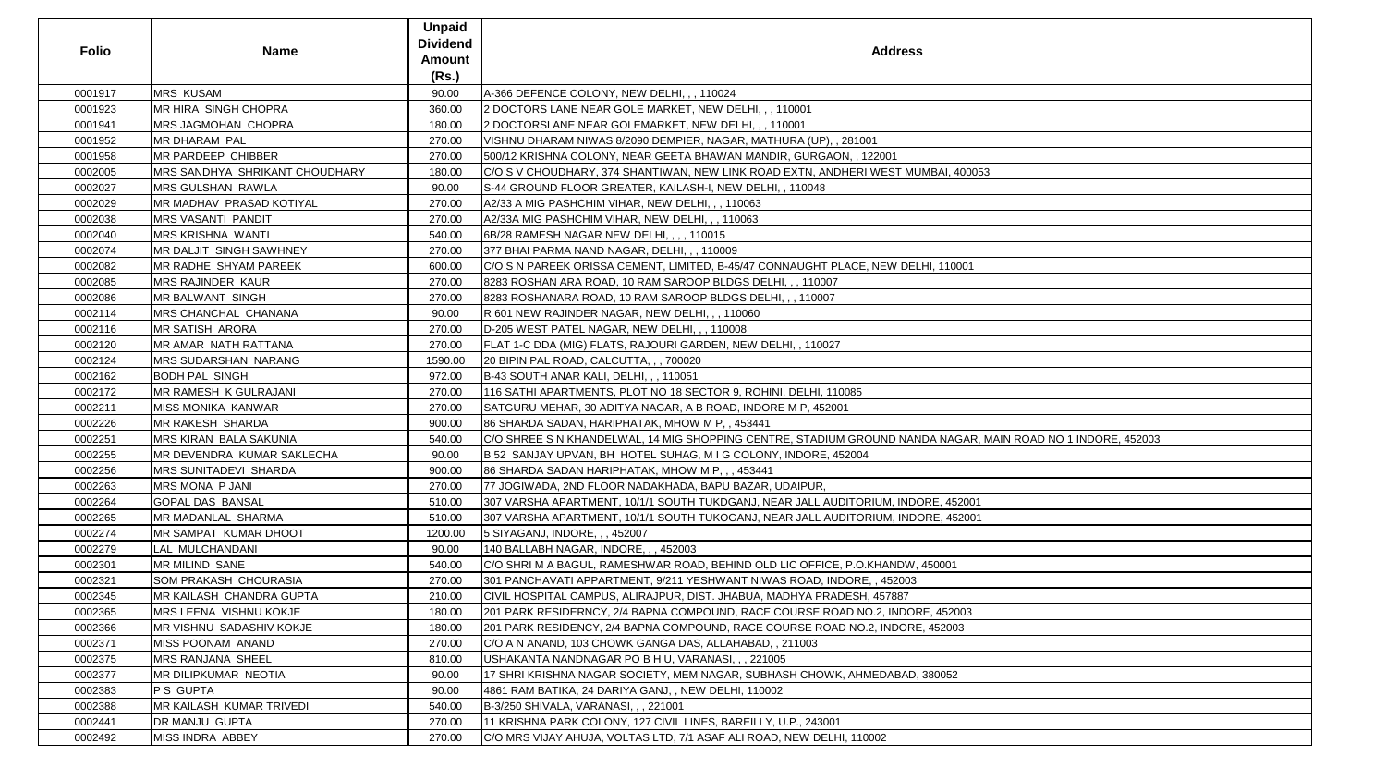| <b>Folio</b> | <b>Name</b>                    | <b>Unpaid</b><br><b>Dividend</b><br><b>Amount</b><br>(Rs.) | <b>Address</b>                                                                                              |
|--------------|--------------------------------|------------------------------------------------------------|-------------------------------------------------------------------------------------------------------------|
| 0001917      | <b>MRS KUSAM</b>               | 90.00                                                      | A-366 DEFENCE COLONY, NEW DELHI, , , 110024                                                                 |
| 0001923      | MR HIRA SINGH CHOPRA           | 360.00                                                     | 2 DOCTORS LANE NEAR GOLE MARKET, NEW DELHI, , , 110001                                                      |
| 0001941      | <b>MRS JAGMOHAN CHOPRA</b>     | 180.00                                                     | 2 DOCTORSLANE NEAR GOLEMARKET, NEW DELHI, , , 110001                                                        |
| 0001952      | <b>MR DHARAM PAL</b>           | 270.00                                                     | VISHNU DHARAM NIWAS 8/2090 DEMPIER, NAGAR, MATHURA (UP), , 281001                                           |
| 0001958      | <b>MR PARDEEP CHIBBER</b>      | 270.00                                                     | 500/12 KRISHNA COLONY, NEAR GEETA BHAWAN MANDIR, GURGAON, , 122001                                          |
| 0002005      | MRS SANDHYA SHRIKANT CHOUDHARY | 180.00                                                     | C/O S V CHOUDHARY, 374 SHANTIWAN, NEW LINK ROAD EXTN, ANDHERI WEST MUMBAI, 400053                           |
| 0002027      | <b>MRS GULSHAN RAWLA</b>       | 90.00                                                      | S-44 GROUND FLOOR GREATER, KAILASH-I, NEW DELHI, , 110048                                                   |
| 0002029      | MR MADHAV PRASAD KOTIYAL       | 270.00                                                     | A2/33 A MIG PASHCHIM VIHAR, NEW DELHI, ,, 110063                                                            |
| 0002038      | <b>MRS VASANTI PANDIT</b>      | 270.00                                                     | A2/33A MIG PASHCHIM VIHAR, NEW DELHI, , , 110063                                                            |
| 0002040      | MRS KRISHNA WANTI              | 540.00                                                     | 6B/28 RAMESH NAGAR NEW DELHI, , , , 110015                                                                  |
| 0002074      | MR DALJIT SINGH SAWHNEY        | 270.00                                                     | 377 BHAI PARMA NAND NAGAR, DELHI, ,, 110009                                                                 |
| 0002082      | MR RADHE SHYAM PAREEK          | 600.00                                                     | C/O S N PAREEK ORISSA CEMENT, LIMITED, B-45/47 CONNAUGHT PLACE, NEW DELHI, 110001                           |
| 0002085      | <b>MRS RAJINDER KAUR</b>       | 270.00                                                     | 8283 ROSHAN ARA ROAD, 10 RAM SAROOP BLDGS DELHI, , , 110007                                                 |
| 0002086      | <b>MR BALWANT SINGH</b>        | 270.00                                                     | 8283 ROSHANARA ROAD, 10 RAM SAROOP BLDGS DELHI,,, 110007                                                    |
| 0002114      | MRS CHANCHAL CHANANA           | 90.00                                                      | R 601 NEW RAJINDER NAGAR, NEW DELHI, , , 110060                                                             |
| 0002116      | <b>MR SATISH ARORA</b>         | 270.00                                                     | D-205 WEST PATEL NAGAR, NEW DELHI, , , 110008                                                               |
| 0002120      | MR AMAR NATH RATTANA           | 270.00                                                     | FLAT 1-C DDA (MIG) FLATS, RAJOURI GARDEN, NEW DELHI, , 110027                                               |
| 0002124      | <b>MRS SUDARSHAN NARANG</b>    | 1590.00                                                    | 20 BIPIN PAL ROAD, CALCUTTA, , , 700020                                                                     |
| 0002162      | <b>BODH PAL SINGH</b>          | 972.00                                                     | B-43 SOUTH ANAR KALI, DELHI, , , 110051                                                                     |
| 0002172      | MR RAMESH K GULRAJANI          | 270.00                                                     | 116 SATHI APARTMENTS, PLOT NO 18 SECTOR 9, ROHINI, DELHI, 110085                                            |
| 0002211      | <b>MISS MONIKA KANWAR</b>      | 270.00                                                     | SATGURU MEHAR, 30 ADITYA NAGAR, A B ROAD, INDORE M P, 452001                                                |
| 0002226      | <b>MR RAKESH SHARDA</b>        | 900.00                                                     | 86 SHARDA SADAN, HARIPHATAK, MHOW M P,, 453441                                                              |
| 0002251      | <b>MRS KIRAN BALA SAKUNIA</b>  | 540.00                                                     | C/O SHREE S N KHANDELWAL, 14 MIG SHOPPING CENTRE, STADIUM GROUND NANDA NAGAR, MAIN ROAD NO 1 INDORE, 452003 |
| 0002255      | MR DEVENDRA KUMAR SAKLECHA     | 90.00                                                      | B 52 SANJAY UPVAN, BH HOTEL SUHAG, M I G COLONY, INDORE, 452004                                             |
| 0002256      | <b>MRS SUNITADEVI SHARDA</b>   | 900.00                                                     | 86 SHARDA SADAN HARIPHATAK, MHOW M P, , , 453441                                                            |
| 0002263      | MRS MONA P JANI                | 270.00                                                     | 77 JOGIWADA, 2ND FLOOR NADAKHADA, BAPU BAZAR, UDAIPUR,                                                      |
| 0002264      | <b>GOPAL DAS BANSAL</b>        | 510.00                                                     | 307 VARSHA APARTMENT, 10/1/1 SOUTH TUKDGANJ, NEAR JALL AUDITORIUM, INDORE, 452001                           |
| 0002265      | <b>MR MADANLAL SHARMA</b>      | 510.00                                                     | 307 VARSHA APARTMENT, 10/1/1 SOUTH TUKOGANJ, NEAR JALL AUDITORIUM, INDORE, 452001                           |
| 0002274      | MR SAMPAT KUMAR DHOOT          | 1200.00                                                    | 5 SIYAGANJ, INDORE, , , 452007                                                                              |
| 0002279      | LAL MULCHANDANI                | 90.00                                                      | 140 BALLABH NAGAR, INDORE, ,, 452003                                                                        |
| 0002301      | <b>MR MILIND SANE</b>          | 540.00                                                     | C/O SHRI M A BAGUL, RAMESHWAR ROAD, BEHIND OLD LIC OFFICE, P.O.KHANDW, 450001                               |
| 0002321      | <b>SOM PRAKASH CHOURASIA</b>   | 270.00                                                     | 301 PANCHAVATI APPARTMENT, 9/211 YESHWANT NIWAS ROAD, INDORE, , 452003                                      |
| 0002345      | MR KAILASH CHANDRA GUPTA       | 210.00                                                     | CIVIL HOSPITAL CAMPUS, ALIRAJPUR, DIST. JHABUA, MADHYA PRADESH, 457887                                      |
| 0002365      | MRS LEENA VISHNU KOKJE         | 180.00                                                     | 201 PARK RESIDERNCY, 2/4 BAPNA COMPOUND, RACE COURSE ROAD NO.2, INDORE, 452003                              |
| 0002366      | MR VISHNU SADASHIV KOKJE       | 180.00                                                     | 201 PARK RESIDENCY, 2/4 BAPNA COMPOUND, RACE COURSE ROAD NO.2, INDORE, 452003                               |
| 0002371      | MISS POONAM ANAND              | 270.00                                                     | C/O A N ANAND, 103 CHOWK GANGA DAS, ALLAHABAD, , 211003                                                     |
| 0002375      | <b>MRS RANJANA SHEEL</b>       | 810.00                                                     | USHAKANTA NANDNAGAR PO B H U, VARANASI, , , 221005                                                          |
| 0002377      | MR DILIPKUMAR NEOTIA           | 90.00                                                      | 17 SHRI KRISHNA NAGAR SOCIETY, MEM NAGAR, SUBHASH CHOWK, AHMEDABAD, 380052                                  |
| 0002383      | PS GUPTA                       | 90.00                                                      | 4861 RAM BATIKA, 24 DARIYA GANJ, , NEW DELHI, 110002                                                        |
| 0002388      | MR KAILASH KUMAR TRIVEDI       | 540.00                                                     | B-3/250 SHIVALA, VARANASI, , , 221001                                                                       |
| 0002441      | DR MANJU GUPTA                 | 270.00                                                     | 11 KRISHNA PARK COLONY, 127 CIVIL LINES, BAREILLY, U.P., 243001                                             |
| 0002492      | MISS INDRA ABBEY               | 270.00                                                     | C/O MRS VIJAY AHUJA, VOLTAS LTD, 7/1 ASAF ALI ROAD, NEW DELHI, 110002                                       |

| 0053                                                                     |  |
|--------------------------------------------------------------------------|--|
|                                                                          |  |
|                                                                          |  |
|                                                                          |  |
|                                                                          |  |
|                                                                          |  |
|                                                                          |  |
|                                                                          |  |
|                                                                          |  |
|                                                                          |  |
|                                                                          |  |
|                                                                          |  |
| $\overline{1}$                                                           |  |
|                                                                          |  |
|                                                                          |  |
|                                                                          |  |
|                                                                          |  |
|                                                                          |  |
|                                                                          |  |
|                                                                          |  |
|                                                                          |  |
|                                                                          |  |
|                                                                          |  |
|                                                                          |  |
|                                                                          |  |
|                                                                          |  |
|                                                                          |  |
|                                                                          |  |
|                                                                          |  |
|                                                                          |  |
|                                                                          |  |
|                                                                          |  |
|                                                                          |  |
|                                                                          |  |
|                                                                          |  |
|                                                                          |  |
|                                                                          |  |
|                                                                          |  |
|                                                                          |  |
|                                                                          |  |
|                                                                          |  |
|                                                                          |  |
|                                                                          |  |
|                                                                          |  |
|                                                                          |  |
|                                                                          |  |
|                                                                          |  |
|                                                                          |  |
|                                                                          |  |
|                                                                          |  |
|                                                                          |  |
|                                                                          |  |
|                                                                          |  |
|                                                                          |  |
|                                                                          |  |
|                                                                          |  |
|                                                                          |  |
|                                                                          |  |
|                                                                          |  |
|                                                                          |  |
|                                                                          |  |
|                                                                          |  |
|                                                                          |  |
|                                                                          |  |
|                                                                          |  |
|                                                                          |  |
|                                                                          |  |
|                                                                          |  |
| AR, MAIN ROAD NO 1 INDORE, 452003<br><u>)01</u><br>001<br>$\overline{3}$ |  |
|                                                                          |  |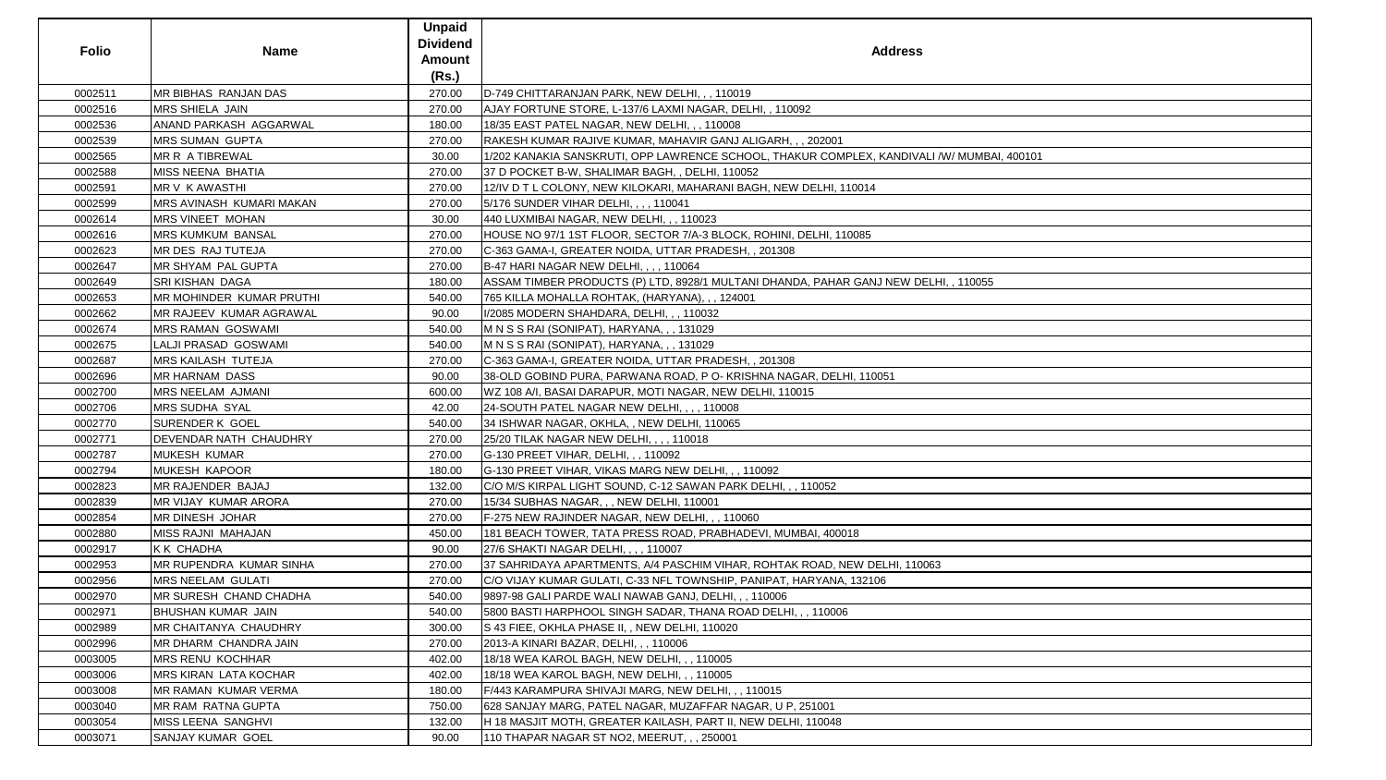| <b>Dividend</b><br><b>Folio</b><br><b>Address</b><br><b>Name</b><br><b>Amount</b><br>(Rs.)<br>MR BIBHAS RANJAN DAS<br>0002511<br>270.00<br>D-749 CHITTARANJAN PARK, NEW DELHI, , , 110019<br>MRS SHIELA JAIN<br>0002516<br>270.00<br>AJAY FORTUNE STORE, L-137/6 LAXMI NAGAR, DELHI, , 110092<br>ANAND PARKASH AGGARWAL<br>18/35 EAST PATEL NAGAR, NEW DELHI, , , 110008<br>0002536<br>180.00<br>0002539<br><b>MRS SUMAN GUPTA</b><br>270.00<br>RAKESH KUMAR RAJIVE KUMAR, MAHAVIR GANJ ALIGARH, , , 202001<br>MR R A TIBREWAL<br>1/202 KANAKIA SANSKRUTI, OPP LAWRENCE SCHOOL, THAKUR COMPLEX, KANDIVALI /W/ MUMBAI, 400101<br>0002565<br>30.00<br>0002588<br>MISS NEENA BHATIA<br>270.00<br>37 D POCKET B-W, SHALIMAR BAGH, , DELHI, 110052<br>0002591<br><b>MR V K AWASTHI</b><br>12/IV D T L COLONY, NEW KILOKARI, MAHARANI BAGH, NEW DELHI, 110014<br>270.00<br>MRS AVINASH KUMARI MAKAN<br>5/176 SUNDER VIHAR DELHI, , , , 110041<br>0002599<br>270.00<br>0002614<br>MRS VINEET MOHAN<br>30.00<br>440 LUXMIBAI NAGAR, NEW DELHI, , , 110023<br><b>MRS KUMKUM BANSAL</b><br>0002616<br>270.00<br>HOUSE NO 97/1 1ST FLOOR, SECTOR 7/A-3 BLOCK, ROHINI, DELHI, 110085<br>0002623<br>MR DES RAJ TUTEJA<br>270.00<br>C-363 GAMA-I, GREATER NOIDA, UTTAR PRADESH, , 201308<br>MR SHYAM PAL GUPTA<br>B-47 HARI NAGAR NEW DELHI, , , , 110064<br>0002647<br>270.00<br>0002649<br><b>SRI KISHAN DAGA</b><br>180.00<br>ASSAM TIMBER PRODUCTS (P) LTD, 8928/1 MULTANI DHANDA, PAHAR GANJ NEW DELHI, , 110055<br>MR MOHINDER KUMAR PRUTHI<br>0002653<br>540.00<br>765 KILLA MOHALLA ROHTAK, (HARYANA), , , 124001<br>0002662<br>MR RAJEEV KUMAR AGRAWAL<br>90.00<br>I/2085 MODERN SHAHDARA, DELHI, , , 110032<br><b>MRS RAMAN GOSWAMI</b><br>0002674<br>540.00<br>M N S S RAI (SONIPAT), HARYANA, , , 131029<br>0002675<br>LALJI PRASAD GOSWAMI<br>540.00<br>M N S S RAI (SONIPAT), HARYANA, , , 131029<br>0002687<br><b>MRS KAILASH TUTEJA</b><br>270.00<br>C-363 GAMA-I, GREATER NOIDA, UTTAR PRADESH, , 201308<br>0002696<br><b>MR HARNAM DASS</b><br>38-OLD GOBIND PURA, PARWANA ROAD, P O- KRISHNA NAGAR, DELHI, 110051<br>90.00<br>MRS NEELAM AJMANI<br>0002700<br>600.00<br>WZ 108 A/I, BASAI DARAPUR, MOTI NAGAR, NEW DELHI, 110015<br>0002706<br>MRS SUDHA SYAL<br>42.00<br>24-SOUTH PATEL NAGAR NEW DELHI, , , , 110008<br><b>SURENDER K GOEL</b><br>0002770<br>540.00<br>34 ISHWAR NAGAR, OKHLA, , NEW DELHI, 110065<br>DEVENDAR NATH CHAUDHRY<br>0002771<br>270.00<br>25/20 TILAK NAGAR NEW DELHI, , , , 110018<br><b>MUKESH KUMAR</b><br>0002787<br>270.00<br>G-130 PREET VIHAR, DELHI, , , 110092<br><b>MUKESH KAPOOR</b><br>G-130 PREET VIHAR, VIKAS MARG NEW DELHI, , , 110092<br>0002794<br>180.00<br>0002823<br>MR RAJENDER BAJAJ<br>C/O M/S KIRPAL LIGHT SOUND, C-12 SAWAN PARK DELHI, , , 110052<br>132.00<br>270.00<br>15/34 SUBHAS NAGAR, , , NEW DELHI, 110001<br>0002839<br>MR VIJAY KUMAR ARORA<br>0002854<br>MR DINESH JOHAR<br>270.00<br>F-275 NEW RAJINDER NAGAR, NEW DELHI, , , 110060<br>0002880<br>MISS RAJNI MAHAJAN<br>181 BEACH TOWER, TATA PRESS ROAD, PRABHADEVI, MUMBAI, 400018<br>450.00<br>0002917<br><b>KK CHADHA</b><br>90.00<br>27/6 SHAKTI NAGAR DELHI, , , , 110007<br>0002953<br>MR RUPENDRA KUMAR SINHA<br>37 SAHRIDAYA APARTMENTS, A/4 PASCHIM VIHAR, ROHTAK ROAD, NEW DELHI, 110063<br>270.00<br>0002956<br>MRS NEELAM GULATI<br>270.00<br>C/O VIJAY KUMAR GULATI, C-33 NFL TOWNSHIP, PANIPAT, HARYANA, 132106<br>0002970<br>MR SURESH CHAND CHADHA<br>540.00<br>9897-98 GALI PARDE WALI NAWAB GANJ, DELHI, , , 110006<br>0002971<br><b>BHUSHAN KUMAR JAIN</b><br>5800 BASTI HARPHOOL SINGH SADAR, THANA ROAD DELHI, , , 110006<br>540.00<br>0002989<br>MR CHAITANYA CHAUDHRY<br>300.00<br>S 43 FIEE, OKHLA PHASE II, , NEW DELHI, 110020<br>MR DHARM CHANDRA JAIN<br>2013-A KINARI BAZAR, DELHI, , , 110006<br>0002996<br>270.00<br>0003005<br><b>MRS RENU KOCHHAR</b><br>402.00<br>18/18 WEA KAROL BAGH, NEW DELHI, , , 110005<br>0003006<br><b>MRS KIRAN LATA KOCHAR</b><br>18/18 WEA KAROL BAGH, NEW DELHI, , , 110005<br>402.00<br>F/443 KARAMPURA SHIVAJI MARG, NEW DELHI, ,, 110015<br>0003008<br>MR RAMAN KUMAR VERMA<br>180.00<br>0003040<br>MR RAM RATNA GUPTA<br>750.00<br>628 SANJAY MARG, PATEL NAGAR, MUZAFFAR NAGAR, U P, 251001<br>0003054<br>MISS LEENA SANGHVI<br>132.00<br>H 18 MASJIT MOTH, GREATER KAILASH, PART II, NEW DELHI, 110048 |         |                          | <b>Unpaid</b> |                                             |
|-------------------------------------------------------------------------------------------------------------------------------------------------------------------------------------------------------------------------------------------------------------------------------------------------------------------------------------------------------------------------------------------------------------------------------------------------------------------------------------------------------------------------------------------------------------------------------------------------------------------------------------------------------------------------------------------------------------------------------------------------------------------------------------------------------------------------------------------------------------------------------------------------------------------------------------------------------------------------------------------------------------------------------------------------------------------------------------------------------------------------------------------------------------------------------------------------------------------------------------------------------------------------------------------------------------------------------------------------------------------------------------------------------------------------------------------------------------------------------------------------------------------------------------------------------------------------------------------------------------------------------------------------------------------------------------------------------------------------------------------------------------------------------------------------------------------------------------------------------------------------------------------------------------------------------------------------------------------------------------------------------------------------------------------------------------------------------------------------------------------------------------------------------------------------------------------------------------------------------------------------------------------------------------------------------------------------------------------------------------------------------------------------------------------------------------------------------------------------------------------------------------------------------------------------------------------------------------------------------------------------------------------------------------------------------------------------------------------------------------------------------------------------------------------------------------------------------------------------------------------------------------------------------------------------------------------------------------------------------------------------------------------------------------------------------------------------------------------------------------------------------------------------------------------------------------------------------------------------------------------------------------------------------------------------------------------------------------------------------------------------------------------------------------------------------------------------------------------------------------------------------------------------------------------------------------------------------------------------------------------------------------------------------------------------------------------------------------------------------------------------------------------------------------------------------------------------------------------------------------------------------------------------------------------------------------------------------------------------------------------------------------------------------------------------------------------------------------------------------------------------------------------------------------------------------------------------------------------------------------------------------------------------------------------------------------------------------------------------------------------------------------------------------|---------|--------------------------|---------------|---------------------------------------------|
|                                                                                                                                                                                                                                                                                                                                                                                                                                                                                                                                                                                                                                                                                                                                                                                                                                                                                                                                                                                                                                                                                                                                                                                                                                                                                                                                                                                                                                                                                                                                                                                                                                                                                                                                                                                                                                                                                                                                                                                                                                                                                                                                                                                                                                                                                                                                                                                                                                                                                                                                                                                                                                                                                                                                                                                                                                                                                                                                                                                                                                                                                                                                                                                                                                                                                                                                                                                                                                                                                                                                                                                                                                                                                                                                                                                                                                                                                                                                                                                                                                                                                                                                                                                                                                                                                                                                                                                                       |         |                          |               |                                             |
|                                                                                                                                                                                                                                                                                                                                                                                                                                                                                                                                                                                                                                                                                                                                                                                                                                                                                                                                                                                                                                                                                                                                                                                                                                                                                                                                                                                                                                                                                                                                                                                                                                                                                                                                                                                                                                                                                                                                                                                                                                                                                                                                                                                                                                                                                                                                                                                                                                                                                                                                                                                                                                                                                                                                                                                                                                                                                                                                                                                                                                                                                                                                                                                                                                                                                                                                                                                                                                                                                                                                                                                                                                                                                                                                                                                                                                                                                                                                                                                                                                                                                                                                                                                                                                                                                                                                                                                                       |         |                          |               |                                             |
|                                                                                                                                                                                                                                                                                                                                                                                                                                                                                                                                                                                                                                                                                                                                                                                                                                                                                                                                                                                                                                                                                                                                                                                                                                                                                                                                                                                                                                                                                                                                                                                                                                                                                                                                                                                                                                                                                                                                                                                                                                                                                                                                                                                                                                                                                                                                                                                                                                                                                                                                                                                                                                                                                                                                                                                                                                                                                                                                                                                                                                                                                                                                                                                                                                                                                                                                                                                                                                                                                                                                                                                                                                                                                                                                                                                                                                                                                                                                                                                                                                                                                                                                                                                                                                                                                                                                                                                                       |         |                          |               |                                             |
|                                                                                                                                                                                                                                                                                                                                                                                                                                                                                                                                                                                                                                                                                                                                                                                                                                                                                                                                                                                                                                                                                                                                                                                                                                                                                                                                                                                                                                                                                                                                                                                                                                                                                                                                                                                                                                                                                                                                                                                                                                                                                                                                                                                                                                                                                                                                                                                                                                                                                                                                                                                                                                                                                                                                                                                                                                                                                                                                                                                                                                                                                                                                                                                                                                                                                                                                                                                                                                                                                                                                                                                                                                                                                                                                                                                                                                                                                                                                                                                                                                                                                                                                                                                                                                                                                                                                                                                                       |         |                          |               |                                             |
|                                                                                                                                                                                                                                                                                                                                                                                                                                                                                                                                                                                                                                                                                                                                                                                                                                                                                                                                                                                                                                                                                                                                                                                                                                                                                                                                                                                                                                                                                                                                                                                                                                                                                                                                                                                                                                                                                                                                                                                                                                                                                                                                                                                                                                                                                                                                                                                                                                                                                                                                                                                                                                                                                                                                                                                                                                                                                                                                                                                                                                                                                                                                                                                                                                                                                                                                                                                                                                                                                                                                                                                                                                                                                                                                                                                                                                                                                                                                                                                                                                                                                                                                                                                                                                                                                                                                                                                                       |         |                          |               |                                             |
|                                                                                                                                                                                                                                                                                                                                                                                                                                                                                                                                                                                                                                                                                                                                                                                                                                                                                                                                                                                                                                                                                                                                                                                                                                                                                                                                                                                                                                                                                                                                                                                                                                                                                                                                                                                                                                                                                                                                                                                                                                                                                                                                                                                                                                                                                                                                                                                                                                                                                                                                                                                                                                                                                                                                                                                                                                                                                                                                                                                                                                                                                                                                                                                                                                                                                                                                                                                                                                                                                                                                                                                                                                                                                                                                                                                                                                                                                                                                                                                                                                                                                                                                                                                                                                                                                                                                                                                                       |         |                          |               |                                             |
|                                                                                                                                                                                                                                                                                                                                                                                                                                                                                                                                                                                                                                                                                                                                                                                                                                                                                                                                                                                                                                                                                                                                                                                                                                                                                                                                                                                                                                                                                                                                                                                                                                                                                                                                                                                                                                                                                                                                                                                                                                                                                                                                                                                                                                                                                                                                                                                                                                                                                                                                                                                                                                                                                                                                                                                                                                                                                                                                                                                                                                                                                                                                                                                                                                                                                                                                                                                                                                                                                                                                                                                                                                                                                                                                                                                                                                                                                                                                                                                                                                                                                                                                                                                                                                                                                                                                                                                                       |         |                          |               |                                             |
|                                                                                                                                                                                                                                                                                                                                                                                                                                                                                                                                                                                                                                                                                                                                                                                                                                                                                                                                                                                                                                                                                                                                                                                                                                                                                                                                                                                                                                                                                                                                                                                                                                                                                                                                                                                                                                                                                                                                                                                                                                                                                                                                                                                                                                                                                                                                                                                                                                                                                                                                                                                                                                                                                                                                                                                                                                                                                                                                                                                                                                                                                                                                                                                                                                                                                                                                                                                                                                                                                                                                                                                                                                                                                                                                                                                                                                                                                                                                                                                                                                                                                                                                                                                                                                                                                                                                                                                                       |         |                          |               |                                             |
|                                                                                                                                                                                                                                                                                                                                                                                                                                                                                                                                                                                                                                                                                                                                                                                                                                                                                                                                                                                                                                                                                                                                                                                                                                                                                                                                                                                                                                                                                                                                                                                                                                                                                                                                                                                                                                                                                                                                                                                                                                                                                                                                                                                                                                                                                                                                                                                                                                                                                                                                                                                                                                                                                                                                                                                                                                                                                                                                                                                                                                                                                                                                                                                                                                                                                                                                                                                                                                                                                                                                                                                                                                                                                                                                                                                                                                                                                                                                                                                                                                                                                                                                                                                                                                                                                                                                                                                                       |         |                          |               |                                             |
|                                                                                                                                                                                                                                                                                                                                                                                                                                                                                                                                                                                                                                                                                                                                                                                                                                                                                                                                                                                                                                                                                                                                                                                                                                                                                                                                                                                                                                                                                                                                                                                                                                                                                                                                                                                                                                                                                                                                                                                                                                                                                                                                                                                                                                                                                                                                                                                                                                                                                                                                                                                                                                                                                                                                                                                                                                                                                                                                                                                                                                                                                                                                                                                                                                                                                                                                                                                                                                                                                                                                                                                                                                                                                                                                                                                                                                                                                                                                                                                                                                                                                                                                                                                                                                                                                                                                                                                                       |         |                          |               |                                             |
|                                                                                                                                                                                                                                                                                                                                                                                                                                                                                                                                                                                                                                                                                                                                                                                                                                                                                                                                                                                                                                                                                                                                                                                                                                                                                                                                                                                                                                                                                                                                                                                                                                                                                                                                                                                                                                                                                                                                                                                                                                                                                                                                                                                                                                                                                                                                                                                                                                                                                                                                                                                                                                                                                                                                                                                                                                                                                                                                                                                                                                                                                                                                                                                                                                                                                                                                                                                                                                                                                                                                                                                                                                                                                                                                                                                                                                                                                                                                                                                                                                                                                                                                                                                                                                                                                                                                                                                                       |         |                          |               |                                             |
|                                                                                                                                                                                                                                                                                                                                                                                                                                                                                                                                                                                                                                                                                                                                                                                                                                                                                                                                                                                                                                                                                                                                                                                                                                                                                                                                                                                                                                                                                                                                                                                                                                                                                                                                                                                                                                                                                                                                                                                                                                                                                                                                                                                                                                                                                                                                                                                                                                                                                                                                                                                                                                                                                                                                                                                                                                                                                                                                                                                                                                                                                                                                                                                                                                                                                                                                                                                                                                                                                                                                                                                                                                                                                                                                                                                                                                                                                                                                                                                                                                                                                                                                                                                                                                                                                                                                                                                                       |         |                          |               |                                             |
|                                                                                                                                                                                                                                                                                                                                                                                                                                                                                                                                                                                                                                                                                                                                                                                                                                                                                                                                                                                                                                                                                                                                                                                                                                                                                                                                                                                                                                                                                                                                                                                                                                                                                                                                                                                                                                                                                                                                                                                                                                                                                                                                                                                                                                                                                                                                                                                                                                                                                                                                                                                                                                                                                                                                                                                                                                                                                                                                                                                                                                                                                                                                                                                                                                                                                                                                                                                                                                                                                                                                                                                                                                                                                                                                                                                                                                                                                                                                                                                                                                                                                                                                                                                                                                                                                                                                                                                                       |         |                          |               |                                             |
|                                                                                                                                                                                                                                                                                                                                                                                                                                                                                                                                                                                                                                                                                                                                                                                                                                                                                                                                                                                                                                                                                                                                                                                                                                                                                                                                                                                                                                                                                                                                                                                                                                                                                                                                                                                                                                                                                                                                                                                                                                                                                                                                                                                                                                                                                                                                                                                                                                                                                                                                                                                                                                                                                                                                                                                                                                                                                                                                                                                                                                                                                                                                                                                                                                                                                                                                                                                                                                                                                                                                                                                                                                                                                                                                                                                                                                                                                                                                                                                                                                                                                                                                                                                                                                                                                                                                                                                                       |         |                          |               |                                             |
|                                                                                                                                                                                                                                                                                                                                                                                                                                                                                                                                                                                                                                                                                                                                                                                                                                                                                                                                                                                                                                                                                                                                                                                                                                                                                                                                                                                                                                                                                                                                                                                                                                                                                                                                                                                                                                                                                                                                                                                                                                                                                                                                                                                                                                                                                                                                                                                                                                                                                                                                                                                                                                                                                                                                                                                                                                                                                                                                                                                                                                                                                                                                                                                                                                                                                                                                                                                                                                                                                                                                                                                                                                                                                                                                                                                                                                                                                                                                                                                                                                                                                                                                                                                                                                                                                                                                                                                                       |         |                          |               |                                             |
|                                                                                                                                                                                                                                                                                                                                                                                                                                                                                                                                                                                                                                                                                                                                                                                                                                                                                                                                                                                                                                                                                                                                                                                                                                                                                                                                                                                                                                                                                                                                                                                                                                                                                                                                                                                                                                                                                                                                                                                                                                                                                                                                                                                                                                                                                                                                                                                                                                                                                                                                                                                                                                                                                                                                                                                                                                                                                                                                                                                                                                                                                                                                                                                                                                                                                                                                                                                                                                                                                                                                                                                                                                                                                                                                                                                                                                                                                                                                                                                                                                                                                                                                                                                                                                                                                                                                                                                                       |         |                          |               |                                             |
|                                                                                                                                                                                                                                                                                                                                                                                                                                                                                                                                                                                                                                                                                                                                                                                                                                                                                                                                                                                                                                                                                                                                                                                                                                                                                                                                                                                                                                                                                                                                                                                                                                                                                                                                                                                                                                                                                                                                                                                                                                                                                                                                                                                                                                                                                                                                                                                                                                                                                                                                                                                                                                                                                                                                                                                                                                                                                                                                                                                                                                                                                                                                                                                                                                                                                                                                                                                                                                                                                                                                                                                                                                                                                                                                                                                                                                                                                                                                                                                                                                                                                                                                                                                                                                                                                                                                                                                                       |         |                          |               |                                             |
|                                                                                                                                                                                                                                                                                                                                                                                                                                                                                                                                                                                                                                                                                                                                                                                                                                                                                                                                                                                                                                                                                                                                                                                                                                                                                                                                                                                                                                                                                                                                                                                                                                                                                                                                                                                                                                                                                                                                                                                                                                                                                                                                                                                                                                                                                                                                                                                                                                                                                                                                                                                                                                                                                                                                                                                                                                                                                                                                                                                                                                                                                                                                                                                                                                                                                                                                                                                                                                                                                                                                                                                                                                                                                                                                                                                                                                                                                                                                                                                                                                                                                                                                                                                                                                                                                                                                                                                                       |         |                          |               |                                             |
|                                                                                                                                                                                                                                                                                                                                                                                                                                                                                                                                                                                                                                                                                                                                                                                                                                                                                                                                                                                                                                                                                                                                                                                                                                                                                                                                                                                                                                                                                                                                                                                                                                                                                                                                                                                                                                                                                                                                                                                                                                                                                                                                                                                                                                                                                                                                                                                                                                                                                                                                                                                                                                                                                                                                                                                                                                                                                                                                                                                                                                                                                                                                                                                                                                                                                                                                                                                                                                                                                                                                                                                                                                                                                                                                                                                                                                                                                                                                                                                                                                                                                                                                                                                                                                                                                                                                                                                                       |         |                          |               |                                             |
|                                                                                                                                                                                                                                                                                                                                                                                                                                                                                                                                                                                                                                                                                                                                                                                                                                                                                                                                                                                                                                                                                                                                                                                                                                                                                                                                                                                                                                                                                                                                                                                                                                                                                                                                                                                                                                                                                                                                                                                                                                                                                                                                                                                                                                                                                                                                                                                                                                                                                                                                                                                                                                                                                                                                                                                                                                                                                                                                                                                                                                                                                                                                                                                                                                                                                                                                                                                                                                                                                                                                                                                                                                                                                                                                                                                                                                                                                                                                                                                                                                                                                                                                                                                                                                                                                                                                                                                                       |         |                          |               |                                             |
|                                                                                                                                                                                                                                                                                                                                                                                                                                                                                                                                                                                                                                                                                                                                                                                                                                                                                                                                                                                                                                                                                                                                                                                                                                                                                                                                                                                                                                                                                                                                                                                                                                                                                                                                                                                                                                                                                                                                                                                                                                                                                                                                                                                                                                                                                                                                                                                                                                                                                                                                                                                                                                                                                                                                                                                                                                                                                                                                                                                                                                                                                                                                                                                                                                                                                                                                                                                                                                                                                                                                                                                                                                                                                                                                                                                                                                                                                                                                                                                                                                                                                                                                                                                                                                                                                                                                                                                                       |         |                          |               |                                             |
|                                                                                                                                                                                                                                                                                                                                                                                                                                                                                                                                                                                                                                                                                                                                                                                                                                                                                                                                                                                                                                                                                                                                                                                                                                                                                                                                                                                                                                                                                                                                                                                                                                                                                                                                                                                                                                                                                                                                                                                                                                                                                                                                                                                                                                                                                                                                                                                                                                                                                                                                                                                                                                                                                                                                                                                                                                                                                                                                                                                                                                                                                                                                                                                                                                                                                                                                                                                                                                                                                                                                                                                                                                                                                                                                                                                                                                                                                                                                                                                                                                                                                                                                                                                                                                                                                                                                                                                                       |         |                          |               |                                             |
|                                                                                                                                                                                                                                                                                                                                                                                                                                                                                                                                                                                                                                                                                                                                                                                                                                                                                                                                                                                                                                                                                                                                                                                                                                                                                                                                                                                                                                                                                                                                                                                                                                                                                                                                                                                                                                                                                                                                                                                                                                                                                                                                                                                                                                                                                                                                                                                                                                                                                                                                                                                                                                                                                                                                                                                                                                                                                                                                                                                                                                                                                                                                                                                                                                                                                                                                                                                                                                                                                                                                                                                                                                                                                                                                                                                                                                                                                                                                                                                                                                                                                                                                                                                                                                                                                                                                                                                                       |         |                          |               |                                             |
|                                                                                                                                                                                                                                                                                                                                                                                                                                                                                                                                                                                                                                                                                                                                                                                                                                                                                                                                                                                                                                                                                                                                                                                                                                                                                                                                                                                                                                                                                                                                                                                                                                                                                                                                                                                                                                                                                                                                                                                                                                                                                                                                                                                                                                                                                                                                                                                                                                                                                                                                                                                                                                                                                                                                                                                                                                                                                                                                                                                                                                                                                                                                                                                                                                                                                                                                                                                                                                                                                                                                                                                                                                                                                                                                                                                                                                                                                                                                                                                                                                                                                                                                                                                                                                                                                                                                                                                                       |         |                          |               |                                             |
|                                                                                                                                                                                                                                                                                                                                                                                                                                                                                                                                                                                                                                                                                                                                                                                                                                                                                                                                                                                                                                                                                                                                                                                                                                                                                                                                                                                                                                                                                                                                                                                                                                                                                                                                                                                                                                                                                                                                                                                                                                                                                                                                                                                                                                                                                                                                                                                                                                                                                                                                                                                                                                                                                                                                                                                                                                                                                                                                                                                                                                                                                                                                                                                                                                                                                                                                                                                                                                                                                                                                                                                                                                                                                                                                                                                                                                                                                                                                                                                                                                                                                                                                                                                                                                                                                                                                                                                                       |         |                          |               |                                             |
|                                                                                                                                                                                                                                                                                                                                                                                                                                                                                                                                                                                                                                                                                                                                                                                                                                                                                                                                                                                                                                                                                                                                                                                                                                                                                                                                                                                                                                                                                                                                                                                                                                                                                                                                                                                                                                                                                                                                                                                                                                                                                                                                                                                                                                                                                                                                                                                                                                                                                                                                                                                                                                                                                                                                                                                                                                                                                                                                                                                                                                                                                                                                                                                                                                                                                                                                                                                                                                                                                                                                                                                                                                                                                                                                                                                                                                                                                                                                                                                                                                                                                                                                                                                                                                                                                                                                                                                                       |         |                          |               |                                             |
|                                                                                                                                                                                                                                                                                                                                                                                                                                                                                                                                                                                                                                                                                                                                                                                                                                                                                                                                                                                                                                                                                                                                                                                                                                                                                                                                                                                                                                                                                                                                                                                                                                                                                                                                                                                                                                                                                                                                                                                                                                                                                                                                                                                                                                                                                                                                                                                                                                                                                                                                                                                                                                                                                                                                                                                                                                                                                                                                                                                                                                                                                                                                                                                                                                                                                                                                                                                                                                                                                                                                                                                                                                                                                                                                                                                                                                                                                                                                                                                                                                                                                                                                                                                                                                                                                                                                                                                                       |         |                          |               |                                             |
|                                                                                                                                                                                                                                                                                                                                                                                                                                                                                                                                                                                                                                                                                                                                                                                                                                                                                                                                                                                                                                                                                                                                                                                                                                                                                                                                                                                                                                                                                                                                                                                                                                                                                                                                                                                                                                                                                                                                                                                                                                                                                                                                                                                                                                                                                                                                                                                                                                                                                                                                                                                                                                                                                                                                                                                                                                                                                                                                                                                                                                                                                                                                                                                                                                                                                                                                                                                                                                                                                                                                                                                                                                                                                                                                                                                                                                                                                                                                                                                                                                                                                                                                                                                                                                                                                                                                                                                                       |         |                          |               |                                             |
|                                                                                                                                                                                                                                                                                                                                                                                                                                                                                                                                                                                                                                                                                                                                                                                                                                                                                                                                                                                                                                                                                                                                                                                                                                                                                                                                                                                                                                                                                                                                                                                                                                                                                                                                                                                                                                                                                                                                                                                                                                                                                                                                                                                                                                                                                                                                                                                                                                                                                                                                                                                                                                                                                                                                                                                                                                                                                                                                                                                                                                                                                                                                                                                                                                                                                                                                                                                                                                                                                                                                                                                                                                                                                                                                                                                                                                                                                                                                                                                                                                                                                                                                                                                                                                                                                                                                                                                                       |         |                          |               |                                             |
|                                                                                                                                                                                                                                                                                                                                                                                                                                                                                                                                                                                                                                                                                                                                                                                                                                                                                                                                                                                                                                                                                                                                                                                                                                                                                                                                                                                                                                                                                                                                                                                                                                                                                                                                                                                                                                                                                                                                                                                                                                                                                                                                                                                                                                                                                                                                                                                                                                                                                                                                                                                                                                                                                                                                                                                                                                                                                                                                                                                                                                                                                                                                                                                                                                                                                                                                                                                                                                                                                                                                                                                                                                                                                                                                                                                                                                                                                                                                                                                                                                                                                                                                                                                                                                                                                                                                                                                                       |         |                          |               |                                             |
|                                                                                                                                                                                                                                                                                                                                                                                                                                                                                                                                                                                                                                                                                                                                                                                                                                                                                                                                                                                                                                                                                                                                                                                                                                                                                                                                                                                                                                                                                                                                                                                                                                                                                                                                                                                                                                                                                                                                                                                                                                                                                                                                                                                                                                                                                                                                                                                                                                                                                                                                                                                                                                                                                                                                                                                                                                                                                                                                                                                                                                                                                                                                                                                                                                                                                                                                                                                                                                                                                                                                                                                                                                                                                                                                                                                                                                                                                                                                                                                                                                                                                                                                                                                                                                                                                                                                                                                                       |         |                          |               |                                             |
|                                                                                                                                                                                                                                                                                                                                                                                                                                                                                                                                                                                                                                                                                                                                                                                                                                                                                                                                                                                                                                                                                                                                                                                                                                                                                                                                                                                                                                                                                                                                                                                                                                                                                                                                                                                                                                                                                                                                                                                                                                                                                                                                                                                                                                                                                                                                                                                                                                                                                                                                                                                                                                                                                                                                                                                                                                                                                                                                                                                                                                                                                                                                                                                                                                                                                                                                                                                                                                                                                                                                                                                                                                                                                                                                                                                                                                                                                                                                                                                                                                                                                                                                                                                                                                                                                                                                                                                                       |         |                          |               |                                             |
|                                                                                                                                                                                                                                                                                                                                                                                                                                                                                                                                                                                                                                                                                                                                                                                                                                                                                                                                                                                                                                                                                                                                                                                                                                                                                                                                                                                                                                                                                                                                                                                                                                                                                                                                                                                                                                                                                                                                                                                                                                                                                                                                                                                                                                                                                                                                                                                                                                                                                                                                                                                                                                                                                                                                                                                                                                                                                                                                                                                                                                                                                                                                                                                                                                                                                                                                                                                                                                                                                                                                                                                                                                                                                                                                                                                                                                                                                                                                                                                                                                                                                                                                                                                                                                                                                                                                                                                                       |         |                          |               |                                             |
|                                                                                                                                                                                                                                                                                                                                                                                                                                                                                                                                                                                                                                                                                                                                                                                                                                                                                                                                                                                                                                                                                                                                                                                                                                                                                                                                                                                                                                                                                                                                                                                                                                                                                                                                                                                                                                                                                                                                                                                                                                                                                                                                                                                                                                                                                                                                                                                                                                                                                                                                                                                                                                                                                                                                                                                                                                                                                                                                                                                                                                                                                                                                                                                                                                                                                                                                                                                                                                                                                                                                                                                                                                                                                                                                                                                                                                                                                                                                                                                                                                                                                                                                                                                                                                                                                                                                                                                                       |         |                          |               |                                             |
|                                                                                                                                                                                                                                                                                                                                                                                                                                                                                                                                                                                                                                                                                                                                                                                                                                                                                                                                                                                                                                                                                                                                                                                                                                                                                                                                                                                                                                                                                                                                                                                                                                                                                                                                                                                                                                                                                                                                                                                                                                                                                                                                                                                                                                                                                                                                                                                                                                                                                                                                                                                                                                                                                                                                                                                                                                                                                                                                                                                                                                                                                                                                                                                                                                                                                                                                                                                                                                                                                                                                                                                                                                                                                                                                                                                                                                                                                                                                                                                                                                                                                                                                                                                                                                                                                                                                                                                                       |         |                          |               |                                             |
|                                                                                                                                                                                                                                                                                                                                                                                                                                                                                                                                                                                                                                                                                                                                                                                                                                                                                                                                                                                                                                                                                                                                                                                                                                                                                                                                                                                                                                                                                                                                                                                                                                                                                                                                                                                                                                                                                                                                                                                                                                                                                                                                                                                                                                                                                                                                                                                                                                                                                                                                                                                                                                                                                                                                                                                                                                                                                                                                                                                                                                                                                                                                                                                                                                                                                                                                                                                                                                                                                                                                                                                                                                                                                                                                                                                                                                                                                                                                                                                                                                                                                                                                                                                                                                                                                                                                                                                                       |         |                          |               |                                             |
|                                                                                                                                                                                                                                                                                                                                                                                                                                                                                                                                                                                                                                                                                                                                                                                                                                                                                                                                                                                                                                                                                                                                                                                                                                                                                                                                                                                                                                                                                                                                                                                                                                                                                                                                                                                                                                                                                                                                                                                                                                                                                                                                                                                                                                                                                                                                                                                                                                                                                                                                                                                                                                                                                                                                                                                                                                                                                                                                                                                                                                                                                                                                                                                                                                                                                                                                                                                                                                                                                                                                                                                                                                                                                                                                                                                                                                                                                                                                                                                                                                                                                                                                                                                                                                                                                                                                                                                                       |         |                          |               |                                             |
|                                                                                                                                                                                                                                                                                                                                                                                                                                                                                                                                                                                                                                                                                                                                                                                                                                                                                                                                                                                                                                                                                                                                                                                                                                                                                                                                                                                                                                                                                                                                                                                                                                                                                                                                                                                                                                                                                                                                                                                                                                                                                                                                                                                                                                                                                                                                                                                                                                                                                                                                                                                                                                                                                                                                                                                                                                                                                                                                                                                                                                                                                                                                                                                                                                                                                                                                                                                                                                                                                                                                                                                                                                                                                                                                                                                                                                                                                                                                                                                                                                                                                                                                                                                                                                                                                                                                                                                                       |         |                          |               |                                             |
|                                                                                                                                                                                                                                                                                                                                                                                                                                                                                                                                                                                                                                                                                                                                                                                                                                                                                                                                                                                                                                                                                                                                                                                                                                                                                                                                                                                                                                                                                                                                                                                                                                                                                                                                                                                                                                                                                                                                                                                                                                                                                                                                                                                                                                                                                                                                                                                                                                                                                                                                                                                                                                                                                                                                                                                                                                                                                                                                                                                                                                                                                                                                                                                                                                                                                                                                                                                                                                                                                                                                                                                                                                                                                                                                                                                                                                                                                                                                                                                                                                                                                                                                                                                                                                                                                                                                                                                                       |         |                          |               |                                             |
|                                                                                                                                                                                                                                                                                                                                                                                                                                                                                                                                                                                                                                                                                                                                                                                                                                                                                                                                                                                                                                                                                                                                                                                                                                                                                                                                                                                                                                                                                                                                                                                                                                                                                                                                                                                                                                                                                                                                                                                                                                                                                                                                                                                                                                                                                                                                                                                                                                                                                                                                                                                                                                                                                                                                                                                                                                                                                                                                                                                                                                                                                                                                                                                                                                                                                                                                                                                                                                                                                                                                                                                                                                                                                                                                                                                                                                                                                                                                                                                                                                                                                                                                                                                                                                                                                                                                                                                                       |         |                          |               |                                             |
|                                                                                                                                                                                                                                                                                                                                                                                                                                                                                                                                                                                                                                                                                                                                                                                                                                                                                                                                                                                                                                                                                                                                                                                                                                                                                                                                                                                                                                                                                                                                                                                                                                                                                                                                                                                                                                                                                                                                                                                                                                                                                                                                                                                                                                                                                                                                                                                                                                                                                                                                                                                                                                                                                                                                                                                                                                                                                                                                                                                                                                                                                                                                                                                                                                                                                                                                                                                                                                                                                                                                                                                                                                                                                                                                                                                                                                                                                                                                                                                                                                                                                                                                                                                                                                                                                                                                                                                                       |         |                          |               |                                             |
|                                                                                                                                                                                                                                                                                                                                                                                                                                                                                                                                                                                                                                                                                                                                                                                                                                                                                                                                                                                                                                                                                                                                                                                                                                                                                                                                                                                                                                                                                                                                                                                                                                                                                                                                                                                                                                                                                                                                                                                                                                                                                                                                                                                                                                                                                                                                                                                                                                                                                                                                                                                                                                                                                                                                                                                                                                                                                                                                                                                                                                                                                                                                                                                                                                                                                                                                                                                                                                                                                                                                                                                                                                                                                                                                                                                                                                                                                                                                                                                                                                                                                                                                                                                                                                                                                                                                                                                                       |         |                          |               |                                             |
|                                                                                                                                                                                                                                                                                                                                                                                                                                                                                                                                                                                                                                                                                                                                                                                                                                                                                                                                                                                                                                                                                                                                                                                                                                                                                                                                                                                                                                                                                                                                                                                                                                                                                                                                                                                                                                                                                                                                                                                                                                                                                                                                                                                                                                                                                                                                                                                                                                                                                                                                                                                                                                                                                                                                                                                                                                                                                                                                                                                                                                                                                                                                                                                                                                                                                                                                                                                                                                                                                                                                                                                                                                                                                                                                                                                                                                                                                                                                                                                                                                                                                                                                                                                                                                                                                                                                                                                                       |         |                          |               |                                             |
|                                                                                                                                                                                                                                                                                                                                                                                                                                                                                                                                                                                                                                                                                                                                                                                                                                                                                                                                                                                                                                                                                                                                                                                                                                                                                                                                                                                                                                                                                                                                                                                                                                                                                                                                                                                                                                                                                                                                                                                                                                                                                                                                                                                                                                                                                                                                                                                                                                                                                                                                                                                                                                                                                                                                                                                                                                                                                                                                                                                                                                                                                                                                                                                                                                                                                                                                                                                                                                                                                                                                                                                                                                                                                                                                                                                                                                                                                                                                                                                                                                                                                                                                                                                                                                                                                                                                                                                                       |         |                          |               |                                             |
| 90.00                                                                                                                                                                                                                                                                                                                                                                                                                                                                                                                                                                                                                                                                                                                                                                                                                                                                                                                                                                                                                                                                                                                                                                                                                                                                                                                                                                                                                                                                                                                                                                                                                                                                                                                                                                                                                                                                                                                                                                                                                                                                                                                                                                                                                                                                                                                                                                                                                                                                                                                                                                                                                                                                                                                                                                                                                                                                                                                                                                                                                                                                                                                                                                                                                                                                                                                                                                                                                                                                                                                                                                                                                                                                                                                                                                                                                                                                                                                                                                                                                                                                                                                                                                                                                                                                                                                                                                                                 | 0003071 | <b>SANJAY KUMAR GOEL</b> |               | 110 THAPAR NAGAR ST NO2, MEERUT, , , 250001 |

| dress                       |
|-----------------------------|
|                             |
| ANDIVALI /W/ MUMBAI, 400101 |
|                             |
| <b>JEW DELHI, , 110055</b>  |
|                             |
|                             |
|                             |
| HI, 110063                  |
|                             |
|                             |
|                             |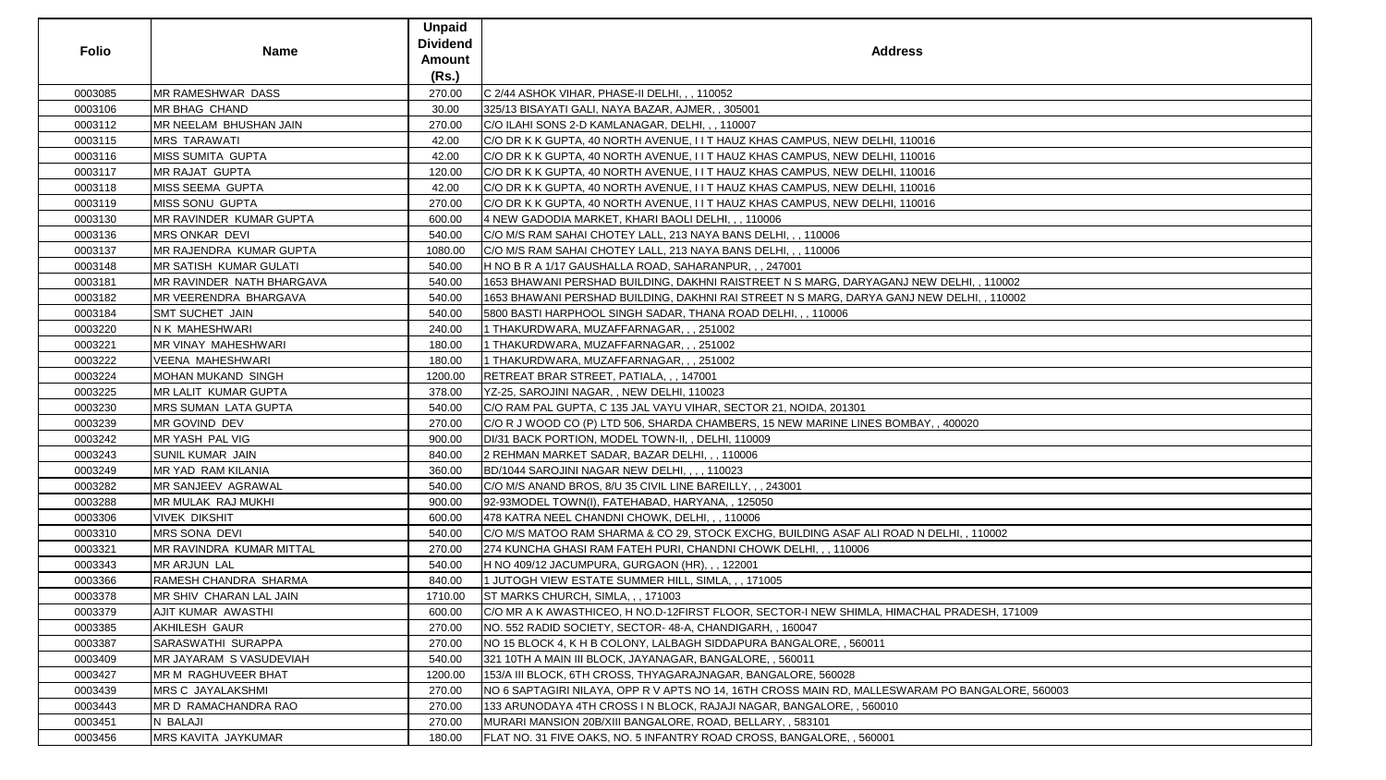| <b>Folio</b> | <b>Name</b>                       | <b>Unpaid</b><br><b>Dividend</b><br><b>Amount</b><br>(Rs.) | <b>Address</b>                                                                                  |
|--------------|-----------------------------------|------------------------------------------------------------|-------------------------------------------------------------------------------------------------|
| 0003085      | MR RAMESHWAR DASS                 | 270.00                                                     | C 2/44 ASHOK VIHAR, PHASE-II DELHI, , , 110052                                                  |
| 0003106      | MR BHAG CHAND                     | 30.00                                                      | 325/13 BISAYATI GALI, NAYA BAZAR, AJMER,, 305001                                                |
| 0003112      | MR NEELAM BHUSHAN JAIN            | 270.00                                                     | C/O ILAHI SONS 2-D KAMLANAGAR, DELHI, ,, 110007                                                 |
| 0003115      | <b>MRS TARAWATI</b>               | 42.00                                                      | C/O DR K K GUPTA, 40 NORTH AVENUE, I I T HAUZ KHAS CAMPUS, NEW DELHI, 110016                    |
| 0003116      | <b>MISS SUMITA GUPTA</b>          | 42.00                                                      | C/O DR K K GUPTA, 40 NORTH AVENUE, I I T HAUZ KHAS CAMPUS, NEW DELHI, 110016                    |
| 0003117      | <b>MR RAJAT GUPTA</b>             | 120.00                                                     | C/O DR K K GUPTA, 40 NORTH AVENUE, I I T HAUZ KHAS CAMPUS, NEW DELHI, 110016                    |
| 0003118      | MISS SEEMA GUPTA                  | 42.00                                                      | C/O DR K K GUPTA, 40 NORTH AVENUE, I I T HAUZ KHAS CAMPUS, NEW DELHI, 110016                    |
| 0003119      | <b>MISS SONU GUPTA</b>            | 270.00                                                     | C/O DR K K GUPTA, 40 NORTH AVENUE, I I T HAUZ KHAS CAMPUS, NEW DELHI, 110016                    |
| 0003130      | <b>IMR RAVINDER KUMAR GUPTA</b>   | 600.00                                                     | 4 NEW GADODIA MARKET, KHARI BAOLI DELHI, , , 110006                                             |
| 0003136      | MRS ONKAR DEVI                    | 540.00                                                     | C/O M/S RAM SAHAI CHOTEY LALL, 213 NAYA BANS DELHI, , , 110006                                  |
| 0003137      | <b>IMR RAJENDRA KUMAR GUPTA</b>   | 1080.00                                                    | C/O M/S RAM SAHAI CHOTEY LALL, 213 NAYA BANS DELHI, , , 110006                                  |
| 0003148      | <b>MR SATISH KUMAR GULATI</b>     | 540.00                                                     | H NO B R A 1/17 GAUSHALLA ROAD, SAHARANPUR, ,, 247001                                           |
| 0003181      | <b>IMR RAVINDER NATH BHARGAVA</b> | 540.00                                                     | 1653 BHAWANI PERSHAD BUILDING, DAKHNI RAISTREET N S MARG, DARYAGANJ NEW DELHI, , 110002         |
| 0003182      | <b>MR VEERENDRA BHARGAVA</b>      | 540.00                                                     | 1653 BHAWANI PERSHAD BUILDING, DAKHNI RAI STREET N S MARG, DARYA GANJ NEW DELHI, , 110002       |
| 0003184      | <b>SMT SUCHET JAIN</b>            | 540.00                                                     | 5800 BASTI HARPHOOL SINGH SADAR, THANA ROAD DELHI, , , 110006                                   |
| 0003220      | N K MAHESHWARI                    | 240.00                                                     | 1 THAKURDWARA, MUZAFFARNAGAR, , , 251002                                                        |
| 0003221      | MR VINAY MAHESHWARI               | 180.00                                                     | 1 THAKURDWARA, MUZAFFARNAGAR, , , 251002                                                        |
| 0003222      | <b>VEENA MAHESHWARI</b>           | 180.00                                                     | 1 THAKURDWARA, MUZAFFARNAGAR, , , 251002                                                        |
| 0003224      | MOHAN MUKAND SINGH                | 1200.00                                                    | RETREAT BRAR STREET, PATIALA, , , 147001                                                        |
| 0003225      | <b>MR LALIT KUMAR GUPTA</b>       | 378.00                                                     | YZ-25, SAROJINI NAGAR, , NEW DELHI, 110023                                                      |
| 0003230      | <b>MRS SUMAN LATA GUPTA</b>       | 540.00                                                     | C/O RAM PAL GUPTA, C 135 JAL VAYU VIHAR, SECTOR 21, NOIDA, 201301                               |
| 0003239      | MR GOVIND DEV                     | 270.00                                                     | C/O R J WOOD CO (P) LTD 506, SHARDA CHAMBERS, 15 NEW MARINE LINES BOMBAY, , 400020              |
| 0003242      | MR YASH PAL VIG                   | 900.00                                                     | DI/31 BACK PORTION, MODEL TOWN-II,, DELHI, 110009                                               |
| 0003243      | <b>SUNIL KUMAR JAIN</b>           | 840.00                                                     | 2 REHMAN MARKET SADAR, BAZAR DELHI, , , 110006                                                  |
| 0003249      | MR YAD RAM KILANIA                | 360.00                                                     | BD/1044 SAROJINI NAGAR NEW DELHI, , , , 110023                                                  |
| 0003282      | MR SANJEEV AGRAWAL                | 540.00                                                     | C/O M/S ANAND BROS, 8/U 35 CIVIL LINE BAREILLY, , , 243001                                      |
| 0003288      | MR MULAK RAJ MUKHI                | 900.00                                                     | 92-93MODEL TOWN(I), FATEHABAD, HARYANA,, 125050                                                 |
| 0003306      | <b>VIVEK DIKSHIT</b>              | 600.00                                                     | 478 KATRA NEEL CHANDNI CHOWK, DELHI, , , 110006                                                 |
| 0003310      | MRS SONA DEVI                     | 540.00                                                     | C/O M/S MATOO RAM SHARMA & CO 29, STOCK EXCHG, BUILDING ASAF ALI ROAD N DELHI, , 110002         |
| 0003321      | MR RAVINDRA KUMAR MITTAL          | 270.00                                                     | 274 KUNCHA GHASI RAM FATEH PURI, CHANDNI CHOWK DELHI,,, 110006                                  |
| 0003343      | <b>MR ARJUN LAL</b>               | 540.00                                                     | H NO 409/12 JACUMPURA, GURGAON (HR), , , 122001                                                 |
| 0003366      | RAMESH CHANDRA SHARMA             | 840.00                                                     | 1 JUTOGH VIEW ESTATE SUMMER HILL, SIMLA, ,, 171005                                              |
| 0003378      | <b>IMR SHIV CHARAN LAL JAIN</b>   | 1710.00                                                    | ST MARKS CHURCH, SIMLA, , , 171003                                                              |
| 0003379      | <b>AJIT KUMAR AWASTHI</b>         | 600.00                                                     | C/O MR A K AWASTHICEO, H NO.D-12FIRST FLOOR, SECTOR-I NEW SHIMLA, HIMACHAL PRADESH, 171009      |
| 0003385      | <b>AKHILESH GAUR</b>              | 270.00                                                     | NO. 552 RADID SOCIETY, SECTOR- 48-A, CHANDIGARH, , 160047                                       |
| 0003387      | SARASWATHI SURAPPA                | 270.00                                                     | NO 15 BLOCK 4, K H B COLONY, LALBAGH SIDDAPURA BANGALORE, , 560011                              |
| 0003409      | <b>IMR JAYARAM S VASUDEVIAH</b>   | 540.00                                                     | 321 10TH A MAIN III BLOCK, JAYANAGAR, BANGALORE, , 560011                                       |
| 0003427      | <b>MR M RAGHUVEER BHAT</b>        | 1200.00                                                    | 153/A III BLOCK, 6TH CROSS, THYAGARAJNAGAR, BANGALORE, 560028                                   |
| 0003439      | <b>MRS C JAYALAKSHMI</b>          | 270.00                                                     | NO 6 SAPTAGIRI NILAYA, OPP R V APTS NO 14, 16TH CROSS MAIN RD, MALLESWARAM PO BANGALORE, 560003 |
| 0003443      | MR D RAMACHANDRA RAO              | 270.00                                                     | 133 ARUNODAYA 4TH CROSS IN BLOCK, RAJAJI NAGAR, BANGALORE, , 560010                             |
| 0003451      | N BALAJI                          | 270.00                                                     | MURARI MANSION 20B/XIII BANGALORE, ROAD, BELLARY, , 583101                                      |
| 0003456      | <b>MRS KAVITA JAYKUMAR</b>        | 180.00                                                     | FLAT NO. 31 FIVE OAKS, NO. 5 INFANTRY ROAD CROSS, BANGALORE, , 560001                           |
|              |                                   |                                                            |                                                                                                 |

| II, 110002       |
|------------------|
|                  |
| HI, , 110002     |
|                  |
|                  |
|                  |
|                  |
|                  |
|                  |
|                  |
|                  |
|                  |
|                  |
|                  |
| 20               |
|                  |
|                  |
|                  |
|                  |
|                  |
|                  |
|                  |
|                  |
|                  |
|                  |
|                  |
| 110002           |
|                  |
|                  |
|                  |
|                  |
|                  |
|                  |
| DESH, 171009     |
|                  |
|                  |
|                  |
|                  |
|                  |
|                  |
|                  |
| ANGALORE, 560003 |
|                  |
|                  |
|                  |
|                  |
|                  |
|                  |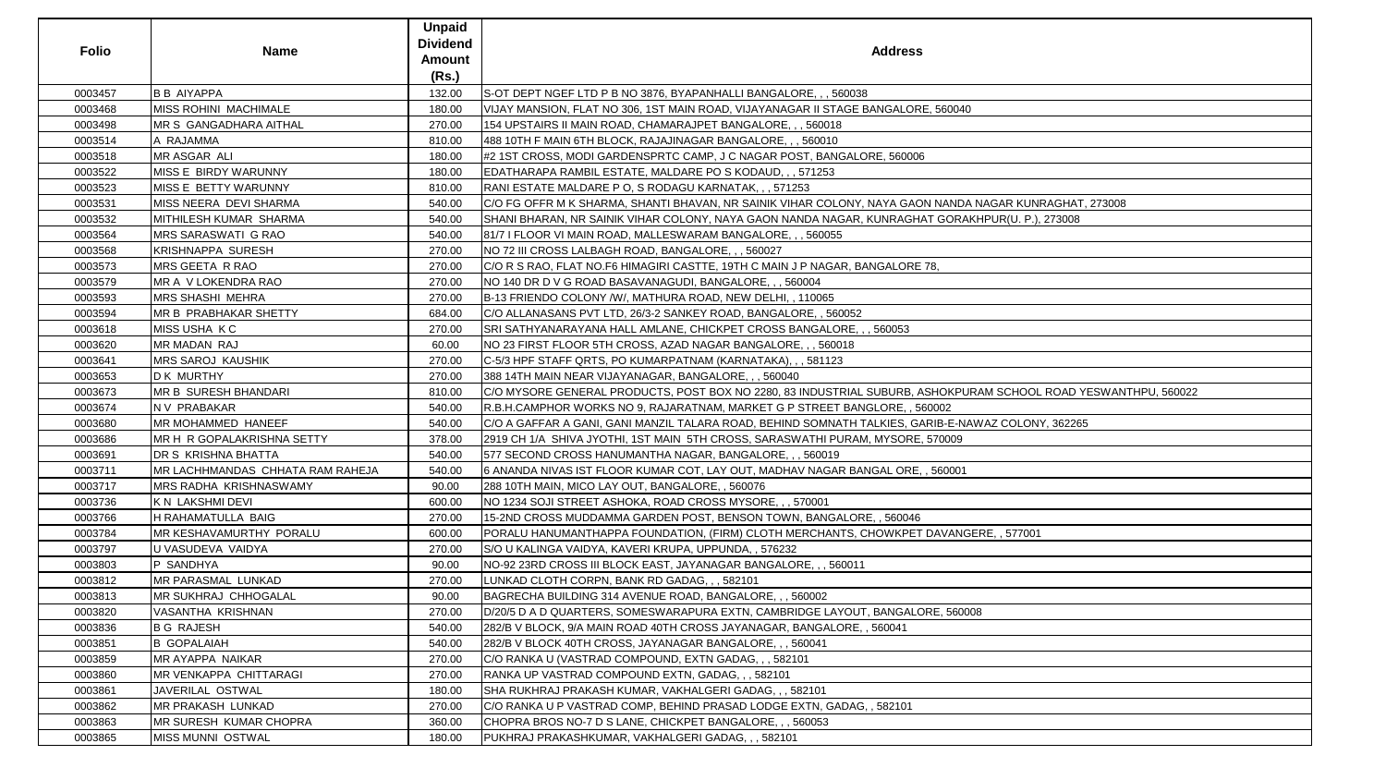| (Rs.)<br><b>B B AIYAPPA</b><br>0003457<br>132.00<br>S-OT DEPT NGEF LTD P B NO 3876, BYAPANHALLI BANGALORE, , , 560038                                              |  |
|--------------------------------------------------------------------------------------------------------------------------------------------------------------------|--|
|                                                                                                                                                                    |  |
| 0003468<br>MISS ROHINI_MACHIMALE<br>180.00<br>VIJAY MANSION, FLAT NO 306, 1ST MAIN ROAD, VIJAYANAGAR II STAGE BANGALORE, 560040                                    |  |
| 0003498<br><b>IMR S GANGADHARA AITHAL</b><br>270.00<br>154 UPSTAIRS II MAIN ROAD, CHAMARAJPET BANGALORE, , , 560018                                                |  |
| A RAJAMMA<br>810.00<br>0003514<br>488 10TH F MAIN 6TH BLOCK, RAJAJINAGAR BANGALORE, , , 560010                                                                     |  |
| 0003518<br>MR ASGAR ALI<br>180.00<br>#2 1ST CROSS, MODI GARDENSPRTC CAMP, J C NAGAR POST, BANGALORE, 560006                                                        |  |
| MISS E BIRDY WARUNNY<br>EDATHARAPA RAMBIL ESTATE, MALDARE PO S KODAUD, , , 571253<br>0003522<br>180.00                                                             |  |
| MISS E BETTY WARUNNY<br>0003523<br>810.00<br>RANI ESTATE MALDARE P O, S RODAGU KARNATAK, , , 571253                                                                |  |
| 0003531<br>MISS NEERA DEVI SHARMA<br>540.00<br>C/O FG OFFR M K SHARMA, SHANTI BHAVAN, NR SAINIK VIHAR COLONY, NAYA GAON NANDA NAGAR KUNRAGHAT, 273008              |  |
| 0003532<br>MITHILESH KUMAR SHARMA<br>540.00<br>SHANI BHARAN, NR SAINIK VIHAR COLONY, NAYA GAON NANDA NAGAR, KUNRAGHAT GORAKHPUR(U. P.), 273008                     |  |
| 0003564<br><b>MRS SARASWATI G RAO</b><br>540.00<br>81/7 I FLOOR VI MAIN ROAD, MALLESWARAM BANGALORE, , , 560055                                                    |  |
| 0003568<br><b>KRISHNAPPA SURESH</b><br>270.00<br>NO 72 III CROSS LALBAGH ROAD, BANGALORE, , , 560027                                                               |  |
| MRS GEETA R RAO<br>C/O R S RAO, FLAT NO.F6 HIMAGIRI CASTTE, 19TH C MAIN J P NAGAR, BANGALORE 78,<br>0003573<br>270.00                                              |  |
| MR A V LOKENDRA RAO<br>270.00<br>NO 140 DR D V G ROAD BASAVANAGUDI, BANGALORE, , , 560004<br>0003579                                                               |  |
| 0003593<br><b>MRS SHASHI MEHRA</b><br>270.00<br>B-13 FRIENDO COLONY /W/, MATHURA ROAD, NEW DELHI, , 110065                                                         |  |
| MR B PRABHAKAR SHETTY<br>0003594<br>684.00<br>C/O ALLANASANS PVT LTD, 26/3-2 SANKEY ROAD, BANGALORE,, 560052                                                       |  |
| <b>MISS USHA KC</b><br>0003618<br>270.00<br>SRI SATHYANARAYANA HALL AMLANE, CHICKPET CROSS BANGALORE, , , 560053                                                   |  |
| <b>MR MADAN RAJ</b><br>60.00<br>NO 23 FIRST FLOOR 5TH CROSS, AZAD NAGAR BANGALORE, , , 560018<br>0003620                                                           |  |
| 0003641<br><b>MRS SAROJ KAUSHIK</b><br>270.00<br>C-5/3 HPF STAFF QRTS, PO KUMARPATNAM (KARNATAKA), , , 581123                                                      |  |
| 0003653<br>D K MURTHY<br>270.00<br>388 14TH MAIN NEAR VIJAYANAGAR, BANGALORE, , , 560040                                                                           |  |
| <b>MR B SURESH BHANDARI</b><br>0003673<br>810.00<br>C/O MYSORE GENERAL PRODUCTS, POST BOX NO 2280, 83 INDUSTRIAL SUBURB, ASHOKPURAM SCHOOL ROAD YESWANTHPU, 560022 |  |
| 0003674<br>N V PRABAKAR<br>R.B.H.CAMPHOR WORKS NO 9, RAJARATNAM, MARKET G P STREET BANGLORE, , 560002<br>540.00                                                    |  |
| MR MOHAMMED HANEEF<br>0003680<br>540.00<br>C/O A GAFFAR A GANI, GANI MANZIL TALARA ROAD, BEHIND SOMNATH TALKIES, GARIB-E-NAWAZ COLONY, 362265                      |  |
| 0003686<br>MR H R GOPALAKRISHNA SETTY<br>378.00<br>2919 CH 1/A SHIVA JYOTHI, 1ST MAIN 5TH CROSS, SARASWATHI PURAM, MYSORE, 570009                                  |  |
| DR S KRISHNA BHATTA<br>0003691<br>540.00<br>577 SECOND CROSS HANUMANTHA NAGAR, BANGALORE, , , 560019                                                               |  |
| MR LACHHMANDAS CHHATA RAM RAHEJA<br>0003711<br>6 ANANDA NIVAS IST FLOOR KUMAR COT, LAY OUT, MADHAV NAGAR BANGAL ORE, , 560001<br>540.00                            |  |
| <b>MRS RADHA KRISHNASWAMY</b><br>0003717<br>90.00<br>288 10TH MAIN, MICO LAY OUT, BANGALORE, , 560076                                                              |  |
| 0003736<br>600.00<br>NO 1234 SOJI STREET ASHOKA, ROAD CROSS MYSORE, , , 570001<br>K N LAKSHMI DEVI                                                                 |  |
| 0003766<br>H RAHAMATULLA BAIG<br>270.00<br>15-2ND CROSS MUDDAMMA GARDEN POST, BENSON TOWN, BANGALORE, , 560046                                                     |  |
| MR KESHAVAMURTHY PORALU<br>600.00<br>0003784<br>PORALU HANUMANTHAPPA FOUNDATION, (FIRM) CLOTH MERCHANTS, CHOWKPET DAVANGERE, , 577001                              |  |
| U VASUDEVA VAIDYA<br>270.00<br>0003797<br>S/O U KALINGA VAIDYA, KAVERI KRUPA, UPPUNDA, , 576232                                                                    |  |
| P SANDHYA<br>0003803<br>90.00<br>NO-92 23RD CROSS III BLOCK EAST, JAYANAGAR BANGALORE, , , 560011                                                                  |  |
| <b>MR PARASMAL LUNKAD</b><br>270.00<br>0003812<br>LUNKAD CLOTH CORPN, BANK RD GADAG, , , 582101                                                                    |  |
| 0003813<br><b>IMR SUKHRAJ CHHOGALAL</b><br>90.00<br>BAGRECHA BUILDING 314 AVENUE ROAD, BANGALORE, , , 560002                                                       |  |
| VASANTHA KRISHNAN<br>270.00<br>D/20/5 D A D QUARTERS, SOMESWARAPURA EXTN, CAMBRIDGE LAYOUT, BANGALORE, 560008<br>0003820                                           |  |
| <b>B G RAJESH</b><br>0003836<br>540.00<br>282/B V BLOCK, 9/A MAIN ROAD 40TH CROSS JAYANAGAR, BANGALORE, , 560041                                                   |  |
| 0003851<br><b>B GOPALAIAH</b><br>540.00<br>282/B V BLOCK 40TH CROSS, JAYANAGAR BANGALORE, , , 560041                                                               |  |
| <b>MR AYAPPA NAIKAR</b><br>270.00<br>C/O RANKA U (VASTRAD COMPOUND, EXTN GADAG, , , 582101<br>0003859                                                              |  |
| RANKA UP VASTRAD COMPOUND EXTN, GADAG, , , 582101<br>0003860<br>IMR VENKAPPA CHITTARAGI<br>270.00                                                                  |  |
| SHA RUKHRAJ PRAKASH KUMAR, VAKHALGERI GADAG, , , 582101<br>0003861<br>JAVERILAL OSTWAL<br>180.00                                                                   |  |
| 0003862<br><b>MR PRAKASH LUNKAD</b><br>270.00<br>C/O RANKA U P VASTRAD COMP, BEHIND PRASAD LODGE EXTN, GADAG, , 582101                                             |  |
| <b>MR SURESH KUMAR CHOPRA</b><br>360.00<br>0003863<br>CHOPRA BROS NO-7 D S LANE, CHICKPET BANGALORE, , , 560053                                                    |  |
| 0003865<br><b>MISS MUNNI OSTWAL</b><br>PUKHRAJ PRAKASHKUMAR, VAKHALGERI GADAG, , , 582101<br>180.00                                                                |  |

| E, 560040                                |
|------------------------------------------|
|                                          |
|                                          |
|                                          |
|                                          |
|                                          |
|                                          |
|                                          |
| N NANDA NAGAR KUNRAGHAT, 273008          |
|                                          |
| T GORAKHPUR(U. P.), 273008               |
|                                          |
|                                          |
|                                          |
| 78,                                      |
|                                          |
|                                          |
|                                          |
|                                          |
|                                          |
|                                          |
|                                          |
|                                          |
|                                          |
|                                          |
| SHOKPURAM SCHOOL ROAD YESWANTHPU, 560022 |
| 60002                                    |
| RIB-E-NAWAZ COLONY, 362265               |
|                                          |
| 570009                                   |
|                                          |
| , 560001                                 |
|                                          |
|                                          |
|                                          |
|                                          |
|                                          |
| DAVANGERE, , 577001                      |
|                                          |
|                                          |
|                                          |
|                                          |
|                                          |
|                                          |
| RE, 560008                               |
|                                          |
|                                          |
|                                          |
|                                          |
|                                          |
|                                          |
|                                          |
|                                          |
|                                          |
|                                          |
|                                          |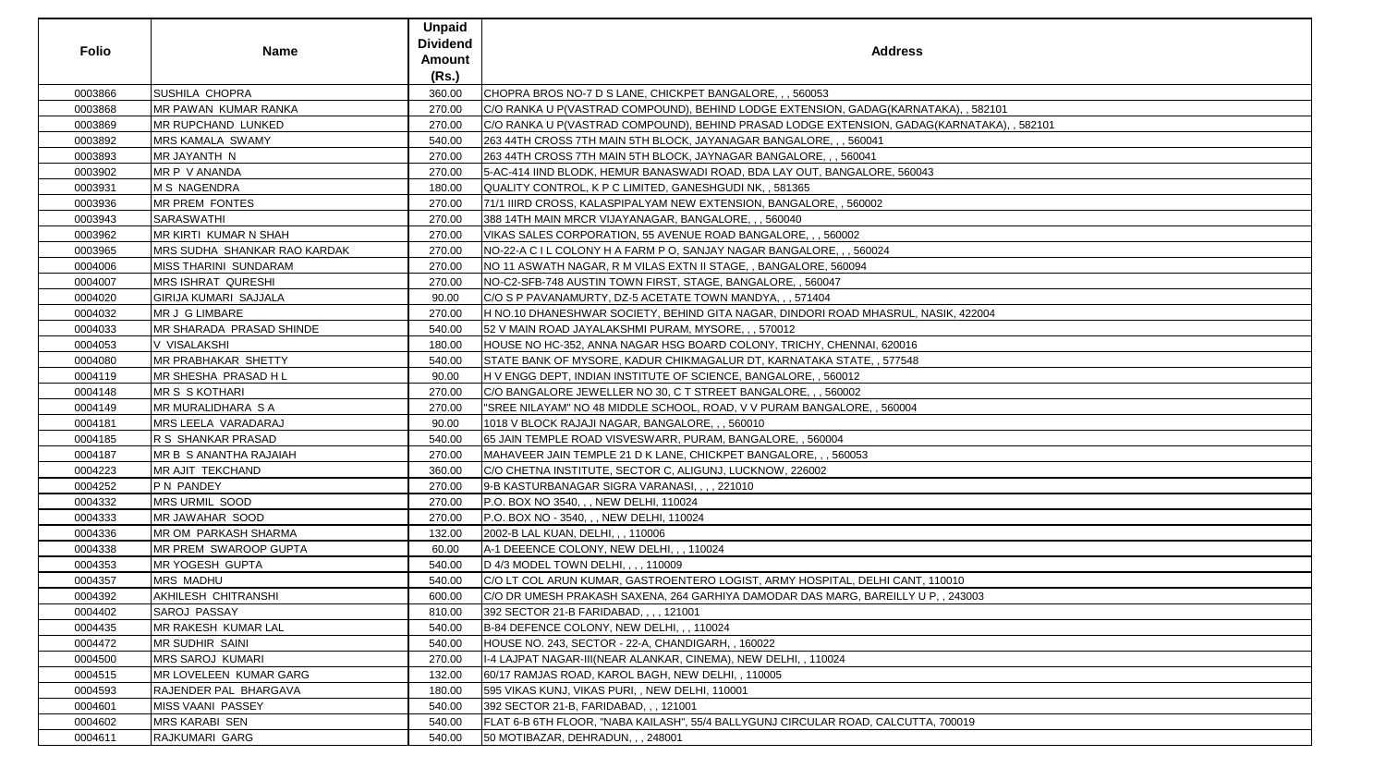| <b>Folio</b> | <b>Name</b>                  | <b>Unpaid</b><br><b>Dividend</b><br><b>Amount</b><br>(Rs.) | <b>Address</b>                                                                             |
|--------------|------------------------------|------------------------------------------------------------|--------------------------------------------------------------------------------------------|
| 0003866      | <b>SUSHILA CHOPRA</b>        | 360.00                                                     | CHOPRA BROS NO-7 D S LANE, CHICKPET BANGALORE, , , 560053                                  |
| 0003868      | MR PAWAN KUMAR RANKA         | 270.00                                                     | C/O RANKA U P(VASTRAD COMPOUND), BEHIND LODGE EXTENSION, GADAG(KARNATAKA), , 582101        |
| 0003869      | <b>IMR RUPCHAND LUNKED</b>   | 270.00                                                     | C/O RANKA U P(VASTRAD COMPOUND), BEHIND PRASAD LODGE EXTENSION, GADAG(KARNATAKA), , 582101 |
| 0003892      | <b>MRS KAMALA SWAMY</b>      | 540.00                                                     | 263 44TH CROSS 7TH MAIN 5TH BLOCK, JAYANAGAR BANGALORE, , , 560041                         |
| 0003893      | MR JAYANTH N                 | 270.00                                                     | 263 44TH CROSS 7TH MAIN 5TH BLOCK, JAYNAGAR BANGALORE, , , 560041                          |
| 0003902      | MR P V ANANDA                | 270.00                                                     | 5-AC-414 IIND BLODK, HEMUR BANASWADI ROAD, BDA LAY OUT, BANGALORE, 560043                  |
| 0003931      | M S NAGENDRA                 | 180.00                                                     | QUALITY CONTROL, K P C LIMITED, GANESHGUDI NK, , 581365                                    |
| 0003936      | <b>MR PREM FONTES</b>        | 270.00                                                     | 71/1 IIIRD CROSS, KALASPIPALYAM NEW EXTENSION, BANGALORE, , 560002                         |
| 0003943      | <b>SARASWATHI</b>            | 270.00                                                     | 388 14TH MAIN MRCR VIJAYANAGAR, BANGALORE, , , 560040                                      |
| 0003962      | <b>MR KIRTI KUMAR N SHAH</b> | 270.00                                                     | VIKAS SALES CORPORATION, 55 AVENUE ROAD BANGALORE, , , 560002                              |
| 0003965      | MRS SUDHA SHANKAR RAO KARDAK | 270.00                                                     | NO-22-A C I L COLONY H A FARM P O, SANJAY NAGAR BANGALORE, , , 560024                      |
| 0004006      | <b>MISS THARINI SUNDARAM</b> | 270.00                                                     | NO 11 ASWATH NAGAR, R M VILAS EXTN II STAGE, , BANGALORE, 560094                           |
| 0004007      | <b>MRS ISHRAT QURESHI</b>    | 270.00                                                     | NO-C2-SFB-748 AUSTIN TOWN FIRST, STAGE, BANGALORE, , 560047                                |
| 0004020      | <b>GIRIJA KUMARI SAJJALA</b> | 90.00                                                      | C/O S P PAVANAMURTY, DZ-5 ACETATE TOWN MANDYA, , , 571404                                  |
| 0004032      | MR J G LIMBARE               | 270.00                                                     | H NO.10 DHANESHWAR SOCIETY, BEHIND GITA NAGAR, DINDORI ROAD MHASRUL, NASIK, 422004         |
| 0004033      | MR SHARADA PRASAD SHINDE     | 540.00                                                     | 52 V MAIN ROAD JAYALAKSHMI PURAM, MYSORE, , , 570012                                       |
| 0004053      | V VISALAKSHI                 | 180.00                                                     | HOUSE NO HC-352, ANNA NAGAR HSG BOARD COLONY, TRICHY, CHENNAI, 620016                      |
| 0004080      | <b>MR PRABHAKAR SHETTY</b>   | 540.00                                                     | STATE BANK OF MYSORE, KADUR CHIKMAGALUR DT, KARNATAKA STATE, , 577548                      |
| 0004119      | MR SHESHA PRASAD H L         | 90.00                                                      | H V ENGG DEPT, INDIAN INSTITUTE OF SCIENCE, BANGALORE, , 560012                            |
| 0004148      | <b>MR S S KOTHARI</b>        | 270.00                                                     | C/O BANGALORE JEWELLER NO 30, C T STREET BANGALORE, , , 560002                             |
| 0004149      | <b>MR MURALIDHARA S A</b>    | 270.00                                                     | "SREE NILAYAM" NO 48 MIDDLE SCHOOL, ROAD, V V PURAM BANGALORE, , 560004                    |
| 0004181      | <b>MRS LEELA VARADARAJ</b>   | 90.00                                                      | 1018 V BLOCK RAJAJI NAGAR, BANGALORE, , , 560010                                           |
| 0004185      | R S SHANKAR PRASAD           | 540.00                                                     | 65 JAIN TEMPLE ROAD VISVESWARR, PURAM, BANGALORE, , 560004                                 |
| 0004187      | MR B S ANANTHA RAJAIAH       | 270.00                                                     | MAHAVEER JAIN TEMPLE 21 D K LANE, CHICKPET BANGALORE, , , 560053                           |
| 0004223      | <b>MR AJIT TEKCHAND</b>      | 360.00                                                     | C/O CHETNA INSTITUTE, SECTOR C, ALIGUNJ, LUCKNOW, 226002                                   |
| 0004252      | P N PANDEY                   | 270.00                                                     | 9-B KASTURBANAGAR SIGRA VARANASI, , , , 221010                                             |
| 0004332      | MRS URMIL SOOD               | 270.00                                                     | P.O. BOX NO 3540, , , NEW DELHI, 110024                                                    |
| 0004333      | <b>MR JAWAHAR SOOD</b>       | 270.00                                                     | P.O. BOX NO - 3540, , , NEW DELHI, 110024                                                  |
| 0004336      | <b>MR OM PARKASH SHARMA</b>  | 132.00                                                     | 2002-B LAL KUAN, DELHI, , , 110006                                                         |
| 0004338      | <b>MR PREM SWAROOP GUPTA</b> | 60.00                                                      | A-1 DEEENCE COLONY, NEW DELHI, , , 110024                                                  |
| 0004353      | <b>MR YOGESH GUPTA</b>       | 540.00                                                     | D 4/3 MODEL TOWN DELHI, , , , 110009                                                       |
| 0004357      | <b>MRS MADHU</b>             | 540.00                                                     | C/O LT COL ARUN KUMAR, GASTROENTERO LOGIST, ARMY HOSPITAL, DELHI CANT, 110010              |
| 0004392      | <b>AKHILESH CHITRANSHI</b>   | 600.00                                                     | C/O DR UMESH PRAKASH SAXENA, 264 GARHIYA DAMODAR DAS MARG, BAREILLY U P, , 243003          |
| 0004402      | <b>SAROJ PASSAY</b>          | 810.00                                                     | 392 SECTOR 21-B FARIDABAD, , , , 121001                                                    |
| 0004435      | MR RAKESH KUMAR LAL          | 540.00                                                     | B-84 DEFENCE COLONY, NEW DELHI, , , 110024                                                 |
| 0004472      | <b>MR SUDHIR SAINI</b>       | 540.00                                                     | HOUSE NO. 243, SECTOR - 22-A, CHANDIGARH, , 160022                                         |
| 0004500      | <b>MRS SAROJ KUMARI</b>      | 270.00                                                     | II-4 LAJPAT NAGAR-III(NEAR ALANKAR, CINEMA), NEW DELHI, , 110024                           |
| 0004515      | MR LOVELEEN KUMAR GARG       | 132.00                                                     | 60/17 RAMJAS ROAD, KAROL BAGH, NEW DELHI, , 110005                                         |
| 0004593      | RAJENDER PAL BHARGAVA        | 180.00                                                     | 595 VIKAS KUNJ, VIKAS PURI, , NEW DELHI, 110001                                            |
| 0004601      | MISS VAANI PASSEY            | 540.00                                                     | 392 SECTOR 21-B, FARIDABAD, , , 121001                                                     |
| 0004602      | <b>MRS KARABI SEN</b>        | 540.00                                                     | FLAT 6-B 6TH FLOOR, "NABA KAILASH", 55/4 BALLYGUNJ CIRCULAR ROAD, CALCUTTA, 700019         |
| 0004611      | RAJKUMARI GARG               | 540.00                                                     | 50 MOTIBAZAR, DEHRADUN, , , 248001                                                         |

| AKA), , 582101        |
|-----------------------|
| (KARNATAKA), , 582101 |
|                       |
|                       |
|                       |
|                       |
|                       |
|                       |
|                       |
|                       |
|                       |
|                       |
|                       |
|                       |
|                       |
|                       |
| SIK, 422004           |
|                       |
|                       |
|                       |
|                       |
|                       |
|                       |
|                       |
|                       |
|                       |
|                       |
|                       |
|                       |
|                       |
|                       |
|                       |
|                       |
|                       |
|                       |
|                       |
|                       |
| 10010                 |
| , 243003              |
|                       |
|                       |
|                       |
|                       |
|                       |
|                       |
|                       |
|                       |
|                       |
| 700019                |
|                       |
|                       |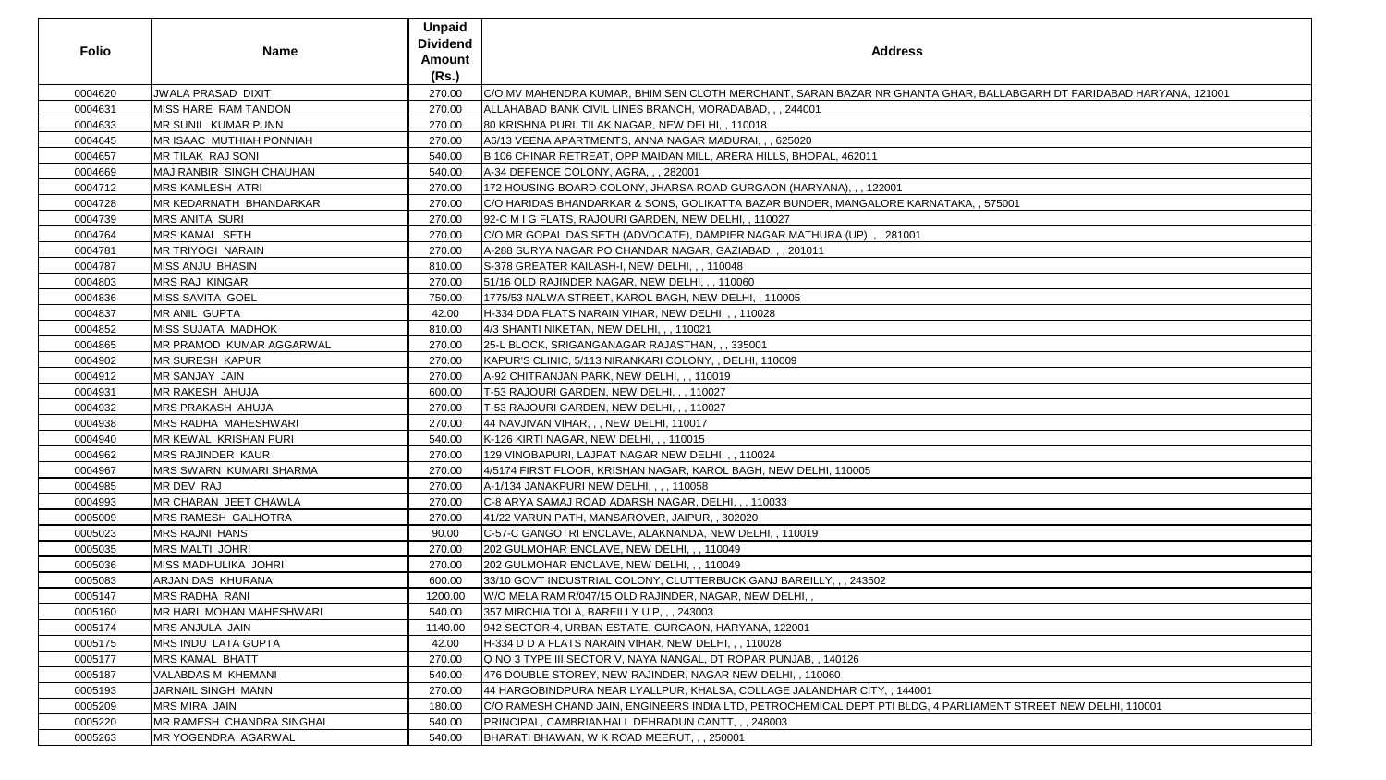| <b>Folio</b> | <b>Name</b>                       | <b>Unpaid</b><br><b>Dividend</b><br><b>Amount</b><br>(Rs.) | <b>Address</b>                                                                                                      |
|--------------|-----------------------------------|------------------------------------------------------------|---------------------------------------------------------------------------------------------------------------------|
| 0004620      | <b>JWALA PRASAD DIXIT</b>         | 270.00                                                     | C/O MV MAHENDRA KUMAR, BHIM SEN CLOTH MERCHANT, SARAN BAZAR NR GHANTA GHAR, BALLABGARH DT FARIDABAD HARYANA, 121001 |
| 0004631      | MISS HARE RAM TANDON              | 270.00                                                     | ALLAHABAD BANK CIVIL LINES BRANCH, MORADABAD, , , 244001                                                            |
| 0004633      | <b>MR SUNIL KUMAR PUNN</b>        | 270.00                                                     | 80 KRISHNA PURI, TILAK NAGAR, NEW DELHI, , 110018                                                                   |
| 0004645      | <b>IMR ISAAC MUTHIAH PONNIAH</b>  | 270.00                                                     | A6/13 VEENA APARTMENTS, ANNA NAGAR MADURAI, , , 625020                                                              |
| 0004657      | MR TILAK RAJ SONI                 | 540.00                                                     | B 106 CHINAR RETREAT, OPP MAIDAN MILL, ARERA HILLS, BHOPAL, 462011                                                  |
| 0004669      | MAJ RANBIR SINGH CHAUHAN          | 540.00                                                     | A-34 DEFENCE COLONY, AGRA, , , 282001                                                                               |
| 0004712      | <b>MRS KAMLESH ATRI</b>           | 270.00                                                     | 172 HOUSING BOARD COLONY, JHARSA ROAD GURGAON (HARYANA), , , 122001                                                 |
| 0004728      | MR KEDARNATH BHANDARKAR           | 270.00                                                     | C/O HARIDAS BHANDARKAR & SONS, GOLIKATTA BAZAR BUNDER, MANGALORE KARNATAKA, , 575001                                |
| 0004739      | <b>MRS ANITA SURI</b>             | 270.00                                                     | 92-C M I G FLATS, RAJOURI GARDEN, NEW DELHI, , 110027                                                               |
| 0004764      | <b>MRS KAMAL SETH</b>             | 270.00                                                     | C/O MR GOPAL DAS SETH (ADVOCATE), DAMPIER NAGAR MATHURA (UP), , , 281001                                            |
| 0004781      | <b>MR TRIYOGI NARAIN</b>          | 270.00                                                     | A-288 SURYA NAGAR PO CHANDAR NAGAR, GAZIABAD, , , 201011                                                            |
| 0004787      | <b>MISS ANJU BHASIN</b>           | 810.00                                                     | S-378 GREATER KAILASH-I, NEW DELHI, , , 110048                                                                      |
| 0004803      | <b>MRS RAJ KINGAR</b>             | 270.00                                                     | 51/16 OLD RAJINDER NAGAR, NEW DELHI, ,, 110060                                                                      |
| 0004836      | <b>MISS SAVITA GOEL</b>           | 750.00                                                     | 1775/53 NALWA STREET, KAROL BAGH, NEW DELHI, , 110005                                                               |
| 0004837      | MR ANIL GUPTA                     | 42.00                                                      | H-334 DDA FLATS NARAIN VIHAR, NEW DELHI, , , 110028                                                                 |
| 0004852      | <b>MISS SUJATA MADHOK</b>         | 810.00                                                     | 4/3 SHANTI NIKETAN, NEW DELHI, , , 110021                                                                           |
| 0004865      | <b>MR PRAMOD KUMAR AGGARWAL</b>   | 270.00                                                     | 25-L BLOCK, SRIGANGANAGAR RAJASTHAN, , , 335001                                                                     |
| 0004902      | <b>MR SURESH KAPUR</b>            | 270.00                                                     | KAPUR'S CLINIC, 5/113 NIRANKARI COLONY, , DELHI, 110009                                                             |
| 0004912      | <b>MR SANJAY JAIN</b>             | 270.00                                                     | A-92 CHITRANJAN PARK, NEW DELHI, , , 110019                                                                         |
| 0004931      | MR RAKESH AHUJA                   | 600.00                                                     | T-53 RAJOURI GARDEN, NEW DELHI, , , 110027                                                                          |
| 0004932      | <b>IMRS PRAKASH AHUJA</b>         | 270.00                                                     | T-53 RAJOURI GARDEN, NEW DELHI, , , 110027                                                                          |
| 0004938      | MRS RADHA MAHESHWARI              | 270.00                                                     | 44 NAVJIVAN VIHAR, , , NEW DELHI, 110017                                                                            |
| 0004940      | <b>IMR KEWAL KRISHAN PURI</b>     | 540.00                                                     | K-126 KIRTI NAGAR, NEW DELHI, , , 110015                                                                            |
| 0004962      | MRS RAJINDER KAUR                 | 270.00                                                     | 129 VINOBAPURI, LAJPAT NAGAR NEW DELHI, , , 110024                                                                  |
| 0004967      | <b>MRS SWARN KUMARI SHARMA</b>    | 270.00                                                     | 4/5174 FIRST FLOOR, KRISHAN NAGAR, KAROL BAGH, NEW DELHI, 110005                                                    |
| 0004985      | MR DEV RAJ                        | 270.00                                                     | A-1/134 JANAKPURI NEW DELHI, , , , 110058                                                                           |
| 0004993      | MR CHARAN JEET CHAWLA             | 270.00                                                     | C-8 ARYA SAMAJ ROAD ADARSH NAGAR, DELHI, , , 110033                                                                 |
| 0005009      | <b>IMRS RAMESH GALHOTRA</b>       | 270.00                                                     | 41/22 VARUN PATH, MANSAROVER, JAIPUR, , 302020                                                                      |
| 0005023      | <b>MRS RAJNI HANS</b>             | 90.00                                                      | C-57-C GANGOTRI ENCLAVE, ALAKNANDA, NEW DELHI, , 110019                                                             |
| 0005035      | MRS MALTI JOHRI                   | 270.00                                                     | 202 GULMOHAR ENCLAVE, NEW DELHI, , , 110049                                                                         |
| 0005036      | <b>MISS MADHULIKA JOHRI</b>       | 270.00                                                     | 202 GULMOHAR ENCLAVE, NEW DELHI, ,, 110049                                                                          |
| 0005083      | <b>ARJAN DAS KHURANA</b>          | 600.00                                                     | 33/10 GOVT INDUSTRIAL COLONY, CLUTTERBUCK GANJ BAREILLY, , , 243502                                                 |
| 0005147      | <b>MRS RADHA RANI</b>             | 1200.00                                                    | W/O MELA RAM R/047/15 OLD RAJINDER, NAGAR, NEW DELHI, ,                                                             |
| 0005160      | MR HARI MOHAN MAHESHWARI          | 540.00                                                     | 357 MIRCHIA TOLA, BAREILLY U P., 243003                                                                             |
| 0005174      | <b>MRS ANJULA JAIN</b>            | 1140.00                                                    | 942 SECTOR-4, URBAN ESTATE, GURGAON, HARYANA, 122001                                                                |
| 0005175      | <b>MRS INDU LATA GUPTA</b>        | 42.00                                                      | H-334 D D A FLATS NARAIN VIHAR, NEW DELHI, , , 110028                                                               |
| 0005177      | <b>MRS KAMAL BHATT</b>            | 270.00                                                     | Q NO 3 TYPE III SECTOR V, NAYA NANGAL, DT ROPAR PUNJAB, , 140126                                                    |
| 0005187      | <b>VALABDAS M KHEMANI</b>         | 540.00                                                     | 476 DOUBLE STOREY, NEW RAJINDER, NAGAR NEW DELHI, , 110060                                                          |
| 0005193      | JARNAIL SINGH MANN                | 270.00                                                     | 44 HARGOBINDPURA NEAR LYALLPUR, KHALSA, COLLAGE JALANDHAR CITY, , 144001                                            |
| 0005209      | <b>MRS MIRA JAIN</b>              | 180.00                                                     | C/O RAMESH CHAND JAIN, ENGINEERS INDIA LTD, PETROCHEMICAL DEPT PTI BLDG, 4 PARLIAMENT STREET NEW DELHI, 110001      |
| 0005220      | <b>IMR RAMESH CHANDRA SINGHAL</b> | 540.00                                                     | PRINCIPAL, CAMBRIANHALL DEHRADUN CANTT, , , 248003                                                                  |
| 0005263      | <b>IMR YOGENDRA AGARWAL</b>       | 540.00                                                     | BHARATI BHAWAN, W K ROAD MEERUT, , , 250001                                                                         |

| , BALLABGARH DT FARIDABAD HARYANA, 121001 |  |
|-------------------------------------------|--|
|                                           |  |
|                                           |  |
|                                           |  |
|                                           |  |
|                                           |  |
| , 575001                                  |  |
|                                           |  |
|                                           |  |
|                                           |  |
|                                           |  |
|                                           |  |
|                                           |  |
|                                           |  |
|                                           |  |
|                                           |  |
|                                           |  |
|                                           |  |
|                                           |  |
|                                           |  |
|                                           |  |
|                                           |  |
|                                           |  |
|                                           |  |
|                                           |  |
|                                           |  |
|                                           |  |
|                                           |  |
|                                           |  |
|                                           |  |
|                                           |  |
|                                           |  |
|                                           |  |
|                                           |  |
|                                           |  |
| AMENT STREET NEW DELHI, 110001            |  |
|                                           |  |
|                                           |  |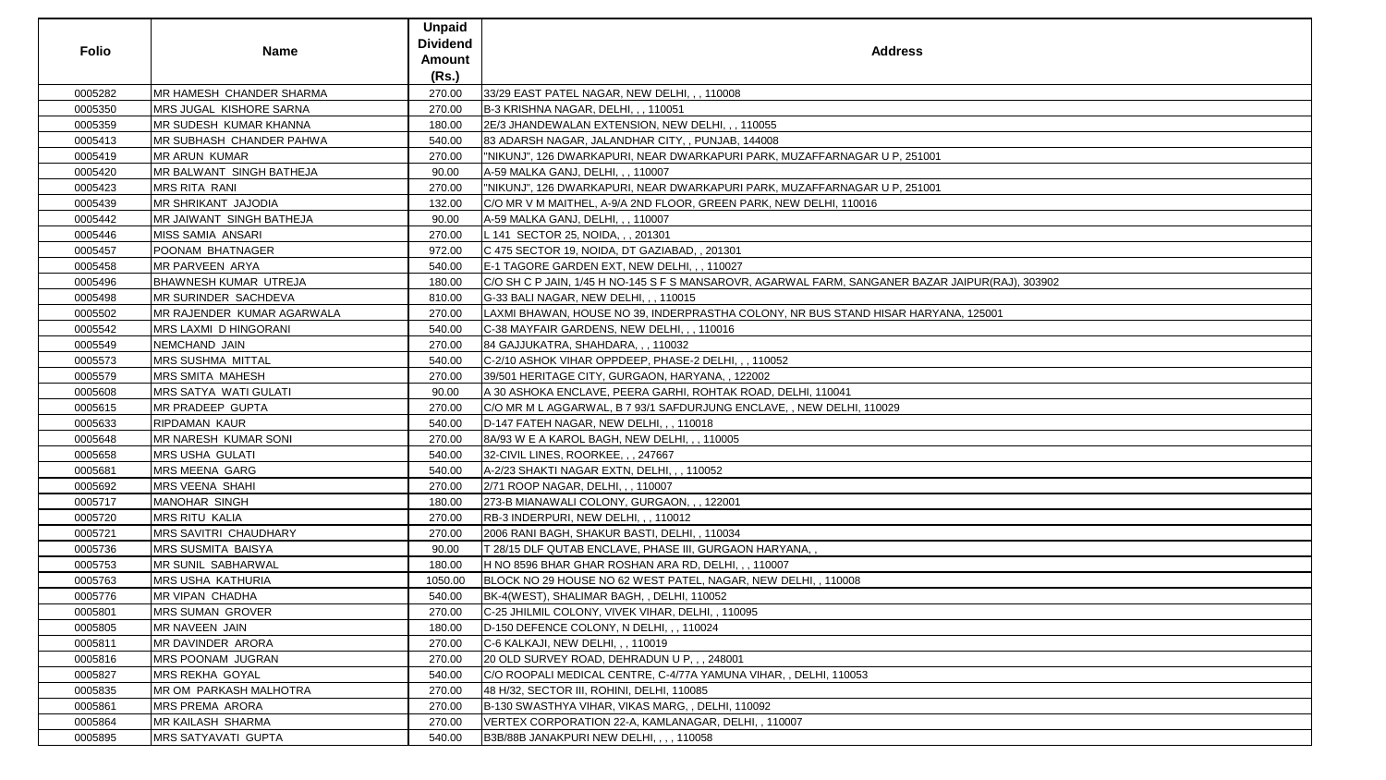| <b>Folio</b> | <b>Name</b>                    | <b>Unpaid</b><br><b>Dividend</b><br><b>Amount</b><br>(Rs.) | <b>Address</b>                                                                                   |
|--------------|--------------------------------|------------------------------------------------------------|--------------------------------------------------------------------------------------------------|
| 0005282      | MR HAMESH CHANDER SHARMA       | 270.00                                                     | 33/29 EAST PATEL NAGAR, NEW DELHI, , , 110008                                                    |
| 0005350      | <b>MRS JUGAL KISHORE SARNA</b> | 270.00                                                     | B-3 KRISHNA NAGAR, DELHI, , , 110051                                                             |
| 0005359      | <b>IMR SUDESH KUMAR KHANNA</b> | 180.00                                                     | 2E/3 JHANDEWALAN EXTENSION, NEW DELHI, , , 110055                                                |
| 0005413      | MR SUBHASH CHANDER PAHWA       | 540.00                                                     | 83 ADARSH NAGAR, JALANDHAR CITY, , PUNJAB, 144008                                                |
| 0005419      | MR ARUN KUMAR                  | 270.00                                                     | "NIKUNJ", 126 DWARKAPURI, NEAR DWARKAPURI PARK, MUZAFFARNAGAR U P, 251001                        |
| 0005420      | MR BALWANT SINGH BATHEJA       | 90.00                                                      | A-59 MALKA GANJ, DELHI, , , 110007                                                               |
| 0005423      | <b>MRS RITA RANI</b>           | 270.00                                                     | "NIKUNJ", 126 DWARKAPURI, NEAR DWARKAPURI PARK, MUZAFFARNAGAR U P, 251001                        |
| 0005439      | <b>MR SHRIKANT JAJODIA</b>     | 132.00                                                     | C/O MR V M MAITHEL, A-9/A 2ND FLOOR, GREEN PARK, NEW DELHI, 110016                               |
| 0005442      | MR JAIWANT SINGH BATHEJA       | 90.00                                                      | A-59 MALKA GANJ, DELHI, , , 110007                                                               |
| 0005446      | MISS SAMIA ANSARI              | 270.00                                                     | L 141 SECTOR 25, NOIDA, , , 201301                                                               |
| 0005457      | POONAM BHATNAGER               | 972.00                                                     | C 475 SECTOR 19, NOIDA, DT GAZIABAD, , 201301                                                    |
| 0005458      | MR PARVEEN ARYA                | 540.00                                                     | E-1 TAGORE GARDEN EXT, NEW DELHI, , , 110027                                                     |
| 0005496      | <b>BHAWNESH KUMAR UTREJA</b>   | 180.00                                                     | C/O SH C P JAIN, 1/45 H NO-145 S F S MANSAROVR, AGARWAL FARM, SANGANER BAZAR JAIPUR(RAJ), 303902 |
| 0005498      | <b>MR SURINDER SACHDEVA</b>    | 810.00                                                     | G-33 BALI NAGAR, NEW DELHI, , , 110015                                                           |
| 0005502      | MR RAJENDER KUMAR AGARWALA     | 270.00                                                     | LAXMI BHAWAN, HOUSE NO 39, INDERPRASTHA COLONY, NR BUS STAND HISAR HARYANA, 125001               |
| 0005542      | <b>MRS LAXMI D HINGORANI</b>   | 540.00                                                     | C-38 MAYFAIR GARDENS, NEW DELHI, , , 110016                                                      |
| 0005549      | NEMCHAND JAIN                  | 270.00                                                     | 84 GAJJUKATRA, SHAHDARA, , , 110032                                                              |
| 0005573      | <b>IMRS SUSHMA MITTAL</b>      | 540.00                                                     | C-2/10 ASHOK VIHAR OPPDEEP, PHASE-2 DELHI,,, 110052                                              |
| 0005579      | <b>MRS SMITA MAHESH</b>        | 270.00                                                     | 39/501 HERITAGE CITY, GURGAON, HARYANA,, 122002                                                  |
| 0005608      | <b>MRS SATYA WATI GULATI</b>   | 90.00                                                      | A 30 ASHOKA ENCLAVE, PEERA GARHI, ROHTAK ROAD, DELHI, 110041                                     |
| 0005615      | <b>MR PRADEEP GUPTA</b>        | 270.00                                                     | C/O MR M L AGGARWAL, B 7 93/1 SAFDURJUNG ENCLAVE, , NEW DELHI, 110029                            |
| 0005633      | <b>RIPDAMAN KAUR</b>           | 540.00                                                     | D-147 FATEH NAGAR, NEW DELHI, , , 110018                                                         |
| 0005648      | <b>IMR NARESH KUMAR SONI</b>   | 270.00                                                     | 8A/93 W E A KAROL BAGH, NEW DELHI, , , 110005                                                    |
| 0005658      | <b>MRS USHA GULATI</b>         | 540.00                                                     | 32-CIVIL LINES, ROORKEE, , , 247667                                                              |
| 0005681      | MRS MEENA GARG                 | 540.00                                                     | A-2/23 SHAKTI NAGAR EXTN, DELHI, , , 110052                                                      |
| 0005692      | <b>MRS VEENA SHAHI</b>         | 270.00                                                     | 2/71 ROOP NAGAR, DELHI, , , 110007                                                               |
| 0005717      | <b>MANOHAR SINGH</b>           | 180.00                                                     | 273-B MIANAWALI COLONY, GURGAON, , , 122001                                                      |
| 0005720      | <b>MRS RITU KALIA</b>          | 270.00                                                     | RB-3 INDERPURI, NEW DELHI, , , 110012                                                            |
| 0005721      | <b>MRS SAVITRI CHAUDHARY</b>   | 270.00                                                     | 2006 RANI BAGH, SHAKUR BASTI, DELHI, , 110034                                                    |
| 0005736      | <b>MRS SUSMITA BAISYA</b>      | 90.00                                                      | T 28/15 DLF QUTAB ENCLAVE, PHASE III, GURGAON HARYANA,,                                          |
| 0005753      | <b>MR SUNIL SABHARWAL</b>      | 180.00                                                     | H NO 8596 BHAR GHAR ROSHAN ARA RD, DELHI, , , 110007                                             |
| 0005763      | <b>MRS USHA KATHURIA</b>       | 1050.00                                                    | BLOCK NO 29 HOUSE NO 62 WEST PATEL, NAGAR, NEW DELHI, , 110008                                   |
| 0005776      | <b>MR VIPAN CHADHA</b>         | 540.00                                                     | BK-4(WEST), SHALIMAR BAGH, , DELHI, 110052                                                       |
| 0005801      | <b>MRS SUMAN GROVER</b>        | 270.00                                                     | C-25 JHILMIL COLONY, VIVEK VIHAR, DELHI, , 110095                                                |
| 0005805      | MR NAVEEN JAIN                 | 180.00                                                     | D-150 DEFENCE COLONY, N DELHI, , , 110024                                                        |
| 0005811      | MR DAVINDER ARORA              | 270.00                                                     | C-6 KALKAJI, NEW DELHI, , , 110019                                                               |
| 0005816      | <b>MRS POONAM JUGRAN</b>       | 270.00                                                     | 20 OLD SURVEY ROAD, DEHRADUN U P, , , 248001                                                     |
| 0005827      | <b>MRS REKHA GOYAL</b>         | 540.00                                                     | C/O ROOPALI MEDICAL CENTRE, C-4/77A YAMUNA VIHAR, , DELHI, 110053                                |
| 0005835      | <b>IMR OM PARKASH MALHOTRA</b> | 270.00                                                     | 48 H/32, SECTOR III, ROHINI, DELHI, 110085                                                       |
| 0005861      | <b>MRS PREMA ARORA</b>         | 270.00                                                     | B-130 SWASTHYA VIHAR, VIKAS MARG, , DELHI, 110092                                                |
| 0005864      | <b>MR KAILASH SHARMA</b>       | 270.00                                                     | VERTEX CORPORATION 22-A, KAMLANAGAR, DELHI, , 110007                                             |
| 0005895      | <b>MRS SATYAVATI GUPTA</b>     | 540.00                                                     | B3B/88B JANAKPURI NEW DELHI, , , , 110058                                                        |

| $\frac{1}{2}$          |  |
|------------------------|--|
|                        |  |
|                        |  |
| $\frac{1}{2}$          |  |
|                        |  |
|                        |  |
|                        |  |
|                        |  |
|                        |  |
|                        |  |
|                        |  |
| AR JAIPUR(RAJ), 303902 |  |
|                        |  |
|                        |  |
| YANA, 125001           |  |
|                        |  |
|                        |  |
|                        |  |
|                        |  |
|                        |  |
|                        |  |
|                        |  |
|                        |  |
|                        |  |
|                        |  |
|                        |  |
|                        |  |
|                        |  |
|                        |  |
|                        |  |
|                        |  |
|                        |  |
|                        |  |
|                        |  |
|                        |  |
|                        |  |
|                        |  |
|                        |  |
|                        |  |
|                        |  |
|                        |  |
|                        |  |
|                        |  |
|                        |  |
|                        |  |
|                        |  |
|                        |  |
|                        |  |
|                        |  |
|                        |  |
|                        |  |
|                        |  |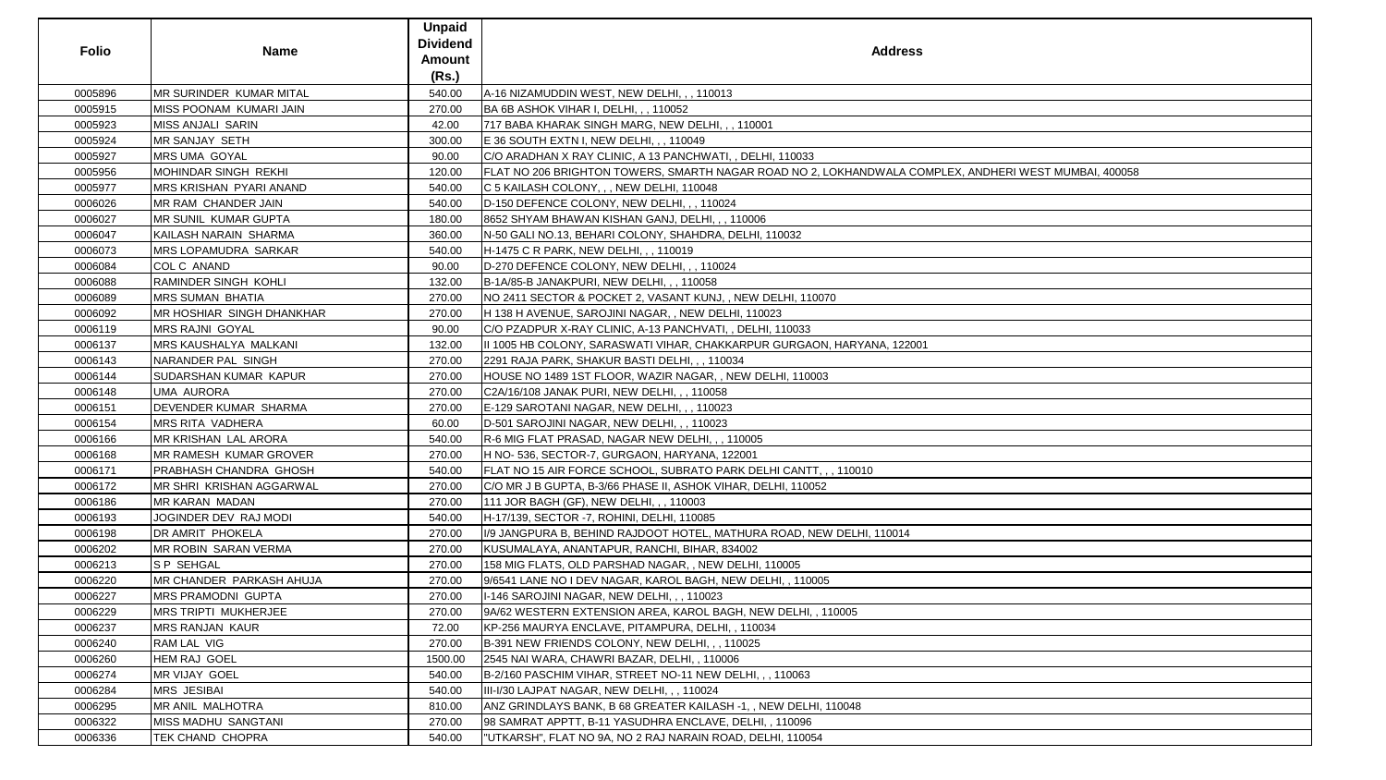| <b>Folio</b> | <b>Name</b>                   | <b>Unpaid</b><br><b>Dividend</b><br><b>Amount</b><br>(Rs.) | <b>Address</b>                                                                                        |
|--------------|-------------------------------|------------------------------------------------------------|-------------------------------------------------------------------------------------------------------|
| 0005896      | MR SURINDER KUMAR MITAL       | 540.00                                                     | A-16 NIZAMUDDIN WEST, NEW DELHI, , , 110013                                                           |
| 0005915      | MISS POONAM KUMARI JAIN       | 270.00                                                     | BA 6B ASHOK VIHAR I, DELHI, , , 110052                                                                |
| 0005923      | MISS ANJALI SARIN             | 42.00                                                      | 717 BABA KHARAK SINGH MARG, NEW DELHI, , , 110001                                                     |
| 0005924      | MR SANJAY SETH                | 300.00                                                     | E 36 SOUTH EXTN I, NEW DELHI, , , 110049                                                              |
| 0005927      | MRS UMA GOYAL                 | 90.00                                                      | C/O ARADHAN X RAY CLINIC, A 13 PANCHWATI, , DELHI, 110033                                             |
| 0005956      | MOHINDAR SINGH REKHI          | 120.00                                                     | FLAT NO 206 BRIGHTON TOWERS, SMARTH NAGAR ROAD NO 2, LOKHANDWALA COMPLEX, ANDHERI WEST MUMBAI, 400058 |
| 0005977      | MRS KRISHAN PYARI ANAND       | 540.00                                                     | C 5 KAILASH COLONY, , , NEW DELHI, 110048                                                             |
| 0006026      | MR RAM CHANDER JAIN           | 540.00                                                     | D-150 DEFENCE COLONY, NEW DELHI, , , 110024                                                           |
| 0006027      | MR SUNIL KUMAR GUPTA          | 180.00                                                     | 8652 SHYAM BHAWAN KISHAN GANJ, DELHI, , , 110006                                                      |
| 0006047      | KAILASH NARAIN SHARMA         | 360.00                                                     | N-50 GALI NO.13, BEHARI COLONY, SHAHDRA, DELHI, 110032                                                |
| 0006073      | MRS LOPAMUDRA SARKAR          | 540.00                                                     | H-1475 C R PARK, NEW DELHI, , , 110019                                                                |
| 0006084      | COL C ANAND                   | 90.00                                                      | D-270 DEFENCE COLONY, NEW DELHI, , , 110024                                                           |
| 0006088      | <b>RAMINDER SINGH KOHLI</b>   | 132.00                                                     | B-1A/85-B JANAKPURI, NEW DELHI, , , 110058                                                            |
| 0006089      | <b>MRS SUMAN BHATIA</b>       | 270.00                                                     | NO 2411 SECTOR & POCKET 2, VASANT KUNJ,, NEW DELHI, 110070                                            |
| 0006092      | MR HOSHIAR SINGH DHANKHAR     | 270.00                                                     | H 138 H AVENUE, SAROJINI NAGAR, , NEW DELHI, 110023                                                   |
| 0006119      | <b>MRS RAJNI GOYAL</b>        | 90.00                                                      | C/O PZADPUR X-RAY CLINIC, A-13 PANCHVATI, , DELHI, 110033                                             |
| 0006137      | MRS KAUSHALYA MALKANI         | 132.00                                                     | II 1005 HB COLONY, SARASWATI VIHAR, CHAKKARPUR GURGAON, HARYANA, 122001                               |
| 0006143      | NARANDER PAL SINGH            | 270.00                                                     | 2291 RAJA PARK, SHAKUR BASTI DELHI, , , 110034                                                        |
| 0006144      | SUDARSHAN KUMAR KAPUR         | 270.00                                                     | HOUSE NO 1489 1ST FLOOR, WAZIR NAGAR,, NEW DELHI, 110003                                              |
| 0006148      | <b>UMA AURORA</b>             | 270.00                                                     | C2A/16/108 JANAK PURI, NEW DELHI, , , 110058                                                          |
| 0006151      | DEVENDER KUMAR SHARMA         | 270.00                                                     | E-129 SAROTANI NAGAR, NEW DELHI, , , 110023                                                           |
| 0006154      | MRS RITA VADHERA              | 60.00                                                      | D-501 SAROJINI NAGAR, NEW DELHI, , , 110023                                                           |
| 0006166      | MR KRISHAN LAL ARORA          | 540.00                                                     | R-6 MIG FLAT PRASAD, NAGAR NEW DELHI, , , 110005                                                      |
| 0006168      | MR RAMESH KUMAR GROVER        | 270.00                                                     | H NO- 536, SECTOR-7, GURGAON, HARYANA, 122001                                                         |
| 0006171      | <b>PRABHASH CHANDRA GHOSH</b> | 540.00                                                     | FLAT NO 15 AIR FORCE SCHOOL, SUBRATO PARK DELHI CANTT, , , 110010                                     |
| 0006172      | MR SHRI KRISHAN AGGARWAL      | 270.00                                                     | C/O MR J B GUPTA, B-3/66 PHASE II, ASHOK VIHAR, DELHI, 110052                                         |
| 0006186      | <b>MR KARAN MADAN</b>         | 270.00                                                     | 111 JOR BAGH (GF), NEW DELHI, , , 110003                                                              |
| 0006193      | JOGINDER DEV RAJ MODI         | 540.00                                                     | H-17/139, SECTOR -7, ROHINI, DELHI, 110085                                                            |
| 0006198      | DR AMRIT PHOKELA              | 270.00                                                     | I/9 JANGPURA B, BEHIND RAJDOOT HOTEL, MATHURA ROAD, NEW DELHI, 110014                                 |
| 0006202      | <b>MR ROBIN SARAN VERMA</b>   | 270.00                                                     | KUSUMALAYA, ANANTAPUR, RANCHI, BIHAR, 834002                                                          |
| 0006213      | <b>S P SEHGAL</b>             | 270.00                                                     | 158 MIG FLATS, OLD PARSHAD NAGAR, , NEW DELHI, 110005                                                 |
| 0006220      | MR CHANDER PARKASH AHUJA      | 270.00                                                     | 9/6541 LANE NO I DEV NAGAR, KAROL BAGH, NEW DELHI, , 110005                                           |
| 0006227      | MRS PRAMODNI GUPTA            | 270.00                                                     | I-146 SAROJINI NAGAR, NEW DELHI, , , 110023                                                           |
| 0006229      | MRS TRIPTI MUKHERJEE          | 270.00                                                     | 9A/62 WESTERN EXTENSION AREA, KAROL BAGH, NEW DELHI, , 110005                                         |
| 0006237      | <b>MRS RANJAN KAUR</b>        | 72.00                                                      | KP-256 MAURYA ENCLAVE, PITAMPURA, DELHI, , 110034                                                     |
| 0006240      | RAM LAL VIG                   | 270.00                                                     | B-391 NEW FRIENDS COLONY, NEW DELHI, , , 110025                                                       |
| 0006260      | HEM RAJ GOEL                  | 1500.00                                                    | 2545 NAI WARA, CHAWRI BAZAR, DELHI, , 110006                                                          |
| 0006274      | MR VIJAY GOEL                 | 540.00                                                     | B-2/160 PASCHIM VIHAR, STREET NO-11 NEW DELHI, , , 110063                                             |
| 0006284      | <b>MRS JESIBAI</b>            | 540.00                                                     | III-I/30 LAJPAT NAGAR, NEW DELHI, , , 110024                                                          |
| 0006295      | MR ANIL MALHOTRA              | 810.00                                                     | ANZ GRINDLAYS BANK, B 68 GREATER KAILASH -1, , NEW DELHI, 110048                                      |
| 0006322      | MISS MADHU SANGTANI           | 270.00                                                     | 98 SAMRAT APPTT, B-11 YASUDHRA ENCLAVE, DELHI, , 110096                                               |
| 0006336      | TEK CHAND CHOPRA              | 540.00                                                     | "UTKARSH", FLAT NO 9A, NO 2 RAJ NARAIN ROAD, DELHI, 110054                                            |

| ANDHERI WEST MUMBAI, 400058 |  |
|-----------------------------|--|
|                             |  |
|                             |  |
|                             |  |
|                             |  |
|                             |  |
|                             |  |
|                             |  |
|                             |  |
|                             |  |
|                             |  |
|                             |  |
|                             |  |
|                             |  |
|                             |  |
|                             |  |
|                             |  |
|                             |  |
|                             |  |
|                             |  |
|                             |  |
|                             |  |
|                             |  |
|                             |  |
|                             |  |
|                             |  |
|                             |  |
|                             |  |
|                             |  |
|                             |  |
|                             |  |
|                             |  |
|                             |  |
|                             |  |
|                             |  |
|                             |  |
|                             |  |
|                             |  |
|                             |  |
|                             |  |
|                             |  |
|                             |  |
|                             |  |
|                             |  |
|                             |  |
|                             |  |
|                             |  |
|                             |  |
|                             |  |
|                             |  |
|                             |  |
|                             |  |
|                             |  |
|                             |  |
|                             |  |
|                             |  |
|                             |  |
|                             |  |
|                             |  |
|                             |  |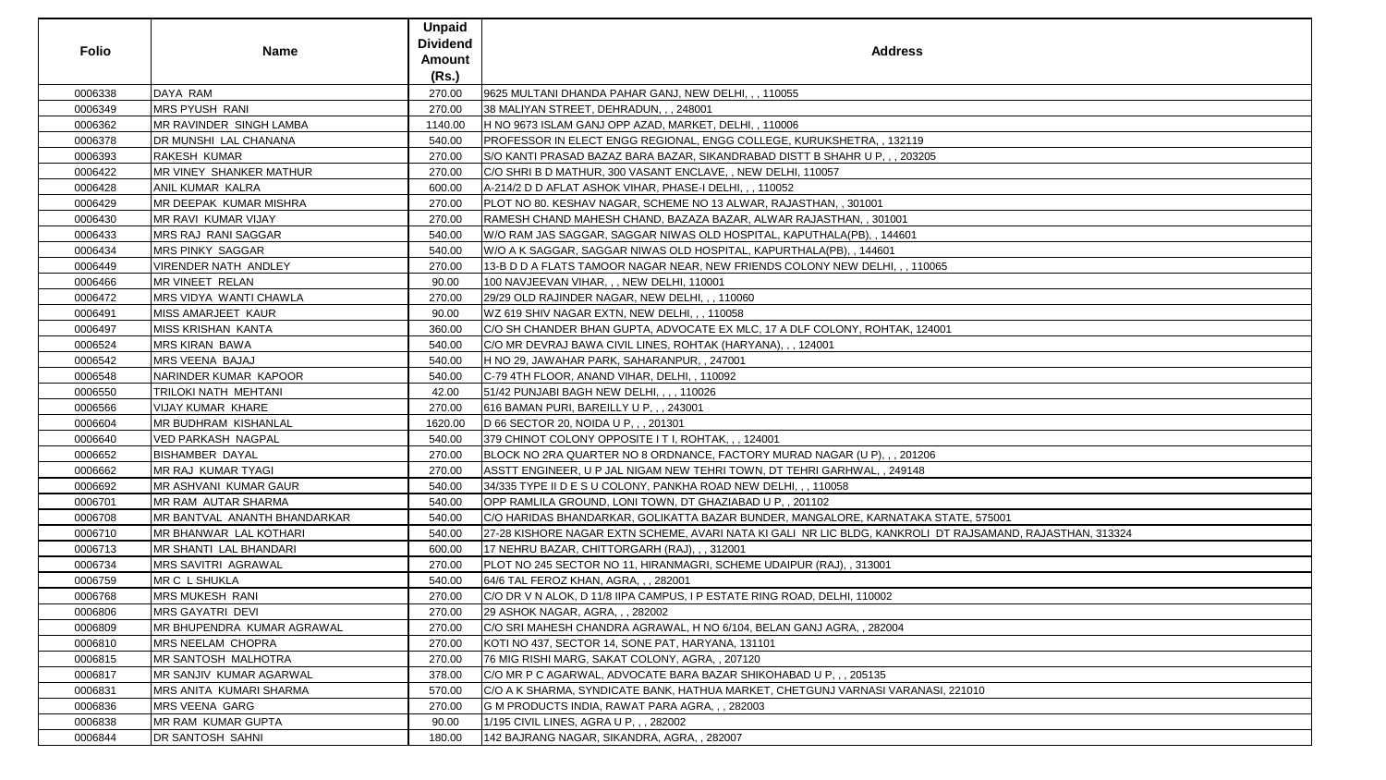| <b>DAYA RAM</b><br>0006338<br>270.00<br>9625 MULTANI DHANDA PAHAR GANJ, NEW DELHI, , , 110055<br>0006349<br><b>MRS PYUSH RANI</b><br>38 MALIYAN STREET, DEHRADUN, , , 248001<br>270.00<br>MR RAVINDER SINGH LAMBA<br>H NO 9673 ISLAM GANJ OPP AZAD, MARKET, DELHI, , 110006<br>0006362<br>1140.00<br>0006378<br>PROFESSOR IN ELECT ENGG REGIONAL, ENGG COLLEGE, KURUKSHETRA, , 132119<br>DR MUNSHI LAL CHANANA<br>540.00<br>RAKESH KUMAR<br>0006393<br>270.00<br>S/O KANTI PRASAD BAZAZ BARA BAZAR, SIKANDRABAD DISTT B SHAHR U P, , , 203205<br>MR VINEY SHANKER MATHUR<br>0006422<br>C/O SHRI B D MATHUR, 300 VASANT ENCLAVE,, NEW DELHI, 110057<br>270.00<br><b>ANIL KUMAR KALRA</b><br>0006428<br>600.00<br>A-214/2 D D AFLAT ASHOK VIHAR, PHASE-I DELHI, , , 110052<br>0006429<br><b>MR DEEPAK KUMAR MISHRA</b><br>PLOT NO 80. KESHAV NAGAR, SCHEME NO 13 ALWAR, RAJASTHAN, , 301001<br>270.00<br>0006430<br><b>MR RAVI KUMAR VIJAY</b><br>RAMESH CHAND MAHESH CHAND, BAZAZA BAZAR, ALWAR RAJASTHAN, , 301001<br>270.00<br>0006433<br>MRS RAJ RANI SAGGAR<br>540.00<br>W/O RAM JAS SAGGAR, SAGGAR NIWAS OLD HOSPITAL, KAPUTHALA(PB), , 144601<br><b>MRS PINKY SAGGAR</b><br>0006434<br>W/O A K SAGGAR, SAGGAR NIWAS OLD HOSPITAL, KAPURTHALA(PB), , 144601<br>540.00<br>0006449<br><b>VIRENDER NATH ANDLEY</b><br>13-B D D A FLATS TAMOOR NAGAR NEAR, NEW FRIENDS COLONY NEW DELHI, , , 110065<br>270.00<br><b>MR VINEET RELAN</b><br>0006466<br>90.00<br>100 NAVJEEVAN VIHAR, , , NEW DELHI, 110001<br>0006472<br><b>MRS VIDYA WANTI CHAWLA</b><br>29/29 OLD RAJINDER NAGAR, NEW DELHI, , , 110060<br>270.00<br>0006491<br>MISS AMARJEET KAUR<br>WZ 619 SHIV NAGAR EXTN, NEW DELHI, , , 110058<br>90.00<br>0006497<br><b>MISS KRISHAN KANTA</b><br>C/O SH CHANDER BHAN GUPTA, ADVOCATE EX MLC, 17 A DLF COLONY, ROHTAK, 124001<br>360.00<br><b>MRS KIRAN BAWA</b><br>0006524<br>540.00<br>C/O MR DEVRAJ BAWA CIVIL LINES, ROHTAK (HARYANA), , , 124001<br>MRS VEENA BAJAJ<br>0006542<br>540.00<br>H NO 29, JAWAHAR PARK, SAHARANPUR, , 247001<br>NARINDER KUMAR KAPOOR<br>0006548<br>540.00<br>C-79 4TH FLOOR, ANAND VIHAR, DELHI, , 110092<br>0006550<br>TRILOKI NATH MEHTANI<br>42.00<br>[51/42 PUNJABI BAGH NEW DELHI, , , , 110026<br>0006566<br>VIJAY KUMAR KHARE<br>616 BAMAN PURI, BAREILLY U P, , , 243001<br>270.00<br><b>MR BUDHRAM KISHANLAL</b><br>D 66 SECTOR 20, NOIDA U P, , , 201301<br>0006604<br>1620.00<br>0006640<br>VED PARKASH NAGPAL<br>540.00<br>379 CHINOT COLONY OPPOSITE IT I, ROHTAK, , , 124001<br><b>BISHAMBER DAYAL</b><br>0006652<br>BLOCK NO 2RA QUARTER NO 8 ORDNANCE, FACTORY MURAD NAGAR (U P), , , 201206<br>270.00<br>MR RAJ KUMAR TYAGI<br>ASSTT ENGINEER, U P JAL NIGAM NEW TEHRI TOWN, DT TEHRI GARHWAL, , 249148<br>0006662<br>270.00<br><b>MR ASHVANI KUMAR GAUR</b><br>0006692<br>34/335 TYPE II D E S U COLONY, PANKHA ROAD NEW DELHI, , , 110058<br>540.00<br>0006701<br>MR RAM AUTAR SHARMA<br>540.00<br>OPP RAMLILA GROUND, LONI TOWN, DT GHAZIABAD U P,, 201102<br>0006708<br><b>IMR BANTVAL ANANTH BHANDARKAR</b><br>C/O HARIDAS BHANDARKAR, GOLIKATTA BAZAR BUNDER, MANGALORE, KARNATAKA STATE, 575001<br>540.00<br>0006710<br>MR BHANWAR LAL KOTHARI<br>540.00<br>0006713<br>MR SHANTI LAL BHANDARI<br>600.00<br>17 NEHRU BAZAR, CHITTORGARH (RAJ), , , 312001<br><b>MRS SAVITRI AGRAWAL</b><br>0006734<br>270.00<br>PLOT NO 245 SECTOR NO 11, HIRANMAGRI, SCHEME UDAIPUR (RAJ), , 313001<br>MR C L SHUKLA<br>540.00<br>64/6 TAL FEROZ KHAN, AGRA, , , 282001<br>0006759<br>0006768<br><b>MRS MUKESH RANI</b><br>C/O DR V N ALOK, D 11/8 IIPA CAMPUS, I P ESTATE RING ROAD, DELHI, 110002<br>270.00<br>0006806<br><b>MRS GAYATRI DEVI</b><br>270.00<br>29 ASHOK NAGAR, AGRA, , , 282002<br>0006809<br><b>IMR BHUPENDRA KUMAR AGRAWAL</b><br>C/O SRI MAHESH CHANDRA AGRAWAL, H NO 6/104, BELAN GANJ AGRA, , 282004<br>270.00<br>0006810<br>MRS NEELAM CHOPRA<br>270.00<br>KOTI NO 437, SECTOR 14, SONE PAT, HARYANA, 131101<br>0006815<br><b>IMR SANTOSH MALHOTRA</b><br>76 MIG RISHI MARG, SAKAT COLONY, AGRA, , 207120<br>270.00<br>0006817<br><b>IMR SANJIV KUMAR AGARWAL</b><br>378.00<br>C/O MR P C AGARWAL, ADVOCATE BARA BAZAR SHIKOHABAD U P, , , 205135<br>0006831<br>570.00<br>IMRS ANITA KUMARI SHARMA<br>C/O A K SHARMA, SYNDICATE BANK, HATHUA MARKET, CHETGUNJ VARNASI VARANASI, 221010<br>0006836<br><b>MRS VEENA GARG</b><br>270.00<br>G M PRODUCTS INDIA, RAWAT PARA AGRA, , , 282003<br>0006838<br>MR RAM KUMAR GUPTA<br>90.00<br>1/195 CIVIL LINES, AGRA U P, , , 282002<br>DR SANTOSH SAHNI<br>0006844<br>180.00<br>142 BAJRANG NAGAR, SIKANDRA, AGRA, , 282007 | <b>Folio</b> | <b>Name</b> | <b>Unpaid</b><br><b>Dividend</b><br>Amount<br>(Rs.) | <b>Address</b>                                                                                            |
|----------------------------------------------------------------------------------------------------------------------------------------------------------------------------------------------------------------------------------------------------------------------------------------------------------------------------------------------------------------------------------------------------------------------------------------------------------------------------------------------------------------------------------------------------------------------------------------------------------------------------------------------------------------------------------------------------------------------------------------------------------------------------------------------------------------------------------------------------------------------------------------------------------------------------------------------------------------------------------------------------------------------------------------------------------------------------------------------------------------------------------------------------------------------------------------------------------------------------------------------------------------------------------------------------------------------------------------------------------------------------------------------------------------------------------------------------------------------------------------------------------------------------------------------------------------------------------------------------------------------------------------------------------------------------------------------------------------------------------------------------------------------------------------------------------------------------------------------------------------------------------------------------------------------------------------------------------------------------------------------------------------------------------------------------------------------------------------------------------------------------------------------------------------------------------------------------------------------------------------------------------------------------------------------------------------------------------------------------------------------------------------------------------------------------------------------------------------------------------------------------------------------------------------------------------------------------------------------------------------------------------------------------------------------------------------------------------------------------------------------------------------------------------------------------------------------------------------------------------------------------------------------------------------------------------------------------------------------------------------------------------------------------------------------------------------------------------------------------------------------------------------------------------------------------------------------------------------------------------------------------------------------------------------------------------------------------------------------------------------------------------------------------------------------------------------------------------------------------------------------------------------------------------------------------------------------------------------------------------------------------------------------------------------------------------------------------------------------------------------------------------------------------------------------------------------------------------------------------------------------------------------------------------------------------------------------------------------------------------------------------------------------------------------------------------------------------------------------------------------------------------------------------------------------------------------------------------------------------------------------------------------------------------------------------------------------------------------------------------------------------------------------------------------------------------------------------------------------------------------------------------------------------------------------------------------------------------------------------------------------------------------------|--------------|-------------|-----------------------------------------------------|-----------------------------------------------------------------------------------------------------------|
|                                                                                                                                                                                                                                                                                                                                                                                                                                                                                                                                                                                                                                                                                                                                                                                                                                                                                                                                                                                                                                                                                                                                                                                                                                                                                                                                                                                                                                                                                                                                                                                                                                                                                                                                                                                                                                                                                                                                                                                                                                                                                                                                                                                                                                                                                                                                                                                                                                                                                                                                                                                                                                                                                                                                                                                                                                                                                                                                                                                                                                                                                                                                                                                                                                                                                                                                                                                                                                                                                                                                                                                                                                                                                                                                                                                                                                                                                                                                                                                                                                                                                                                                                                                                                                                                                                                                                                                                                                                                                                                                                                                                                                              |              |             |                                                     |                                                                                                           |
|                                                                                                                                                                                                                                                                                                                                                                                                                                                                                                                                                                                                                                                                                                                                                                                                                                                                                                                                                                                                                                                                                                                                                                                                                                                                                                                                                                                                                                                                                                                                                                                                                                                                                                                                                                                                                                                                                                                                                                                                                                                                                                                                                                                                                                                                                                                                                                                                                                                                                                                                                                                                                                                                                                                                                                                                                                                                                                                                                                                                                                                                                                                                                                                                                                                                                                                                                                                                                                                                                                                                                                                                                                                                                                                                                                                                                                                                                                                                                                                                                                                                                                                                                                                                                                                                                                                                                                                                                                                                                                                                                                                                                                              |              |             |                                                     |                                                                                                           |
|                                                                                                                                                                                                                                                                                                                                                                                                                                                                                                                                                                                                                                                                                                                                                                                                                                                                                                                                                                                                                                                                                                                                                                                                                                                                                                                                                                                                                                                                                                                                                                                                                                                                                                                                                                                                                                                                                                                                                                                                                                                                                                                                                                                                                                                                                                                                                                                                                                                                                                                                                                                                                                                                                                                                                                                                                                                                                                                                                                                                                                                                                                                                                                                                                                                                                                                                                                                                                                                                                                                                                                                                                                                                                                                                                                                                                                                                                                                                                                                                                                                                                                                                                                                                                                                                                                                                                                                                                                                                                                                                                                                                                                              |              |             |                                                     |                                                                                                           |
|                                                                                                                                                                                                                                                                                                                                                                                                                                                                                                                                                                                                                                                                                                                                                                                                                                                                                                                                                                                                                                                                                                                                                                                                                                                                                                                                                                                                                                                                                                                                                                                                                                                                                                                                                                                                                                                                                                                                                                                                                                                                                                                                                                                                                                                                                                                                                                                                                                                                                                                                                                                                                                                                                                                                                                                                                                                                                                                                                                                                                                                                                                                                                                                                                                                                                                                                                                                                                                                                                                                                                                                                                                                                                                                                                                                                                                                                                                                                                                                                                                                                                                                                                                                                                                                                                                                                                                                                                                                                                                                                                                                                                                              |              |             |                                                     |                                                                                                           |
|                                                                                                                                                                                                                                                                                                                                                                                                                                                                                                                                                                                                                                                                                                                                                                                                                                                                                                                                                                                                                                                                                                                                                                                                                                                                                                                                                                                                                                                                                                                                                                                                                                                                                                                                                                                                                                                                                                                                                                                                                                                                                                                                                                                                                                                                                                                                                                                                                                                                                                                                                                                                                                                                                                                                                                                                                                                                                                                                                                                                                                                                                                                                                                                                                                                                                                                                                                                                                                                                                                                                                                                                                                                                                                                                                                                                                                                                                                                                                                                                                                                                                                                                                                                                                                                                                                                                                                                                                                                                                                                                                                                                                                              |              |             |                                                     |                                                                                                           |
|                                                                                                                                                                                                                                                                                                                                                                                                                                                                                                                                                                                                                                                                                                                                                                                                                                                                                                                                                                                                                                                                                                                                                                                                                                                                                                                                                                                                                                                                                                                                                                                                                                                                                                                                                                                                                                                                                                                                                                                                                                                                                                                                                                                                                                                                                                                                                                                                                                                                                                                                                                                                                                                                                                                                                                                                                                                                                                                                                                                                                                                                                                                                                                                                                                                                                                                                                                                                                                                                                                                                                                                                                                                                                                                                                                                                                                                                                                                                                                                                                                                                                                                                                                                                                                                                                                                                                                                                                                                                                                                                                                                                                                              |              |             |                                                     |                                                                                                           |
|                                                                                                                                                                                                                                                                                                                                                                                                                                                                                                                                                                                                                                                                                                                                                                                                                                                                                                                                                                                                                                                                                                                                                                                                                                                                                                                                                                                                                                                                                                                                                                                                                                                                                                                                                                                                                                                                                                                                                                                                                                                                                                                                                                                                                                                                                                                                                                                                                                                                                                                                                                                                                                                                                                                                                                                                                                                                                                                                                                                                                                                                                                                                                                                                                                                                                                                                                                                                                                                                                                                                                                                                                                                                                                                                                                                                                                                                                                                                                                                                                                                                                                                                                                                                                                                                                                                                                                                                                                                                                                                                                                                                                                              |              |             |                                                     |                                                                                                           |
|                                                                                                                                                                                                                                                                                                                                                                                                                                                                                                                                                                                                                                                                                                                                                                                                                                                                                                                                                                                                                                                                                                                                                                                                                                                                                                                                                                                                                                                                                                                                                                                                                                                                                                                                                                                                                                                                                                                                                                                                                                                                                                                                                                                                                                                                                                                                                                                                                                                                                                                                                                                                                                                                                                                                                                                                                                                                                                                                                                                                                                                                                                                                                                                                                                                                                                                                                                                                                                                                                                                                                                                                                                                                                                                                                                                                                                                                                                                                                                                                                                                                                                                                                                                                                                                                                                                                                                                                                                                                                                                                                                                                                                              |              |             |                                                     |                                                                                                           |
|                                                                                                                                                                                                                                                                                                                                                                                                                                                                                                                                                                                                                                                                                                                                                                                                                                                                                                                                                                                                                                                                                                                                                                                                                                                                                                                                                                                                                                                                                                                                                                                                                                                                                                                                                                                                                                                                                                                                                                                                                                                                                                                                                                                                                                                                                                                                                                                                                                                                                                                                                                                                                                                                                                                                                                                                                                                                                                                                                                                                                                                                                                                                                                                                                                                                                                                                                                                                                                                                                                                                                                                                                                                                                                                                                                                                                                                                                                                                                                                                                                                                                                                                                                                                                                                                                                                                                                                                                                                                                                                                                                                                                                              |              |             |                                                     |                                                                                                           |
|                                                                                                                                                                                                                                                                                                                                                                                                                                                                                                                                                                                                                                                                                                                                                                                                                                                                                                                                                                                                                                                                                                                                                                                                                                                                                                                                                                                                                                                                                                                                                                                                                                                                                                                                                                                                                                                                                                                                                                                                                                                                                                                                                                                                                                                                                                                                                                                                                                                                                                                                                                                                                                                                                                                                                                                                                                                                                                                                                                                                                                                                                                                                                                                                                                                                                                                                                                                                                                                                                                                                                                                                                                                                                                                                                                                                                                                                                                                                                                                                                                                                                                                                                                                                                                                                                                                                                                                                                                                                                                                                                                                                                                              |              |             |                                                     |                                                                                                           |
|                                                                                                                                                                                                                                                                                                                                                                                                                                                                                                                                                                                                                                                                                                                                                                                                                                                                                                                                                                                                                                                                                                                                                                                                                                                                                                                                                                                                                                                                                                                                                                                                                                                                                                                                                                                                                                                                                                                                                                                                                                                                                                                                                                                                                                                                                                                                                                                                                                                                                                                                                                                                                                                                                                                                                                                                                                                                                                                                                                                                                                                                                                                                                                                                                                                                                                                                                                                                                                                                                                                                                                                                                                                                                                                                                                                                                                                                                                                                                                                                                                                                                                                                                                                                                                                                                                                                                                                                                                                                                                                                                                                                                                              |              |             |                                                     |                                                                                                           |
|                                                                                                                                                                                                                                                                                                                                                                                                                                                                                                                                                                                                                                                                                                                                                                                                                                                                                                                                                                                                                                                                                                                                                                                                                                                                                                                                                                                                                                                                                                                                                                                                                                                                                                                                                                                                                                                                                                                                                                                                                                                                                                                                                                                                                                                                                                                                                                                                                                                                                                                                                                                                                                                                                                                                                                                                                                                                                                                                                                                                                                                                                                                                                                                                                                                                                                                                                                                                                                                                                                                                                                                                                                                                                                                                                                                                                                                                                                                                                                                                                                                                                                                                                                                                                                                                                                                                                                                                                                                                                                                                                                                                                                              |              |             |                                                     |                                                                                                           |
|                                                                                                                                                                                                                                                                                                                                                                                                                                                                                                                                                                                                                                                                                                                                                                                                                                                                                                                                                                                                                                                                                                                                                                                                                                                                                                                                                                                                                                                                                                                                                                                                                                                                                                                                                                                                                                                                                                                                                                                                                                                                                                                                                                                                                                                                                                                                                                                                                                                                                                                                                                                                                                                                                                                                                                                                                                                                                                                                                                                                                                                                                                                                                                                                                                                                                                                                                                                                                                                                                                                                                                                                                                                                                                                                                                                                                                                                                                                                                                                                                                                                                                                                                                                                                                                                                                                                                                                                                                                                                                                                                                                                                                              |              |             |                                                     |                                                                                                           |
|                                                                                                                                                                                                                                                                                                                                                                                                                                                                                                                                                                                                                                                                                                                                                                                                                                                                                                                                                                                                                                                                                                                                                                                                                                                                                                                                                                                                                                                                                                                                                                                                                                                                                                                                                                                                                                                                                                                                                                                                                                                                                                                                                                                                                                                                                                                                                                                                                                                                                                                                                                                                                                                                                                                                                                                                                                                                                                                                                                                                                                                                                                                                                                                                                                                                                                                                                                                                                                                                                                                                                                                                                                                                                                                                                                                                                                                                                                                                                                                                                                                                                                                                                                                                                                                                                                                                                                                                                                                                                                                                                                                                                                              |              |             |                                                     |                                                                                                           |
|                                                                                                                                                                                                                                                                                                                                                                                                                                                                                                                                                                                                                                                                                                                                                                                                                                                                                                                                                                                                                                                                                                                                                                                                                                                                                                                                                                                                                                                                                                                                                                                                                                                                                                                                                                                                                                                                                                                                                                                                                                                                                                                                                                                                                                                                                                                                                                                                                                                                                                                                                                                                                                                                                                                                                                                                                                                                                                                                                                                                                                                                                                                                                                                                                                                                                                                                                                                                                                                                                                                                                                                                                                                                                                                                                                                                                                                                                                                                                                                                                                                                                                                                                                                                                                                                                                                                                                                                                                                                                                                                                                                                                                              |              |             |                                                     |                                                                                                           |
|                                                                                                                                                                                                                                                                                                                                                                                                                                                                                                                                                                                                                                                                                                                                                                                                                                                                                                                                                                                                                                                                                                                                                                                                                                                                                                                                                                                                                                                                                                                                                                                                                                                                                                                                                                                                                                                                                                                                                                                                                                                                                                                                                                                                                                                                                                                                                                                                                                                                                                                                                                                                                                                                                                                                                                                                                                                                                                                                                                                                                                                                                                                                                                                                                                                                                                                                                                                                                                                                                                                                                                                                                                                                                                                                                                                                                                                                                                                                                                                                                                                                                                                                                                                                                                                                                                                                                                                                                                                                                                                                                                                                                                              |              |             |                                                     |                                                                                                           |
|                                                                                                                                                                                                                                                                                                                                                                                                                                                                                                                                                                                                                                                                                                                                                                                                                                                                                                                                                                                                                                                                                                                                                                                                                                                                                                                                                                                                                                                                                                                                                                                                                                                                                                                                                                                                                                                                                                                                                                                                                                                                                                                                                                                                                                                                                                                                                                                                                                                                                                                                                                                                                                                                                                                                                                                                                                                                                                                                                                                                                                                                                                                                                                                                                                                                                                                                                                                                                                                                                                                                                                                                                                                                                                                                                                                                                                                                                                                                                                                                                                                                                                                                                                                                                                                                                                                                                                                                                                                                                                                                                                                                                                              |              |             |                                                     |                                                                                                           |
|                                                                                                                                                                                                                                                                                                                                                                                                                                                                                                                                                                                                                                                                                                                                                                                                                                                                                                                                                                                                                                                                                                                                                                                                                                                                                                                                                                                                                                                                                                                                                                                                                                                                                                                                                                                                                                                                                                                                                                                                                                                                                                                                                                                                                                                                                                                                                                                                                                                                                                                                                                                                                                                                                                                                                                                                                                                                                                                                                                                                                                                                                                                                                                                                                                                                                                                                                                                                                                                                                                                                                                                                                                                                                                                                                                                                                                                                                                                                                                                                                                                                                                                                                                                                                                                                                                                                                                                                                                                                                                                                                                                                                                              |              |             |                                                     |                                                                                                           |
|                                                                                                                                                                                                                                                                                                                                                                                                                                                                                                                                                                                                                                                                                                                                                                                                                                                                                                                                                                                                                                                                                                                                                                                                                                                                                                                                                                                                                                                                                                                                                                                                                                                                                                                                                                                                                                                                                                                                                                                                                                                                                                                                                                                                                                                                                                                                                                                                                                                                                                                                                                                                                                                                                                                                                                                                                                                                                                                                                                                                                                                                                                                                                                                                                                                                                                                                                                                                                                                                                                                                                                                                                                                                                                                                                                                                                                                                                                                                                                                                                                                                                                                                                                                                                                                                                                                                                                                                                                                                                                                                                                                                                                              |              |             |                                                     |                                                                                                           |
|                                                                                                                                                                                                                                                                                                                                                                                                                                                                                                                                                                                                                                                                                                                                                                                                                                                                                                                                                                                                                                                                                                                                                                                                                                                                                                                                                                                                                                                                                                                                                                                                                                                                                                                                                                                                                                                                                                                                                                                                                                                                                                                                                                                                                                                                                                                                                                                                                                                                                                                                                                                                                                                                                                                                                                                                                                                                                                                                                                                                                                                                                                                                                                                                                                                                                                                                                                                                                                                                                                                                                                                                                                                                                                                                                                                                                                                                                                                                                                                                                                                                                                                                                                                                                                                                                                                                                                                                                                                                                                                                                                                                                                              |              |             |                                                     |                                                                                                           |
|                                                                                                                                                                                                                                                                                                                                                                                                                                                                                                                                                                                                                                                                                                                                                                                                                                                                                                                                                                                                                                                                                                                                                                                                                                                                                                                                                                                                                                                                                                                                                                                                                                                                                                                                                                                                                                                                                                                                                                                                                                                                                                                                                                                                                                                                                                                                                                                                                                                                                                                                                                                                                                                                                                                                                                                                                                                                                                                                                                                                                                                                                                                                                                                                                                                                                                                                                                                                                                                                                                                                                                                                                                                                                                                                                                                                                                                                                                                                                                                                                                                                                                                                                                                                                                                                                                                                                                                                                                                                                                                                                                                                                                              |              |             |                                                     |                                                                                                           |
|                                                                                                                                                                                                                                                                                                                                                                                                                                                                                                                                                                                                                                                                                                                                                                                                                                                                                                                                                                                                                                                                                                                                                                                                                                                                                                                                                                                                                                                                                                                                                                                                                                                                                                                                                                                                                                                                                                                                                                                                                                                                                                                                                                                                                                                                                                                                                                                                                                                                                                                                                                                                                                                                                                                                                                                                                                                                                                                                                                                                                                                                                                                                                                                                                                                                                                                                                                                                                                                                                                                                                                                                                                                                                                                                                                                                                                                                                                                                                                                                                                                                                                                                                                                                                                                                                                                                                                                                                                                                                                                                                                                                                                              |              |             |                                                     |                                                                                                           |
|                                                                                                                                                                                                                                                                                                                                                                                                                                                                                                                                                                                                                                                                                                                                                                                                                                                                                                                                                                                                                                                                                                                                                                                                                                                                                                                                                                                                                                                                                                                                                                                                                                                                                                                                                                                                                                                                                                                                                                                                                                                                                                                                                                                                                                                                                                                                                                                                                                                                                                                                                                                                                                                                                                                                                                                                                                                                                                                                                                                                                                                                                                                                                                                                                                                                                                                                                                                                                                                                                                                                                                                                                                                                                                                                                                                                                                                                                                                                                                                                                                                                                                                                                                                                                                                                                                                                                                                                                                                                                                                                                                                                                                              |              |             |                                                     |                                                                                                           |
|                                                                                                                                                                                                                                                                                                                                                                                                                                                                                                                                                                                                                                                                                                                                                                                                                                                                                                                                                                                                                                                                                                                                                                                                                                                                                                                                                                                                                                                                                                                                                                                                                                                                                                                                                                                                                                                                                                                                                                                                                                                                                                                                                                                                                                                                                                                                                                                                                                                                                                                                                                                                                                                                                                                                                                                                                                                                                                                                                                                                                                                                                                                                                                                                                                                                                                                                                                                                                                                                                                                                                                                                                                                                                                                                                                                                                                                                                                                                                                                                                                                                                                                                                                                                                                                                                                                                                                                                                                                                                                                                                                                                                                              |              |             |                                                     |                                                                                                           |
|                                                                                                                                                                                                                                                                                                                                                                                                                                                                                                                                                                                                                                                                                                                                                                                                                                                                                                                                                                                                                                                                                                                                                                                                                                                                                                                                                                                                                                                                                                                                                                                                                                                                                                                                                                                                                                                                                                                                                                                                                                                                                                                                                                                                                                                                                                                                                                                                                                                                                                                                                                                                                                                                                                                                                                                                                                                                                                                                                                                                                                                                                                                                                                                                                                                                                                                                                                                                                                                                                                                                                                                                                                                                                                                                                                                                                                                                                                                                                                                                                                                                                                                                                                                                                                                                                                                                                                                                                                                                                                                                                                                                                                              |              |             |                                                     |                                                                                                           |
|                                                                                                                                                                                                                                                                                                                                                                                                                                                                                                                                                                                                                                                                                                                                                                                                                                                                                                                                                                                                                                                                                                                                                                                                                                                                                                                                                                                                                                                                                                                                                                                                                                                                                                                                                                                                                                                                                                                                                                                                                                                                                                                                                                                                                                                                                                                                                                                                                                                                                                                                                                                                                                                                                                                                                                                                                                                                                                                                                                                                                                                                                                                                                                                                                                                                                                                                                                                                                                                                                                                                                                                                                                                                                                                                                                                                                                                                                                                                                                                                                                                                                                                                                                                                                                                                                                                                                                                                                                                                                                                                                                                                                                              |              |             |                                                     |                                                                                                           |
|                                                                                                                                                                                                                                                                                                                                                                                                                                                                                                                                                                                                                                                                                                                                                                                                                                                                                                                                                                                                                                                                                                                                                                                                                                                                                                                                                                                                                                                                                                                                                                                                                                                                                                                                                                                                                                                                                                                                                                                                                                                                                                                                                                                                                                                                                                                                                                                                                                                                                                                                                                                                                                                                                                                                                                                                                                                                                                                                                                                                                                                                                                                                                                                                                                                                                                                                                                                                                                                                                                                                                                                                                                                                                                                                                                                                                                                                                                                                                                                                                                                                                                                                                                                                                                                                                                                                                                                                                                                                                                                                                                                                                                              |              |             |                                                     |                                                                                                           |
|                                                                                                                                                                                                                                                                                                                                                                                                                                                                                                                                                                                                                                                                                                                                                                                                                                                                                                                                                                                                                                                                                                                                                                                                                                                                                                                                                                                                                                                                                                                                                                                                                                                                                                                                                                                                                                                                                                                                                                                                                                                                                                                                                                                                                                                                                                                                                                                                                                                                                                                                                                                                                                                                                                                                                                                                                                                                                                                                                                                                                                                                                                                                                                                                                                                                                                                                                                                                                                                                                                                                                                                                                                                                                                                                                                                                                                                                                                                                                                                                                                                                                                                                                                                                                                                                                                                                                                                                                                                                                                                                                                                                                                              |              |             |                                                     |                                                                                                           |
|                                                                                                                                                                                                                                                                                                                                                                                                                                                                                                                                                                                                                                                                                                                                                                                                                                                                                                                                                                                                                                                                                                                                                                                                                                                                                                                                                                                                                                                                                                                                                                                                                                                                                                                                                                                                                                                                                                                                                                                                                                                                                                                                                                                                                                                                                                                                                                                                                                                                                                                                                                                                                                                                                                                                                                                                                                                                                                                                                                                                                                                                                                                                                                                                                                                                                                                                                                                                                                                                                                                                                                                                                                                                                                                                                                                                                                                                                                                                                                                                                                                                                                                                                                                                                                                                                                                                                                                                                                                                                                                                                                                                                                              |              |             |                                                     | 27-28 KISHORE NAGAR EXTN SCHEME, AVARI NATA KI GALI NR LIC BLDG, KANKROLI DT RAJSAMAND, RAJASTHAN, 313324 |
|                                                                                                                                                                                                                                                                                                                                                                                                                                                                                                                                                                                                                                                                                                                                                                                                                                                                                                                                                                                                                                                                                                                                                                                                                                                                                                                                                                                                                                                                                                                                                                                                                                                                                                                                                                                                                                                                                                                                                                                                                                                                                                                                                                                                                                                                                                                                                                                                                                                                                                                                                                                                                                                                                                                                                                                                                                                                                                                                                                                                                                                                                                                                                                                                                                                                                                                                                                                                                                                                                                                                                                                                                                                                                                                                                                                                                                                                                                                                                                                                                                                                                                                                                                                                                                                                                                                                                                                                                                                                                                                                                                                                                                              |              |             |                                                     |                                                                                                           |
|                                                                                                                                                                                                                                                                                                                                                                                                                                                                                                                                                                                                                                                                                                                                                                                                                                                                                                                                                                                                                                                                                                                                                                                                                                                                                                                                                                                                                                                                                                                                                                                                                                                                                                                                                                                                                                                                                                                                                                                                                                                                                                                                                                                                                                                                                                                                                                                                                                                                                                                                                                                                                                                                                                                                                                                                                                                                                                                                                                                                                                                                                                                                                                                                                                                                                                                                                                                                                                                                                                                                                                                                                                                                                                                                                                                                                                                                                                                                                                                                                                                                                                                                                                                                                                                                                                                                                                                                                                                                                                                                                                                                                                              |              |             |                                                     |                                                                                                           |
|                                                                                                                                                                                                                                                                                                                                                                                                                                                                                                                                                                                                                                                                                                                                                                                                                                                                                                                                                                                                                                                                                                                                                                                                                                                                                                                                                                                                                                                                                                                                                                                                                                                                                                                                                                                                                                                                                                                                                                                                                                                                                                                                                                                                                                                                                                                                                                                                                                                                                                                                                                                                                                                                                                                                                                                                                                                                                                                                                                                                                                                                                                                                                                                                                                                                                                                                                                                                                                                                                                                                                                                                                                                                                                                                                                                                                                                                                                                                                                                                                                                                                                                                                                                                                                                                                                                                                                                                                                                                                                                                                                                                                                              |              |             |                                                     |                                                                                                           |
|                                                                                                                                                                                                                                                                                                                                                                                                                                                                                                                                                                                                                                                                                                                                                                                                                                                                                                                                                                                                                                                                                                                                                                                                                                                                                                                                                                                                                                                                                                                                                                                                                                                                                                                                                                                                                                                                                                                                                                                                                                                                                                                                                                                                                                                                                                                                                                                                                                                                                                                                                                                                                                                                                                                                                                                                                                                                                                                                                                                                                                                                                                                                                                                                                                                                                                                                                                                                                                                                                                                                                                                                                                                                                                                                                                                                                                                                                                                                                                                                                                                                                                                                                                                                                                                                                                                                                                                                                                                                                                                                                                                                                                              |              |             |                                                     |                                                                                                           |
|                                                                                                                                                                                                                                                                                                                                                                                                                                                                                                                                                                                                                                                                                                                                                                                                                                                                                                                                                                                                                                                                                                                                                                                                                                                                                                                                                                                                                                                                                                                                                                                                                                                                                                                                                                                                                                                                                                                                                                                                                                                                                                                                                                                                                                                                                                                                                                                                                                                                                                                                                                                                                                                                                                                                                                                                                                                                                                                                                                                                                                                                                                                                                                                                                                                                                                                                                                                                                                                                                                                                                                                                                                                                                                                                                                                                                                                                                                                                                                                                                                                                                                                                                                                                                                                                                                                                                                                                                                                                                                                                                                                                                                              |              |             |                                                     |                                                                                                           |
|                                                                                                                                                                                                                                                                                                                                                                                                                                                                                                                                                                                                                                                                                                                                                                                                                                                                                                                                                                                                                                                                                                                                                                                                                                                                                                                                                                                                                                                                                                                                                                                                                                                                                                                                                                                                                                                                                                                                                                                                                                                                                                                                                                                                                                                                                                                                                                                                                                                                                                                                                                                                                                                                                                                                                                                                                                                                                                                                                                                                                                                                                                                                                                                                                                                                                                                                                                                                                                                                                                                                                                                                                                                                                                                                                                                                                                                                                                                                                                                                                                                                                                                                                                                                                                                                                                                                                                                                                                                                                                                                                                                                                                              |              |             |                                                     |                                                                                                           |
|                                                                                                                                                                                                                                                                                                                                                                                                                                                                                                                                                                                                                                                                                                                                                                                                                                                                                                                                                                                                                                                                                                                                                                                                                                                                                                                                                                                                                                                                                                                                                                                                                                                                                                                                                                                                                                                                                                                                                                                                                                                                                                                                                                                                                                                                                                                                                                                                                                                                                                                                                                                                                                                                                                                                                                                                                                                                                                                                                                                                                                                                                                                                                                                                                                                                                                                                                                                                                                                                                                                                                                                                                                                                                                                                                                                                                                                                                                                                                                                                                                                                                                                                                                                                                                                                                                                                                                                                                                                                                                                                                                                                                                              |              |             |                                                     |                                                                                                           |
|                                                                                                                                                                                                                                                                                                                                                                                                                                                                                                                                                                                                                                                                                                                                                                                                                                                                                                                                                                                                                                                                                                                                                                                                                                                                                                                                                                                                                                                                                                                                                                                                                                                                                                                                                                                                                                                                                                                                                                                                                                                                                                                                                                                                                                                                                                                                                                                                                                                                                                                                                                                                                                                                                                                                                                                                                                                                                                                                                                                                                                                                                                                                                                                                                                                                                                                                                                                                                                                                                                                                                                                                                                                                                                                                                                                                                                                                                                                                                                                                                                                                                                                                                                                                                                                                                                                                                                                                                                                                                                                                                                                                                                              |              |             |                                                     |                                                                                                           |
|                                                                                                                                                                                                                                                                                                                                                                                                                                                                                                                                                                                                                                                                                                                                                                                                                                                                                                                                                                                                                                                                                                                                                                                                                                                                                                                                                                                                                                                                                                                                                                                                                                                                                                                                                                                                                                                                                                                                                                                                                                                                                                                                                                                                                                                                                                                                                                                                                                                                                                                                                                                                                                                                                                                                                                                                                                                                                                                                                                                                                                                                                                                                                                                                                                                                                                                                                                                                                                                                                                                                                                                                                                                                                                                                                                                                                                                                                                                                                                                                                                                                                                                                                                                                                                                                                                                                                                                                                                                                                                                                                                                                                                              |              |             |                                                     |                                                                                                           |
|                                                                                                                                                                                                                                                                                                                                                                                                                                                                                                                                                                                                                                                                                                                                                                                                                                                                                                                                                                                                                                                                                                                                                                                                                                                                                                                                                                                                                                                                                                                                                                                                                                                                                                                                                                                                                                                                                                                                                                                                                                                                                                                                                                                                                                                                                                                                                                                                                                                                                                                                                                                                                                                                                                                                                                                                                                                                                                                                                                                                                                                                                                                                                                                                                                                                                                                                                                                                                                                                                                                                                                                                                                                                                                                                                                                                                                                                                                                                                                                                                                                                                                                                                                                                                                                                                                                                                                                                                                                                                                                                                                                                                                              |              |             |                                                     |                                                                                                           |
|                                                                                                                                                                                                                                                                                                                                                                                                                                                                                                                                                                                                                                                                                                                                                                                                                                                                                                                                                                                                                                                                                                                                                                                                                                                                                                                                                                                                                                                                                                                                                                                                                                                                                                                                                                                                                                                                                                                                                                                                                                                                                                                                                                                                                                                                                                                                                                                                                                                                                                                                                                                                                                                                                                                                                                                                                                                                                                                                                                                                                                                                                                                                                                                                                                                                                                                                                                                                                                                                                                                                                                                                                                                                                                                                                                                                                                                                                                                                                                                                                                                                                                                                                                                                                                                                                                                                                                                                                                                                                                                                                                                                                                              |              |             |                                                     |                                                                                                           |
|                                                                                                                                                                                                                                                                                                                                                                                                                                                                                                                                                                                                                                                                                                                                                                                                                                                                                                                                                                                                                                                                                                                                                                                                                                                                                                                                                                                                                                                                                                                                                                                                                                                                                                                                                                                                                                                                                                                                                                                                                                                                                                                                                                                                                                                                                                                                                                                                                                                                                                                                                                                                                                                                                                                                                                                                                                                                                                                                                                                                                                                                                                                                                                                                                                                                                                                                                                                                                                                                                                                                                                                                                                                                                                                                                                                                                                                                                                                                                                                                                                                                                                                                                                                                                                                                                                                                                                                                                                                                                                                                                                                                                                              |              |             |                                                     |                                                                                                           |
|                                                                                                                                                                                                                                                                                                                                                                                                                                                                                                                                                                                                                                                                                                                                                                                                                                                                                                                                                                                                                                                                                                                                                                                                                                                                                                                                                                                                                                                                                                                                                                                                                                                                                                                                                                                                                                                                                                                                                                                                                                                                                                                                                                                                                                                                                                                                                                                                                                                                                                                                                                                                                                                                                                                                                                                                                                                                                                                                                                                                                                                                                                                                                                                                                                                                                                                                                                                                                                                                                                                                                                                                                                                                                                                                                                                                                                                                                                                                                                                                                                                                                                                                                                                                                                                                                                                                                                                                                                                                                                                                                                                                                                              |              |             |                                                     |                                                                                                           |

| 65                              |  |
|---------------------------------|--|
|                                 |  |
|                                 |  |
|                                 |  |
|                                 |  |
| $\overline{001}$                |  |
|                                 |  |
|                                 |  |
|                                 |  |
|                                 |  |
|                                 |  |
|                                 |  |
|                                 |  |
|                                 |  |
|                                 |  |
|                                 |  |
|                                 |  |
|                                 |  |
|                                 |  |
|                                 |  |
|                                 |  |
|                                 |  |
|                                 |  |
| STATE, 575001                   |  |
| DT RAJSAMAND, RAJASTHAN, 313324 |  |
|                                 |  |
|                                 |  |
|                                 |  |
|                                 |  |
|                                 |  |
|                                 |  |
|                                 |  |
|                                 |  |
|                                 |  |
|                                 |  |
|                                 |  |
|                                 |  |
|                                 |  |
| SI, 221010                      |  |
|                                 |  |
|                                 |  |
|                                 |  |
|                                 |  |
|                                 |  |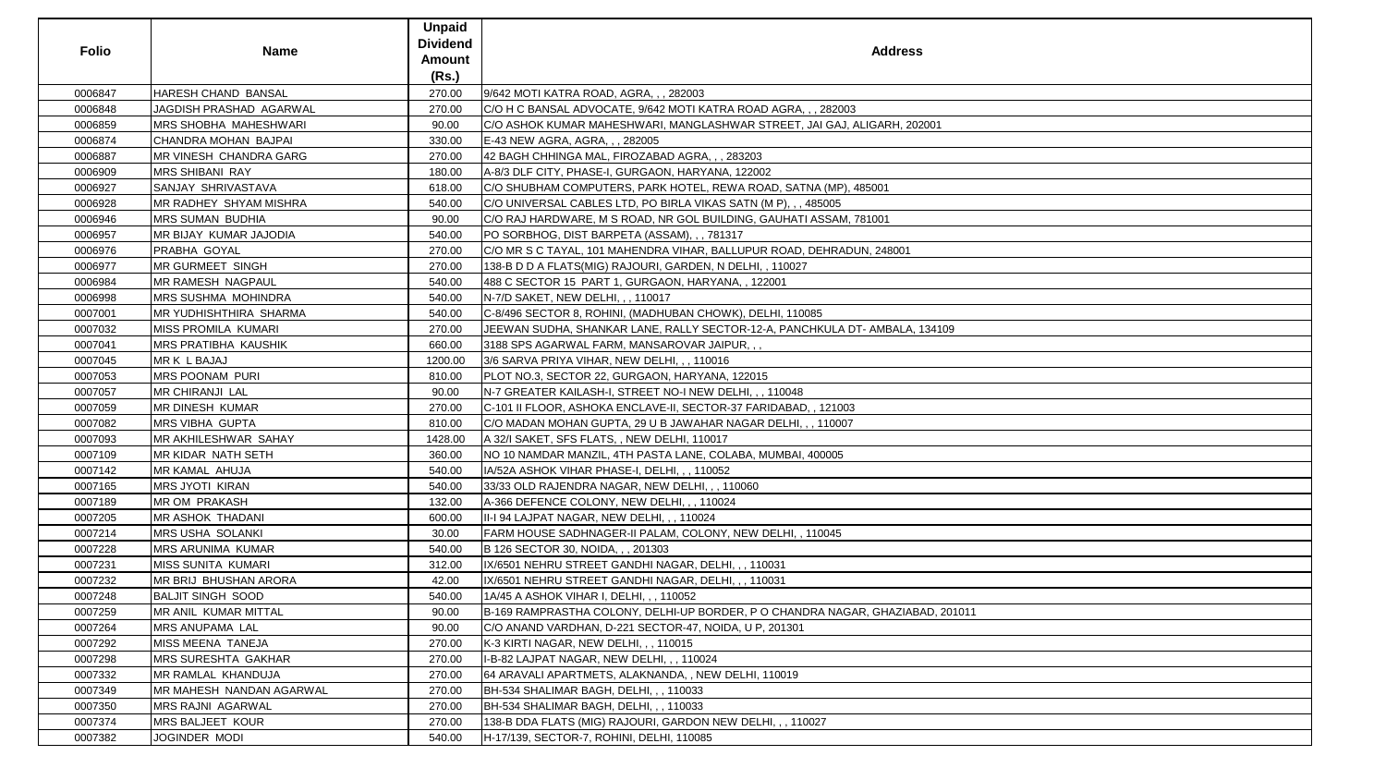| <b>Folio</b> | <b>Name</b>                | <b>Unpaid</b><br><b>Dividend</b><br><b>Amount</b> | <b>Address</b>                                                                 |
|--------------|----------------------------|---------------------------------------------------|--------------------------------------------------------------------------------|
|              |                            | (Rs.)                                             |                                                                                |
| 0006847      | HARESH CHAND BANSAL        | 270.00                                            | 9/642 MOTI KATRA ROAD, AGRA, , , 282003                                        |
| 0006848      | JAGDISH PRASHAD AGARWAL    | 270.00                                            | C/O H C BANSAL ADVOCATE, 9/642 MOTI KATRA ROAD AGRA, , , 282003                |
| 0006859      | MRS SHOBHA MAHESHWARI      | 90.00                                             | C/O ASHOK KUMAR MAHESHWARI, MANGLASHWAR STREET, JAI GAJ, ALIGARH, 202001       |
| 0006874      | CHANDRA MOHAN BAJPAI       | 330.00                                            | E-43 NEW AGRA, AGRA, , , 282005                                                |
| 0006887      | MR VINESH CHANDRA GARG     | 270.00                                            | 42 BAGH CHHINGA MAL, FIROZABAD AGRA, , , 283203                                |
| 0006909      | <b>MRS SHIBANI RAY</b>     | 180.00                                            | A-8/3 DLF CITY, PHASE-I, GURGAON, HARYANA, 122002                              |
| 0006927      | SANJAY SHRIVASTAVA         | 618.00                                            | C/O SHUBHAM COMPUTERS, PARK HOTEL, REWA ROAD, SATNA (MP), 485001               |
| 0006928      | IMR RADHEY SHYAM MISHRA    | 540.00                                            | C/O UNIVERSAL CABLES LTD, PO BIRLA VIKAS SATN (M P), , , 485005                |
| 0006946      | <b>MRS SUMAN BUDHIA</b>    | 90.00                                             | C/O RAJ HARDWARE, M S ROAD, NR GOL BUILDING, GAUHATI ASSAM, 781001             |
| 0006957      | MR BIJAY KUMAR JAJODIA     | 540.00                                            | PO SORBHOG, DIST BARPETA (ASSAM), , , 781317                                   |
| 0006976      | PRABHA GOYAL               | 270.00                                            | C/O MR S C TAYAL, 101 MAHENDRA VIHAR, BALLUPUR ROAD, DEHRADUN, 248001          |
| 0006977      | MR GURMEET SINGH           | 270.00                                            | 138-B D D A FLATS(MIG) RAJOURI, GARDEN, N DELHI, , 110027                      |
| 0006984      | <b>MR RAMESH NAGPAUL</b>   | 540.00                                            | 488 C SECTOR 15 PART 1, GURGAON, HARYANA, , 122001                             |
| 0006998      | <b>MRS SUSHMA MOHINDRA</b> | 540.00                                            | N-7/D SAKET, NEW DELHI, , , 110017                                             |
| 0007001      | MR YUDHISHTHIRA SHARMA     | 540.00                                            | C-8/496 SECTOR 8, ROHINI, (MADHUBAN CHOWK), DELHI, 110085                      |
| 0007032      | MISS PROMILA KUMARI        | 270.00                                            | JEEWAN SUDHA, SHANKAR LANE, RALLY SECTOR-12-A, PANCHKULA DT- AMBALA, 134109    |
| 0007041      | MRS PRATIBHA KAUSHIK       | 660.00                                            | 3188 SPS AGARWAL FARM, MANSAROVAR JAIPUR,,,                                    |
| 0007045      | MR K L BAJAJ               | 1200.00                                           | 3/6 SARVA PRIYA VIHAR, NEW DELHI, , , 110016                                   |
| 0007053      | MRS POONAM PURI            | 810.00                                            | PLOT NO.3, SECTOR 22, GURGAON, HARYANA, 122015                                 |
| 0007057      | <b>MR CHIRANJI LAL</b>     | 90.00                                             | N-7 GREATER KAILASH-I, STREET NO-I NEW DELHI, , , 110048                       |
| 0007059      | <b>MR DINESH KUMAR</b>     | 270.00                                            | C-101 II FLOOR, ASHOKA ENCLAVE-II, SECTOR-37 FARIDABAD, , 121003               |
| 0007082      | <b>MRS VIBHA GUPTA</b>     | 810.00                                            | C/O MADAN MOHAN GUPTA, 29 U B JAWAHAR NAGAR DELHI, , , 110007                  |
| 0007093      | MR AKHILESHWAR SAHAY       | 1428.00                                           | A 32/I SAKET, SFS FLATS, , NEW DELHI, 110017                                   |
| 0007109      | MR KIDAR NATH SETH         | 360.00                                            | NO 10 NAMDAR MANZIL, 4TH PASTA LANE, COLABA, MUMBAI, 400005                    |
| 0007142      | MR KAMAL AHUJA             | 540.00                                            | IA/52A ASHOK VIHAR PHASE-I, DELHI, , , 110052                                  |
| 0007165      | <b>MRS JYOTI KIRAN</b>     | 540.00                                            | 33/33 OLD RAJENDRA NAGAR, NEW DELHI, , , 110060                                |
| 0007189      | <b>MR OM PRAKASH</b>       | 132.00                                            | A-366 DEFENCE COLONY, NEW DELHI, , , 110024                                    |
| 0007205      | MR ASHOK THADANI           | 600.00                                            | III-I 94 LAJPAT NAGAR, NEW DELHI, , , 110024                                   |
| 0007214      | MRS USHA SOLANKI           | 30.00                                             | FARM HOUSE SADHNAGER-II PALAM, COLONY, NEW DELHI, , 110045                     |
| 0007228      | MRS ARUNIMA KUMAR          | 540.00                                            | B 126 SECTOR 30, NOIDA, , , 201303                                             |
| 0007231      | MISS SUNITA KUMARI         | 312.00                                            | IX/6501 NEHRU STREET GANDHI NAGAR, DELHI, , , 110031                           |
| 0007232      | MR BRIJ BHUSHAN ARORA      | 42.00                                             | IX/6501 NEHRU STREET GANDHI NAGAR, DELHI,,, 110031                             |
| 0007248      | <b>BALJIT SINGH SOOD</b>   | 540.00                                            | 1A/45 A ASHOK VIHAR I, DELHI, , , 110052                                       |
| 0007259      | MR ANIL KUMAR MITTAL       | 90.00                                             | B-169 RAMPRASTHA COLONY, DELHI-UP BORDER, P O CHANDRA NAGAR, GHAZIABAD, 201011 |
| 0007264      | MRS ANUPAMA LAL            | 90.00                                             | C/O ANAND VARDHAN, D-221 SECTOR-47, NOIDA, U P, 201301                         |
| 0007292      | MISS MEENA TANEJA          | 270.00                                            | K-3 KIRTI NAGAR, NEW DELHI, , , 110015                                         |
| 0007298      | MRS SURESHTA GAKHAR        | 270.00                                            | I-B-82 LAJPAT NAGAR, NEW DELHI, , , 110024                                     |
| 0007332      | MR RAMLAL KHANDUJA         | 270.00                                            | 64 ARAVALI APARTMETS, ALAKNANDA, , NEW DELHI, 110019                           |
| 0007349      | MR MAHESH NANDAN AGARWAL   | 270.00                                            | BH-534 SHALIMAR BAGH, DELHI, , , 110033                                        |
| 0007350      | MRS RAJNI AGARWAL          | 270.00                                            | BH-534 SHALIMAR BAGH, DELHI, , , 110033                                        |
| 0007374      | MRS BALJEET KOUR           | 270.00                                            | 138-B DDA FLATS (MIG) RAJOURI, GARDON NEW DELHI, , , 110027                    |
| 0007382      | JOGINDER MODI              | 540.00                                            | H-17/139, SECTOR-7, ROHINI, DELHI, 110085                                      |

| iS          |
|-------------|
|             |
| 02001       |
|             |
|             |
|             |
|             |
|             |
|             |
|             |
| 134109      |
|             |
|             |
|             |
|             |
|             |
|             |
|             |
|             |
|             |
| BAD, 201011 |
|             |
|             |
|             |
|             |
|             |
|             |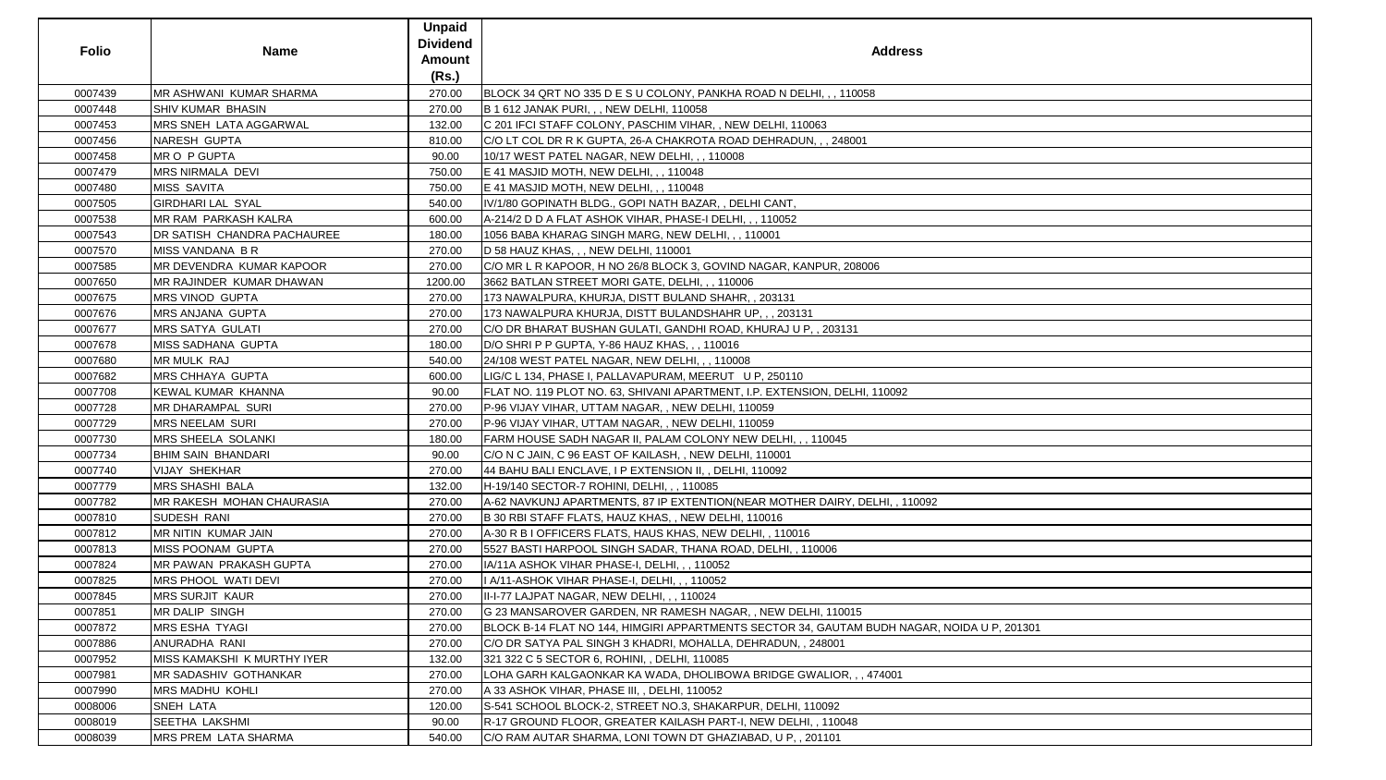| <b>Folio</b> | <b>Name</b>                      | <b>Unpaid</b><br><b>Dividend</b><br><b>Amount</b><br>(Rs.) | <b>Address</b>                                                                              |
|--------------|----------------------------------|------------------------------------------------------------|---------------------------------------------------------------------------------------------|
| 0007439      | MR ASHWANI KUMAR SHARMA          | 270.00                                                     | BLOCK 34 QRT NO 335 D E S U COLONY, PANKHA ROAD N DELHI, , , 110058                         |
| 0007448      | SHIV KUMAR BHASIN                | 270.00                                                     | B 1 612 JANAK PURI, , , NEW DELHI, 110058                                                   |
| 0007453      | MRS SNEH LATA AGGARWAL           | 132.00                                                     | C 201 IFCI STAFF COLONY, PASCHIM VIHAR, , NEW DELHI, 110063                                 |
| 0007456      | <b>NARESH GUPTA</b>              | 810.00                                                     | C/O LT COL DR R K GUPTA, 26-A CHAKROTA ROAD DEHRADUN, , , 248001                            |
| 0007458      | <b>MRO P GUPTA</b>               | 90.00                                                      | 10/17 WEST PATEL NAGAR, NEW DELHI, , , 110008                                               |
| 0007479      | <b>MRS NIRMALA DEVI</b>          | 750.00                                                     | E 41 MASJID MOTH, NEW DELHI, , , 110048                                                     |
| 0007480      | <b>MISS SAVITA</b>               | 750.00                                                     | E 41 MASJID MOTH, NEW DELHI, , , 110048                                                     |
| 0007505      | <b>GIRDHARI LAL SYAL</b>         | 540.00                                                     | IV/1/80 GOPINATH BLDG., GOPI NATH BAZAR,, DELHI CANT,                                       |
| 0007538      | MR RAM PARKASH KALRA             | 600.00                                                     | A-214/2 D D A FLAT ASHOK VIHAR, PHASE-I DELHI, , , 110052                                   |
| 0007543      | DR SATISH CHANDRA PACHAUREE      | 180.00                                                     | 1056 BABA KHARAG SINGH MARG, NEW DELHI, , , 110001                                          |
| 0007570      | <b>MISS VANDANA B R</b>          | 270.00                                                     | D 58 HAUZ KHAS, , , NEW DELHI, 110001                                                       |
| 0007585      | MR DEVENDRA KUMAR KAPOOR         | 270.00                                                     | C/O MR L R KAPOOR, H NO 26/8 BLOCK 3, GOVIND NAGAR, KANPUR, 208006                          |
| 0007650      | <b>IMR RAJINDER KUMAR DHAWAN</b> | 1200.00                                                    | 3662 BATLAN STREET MORI GATE, DELHI, , , 110006                                             |
| 0007675      | <b>MRS VINOD GUPTA</b>           | 270.00                                                     | 173 NAWALPURA, KHURJA, DISTT BULAND SHAHR, , 203131                                         |
| 0007676      | <b>MRS ANJANA GUPTA</b>          | 270.00                                                     | 173 NAWALPURA KHURJA, DISTT BULANDSHAHR UP, , , 203131                                      |
| 0007677      | <b>MRS SATYA GULATI</b>          | 270.00                                                     | C/O DR BHARAT BUSHAN GULATI, GANDHI ROAD, KHURAJ U P, , 203131                              |
| 0007678      | <b>MISS SADHANA GUPTA</b>        | 180.00                                                     | D/O SHRI P P GUPTA, Y-86 HAUZ KHAS, , , 110016                                              |
| 0007680      | <b>MR MULK RAJ</b>               | 540.00                                                     | 24/108 WEST PATEL NAGAR, NEW DELHI, , , 110008                                              |
| 0007682      | <b>MRS CHHAYA GUPTA</b>          | 600.00                                                     | LIG/C L 134, PHASE I, PALLAVAPURAM, MEERUT U P, 250110                                      |
| 0007708      | <b>KEWAL KUMAR KHANNA</b>        | 90.00                                                      | FLAT NO. 119 PLOT NO. 63, SHIVANI APARTMENT, I.P. EXTENSION, DELHI, 110092                  |
| 0007728      | <b>MR DHARAMPAL SURI</b>         | 270.00                                                     | P-96 VIJAY VIHAR, UTTAM NAGAR, , NEW DELHI, 110059                                          |
| 0007729      | <b>MRS NEELAM SURI</b>           | 270.00                                                     | P-96 VIJAY VIHAR, UTTAM NAGAR, , NEW DELHI, 110059                                          |
| 0007730      | <b>MRS SHEELA SOLANKI</b>        | 180.00                                                     | FARM HOUSE SADH NAGAR II, PALAM COLONY NEW DELHI, , , 110045                                |
| 0007734      | <b>BHIM SAIN BHANDARI</b>        | 90.00                                                      | C/O N C JAIN, C 96 EAST OF KAILASH, , NEW DELHI, 110001                                     |
| 0007740      | <b>VIJAY SHEKHAR</b>             | 270.00                                                     | 44 BAHU BALI ENCLAVE, I P EXTENSION II, , DELHI, 110092                                     |
| 0007779      | <b>MRS SHASHI BALA</b>           | 132.00                                                     | H-19/140 SECTOR-7 ROHINI, DELHI, , , 110085                                                 |
| 0007782      | <b>MR RAKESH MOHAN CHAURASIA</b> | 270.00                                                     | A-62 NAVKUNJ APARTMENTS, 87 IP EXTENTION(NEAR MOTHER DAIRY, DELHI, , 110092                 |
| 0007810      | SUDESH RANI                      | 270.00                                                     | B 30 RBI STAFF FLATS, HAUZ KHAS, , NEW DELHI, 110016                                        |
| 0007812      | MR NITIN KUMAR JAIN              | 270.00                                                     | A-30 R B I OFFICERS FLATS, HAUS KHAS, NEW DELHI, , 110016                                   |
| 0007813      | <b>MISS POONAM GUPTA</b>         | 270.00                                                     | 5527 BASTI HARPOOL SINGH SADAR, THANA ROAD, DELHI, , 110006                                 |
| 0007824      | MR PAWAN PRAKASH GUPTA           | 270.00                                                     | IA/11A ASHOK VIHAR PHASE-I, DELHI, , , 110052                                               |
| 0007825      | <b>MRS PHOOL WATI DEVI</b>       | 270.00                                                     | I A/11-ASHOK VIHAR PHASE-I, DELHI, , , 110052                                               |
| 0007845      | <b>MRS SURJIT KAUR</b>           | 270.00                                                     | II-I-77 LAJPAT NAGAR, NEW DELHI, , , 110024                                                 |
| 0007851      | <b>MR DALIP SINGH</b>            | 270.00                                                     | G 23 MANSAROVER GARDEN, NR RAMESH NAGAR, , NEW DELHI, 110015                                |
| 0007872      | <b>MRS ESHA TYAGI</b>            | 270.00                                                     | BLOCK B-14 FLAT NO 144, HIMGIRI APPARTMENTS SECTOR 34, GAUTAM BUDH NAGAR, NOIDA U P, 201301 |
| 0007886      | ANURADHA RANI                    | 270.00                                                     | C/O DR SATYA PAL SINGH 3 KHADRI, MOHALLA, DEHRADUN, , 248001                                |
| 0007952      | MISS KAMAKSHI K MURTHY IYER      | 132.00                                                     | 321 322 C 5 SECTOR 6, ROHINI, , DELHI, 110085                                               |
| 0007981      | <b>MR SADASHIV GOTHANKAR</b>     | 270.00                                                     | LOHA GARH KALGAONKAR KA WADA, DHOLIBOWA BRIDGE GWALIOR, , , 474001                          |
| 0007990      | <b>MRS MADHU KOHLI</b>           | 270.00                                                     | A 33 ASHOK VIHAR, PHASE III, , DELHI, 110052                                                |
| 0008006      | <b>SNEH LATA</b>                 | 120.00                                                     | S-541 SCHOOL BLOCK-2, STREET NO.3, SHAKARPUR, DELHI, 110092                                 |
| 0008019      | SEETHA LAKSHMI                   | 90.00                                                      | R-17 GROUND FLOOR, GREATER KAILASH PART-I, NEW DELHI, , 110048                              |
| 0008039      | <b>MRS PREM LATA SHARMA</b>      | 540.00                                                     | C/O RAM AUTAR SHARMA, LONI TOWN DT GHAZIABAD, U P, , 201101                                 |

| A U P, 201301 |  |
|---------------|--|
|               |  |
|               |  |
|               |  |
|               |  |
|               |  |
|               |  |
|               |  |
|               |  |
|               |  |
|               |  |
|               |  |
|               |  |
|               |  |
|               |  |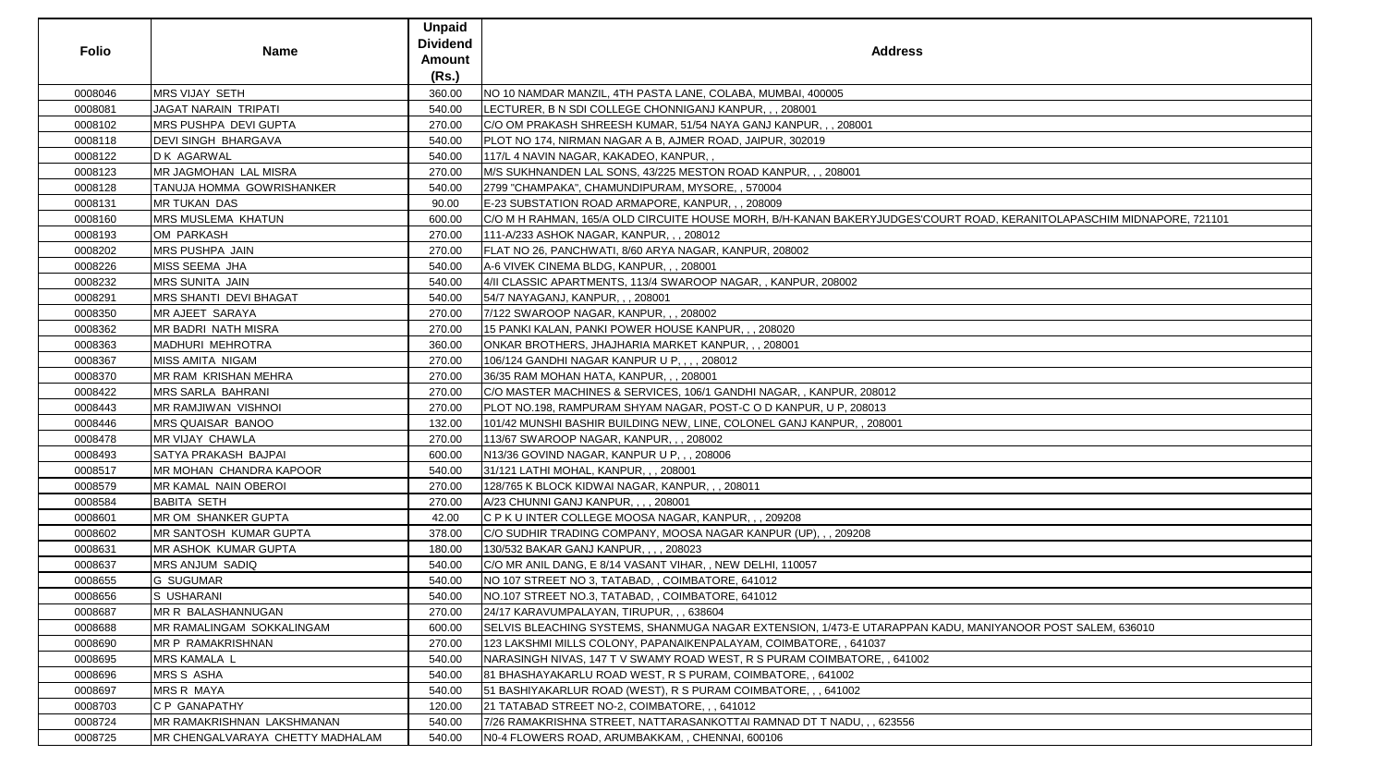| <b>Folio</b> | <b>Name</b>                              | <b>Unpaid</b><br><b>Dividend</b><br><b>Amount</b><br>(Rs.) | <b>Address</b>                                                                                            |
|--------------|------------------------------------------|------------------------------------------------------------|-----------------------------------------------------------------------------------------------------------|
| 0008046      | MRS VIJAY SETH                           | 360.00                                                     | NO 10 NAMDAR MANZIL, 4TH PASTA LANE, COLABA, MUMBAI, 400005                                               |
| 0008081      | <b>JAGAT NARAIN TRIPATI</b>              | 540.00                                                     | LECTURER, B N SDI COLLEGE CHONNIGANJ KANPUR, , , 208001                                                   |
| 0008102      | <b>MRS PUSHPA DEVI GUPTA</b>             | 270.00                                                     | C/O OM PRAKASH SHREESH KUMAR, 51/54 NAYA GANJ KANPUR, , , 208001                                          |
| 0008118      | <b>DEVI SINGH BHARGAVA</b>               | 540.00                                                     | PLOT NO 174, NIRMAN NAGAR A B, AJMER ROAD, JAIPUR, 302019                                                 |
| 0008122      | <b>D K AGARWAL</b>                       | 540.00                                                     | 117/L 4 NAVIN NAGAR, KAKADEO, KANPUR,,                                                                    |
| 0008123      | <b>MR JAGMOHAN LAL MISRA</b>             | 270.00                                                     | M/S SUKHNANDEN LAL SONS, 43/225 MESTON ROAD KANPUR, , , 208001                                            |
| 0008128      | TANUJA HOMMA GOWRISHANKER                | 540.00                                                     | 2799 "CHAMPAKA", CHAMUNDIPURAM, MYSORE, , 570004                                                          |
| 0008131      | MR TUKAN DAS                             | 90.00                                                      | E-23 SUBSTATION ROAD ARMAPORE, KANPUR, ,, 208009                                                          |
| 0008160      | <b>MRS MUSLEMA KHATUN</b>                | 600.00                                                     | C/O M H RAHMAN, 165/A OLD CIRCUITE HOUSE MORH, B/H-KANAN BAKERYJUDGES'COURT ROAD, KERANITOLAPASCHIM MIDNA |
| 0008193      | OM PARKASH                               | 270.00                                                     | 111-A/233 ASHOK NAGAR, KANPUR, , , 208012                                                                 |
| 0008202      | <b>MRS PUSHPA JAIN</b>                   | 270.00                                                     | FLAT NO 26, PANCHWATI, 8/60 ARYA NAGAR, KANPUR, 208002                                                    |
| 0008226      | MISS SEEMA JHA                           | 540.00                                                     | A-6 VIVEK CINEMA BLDG, KANPUR, , , 208001                                                                 |
| 0008232      | <b>MRS SUNITA JAIN</b>                   | 540.00                                                     | 4/II CLASSIC APARTMENTS, 113/4 SWAROOP NAGAR,, KANPUR, 208002                                             |
| 0008291      | <b>MRS SHANTI DEVI BHAGAT</b>            | 540.00                                                     | 54/7 NAYAGANJ, KANPUR, , , 208001                                                                         |
| 0008350      | MR AJEET SARAYA                          | 270.00                                                     | 7/122 SWAROOP NAGAR, KANPUR, , , 208002                                                                   |
| 0008362      | <b>MR BADRI NATH MISRA</b>               | 270.00                                                     | 15 PANKI KALAN, PANKI POWER HOUSE KANPUR, , , 208020                                                      |
| 0008363      | MADHURI MEHROTRA                         | 360.00                                                     | ONKAR BROTHERS, JHAJHARIA MARKET KANPUR,,, 208001                                                         |
| 0008367      | <b>MISS AMITA NIGAM</b>                  | 270.00                                                     | 106/124 GANDHI NAGAR KANPUR U P, , , , 208012                                                             |
| 0008370      | <b>MR RAM KRISHAN MEHRA</b>              | 270.00                                                     | 36/35 RAM MOHAN HATA, KANPUR, , , 208001                                                                  |
| 0008422      | MRS SARLA BAHRANI                        | 270.00                                                     | C/O MASTER MACHINES & SERVICES, 106/1 GANDHI NAGAR,, KANPUR, 208012                                       |
| 0008443      | MR RAMJIWAN VISHNOI                      | 270.00                                                     | PLOT NO.198, RAMPURAM SHYAM NAGAR, POST-C O D KANPUR, U P, 208013                                         |
| 0008446      | MRS QUAISAR BANOO                        | 132.00                                                     | 101/42 MUNSHI BASHIR BUILDING NEW, LINE, COLONEL GANJ KANPUR, , 208001                                    |
| 0008478      | MR VIJAY CHAWLA                          | 270.00                                                     | 113/67 SWAROOP NAGAR, KANPUR, , , 208002                                                                  |
| 0008493      | SATYA PRAKASH BAJPAI                     | 600.00                                                     | N13/36 GOVIND NAGAR, KANPUR U P, , , 208006                                                               |
| 0008517      | <b>IMR MOHAN CHANDRA KAPOOR</b>          | 540.00                                                     | 31/121 LATHI MOHAL, KANPUR, , , 208001                                                                    |
| 0008579      | <b>MR KAMAL NAIN OBEROI</b>              | 270.00                                                     | 128/765 K BLOCK KIDWAI NAGAR, KANPUR, , , 208011                                                          |
| 0008584      | <b>BABITA SETH</b>                       | 270.00                                                     | A/23 CHUNNI GANJ KANPUR, , , , 208001                                                                     |
| 0008601      | MR OM SHANKER GUPTA                      | 42.00                                                      | C P K U INTER COLLEGE MOOSA NAGAR, KANPUR, , , 209208                                                     |
| 0008602      | <b>IMR SANTOSH KUMAR GUPTA</b>           | 378.00                                                     | C/O SUDHIR TRADING COMPANY, MOOSA NAGAR KANPUR (UP), , , 209208                                           |
| 0008631      | <b>IMR ASHOK KUMAR GUPTA</b>             | 180.00                                                     | 130/532 BAKAR GANJ KANPUR, , , , 208023                                                                   |
| 0008637      | <b>MRS ANJUM SADIQ</b>                   | 540.00                                                     | C/O MR ANIL DANG, E 8/14 VASANT VIHAR, , NEW DELHI, 110057                                                |
| 0008655      | <b>G SUGUMAR</b>                         | 540.00                                                     | INO 107 STREET NO 3, TATABAD, , COIMBATORE, 641012                                                        |
| 0008656      | <b>S USHARANI</b>                        | 540.00                                                     | NO.107 STREET NO.3, TATABAD, , COIMBATORE, 641012                                                         |
| 0008687      | MR R BALASHANNUGAN                       | 270.00                                                     | 24/17 KARAVUMPALAYAN, TIRUPUR, , , 638604                                                                 |
| 0008688      | <b>IMR RAMALINGAM SOKKALINGAM</b>        | 600.00                                                     | SELVIS BLEACHING SYSTEMS, SHANMUGA NAGAR EXTENSION, 1/473-E UTARAPPAN KADU, MANIYANOOR POST SALEM, 636010 |
| 0008690      | MR P RAMAKRISHNAN                        | 270.00                                                     | 123 LAKSHMI MILLS COLONY, PAPANAIKENPALAYAM, COIMBATORE, , 641037                                         |
| 0008695      | <b>MRS KAMALA L</b>                      | 540.00                                                     | NARASINGH NIVAS, 147 T V SWAMY ROAD WEST, R S PURAM COIMBATORE, , 641002                                  |
| 0008696      | <b>MRS S ASHA</b>                        | 540.00                                                     | 81 BHASHAYAKARLU ROAD WEST, R S PURAM, COIMBATORE, , 641002                                               |
| 0008697      | <b>MRS R MAYA</b>                        | 540.00                                                     | 51 BASHIYAKARLUR ROAD (WEST), R S PURAM COIMBATORE, , , 641002                                            |
| 0008703      | C P GANAPATHY                            | 120.00                                                     | 21 TATABAD STREET NO-2, COIMBATORE, , , 641012                                                            |
| 0008724      | <b>IMR RAMAKRISHNAN LAKSHMANAN</b>       | 540.00                                                     | 7/26 RAMAKRISHNA STREET, NATTARASANKOTTAI RAMNAD DT T NADU, , , 623556                                    |
| 0008725      | <b>IMR CHENGALVARAYA CHETTY MADHALAM</b> | 540.00                                                     | INO-4 FLOWERS ROAD, ARUMBAKKAM, , CHENNAI, 600106                                                         |

| ess                                                        |
|------------------------------------------------------------|
|                                                            |
|                                                            |
| <b>SES'COURT ROAD, KERANITOLAPASCHIM MIDNAPORE, 721101</b> |
|                                                            |
|                                                            |
|                                                            |
|                                                            |
|                                                            |
|                                                            |
|                                                            |
|                                                            |
| PPAN KADU, MANIYANOOR POST SALEM, 636010                   |
| <u>41002</u>                                               |
| 56                                                         |
|                                                            |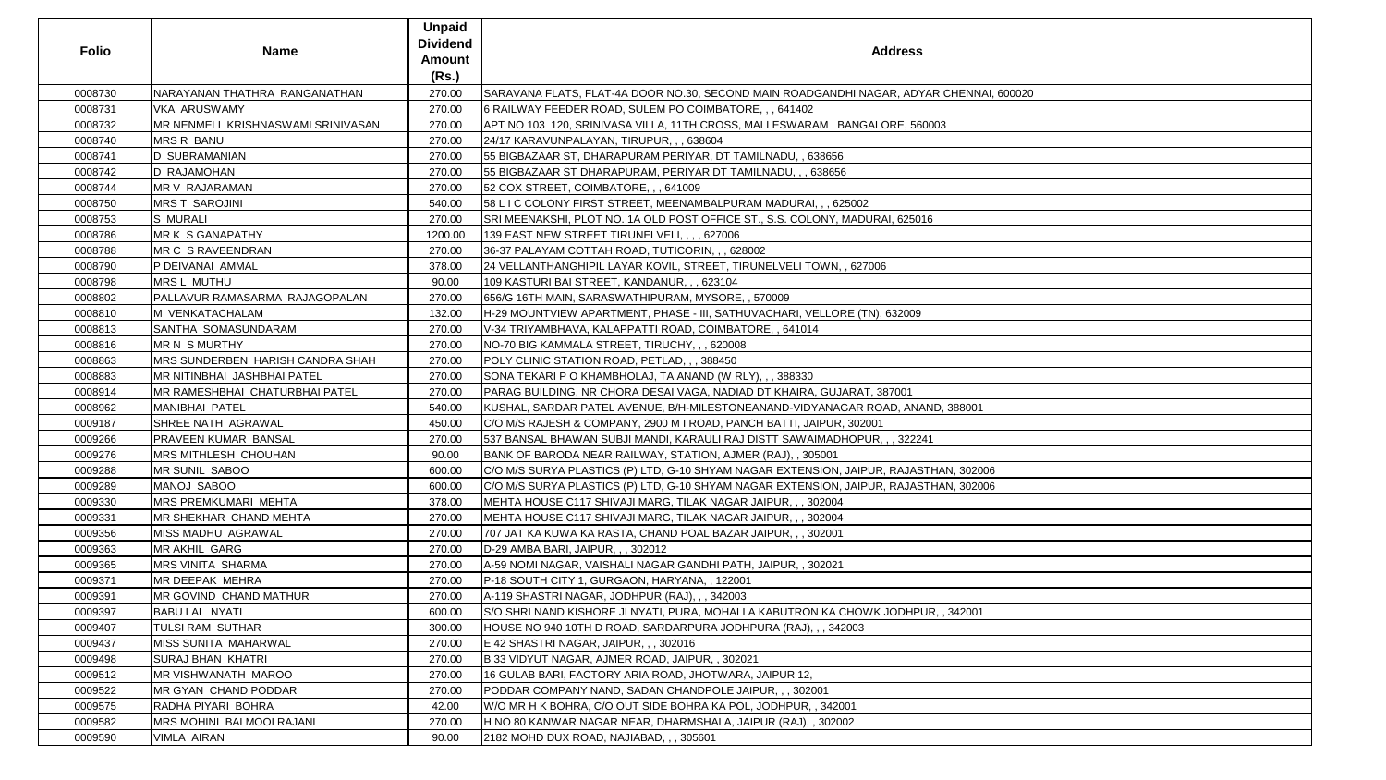| <b>Folio</b> | <b>Name</b>                                | <b>Unpaid</b><br><b>Dividend</b><br><b>Amount</b><br>(Rs.) | <b>Address</b>                                                                          |
|--------------|--------------------------------------------|------------------------------------------------------------|-----------------------------------------------------------------------------------------|
| 0008730      | NARAYANAN THATHRA RANGANATHAN              | 270.00                                                     | SARAVANA FLATS, FLAT-4A DOOR NO.30, SECOND MAIN ROADGANDHI NAGAR, ADYAR CHENNAI, 600020 |
| 0008731      | VKA ARUSWAMY                               | 270.00                                                     | 6 RAILWAY FEEDER ROAD, SULEM PO COIMBATORE, , , 641402                                  |
| 0008732      | <b>IMR NENMELI KRISHNASWAMI SRINIVASAN</b> | 270.00                                                     | APT NO 103 120, SRINIVASA VILLA, 11TH CROSS, MALLESWARAM BANGALORE, 560003              |
| 0008740      | <b>MRS R BANU</b>                          | 270.00                                                     | 24/17 KARAVUNPALAYAN, TIRUPUR, , , 638604                                               |
| 0008741      | <b>D SUBRAMANIAN</b>                       | 270.00                                                     | 55 BIGBAZAAR ST, DHARAPURAM PERIYAR, DT TAMILNADU, , 638656                             |
| 0008742      | <b>D RAJAMOHAN</b>                         | 270.00                                                     | 55 BIGBAZAAR ST DHARAPURAM, PERIYAR DT TAMILNADU, , , 638656                            |
| 0008744      | MR V RAJARAMAN                             | 270.00                                                     | 52 COX STREET, COIMBATORE, , , 641009                                                   |
| 0008750      | <b>MRS T SAROJINI</b>                      | 540.00                                                     | 58 L I C COLONY FIRST STREET, MEENAMBALPURAM MADURAI, , , 625002                        |
| 0008753      | <b>S MURALI</b>                            | 270.00                                                     | SRI MEENAKSHI, PLOT NO. 1A OLD POST OFFICE ST., S.S. COLONY, MADURAI, 625016            |
| 0008786      | MR K S GANAPATHY                           | 1200.00                                                    | 139 EAST NEW STREET TIRUNELVELI, , , , 627006                                           |
| 0008788      | MR C S RAVEENDRAN                          | 270.00                                                     | 36-37 PALAYAM COTTAH ROAD, TUTICORIN, , , 628002                                        |
| 0008790      | P DEIVANAI AMMAL                           | 378.00                                                     | 24 VELLANTHANGHIPIL LAYAR KOVIL, STREET, TIRUNELVELI TOWN, , 627006                     |
| 0008798      | <b>MRSL MUTHU</b>                          | 90.00                                                      | 109 KASTURI BAI STREET, KANDANUR, , , 623104                                            |
| 0008802      | PALLAVUR RAMASARMA RAJAGOPALAN             | 270.00                                                     | 656/G 16TH MAIN, SARASWATHIPURAM, MYSORE, , 570009                                      |
| 0008810      | M VENKATACHALAM                            | 132.00                                                     | H-29 MOUNTVIEW APARTMENT, PHASE - III, SATHUVACHARI, VELLORE (TN), 632009               |
| 0008813      | <b>SANTHA SOMASUNDARAM</b>                 | 270.00                                                     | V-34 TRIYAMBHAVA, KALAPPATTI ROAD, COIMBATORE, , 641014                                 |
| 0008816      | MR N S MURTHY                              | 270.00                                                     | NO-70 BIG KAMMALA STREET, TIRUCHY, , , 620008                                           |
| 0008863      | <b>MRS SUNDERBEN HARISH CANDRA SHAH</b>    | 270.00                                                     | POLY CLINIC STATION ROAD, PETLAD, , , 388450                                            |
| 0008883      | <b>MR NITINBHAI JASHBHAI PATEL</b>         | 270.00                                                     | SONA TEKARI P O KHAMBHOLAJ, TA ANAND (W RLY), , , 388330                                |
| 0008914      | <b>IMR RAMESHBHAI CHATURBHAI PATEL</b>     | 270.00                                                     | PARAG BUILDING, NR CHORA DESAI VAGA, NADIAD DT KHAIRA, GUJARAT, 387001                  |
| 0008962      | MANIBHAI PATEL                             | 540.00                                                     | KUSHAL, SARDAR PATEL AVENUE, B/H-MILESTONEANAND-VIDYANAGAR ROAD, ANAND, 388001          |
| 0009187      | SHREE NATH AGRAWAL                         | 450.00                                                     | C/O M/S RAJESH & COMPANY, 2900 M I ROAD, PANCH BATTI, JAIPUR, 302001                    |
| 0009266      | <b>PRAVEEN KUMAR BANSAL</b>                | 270.00                                                     | 537 BANSAL BHAWAN SUBJI MANDI, KARAULI RAJ DISTT SAWAIMADHOPUR, , , 322241              |
| 0009276      | MRS MITHLESH CHOUHAN                       | 90.00                                                      | BANK OF BARODA NEAR RAILWAY, STATION, AJMER (RAJ), , 305001                             |
| 0009288      | <b>MR SUNIL SABOO</b>                      | 600.00                                                     | C/O M/S SURYA PLASTICS (P) LTD, G-10 SHYAM NAGAR EXTENSION, JAIPUR, RAJASTHAN, 302006   |
| 0009289      | MANOJ SABOO                                | 600.00                                                     | C/O M/S SURYA PLASTICS (P) LTD, G-10 SHYAM NAGAR EXTENSION, JAIPUR, RAJASTHAN, 302006   |
| 0009330      | <b>MRS PREMKUMARI MEHTA</b>                | 378.00                                                     | MEHTA HOUSE C117 SHIVAJI MARG, TILAK NAGAR JAIPUR, , , 302004                           |
| 0009331      | <b>IMR SHEKHAR CHAND MEHTA</b>             | 270.00                                                     | MEHTA HOUSE C117 SHIVAJI MARG, TILAK NAGAR JAIPUR, , , 302004                           |
| 0009356      | MISS MADHU AGRAWAL                         | 270.00                                                     | 707 JAT KA KUWA KA RASTA, CHAND POAL BAZAR JAIPUR,,, 302001                             |
| 0009363      | <b>MR AKHIL GARG</b>                       | 270.00                                                     | D-29 AMBA BARI, JAIPUR, , , 302012                                                      |
| 0009365      | <b>MRS VINITA SHARMA</b>                   | 270.00                                                     | A-59 NOMI NAGAR, VAISHALI NAGAR GANDHI PATH, JAIPUR, , 302021                           |
| 0009371      | MR DEEPAK MEHRA                            | 270.00                                                     | P-18 SOUTH CITY 1, GURGAON, HARYANA,, 122001                                            |
| 0009391      | <b>IMR GOVIND CHAND MATHUR</b>             | 270.00                                                     | A-119 SHASTRI NAGAR, JODHPUR (RAJ), , , 342003                                          |
| 0009397      | <b>BABU LAL NYATI</b>                      | 600.00                                                     | S/O SHRI NAND KISHORE JI NYATI, PURA, MOHALLA KABUTRON KA CHOWK JODHPUR, , 342001       |
| 0009407      | TULSI RAM SUTHAR                           | 300.00                                                     | HOUSE NO 940 10TH D ROAD, SARDARPURA JODHPURA (RAJ), , , 342003                         |
| 0009437      | MISS SUNITA MAHARWAL                       | 270.00                                                     | E 42 SHASTRI NAGAR, JAIPUR, , , 302016                                                  |
| 0009498      | <b>SURAJ BHAN KHATRI</b>                   | 270.00                                                     | B 33 VIDYUT NAGAR, AJMER ROAD, JAIPUR,, 302021                                          |
| 0009512      | <b>MR VISHWANATH MAROO</b>                 | 270.00                                                     | 16 GULAB BARI, FACTORY ARIA ROAD, JHOTWARA, JAIPUR 12,                                  |
| 0009522      | <b>IMR GYAN CHAND PODDAR</b>               | 270.00                                                     | PODDAR COMPANY NAND, SADAN CHANDPOLE JAIPUR, , , 302001                                 |
| 0009575      | RADHA PIYARI BOHRA                         | 42.00                                                      | W/O MR H K BOHRA, C/O OUT SIDE BOHRA KA POL, JODHPUR,, 342001                           |
| 0009582      | <b>IMRS MOHINI BAI MOOLRAJANI</b>          | 270.00                                                     | H NO 80 KANWAR NAGAR NEAR, DHARMSHALA, JAIPUR (RAJ), , 302002                           |
| 0009590      | <b>VIMLA AIRAN</b>                         | 90.00                                                      | 2182 MOHD DUX ROAD, NAJIABAD, , , 305601                                                |

| R CHENNAI, 600020 |
|-------------------|
|                   |
| $\overline{03}$   |
|                   |
|                   |
|                   |
|                   |
|                   |
|                   |
|                   |
|                   |
|                   |
|                   |
|                   |
|                   |
|                   |
|                   |
|                   |
|                   |
|                   |
|                   |
|                   |
|                   |
|                   |
|                   |
| D, 388001         |
|                   |
|                   |
|                   |
|                   |
| HAN, 302006       |
| HAN, 302006       |
|                   |
|                   |
|                   |
|                   |
|                   |
|                   |
|                   |
|                   |
|                   |
| १, , 342001       |
|                   |
|                   |
|                   |
|                   |
|                   |
|                   |
|                   |
|                   |
|                   |
|                   |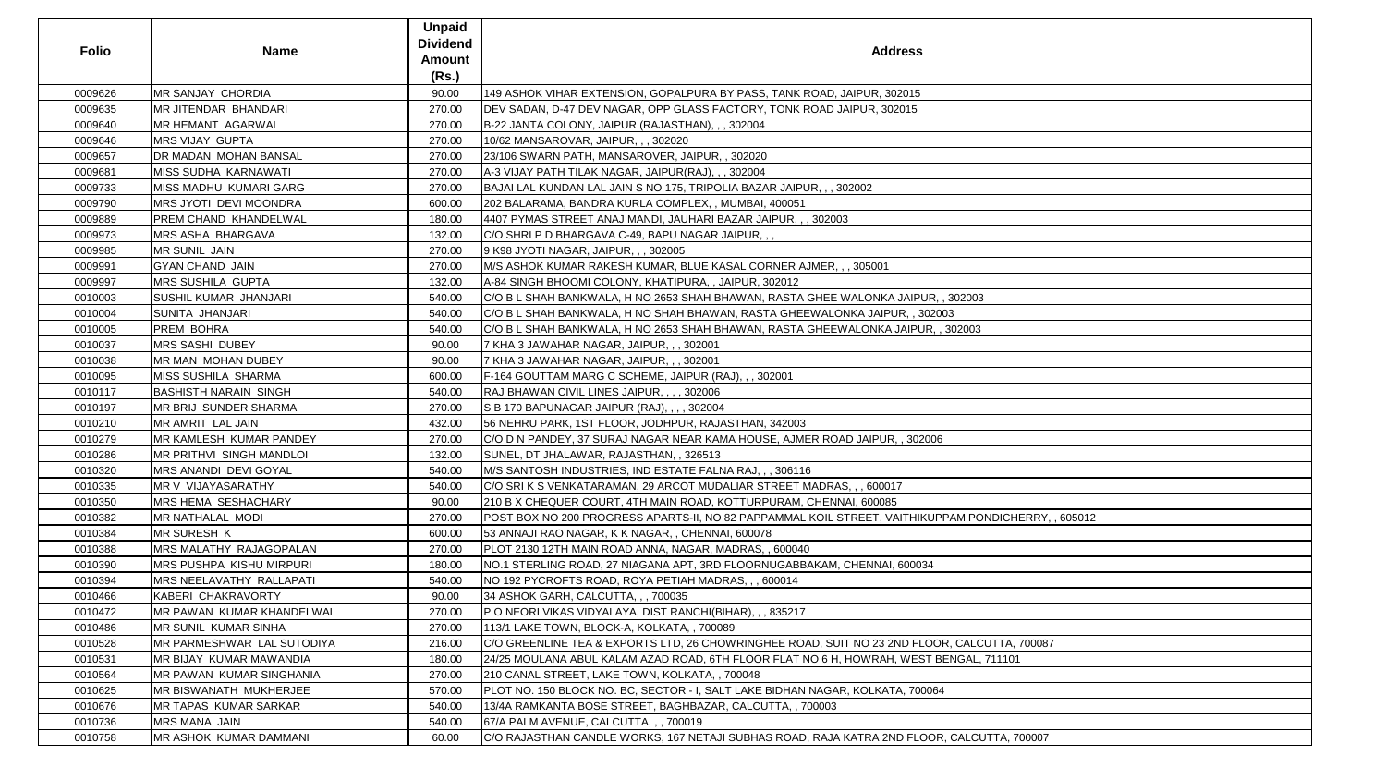| <b>Folio</b> | <b>Name</b>                   | <b>Unpaid</b><br><b>Dividend</b> | <b>Address</b>                                                                                      |
|--------------|-------------------------------|----------------------------------|-----------------------------------------------------------------------------------------------------|
|              |                               | Amount<br>(Rs.)                  |                                                                                                     |
| 0009626      | <b>MR SANJAY CHORDIA</b>      | 90.00                            | 149 ASHOK VIHAR EXTENSION, GOPALPURA BY PASS, TANK ROAD, JAIPUR, 302015                             |
| 0009635      | <b>MR JITENDAR BHANDARI</b>   | 270.00                           | DEV SADAN, D-47 DEV NAGAR, OPP GLASS FACTORY, TONK ROAD JAIPUR, 302015                              |
| 0009640      | MR HEMANT AGARWAL             | 270.00                           | B-22 JANTA COLONY, JAIPUR (RAJASTHAN), , , 302004                                                   |
| 0009646      | <b>MRS VIJAY GUPTA</b>        | 270.00                           | 10/62 MANSAROVAR, JAIPUR, , , 302020                                                                |
| 0009657      | DR MADAN MOHAN BANSAL         | 270.00                           | 23/106 SWARN PATH, MANSAROVER, JAIPUR, , 302020                                                     |
| 0009681      | <b>MISS SUDHA KARNAWATI</b>   | 270.00                           | A-3 VIJAY PATH TILAK NAGAR, JAIPUR(RAJ), , , 302004                                                 |
| 0009733      | MISS MADHU KUMARI GARG        | 270.00                           | BAJAI LAL KUNDAN LAL JAIN S NO 175, TRIPOLIA BAZAR JAIPUR, , , 302002                               |
| 0009790      | <b>MRS JYOTI DEVI MOONDRA</b> | 600.00                           | 202 BALARAMA, BANDRA KURLA COMPLEX, , MUMBAI, 400051                                                |
| 0009889      | PREM CHAND KHANDELWAL         | 180.00                           | 4407 PYMAS STREET ANAJ MANDI, JAUHARI BAZAR JAIPUR, , , 302003                                      |
| 0009973      | <b>MRS ASHA BHARGAVA</b>      | 132.00                           | C/O SHRI P D BHARGAVA C-49, BAPU NAGAR JAIPUR,,                                                     |
| 0009985      | <b>MR SUNIL JAIN</b>          | 270.00                           | 9 K98 JYOTI NAGAR, JAIPUR, , , 302005                                                               |
| 0009991      | <b>GYAN CHAND JAIN</b>        | 270.00                           | M/S ASHOK KUMAR RAKESH KUMAR, BLUE KASAL CORNER AJMER,,, 305001                                     |
| 0009997      | <b>MRS SUSHILA GUPTA</b>      | 132.00                           | A-84 SINGH BHOOMI COLONY, KHATIPURA,, JAIPUR, 302012                                                |
| 0010003      | <b>SUSHIL KUMAR JHANJARI</b>  | 540.00                           | C/O B L SHAH BANKWALA, H NO 2653 SHAH BHAWAN, RASTA GHEE WALONKA JAIPUR, , 302003                   |
| 0010004      | SUNITA JHANJARI               | 540.00                           | C/O B L SHAH BANKWALA, H NO SHAH BHAWAN, RASTA GHEEWALONKA JAIPUR, , 302003                         |
| 0010005      | PREM BOHRA                    | 540.00                           | C/O B L SHAH BANKWALA, H NO 2653 SHAH BHAWAN, RASTA GHEEWALONKA JAIPUR, , 302003                    |
| 0010037      | <b>MRS SASHI DUBEY</b>        | 90.00                            | 7 KHA 3 JAWAHAR NAGAR, JAIPUR, , , 302001                                                           |
| 0010038      | MR MAN MOHAN DUBEY            | 90.00                            | 7 KHA 3 JAWAHAR NAGAR, JAIPUR, , , 302001                                                           |
| 0010095      | <b>MISS SUSHILA SHARMA</b>    | 600.00                           | F-164 GOUTTAM MARG C SCHEME, JAIPUR (RAJ), , , 302001                                               |
| 0010117      | <b>BASHISTH NARAIN SINGH</b>  | 540.00                           | RAJ BHAWAN CIVIL LINES JAIPUR, , , , 302006                                                         |
| 0010197      | <b>MR BRIJ SUNDER SHARMA</b>  | 270.00                           | S B 170 BAPUNAGAR JAIPUR (RAJ), , , , 302004                                                        |
| 0010210      | MR AMRIT LAL JAIN             | 432.00                           | 56 NEHRU PARK, 1ST FLOOR, JODHPUR, RAJASTHAN, 342003                                                |
| 0010279      | MR KAMLESH KUMAR PANDEY       | 270.00                           | C/O D N PANDEY, 37 SURAJ NAGAR NEAR KAMA HOUSE, AJMER ROAD JAIPUR, , 302006                         |
| 0010286      | MR PRITHVI SINGH MANDLOI      | 132.00                           | SUNEL, DT JHALAWAR, RAJASTHAN, , 326513                                                             |
| 0010320      | <b>MRS ANANDI DEVI GOYAL</b>  | 540.00                           | M/S SANTOSH INDUSTRIES, IND ESTATE FALNA RAJ,,, 306116                                              |
| 0010335      | MR V VIJAYASARATHY            | 540.00                           | C/O SRI K S VENKATARAMAN, 29 ARCOT MUDALIAR STREET MADRAS, , , 600017                               |
| 0010350      | MRS HEMA SESHACHARY           | 90.00                            | 210 B X CHEQUER COURT, 4TH MAIN ROAD, KOTTURPURAM, CHENNAI, 600085                                  |
| 0010382      | MR NATHALAL MODI              | 270.00                           | POST BOX NO 200 PROGRESS APARTS-II, NO 82 PAPPAMMAL KOIL STREET, VAITHIKUPPAM PONDICHERRY, , 605012 |
| 0010384      | <b>MR SURESH K</b>            | 600.00                           | 53 ANNAJI RAO NAGAR, K K NAGAR, , CHENNAI, 600078                                                   |
| 0010388      | MRS MALATHY RAJAGOPALAN       | 270.00                           | PLOT 2130 12TH MAIN ROAD ANNA, NAGAR, MADRAS, , 600040                                              |
| 0010390      | MRS PUSHPA KISHU MIRPURI      | 180.00                           | NO.1 STERLING ROAD, 27 NIAGANA APT, 3RD FLOORNUGABBAKAM, CHENNAI, 600034                            |
| 0010394      | MRS NEELAVATHY RALLAPATI      | 540.00                           | NO 192 PYCROFTS ROAD, ROYA PETIAH MADRAS, , , 600014                                                |
| 0010466      | KABERI CHAKRAVORTY            | 90.00                            | 34 ASHOK GARH, CALCUTTA, , , 700035                                                                 |
| 0010472      | MR PAWAN KUMAR KHANDELWAL     | 270.00                           | P O NEORI VIKAS VIDYALAYA, DIST RANCHI(BIHAR), , , 835217                                           |
| 0010486      | MR SUNIL KUMAR SINHA          | 270.00                           | 113/1 LAKE TOWN, BLOCK-A, KOLKATA, , 700089                                                         |
| 0010528      | MR PARMESHWAR LAL SUTODIYA    | 216.00                           | C/O GREENLINE TEA & EXPORTS LTD, 26 CHOWRINGHEE ROAD, SUIT NO 23 2ND FLOOR, CALCUTTA, 700087        |
| 0010531      | MR BIJAY KUMAR MAWANDIA       | 180.00                           | 24/25 MOULANA ABUL KALAM AZAD ROAD, 6TH FLOOR FLAT NO 6 H, HOWRAH, WEST BENGAL, 711101              |
| 0010564      | MR PAWAN KUMAR SINGHANIA      | 270.00                           | 210 CANAL STREET, LAKE TOWN, KOLKATA, , 700048                                                      |
| 0010625      | <b>MR BISWANATH MUKHERJEE</b> | 570.00                           | PLOT NO. 150 BLOCK NO. BC, SECTOR - I, SALT LAKE BIDHAN NAGAR, KOLKATA, 700064                      |
| 0010676      | <b>MR TAPAS KUMAR SARKAR</b>  | 540.00                           | 13/4A RAMKANTA BOSE STREET, BAGHBAZAR, CALCUTTA, , 700003                                           |
| 0010736      | MRS MANA JAIN                 | 540.00                           | 67/A PALM AVENUE, CALCUTTA, , , 700019                                                              |
| 0010758      | MR ASHOK KUMAR DAMMANI        | 60.00                            | C/O RAJASTHAN CANDLE WORKS, 167 NETAJI SUBHAS ROAD, RAJA KATRA 2ND FLOOR, CALCUTTA, 700007          |

| $\overline{3}$       |  |
|----------------------|--|
|                      |  |
|                      |  |
| 3                    |  |
|                      |  |
|                      |  |
|                      |  |
|                      |  |
|                      |  |
|                      |  |
|                      |  |
|                      |  |
|                      |  |
|                      |  |
|                      |  |
|                      |  |
|                      |  |
|                      |  |
|                      |  |
|                      |  |
|                      |  |
|                      |  |
| ONDICHERRY, , 605012 |  |
|                      |  |
|                      |  |
|                      |  |
|                      |  |
|                      |  |
|                      |  |
|                      |  |
|                      |  |
|                      |  |
|                      |  |
|                      |  |
| CUTTA, 700087        |  |
| ., 711101            |  |
|                      |  |
|                      |  |
|                      |  |
|                      |  |
|                      |  |
|                      |  |
|                      |  |
| CUTTA, 700007        |  |
|                      |  |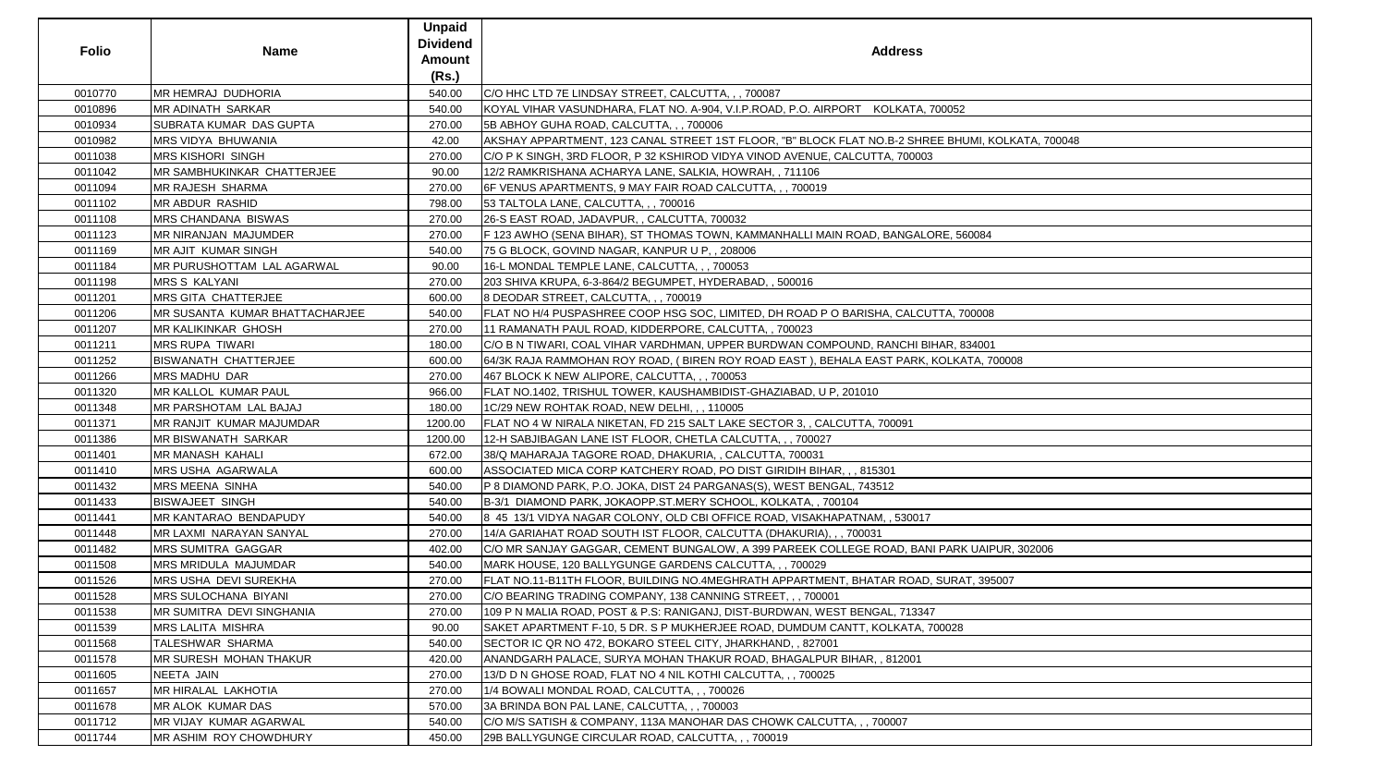| <b>Folio</b> | <b>Name</b>                    | <b>Unpaid</b><br><b>Dividend</b><br><b>Amount</b> | <b>Address</b>                                                                                    |
|--------------|--------------------------------|---------------------------------------------------|---------------------------------------------------------------------------------------------------|
|              |                                | (Rs.)                                             |                                                                                                   |
| 0010770      | MR HEMRAJ DUDHORIA             | 540.00                                            | C/O HHC LTD 7E LINDSAY STREET, CALCUTTA, , , 700087                                               |
| 0010896      | MR ADINATH SARKAR              | 540.00                                            | KOYAL VIHAR VASUNDHARA, FLAT NO. A-904, V.I.P.ROAD, P.O. AIRPORT KOLKATA, 700052                  |
| 0010934      | SUBRATA KUMAR DAS GUPTA        | 270.00                                            | 5B ABHOY GUHA ROAD, CALCUTTA, , , 700006                                                          |
| 0010982      | MRS VIDYA BHUWANIA             | 42.00                                             | AKSHAY APPARTMENT, 123 CANAL STREET 1ST FLOOR, "B" BLOCK FLAT NO.B-2 SHREE BHUMI, KOLKATA, 700048 |
| 0011038      | <b>MRS KISHORI SINGH</b>       | 270.00                                            | C/O P K SINGH, 3RD FLOOR, P 32 KSHIROD VIDYA VINOD AVENUE, CALCUTTA, 700003                       |
| 0011042      | MR SAMBHUKINKAR CHATTERJEE     | 90.00                                             | 12/2 RAMKRISHANA ACHARYA LANE, SALKIA, HOWRAH, , 711106                                           |
| 0011094      | MR RAJESH SHARMA               | 270.00                                            | 6F VENUS APARTMENTS, 9 MAY FAIR ROAD CALCUTTA, , , 700019                                         |
| 0011102      | <b>MR ABDUR RASHID</b>         | 798.00                                            | 53 TALTOLA LANE, CALCUTTA, , , 700016                                                             |
| 0011108      | MRS CHANDANA BISWAS            | 270.00                                            | 26-S EAST ROAD, JADAVPUR, , CALCUTTA, 700032                                                      |
| 0011123      | MR NIRANJAN MAJUMDER           | 270.00                                            | F 123 AWHO (SENA BIHAR), ST THOMAS TOWN, KAMMANHALLI MAIN ROAD, BANGALORE, 560084                 |
| 0011169      | MR AJIT KUMAR SINGH            | 540.00                                            | 75 G BLOCK, GOVIND NAGAR, KANPUR U P,, 208006                                                     |
| 0011184      | MR PURUSHOTTAM LAL AGARWAL     | 90.00                                             | 16-L MONDAL TEMPLE LANE, CALCUTTA, ,, 700053                                                      |
| 0011198      | <b>MRS S KALYANI</b>           | 270.00                                            | 203 SHIVA KRUPA, 6-3-864/2 BEGUMPET, HYDERABAD, , 500016                                          |
| 0011201      | MRS GITA CHATTERJEE            | 600.00                                            | 8 DEODAR STREET, CALCUTTA, , , 700019                                                             |
| 0011206      | MR SUSANTA KUMAR BHATTACHARJEE | 540.00                                            | FLAT NO H/4 PUSPASHREE COOP HSG SOC, LIMITED, DH ROAD P O BARISHA, CALCUTTA, 700008               |
| 0011207      | MR KALIKINKAR GHOSH            | 270.00                                            | 11 RAMANATH PAUL ROAD, KIDDERPORE, CALCUTTA, , 700023                                             |
| 0011211      | <b>MRS RUPA TIWARI</b>         | 180.00                                            | C/O B N TIWARI, COAL VIHAR VARDHMAN, UPPER BURDWAN COMPOUND, RANCHI BIHAR, 834001                 |
| 0011252      | <b>BISWANATH CHATTERJEE</b>    | 600.00                                            | 64/3K RAJA RAMMOHAN ROY ROAD, ( BIREN ROY ROAD EAST ), BEHALA EAST PARK, KOLKATA, 700008          |
| 0011266      | <b>MRS MADHU DAR</b>           | 270.00                                            | 467 BLOCK K NEW ALIPORE, CALCUTTA, , , 700053                                                     |
| 0011320      | MR KALLOL KUMAR PAUL           | 966.00                                            | FLAT NO.1402, TRISHUL TOWER, KAUSHAMBIDIST-GHAZIABAD, U P, 201010                                 |
| 0011348      | MR PARSHOTAM LAL BAJAJ         | 180.00                                            | 1C/29 NEW ROHTAK ROAD, NEW DELHI, , , 110005                                                      |
| 0011371      | MR RANJIT KUMAR MAJUMDAR       | 1200.00                                           | FLAT NO 4 W NIRALA NIKETAN, FD 215 SALT LAKE SECTOR 3, , CALCUTTA, 700091                         |
| 0011386      | MR BISWANATH SARKAR            | 1200.00                                           | 12-H SABJIBAGAN LANE IST FLOOR, CHETLA CALCUTTA, , , 700027                                       |
| 0011401      | <b>MR MANASH KAHALI</b>        | 672.00                                            | 38/Q MAHARAJA TAGORE ROAD, DHAKURIA, , CALCUTTA, 700031                                           |
| 0011410      | <b>MRS USHA AGARWALA</b>       | 600.00                                            | ASSOCIATED MICA CORP KATCHERY ROAD, PO DIST GIRIDIH BIHAR, , , 815301                             |
| 0011432      | <b>MRS MEENA SINHA</b>         | 540.00                                            | P 8 DIAMOND PARK, P.O. JOKA, DIST 24 PARGANAS(S), WEST BENGAL, 743512                             |
| 0011433      | <b>BISWAJEET SINGH</b>         | 540.00                                            | B-3/1 DIAMOND PARK, JOKAOPP.ST.MERY SCHOOL, KOLKATA, , 700104                                     |
| 0011441      | MR KANTARAO BENDAPUDY          | 540.00                                            | 8 45 13/1 VIDYA NAGAR COLONY, OLD CBI OFFICE ROAD, VISAKHAPATNAM, , 530017                        |
| 0011448      | MR LAXMI NARAYAN SANYAL        | 270.00                                            | 14/A GARIAHAT ROAD SOUTH IST FLOOR, CALCUTTA (DHAKURIA), , , 700031                               |
| 0011482      | MRS SUMITRA GAGGAR             | 402.00                                            | C/O MR SANJAY GAGGAR, CEMENT BUNGALOW, A 399 PAREEK COLLEGE ROAD, BANI PARK UAIPUR, 302006        |
| 0011508      | MRS MRIDULA MAJUMDAR           | 540.00                                            | MARK HOUSE, 120 BALLYGUNGE GARDENS CALCUTTA, , , 700029                                           |
| 0011526      | MRS USHA DEVI SUREKHA          | 270.00                                            | FLAT NO.11-B11TH FLOOR, BUILDING NO.4MEGHRATH APPARTMENT, BHATAR ROAD, SURAT, 395007              |
| 0011528      | MRS SULOCHANA BIYANI           | 270.00                                            | C/O BEARING TRADING COMPANY, 138 CANNING STREET, , , 700001                                       |
| 0011538      | MR SUMITRA DEVI SINGHANIA      | 270.00                                            | 109 P N MALIA ROAD, POST & P.S: RANIGANJ, DIST-BURDWAN, WEST BENGAL, 713347                       |
| 0011539      | MRS LALITA MISHRA              | 90.00                                             | SAKET APARTMENT F-10, 5 DR. S P MUKHERJEE ROAD, DUMDUM CANTT, KOLKATA, 700028                     |
| 0011568      | TALESHWAR SHARMA               | 540.00                                            | SECTOR IC QR NO 472, BOKARO STEEL CITY, JHARKHAND, , 827001                                       |
| 0011578      | MR SURESH MOHAN THAKUR         | 420.00                                            | ANANDGARH PALACE, SURYA MOHAN THAKUR ROAD, BHAGALPUR BIHAR, , 812001                              |
| 0011605      | NEETA JAIN                     | 270.00                                            | 13/D D N GHOSE ROAD, FLAT NO 4 NIL KOTHI CALCUTTA, , , 700025                                     |
| 0011657      | MR HIRALAL LAKHOTIA            | 270.00                                            | 1/4 BOWALI MONDAL ROAD, CALCUTTA, , , 700026                                                      |
| 0011678      | MR ALOK KUMAR DAS              | 570.00                                            | 3A BRINDA BON PAL LANE, CALCUTTA, , , 700003                                                      |
| 0011712      | MR VIJAY KUMAR AGARWAL         | 540.00                                            | C/O M/S SATISH & COMPANY, 113A MANOHAR DAS CHOWK CALCUTTA, , , 700007                             |
| 0011744      | MR ASHIM ROY CHOWDHURY         | 450.00                                            | 29B BALLYGUNGE CIRCULAR ROAD, CALCUTTA, , , 700019                                                |
|              |                                |                                                   |                                                                                                   |

| MI, KOLKATA, 700048   |
|-----------------------|
|                       |
|                       |
|                       |
|                       |
|                       |
|                       |
|                       |
| 0084                  |
|                       |
|                       |
|                       |
|                       |
|                       |
|                       |
|                       |
| 0008                  |
|                       |
| 34001                 |
|                       |
| TA, 700008            |
|                       |
|                       |
|                       |
|                       |
|                       |
|                       |
|                       |
|                       |
|                       |
|                       |
|                       |
|                       |
|                       |
|                       |
|                       |
|                       |
| <b>UAIPUR, 302006</b> |
|                       |
|                       |
| T, 395007             |
|                       |
|                       |
|                       |
|                       |
|                       |
|                       |
|                       |
|                       |
|                       |
|                       |
|                       |
|                       |
|                       |
|                       |
|                       |
|                       |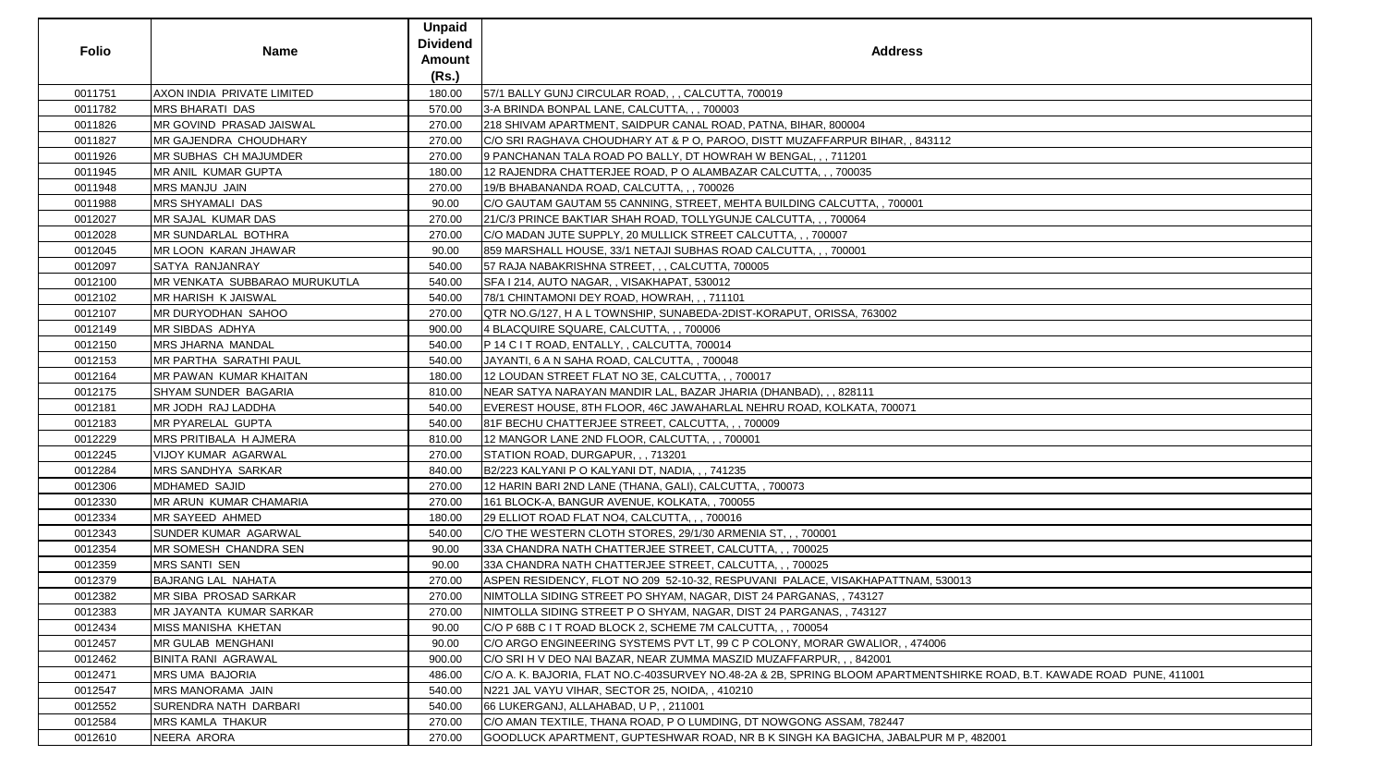| <b>Folio</b> | <b>Name</b>                           | <b>Unpaid</b><br><b>Dividend</b><br><b>Amount</b><br>(Rs.) | <b>Address</b>                                                                                    |
|--------------|---------------------------------------|------------------------------------------------------------|---------------------------------------------------------------------------------------------------|
| 0011751      | AXON INDIA PRIVATE LIMITED            | 180.00                                                     | 57/1 BALLY GUNJ CIRCULAR ROAD, , , CALCUTTA, 700019                                               |
| 0011782      | <b>MRS BHARATI DAS</b>                | 570.00                                                     | 3-A BRINDA BONPAL LANE, CALCUTTA, , , 700003                                                      |
| 0011826      | MR GOVIND PRASAD JAISWAL              | 270.00                                                     | 218 SHIVAM APARTMENT, SAIDPUR CANAL ROAD, PATNA, BIHAR, 800004                                    |
| 0011827      | <b>MR GAJENDRA CHOUDHARY</b>          | 270.00                                                     | C/O SRI RAGHAVA CHOUDHARY AT & P O, PAROO, DISTT MUZAFFARPUR BIHAR, , 843112                      |
| 0011926      | <b>MR SUBHAS CH MAJUMDER</b>          | 270.00                                                     | 9 PANCHANAN TALA ROAD PO BALLY, DT HOWRAH W BENGAL, , , 711201                                    |
| 0011945      | MR ANIL KUMAR GUPTA                   | 180.00                                                     | 12 RAJENDRA CHATTERJEE ROAD, P O ALAMBAZAR CALCUTTA, , , 700035                                   |
| 0011948      | MRS MANJU JAIN                        | 270.00                                                     | 19/B BHABANANDA ROAD, CALCUTTA, , , 700026                                                        |
| 0011988      | <b>MRS SHYAMALI DAS</b>               | 90.00                                                      | C/O GAUTAM GAUTAM 55 CANNING, STREET, MEHTA BUILDING CALCUTTA, , 700001                           |
| 0012027      | MR SAJAL KUMAR DAS                    | 270.00                                                     | 21/C/3 PRINCE BAKTIAR SHAH ROAD, TOLLYGUNJE CALCUTTA, , , 700064                                  |
| 0012028      | MR SUNDARLAL BOTHRA                   | 270.00                                                     | C/O MADAN JUTE SUPPLY, 20 MULLICK STREET CALCUTTA, , , 700007                                     |
| 0012045      | MR LOON KARAN JHAWAR                  | 90.00                                                      | 859 MARSHALL HOUSE, 33/1 NETAJI SUBHAS ROAD CALCUTTA, , , 700001                                  |
| 0012097      | <b>SATYA RANJANRAY</b>                | 540.00                                                     | 57 RAJA NABAKRISHNA STREET, , , CALCUTTA, 700005                                                  |
| 0012100      | <b>IMR VENKATA SUBBARAO MURUKUTLA</b> | 540.00                                                     | SFA I 214, AUTO NAGAR, , VISAKHAPAT, 530012                                                       |
| 0012102      | <b>MR HARISH K JAISWAL</b>            | 540.00                                                     | 78/1 CHINTAMONI DEY ROAD, HOWRAH, ,, 711101                                                       |
| 0012107      | <b>MR DURYODHAN SAHOO</b>             | 270.00                                                     | QTR NO.G/127, H A L TOWNSHIP, SUNABEDA-2DIST-KORAPUT, ORISSA, 763002                              |
| 0012149      | <b>MR SIBDAS ADHYA</b>                | 900.00                                                     | 4 BLACQUIRE SQUARE, CALCUTTA, , , 700006                                                          |
| 0012150      | <b>MRS JHARNA MANDAL</b>              | 540.00                                                     | P 14 C I T ROAD, ENTALLY, , CALCUTTA, 700014                                                      |
| 0012153      | <b>MR PARTHA SARATHI PAUL</b>         | 540.00                                                     | JAYANTI, 6 A N SAHA ROAD, CALCUTTA, , 700048                                                      |
| 0012164      | MR PAWAN KUMAR KHAITAN                | 180.00                                                     | 12 LOUDAN STREET FLAT NO 3E, CALCUTTA, , , 700017                                                 |
| 0012175      | <b>SHYAM SUNDER BAGARIA</b>           | 810.00                                                     | NEAR SATYA NARAYAN MANDIR LAL, BAZAR JHARIA (DHANBAD), , , 828111                                 |
| 0012181      | MR JODH RAJ LADDHA                    | 540.00                                                     | EVEREST HOUSE, 8TH FLOOR, 46C JAWAHARLAL NEHRU ROAD, KOLKATA, 700071                              |
| 0012183      | MR PYARELAL GUPTA                     | 540.00                                                     | 81F BECHU CHATTERJEE STREET, CALCUTTA, , , 700009                                                 |
| 0012229      | <b>MRS PRITIBALA H AJMERA</b>         | 810.00                                                     | 12 MANGOR LANE 2ND FLOOR, CALCUTTA, , , 700001                                                    |
| 0012245      | VIJOY KUMAR AGARWAL                   | 270.00                                                     | STATION ROAD, DURGAPUR, , , 713201                                                                |
| 0012284      | MRS SANDHYA SARKAR                    | 840.00                                                     | B2/223 KALYANI P O KALYANI DT, NADIA, , , 741235                                                  |
| 0012306      | <b>MDHAMED SAJID</b>                  | 270.00                                                     | 12 HARIN BARI 2ND LANE (THANA, GALI), CALCUTTA, , 700073                                          |
| 0012330      | MR ARUN KUMAR CHAMARIA                | 270.00                                                     | 161 BLOCK-A, BANGUR AVENUE, KOLKATA, , 700055                                                     |
| 0012334      | <b>MR SAYEED AHMED</b>                | 180.00                                                     | 29 ELLIOT ROAD FLAT NO4, CALCUTTA, , , 700016                                                     |
| 0012343      | SUNDER KUMAR AGARWAL                  | 540.00                                                     | C/O THE WESTERN CLOTH STORES, 29/1/30 ARMENIA ST, , , 700001                                      |
| 0012354      | <b>MR SOMESH CHANDRA SEN</b>          | 90.00                                                      | 33A CHANDRA NATH CHATTERJEE STREET, CALCUTTA, ,, 700025                                           |
| 0012359      | <b>MRS SANTI SEN</b>                  | 90.00                                                      | 33A CHANDRA NATH CHATTERJEE STREET, CALCUTTA, , , 700025                                          |
| 0012379      | <b>BAJRANG LAL NAHATA</b>             | 270.00                                                     | ASPEN RESIDENCY, FLOT NO 209_52-10-32, RESPUVANI_PALACE, VISAKHAPATTNAM, 530013                   |
| 0012382      | <b>MR SIBA PROSAD SARKAR</b>          | 270.00                                                     | NIMTOLLA SIDING STREET PO SHYAM, NAGAR, DIST 24 PARGANAS, , 743127                                |
| 0012383      | MR JAYANTA KUMAR SARKAR               | 270.00                                                     | NIMTOLLA SIDING STREET P O SHYAM, NAGAR, DIST 24 PARGANAS, , 743127                               |
| 0012434      | MISS MANISHA KHETAN                   | 90.00                                                      | C/O P 68B C I T ROAD BLOCK 2, SCHEME 7M CALCUTTA, , , 700054                                      |
| 0012457      | <b>MR GULAB MENGHANI</b>              | 90.00                                                      | C/O ARGO ENGINEERING SYSTEMS PVT LT, 99 C P COLONY, MORAR GWALIOR, , 474006                       |
| 0012462      | <b>BINITA RANI AGRAWAL</b>            | 900.00                                                     | C/O SRI H V DEO NAI BAZAR, NEAR ZUMMA MASZID MUZAFFARPUR, , , 842001                              |
| 0012471      | <b>MRS UMA BAJORIA</b>                | 486.00                                                     | C/O A. K. BAJORIA, FLAT NO.C-403SURVEY NO.48-2A & 2B, SPRING BLOOM APARTMENTSHIRKE ROAD, B.T. KAI |
| 0012547      | <b>MRS MANORAMA JAIN</b>              | 540.00                                                     | N221 JAL VAYU VIHAR, SECTOR 25, NOIDA, , 410210                                                   |
| 0012552      | <b>SURENDRA NATH DARBARI</b>          | 540.00                                                     | 66 LUKERGANJ, ALLAHABAD, U P, , 211001                                                            |
| 0012584      | <b>MRS KAMLA THAKUR</b>               | 270.00                                                     | C/O AMAN TEXTILE, THANA ROAD, P O LUMDING, DT NOWGONG ASSAM, 782447                               |
| 0012610      | NEERA ARORA                           | 270.00                                                     | GOODLUCK APARTMENT, GUPTESHWAR ROAD, NR B K SINGH KA BAGICHA, JABALPUR M P, 482001                |

| 112                                         |
|---------------------------------------------|
|                                             |
|                                             |
|                                             |
|                                             |
|                                             |
|                                             |
|                                             |
|                                             |
|                                             |
|                                             |
|                                             |
|                                             |
|                                             |
|                                             |
|                                             |
|                                             |
|                                             |
|                                             |
|                                             |
|                                             |
|                                             |
|                                             |
|                                             |
|                                             |
|                                             |
|                                             |
|                                             |
|                                             |
|                                             |
|                                             |
|                                             |
|                                             |
|                                             |
|                                             |
|                                             |
| 530013                                      |
|                                             |
|                                             |
|                                             |
|                                             |
| $\overline{06}$                             |
|                                             |
| TSHIRKE ROAD, B.T. KAWADE ROAD PUNE, 411001 |
|                                             |
|                                             |
|                                             |
|                                             |
| R M P, 482001                               |
|                                             |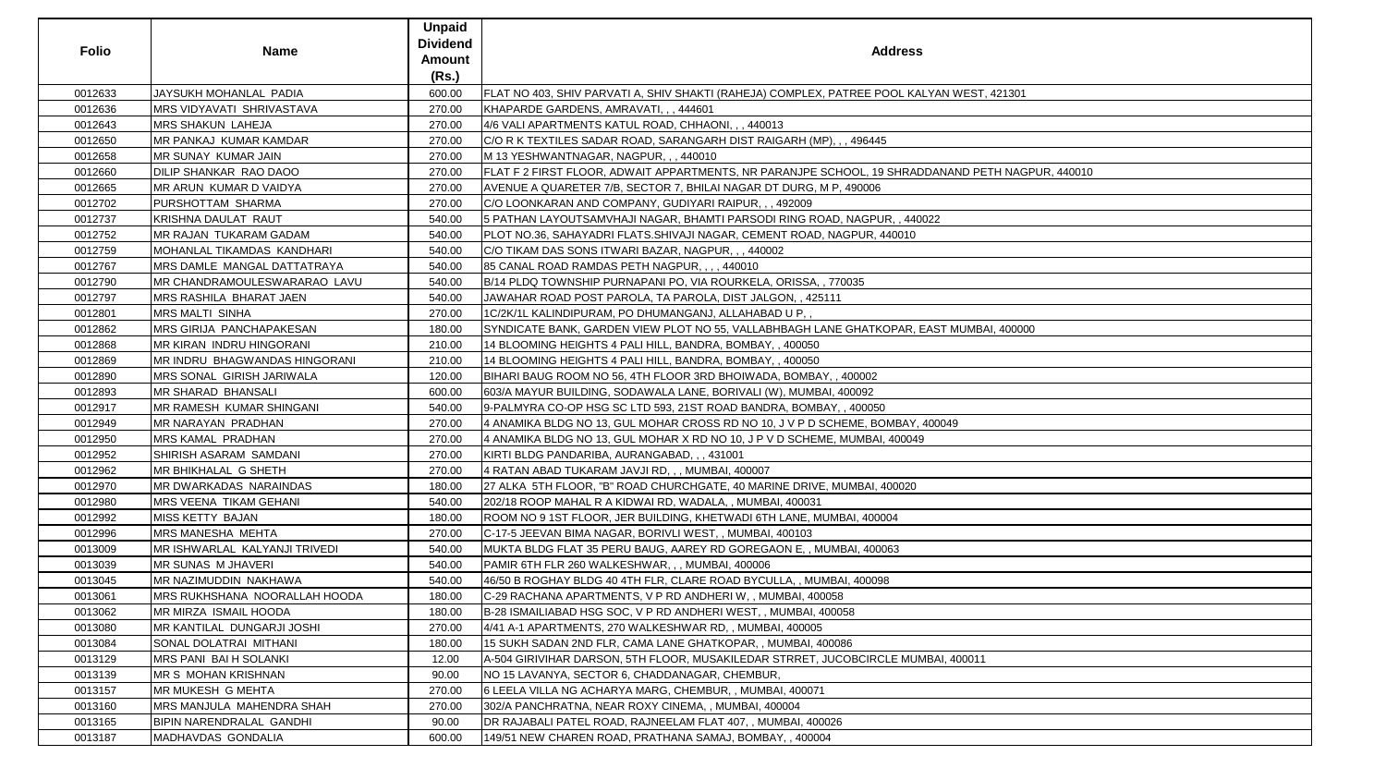| <b>Folio</b> | <b>Name</b>                          | <b>Unpaid</b><br><b>Dividend</b><br><b>Amount</b><br>(Rs.) | <b>Address</b>                                                                                   |
|--------------|--------------------------------------|------------------------------------------------------------|--------------------------------------------------------------------------------------------------|
| 0012633      | JAYSUKH MOHANLAL PADIA               | 600.00                                                     | FLAT NO 403, SHIV PARVATI A, SHIV SHAKTI (RAHEJA) COMPLEX, PATREE POOL KALYAN WEST, 421301       |
| 0012636      | <b>MRS VIDYAVATI SHRIVASTAVA</b>     | 270.00                                                     | KHAPARDE GARDENS, AMRAVATI, , , 444601                                                           |
| 0012643      | <b>MRS SHAKUN LAHEJA</b>             | 270.00                                                     | 4/6 VALI APARTMENTS KATUL ROAD, CHHAONI, , , 440013                                              |
| 0012650      | IMR PANKAJ KUMAR KAMDAR              | 270.00                                                     | C/O R K TEXTILES SADAR ROAD, SARANGARH DIST RAIGARH (MP), , , 496445                             |
| 0012658      | MR SUNAY KUMAR JAIN                  | 270.00                                                     | M 13 YESHWANTNAGAR, NAGPUR, , , 440010                                                           |
| 0012660      | <b>DILIP SHANKAR RAO DAOO</b>        | 270.00                                                     | FLAT F 2 FIRST FLOOR, ADWAIT APPARTMENTS, NR PARANJPE SCHOOL, 19 SHRADDANAND PETH NAGPUR, 440010 |
| 0012665      | MR ARUN KUMAR D VAIDYA               | 270.00                                                     | AVENUE A QUARETER 7/B, SECTOR 7, BHILAI NAGAR DT DURG, M P, 490006                               |
| 0012702      | PURSHOTTAM SHARMA                    | 270.00                                                     | C/O LOONKARAN AND COMPANY, GUDIYARI RAIPUR, , , 492009                                           |
| 0012737      | KRISHNA DAULAT RAUT                  | 540.00                                                     | 5 PATHAN LAYOUTSAMVHAJI NAGAR, BHAMTI PARSODI RING ROAD, NAGPUR, , 440022                        |
| 0012752      | <b>MR RAJAN TUKARAM GADAM</b>        | 540.00                                                     | PLOT NO.36, SAHAYADRI FLATS.SHIVAJI NAGAR, CEMENT ROAD, NAGPUR, 440010                           |
| 0012759      | IMOHANLAL TIKAMDAS KANDHARI          | 540.00                                                     | C/O TIKAM DAS SONS ITWARI BAZAR, NAGPUR, , , 440002                                              |
| 0012767      | MRS DAMLE MANGAL DATTATRAYA          | 540.00                                                     | 85 CANAL ROAD RAMDAS PETH NAGPUR,  440010                                                        |
| 0012790      | MR CHANDRAMOULESWARARAO LAVU         | 540.00                                                     | B/14 PLDQ TOWNSHIP PURNAPANI PO, VIA ROURKELA, ORISSA, , 770035                                  |
| 0012797      | MRS RASHILA BHARAT JAEN              | 540.00                                                     | JAWAHAR ROAD POST PAROLA, TA PAROLA, DIST JALGON, , 425111                                       |
| 0012801      | <b>MRS MALTI SINHA</b>               | 270.00                                                     | 1C/2K/1L KALINDIPURAM, PO DHUMANGANJ, ALLAHABAD U P,,                                            |
| 0012862      | <b>MRS GIRIJA PANCHAPAKESAN</b>      | 180.00                                                     | SYNDICATE BANK, GARDEN VIEW PLOT NO 55, VALLABHBAGH LANE GHATKOPAR, EAST MUMBAI, 400000          |
| 0012868      | <b>MR KIRAN INDRU HINGORANI</b>      | 210.00                                                     | 14 BLOOMING HEIGHTS 4 PALI HILL, BANDRA, BOMBAY, , 400050                                        |
| 0012869      | <b>MR INDRU BHAGWANDAS HINGORANI</b> | 210.00                                                     | 14 BLOOMING HEIGHTS 4 PALI HILL, BANDRA, BOMBAY, , 400050                                        |
| 0012890      | MRS SONAL GIRISH JARIWALA            | 120.00                                                     | BIHARI BAUG ROOM NO 56, 4TH FLOOR 3RD BHOIWADA, BOMBAY,, 400002                                  |
| 0012893      | <b>MR SHARAD BHANSALI</b>            | 600.00                                                     | 603/A MAYUR BUILDING, SODAWALA LANE, BORIVALI (W), MUMBAI, 400092                                |
| 0012917      | MR RAMESH KUMAR SHINGANI             | 540.00                                                     | 9-PALMYRA CO-OP HSG SC LTD 593, 21ST ROAD BANDRA, BOMBAY, , 400050                               |
| 0012949      | MR NARAYAN PRADHAN                   | 270.00                                                     | 4 ANAMIKA BLDG NO 13, GUL MOHAR CROSS RD NO 10, J V P D SCHEME, BOMBAY, 400049                   |
| 0012950      | <b>MRS KAMAL PRADHAN</b>             | 270.00                                                     | 4 ANAMIKA BLDG NO 13, GUL MOHAR X RD NO 10, J P V D SCHEME, MUMBAI, 400049                       |
| 0012952      | <b>SHIRISH ASARAM SAMDANI</b>        | 270.00                                                     | KIRTI BLDG PANDARIBA, AURANGABAD, , , 431001                                                     |
| 0012962      | <b>MR BHIKHALAL G SHETH</b>          | 270.00                                                     | 4 RATAN ABAD TUKARAM JAVJI RD, , , MUMBAI, 400007                                                |
| 0012970      | MR DWARKADAS NARAINDAS               | 180.00                                                     | 27 ALKA 5TH FLOOR, "B" ROAD CHURCHGATE, 40 MARINE DRIVE, MUMBAI, 400020                          |
| 0012980      | MRS VEENA TIKAM GEHANI               | 540.00                                                     | 202/18 ROOP MAHAL R A KIDWAI RD, WADALA, , MUMBAI, 400031                                        |
| 0012992      | <b>MISS KETTY BAJAN</b>              | 180.00                                                     | ROOM NO 9 1ST FLOOR, JER BUILDING, KHETWADI 6TH LANE, MUMBAI, 400004                             |
| 0012996      | <b>MRS MANESHA MEHTA</b>             | 270.00                                                     | C-17-5 JEEVAN BIMA NAGAR, BORIVLI WEST,, MUMBAI, 400103                                          |
| 0013009      | MR ISHWARLAL KALYANJI TRIVEDI        | 540.00                                                     | MUKTA BLDG FLAT 35 PERU BAUG, AAREY RD GOREGAON E, , MUMBAI, 400063                              |
| 0013039      | <b>MR SUNAS M JHAVERI</b>            | 540.00                                                     | PAMIR 6TH FLR 260 WALKESHWAR, , , MUMBAI, 400006                                                 |
| 0013045      | MR NAZIMUDDIN NAKHAWA                | 540.00                                                     | 46/50 B ROGHAY BLDG 40 4TH FLR, CLARE ROAD BYCULLA, , MUMBAI, 400098                             |
| 0013061      | MRS RUKHSHANA NOORALLAH HOODA        | 180.00                                                     | C-29 RACHANA APARTMENTS, V P RD ANDHERI W, , MUMBAI, 400058                                      |
| 0013062      | MR MIRZA ISMAIL HOODA                | 180.00                                                     | B-28 ISMAILIABAD HSG SOC, V P RD ANDHERI WEST, , MUMBAI, 400058                                  |
| 0013080      | <b>MR KANTILAL DUNGARJI JOSHI</b>    | 270.00                                                     | 4/41 A-1 APARTMENTS, 270 WALKESHWAR RD,, MUMBAI, 400005                                          |
| 0013084      | SONAL DOLATRAI MITHANI               | 180.00                                                     | 15 SUKH SADAN 2ND FLR, CAMA LANE GHATKOPAR, , MUMBAI, 400086                                     |
| 0013129      | <b>MRS PANI BAI H SOLANKI</b>        | 12.00                                                      | A-504 GIRIVIHAR DARSON, 5TH FLOOR, MUSAKILEDAR STRRET, JUCOBCIRCLE MUMBAI, 400011                |
| 0013139      | MR S MOHAN KRISHNAN                  | 90.00                                                      | NO 15 LAVANYA, SECTOR 6, CHADDANAGAR, CHEMBUR,                                                   |
| 0013157      | MR MUKESH G MEHTA                    | 270.00                                                     | 6 LEELA VILLA NG ACHARYA MARG, CHEMBUR, , MUMBAI, 400071                                         |
| 0013160      | MRS MANJULA MAHENDRA SHAH            | 270.00                                                     | 302/A PANCHRATNA, NEAR ROXY CINEMA, , MUMBAI, 400004                                             |
| 0013165      | <b>BIPIN NARENDRALAL GANDHI</b>      | 90.00                                                      | DR RAJABALI PATEL ROAD, RAJNEELAM FLAT 407,, MUMBAI, 400026                                      |
| 0013187      | MADHAVDAS GONDALIA                   | 600.00                                                     | 149/51 NEW CHAREN ROAD, PRATHANA SAMAJ, BOMBAY, , 400004                                         |

| SS                           |
|------------------------------|
|                              |
|                              |
| KALYAN WEST, 421301          |
|                              |
|                              |
|                              |
|                              |
| ADDANAND PETH NAGPUR, 440010 |
|                              |
|                              |
| 40022                        |
| $\mathsf{O}$                 |
|                              |
|                              |
|                              |
|                              |
|                              |
| , EAST MUMBAI, 400000        |
|                              |
|                              |
|                              |
|                              |
|                              |
| Y, 400049                    |
| 49                           |
|                              |
|                              |
| 0                            |
|                              |
|                              |
|                              |
|                              |
|                              |
|                              |
|                              |
|                              |
|                              |
|                              |
|                              |
| UMBAI, 400011                |
|                              |
|                              |
|                              |
|                              |
|                              |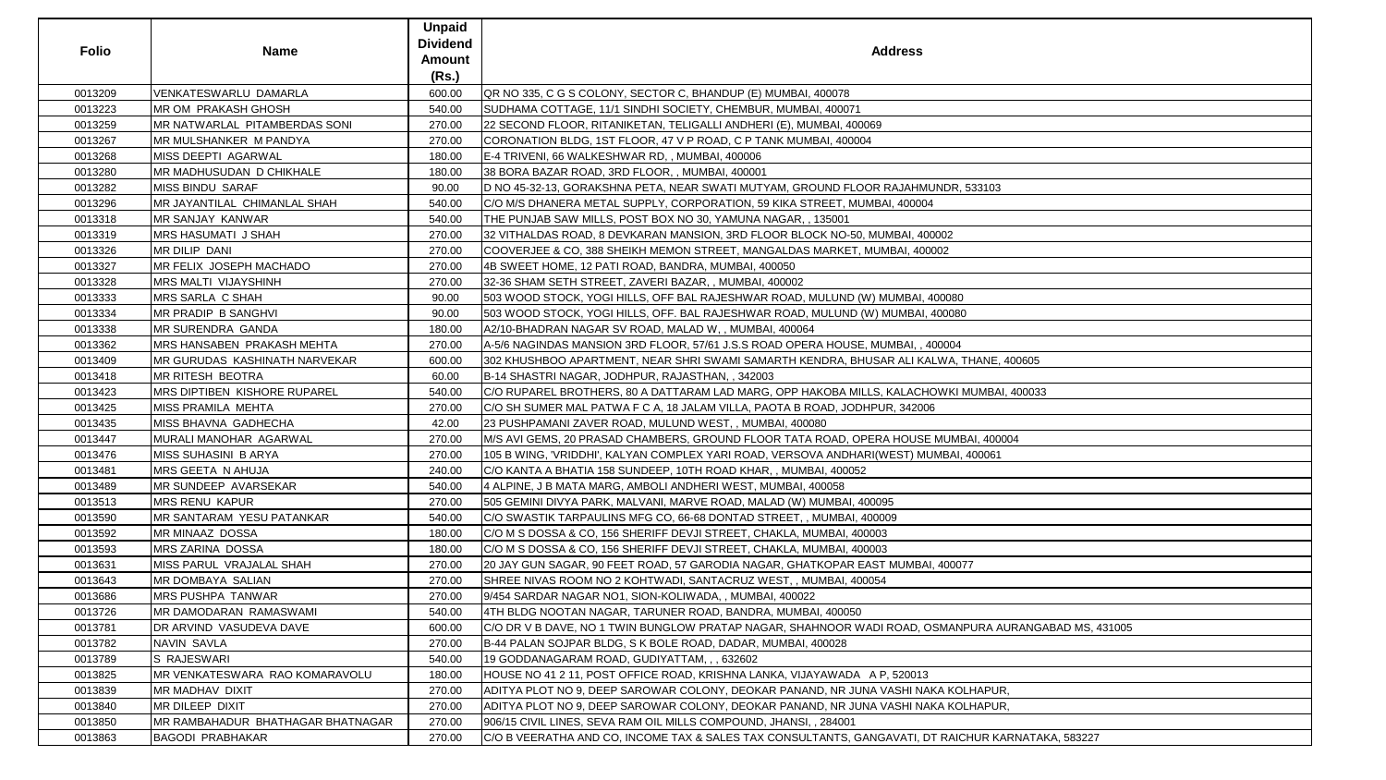|              |                                        | <b>Unpaid</b>   |                                                                                                      |
|--------------|----------------------------------------|-----------------|------------------------------------------------------------------------------------------------------|
| <b>Folio</b> |                                        | <b>Dividend</b> | <b>Address</b>                                                                                       |
|              | <b>Name</b>                            | <b>Amount</b>   |                                                                                                      |
|              |                                        | (Rs.)           |                                                                                                      |
| 0013209      | VENKATESWARLU DAMARLA                  | 600.00          | QR NO 335, C G S COLONY, SECTOR C, BHANDUP (E) MUMBAI, 400078                                        |
| 0013223      | MR OM PRAKASH GHOSH                    | 540.00          | SUDHAMA COTTAGE, 11/1 SINDHI SOCIETY, CHEMBUR, MUMBAI, 400071                                        |
| 0013259      | MR NATWARLAL PITAMBERDAS SONI          | 270.00          | 22 SECOND FLOOR, RITANIKETAN, TELIGALLI ANDHERI (E), MUMBAI, 400069                                  |
| 0013267      | <b>MR MULSHANKER M PANDYA</b>          | 270.00          | CORONATION BLDG, 1ST FLOOR, 47 V P ROAD, C P TANK MUMBAI, 400004                                     |
| 0013268      | <b>MISS DEEPTI AGARWAL</b>             | 180.00          | E-4 TRIVENI, 66 WALKESHWAR RD,, MUMBAI, 400006                                                       |
| 0013280      | MR MADHUSUDAN D CHIKHALE               | 180.00          | 38 BORA BAZAR ROAD, 3RD FLOOR,, MUMBAI, 400001                                                       |
| 0013282      | <b>MISS BINDU SARAF</b>                | 90.00           | D NO 45-32-13, GORAKSHNA PETA, NEAR SWATI MUTYAM, GROUND FLOOR RAJAHMUNDR, 533103                    |
| 0013296      | MR JAYANTILAL CHIMANLAL SHAH           | 540.00          | C/O M/S DHANERA METAL SUPPLY, CORPORATION, 59 KIKA STREET, MUMBAI, 400004                            |
| 0013318      | MR SANJAY KANWAR                       | 540.00          | THE PUNJAB SAW MILLS, POST BOX NO 30, YAMUNA NAGAR, , 135001                                         |
| 0013319      | <b>MRS HASUMATI J SHAH</b>             | 270.00          | 32 VITHALDAS ROAD, 8 DEVKARAN MANSION, 3RD FLOOR BLOCK NO-50, MUMBAI, 400002                         |
| 0013326      | <b>MR DILIP DANI</b>                   | 270.00          | COOVERJEE & CO, 388 SHEIKH MEMON STREET, MANGALDAS MARKET, MUMBAI, 400002                            |
| 0013327      | <b>IMR FELIX JOSEPH MACHADO</b>        | 270.00          | 4B SWEET HOME, 12 PATI ROAD, BANDRA, MUMBAI, 400050                                                  |
| 0013328      | <b>MRS MALTI VIJAYSHINH</b>            | 270.00          | 32-36 SHAM SETH STREET, ZAVERI BAZAR, , MUMBAI, 400002                                               |
| 0013333      | MRS SARLA C SHAH                       | 90.00           | 503 WOOD STOCK, YOGI HILLS, OFF BAL RAJESHWAR ROAD, MULUND (W) MUMBAI, 400080                        |
| 0013334      | MR PRADIP B SANGHVI                    | 90.00           | 503 WOOD STOCK, YOGI HILLS, OFF. BAL RAJESHWAR ROAD, MULUND (W) MUMBAI, 400080                       |
| 0013338      | MR SURENDRA GANDA                      | 180.00          | A2/10-BHADRAN NAGAR SV ROAD, MALAD W,, MUMBAI, 400064                                                |
| 0013362      | <b>IMRS HANSABEN PRAKASH MEHTA</b>     | 270.00          | A-5/6 NAGINDAS MANSION 3RD FLOOR, 57/61 J.S.S ROAD OPERA HOUSE, MUMBAI, , 400004                     |
| 0013409      | <b>IMR GURUDAS KASHINATH NARVEKAR</b>  | 600.00          | 302 KHUSHBOO APARTMENT, NEAR SHRI SWAMI SAMARTH KENDRA, BHUSAR ALI KALWA, THANE, 400605              |
| 0013418      | <b>MR RITESH BEOTRA</b>                | 60.00           | B-14 SHASTRI NAGAR, JODHPUR, RAJASTHAN, , 342003                                                     |
| 0013423      | <b>IMRS DIPTIBEN KISHORE RUPAREL</b>   | 540.00          | C/O RUPAREL BROTHERS, 80 A DATTARAM LAD MARG, OPP HAKOBA MILLS, KALACHOWKI MUMBAI, 400033            |
| 0013425      | MISS PRAMILA MEHTA                     | 270.00          | C/O SH SUMER MAL PATWA F C A, 18 JALAM VILLA, PAOTA B ROAD, JODHPUR, 342006                          |
| 0013435      | MISS BHAVNA GADHECHA                   | 42.00           | 23 PUSHPAMANI ZAVER ROAD, MULUND WEST, , MUMBAI, 400080                                              |
| 0013447      | MURALI MANOHAR AGARWAL                 | 270.00          | M/S AVI GEMS, 20 PRASAD CHAMBERS, GROUND FLOOR TATA ROAD, OPERA HOUSE MUMBAI, 400004                 |
| 0013476      | <b>MISS SUHASINI B ARYA</b>            | 270.00          | 105 B WING, 'VRIDDHI', KALYAN COMPLEX YARI ROAD, VERSOVA ANDHARI(WEST) MUMBAI, 400061                |
| 0013481      | MRS GEETA N AHUJA                      | 240.00          | C/O KANTA A BHATIA 158 SUNDEEP, 10TH ROAD KHAR, , MUMBAI, 400052                                     |
| 0013489      | <b>MR SUNDEEP AVARSEKAR</b>            | 540.00          | 4 ALPINE, J B MATA MARG, AMBOLI ANDHERI WEST, MUMBAI, 400058                                         |
| 0013513      | <b>MRS RENU KAPUR</b>                  | 270.00          | 505 GEMINI DIVYA PARK, MALVANI, MARVE ROAD, MALAD (W) MUMBAI, 400095                                 |
| 0013590      | <b>IMR SANTARAM YESU PATANKAR</b>      | 540.00          | C/O SWASTIK TARPAULINS MFG CO, 66-68 DONTAD STREET, , MUMBAI, 400009                                 |
| 0013592      | <b>MR MINAAZ DOSSA</b>                 | 180.00          | C/O M S DOSSA & CO, 156 SHERIFF DEVJI STREET, CHAKLA, MUMBAI, 400003                                 |
| 0013593      | <b>MRS ZARINA DOSSA</b>                | 180.00          | C/O M S DOSSA & CO, 156 SHERIFF DEVJI STREET, CHAKLA, MUMBAI, 400003                                 |
| 0013631      | <b>MISS PARUL VRAJALAL SHAH</b>        | 270.00          | 20 JAY GUN SAGAR, 90 FEET ROAD, 57 GARODIA NAGAR, GHATKOPAR EAST MUMBAI, 400077                      |
| 0013643      | <b>MR DOMBAYA SALIAN</b>               | 270.00          | SHREE NIVAS ROOM NO 2 KOHTWADI, SANTACRUZ WEST, , MUMBAI, 400054                                     |
| 0013686      | MRS PUSHPA TANWAR                      | 270.00          | 9/454 SARDAR NAGAR NO1, SION-KOLIWADA,, MUMBAI, 400022                                               |
| 0013726      | MR DAMODARAN RAMASWAMI                 | 540.00          | 4TH BLDG NOOTAN NAGAR, TARUNER ROAD, BANDRA, MUMBAI, 400050                                          |
| 0013781      | <b>DR ARVIND VASUDEVA DAVE</b>         | 600.00          | C/O DR V B DAVE, NO 1 TWIN BUNGLOW PRATAP NAGAR, SHAHNOOR WADI ROAD, OSMANPURA AURANGABAD MS, 431005 |
| 0013782      | <b>NAVIN SAVLA</b>                     | 270.00          | B-44 PALAN SOJPAR BLDG, S K BOLE ROAD, DADAR, MUMBAI, 400028                                         |
| 0013789      | <b>S RAJESWARI</b>                     | 540.00          | 19 GODDANAGARAM ROAD, GUDIYATTAM, , , 632602                                                         |
| 0013825      | <b>IMR VENKATESWARA RAO KOMARAVOLU</b> | 180.00          | HOUSE NO 41 2 11, POST OFFICE ROAD, KRISHNA LANKA, VIJAYAWADA A P, 520013                            |
| 0013839      | <b>MR MADHAV DIXIT</b>                 | 270.00          | ADITYA PLOT NO 9, DEEP SAROWAR COLONY, DEOKAR PANAND, NR JUNA VASHI NAKA KOLHAPUR,                   |
| 0013840      | MR DILEEP DIXIT                        | 270.00          | ADITYA PLOT NO 9, DEEP SAROWAR COLONY, DEOKAR PANAND, NR JUNA VASHI NAKA KOLHAPUR,                   |
| 0013850      | MR RAMBAHADUR BHATHAGAR BHATNAGAR      | 270.00          | 906/15 CIVIL LINES, SEVA RAM OIL MILLS COMPOUND, JHANSI, , 284001                                    |
| 0013863      | <b>BAGODI PRABHAKAR</b>                | 270.00          | C/O B VEERATHA AND CO, INCOME TAX & SALES TAX CONSULTANTS, GANGAVATI, DT RAICHUR KARNATAKA, 583227   |

| VDR, 533103                   |
|-------------------------------|
|                               |
|                               |
| 02                            |
| $\overline{2}$                |
|                               |
|                               |
|                               |
| 0080                          |
| 00080                         |
|                               |
| 0004                          |
| <b>WA, THANE, 400605</b>      |
|                               |
| WKI MUMBAI, 400033            |
|                               |
|                               |
| 1UMBAI, 400004                |
| 1BAI, 400061                  |
|                               |
|                               |
|                               |
|                               |
|                               |
|                               |
|                               |
| 400077                        |
|                               |
|                               |
|                               |
| MANPURA AURANGABAD MS, 431005 |
|                               |
|                               |
|                               |
|                               |
| <u>A KOLHAPUR,</u>            |
| A KOLHAPUR,                   |
|                               |
| RAICHUR KARNATAKA, 583227     |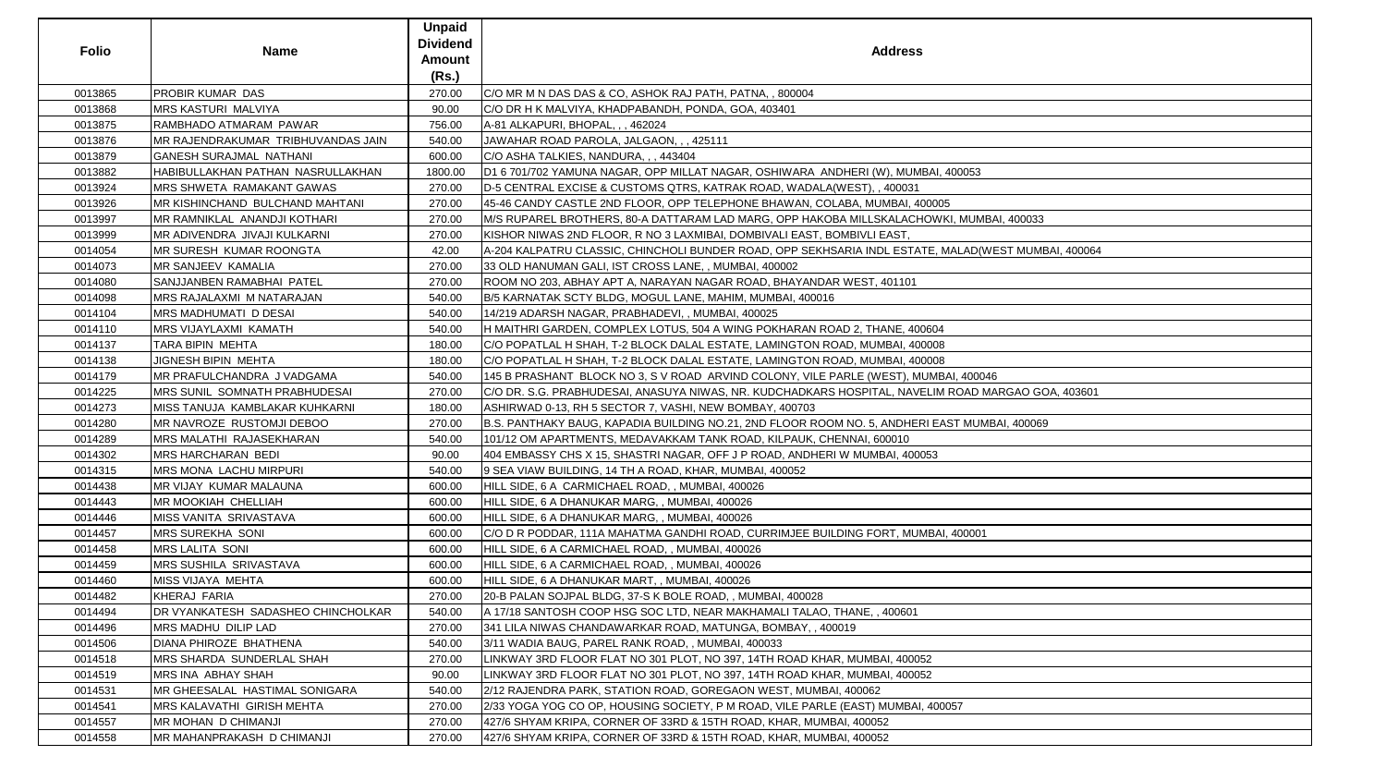| <b>Folio</b> | <b>Name</b>                                | <b>Unpaid</b><br><b>Dividend</b><br>Amount<br>(Rs.) | <b>Address</b>                                                                                      |
|--------------|--------------------------------------------|-----------------------------------------------------|-----------------------------------------------------------------------------------------------------|
| 0013865      | <b>PROBIR KUMAR DAS</b>                    | 270.00                                              | C/O MR M N DAS DAS & CO, ASHOK RAJ PATH, PATNA,, 800004                                             |
| 0013868      | <b>MRS KASTURI MALVIYA</b>                 | 90.00                                               | C/O DR H K MALVIYA, KHADPABANDH, PONDA, GOA, 403401                                                 |
| 0013875      | RAMBHADO ATMARAM PAWAR                     | 756.00                                              | A-81 ALKAPURI, BHOPAL, , , 462024                                                                   |
| 0013876      | MR RAJENDRAKUMAR TRIBHUVANDAS JAIN         | 540.00                                              | JAWAHAR ROAD PAROLA, JALGAON, , , 425111                                                            |
| 0013879      | <b>GANESH SURAJMAL NATHANI</b>             | 600.00                                              | C/O ASHA TALKIES, NANDURA, , , 443404                                                               |
| 0013882      | HABIBULLAKHAN PATHAN NASRULLAKHAN          | 1800.00                                             | D1 6 701/702 YAMUNA NAGAR, OPP MILLAT NAGAR, OSHIWARA ANDHERI (W), MUMBAI, 400053                   |
| 0013924      | <b>IMRS SHWETA RAMAKANT GAWAS</b>          | 270.00                                              | D-5 CENTRAL EXCISE & CUSTOMS QTRS, KATRAK ROAD, WADALA(WEST), , 400031                              |
| 0013926      | <b>IMR KISHINCHAND BULCHAND MAHTANI</b>    | 270.00                                              | 45-46 CANDY CASTLE 2ND FLOOR, OPP TELEPHONE BHAWAN, COLABA, MUMBAI, 400005                          |
| 0013997      | MR RAMNIKLAL ANANDJI KOTHARI               | 270.00                                              | M/S RUPAREL BROTHERS, 80-A DATTARAM LAD MARG, OPP HAKOBA MILLSKALACHOWKI, MUMBAI, 400033            |
| 0013999      | MR ADIVENDRA JIVAJI KULKARNI               | 270.00                                              | KISHOR NIWAS 2ND FLOOR, R NO 3 LAXMIBAI, DOMBIVALI EAST, BOMBIVLI EAST,                             |
| 0014054      | <b>IMR SURESH KUMAR ROONGTA</b>            | 42.00                                               | A-204 KALPATRU CLASSIC, CHINCHOLI BUNDER ROAD, OPP SEKHSARIA INDL ESTATE, MALAD(WEST MUMBAI, 400064 |
| 0014073      | MR SANJEEV KAMALIA                         | 270.00                                              | 33 OLD HANUMAN GALI, IST CROSS LANE, , MUMBAI, 400002                                               |
| 0014080      | <b>SANJJANBEN RAMABHAI PATEL</b>           | 270.00                                              | ROOM NO 203, ABHAY APT A, NARAYAN NAGAR ROAD, BHAYANDAR WEST, 401101                                |
| 0014098      | <b>MRS RAJALAXMI M NATARAJAN</b>           | 540.00                                              | B/5 KARNATAK SCTY BLDG, MOGUL LANE, MAHIM, MUMBAI, 400016                                           |
| 0014104      | <b>MRS MADHUMATI D DESAI</b>               | 540.00                                              | 14/219 ADARSH NAGAR, PRABHADEVI, , MUMBAI, 400025                                                   |
| 0014110      | <b>MRS VIJAYLAXMI KAMATH</b>               | 540.00                                              | H MAITHRI GARDEN, COMPLEX LOTUS, 504 A WING POKHARAN ROAD 2, THANE, 400604                          |
| 0014137      | TARA BIPIN MEHTA                           | 180.00                                              | C/O POPATLAL H SHAH, T-2 BLOCK DALAL ESTATE, LAMINGTON ROAD, MUMBAI, 400008                         |
| 0014138      | JIGNESH BIPIN MEHTA                        | 180.00                                              | C/O POPATLAL H SHAH, T-2 BLOCK DALAL ESTATE, LAMINGTON ROAD, MUMBAI, 400008                         |
| 0014179      | <b>IMR PRAFULCHANDRA J VADGAMA</b>         | 540.00                                              | 145 B PRASHANT BLOCK NO 3, S V ROAD ARVIND COLONY, VILE PARLE (WEST), MUMBAI, 400046                |
| 0014225      | <b>IMRS SUNIL SOMNATH PRABHUDESAI</b>      | 270.00                                              | C/O DR. S.G. PRABHUDESAI, ANASUYA NIWAS, NR. KUDCHADKARS HOSPITAL, NAVELIM ROAD MARGAO GOA, 403601  |
| 0014273      | MISS TANUJA KAMBLAKAR KUHKARNI             | 180.00                                              | ASHIRWAD 0-13, RH 5 SECTOR 7, VASHI, NEW BOMBAY, 400703                                             |
| 0014280      | <b>IMR NAVROZE RUSTOMJI DEBOO</b>          | 270.00                                              | B.S. PANTHAKY BAUG, KAPADIA BUILDING NO.21, 2ND FLOOR ROOM NO. 5, ANDHERI EAST MUMBAI, 400069       |
| 0014289      | <b>MRS MALATHI RAJASEKHARAN</b>            | 540.00                                              | 101/12 OM APARTMENTS, MEDAVAKKAM TANK ROAD, KILPAUK, CHENNAI, 600010                                |
| 0014302      | MRS HARCHARAN BEDI                         | 90.00                                               | 404 EMBASSY CHS X 15, SHASTRI NAGAR, OFF J P ROAD, ANDHERI W MUMBAI, 400053                         |
| 0014315      | <b>IMRS MONA LACHU MIRPURI</b>             | 540.00                                              | 9 SEA VIAW BUILDING, 14 TH A ROAD, KHAR, MUMBAI, 400052                                             |
| 0014438      | <b>MR VIJAY KUMAR MALAUNA</b>              | 600.00                                              | HILL SIDE, 6 A CARMICHAEL ROAD, , MUMBAI, 400026                                                    |
| 0014443      | MR MOOKIAH CHELLIAH                        | 600.00                                              | HILL SIDE, 6 A DHANUKAR MARG, , MUMBAI, 400026                                                      |
| 0014446      | MISS VANITA SRIVASTAVA                     | 600.00                                              | HILL SIDE, 6 A DHANUKAR MARG, , MUMBAI, 400026                                                      |
| 0014457      | <b>MRS SUREKHA SONI</b>                    | 600.00                                              | C/O D R PODDAR, 111A MAHATMA GANDHI ROAD, CURRIMJEE BUILDING FORT, MUMBAI, 400001                   |
| 0014458      | <b>MRS LALITA SONI</b>                     | 600.00                                              | HILL SIDE, 6 A CARMICHAEL ROAD, , MUMBAI, 400026                                                    |
| 0014459      | <b>MRS SUSHILA SRIVASTAVA</b>              | 600.00                                              | HILL SIDE, 6 A CARMICHAEL ROAD, , MUMBAI, 400026                                                    |
| 0014460      | <b>MISS VIJAYA MEHTA</b>                   | 600.00                                              | HILL SIDE, 6 A DHANUKAR MART, , MUMBAI, 400026                                                      |
| 0014482      | <b>KHERAJ FARIA</b>                        | 270.00                                              | 20-B PALAN SOJPAL BLDG, 37-S K BOLE ROAD, , MUMBAI, 400028                                          |
| 0014494      | <b>IDR VYANKATESH SADASHEO CHINCHOLKAR</b> | 540.00                                              | A 17/18 SANTOSH COOP HSG SOC LTD, NEAR MAKHAMALI TALAO, THANE, , 400601                             |
| 0014496      | MRS MADHU DILIP LAD                        | 270.00                                              | 341 LILA NIWAS CHANDAWARKAR ROAD, MATUNGA, BOMBAY, , 400019                                         |
| 0014506      | DIANA PHIROZE BHATHENA                     | 540.00                                              | 3/11 WADIA BAUG, PAREL RANK ROAD, , MUMBAI, 400033                                                  |
| 0014518      | <b>IMRS SHARDA SUNDERLAL SHAH</b>          | 270.00                                              | LINKWAY 3RD FLOOR FLAT NO 301 PLOT, NO 397, 14TH ROAD KHAR, MUMBAI, 400052                          |
| 0014519      | <b>IMRS INA ABHAY SHAH</b>                 | 90.00                                               | LINKWAY 3RD FLOOR FLAT NO 301 PLOT, NO 397, 14TH ROAD KHAR, MUMBAI, 400052                          |
| 0014531      | <b>IMR GHEESALAL HASTIMAL SONIGARA</b>     | 540.00                                              | 2/12 RAJENDRA PARK, STATION ROAD, GOREGAON WEST, MUMBAI, 400062                                     |
| 0014541      | <b>MRS KALAVATHI GIRISH MEHTA</b>          | 270.00                                              | 2/33 YOGA YOG CO OP, HOUSING SOCIETY, P M ROAD, VILE PARLE (EAST) MUMBAI, 400057                    |
| 0014557      | MR MOHAN D CHIMANJI                        | 270.00                                              | 427/6 SHYAM KRIPA, CORNER OF 33RD & 15TH ROAD, KHAR, MUMBAI, 400052                                 |
| 0014558      | MR MAHANPRAKASH D CHIMANJI                 | 270.00                                              | 427/6 SHYAM KRIPA, CORNER OF 33RD & 15TH ROAD, KHAR, MUMBAI, 400052                                 |
|              |                                            |                                                     |                                                                                                     |

| NI, 400053                   |
|------------------------------|
|                              |
| 005                          |
|                              |
| WKI, MUMBAI, 400033          |
|                              |
| F, MALAD(WEST MUMBAI, 400064 |
|                              |
|                              |
|                              |
|                              |
|                              |
| 04                           |
|                              |
| $\overline{08}$              |
| $\overline{08}$              |
| 18AI, 400046                 |
|                              |
| IM ROAD MARGAO GOA, 403601   |
|                              |
| EAST MUMBAI, 400069          |
|                              |
|                              |
| 3                            |
|                              |
|                              |
|                              |
|                              |
|                              |
| 3AI, 400001                  |
|                              |
|                              |
|                              |
|                              |
|                              |
|                              |
|                              |
|                              |
|                              |
|                              |
|                              |
|                              |
|                              |
| 00057                        |
|                              |
|                              |
|                              |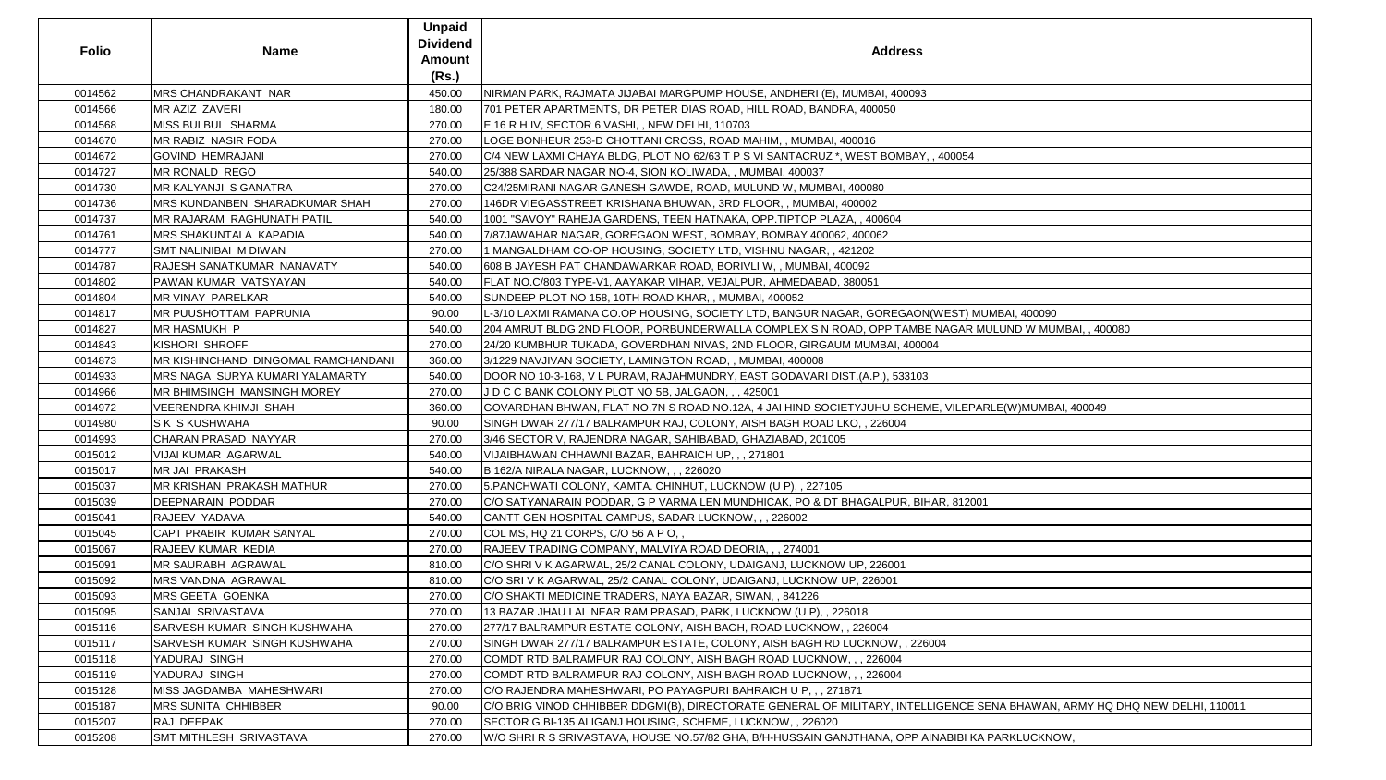| <b>Folio</b> | <b>Name</b>                         | <b>Unpaid</b><br><b>Dividend</b><br>Amount<br>(Rs.) | <b>Address</b>                                                                                                             |
|--------------|-------------------------------------|-----------------------------------------------------|----------------------------------------------------------------------------------------------------------------------------|
| 0014562      | <b>MRS CHANDRAKANT NAR</b>          | 450.00                                              | NIRMAN PARK, RAJMATA JIJABAI MARGPUMP HOUSE, ANDHERI (E), MUMBAI, 400093                                                   |
| 0014566      | MR AZIZ ZAVERI                      | 180.00                                              | 701 PETER APARTMENTS, DR PETER DIAS ROAD, HILL ROAD, BANDRA, 400050                                                        |
| 0014568      | MISS BULBUL SHARMA                  | 270.00                                              | E 16 R H IV, SECTOR 6 VASHI, , NEW DELHI, 110703                                                                           |
| 0014670      | MR RABIZ NASIR FODA                 | 270.00                                              | LOGE BONHEUR 253-D CHOTTANI CROSS, ROAD MAHIM, , MUMBAI, 400016                                                            |
| 0014672      | <b>GOVIND HEMRAJANI</b>             | 270.00                                              | C/4 NEW LAXMI CHAYA BLDG, PLOT NO 62/63 T P S VI SANTACRUZ *, WEST BOMBAY, , 400054                                        |
| 0014727      | MR RONALD REGO                      | 540.00                                              | 25/388 SARDAR NAGAR NO-4, SION KOLIWADA,, MUMBAI, 400037                                                                   |
| 0014730      | MR KALYANJI S GANATRA               | 270.00                                              | C24/25MIRANI NAGAR GANESH GAWDE, ROAD, MULUND W, MUMBAI, 400080                                                            |
| 0014736      | MRS KUNDANBEN SHARADKUMAR SHAH      | 270.00                                              | 146DR VIEGASSTREET KRISHANA BHUWAN, 3RD FLOOR,, MUMBAI, 400002                                                             |
| 0014737      | MR RAJARAM RAGHUNATH PATIL          | 540.00                                              | 1001 "SAVOY" RAHEJA GARDENS, TEEN HATNAKA, OPP. TIPTOP PLAZA, , 400604                                                     |
| 0014761      | MRS SHAKUNTALA KAPADIA              | 540.00                                              | 7/87JAWAHAR NAGAR, GOREGAON WEST, BOMBAY, BOMBAY 400062, 400062                                                            |
| 0014777      | SMT NALINIBAI M DIWAN               | 270.00                                              | 1 MANGALDHAM CO-OP HOUSING, SOCIETY LTD, VISHNU NAGAR, , 421202                                                            |
| 0014787      | RAJESH SANATKUMAR NANAVATY          | 540.00                                              | 608 B JAYESH PAT CHANDAWARKAR ROAD, BORIVLI W, , MUMBAI, 400092                                                            |
| 0014802      | PAWAN KUMAR VATSYAYAN               | 540.00                                              | FLAT NO.C/803 TYPE-V1, AAYAKAR VIHAR, VEJALPUR, AHMEDABAD, 380051                                                          |
| 0014804      | MR VINAY PARELKAR                   | 540.00                                              | SUNDEEP PLOT NO 158, 10TH ROAD KHAR, , MUMBAI, 400052                                                                      |
| 0014817      | MR PUUSHOTTAM PAPRUNIA              | 90.00                                               | L-3/10 LAXMI RAMANA CO.OP HOUSING, SOCIETY LTD, BANGUR NAGAR, GOREGAON(WEST) MUMBAI, 400090                                |
| 0014827      | MR HASMUKH P                        | 540.00                                              | 204 AMRUT BLDG 2ND FLOOR, PORBUNDERWALLA COMPLEX S N ROAD, OPP TAMBE NAGAR MULUND W MUMBAI, , 400080                       |
| 0014843      | KISHORI SHROFF                      | 270.00                                              | 24/20 KUMBHUR TUKADA, GOVERDHAN NIVAS, 2ND FLOOR, GIRGAUM MUMBAI, 400004                                                   |
| 0014873      | MR KISHINCHAND DINGOMAL RAMCHANDANI | 360.00                                              | 3/1229 NAVJIVAN SOCIETY, LAMINGTON ROAD, , MUMBAI, 400008                                                                  |
| 0014933      | MRS NAGA SURYA KUMARI YALAMARTY     | 540.00                                              | DOOR NO 10-3-168, V L PURAM, RAJAHMUNDRY, EAST GODAVARI DIST.(A.P.), 533103                                                |
| 0014966      | MR BHIMSINGH MANSINGH MOREY         | 270.00                                              | J D C C BANK COLONY PLOT NO 5B, JALGAON, , , 425001                                                                        |
| 0014972      | <b>VEERENDRA KHIMJI SHAH</b>        | 360.00                                              | GOVARDHAN BHWAN, FLAT NO.7N S ROAD NO.12A, 4 JAI HIND SOCIETYJUHU SCHEME, VILEPARLE(W)MUMBAI, 400049                       |
| 0014980      | <b>SK SKUSHWAHA</b>                 | 90.00                                               | SINGH DWAR 277/17 BALRAMPUR RAJ, COLONY, AISH BAGH ROAD LKO, , 226004                                                      |
| 0014993      | CHARAN PRASAD NAYYAR                | 270.00                                              | 3/46 SECTOR V, RAJENDRA NAGAR, SAHIBABAD, GHAZIABAD, 201005                                                                |
| 0015012      | VIJAI KUMAR AGARWAL                 | 540.00                                              | VIJAIBHAWAN CHHAWNI BAZAR, BAHRAICH UP, , , 271801                                                                         |
| 0015017      | <b>MR JAI PRAKASH</b>               | 540.00                                              | B 162/A NIRALA NAGAR, LUCKNOW, ,, 226020                                                                                   |
| 0015037      | MR KRISHAN PRAKASH MATHUR           | 270.00                                              | 5. PANCHWATI COLONY, KAMTA. CHINHUT, LUCKNOW (U P), , 227105                                                               |
| 0015039      | DEEPNARAIN PODDAR                   | 270.00                                              | C/O SATYANARAIN PODDAR, G P VARMA LEN MUNDHICAK, PO & DT BHAGALPUR, BIHAR, 812001                                          |
| 0015041      | RAJEEV YADAVA                       | 540.00                                              | CANTT GEN HOSPITAL CAMPUS, SADAR LUCKNOW, , , 226002                                                                       |
| 0015045      | CAPT PRABIR KUMAR SANYAL            | 270.00                                              | COL MS, HQ 21 CORPS, C/O 56 A P O,,                                                                                        |
| 0015067      | RAJEEV KUMAR KEDIA                  | 270.00                                              | RAJEEV TRADING COMPANY, MALVIYA ROAD DEORIA, , , 274001                                                                    |
| 0015091      | MR SAURABH AGRAWAL                  | 810.00                                              | C/O SHRI V K AGARWAL, 25/2 CANAL COLONY, UDAIGANJ, LUCKNOW UP, 226001                                                      |
| 0015092      | MRS VANDNA AGRAWAL                  | 810.00                                              | C/O SRI V K AGARWAL, 25/2 CANAL COLONY, UDAIGANJ, LUCKNOW UP, 226001                                                       |
| 0015093      | MRS GEETA GOENKA                    | 270.00                                              | C/O SHAKTI MEDICINE TRADERS, NAYA BAZAR, SIWAN, , 841226                                                                   |
| 0015095      | SANJAI SRIVASTAVA                   | 270.00                                              | 13 BAZAR JHAU LAL NEAR RAM PRASAD, PARK, LUCKNOW (U P), , 226018                                                           |
| 0015116      | SARVESH KUMAR SINGH KUSHWAHA        | 270.00                                              | 277/17 BALRAMPUR ESTATE COLONY, AISH BAGH, ROAD LUCKNOW,, 226004                                                           |
| 0015117      | SARVESH KUMAR SINGH KUSHWAHA        | 270.00                                              | SINGH DWAR 277/17 BALRAMPUR ESTATE, COLONY, AISH BAGH RD LUCKNOW, , 226004                                                 |
| 0015118      | YADURAJ SINGH                       | 270.00                                              | COMDT RTD BALRAMPUR RAJ COLONY, AISH BAGH ROAD LUCKNOW, , , 226004                                                         |
| 0015119      | YADURAJ SINGH                       | 270.00                                              | COMDT RTD BALRAMPUR RAJ COLONY, AISH BAGH ROAD LUCKNOW, , , 226004                                                         |
| 0015128      | MISS JAGDAMBA MAHESHWARI            | 270.00                                              | C/O RAJENDRA MAHESHWARI, PO PAYAGPURI BAHRAICH U P,,, 271871                                                               |
| 0015187      | <b>MRS SUNITA CHHIBBER</b>          | 90.00                                               | C/O BRIG VINOD CHHIBBER DDGMI(B), DIRECTORATE GENERAL OF MILITARY, INTELLIGENCE SENA BHAWAN, ARMY HQ DHQ NEW DELHI, 110011 |
| 0015207      | RAJ DEEPAK                          | 270.00                                              | SECTOR G BI-135 ALIGANJ HOUSING, SCHEME, LUCKNOW, , 226020                                                                 |
| 0015208      | SMT MITHLESH SRIVASTAVA             | 270.00                                              | W/O SHRI R S SRIVASTAVA, HOUSE NO.57/82 GHA, B/H-HUSSAIN GANJTHANA, OPP AINABIBI KA PARKLUCKNOW,                           |
|              |                                     |                                                     |                                                                                                                            |

| ess                                                                     |
|-------------------------------------------------------------------------|
| 0093                                                                    |
|                                                                         |
|                                                                         |
| BAY, , 400054                                                           |
|                                                                         |
|                                                                         |
|                                                                         |
|                                                                         |
|                                                                         |
| <b>AON(WEST) MUMBAI, 400090</b><br>AMBE NAGAR MULUND W MUMBAI, , 400080 |
| 400004                                                                  |
| 3103                                                                    |
| CHEME, VILEPARLE(W)MUMBAI, 400049                                       |
|                                                                         |
|                                                                         |
|                                                                         |
| R, BIHAR, 812001                                                        |
|                                                                         |
|                                                                         |
|                                                                         |
|                                                                         |
|                                                                         |
| , 226004                                                                |
|                                                                         |
| ITELLIGENCE SENA BHAWAN, ARMY HQ DHQ NEW DELHI, 110011                  |
| PP AINABIBI KA PARKLUCKNOW,                                             |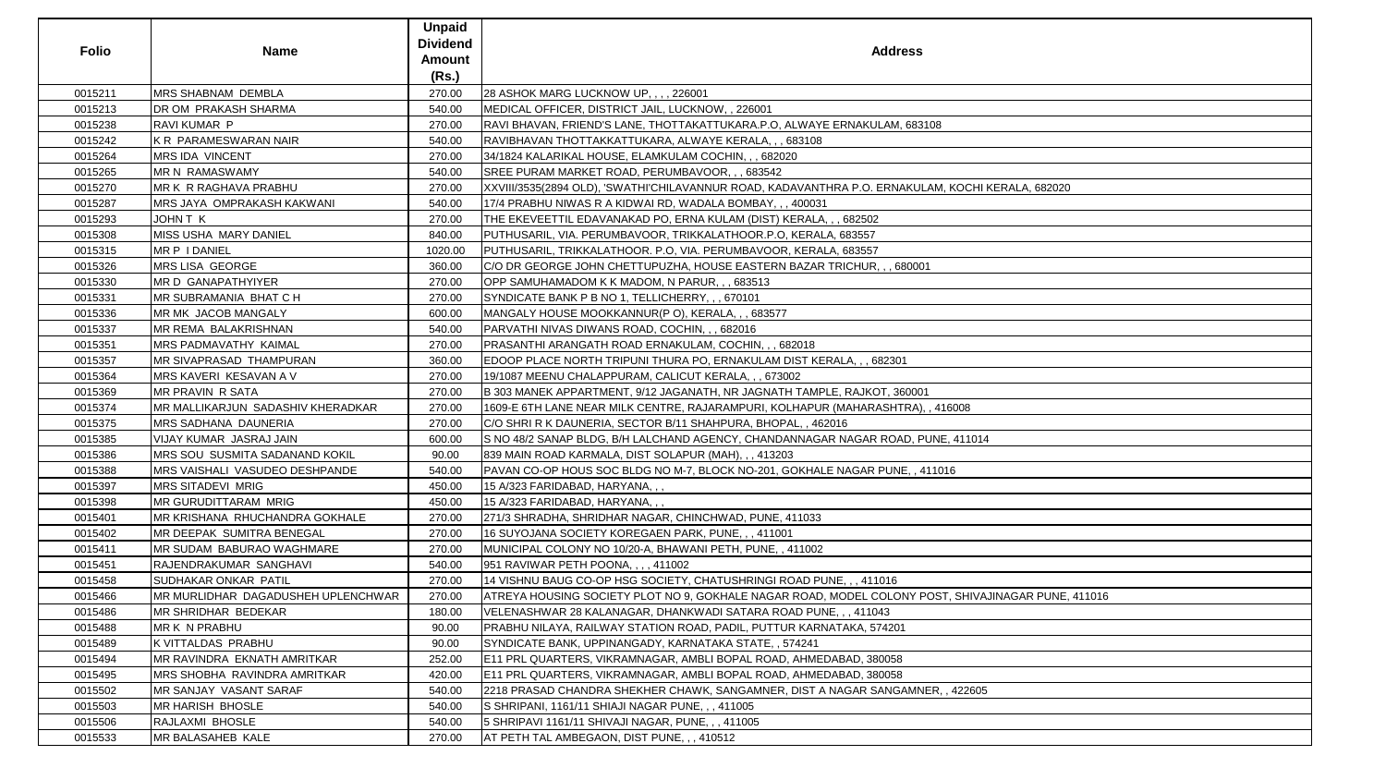| <b>Folio</b> | <b>Name</b>                        | <b>Unpaid</b><br><b>Dividend</b><br>Amount<br>(Rs.) | <b>Address</b>                                                                                     |
|--------------|------------------------------------|-----------------------------------------------------|----------------------------------------------------------------------------------------------------|
| 0015211      | <b>MRS SHABNAM DEMBLA</b>          | 270.00                                              | 28 ASHOK MARG LUCKNOW UP, , , , 226001                                                             |
| 0015213      | DR OM PRAKASH SHARMA               | 540.00                                              | MEDICAL OFFICER, DISTRICT JAIL, LUCKNOW, , 226001                                                  |
| 0015238      | RAVI KUMAR P                       | 270.00                                              | RAVI BHAVAN, FRIEND'S LANE, THOTTAKATTUKARA.P.O, ALWAYE ERNAKULAM, 683108                          |
| 0015242      | K R PARAMESWARAN NAIR              | 540.00                                              | RAVIBHAVAN THOTTAKKATTUKARA, ALWAYE KERALA, , , 683108                                             |
| 0015264      | MRS IDA VINCENT                    | 270.00                                              | 34/1824 KALARIKAL HOUSE, ELAMKULAM COCHIN, , , 682020                                              |
| 0015265      | <b>MR N RAMASWAMY</b>              | 540.00                                              | SREE PURAM MARKET ROAD, PERUMBAVOOR, , , 683542                                                    |
| 0015270      | MR K R RAGHAVA PRABHU              | 270.00                                              | XXVIII/3535(2894 OLD), 'SWATHI'CHILAVANNUR ROAD, KADAVANTHRA P.O. ERNAKULAM, KOCHI KERALA, 682020  |
| 0015287      | MRS JAYA OMPRAKASH KAKWANI         | 540.00                                              | 17/4 PRABHU NIWAS R A KIDWAI RD, WADALA BOMBAY, , , 400031                                         |
| 0015293      | JOHN T K                           | 270.00                                              | THE EKEVEETTIL EDAVANAKAD PO, ERNA KULAM (DIST) KERALA, , , 682502                                 |
| 0015308      | MISS USHA MARY DANIEL              | 840.00                                              | PUTHUSARIL, VIA. PERUMBAVOOR, TRIKKALATHOOR.P.O, KERALA, 683557                                    |
| 0015315      | MR P I DANIEL                      | 1020.00                                             | PUTHUSARIL, TRIKKALATHOOR. P.O, VIA. PERUMBAVOOR, KERALA, 683557                                   |
| 0015326      | MRS LISA GEORGE                    | 360.00                                              | C/O DR GEORGE JOHN CHETTUPUZHA, HOUSE EASTERN BAZAR TRICHUR, , , 680001                            |
| 0015330      | MR D GANAPATHYIYER                 | 270.00                                              | OPP SAMUHAMADOM K K MADOM, N PARUR, , , 683513                                                     |
| 0015331      | MR SUBRAMANIA BHAT C H             | 270.00                                              | SYNDICATE BANK P B NO 1, TELLICHERRY, , , 670101                                                   |
| 0015336      | MR MK JACOB MANGALY                | 600.00                                              | MANGALY HOUSE MOOKKANNUR(P O), KERALA, , , 683577                                                  |
| 0015337      | MR REMA BALAKRISHNAN               | 540.00                                              | PARVATHI NIVAS DIWANS ROAD, COCHIN, , , 682016                                                     |
| 0015351      | MRS PADMAVATHY KAIMAL              | 270.00                                              | PRASANTHI ARANGATH ROAD ERNAKULAM, COCHIN, , , 682018                                              |
| 0015357      | MR SIVAPRASAD THAMPURAN            | 360.00                                              | EDOOP PLACE NORTH TRIPUNI THURA PO, ERNAKULAM DIST KERALA, , , 682301                              |
| 0015364      | MRS KAVERI KESAVAN A V             | 270.00                                              | 19/1087 MEENU CHALAPPURAM, CALICUT KERALA, , , 673002                                              |
| 0015369      | MR PRAVIN R SATA                   | 270.00                                              | B 303 MANEK APPARTMENT, 9/12 JAGANATH, NR JAGNATH TAMPLE, RAJKOT, 360001                           |
| 0015374      | MR MALLIKARJUN SADASHIV KHERADKAR  | 270.00                                              | 1609-E 6TH LANE NEAR MILK CENTRE, RAJARAMPURI, KOLHAPUR (MAHARASHTRA), , 416008                    |
| 0015375      | MRS SADHANA DAUNERIA               | 270.00                                              | C/O SHRI R K DAUNERIA, SECTOR B/11 SHAHPURA, BHOPAL, , 462016                                      |
| 0015385      | VIJAY KUMAR JASRAJ JAIN            | 600.00                                              | S NO 48/2 SANAP BLDG, B/H LALCHAND AGENCY, CHANDANNAGAR NAGAR ROAD, PUNE, 411014                   |
| 0015386      | MRS SOU SUSMITA SADANAND KOKIL     | 90.00                                               | 839 MAIN ROAD KARMALA, DIST SOLAPUR (MAH), , , 413203                                              |
| 0015388      | MRS VAISHALI VASUDEO DESHPANDE     | 540.00                                              | PAVAN CO-OP HOUS SOC BLDG NO M-7, BLOCK NO-201, GOKHALE NAGAR PUNE, , 411016                       |
| 0015397      | MRS SITADEVI MRIG                  | 450.00                                              | 15 A/323 FARIDABAD, HARYANA, , ,                                                                   |
| 0015398      | MR GURUDITTARAM MRIG               | 450.00                                              | 15 A/323 FARIDABAD, HARYANA, , ,                                                                   |
| 0015401      | MR KRISHANA RHUCHANDRA GOKHALE     | 270.00                                              | 271/3 SHRADHA, SHRIDHAR NAGAR, CHINCHWAD, PUNE, 411033                                             |
| 0015402      | MR DEEPAK SUMITRA BENEGAL          | 270.00                                              | 16 SUYOJANA SOCIETY KOREGAEN PARK, PUNE, ,, 411001                                                 |
| 0015411      | MR SUDAM BABURAO WAGHMARE          | 270.00                                              | MUNICIPAL COLONY NO 10/20-A, BHAWANI PETH, PUNE, , 411002                                          |
| 0015451      | RAJENDRAKUMAR SANGHAVI             | 540.00                                              | 951 RAVIWAR PETH POONA, , , , 411002                                                               |
| 0015458      | SUDHAKAR ONKAR PATIL               | 270.00                                              | 14 VISHNU BAUG CO-OP HSG SOCIETY, CHATUSHRINGI ROAD PUNE, , , 411016                               |
| 0015466      | MR MURLIDHAR DAGADUSHEH UPLENCHWAR | 270.00                                              | ATREYA HOUSING SOCIETY PLOT NO 9, GOKHALE NAGAR ROAD, MODEL COLONY POST, SHIVAJINAGAR PUNE, 411016 |
| 0015486      | MR SHRIDHAR BEDEKAR                | 180.00                                              | VELENASHWAR 28 KALANAGAR, DHANKWADI SATARA ROAD PUNE,,, 411043                                     |
| 0015488      | MR K N PRABHU                      | 90.00                                               | PRABHU NILAYA, RAILWAY STATION ROAD, PADIL, PUTTUR KARNATAKA, 574201                               |
| 0015489      | K VITTALDAS PRABHU                 | 90.00                                               | SYNDICATE BANK, UPPINANGADY, KARNATAKA STATE, , 574241                                             |
| 0015494      | MR RAVINDRA EKNATH AMRITKAR        | 252.00                                              | [E11 PRL QUARTERS, VIKRAMNAGAR, AMBLI BOPAL ROAD, AHMEDABAD, 380058                                |
| 0015495      | MRS SHOBHA RAVINDRA AMRITKAR       | 420.00                                              | E11 PRL QUARTERS, VIKRAMNAGAR, AMBLI BOPAL ROAD, AHMEDABAD, 380058                                 |
| 0015502      | MR SANJAY VASANT SARAF             | 540.00                                              | 2218 PRASAD CHANDRA SHEKHER CHAWK, SANGAMNER, DIST A NAGAR SANGAMNER, , 422605                     |
| 0015503      | MR HARISH BHOSLE                   | 540.00                                              | S SHRIPANI, 1161/11 SHIAJI NAGAR PUNE, , , 411005                                                  |
| 0015506      | RAJLAXMI BHOSLE                    | 540.00                                              | 5 SHRIPAVI 1161/11 SHIVAJI NAGAR, PUNE, ,, 411005                                                  |
| 0015533      | MR BALASAHEB KALE                  | 270.00                                              | AT PETH TAL AMBEGAON, DIST PUNE, ,, 410512                                                         |

| $\frac{8}{2}$                 |
|-------------------------------|
|                               |
|                               |
|                               |
|                               |
| M, KOCHI KERALA, 682020       |
|                               |
|                               |
|                               |
|                               |
|                               |
|                               |
|                               |
|                               |
|                               |
|                               |
|                               |
|                               |
|                               |
|                               |
|                               |
|                               |
| 416008                        |
|                               |
| NE, 411014                    |
|                               |
|                               |
| <u>1016</u>                   |
|                               |
|                               |
|                               |
|                               |
|                               |
|                               |
|                               |
|                               |
| ST, SHIVAJINAGAR PUNE, 411016 |
|                               |
|                               |
|                               |
|                               |
|                               |
|                               |
|                               |
| R, , 422605                   |
|                               |
|                               |
|                               |
|                               |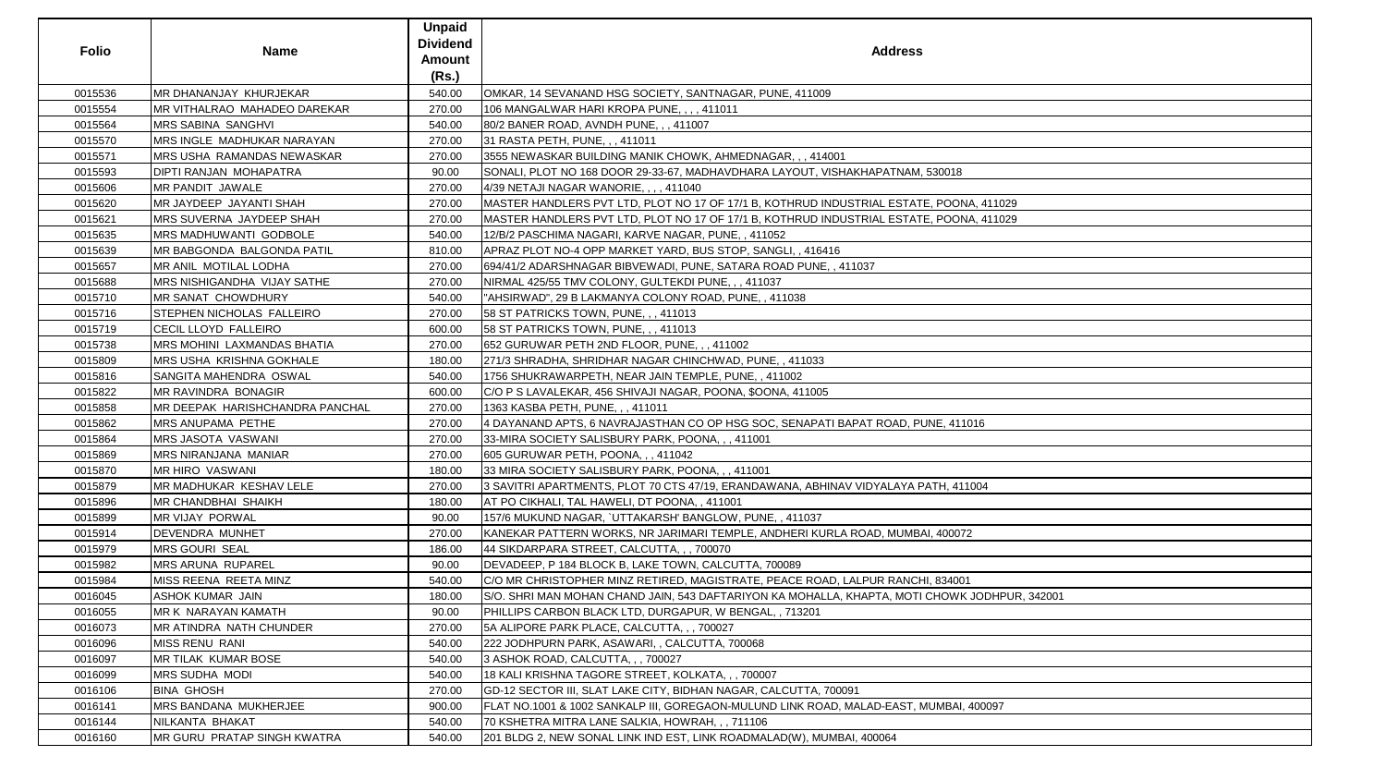| <b>Folio</b> | <b>Name</b>                        | <b>Unpaid</b><br><b>Dividend</b> | <b>Address</b>                                                                                |
|--------------|------------------------------------|----------------------------------|-----------------------------------------------------------------------------------------------|
|              |                                    | <b>Amount</b><br>(Rs.)           |                                                                                               |
| 0015536      | MR DHANANJAY KHURJEKAR             | 540.00                           | OMKAR, 14 SEVANAND HSG SOCIETY, SANTNAGAR, PUNE, 411009                                       |
| 0015554      | MR VITHALRAO MAHADEO DAREKAR       | 270.00                           | 106 MANGALWAR HARI KROPA PUNE, , , , 411011                                                   |
| 0015564      | <b>MRS SABINA SANGHVI</b>          | 540.00                           | 80/2 BANER ROAD, AVNDH PUNE, , , 411007                                                       |
| 0015570      | MRS INGLE MADHUKAR NARAYAN         | 270.00                           | 31 RASTA PETH, PUNE, , , 411011                                                               |
| 0015571      | <b>MRS USHA RAMANDAS NEWASKAR</b>  | 270.00                           | 3555 NEWASKAR BUILDING MANIK CHOWK, AHMEDNAGAR, ,, 414001                                     |
| 0015593      | <b>DIPTI RANJAN MOHAPATRA</b>      | 90.00                            | SONALI, PLOT NO 168 DOOR 29-33-67, MADHAVDHARA LAYOUT, VISHAKHAPATNAM, 530018                 |
| 0015606      | MR PANDIT JAWALE                   | 270.00                           | 4/39 NETAJI NAGAR WANORIE, , , , 411040                                                       |
| 0015620      | MR JAYDEEP JAYANTI SHAH            | 270.00                           | MASTER HANDLERS PVT LTD, PLOT NO 17 OF 17/1 B, KOTHRUD INDUSTRIAL ESTATE, POONA, 411029       |
| 0015621      | MRS SUVERNA JAYDEEP SHAH           | 270.00                           | MASTER HANDLERS PVT LTD, PLOT NO 17 OF 17/1 B, KOTHRUD INDUSTRIAL ESTATE, POONA, 411029       |
| 0015635      | <b>MRS MADHUWANTI GODBOLE</b>      | 540.00                           | 12/B/2 PASCHIMA NAGARI, KARVE NAGAR, PUNE, , 411052                                           |
| 0015639      | <b>MR BABGONDA BALGONDA PATIL</b>  | 810.00                           | APRAZ PLOT NO-4 OPP MARKET YARD, BUS STOP, SANGLI, , 416416                                   |
| 0015657      | MR ANIL MOTILAL LODHA              | 270.00                           | 694/41/2 ADARSHNAGAR BIBVEWADI, PUNE, SATARA ROAD PUNE, , 411037                              |
| 0015688      | <b>MRS NISHIGANDHA VIJAY SATHE</b> | 270.00                           | NIRMAL 425/55 TMV COLONY, GULTEKDI PUNE, , , 411037                                           |
| 0015710      | <b>MR SANAT CHOWDHURY</b>          | 540.00                           | "AHSIRWAD", 29 B LAKMANYA COLONY ROAD, PUNE,, 411038                                          |
| 0015716      | STEPHEN NICHOLAS FALLEIRO          | 270.00                           | 58 ST PATRICKS TOWN, PUNE, ,, 411013                                                          |
| 0015719      | <b>CECIL LLOYD FALLEIRO</b>        | 600.00                           | 58 ST PATRICKS TOWN, PUNE, , , 411013                                                         |
| 0015738      | <b>MRS MOHINI LAXMANDAS BHATIA</b> | 270.00                           | 652 GURUWAR PETH 2ND FLOOR, PUNE, ,, 411002                                                   |
| 0015809      | <b>IMRS USHA KRISHNA GOKHALE</b>   | 180.00                           | 271/3 SHRADHA, SHRIDHAR NAGAR CHINCHWAD, PUNE,, 411033                                        |
| 0015816      | SANGITA MAHENDRA OSWAL             | 540.00                           | 1756 SHUKRAWARPETH, NEAR JAIN TEMPLE, PUNE, , 411002                                          |
| 0015822      | MR RAVINDRA BONAGIR                | 600.00                           | C/O P S LAVALEKAR, 456 SHIVAJI NAGAR, POONA, \$OONA, 411005                                   |
| 0015858      | MR DEEPAK HARISHCHANDRA PANCHAL    | 270.00                           | 1363 KASBA PETH, PUNE, , , 411011                                                             |
| 0015862      | <b>MRS ANUPAMA PETHE</b>           | 270.00                           | 4 DAYANAND APTS, 6 NAVRAJASTHAN CO OP HSG SOC, SENAPATI BAPAT ROAD, PUNE, 411016              |
| 0015864      | <b>MRS JASOTA VASWANI</b>          | 270.00                           | 33-MIRA SOCIETY SALISBURY PARK, POONA, , , 411001                                             |
| 0015869      | MRS NIRANJANA MANIAR               | 270.00                           | 605 GURUWAR PETH, POONA, , , 411042                                                           |
| 0015870      | <b>MR HIRO VASWANI</b>             | 180.00                           | 33 MIRA SOCIETY SALISBURY PARK, POONA, ,, 411001                                              |
| 0015879      | MR MADHUKAR KESHAV LELE            | 270.00                           | 3 SAVITRI APARTMENTS, PLOT 70 CTS 47/19, ERANDAWANA, ABHINAV VIDYALAYA PATH, 411004           |
| 0015896      | <b>MR CHANDBHAI SHAIKH</b>         | 180.00                           | AT PO CIKHALI, TAL HAWELI, DT POONA, , 411001                                                 |
| 0015899      | <b>MR VIJAY PORWAL</b>             | 90.00                            | 157/6 MUKUND NAGAR, `UTTAKARSH' BANGLOW, PUNE,, 411037                                        |
| 0015914      | <b>DEVENDRA MUNHET</b>             | 270.00                           | KANEKAR PATTERN WORKS, NR JARIMARI TEMPLE, ANDHERI KURLA ROAD, MUMBAI, 400072                 |
| 0015979      | <b>MRS GOURI SEAL</b>              | 186.00                           | 44 SIKDARPARA STREET, CALCUTTA, , , 700070                                                    |
| 0015982      | <b>MRS ARUNA RUPAREL</b>           | 90.00                            | DEVADEEP, P 184 BLOCK B, LAKE TOWN, CALCUTTA, 700089                                          |
| 0015984      | MISS REENA REETA MINZ              | 540.00                           | C/O MR CHRISTOPHER MINZ RETIRED, MAGISTRATE, PEACE ROAD, LALPUR RANCHI, 834001                |
| 0016045      | ASHOK KUMAR JAIN                   | 180.00                           | S/O. SHRI MAN MOHAN CHAND JAIN, 543 DAFTARIYON KA MOHALLA, KHAPTA, MOTI CHOWK JODHPUR, 342001 |
| 0016055      | MR K NARAYAN KAMATH                | 90.00                            | PHILLIPS CARBON BLACK LTD, DURGAPUR, W BENGAL, , 713201                                       |
| 0016073      | <b>MR ATINDRA NATH CHUNDER</b>     | 270.00                           | 5A ALIPORE PARK PLACE, CALCUTTA, ,, 700027                                                    |
| 0016096      | <b>MISS RENU RANI</b>              | 540.00                           | 222 JODHPURN PARK, ASAWARI, , CALCUTTA, 700068                                                |
| 0016097      | <b>IMR TILAK KUMAR BOSE</b>        | 540.00                           | 3 ASHOK ROAD, CALCUTTA, , , 700027                                                            |
| 0016099      | <b>MRS SUDHA MODI</b>              | 540.00                           | 18 KALI KRISHNA TAGORE STREET, KOLKATA, , , 700007                                            |
| 0016106      | <b>BINA GHOSH</b>                  | 270.00                           | GD-12 SECTOR III, SLAT LAKE CITY, BIDHAN NAGAR, CALCUTTA, 700091                              |
| 0016141      | <b>MRS BANDANA MUKHERJEE</b>       | 900.00                           | FLAT NO.1001 & 1002 SANKALP III, GOREGAON-MULUND LINK ROAD, MALAD-EAST, MUMBAI, 400097        |
| 0016144      | NILKANTA BHAKAT                    | 540.00                           | 70 KSHETRA MITRA LANE SALKIA, HOWRAH, ,, 711106                                               |
| 0016160      | MR GURU PRATAP SINGH KWATRA        | 540.00                           | 201 BLDG 2, NEW SONAL LINK IND EST, LINK ROADMALAD(W), MUMBAI, 400064                         |

| 30018                |
|----------------------|
|                      |
| POONA, 411029        |
|                      |
| POONA, 411029        |
|                      |
|                      |
|                      |
|                      |
|                      |
|                      |
|                      |
|                      |
|                      |
|                      |
|                      |
|                      |
|                      |
|                      |
|                      |
| E, 411016            |
|                      |
|                      |
|                      |
|                      |
| TH, 411004           |
|                      |
|                      |
| 400072               |
|                      |
|                      |
|                      |
| 834001               |
| HOWK JODHPUR, 342001 |
|                      |
|                      |
|                      |
|                      |
|                      |
|                      |
|                      |
|                      |
| MBAI, 400097         |
|                      |
|                      |
|                      |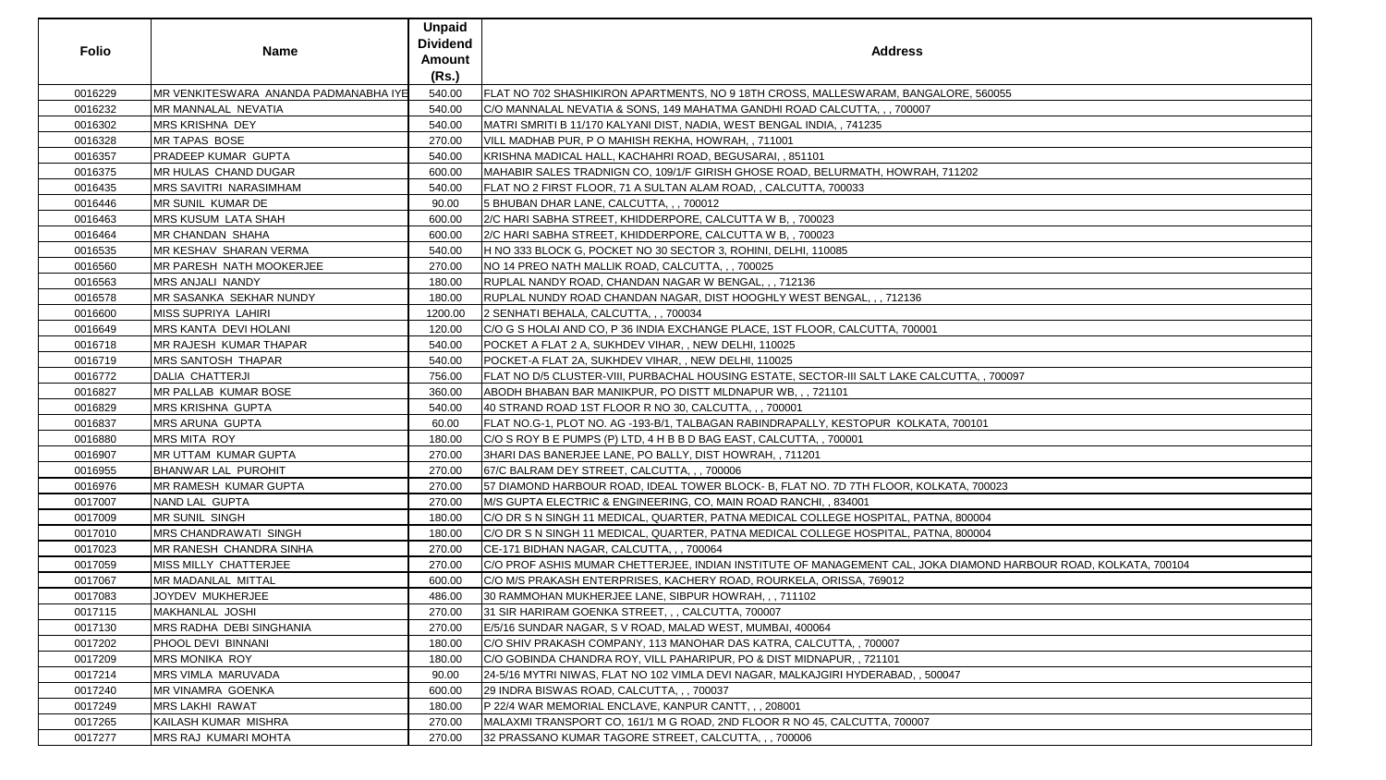| <b>Folio</b> | <b>Name</b>                           | <b>Unpaid</b><br><b>Dividend</b><br><b>Amount</b><br>(Rs.) | <b>Address</b>                                                                                                  |
|--------------|---------------------------------------|------------------------------------------------------------|-----------------------------------------------------------------------------------------------------------------|
| 0016229      | MR VENKITESWARA ANANDA PADMANABHA IYE | 540.00                                                     | FLAT NO 702 SHASHIKIRON APARTMENTS, NO 9 18TH CROSS, MALLESWARAM, BANGALORE, 560055                             |
| 0016232      | MR MANNALAL NEVATIA                   | 540.00                                                     | C/O MANNALAL NEVATIA & SONS, 149 MAHATMA GANDHI ROAD CALCUTTA, , , 700007                                       |
| 0016302      | MRS KRISHNA DEY                       | 540.00                                                     | MATRI SMRITI B 11/170 KALYANI DIST, NADIA, WEST BENGAL INDIA, , 741235                                          |
| 0016328      | MR TAPAS BOSE                         | 270.00                                                     | VILL MADHAB PUR, P O MAHISH REKHA, HOWRAH,, 711001                                                              |
| 0016357      | PRADEEP KUMAR GUPTA                   | 540.00                                                     | KRISHNA MADICAL HALL, KACHAHRI ROAD, BEGUSARAI,, 851101                                                         |
| 0016375      | MR HULAS CHAND DUGAR                  | 600.00                                                     | MAHABIR SALES TRADNIGN CO, 109/1/F GIRISH GHOSE ROAD, BELURMATH, HOWRAH, 711202                                 |
| 0016435      | <b>MRS SAVITRI NARASIMHAM</b>         | 540.00                                                     | FLAT NO 2 FIRST FLOOR, 71 A SULTAN ALAM ROAD, , CALCUTTA, 700033                                                |
| 0016446      | MR SUNIL KUMAR DE                     | 90.00                                                      | 5 BHUBAN DHAR LANE, CALCUTTA, , , 700012                                                                        |
| 0016463      | <b>MRS KUSUM LATA SHAH</b>            | 600.00                                                     | 2/C HARI SABHA STREET, KHIDDERPORE, CALCUTTA W B,, 700023                                                       |
| 0016464      | MR CHANDAN SHAHA                      | 600.00                                                     | 2/C HARI SABHA STREET, KHIDDERPORE, CALCUTTA W B,, 700023                                                       |
| 0016535      | MR KESHAV SHARAN VERMA                | 540.00                                                     | H NO 333 BLOCK G, POCKET NO 30 SECTOR 3, ROHINI, DELHI, 110085                                                  |
| 0016560      | MR PARESH NATH MOOKERJEE              | 270.00                                                     | NO 14 PREO NATH MALLIK ROAD, CALCUTTA, , , 700025                                                               |
| 0016563      | MRS ANJALI NANDY                      | 180.00                                                     | RUPLAL NANDY ROAD, CHANDAN NAGAR W BENGAL, , , 712136                                                           |
| 0016578      | MR SASANKA SEKHAR NUNDY               | 180.00                                                     | RUPLAL NUNDY ROAD CHANDAN NAGAR, DIST HOOGHLY WEST BENGAL, , , 712136                                           |
| 0016600      | MISS SUPRIYA LAHIRI                   | 1200.00                                                    | 2 SENHATI BEHALA, CALCUTTA, , , 700034                                                                          |
| 0016649      | MRS KANTA DEVI HOLANI                 | 120.00                                                     | C/O G S HOLAI AND CO, P 36 INDIA EXCHANGE PLACE, 1ST FLOOR, CALCUTTA, 700001                                    |
| 0016718      | MR RAJESH KUMAR THAPAR                | 540.00                                                     | POCKET A FLAT 2 A, SUKHDEV VIHAR, , NEW DELHI, 110025                                                           |
| 0016719      | MRS SANTOSH THAPAR                    | 540.00                                                     | POCKET-A FLAT 2A, SUKHDEV VIHAR, , NEW DELHI, 110025                                                            |
| 0016772      | <b>DALIA CHATTERJI</b>                | 756.00                                                     | FLAT NO D/5 CLUSTER-VIII, PURBACHAL HOUSING ESTATE, SECTOR-III SALT LAKE CALCUTTA, , 700097                     |
| 0016827      | MR PALLAB KUMAR BOSE                  | 360.00                                                     | ABODH BHABAN BAR MANIKPUR, PO DISTT MLDNAPUR WB, , , 721101                                                     |
| 0016829      | <b>MRS KRISHNA GUPTA</b>              | 540.00                                                     | 40 STRAND ROAD 1ST FLOOR R NO 30, CALCUTTA, , , 700001                                                          |
| 0016837      | <b>MRS ARUNA GUPTA</b>                | 60.00                                                      | FLAT NO.G-1, PLOT NO. AG -193-B/1, TALBAGAN RABINDRAPALLY, KESTOPUR  KOLKATA, 700101                            |
| 0016880      | <b>MRS MITA ROY</b>                   | 180.00                                                     | C/O S ROY B E PUMPS (P) LTD, 4 H B B D BAG EAST, CALCUTTA, , 700001                                             |
| 0016907      | MR UTTAM KUMAR GUPTA                  | 270.00                                                     | 3HARI DAS BANERJEE LANE, PO BALLY, DIST HOWRAH, , 711201                                                        |
| 0016955      | <b>BHANWAR LAL PUROHIT</b>            | 270.00                                                     | 67/C BALRAM DEY STREET, CALCUTTA, , , 700006                                                                    |
| 0016976      | MR RAMESH KUMAR GUPTA                 | 270.00                                                     | 57 DIAMOND HARBOUR ROAD, IDEAL TOWER BLOCK- B, FLAT NO. 7D 7TH FLOOR, KOLKATA, 700023                           |
| 0017007      | NAND LAL GUPTA                        | 270.00                                                     | M/S GUPTA ELECTRIC & ENGINEERING, CO, MAIN ROAD RANCHI, , 834001                                                |
| 0017009      | <b>MR SUNIL SINGH</b>                 | 180.00                                                     | IC/O DR S N SINGH 11 MEDICAL, QUARTER, PATNA MEDICAL COLLEGE HOSPITAL, PATNA, 800004                            |
| 0017010      | <b>MRS CHANDRAWATI SINGH</b>          | 180.00                                                     | CO DR S N SINGH 11 MEDICAL, QUARTER, PATNA MEDICAL COLLEGE HOSPITAL, PATNA, 800004                              |
| 0017023      | MR RANESH CHANDRA SINHA               | 270.00                                                     | CE-171 BIDHAN NAGAR, CALCUTTA, , , 700064                                                                       |
| 0017059      | MISS MILLY CHATTERJEE                 | 270.00                                                     | C/O PROF ASHIS MUMAR CHETTERJEE, INDIAN INSTITUTE OF MANAGEMENT CAL, JOKA DIAMOND HARBOUR ROAD, KOLKATA, 700104 |
| 0017067      | MR MADANLAL MITTAL                    | 600.00                                                     | C/O M/S PRAKASH ENTERPRISES, KACHERY ROAD, ROURKELA, ORISSA, 769012                                             |
| 0017083      | JOYDEV MUKHERJEE                      | 486.00                                                     | 30 RAMMOHAN MUKHERJEE LANE, SIBPUR HOWRAH, , , 711102                                                           |
| 0017115      | MAKHANLAL JOSHI                       | 270.00                                                     | 31 SIR HARIRAM GOENKA STREET, , , CALCUTTA, 700007                                                              |
| 0017130      | MRS RADHA DEBI SINGHANIA              | 270.00                                                     | E/5/16 SUNDAR NAGAR, S V ROAD, MALAD WEST, MUMBAI, 400064                                                       |
| 0017202      | PHOOL DEVI BINNANI                    | 180.00                                                     | C/O SHIV PRAKASH COMPANY, 113 MANOHAR DAS KATRA, CALCUTTA, , 700007                                             |
| 0017209      | <b>MRS MONIKA ROY</b>                 | 180.00                                                     | C/O GOBINDA CHANDRA ROY, VILL PAHARIPUR, PO & DIST MIDNAPUR, , 721101                                           |
| 0017214      | MRS VIMLA MARUVADA                    | 90.00                                                      | 24-5/16 MYTRI NIWAS, FLAT NO 102 VIMLA DEVI NAGAR, MALKAJGIRI HYDERABAD, , 500047                               |
| 0017240      | <b>MR VINAMRA GOENKA</b>              | 600.00                                                     | 29 INDRA BISWAS ROAD, CALCUTTA, , , 700037                                                                      |
| 0017249      | <b>MRS LAKHI RAWAT</b>                | 180.00                                                     | P 22/4 WAR MEMORIAL ENCLAVE, KANPUR CANTT, , , 208001                                                           |
| 0017265      | KAILASH KUMAR MISHRA                  | 270.00                                                     | MALAXMI TRANSPORT CO, 161/1 M G ROAD, 2ND FLOOR R NO 45, CALCUTTA, 700007                                       |
| 0017277      | MRS RAJ KUMARI MOHTA                  | 270.00                                                     | 32 PRASSANO KUMAR TAGORE STREET, CALCUTTA, , , 700006                                                           |
|              |                                       |                                                            |                                                                                                                 |

| 560055                            |
|-----------------------------------|
|                                   |
|                                   |
|                                   |
|                                   |
|                                   |
|                                   |
|                                   |
|                                   |
|                                   |
|                                   |
|                                   |
|                                   |
|                                   |
|                                   |
|                                   |
|                                   |
|                                   |
|                                   |
| , 700097                          |
|                                   |
|                                   |
| $\overline{01}$                   |
|                                   |
|                                   |
|                                   |
| '00023                            |
|                                   |
| 004                               |
| 004                               |
|                                   |
| OND HARBOUR ROAD, KOLKATA, 700104 |
|                                   |
|                                   |
|                                   |
|                                   |
|                                   |
|                                   |
|                                   |
|                                   |
|                                   |
|                                   |
|                                   |
|                                   |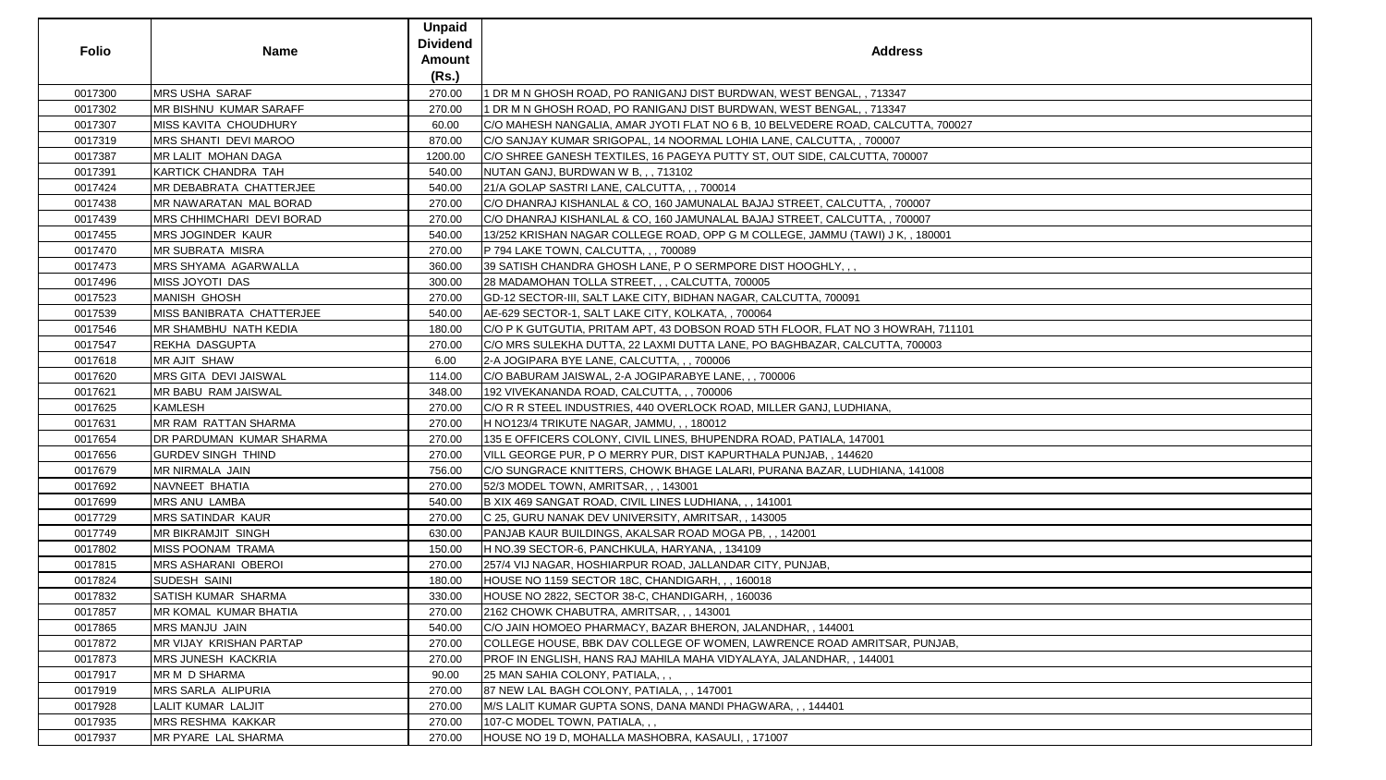| <b>Folio</b> | <b>Name</b>                      | <b>Unpaid</b><br><b>Dividend</b><br><b>Amount</b><br>(Rs.) | <b>Address</b>                                                                   |
|--------------|----------------------------------|------------------------------------------------------------|----------------------------------------------------------------------------------|
| 0017300      | <b>MRS USHA SARAF</b>            | 270.00                                                     | 1 DR M N GHOSH ROAD, PO RANIGANJ DIST BURDWAN, WEST BENGAL, , 713347             |
| 0017302      | <b>MR BISHNU KUMAR SARAFF</b>    | 270.00                                                     | 1 DR M N GHOSH ROAD, PO RANIGANJ DIST BURDWAN, WEST BENGAL, , 713347             |
| 0017307      | <b>MISS KAVITA CHOUDHURY</b>     | 60.00                                                      | C/O MAHESH NANGALIA, AMAR JYOTI FLAT NO 6 B, 10 BELVEDERE ROAD, CALCUTTA, 700027 |
| 0017319      | <b>MRS SHANTI DEVI MAROO</b>     | 870.00                                                     | C/O SANJAY KUMAR SRIGOPAL, 14 NOORMAL LOHIA LANE, CALCUTTA, , 700007             |
| 0017387      | <b>MR LALIT MOHAN DAGA</b>       | 1200.00                                                    | C/O SHREE GANESH TEXTILES, 16 PAGEYA PUTTY ST, OUT SIDE, CALCUTTA, 700007        |
| 0017391      | <b>KARTICK CHANDRA TAH</b>       | 540.00                                                     | NUTAN GANJ, BURDWAN W B, , , 713102                                              |
| 0017424      | MR DEBABRATA CHATTERJEE          | 540.00                                                     | 21/A GOLAP SASTRI LANE, CALCUTTA, ,, 700014                                      |
| 0017438      | MR NAWARATAN MAL BORAD           | 270.00                                                     | C/O DHANRAJ KISHANLAL & CO, 160 JAMUNALAL BAJAJ STREET, CALCUTTA, , 700007       |
| 0017439      | <b>MRS CHHIMCHARI DEVI BORAD</b> | 270.00                                                     | C/O DHANRAJ KISHANLAL & CO, 160 JAMUNALAL BAJAJ STREET, CALCUTTA, , 700007       |
| 0017455      | <b>MRS JOGINDER KAUR</b>         | 540.00                                                     | 13/252 KRISHAN NAGAR COLLEGE ROAD, OPP G M COLLEGE, JAMMU (TAWI) J K, , 180001   |
| 0017470      | <b>MR SUBRATA MISRA</b>          | 270.00                                                     | P 794 LAKE TOWN, CALCUTTA, , , 700089                                            |
| 0017473      | <b>MRS SHYAMA AGARWALLA</b>      | 360.00                                                     | 39 SATISH CHANDRA GHOSH LANE, P O SERMPORE DIST HOOGHLY, , ,                     |
| 0017496      | <b>MISS JOYOTI DAS</b>           | 300.00                                                     | 28 MADAMOHAN TOLLA STREET, , , CALCUTTA, 700005                                  |
| 0017523      | <b>MANISH GHOSH</b>              | 270.00                                                     | GD-12 SECTOR-III, SALT LAKE CITY, BIDHAN NAGAR, CALCUTTA, 700091                 |
| 0017539      | <b>MISS BANIBRATA CHATTERJEE</b> | 540.00                                                     | AE-629 SECTOR-1, SALT LAKE CITY, KOLKATA,, 700064                                |
| 0017546      | <b>MR SHAMBHU NATH KEDIA</b>     | 180.00                                                     | C/O P K GUTGUTIA, PRITAM APT, 43 DOBSON ROAD 5TH FLOOR, FLAT NO 3 HOWRAH, 711101 |
| 0017547      | <b>REKHA DASGUPTA</b>            | 270.00                                                     | C/O MRS SULEKHA DUTTA, 22 LAXMI DUTTA LANE, PO BAGHBAZAR, CALCUTTA, 700003       |
| 0017618      | <b>MR AJIT SHAW</b>              | 6.00                                                       | 2-A JOGIPARA BYE LANE, CALCUTTA, , , 700006                                      |
| 0017620      | <b>MRS GITA DEVI JAISWAL</b>     | 114.00                                                     | C/O BABURAM JAISWAL, 2-A JOGIPARABYE LANE, ,, 700006                             |
| 0017621      | MR BABU RAM JAISWAL              | 348.00                                                     | 192 VIVEKANANDA ROAD, CALCUTTA, , , 700006                                       |
| 0017625      | <b>KAMLESH</b>                   | 270.00                                                     | C/O R R STEEL INDUSTRIES, 440 OVERLOCK ROAD, MILLER GANJ, LUDHIANA,              |
| 0017631      | <b>MR RAM RATTAN SHARMA</b>      | 270.00                                                     | H NO123/4 TRIKUTE NAGAR, JAMMU, ,, 180012                                        |
| 0017654      | DR PARDUMAN KUMAR SHARMA         | 270.00                                                     | 135 E OFFICERS COLONY, CIVIL LINES, BHUPENDRA ROAD, PATIALA, 147001              |
| 0017656      | <b>GURDEV SINGH THIND</b>        | 270.00                                                     | VILL GEORGE PUR, P O MERRY PUR, DIST KAPURTHALA PUNJAB, , 144620                 |
| 0017679      | <b>MR NIRMALA JAIN</b>           | 756.00                                                     | C/O SUNGRACE KNITTERS, CHOWK BHAGE LALARI, PURANA BAZAR, LUDHIANA, 141008        |
| 0017692      | NAVNEET BHATIA                   | 270.00                                                     | 52/3 MODEL TOWN, AMRITSAR, ,, 143001                                             |
| 0017699      | <b>MRS ANU LAMBA</b>             | 540.00                                                     | B XIX 469 SANGAT ROAD, CIVIL LINES LUDHIANA, , , 141001                          |
| 0017729      | <b>MRS SATINDAR KAUR</b>         | 270.00                                                     | C 25, GURU NANAK DEV UNIVERSITY, AMRITSAR, , 143005                              |
| 0017749      | <b>MR BIKRAMJIT SINGH</b>        | 630.00                                                     | PANJAB KAUR BUILDINGS, AKALSAR ROAD MOGA PB, , , 142001                          |
| 0017802      | <b>MISS POONAM TRAMA</b>         | 150.00                                                     | H NO.39 SECTOR-6, PANCHKULA, HARYANA,, 134109                                    |
| 0017815      | <b>MRS ASHARANI OBEROI</b>       | 270.00                                                     | 257/4 VIJ NAGAR, HOSHIARPUR ROAD, JALLANDAR CITY, PUNJAB,                        |
| 0017824      | <b>SUDESH SAINI</b>              | 180.00                                                     | HOUSE NO 1159 SECTOR 18C, CHANDIGARH, , , 160018                                 |
| 0017832      | SATISH KUMAR SHARMA              | 330.00                                                     | HOUSE NO 2822, SECTOR 38-C, CHANDIGARH, 160036                                   |
| 0017857      | <b>MR KOMAL KUMAR BHATIA</b>     | 270.00                                                     | 2162 CHOWK CHABUTRA, AMRITSAR, ,, 143001                                         |
| 0017865      | <b>MRS MANJU JAIN</b>            | 540.00                                                     | C/O JAIN HOMOEO PHARMACY, BAZAR BHERON, JALANDHAR,, 144001                       |
| 0017872      | <b>MR VIJAY KRISHAN PARTAP</b>   | 270.00                                                     | COLLEGE HOUSE, BBK DAV COLLEGE OF WOMEN, LAWRENCE ROAD AMRITSAR, PUNJAB,         |
| 0017873      | <b>MRS JUNESH KACKRIA</b>        | 270.00                                                     | PROF IN ENGLISH, HANS RAJ MAHILA MAHA VIDYALAYA, JALANDHAR, , 144001             |
| 0017917      | MR M D SHARMA                    | 90.00                                                      | 25 MAN SAHIA COLONY, PATIALA, , ,                                                |
| 0017919      | <b>MRS SARLA ALIPURIA</b>        | 270.00                                                     | 87 NEW LAL BAGH COLONY, PATIALA, , , 147001                                      |
| 0017928      | LALIT KUMAR LALJIT               | 270.00                                                     | M/S LALIT KUMAR GUPTA SONS, DANA MANDI PHAGWARA, , , 144401                      |
| 0017935      | <b>MRS RESHMA KAKKAR</b>         | 270.00                                                     | 107-C MODEL TOWN, PATIALA, , ,                                                   |
| 0017937      | MR PYARE LAL SHARMA              | 270.00                                                     | HOUSE NO 19 D, MOHALLA MASHOBRA, KASAULI, , 171007                               |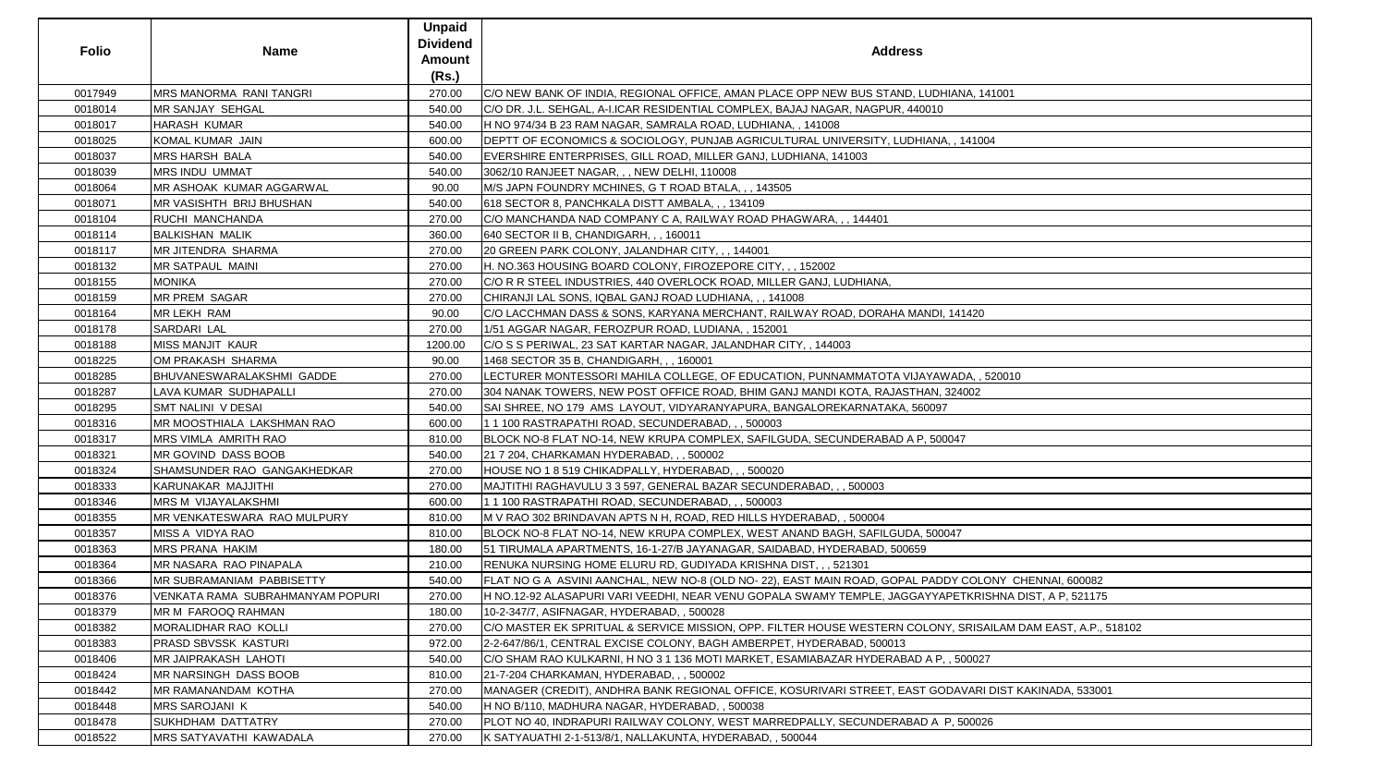| <b>Folio</b> | <b>Name</b>                      | Unpaid<br><b>Dividend</b><br><b>Amount</b><br>(Rs.) | <b>Address</b>                                                                                               |
|--------------|----------------------------------|-----------------------------------------------------|--------------------------------------------------------------------------------------------------------------|
| 0017949      | MRS MANORMA RANI TANGRI          | 270.00                                              | C/O NEW BANK OF INDIA, REGIONAL OFFICE, AMAN PLACE OPP NEW BUS STAND, LUDHIANA, 141001                       |
| 0018014      | MR SANJAY SEHGAL                 | 540.00                                              | C/O DR. J.L. SEHGAL, A-I.ICAR RESIDENTIAL COMPLEX, BAJAJ NAGAR, NAGPUR, 440010                               |
| 0018017      | <b>HARASH KUMAR</b>              | 540.00                                              | H NO 974/34 B 23 RAM NAGAR, SAMRALA ROAD, LUDHIANA,, 141008                                                  |
| 0018025      | KOMAL KUMAR JAIN                 | 600.00                                              | DEPTT OF ECONOMICS & SOCIOLOGY, PUNJAB AGRICULTURAL UNIVERSITY, LUDHIANA, , 141004                           |
| 0018037      | <b>MRS HARSH BALA</b>            | 540.00                                              | EVERSHIRE ENTERPRISES, GILL ROAD, MILLER GANJ, LUDHIANA, 141003                                              |
| 0018039      | <b>MRS INDU UMMAT</b>            | 540.00                                              | 3062/10 RANJEET NAGAR, , , NEW DELHI, 110008                                                                 |
| 0018064      | MR ASHOAK KUMAR AGGARWAL         | 90.00                                               | M/S JAPN FOUNDRY MCHINES, G T ROAD BTALA, , , 143505                                                         |
| 0018071      | MR VASISHTH BRIJ BHUSHAN         | 540.00                                              | 618 SECTOR 8, PANCHKALA DISTT AMBALA, , , 134109                                                             |
| 0018104      | <b>RUCHI MANCHANDA</b>           | 270.00                                              | C/O MANCHANDA NAD COMPANY C A, RAILWAY ROAD PHAGWARA, , , 144401                                             |
| 0018114      | <b>BALKISHAN MALIK</b>           | 360.00                                              | 640 SECTOR II B, CHANDIGARH, , , 160011                                                                      |
| 0018117      | <b>MR JITENDRA SHARMA</b>        | 270.00                                              | 20 GREEN PARK COLONY, JALANDHAR CITY, , , 144001                                                             |
| 0018132      | <b>MR SATPAUL MAINI</b>          | 270.00                                              | H. NO.363 HOUSING BOARD COLONY, FIROZEPORE CITY, , , 152002                                                  |
| 0018155      | <b>MONIKA</b>                    | 270.00                                              | C/O R R STEEL INDUSTRIES, 440 OVERLOCK ROAD, MILLER GANJ, LUDHIANA,                                          |
| 0018159      | <b>MR PREM SAGAR</b>             | 270.00                                              | CHIRANJI LAL SONS, IQBAL GANJ ROAD LUDHIANA, , , 141008                                                      |
| 0018164      | <b>MR LEKH RAM</b>               | 90.00                                               | C/O LACCHMAN DASS & SONS, KARYANA MERCHANT, RAILWAY ROAD, DORAHA MANDI, 141420                               |
| 0018178      | SARDARI LAL                      | 270.00                                              | 1/51 AGGAR NAGAR, FEROZPUR ROAD, LUDIANA, , 152001                                                           |
| 0018188      | <b>MISS MANJIT KAUR</b>          | 1200.00                                             | C/O S S PERIWAL, 23 SAT KARTAR NAGAR, JALANDHAR CITY, , 144003                                               |
| 0018225      | OM PRAKASH SHARMA                | 90.00                                               | 1468 SECTOR 35 B, CHANDIGARH, , , 160001                                                                     |
| 0018285      | BHUVANESWARALAKSHMI GADDE        | 270.00                                              | LECTURER MONTESSORI MAHILA COLLEGE, OF EDUCATION, PUNNAMMATOTA VIJAYAWADA, , 520010                          |
| 0018287      | LAVA KUMAR SUDHAPALLI            | 270.00                                              | 304 NANAK TOWERS, NEW POST OFFICE ROAD, BHIM GANJ MANDI KOTA, RAJASTHAN, 324002                              |
| 0018295      | <b>SMT NALINI V DESAI</b>        | 540.00                                              | SAI SHREE, NO 179  AMS  LAYOUT, VIDYARANYAPURA, BANGALOREKARNATAKA, 560097                                   |
| 0018316      | MR MOOSTHIALA LAKSHMAN RAO       | 600.00                                              | 1 1 100 RASTRAPATHI ROAD, SECUNDERABAD, , , 500003                                                           |
| 0018317      | MRS VIMLA AMRITH RAO             | 810.00                                              | BLOCK NO-8 FLAT NO-14, NEW KRUPA COMPLEX, SAFILGUDA, SECUNDERABAD A P, 500047                                |
| 0018321      | MR GOVIND DASS BOOB              | 540.00                                              | 21 7 204, CHARKAMAN HYDERABAD, , , 500002                                                                    |
| 0018324      | SHAMSUNDER RAO GANGAKHEDKAR      | 270.00                                              | HOUSE NO 1 8 519 CHIKADPALLY, HYDERABAD, , , 500020                                                          |
| 0018333      | KARUNAKAR MAJJITHI               | 270.00                                              | MAJTITHI RAGHAVULU 3 3 597, GENERAL BAZAR SECUNDERABAD, , , 500003                                           |
| 0018346      | MRS M VIJAYALAKSHMI              | 600.00                                              | 1 1 100 RASTRAPATHI ROAD, SECUNDERABAD, , , 500003                                                           |
| 0018355      | MR VENKATESWARA RAO MULPURY      | 810.00                                              | M V RAO 302 BRINDAVAN APTS N H, ROAD, RED HILLS HYDERABAD, , 500004                                          |
| 0018357      | MISS A VIDYA RAO                 | 810.00                                              | BLOCK NO-8 FLAT NO-14, NEW KRUPA COMPLEX, WEST ANAND BAGH, SAFILGUDA, 500047                                 |
| 0018363      | <b>MRS PRANA HAKIM</b>           | 180.00                                              | 51 TIRUMALA APARTMENTS, 16-1-27/B JAYANAGAR, SAIDABAD, HYDERABAD, 500659                                     |
| 0018364      | MR NASARA RAO PINAPALA           | 210.00                                              | RENUKA NURSING HOME ELURU RD, GUDIYADA KRISHNA DIST, , , 521301                                              |
| 0018366      | MR SUBRAMANIAM PABBISETTY        | 540.00                                              | FLAT NO G A ASVINI AANCHAL, NEW NO-8 (OLD NO-22), EAST MAIN ROAD, GOPAL PADDY COLONY CHENNAI, 600082         |
| 0018376      | VENKATA RAMA SUBRAHMANYAM POPURI | 270.00                                              | H NO.12-92 ALASAPURI VARI VEEDHI, NEAR VENU GOPALA SWAMY TEMPLE, JAGGAYYAPETKRISHNA DIST, A P, 521175        |
| 0018379      | <b>MR M FAROOQ RAHMAN</b>        | 180.00                                              | 10-2-347/7, ASIFNAGAR, HYDERABAD, , 500028                                                                   |
| 0018382      | MORALIDHAR RAO KOLLI             | 270.00                                              | C/O MASTER EK SPRITUAL & SERVICE MISSION, OPP. FILTER HOUSE WESTERN COLONY, SRISAILAM DAM EAST, A.P., 518102 |
| 0018383      | PRASD SBVSSK KASTURI             | 972.00                                              | 2-2-647/86/1, CENTRAL EXCISE COLONY, BAGH AMBERPET, HYDERABAD, 500013                                        |
| 0018406      | MR JAIPRAKASH LAHOTI             | 540.00                                              | C/O SHAM RAO KULKARNI, H NO 3 1 136 MOTI MARKET, ESAMIABAZAR HYDERABAD A P, , 500027                         |
| 0018424      | MR NARSINGH DASS BOOB            | 810.00                                              | 21-7-204 CHARKAMAN, HYDERABAD, , , 500002                                                                    |
| 0018442      | <b>MR RAMANANDAM KOTHA</b>       | 270.00                                              | MANAGER (CREDIT), ANDHRA BANK REGIONAL OFFICE, KOSURIVARI STREET, EAST GODAVARI DIST KAKINADA, 533001        |
| 0018448      | <b>MRS SAROJANI K</b>            | 540.00                                              | H NO B/110, MADHURA NAGAR, HYDERABAD, , 500038                                                               |
| 0018478      | SUKHDHAM DATTATRY                | 270.00                                              | PLOT NO 40, INDRAPURI RAILWAY COLONY, WEST MARREDPALLY, SECUNDERABAD A P, 500026                             |
| 0018522      | MRS SATYAVATHI KAWADALA          | 270.00                                              | K SATYAUATHI 2-1-513/8/1, NALLAKUNTA, HYDERABAD, , 500044                                                    |

| , 141001                       |
|--------------------------------|
|                                |
|                                |
| 1004                           |
|                                |
|                                |
|                                |
|                                |
|                                |
|                                |
|                                |
|                                |
|                                |
|                                |
|                                |
| 20                             |
|                                |
|                                |
|                                |
| $\lambda$ , , 520010           |
| $\overline{2}$                 |
|                                |
|                                |
|                                |
|                                |
|                                |
|                                |
|                                |
|                                |
|                                |
|                                |
|                                |
| OLONY CHENNAI, 600082          |
| (RISHNA DIST, A P, 521175)     |
|                                |
| ISAILAM DAM EAST, A.P., 518102 |
|                                |
| 027                            |
|                                |
| ARI DIST KAKINADA, 533001      |
|                                |
| 0026                           |
|                                |
|                                |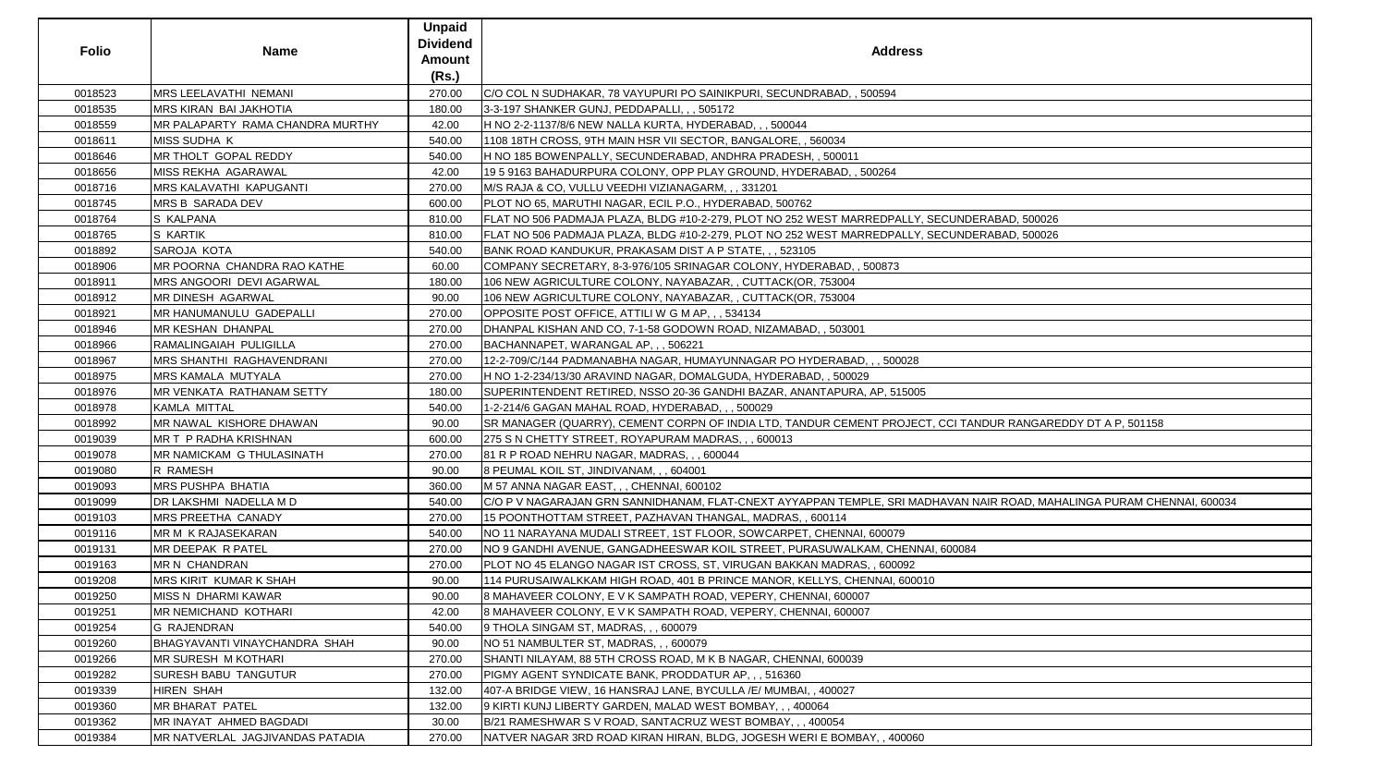| <b>Folio</b> | Name                             | <b>Unpaid</b><br><b>Dividend</b><br>Amount | <b>Address</b>                                                                                                         |
|--------------|----------------------------------|--------------------------------------------|------------------------------------------------------------------------------------------------------------------------|
|              |                                  | (Rs.)                                      |                                                                                                                        |
| 0018523      | MRS LEELAVATHI NEMANI            | 270.00                                     | C/O COL N SUDHAKAR, 78 VAYUPURI PO SAINIKPURI, SECUNDRABAD, , 500594                                                   |
| 0018535      | <b>MRS KIRAN BAI JAKHOTIA</b>    | 180.00                                     | 3-3-197 SHANKER GUNJ, PEDDAPALLI, , , 505172                                                                           |
| 0018559      | MR PALAPARTY RAMA CHANDRA MURTHY | 42.00                                      | H NO 2-2-1137/8/6 NEW NALLA KURTA, HYDERABAD, , , 500044                                                               |
| 0018611      | MISS SUDHA K                     | 540.00                                     |                                                                                                                        |
| 0018646      | MR THOLT GOPAL REDDY             | 540.00                                     | H NO 185 BOWENPALLY, SECUNDERABAD, ANDHRA PRADESH, , 500011                                                            |
| 0018656      | MISS REKHA AGARAWAL              | 42.00                                      | 19    5    9163 BAHADURPURA COLONY, OPP PLAY GROUND, HYDERABAD, , 500264                                               |
| 0018716      | <b>MRS KALAVATHI KAPUGANTI</b>   | 270.00                                     | M/S RAJA & CO, VULLU VEEDHI VIZIANAGARM, , , 331201                                                                    |
| 0018745      | <b>MRS B SARADA DEV</b>          | 600.00                                     | PLOT NO 65, MARUTHI NAGAR, ECIL P.O., HYDERABAD, 500762                                                                |
| 0018764      | S KALPANA                        | 810.00                                     | FLAT NO 506 PADMAJA PLAZA, BLDG #10-2-279, PLOT NO 252 WEST MARREDPALLY, SECUNDERABAD, 500026                          |
| 0018765      | S KARTIK                         | 810.00                                     | FLAT NO 506 PADMAJA PLAZA, BLDG #10-2-279, PLOT NO 252 WEST MARREDPALLY, SECUNDERABAD, 500026                          |
| 0018892      | SAROJA KOTA                      | 540.00                                     | BANK ROAD KANDUKUR, PRAKASAM DIST A P STATE, , , 523105                                                                |
| 0018906      | MR POORNA CHANDRA RAO KATHE      | 60.00                                      | COMPANY SECRETARY, 8-3-976/105 SRINAGAR COLONY, HYDERABAD, , 500873                                                    |
| 0018911      | MRS ANGOORI DEVI AGARWAL         | 180.00                                     | 106 NEW AGRICULTURE COLONY, NAYABAZAR, , CUTTACK(OR, 753004                                                            |
| 0018912      | <b>MR DINESH AGARWAL</b>         | 90.00                                      | 106 NEW AGRICULTURE COLONY, NAYABAZAR, , CUTTACK(OR, 753004                                                            |
| 0018921      | MR HANUMANULU GADEPALLI          | 270.00                                     | OPPOSITE POST OFFICE, ATTILI W G M AP, , , 534134                                                                      |
| 0018946      | <b>MR KESHAN DHANPAL</b>         | 270.00                                     | DHANPAL KISHAN AND CO, 7-1-58 GODOWN ROAD, NIZAMABAD, , 503001                                                         |
| 0018966      | RAMALINGAIAH PULIGILLA           | 270.00                                     | BACHANNAPET, WARANGAL AP, , , 506221                                                                                   |
| 0018967      | MRS SHANTHI RAGHAVENDRANI        | 270.00                                     | 12-2-709/C/144 PADMANABHA NAGAR, HUMAYUNNAGAR PO HYDERABAD, , , 500028                                                 |
| 0018975      | <b>MRS KAMALA MUTYALA</b>        | 270.00                                     | H NO 1-2-234/13/30 ARAVIND NAGAR, DOMALGUDA, HYDERABAD, , 500029                                                       |
| 0018976      | MR VENKATA RATHANAM SETTY        | 180.00                                     | SUPERINTENDENT RETIRED, NSSO 20-36 GANDHI BAZAR, ANANTAPURA, AP, 515005                                                |
| 0018978      | KAMLA MITTAL                     | 540.00                                     | 1-2-214/6 GAGAN MAHAL ROAD, HYDERABAD, , , 500029                                                                      |
| 0018992      | MR NAWAL KISHORE DHAWAN          | 90.00                                      | SR MANAGER (QUARRY), CEMENT CORPN OF INDIA LTD, TANDUR CEMENT PROJECT, CCI TANDUR RANGAREDDY DT A P, 501158            |
| 0019039      | MR T P RADHA KRISHNAN            | 600.00                                     | 275 S N CHETTY STREET, ROYAPURAM MADRAS, , , 600013                                                                    |
| 0019078      | MR NAMICKAM G THULASINATH        | 270.00                                     | 81 R P ROAD NEHRU NAGAR, MADRAS, , , 600044                                                                            |
| 0019080      | <b>R RAMESH</b>                  | 90.00                                      | 8 PEUMAL KOIL ST, JINDIVANAM, , , 604001                                                                               |
| 0019093      | MRS PUSHPA BHATIA                | 360.00                                     | M 57 ANNA NAGAR EAST, , , CHENNAI, 600102                                                                              |
| 0019099      | DR LAKSHMI NADELLA M D           | 540.00                                     | C/O P V NAGARAJAN GRN SANNIDHANAM, FLAT-CNEXT AYYAPPAN TEMPLE, SRI MADHAVAN NAIR ROAD, MAHALINGA PURAM CHENNAI, 600034 |
| 0019103      | MRS PREETHA CANADY               | 270.00                                     | 15 POONTHOTTAM STREET, PAZHAVAN THANGAL, MADRAS, , 600114                                                              |
| 0019116      | MR M K RAJASEKARAN               | 540.00                                     | NO 11 NARAYANA MUDALI STREET, 1ST FLOOR, SOWCARPET, CHENNAI, 600079                                                    |
| 0019131      | MR DEEPAK R PATEL                | 270.00                                     | INO 9 GANDHI AVENUE, GANGADHEESWAR KOIL STREET, PURASUWALKAM, CHENNAI, 600084                                          |
| 0019163      | <b>MR N CHANDRAN</b>             | 270.00                                     | PLOT NO 45 ELANGO NAGAR IST CROSS, ST, VIRUGAN BAKKAN MADRAS, , 600092                                                 |
| 0019208      | <b>MRS KIRIT KUMAR K SHAH</b>    | 90.00                                      | 114 PURUSAIWALKKAM HIGH ROAD, 401 B PRINCE MANOR, KELLYS, CHENNAI, 600010                                              |
| 0019250      | <b>MISS N DHARMI KAWAR</b>       | 90.00                                      | 8 MAHAVEER COLONY, E V K SAMPATH ROAD, VEPERY, CHENNAI, 600007                                                         |
| 0019251      | <b>MR NEMICHAND KOTHARI</b>      | 42.00                                      | 8 MAHAVEER COLONY, E V K SAMPATH ROAD, VEPERY, CHENNAI, 600007                                                         |
| 0019254      | <b>G RAJENDRAN</b>               | 540.00                                     | 9 THOLA SINGAM ST, MADRAS, , , 600079                                                                                  |
| 0019260      | BHAGYAVANTI VINAYCHANDRA SHAH    | 90.00                                      | INO 51 NAMBULTER ST, MADRAS 600079                                                                                     |
| 0019266      | <b>MR SURESH M KOTHARI</b>       | 270.00                                     | SHANTI NILAYAM, 88 5TH CROSS ROAD, M K B NAGAR, CHENNAI, 600039                                                        |
| 0019282      | SURESH BABU TANGUTUR             | 270.00                                     | PIGMY AGENT SYNDICATE BANK, PRODDATUR AP, , , 516360                                                                   |
| 0019339      | <b>HIREN SHAH</b>                | 132.00                                     | 407-A BRIDGE VIEW, 16 HANSRAJ LANE, BYCULLA / E/ MUMBAI,, 400027                                                       |
| 0019360      | <b>MR BHARAT PATEL</b>           | 132.00                                     | 9 KIRTI KUNJ LIBERTY GARDEN, MALAD WEST BOMBAY, , , 400064                                                             |
| 0019362      | MR INAYAT AHMED BAGDADI          | 30.00                                      | B/21 RAMESHWAR S V ROAD, SANTACRUZ WEST BOMBAY, , , 400054                                                             |
| 0019384      | MR NATVERLAL JAGJIVANDAS PATADIA | 270.00                                     | NATVER NAGAR 3RD ROAD KIRAN HIRAN, BLDG, JOGESH WERI E BOMBAY, , 400060                                                |
|              |                                  |                                            |                                                                                                                        |

| , SECUNDERABAD, 500026                             |
|----------------------------------------------------|
| , SECUNDERABAD, 500026                             |
|                                                    |
|                                                    |
|                                                    |
|                                                    |
|                                                    |
|                                                    |
|                                                    |
|                                                    |
| 5                                                  |
|                                                    |
| CT, CCI TANDUR RANGAREDDY DT A P, 501158           |
|                                                    |
|                                                    |
|                                                    |
|                                                    |
| ADHAVAN NAIR ROAD, MAHALINGA PURAM CHENNAI, 600034 |
|                                                    |
|                                                    |
| JAI, 600084                                        |
|                                                    |
| 10 <sub>1</sub>                                    |
|                                                    |
|                                                    |
|                                                    |
|                                                    |
|                                                    |
|                                                    |
|                                                    |
|                                                    |
| )                                                  |
|                                                    |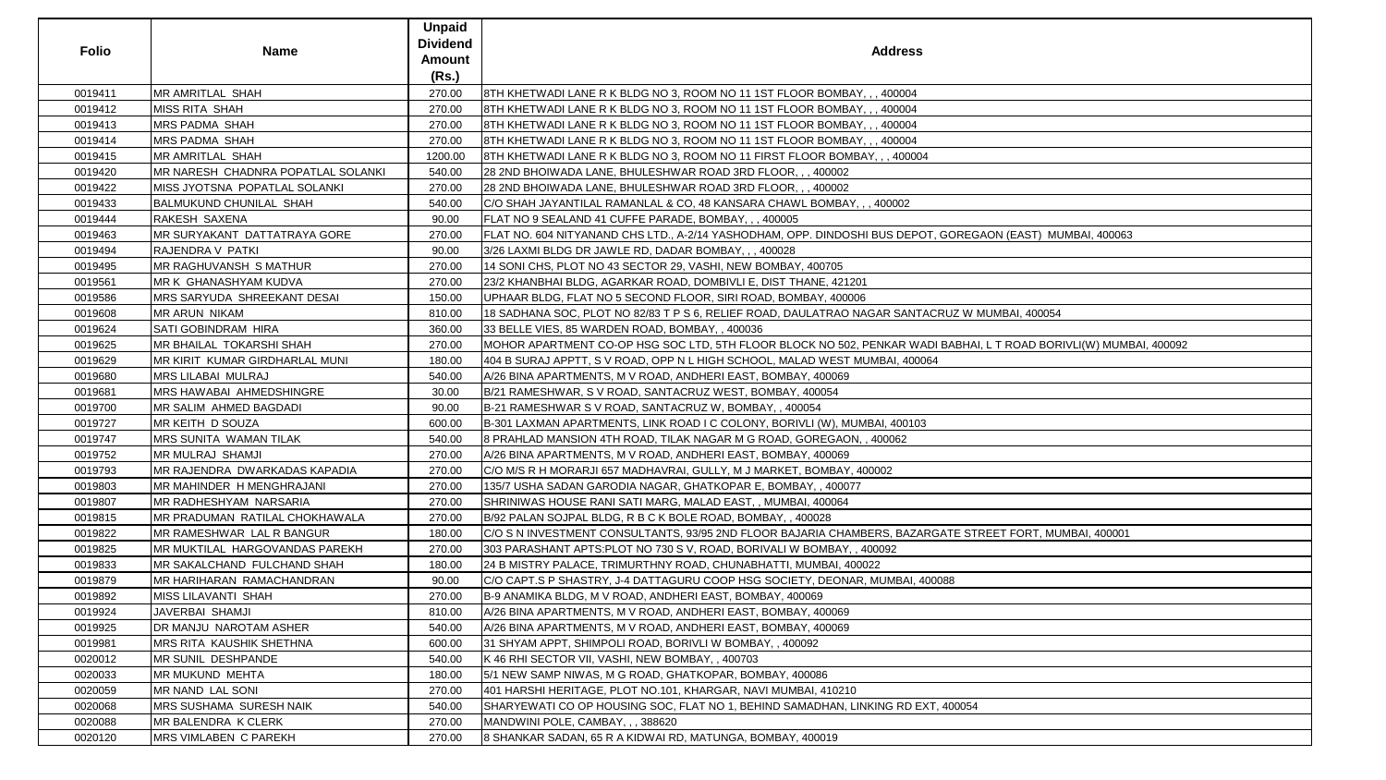| <b>Folio</b> | <b>Name</b>                        | <b>Unpaid</b><br><b>Dividend</b><br>Amount<br>(Rs.) | <b>Address</b>                                                                                                    |
|--------------|------------------------------------|-----------------------------------------------------|-------------------------------------------------------------------------------------------------------------------|
| 0019411      | <b>MR AMRITLAL SHAH</b>            | 270.00                                              | 8TH KHETWADI LANE R K BLDG NO 3, ROOM NO 11 1ST FLOOR BOMBAY, , , 400004                                          |
| 0019412      | <b>MISS RITA SHAH</b>              | 270.00                                              | 8TH KHETWADI LANE R K BLDG NO 3, ROOM NO 11 1ST FLOOR BOMBAY, , , 400004                                          |
| 0019413      | <b>MRS PADMA SHAH</b>              | 270.00                                              | 8TH KHETWADI LANE R K BLDG NO 3, ROOM NO 11 1ST FLOOR BOMBAY, , , 400004                                          |
| 0019414      | <b>MRS PADMA SHAH</b>              | 270.00                                              | 8TH KHETWADI LANE R K BLDG NO 3, ROOM NO 11 1ST FLOOR BOMBAY, , , 400004                                          |
| 0019415      | <b>MR AMRITLAL SHAH</b>            | 1200.00                                             | 8TH KHETWADI LANE R K BLDG NO 3, ROOM NO 11 FIRST FLOOR BOMBAY, , , 400004                                        |
| 0019420      | MR NARESH CHADNRA POPATLAL SOLANKI | 540.00                                              | 28 2ND BHOIWADA LANE, BHULESHWAR ROAD 3RD FLOOR, , , 400002                                                       |
| 0019422      | MISS JYOTSNA POPATLAL SOLANKI      | 270.00                                              | 28 2ND BHOIWADA LANE, BHULESHWAR ROAD 3RD FLOOR, , , 400002                                                       |
| 0019433      | <b>BALMUKUND CHUNILAL SHAH</b>     | 540.00                                              | C/O SHAH JAYANTILAL RAMANLAL & CO, 48 KANSARA CHAWL BOMBAY, , , 400002                                            |
| 0019444      | RAKESH SAXENA                      | 90.00                                               | FLAT NO 9 SEALAND 41 CUFFE PARADE, BOMBAY, , , 400005                                                             |
| 0019463      | MR SURYAKANT DATTATRAYA GORE       | 270.00                                              | FLAT NO. 604 NITYANAND CHS LTD., A-2/14 YASHODHAM, OPP. DINDOSHI BUS DEPOT, GOREGAON (EAST)  MUMBAI, 400063       |
| 0019494      | RAJENDRA V PATKI                   | 90.00                                               | 3/26 LAXMI BLDG DR JAWLE RD, DADAR BOMBAY, , , 400028                                                             |
| 0019495      | MR RAGHUVANSH S MATHUR             | 270.00                                              | 14 SONI CHS, PLOT NO 43 SECTOR 29, VASHI, NEW BOMBAY, 400705                                                      |
| 0019561      | MR K GHANASHYAM KUDVA              | 270.00                                              | 23/2 KHANBHAI BLDG, AGARKAR ROAD, DOMBIVLI E, DIST THANE, 421201                                                  |
| 0019586      | MRS SARYUDA SHREEKANT DESAI        | 150.00                                              | UPHAAR BLDG, FLAT NO 5 SECOND FLOOR, SIRI ROAD, BOMBAY, 400006                                                    |
| 0019608      | <b>MR ARUN NIKAM</b>               | 810.00                                              | 18 SADHANA SOC, PLOT NO 82/83 T P S 6, RELIEF ROAD, DAULATRAO NAGAR SANTACRUZ W MUMBAI, 400054                    |
| 0019624      | <b>SATI GOBINDRAM HIRA</b>         | 360.00                                              | 33 BELLE VIES, 85 WARDEN ROAD, BOMBAY,, 400036                                                                    |
| 0019625      | MR BHAILAL TOKARSHI SHAH           | 270.00                                              | MOHOR APARTMENT CO-OP HSG SOC LTD, 5TH FLOOR BLOCK NO 502, PENKAR WADI BABHAI, L T ROAD BORIVLI(W) MUMBAI, 400092 |
| 0019629      | MR KIRIT KUMAR GIRDHARLAL MUNI     | 180.00                                              | 404 B SURAJ APPTT, S V ROAD, OPP N L HIGH SCHOOL, MALAD WEST MUMBAI, 400064                                       |
| 0019680      | <b>MRS LILABAI MULRAJ</b>          | 540.00                                              | A/26 BINA APARTMENTS, M V ROAD, ANDHERI EAST, BOMBAY, 400069                                                      |
| 0019681      | <b>MRS HAWABAI AHMEDSHINGRE</b>    | 30.00                                               | B/21 RAMESHWAR, S V ROAD, SANTACRUZ WEST, BOMBAY, 400054                                                          |
| 0019700      | MR SALIM AHMED BAGDADI             | 90.00                                               | B-21 RAMESHWAR S V ROAD, SANTACRUZ W, BOMBAY, , 400054                                                            |
| 0019727      | MR KEITH D SOUZA                   | 600.00                                              | B-301 LAXMAN APARTMENTS, LINK ROAD I C COLONY, BORIVLI (W), MUMBAI, 400103                                        |
| 0019747      | MRS SUNITA WAMAN TILAK             | 540.00                                              | 8 PRAHLAD MANSION 4TH ROAD, TILAK NAGAR M G ROAD, GOREGAON, , 400062                                              |
| 0019752      | <b>MR MULRAJ SHAMJI</b>            | 270.00                                              | A/26 BINA APARTMENTS, M V ROAD, ANDHERI EAST, BOMBAY, 400069                                                      |
| 0019793      | MR RAJENDRA DWARKADAS KAPADIA      | 270.00                                              | C/O M/S R H MORARJI 657 MADHAVRAI, GULLY, M J MARKET, BOMBAY, 400002                                              |
| 0019803      | MR MAHINDER H MENGHRAJANI          | 270.00                                              | 135/7 USHA SADAN GARODIA NAGAR, GHATKOPAR E, BOMBAY, , 400077                                                     |
| 0019807      | MR RADHESHYAM NARSARIA             | 270.00                                              | SHRINIWAS HOUSE RANI SATI MARG, MALAD EAST, , MUMBAI, 400064                                                      |
| 0019815      | MR PRADUMAN RATILAL CHOKHAWALA     | 270.00                                              | B/92 PALAN SOJPAL BLDG, R B C K BOLE ROAD, BOMBAY, , 400028                                                       |
| 0019822      | MR RAMESHWAR LAL R BANGUR          | 180.00                                              | C/O S N INVESTMENT CONSULTANTS, 93/95 2ND FLOOR BAJARIA CHAMBERS, BAZARGATE STREET FORT, MUMBAI, 400001           |
| 0019825      | MR MUKTILAL HARGOVANDAS PAREKH     | 270.00                                              | 303 PARASHANT APTS:PLOT NO 730 S V, ROAD, BORIVALI W BOMBAY, , 400092                                             |
| 0019833      | MR SAKALCHAND FULCHAND SHAH        | 180.00                                              | 24 B MISTRY PALACE, TRIMURTHNY ROAD, CHUNABHATTI, MUMBAI, 400022                                                  |
| 0019879      | MR HARIHARAN RAMACHANDRAN          | 90.00                                               | C/O CAPT.S P SHASTRY, J-4 DATTAGURU COOP HSG SOCIETY, DEONAR, MUMBAI, 400088                                      |
| 0019892      | MISS LILAVANTI SHAH                | 270.00                                              | B-9 ANAMIKA BLDG, M V ROAD, ANDHERI EAST, BOMBAY, 400069                                                          |
| 0019924      | JAVERBAI SHAMJI                    | 810.00                                              | A/26 BINA APARTMENTS, M V ROAD, ANDHERI EAST, BOMBAY, 400069                                                      |
| 0019925      | DR MANJU NAROTAM ASHER             | 540.00                                              | A/26 BINA APARTMENTS, M V ROAD, ANDHERI EAST, BOMBAY, 400069                                                      |
| 0019981      | MRS RITA KAUSHIK SHETHNA           | 600.00                                              | 31 SHYAM APPT, SHIMPOLI ROAD, BORIVLI W BOMBAY, , 400092                                                          |
| 0020012      | MR SUNIL DESHPANDE                 | 540.00                                              | K 46 RHI SECTOR VII, VASHI, NEW BOMBAY, , 400703                                                                  |
| 0020033      | <b>MR MUKUND MEHTA</b>             | 180.00                                              | 5/1 NEW SAMP NIWAS, M G ROAD, GHATKOPAR, BOMBAY, 400086                                                           |
| 0020059      | MR NAND LAL SONI                   | 270.00                                              | 401 HARSHI HERITAGE, PLOT NO.101, KHARGAR, NAVI MUMBAI, 410210                                                    |
| 0020068      | <b>MRS SUSHAMA SURESH NAIK</b>     | 540.00                                              | SHARYEWATI CO OP HOUSING SOC, FLAT NO 1, BEHIND SAMADHAN, LINKING RD EXT, 400054                                  |
| 0020088      | MR BALENDRA K CLERK                | 270.00                                              | MANDWINI POLE, CAMBAY, , , 388620                                                                                 |
| 0020120      | <b>MRS VIMLABEN C PAREKH</b>       | 270.00                                              | 8 SHANKAR SADAN, 65 R A KIDWAI RD, MATUNGA, BOMBAY, 400019                                                        |

| SOREGAON (EAST) MUMBAI, 400063             |
|--------------------------------------------|
|                                            |
|                                            |
|                                            |
|                                            |
|                                            |
|                                            |
|                                            |
| UZ W MUMBAI, 400054                        |
|                                            |
|                                            |
|                                            |
| BABHAI, L T ROAD BORIVLI(W) MUMBAI, 400092 |
|                                            |
|                                            |
|                                            |
|                                            |
|                                            |
|                                            |
|                                            |
|                                            |
|                                            |
|                                            |
|                                            |
|                                            |
|                                            |
|                                            |
|                                            |
|                                            |
|                                            |
|                                            |
| TE STREET FORT, MUMBAI, 400001             |
|                                            |
|                                            |
|                                            |
|                                            |
| 88                                         |
|                                            |
|                                            |
|                                            |
|                                            |
|                                            |
|                                            |
|                                            |
|                                            |
|                                            |
|                                            |
|                                            |
|                                            |
| 400054                                     |
|                                            |
|                                            |
|                                            |
|                                            |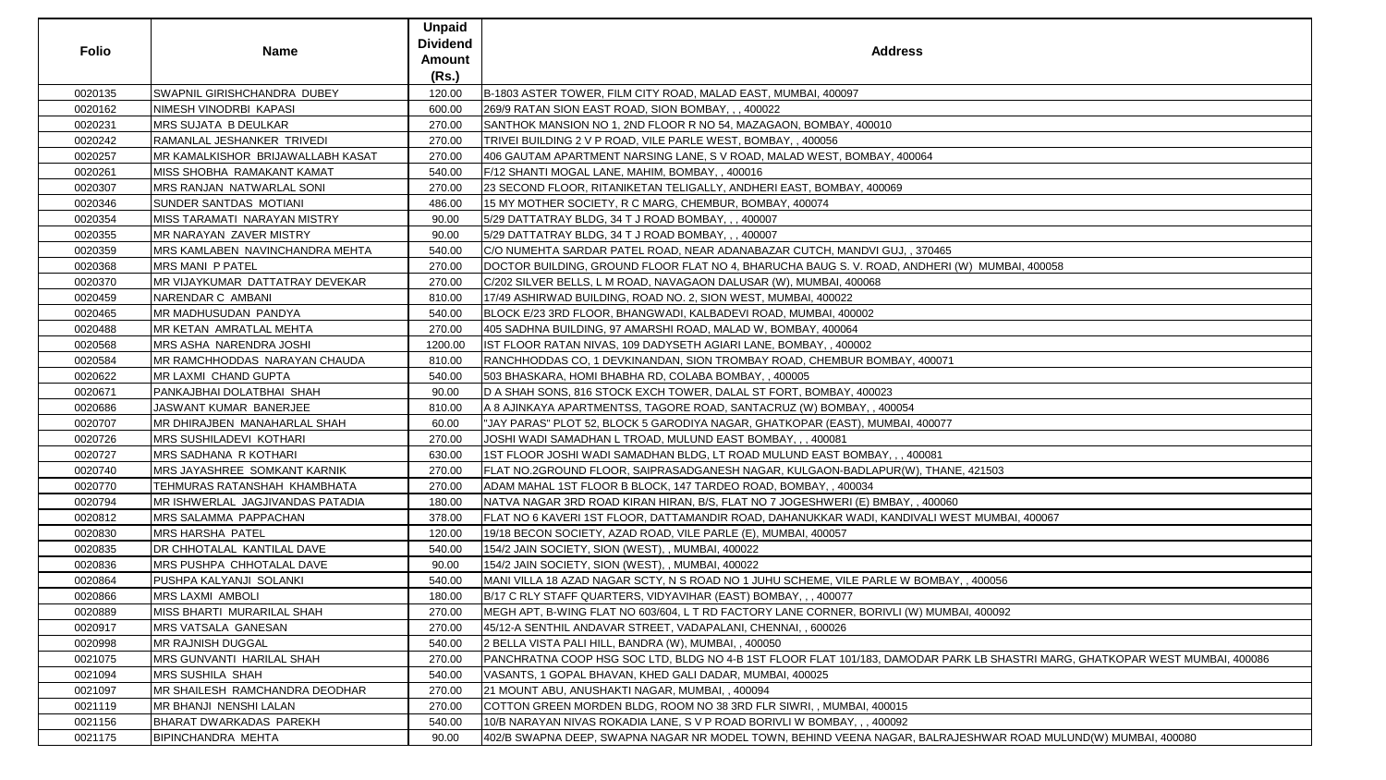| <b>Folio</b> | <b>Name</b>                         | <b>Unpaid</b><br><b>Dividend</b><br>Amount<br>(Rs.) | <b>Address</b>                                                                                                               |
|--------------|-------------------------------------|-----------------------------------------------------|------------------------------------------------------------------------------------------------------------------------------|
| 0020135      | SWAPNIL GIRISHCHANDRA DUBEY         | 120.00                                              | B-1803 ASTER TOWER, FILM CITY ROAD, MALAD EAST, MUMBAI, 400097                                                               |
| 0020162      | NIMESH VINODRBI KAPASI              | 600.00                                              | 269/9 RATAN SION EAST ROAD, SION BOMBAY, , , 400022                                                                          |
| 0020231      | MRS SUJATA B DEULKAR                | 270.00                                              | SANTHOK MANSION NO 1, 2ND FLOOR R NO 54, MAZAGAON, BOMBAY, 400010                                                            |
| 0020242      | RAMANLAL JESHANKER TRIVEDI          | 270.00                                              | TRIVEI BUILDING 2 V P ROAD, VILE PARLE WEST, BOMBAY, , 400056                                                                |
| 0020257      | MR KAMALKISHOR BRIJAWALLABH KASAT   | 270.00                                              | 406 GAUTAM APARTMENT NARSING LANE, S V ROAD, MALAD WEST, BOMBAY, 400064                                                      |
| 0020261      | MISS SHOBHA  RAMAKANT KAMAT         | 540.00                                              | F/12 SHANTI MOGAL LANE, MAHIM, BOMBAY, , 400016                                                                              |
| 0020307      | <b>MRS RANJAN NATWARLAL SONI</b>    | 270.00                                              | 23 SECOND FLOOR, RITANIKETAN TELIGALLY, ANDHERI EAST, BOMBAY, 400069                                                         |
| 0020346      | SUNDER SANTDAS MOTIANI              | 486.00                                              | 15 MY MOTHER SOCIETY, R C MARG, CHEMBUR, BOMBAY, 400074                                                                      |
| 0020354      | MISS TARAMATI NARAYAN MISTRY        | 90.00                                               | 5/29 DATTATRAY BLDG, 34 T J ROAD BOMBAY, , , 400007                                                                          |
| 0020355      | MR NARAYAN ZAVER MISTRY             | 90.00                                               | 5/29 DATTATRAY BLDG, 34 T J ROAD BOMBAY, , , 400007                                                                          |
| 0020359      | MRS KAMLABEN NAVINCHANDRA MEHTA     | 540.00                                              | C/O NUMEHTA SARDAR PATEL ROAD, NEAR ADANABAZAR CUTCH, MANDVI GUJ, , 370465                                                   |
| 0020368      | <b>MRS MANI P PATEL</b>             | 270.00                                              | DOCTOR BUILDING, GROUND FLOOR FLAT NO 4, BHARUCHA BAUG S. V. ROAD, ANDHERI (W) MUMBAI, 400058                                |
| 0020370      | MR VIJAYKUMAR DATTATRAY DEVEKAR     | 270.00                                              | C/202 SILVER BELLS, L M ROAD, NAVAGAON DALUSAR (W), MUMBAI, 400068                                                           |
| 0020459      | NARENDAR C AMBANI                   | 810.00                                              | 17/49 ASHIRWAD BUILDING, ROAD NO. 2, SION WEST, MUMBAI, 400022                                                               |
| 0020465      | MR MADHUSUDAN PANDYA                | 540.00                                              | BLOCK E/23 3RD FLOOR, BHANGWADI, KALBADEVI ROAD, MUMBAI, 400002                                                              |
| 0020488      | MR KETAN AMRATLAL MEHTA             | 270.00                                              | 405 SADHNA BUILDING, 97 AMARSHI ROAD, MALAD W, BOMBAY, 400064                                                                |
| 0020568      | MRS ASHA NARENDRA JOSHI             | 1200.00                                             | IST FLOOR RATAN NIVAS, 109 DADYSETH AGIARI LANE, BOMBAY, , 400002                                                            |
| 0020584      | MR RAMCHHODDAS NARAYAN CHAUDA       | 810.00                                              | RANCHHODDAS CO, 1 DEVKINANDAN, SION TROMBAY ROAD, CHEMBUR BOMBAY, 400071                                                     |
| 0020622      | MR LAXMI CHAND GUPTA                | 540.00                                              | 503 BHASKARA, HOMI BHABHA RD, COLABA BOMBAY, , 400005                                                                        |
| 0020671      | PANKAJBHAI DOLATBHAI SHAH           | 90.00                                               | D A SHAH SONS, 816 STOCK EXCH TOWER, DALAL ST FORT, BOMBAY, 400023                                                           |
| 0020686      | JASWANT KUMAR BANERJEE              | 810.00                                              | A 8 AJINKAYA APARTMENTSS, TAGORE ROAD, SANTACRUZ (W) BOMBAY, , 400054                                                        |
| 0020707      | MR DHIRAJBEN MANAHARLAL SHAH        | 60.00                                               | "JAY PARAS" PLOT 52, BLOCK 5 GARODIYA NAGAR, GHATKOPAR (EAST), MUMBAI, 400077                                                |
| 0020726      | MRS SUSHILADEVI KOTHARI             | 270.00                                              | JOSHI WADI SAMADHAN L TROAD, MULUND EAST BOMBAY, , , 400081                                                                  |
| 0020727      | MRS SADHANA R KOTHARI               | 630.00                                              | 1ST FLOOR JOSHI WADI SAMADHAN BLDG, LT ROAD MULUND EAST BOMBAY, , , 400081                                                   |
| 0020740      | <b>MRS JAYASHREE SOMKANT KARNIK</b> | 270.00                                              | FLAT NO.2GROUND FLOOR, SAIPRASADGANESH NAGAR, KULGAON-BADLAPUR(W), THANE, 421503                                             |
| 0020770      | TEHMURAS RATANSHAH KHAMBHATA        | 270.00                                              | ADAM MAHAL 1ST FLOOR B BLOCK, 147 TARDEO ROAD, BOMBAY, , 400034                                                              |
| 0020794      | MR ISHWERLAL JAGJIVANDAS PATADIA    | 180.00                                              | NATVA NAGAR 3RD ROAD KIRAN HIRAN, B/S, FLAT NO 7 JOGESHWERI (E) BMBAY, , 400060                                              |
| 0020812      | <b>MRS SALAMMA PAPPACHAN</b>        | 378.00                                              | FLAT NO 6 KAVERI 1ST FLOOR, DATTAMANDIR ROAD, DAHANUKKAR WADI, KANDIVALI WEST MUMBAI, 400067                                 |
| 0020830      | MRS HARSHA PATEL                    | 120.00                                              | 19/18 BECON SOCIETY, AZAD ROAD, VILE PARLE (E), MUMBAI, 400057                                                               |
| 0020835      | DR CHHOTALAL KANTILAL DAVE          | 540.00                                              | 154/2 JAIN SOCIETY, SION (WEST), , MUMBAI, 400022                                                                            |
| 0020836      | MRS PUSHPA CHHOTALAL DAVE           | 90.00                                               | 154/2 JAIN SOCIETY, SION (WEST), , MUMBAI, 400022                                                                            |
| 0020864      | PUSHPA KALYANJI SOLANKI             | 540.00                                              | MANI VILLA 18 AZAD NAGAR SCTY, N S ROAD NO 1 JUHU SCHEME, VILE PARLE W BOMBAY, , 400056                                      |
| 0020866      | <b>MRS LAXMI AMBOLI</b>             | 180.00                                              | B/17 C RLY STAFF QUARTERS, VIDYAVIHAR (EAST) BOMBAY, ,, 400077                                                               |
| 0020889      | MISS BHARTI MURARILAL SHAH          | 270.00                                              | IMEGH APT, B-WING FLAT NO 603/604, L T RD FACTORY LANE CORNER, BORIVLI (W) MUMBAI, 400092                                    |
| 0020917      | MRS VATSALA GANESAN                 | 270.00                                              | [45/12-A SENTHIL ANDAVAR STREET, VADAPALANI, CHENNAI, , 600026                                                               |
| 0020998      | MR RAJNISH DUGGAL                   | 540.00                                              | 2 BELLA VISTA PALI HILL, BANDRA (W), MUMBAI, , 400050                                                                        |
| 0021075      | <b>MRS GUNVANTI HARILAL SHAH</b>    | 270.00                                              | PANCHRATNA COOP HSG SOC LTD, BLDG NO 4-B 1ST FLOOR FLAT 101/183, DAMODAR PARK LB SHASTRI MARG, GHATKOPAR WEST MUMBAI, 400086 |
| 0021094      | MRS SUSHILA SHAH                    | 540.00                                              | VASANTS, 1 GOPAL BHAVAN, KHED GALI DADAR, MUMBAI, 400025                                                                     |
| 0021097      | MR SHAILESH RAMCHANDRA DEODHAR      | 270.00                                              | 21 MOUNT ABU, ANUSHAKTI NAGAR, MUMBAI,, 400094                                                                               |
| 0021119      | MR BHANJI NENSHI LALAN              | 270.00                                              | COTTON GREEN MORDEN BLDG, ROOM NO 38 3RD FLR SIWRI, , MUMBAI, 400015                                                         |
| 0021156      | <b>BHARAT DWARKADAS PAREKH</b>      | 540.00                                              | 10/B NARAYAN NIVAS ROKADIA LANE, S V P ROAD BORIVLI W BOMBAY, , , 400092                                                     |
| 0021175      | <b>BIPINCHANDRA MEHTA</b>           | 90.00                                               | 402/B SWAPNA DEEP, SWAPNA NAGAR NR MODEL TOWN, BEHIND VEENA NAGAR, BALRAJESHWAR ROAD MULUND(W) MUMBAI, 400080                |

| MUMBAI, 400058                                  |
|-------------------------------------------------|
|                                                 |
|                                                 |
|                                                 |
|                                                 |
|                                                 |
|                                                 |
|                                                 |
|                                                 |
|                                                 |
|                                                 |
|                                                 |
| 421503                                          |
|                                                 |
| <b>TMUMBAI, 400067</b>                          |
|                                                 |
|                                                 |
|                                                 |
| 400056                                          |
|                                                 |
| , 400092                                        |
|                                                 |
| (LB SHASTRI MARG, GHATKOPAR WEST MUMBAI, 400086 |
|                                                 |
|                                                 |
|                                                 |
|                                                 |
| SHWAR ROAD MULUND(W) MUMBAI, 400080             |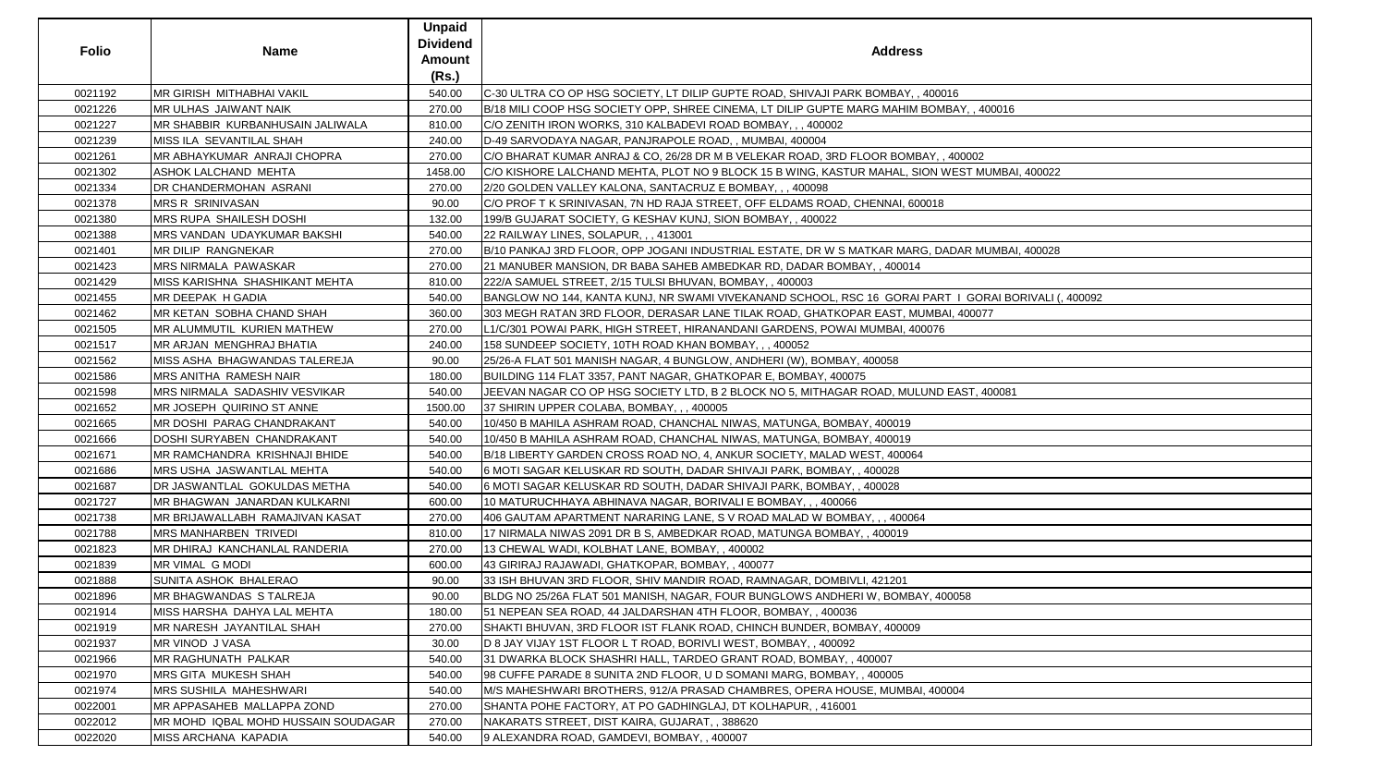| <b>Folio</b> | <b>Name</b>                         | <b>Unpaid</b><br><b>Dividend</b><br><b>Amount</b><br>(Rs.) | <b>Address</b>                                                                                         |
|--------------|-------------------------------------|------------------------------------------------------------|--------------------------------------------------------------------------------------------------------|
| 0021192      | MR GIRISH MITHABHAI VAKIL           | 540.00                                                     | C-30 ULTRA CO OP HSG SOCIETY, LT DILIP GUPTE ROAD, SHIVAJI PARK BOMBAY, , 400016                       |
| 0021226      | MR ULHAS JAIWANT NAIK               | 270.00                                                     | B/18 MILI COOP HSG SOCIETY OPP, SHREE CINEMA, LT DILIP GUPTE MARG MAHIM BOMBAY, , 400016               |
| 0021227      | MR SHABBIR KURBANHUSAIN JALIWALA    | 810.00                                                     | C/O ZENITH IRON WORKS, 310 KALBADEVI ROAD BOMBAY, , , 400002                                           |
| 0021239      | MISS ILA SEVANTILAL SHAH            | 240.00                                                     | D-49 SARVODAYA NAGAR, PANJRAPOLE ROAD,, MUMBAI, 400004                                                 |
| 0021261      | MR ABHAYKUMAR ANRAJI CHOPRA         | 270.00                                                     | C/O BHARAT KUMAR ANRAJ & CO, 26/28 DR M B VELEKAR ROAD, 3RD FLOOR BOMBAY, , 400002                     |
| 0021302      | ASHOK LALCHAND MEHTA                | 1458.00                                                    | C/O KISHORE LALCHAND MEHTA, PLOT NO 9 BLOCK 15 B WING, KASTUR MAHAL, SION WEST MUMBAI, 400022          |
| 0021334      | DR CHANDERMOHAN ASRANI              | 270.00                                                     | 2/20 GOLDEN VALLEY KALONA, SANTACRUZ E BOMBAY, , , 400098                                              |
| 0021378      | <b>MRS R SRINIVASAN</b>             | 90.00                                                      | C/O PROF T K SRINIVASAN, 7N HD RAJA STREET, OFF ELDAMS ROAD, CHENNAI, 600018                           |
| 0021380      | MRS RUPA SHAILESH DOSHI             | 132.00                                                     | 199/B GUJARAT SOCIETY, G KESHAV KUNJ, SION BOMBAY, , 400022                                            |
| 0021388      | MRS VANDAN UDAYKUMAR BAKSHI         | 540.00                                                     | 22 RAILWAY LINES, SOLAPUR, ,, 413001                                                                   |
| 0021401      | MR DILIP RANGNEKAR                  | 270.00                                                     | B/10 PANKAJ 3RD FLOOR, OPP JOGANI INDUSTRIAL ESTATE, DR W S MATKAR MARG, DADAR MUMBAI, 400028          |
| 0021423      | MRS NIRMALA PAWASKAR                | 270.00                                                     | 21 MANUBER MANSION, DR BABA SAHEB AMBEDKAR RD, DADAR BOMBAY, , 400014                                  |
| 0021429      | MISS KARISHNA SHASHIKANT MEHTA      | 810.00                                                     | 222/A SAMUEL STREET, 2/15 TULSI BHUVAN, BOMBAY, , 400003                                               |
| 0021455      | <b>MR DEEPAK H GADIA</b>            | 540.00                                                     | BANGLOW NO 144, KANTA KUNJ, NR SWAMI VIVEKANAND SCHOOL, RSC 16  GORAI PART I  GORAI BORIVALI (, 400092 |
| 0021462      | MR KETAN SOBHA CHAND SHAH           | 360.00                                                     | 303 MEGH RATAN 3RD FLOOR, DERASAR LANE TILAK ROAD, GHATKOPAR EAST, MUMBAI, 400077                      |
| 0021505      | MR ALUMMUTIL KURIEN MATHEW          | 270.00                                                     | L1/C/301 POWAI PARK, HIGH STREET, HIRANANDANI GARDENS, POWAI MUMBAI, 400076                            |
| 0021517      | MR ARJAN MENGHRAJ BHATIA            | 240.00                                                     | 158 SUNDEEP SOCIETY, 10TH ROAD KHAN BOMBAY, , , 400052                                                 |
| 0021562      | MISS ASHA BHAGWANDAS TALEREJA       | 90.00                                                      | 25/26-A FLAT 501 MANISH NAGAR, 4 BUNGLOW, ANDHERI (W), BOMBAY, 400058                                  |
| 0021586      | MRS ANITHA RAMESH NAIR              | 180.00                                                     | BUILDING 114 FLAT 3357, PANT NAGAR, GHATKOPAR E, BOMBAY, 400075                                        |
| 0021598      | MRS NIRMALA SADASHIV VESVIKAR       | 540.00                                                     | JEEVAN NAGAR CO OP HSG SOCIETY LTD, B 2 BLOCK NO 5, MITHAGAR ROAD, MULUND EAST, 400081                 |
| 0021652      | MR JOSEPH QUIRINO ST ANNE           | 1500.00                                                    | 37 SHIRIN UPPER COLABA, BOMBAY, ,, 400005                                                              |
| 0021665      | MR DOSHI PARAG CHANDRAKANT          | 540.00                                                     | 10/450 B MAHILA ASHRAM ROAD, CHANCHAL NIWAS, MATUNGA, BOMBAY, 400019                                   |
| 0021666      | DOSHI SURYABEN CHANDRAKANT          | 540.00                                                     | 10/450 B MAHILA ASHRAM ROAD, CHANCHAL NIWAS, MATUNGA, BOMBAY, 400019                                   |
| 0021671      | MR RAMCHANDRA KRISHNAJI BHIDE       | 540.00                                                     | B/18 LIBERTY GARDEN CROSS ROAD NO, 4, ANKUR SOCIETY, MALAD WEST, 400064                                |
| 0021686      | MRS USHA JASWANTLAL MEHTA           | 540.00                                                     | 6 MOTI SAGAR KELUSKAR RD SOUTH, DADAR SHIVAJI PARK, BOMBAY, , 400028                                   |
| 0021687      | DR JASWANTLAL GOKULDAS METHA        | 540.00                                                     | 6 MOTI SAGAR KELUSKAR RD SOUTH, DADAR SHIVAJI PARK, BOMBAY, , 400028                                   |
| 0021727      | MR BHAGWAN JANARDAN KULKARNI        | 600.00                                                     | 10 MATURUCHHAYA ABHINAVA NAGAR, BORIVALI E BOMBAY, , , 400066                                          |
| 0021738      | MR BRIJAWALLABH RAMAJIVAN KASAT     | 270.00                                                     | 406 GAUTAM APARTMENT NARARING LANE, S V ROAD MALAD W BOMBAY, , , 400064                                |
| 0021788      | <b>MRS MANHARBEN TRIVEDI</b>        | 810.00                                                     | 17 NIRMALA NIWAS 2091 DR B S, AMBEDKAR ROAD, MATUNGA BOMBAY, , 400019                                  |
| 0021823      | MR DHIRAJ KANCHANLAL RANDERIA       | 270.00                                                     | 13 CHEWAL WADI, KOLBHAT LANE, BOMBAY, , 400002                                                         |
| 0021839      | MR VIMAL G MODI                     | 600.00                                                     | 43 GIRIRAJ RAJAWADI, GHATKOPAR, BOMBAY,, 400077                                                        |
| 0021888      | SUNITA ASHOK BHALERAO               | 90.00                                                      | 33 ISH BHUVAN 3RD FLOOR, SHIV MANDIR ROAD, RAMNAGAR, DOMBIVLI, 421201                                  |
| 0021896      | MR BHAGWANDAS S TALREJA             | 90.00                                                      | BLDG NO 25/26A FLAT 501 MANISH, NAGAR, FOUR BUNGLOWS ANDHERI W, BOMBAY, 400058                         |
| 0021914      | MISS HARSHA DAHYA LAL MEHTA         | 180.00                                                     | 51 NEPEAN SEA ROAD, 44 JALDARSHAN 4TH FLOOR, BOMBAY, , 400036                                          |
| 0021919      | MR NARESH JAYANTILAL SHAH           | 270.00                                                     | SHAKTI BHUVAN, 3RD FLOOR IST FLANK ROAD, CHINCH BUNDER, BOMBAY, 400009                                 |
| 0021937      | MR VINOD J VASA                     | 30.00                                                      | D 8 JAY VIJAY 1ST FLOOR L T ROAD, BORIVLI WEST, BOMBAY, , 400092                                       |
| 0021966      | MR RAGHUNATH PALKAR                 | 540.00                                                     | 31 DWARKA BLOCK SHASHRI HALL, TARDEO GRANT ROAD, BOMBAY, , 400007                                      |
| 0021970      | MRS GITA MUKESH SHAH                | 540.00                                                     | 98 CUFFE PARADE 8 SUNITA 2ND FLOOR, U D SOMANI MARG, BOMBAY, , 400005                                  |
| 0021974      | <b>MRS SUSHILA MAHESHWARI</b>       | 540.00                                                     | M/S MAHESHWARI BROTHERS, 912/A PRASAD CHAMBRES, OPERA HOUSE, MUMBAI, 400004                            |
| 0022001      | MR APPASAHEB MALLAPPA ZOND          | 270.00                                                     | SHANTA POHE FACTORY, AT PO GADHINGLAJ, DT KOLHAPUR, , 416001                                           |
| 0022012      | MR MOHD IQBAL MOHD HUSSAIN SOUDAGAR | 270.00                                                     | NAKARATS STREET, DIST KAIRA, GUJARAT, , 388620                                                         |
| 0022020      | MISS ARCHANA KAPADIA                | 540.00                                                     | 9 ALEXANDRA ROAD, GAMDEVI, BOMBAY, , 400007                                                            |

| )16                          |
|------------------------------|
| IBAY, , 400016               |
|                              |
|                              |
|                              |
| ,400002                      |
| <b>NEST MUMBAI, 400022</b>   |
|                              |
|                              |
|                              |
|                              |
|                              |
| ADAR MUMBAI, 400028          |
|                              |
|                              |
|                              |
| T   GORAI BORIVALI (, 400092 |
|                              |
| AI, 400077                   |
|                              |
|                              |
|                              |
|                              |
|                              |
| EAST, 400081                 |
|                              |
|                              |
|                              |
|                              |
|                              |
|                              |
|                              |
|                              |
|                              |
|                              |
|                              |
|                              |
|                              |
|                              |
|                              |
| 00058                        |
|                              |
|                              |
|                              |
|                              |
|                              |
|                              |
|                              |
| 0004                         |
|                              |
|                              |
|                              |
|                              |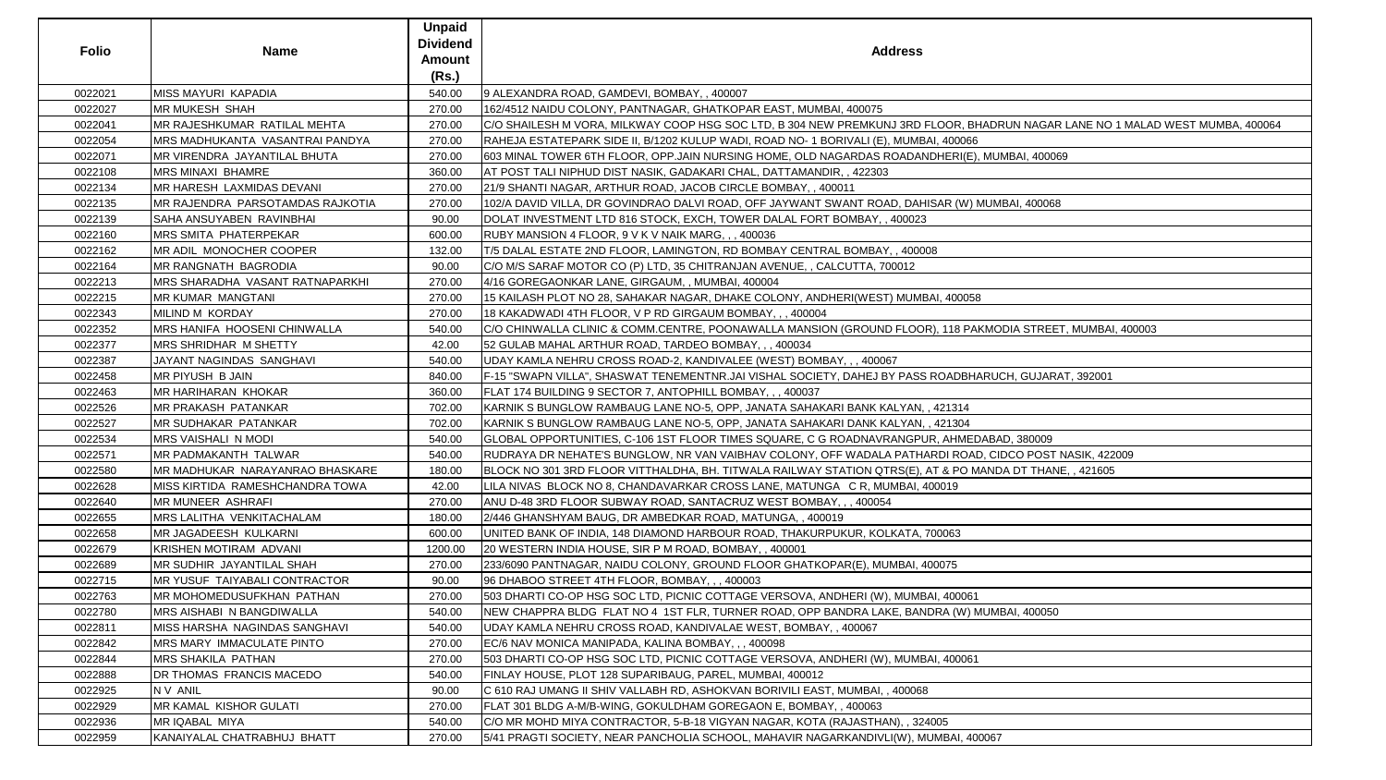| <b>Folio</b> | <b>Name</b>                           | <b>Unpaid</b><br><b>Dividend</b><br>Amount | <b>Address</b>                                                                                                                |
|--------------|---------------------------------------|--------------------------------------------|-------------------------------------------------------------------------------------------------------------------------------|
|              |                                       | (Rs.)                                      |                                                                                                                               |
| 0022021      | <b>MISS MAYURI KAPADIA</b>            | 540.00                                     | 9 ALEXANDRA ROAD, GAMDEVI, BOMBAY,, 400007                                                                                    |
| 0022027      | <b>MR MUKESH SHAH</b>                 | 270.00                                     | 1162/4512 NAIDU COLONY, PANTNAGAR, GHATKOPAR EAST, MUMBAI, 400075                                                             |
| 0022041      | MR RAJESHKUMAR RATILAL MEHTA          | 270.00                                     | C/O SHAILESH M VORA, MILKWAY COOP HSG SOC LTD, B 304 NEW PREMKUNJ 3RD FLOOR, BHADRUN NAGAR LANE NO 1 MALAD WEST MUMBA, 400064 |
| 0022054      | MRS MADHUKANTA VASANTRAI PANDYA       | 270.00                                     | RAHEJA ESTATEPARK SIDE II, B/1202 KULUP WADI, ROAD NO- 1 BORIVALI (E), MUMBAI, 400066                                         |
| 0022071      | MR VIRENDRA JAYANTILAL BHUTA          | 270.00                                     | 603 MINAL TOWER 6TH FLOOR, OPP.JAIN NURSING HOME, OLD NAGARDAS ROADANDHERI(E), MUMBAI, 400069                                 |
| 0022108      | <b>MRS MINAXI BHAMRE</b>              | 360.00                                     | AT POST TALI NIPHUD DIST NASIK, GADAKARI CHAL, DATTAMANDIR, , 422303                                                          |
| 0022134      | MR HARESH LAXMIDAS DEVANI             | 270.00                                     | 21/9 SHANTI NAGAR, ARTHUR ROAD, JACOB CIRCLE BOMBAY, , 400011                                                                 |
| 0022135      | MR RAJENDRA PARSOTAMDAS RAJKOTIA      | 270.00                                     | 102/A DAVID VILLA, DR GOVINDRAO DALVI ROAD, OFF JAYWANT SWANT ROAD, DAHISAR (W) MUMBAI, 400068                                |
| 0022139      | SAHA ANSUYABEN RAVINBHAI              | 90.00                                      | DOLAT INVESTMENT LTD 816 STOCK, EXCH, TOWER DALAL FORT BOMBAY, , 400023                                                       |
| 0022160      | <b>MRS SMITA PHATERPEKAR</b>          | 600.00                                     | RUBY MANSION 4 FLOOR, 9 V K V NAIK MARG, , , 400036                                                                           |
| 0022162      | MR ADIL MONOCHER COOPER               | 132.00                                     | T/5 DALAL ESTATE 2ND FLOOR, LAMINGTON, RD BOMBAY CENTRAL BOMBAY, , 400008                                                     |
| 0022164      | <b>MR RANGNATH BAGRODIA</b>           | 90.00                                      | C/O M/S SARAF MOTOR CO (P) LTD, 35 CHITRANJAN AVENUE, , CALCUTTA, 700012                                                      |
| 0022213      | MRS SHARADHA VASANT RATNAPARKHI       | 270.00                                     | 4/16 GOREGAONKAR LANE, GIRGAUM, , MUMBAI, 400004                                                                              |
| 0022215      | <b>MR KUMAR MANGTANI</b>              | 270.00                                     | 15 KAILASH PLOT NO 28, SAHAKAR NAGAR, DHAKE COLONY, ANDHERI(WEST) MUMBAI, 400058                                              |
| 0022343      | MILIND M KORDAY                       | 270.00                                     | 18 KAKADWADI 4TH FLOOR, V P RD GIRGAUM BOMBAY, , , 400004                                                                     |
| 0022352      | MRS HANIFA HOOSENI CHINWALLA          | 540.00                                     | C/O CHINWALLA CLINIC & COMM.CENTRE, POONAWALLA MANSION (GROUND FLOOR), 118 PAKMODIA STREET, MUMBAI, 400003                    |
| 0022377      | MRS SHRIDHAR M SHETTY                 | 42.00                                      | 52 GULAB MAHAL ARTHUR ROAD, TARDEO BOMBAY, ,, 400034                                                                          |
| 0022387      | JAYANT NAGINDAS SANGHAVI              | 540.00                                     | UDAY KAMLA NEHRU CROSS ROAD-2, KANDIVALEE (WEST) BOMBAY, , , 400067                                                           |
| 0022458      | MR PIYUSH B JAIN                      | 840.00                                     | F-15 "SWAPN VILLA", SHASWAT TENEMENTNR.JAI VISHAL SOCIETY, DAHEJ BY PASS ROADBHARUCH, GUJARAT, 392001                         |
| 0022463      | <b>MR HARIHARAN KHOKAR</b>            | 360.00                                     | FLAT 174 BUILDING 9 SECTOR 7, ANTOPHILL BOMBAY, , , 400037                                                                    |
| 0022526      | <b>MR PRAKASH PATANKAR</b>            | 702.00                                     | KARNIK S BUNGLOW RAMBAUG LANE NO-5, OPP, JANATA SAHAKARI BANK KALYAN, , 421314                                                |
| 0022527      | <b>MR SUDHAKAR PATANKAR</b>           | 702.00                                     | KARNIK S BUNGLOW RAMBAUG LANE NO-5, OPP, JANATA SAHAKARI DANK KALYAN, , 421304                                                |
| 0022534      | <b>MRS VAISHALI N MODI</b>            | 540.00                                     | GLOBAL OPPORTUNITIES, C-106 1ST FLOOR TIMES SQUARE, C G ROADNAVRANGPUR, AHMEDABAD, 380009                                     |
| 0022571      | MR PADMAKANTH TALWAR                  | 540.00                                     | RUDRAYA DR NEHATE'S BUNGLOW, NR VAN VAIBHAV COLONY, OFF WADALA PATHARDI ROAD, CIDCO POST NASIK, 422009                        |
| 0022580      | MR MADHUKAR NARAYANRAO BHASKARE       | 180.00                                     | BLOCK NO 301 3RD FLOOR VITTHALDHA, BH. TITWALA RAILWAY STATION QTRS(E), AT & PO MANDA DT THANE, , 421605                      |
| 0022628      | MISS KIRTIDA RAMESHCHANDRA TOWA       | 42.00                                      | LILA NIVAS BLOCK NO 8, CHANDAVARKAR CROSS LANE, MATUNGA C R, MUMBAI, 400019                                                   |
| 0022640      | MR MUNEER ASHRAFI                     | 270.00                                     | ANU D-48 3RD FLOOR SUBWAY ROAD, SANTACRUZ WEST BOMBAY, , , 400054                                                             |
| 0022655      | MRS LALITHA VENKITACHALAM             | 180.00                                     | 2/446 GHANSHYAM BAUG, DR AMBEDKAR ROAD, MATUNGA,, 400019                                                                      |
| 0022658      | MR JAGADEESH KULKARNI                 | 600.00                                     | UNITED BANK OF INDIA, 148 DIAMOND HARBOUR ROAD, THAKURPUKUR, KOLKATA, 700063                                                  |
| 0022679      | KRISHEN MOTIRAM ADVANI                | 1200.00                                    | 20 WESTERN INDIA HOUSE, SIR P M ROAD, BOMBAY, , 400001                                                                        |
| 0022689      | MR SUDHIR JAYANTILAL SHAH             | 270.00                                     | 233/6090 PANTNAGAR, NAIDU COLONY, GROUND FLOOR GHATKOPAR(E), MUMBAI, 400075                                                   |
| 0022715      | <b>IMR YUSUF TAIYABALI CONTRACTOR</b> | 90.00                                      | 96 DHABOO STREET 4TH FLOOR, BOMBAY, ,, 400003                                                                                 |
| 0022763      | <b>IMR MOHOMEDUSUFKHAN PATHAN</b>     | 270.00                                     | 503 DHARTI CO-OP HSG SOC LTD, PICNIC COTTAGE VERSOVA, ANDHERI (W), MUMBAI, 400061                                             |
| 0022780      | <b>IMRS AISHABI N BANGDIWALLA</b>     | 540.00                                     | NEW CHAPPRA BLDG FLAT NO 4 1ST FLR, TURNER ROAD, OPP BANDRA LAKE, BANDRA (W) MUMBAI, 400050                                   |
| 0022811      | MISS HARSHA NAGINDAS SANGHAVI         | 540.00                                     | UDAY KAMLA NEHRU CROSS ROAD, KANDIVALAE WEST, BOMBAY, , 400067                                                                |
| 0022842      | <b>MRS MARY IMMACULATE PINTO</b>      | 270.00                                     | EC/6 NAV MONICA MANIPADA, KALINA BOMBAY, ,, 400098                                                                            |
| 0022844      | <b>MRS SHAKILA PATHAN</b>             | 270.00                                     | 503 DHARTI CO-OP HSG SOC LTD, PICNIC COTTAGE VERSOVA, ANDHERI (W), MUMBAI, 400061                                             |
| 0022888      | <b>DR THOMAS FRANCIS MACEDO</b>       | 540.00                                     | FINLAY HOUSE, PLOT 128 SUPARIBAUG, PAREL, MUMBAI, 400012                                                                      |
| 0022925      | N V ANIL                              | 90.00                                      | C 610 RAJ UMANG II SHIV VALLABH RD, ASHOKVAN BORIVILI EAST, MUMBAI, , 400068                                                  |
| 0022929      | <b>IMR KAMAL KISHOR GULATI</b>        | 270.00                                     | FLAT 301 BLDG A-M/B-WING, GOKULDHAM GOREGAON E, BOMBAY, , 400063                                                              |
| 0022936      | MR IQABAL MIYA                        | 540.00                                     | C/O MR MOHD MIYA CONTRACTOR, 5-B-18 VIGYAN NAGAR, KOTA (RAJASTHAN), , 324005                                                  |
| 0022959      | KANAIYALAL CHATRABHUJ BHATT           | 270.00                                     | 5/41 PRAGTI SOCIETY, NEAR PANCHOLIA SCHOOL, MAHAVIR NAGARKANDIVLI(W), MUMBAI, 400067                                          |

| ress                                                                 |
|----------------------------------------------------------------------|
|                                                                      |
|                                                                      |
|                                                                      |
| J 3RD FLOOR, BHADRUN NAGAR LANE NO 1 MALAD WEST MUMBA, 400064        |
| MUMBAI, 400066                                                       |
| OADANDHERI(E), MUMBAI, 400069                                        |
|                                                                      |
| D, DAHISAR (W) MUMBAI, 400068                                        |
| 400023                                                               |
|                                                                      |
| , 400008                                                             |
| 0012                                                                 |
|                                                                      |
| MUMBAI, 400058                                                       |
|                                                                      |
| FLOOR), 118 PAKMODIA STREET, MUMBAI, 400003                          |
|                                                                      |
| 7                                                                    |
| PASS ROADBHARUCH, GUJARAT, 392001                                    |
|                                                                      |
| LYAN, , 421314                                                       |
| LYAN, , 421304                                                       |
| ANGPUR, AHMEDABAD, 380009<br>PATHARDI ROAD, CIDCO POST NASIK, 422009 |
| RS(E), AT & PO MANDA DT THANE, , 421605                              |
| MBAI, 400019                                                         |
|                                                                      |
|                                                                      |
| KATA, 700063                                                         |
|                                                                      |
| <b>JBAI, 400075</b>                                                  |
|                                                                      |
| <b>MUMBAI, 400061</b>                                                |
| E, BANDRA (W) MUMBAI, 400050                                         |
|                                                                      |
|                                                                      |
| MUMBAI, 400061                                                       |
|                                                                      |
| 400068                                                               |
| V), , 324005                                                         |
| (W), MUMBAI, 400067                                                  |
|                                                                      |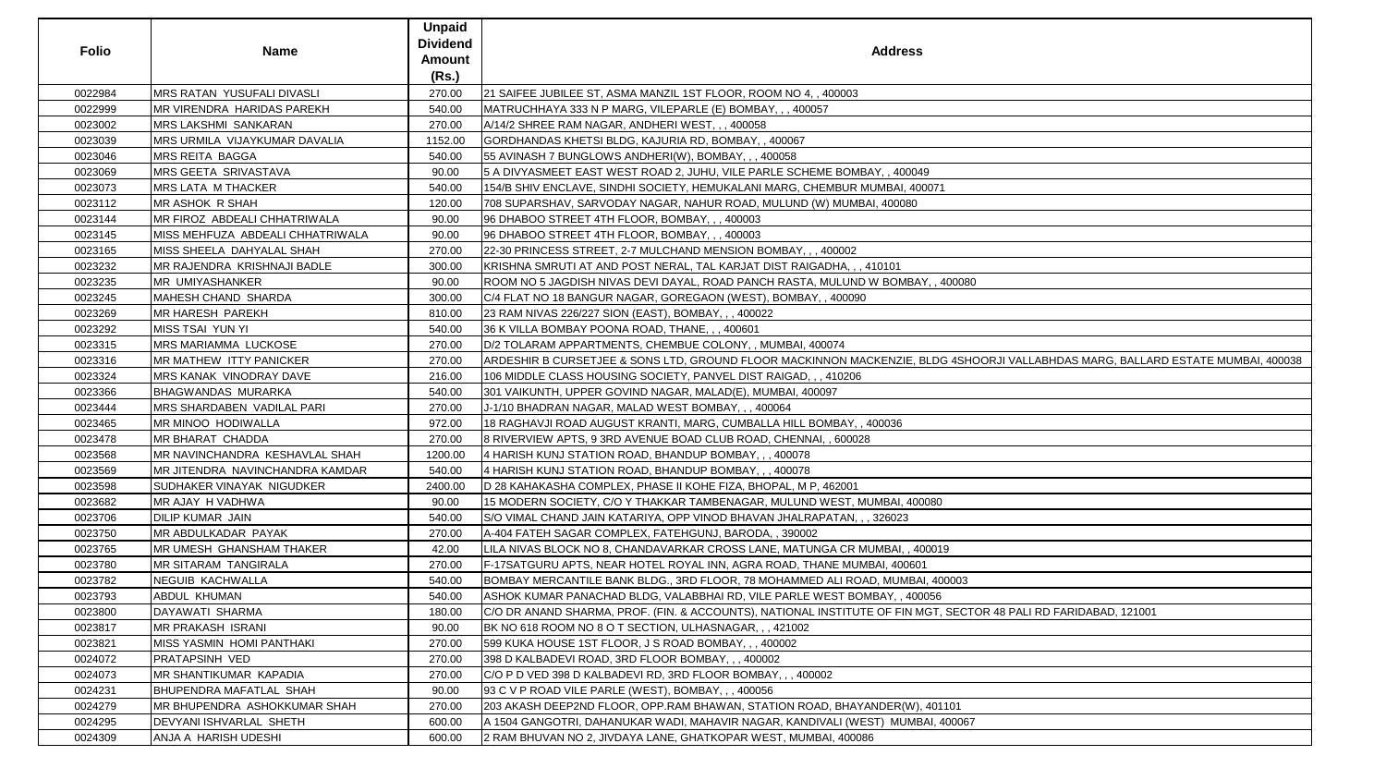| <b>Folio</b> | <b>Name</b>                      | <b>Unpaid</b><br><b>Dividend</b><br><b>Amount</b> | <b>Address</b>                                                                                                                  |
|--------------|----------------------------------|---------------------------------------------------|---------------------------------------------------------------------------------------------------------------------------------|
|              |                                  | (Rs.)                                             |                                                                                                                                 |
| 0022984      | MRS RATAN YUSUFALI DIVASLI       | 270.00                                            | 21 SAIFEE JUBILEE ST, ASMA MANZIL 1ST FLOOR, ROOM NO 4, , 400003                                                                |
| 0022999      | MR VIRENDRA HARIDAS PAREKH       | 540.00                                            | MATRUCHHAYA 333 N P MARG, VILEPARLE (E) BOMBAY, ,, 400057                                                                       |
| 0023002      | <b>MRS LAKSHMI SANKARAN</b>      | 270.00                                            | A/14/2 SHREE RAM NAGAR, ANDHERI WEST, ,, 400058                                                                                 |
| 0023039      | MRS URMILA VIJAYKUMAR DAVALIA    | 1152.00                                           | GORDHANDAS KHETSI BLDG, KAJURIA RD, BOMBAY, , 400067                                                                            |
| 0023046      | MRS REITA BAGGA                  | 540.00                                            | 55 AVINASH 7 BUNGLOWS ANDHERI(W), BOMBAY, ,, 400058                                                                             |
| 0023069      | MRS GEETA SRIVASTAVA             | 90.00                                             | 5 A DIVYASMEET EAST WEST ROAD 2, JUHU, VILE PARLE SCHEME BOMBAY, , 400049                                                       |
| 0023073      | MRS LATA M THACKER               | 540.00                                            | 154/B SHIV ENCLAVE, SINDHI SOCIETY, HEMUKALANI MARG, CHEMBUR MUMBAI, 400071                                                     |
| 0023112      | MR ASHOK R SHAH                  | 120.00                                            | 708 SUPARSHAV, SARVODAY NAGAR, NAHUR ROAD, MULUND (W) MUMBAI, 400080                                                            |
| 0023144      | MR FIROZ ABDEALI CHHATRIWALA     | 90.00                                             | 96 DHABOO STREET 4TH FLOOR, BOMBAY, ,, 400003                                                                                   |
| 0023145      | MISS MEHFUZA ABDEALI CHHATRIWALA | 90.00                                             | 96 DHABOO STREET 4TH FLOOR, BOMBAY, ,, 400003                                                                                   |
| 0023165      | MISS SHEELA DAHYALAL SHAH        | 270.00                                            | 22-30 PRINCESS STREET, 2-7 MULCHAND MENSION BOMBAY, ,, 400002                                                                   |
| 0023232      | MR RAJENDRA KRISHNAJI BADLE      | 300.00                                            | KRISHNA SMRUTI AT AND POST NERAL, TAL KARJAT DIST RAIGADHA, , , 410101                                                          |
| 0023235      | <b>MR UMIYASHANKER</b>           | 90.00                                             | ROOM NO 5 JAGDISH NIVAS DEVI DAYAL, ROAD PANCH RASTA, MULUND W BOMBAY, , 400080                                                 |
| 0023245      | MAHESH CHAND SHARDA              | 300.00                                            | C/4 FLAT NO 18 BANGUR NAGAR, GOREGAON (WEST), BOMBAY, , 400090                                                                  |
| 0023269      | MR HARESH PAREKH                 | 810.00                                            | 23 RAM NIVAS 226/227 SION (EAST), BOMBAY, ,, 400022                                                                             |
| 0023292      | MISS TSAI YUN YI                 | 540.00                                            | 36 K VILLA BOMBAY POONA ROAD, THANE, ,, 400601                                                                                  |
| 0023315      | MRS MARIAMMA LUCKOSE             | 270.00                                            | D/2 TOLARAM APPARTMENTS, CHEMBUE COLONY, , MUMBAI, 400074                                                                       |
| 0023316      | MR MATHEW ITTY PANICKER          | 270.00                                            | ARDESHIR B CURSETJEE & SONS LTD, GROUND FLOOR MACKINNON MACKENZIE, BLDG 4SHOORJI VALLABHDAS MARG, BALLARD ESTATE MUMBAI, 400038 |
| 0023324      | MRS KANAK VINODRAY DAVE          | 216.00                                            | 106 MIDDLE CLASS HOUSING SOCIETY, PANVEL DIST RAIGAD, , , 410206                                                                |
| 0023366      | <b>BHAGWANDAS MURARKA</b>        | 540.00                                            | 301 VAIKUNTH, UPPER GOVIND NAGAR, MALAD(E), MUMBAI, 400097                                                                      |
| 0023444      | MRS SHARDABEN VADILAL PARI       | 270.00                                            | J-1/10 BHADRAN NAGAR, MALAD WEST BOMBAY, ,, 400064                                                                              |
| 0023465      | MR MINOO HODIWALLA               | 972.00                                            | 18 RAGHAVJI ROAD AUGUST KRANTI, MARG, CUMBALLA HILL BOMBAY, , 400036                                                            |
| 0023478      | MR BHARAT CHADDA                 | 270.00                                            | 8 RIVERVIEW APTS, 9 3RD AVENUE BOAD CLUB ROAD, CHENNAI, , 600028                                                                |
| 0023568      | MR NAVINCHANDRA KESHAVLAL SHAH   | 1200.00                                           | 4 HARISH KUNJ STATION ROAD, BHANDUP BOMBAY, , , 400078                                                                          |
| 0023569      | MR JITENDRA NAVINCHANDRA KAMDAR  | 540.00                                            | 4 HARISH KUNJ STATION ROAD, BHANDUP BOMBAY, ,, 400078                                                                           |
| 0023598      | SUDHAKER VINAYAK NIGUDKER        | 2400.00                                           | D 28 KAHAKASHA COMPLEX, PHASE II KOHE FIZA, BHOPAL, M P, 462001                                                                 |
| 0023682      | MR AJAY H VADHWA                 | 90.00                                             | 15 MODERN SOCIETY, C/O Y THAKKAR TAMBENAGAR, MULUND WEST, MUMBAI, 400080                                                        |
| 0023706      | DILIP KUMAR JAIN                 | 540.00                                            | S/O VIMAL CHAND JAIN KATARIYA, OPP VINOD BHAVAN JHALRAPATAN, , , 326023                                                         |
| 0023750      | MR ABDULKADAR PAYAK              | 270.00                                            | A-404 FATEH SAGAR COMPLEX, FATEHGUNJ, BARODA, , 390002                                                                          |
| 0023765      | MR UMESH GHANSHAM THAKER         | 42.00                                             | LILA NIVAS BLOCK NO 8, CHANDAVARKAR CROSS LANE, MATUNGA CR MUMBAI, , 400019                                                     |
| 0023780      | MR SITARAM TANGIRALA             | 270.00                                            | F-17SATGURU APTS, NEAR HOTEL ROYAL INN, AGRA ROAD, THANE MUMBAI, 400601                                                         |
| 0023782      | NEGUIB KACHWALLA                 | 540.00                                            | BOMBAY MERCANTILE BANK BLDG., 3RD FLOOR, 78 MOHAMMED ALI ROAD, MUMBAI, 400003                                                   |
| 0023793      | ABDUL KHUMAN                     | 540.00                                            | ASHOK KUMAR PANACHAD BLDG, VALABBHAI RD, VILE PARLE WEST BOMBAY, , 400056                                                       |
| 0023800      | DAYAWATI SHARMA                  | 180.00                                            | C/O DR ANAND SHARMA, PROF. (FIN. & ACCOUNTS), NATIONAL INSTITUTE OF FIN MGT, SECTOR 48 PALI RD FARIDABAD, 121001                |
| 0023817      | MR PRAKASH ISRANI                | 90.00                                             | BK NO 618 ROOM NO 8 O T SECTION, ULHASNAGAR, ,, 421002                                                                          |
| 0023821      | MISS YASMIN HOMI PANTHAKI        | 270.00                                            | 599 KUKA HOUSE 1ST FLOOR, J S ROAD BOMBAY, ,, 400002                                                                            |
| 0024072      | PRATAPSINH VED                   | 270.00                                            | 398 D KALBADEVI ROAD, 3RD FLOOR BOMBAY, ,, 400002                                                                               |
| 0024073      | MR SHANTIKUMAR KAPADIA           | 270.00                                            | C/O P D VED 398 D KALBADEVI RD, 3RD FLOOR BOMBAY, , , 400002                                                                    |
| 0024231      | <b>BHUPENDRA MAFATLAL SHAH</b>   | 90.00                                             | 93 C V P ROAD VILE PARLE (WEST), BOMBAY, ,, 400056                                                                              |
| 0024279      | MR BHUPENDRA ASHOKKUMAR SHAH     | 270.00                                            | 203 AKASH DEEP2ND FLOOR, OPP.RAM BHAWAN, STATION ROAD, BHAYANDER(W), 401101                                                     |
| 0024295      | DEVYANI ISHVARLAL SHETH          | 600.00                                            | A 1504 GANGOTRI, DAHANUKAR WADI, MAHAVIR NAGAR, KANDIVALI (WEST) MUMBAI, 400067                                                 |
| 0024309      | ANJA A HARISH UDESHI             | 600.00                                            | 2 RAM BHUVAN NO 2, JIVDAYA LANE, GHATKOPAR WEST, MUMBAI, 400086                                                                 |

| $\overline{0}$                                       |  |
|------------------------------------------------------|--|
|                                                      |  |
|                                                      |  |
|                                                      |  |
|                                                      |  |
|                                                      |  |
|                                                      |  |
| OORJI VALLABHDAS MARG, BALLARD ESTATE MUMBAI, 400038 |  |
|                                                      |  |
|                                                      |  |
|                                                      |  |
|                                                      |  |
|                                                      |  |
|                                                      |  |
|                                                      |  |
|                                                      |  |
|                                                      |  |
|                                                      |  |
|                                                      |  |
|                                                      |  |
|                                                      |  |
|                                                      |  |
|                                                      |  |
|                                                      |  |
|                                                      |  |
|                                                      |  |
|                                                      |  |
|                                                      |  |
|                                                      |  |
|                                                      |  |
| TOR 48 PALI RD FARIDABAD, 121001                     |  |
|                                                      |  |
|                                                      |  |
|                                                      |  |
|                                                      |  |
|                                                      |  |
|                                                      |  |
|                                                      |  |
|                                                      |  |
|                                                      |  |
|                                                      |  |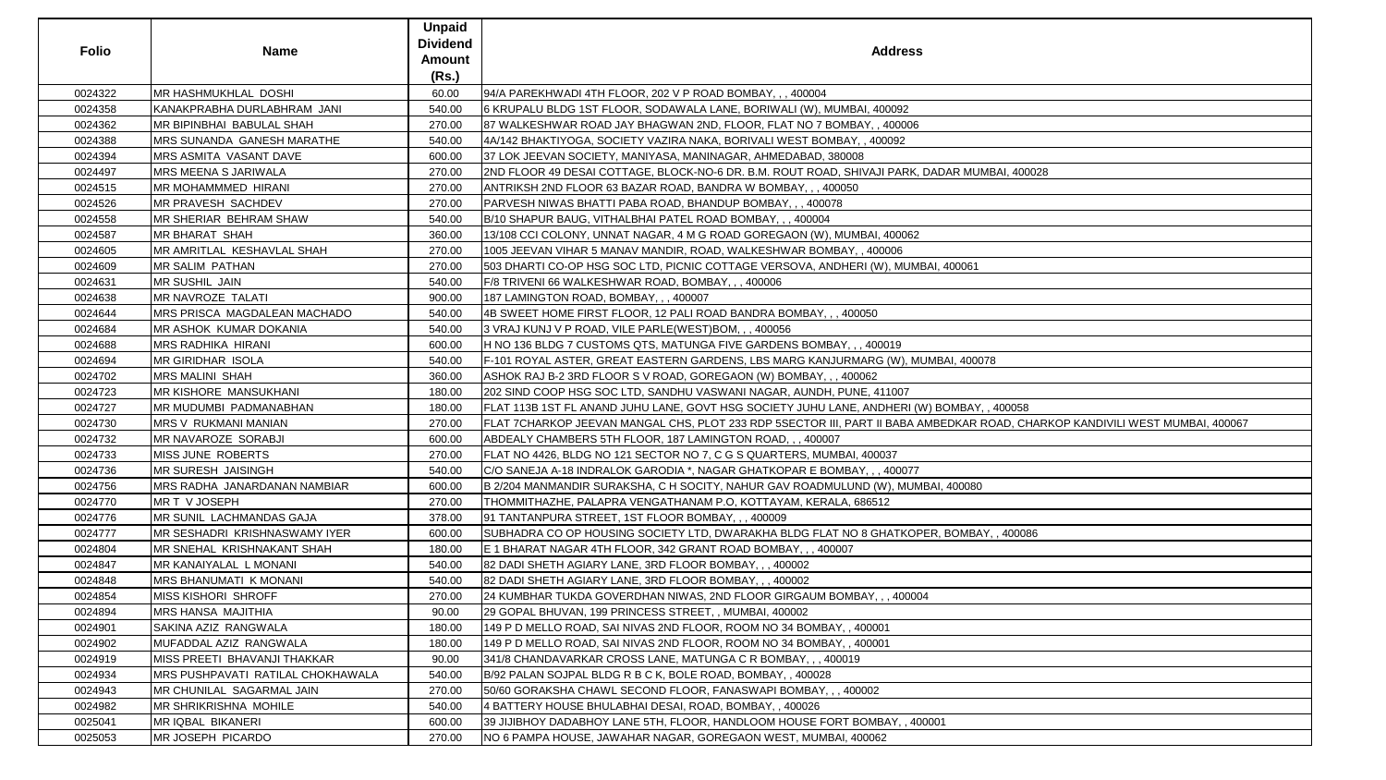| Folio   | <b>Name</b>                       | <b>Unpaid</b><br><b>Dividend</b><br>Amount | <b>Address</b>                                                                                                               |
|---------|-----------------------------------|--------------------------------------------|------------------------------------------------------------------------------------------------------------------------------|
|         |                                   | (Rs.)                                      |                                                                                                                              |
| 0024322 | MR HASHMUKHLAL DOSHI              | 60.00                                      | 94/A PAREKHWADI 4TH FLOOR, 202 V P ROAD BOMBAY, ,, 400004                                                                    |
| 0024358 | KANAKPRABHA DURLABHRAM JANI       | 540.00                                     | 6 KRUPALU BLDG 1ST FLOOR, SODAWALA LANE, BORIWALI (W), MUMBAI, 400092                                                        |
| 0024362 | MR BIPINBHAI BABULAL SHAH         | 270.00                                     | 87 WALKESHWAR ROAD JAY BHAGWAN 2ND, FLOOR, FLAT NO 7 BOMBAY, , 400006                                                        |
| 0024388 | MRS SUNANDA GANESH MARATHE        | 540.00                                     | 4A/142 BHAKTIYOGA, SOCIETY VAZIRA NAKA, BORIVALI WEST BOMBAY, , 400092                                                       |
| 0024394 | MRS ASMITA VASANT DAVE            | 600.00                                     | 37 LOK JEEVAN SOCIETY, MANIYASA, MANINAGAR, AHMEDABAD, 380008                                                                |
| 0024497 | MRS MEENA S JARIWALA              | 270.00                                     | 2ND FLOOR 49 DESAI COTTAGE, BLOCK-NO-6 DR. B.M. ROUT ROAD, SHIVAJI PARK, DADAR MUMBAI, 400028                                |
| 0024515 | MR MOHAMMMED HIRANI               | 270.00                                     | ANTRIKSH 2ND FLOOR 63 BAZAR ROAD, BANDRA W BOMBAY, , , 400050                                                                |
| 0024526 | MR PRAVESH SACHDEV                | 270.00                                     | PARVESH NIWAS BHATTI PABA ROAD, BHANDUP BOMBAY, ,, 400078                                                                    |
| 0024558 | MR SHERIAR BEHRAM SHAW            | 540.00                                     | B/10 SHAPUR BAUG, VITHALBHAI PATEL ROAD BOMBAY, , , 400004                                                                   |
| 0024587 | MR BHARAT SHAH                    | 360.00                                     | 13/108 CCI COLONY, UNNAT NAGAR, 4 M G ROAD GOREGAON (W), MUMBAI, 400062                                                      |
| 0024605 | MR AMRITLAL KESHAVLAL SHAH        | 270.00                                     | 1005 JEEVAN VIHAR 5 MANAV MANDIR, ROAD, WALKESHWAR BOMBAY, , 400006                                                          |
| 0024609 | MR SALIM PATHAN                   | 270.00                                     | 503 DHARTI CO-OP HSG SOC LTD, PICNIC COTTAGE VERSOVA, ANDHERI (W), MUMBAI, 400061                                            |
| 0024631 | MR SUSHIL JAIN                    | 540.00                                     | F/8 TRIVENI 66 WALKESHWAR ROAD, BOMBAY, ,, 400006                                                                            |
| 0024638 | MR NAVROZE TALATI                 | 900.00                                     | 187 LAMINGTON ROAD, BOMBAY, , , 400007                                                                                       |
| 0024644 | MRS PRISCA MAGDALEAN MACHADO      | 540.00                                     | 4B SWEET HOME FIRST FLOOR, 12 PALI ROAD BANDRA BOMBAY, ,, 400050                                                             |
| 0024684 | MR ASHOK KUMAR DOKANIA            | 540.00                                     | 3 VRAJ KUNJ V P ROAD, VILE PARLE(WEST)BOM, , , 400056                                                                        |
| 0024688 | MRS RADHIKA HIRANI                | 600.00                                     | H NO 136 BLDG 7 CUSTOMS QTS, MATUNGA FIVE GARDENS BOMBAY, , , 400019                                                         |
| 0024694 | MR GIRIDHAR ISOLA                 | 540.00                                     | F-101 ROYAL ASTER, GREAT EASTERN GARDENS, LBS MARG KANJURMARG (W), MUMBAI, 400078                                            |
| 0024702 | <b>MRS MALINI SHAH</b>            | 360.00                                     | ASHOK RAJ B-2 3RD FLOOR S V ROAD, GOREGAON (W) BOMBAY, , , 400062                                                            |
| 0024723 | MR KISHORE MANSUKHANI             | 180.00                                     | 202 SIND COOP HSG SOC LTD, SANDHU VASWANI NAGAR, AUNDH, PUNE, 411007                                                         |
| 0024727 | MR MUDUMBI PADMANABHAN            | 180.00                                     | FLAT 113B 1ST FL ANAND JUHU LANE, GOVT HSG SOCIETY JUHU LANE, ANDHERI (W) BOMBAY, , 400058                                   |
| 0024730 | MRS V RUKMANI MANIAN              | 270.00                                     | FLAT 7CHARKOP JEEVAN MANGAL CHS, PLOT 233 RDP 5SECTOR III, PART II BABA AMBEDKAR ROAD, CHARKOP KANDIVILI WEST MUMBAI, 400067 |
| 0024732 | MR NAVAROZE SORABJI               | 600.00                                     | ABDEALY CHAMBERS 5TH FLOOR, 187 LAMINGTON ROAD, , , 400007                                                                   |
| 0024733 | MISS JUNE ROBERTS                 | 270.00                                     | FLAT NO 4426, BLDG NO 121 SECTOR NO 7, C G S QUARTERS, MUMBAI, 400037                                                        |
| 0024736 | MR SURESH JAISINGH                | 540.00                                     | C/O SANEJA A-18 INDRALOK GARODIA *, NAGAR GHATKOPAR E BOMBAY, , , 400077                                                     |
| 0024756 | MRS RADHA JANARDANAN NAMBIAR      | 600.00                                     | B 2/204 MANMANDIR SURAKSHA, C H SOCITY, NAHUR GAV ROADMULUND (W), MUMBAI, 400080                                             |
| 0024770 | MR T V JOSEPH                     | 270.00                                     | THOMMITHAZHE, PALAPRA VENGATHANAM P.O, KOTTAYAM, KERALA, 686512                                                              |
| 0024776 | MR SUNIL LACHMANDAS GAJA          | 378.00                                     | 91 TANTANPURA STREET, 1ST FLOOR BOMBAY, , , 400009                                                                           |
| 0024777 | MR SESHADRI KRISHNASWAMY IYER     | 600.00                                     | SUBHADRA CO OP HOUSING SOCIETY LTD, DWARAKHA BLDG FLAT NO 8 GHATKOPER, BOMBAY, , 400086                                      |
| 0024804 | MR SNEHAL KRISHNAKANT SHAH        | 180.00                                     | E 1 BHARAT NAGAR 4TH FLOOR, 342 GRANT ROAD BOMBAY, , , 400007                                                                |
| 0024847 | MR KANAIYALAL L MONANI            | 540.00                                     | 82 DADI SHETH AGIARY LANE, 3RD FLOOR BOMBAY, ,, 400002                                                                       |
| 0024848 | MRS BHANUMATI K MONANI            | 540.00                                     | 82 DADI SHETH AGIARY LANE, 3RD FLOOR BOMBAY, ,, 400002                                                                       |
| 0024854 | <b>MISS KISHORI SHROFF</b>        | 270.00                                     | 24 KUMBHAR TUKDA GOVERDHAN NIWAS, 2ND FLOOR GIRGAUM BOMBAY, , , 400004                                                       |
| 0024894 | MRS HANSA MAJITHIA                | 90.00                                      | 29 GOPAL BHUVAN, 199 PRINCESS STREET, , MUMBAI, 400002                                                                       |
| 0024901 | SAKINA AZIZ RANGWALA              | 180.00                                     | 149 P D MELLO ROAD, SAI NIVAS 2ND FLOOR, ROOM NO 34 BOMBAY, , 400001                                                         |
| 0024902 | MUFADDAL AZIZ RANGWALA            | 180.00                                     | 149 P D MELLO ROAD, SAI NIVAS 2ND FLOOR, ROOM NO 34 BOMBAY, , 400001                                                         |
| 0024919 | MISS PREETI BHAVANJI THAKKAR      | 90.00                                      | 341/8 CHANDAVARKAR CROSS LANE, MATUNGA C R BOMBAY, , , 400019                                                                |
| 0024934 | MRS PUSHPAVATI RATILAL CHOKHAWALA | 540.00                                     | B/92 PALAN SOJPAL BLDG R B C K, BOLE ROAD, BOMBAY, , 400028                                                                  |
| 0024943 | MR CHUNILAL SAGARMAL JAIN         | 270.00                                     | 50/60 GORAKSHA CHAWL SECOND FLOOR, FANASWAPI BOMBAY, , , 400002                                                              |
| 0024982 | MR SHRIKRISHNA MOHILE             | 540.00                                     | 4 BATTERY HOUSE BHULABHAI DESAI, ROAD, BOMBAY, , 400026                                                                      |
| 0025041 | MR IQBAL BIKANERI                 | 600.00                                     | 39 JIJIBHOY DADABHOY LANE 5TH, FLOOR, HANDLOOM HOUSE FORT BOMBAY, , 400001                                                   |
| 0025053 | MR JOSEPH PICARDO                 | 270.00                                     | NO 6 PAMPA HOUSE, JAWAHAR NAGAR, GOREGAON WEST, MUMBAI, 400062                                                               |

| JMBAI, 400028                                                                   |  |
|---------------------------------------------------------------------------------|--|
|                                                                                 |  |
|                                                                                 |  |
|                                                                                 |  |
|                                                                                 |  |
|                                                                                 |  |
|                                                                                 |  |
|                                                                                 |  |
|                                                                                 |  |
|                                                                                 |  |
|                                                                                 |  |
|                                                                                 |  |
|                                                                                 |  |
|                                                                                 |  |
|                                                                                 |  |
|                                                                                 |  |
|                                                                                 |  |
| 078                                                                             |  |
|                                                                                 |  |
|                                                                                 |  |
|                                                                                 |  |
|                                                                                 |  |
|                                                                                 |  |
|                                                                                 |  |
|                                                                                 |  |
|                                                                                 |  |
|                                                                                 |  |
|                                                                                 |  |
|                                                                                 |  |
|                                                                                 |  |
|                                                                                 |  |
|                                                                                 |  |
|                                                                                 |  |
|                                                                                 |  |
|                                                                                 |  |
|                                                                                 |  |
|                                                                                 |  |
|                                                                                 |  |
|                                                                                 |  |
|                                                                                 |  |
|                                                                                 |  |
|                                                                                 |  |
|                                                                                 |  |
|                                                                                 |  |
|                                                                                 |  |
|                                                                                 |  |
|                                                                                 |  |
|                                                                                 |  |
|                                                                                 |  |
|                                                                                 |  |
|                                                                                 |  |
| Y, , 400058<br>ROAD, CHARKOP KANDIVILI WEST MUMBAI, 400067<br>0<br>AY, , 400086 |  |
|                                                                                 |  |
|                                                                                 |  |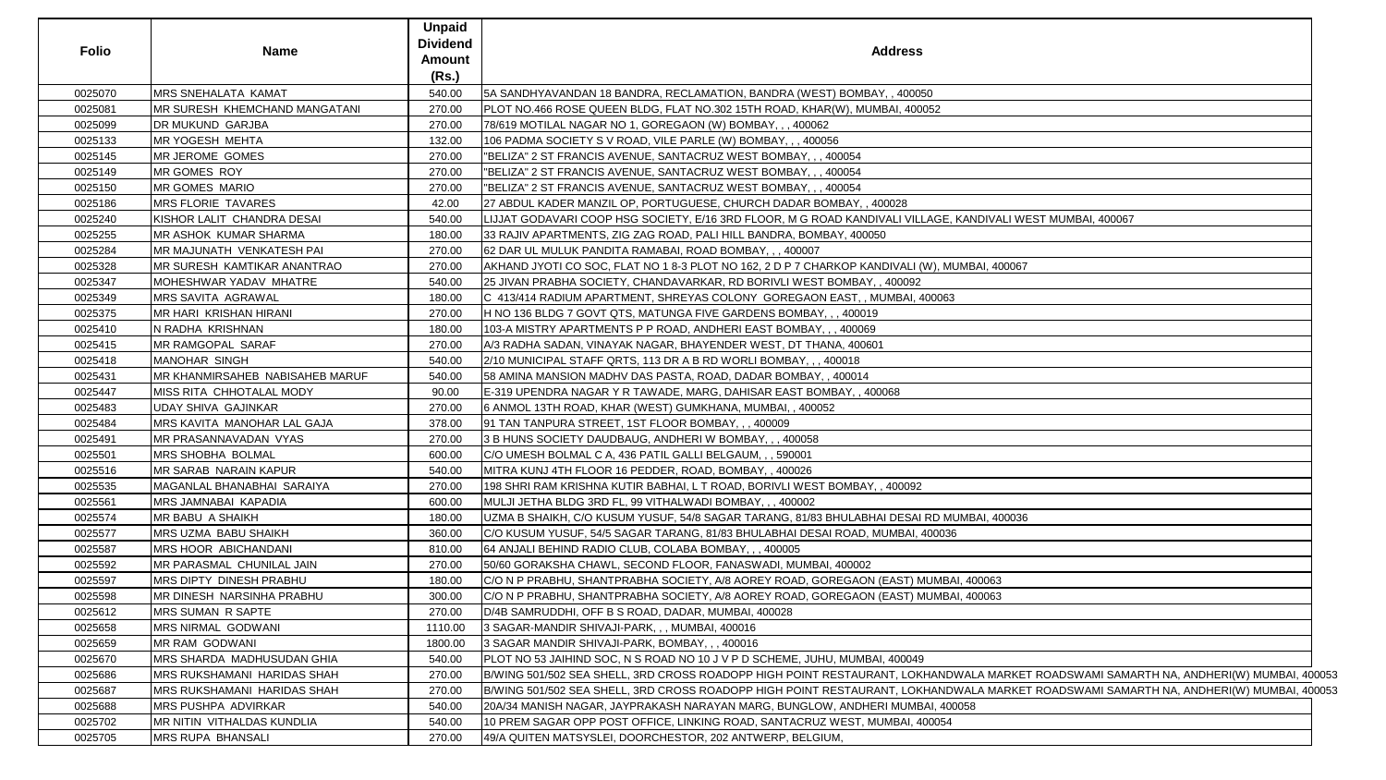| <b>Folio</b> | <b>Name</b>                     | <b>Unpaid</b><br><b>Dividend</b><br><b>Amount</b><br>(Rs.) | <b>Address</b>                                                                                                                        |
|--------------|---------------------------------|------------------------------------------------------------|---------------------------------------------------------------------------------------------------------------------------------------|
| 0025070      | MRS SNEHALATA KAMAT             | 540.00                                                     | 54 SANDHYAVANDAN 18 BANDRA, RECLAMATION, BANDRA (WEST) BOMBAY, , 400050                                                               |
| 0025081      | MR SURESH KHEMCHAND MANGATANI   | 270.00                                                     | PLOT NO.466 ROSE QUEEN BLDG, FLAT NO.302 15TH ROAD, KHAR(W), MUMBAI, 400052                                                           |
| 0025099      | DR MUKUND GARJBA                | 270.00                                                     | 78/619 MOTILAL NAGAR NO 1, GOREGAON (W) BOMBAY, , , 400062                                                                            |
| 0025133      | MR YOGESH MEHTA                 | 132.00                                                     | 106 PADMA SOCIETY S V ROAD, VILE PARLE (W) BOMBAY, , , 400056                                                                         |
| 0025145      | MR JEROME GOMES                 | 270.00                                                     | "BELIZA" 2 ST FRANCIS AVENUE, SANTACRUZ WEST BOMBAY, ,, 400054                                                                        |
| 0025149      | MR GOMES ROY                    | 270.00                                                     | "BELIZA" 2 ST FRANCIS AVENUE, SANTACRUZ WEST BOMBAY, , , 400054                                                                       |
| 0025150      | MR GOMES MARIO                  | 270.00                                                     | "BELIZA" 2 ST FRANCIS AVENUE, SANTACRUZ WEST BOMBAY, , , 400054                                                                       |
| 0025186      | <b>MRS FLORIE TAVARES</b>       | 42.00                                                      | 27 ABDUL KADER MANZIL OP, PORTUGUESE, CHURCH DADAR BOMBAY, , 400028                                                                   |
| 0025240      | KISHOR LALIT CHANDRA DESAI      | 540.00                                                     | LIJJAT GODAVARI COOP HSG SOCIETY, E/16 3RD FLOOR, M G ROAD KANDIVALI VILLAGE, KANDIVALI WEST MUMBAI, 400067                           |
| 0025255      | MR ASHOK KUMAR SHARMA           | 180.00                                                     | 33 RAJIV APARTMENTS, ZIG ZAG ROAD, PALI HILL BANDRA, BOMBAY, 400050                                                                   |
| 0025284      | MR MAJUNATH VENKATESH PAI       | 270.00                                                     | 62 DAR UL MULUK PANDITA RAMABAI, ROAD BOMBAY, , , 400007                                                                              |
| 0025328      | MR SURESH KAMTIKAR ANANTRAO     | 270.00                                                     | AKHAND JYOTI CO SOC, FLAT NO 1 8-3 PLOT NO 162, 2 D P 7 CHARKOP KANDIVALI (W), MUMBAI, 400067                                         |
| 0025347      | MOHESHWAR YADAV MHATRE          | 540.00                                                     | 25 JIVAN PRABHA SOCIETY, CHANDAVARKAR, RD BORIVLI WEST BOMBAY, 400092                                                                 |
| 0025349      | MRS SAVITA AGRAWAL              | 180.00                                                     | C 413/414 RADIUM APARTMENT, SHREYAS COLONY GOREGAON EAST, , MUMBAI, 400063                                                            |
| 0025375      | MR HARI KRISHAN HIRANI          | 270.00                                                     | H NO 136 BLDG 7 GOVT QTS, MATUNGA FIVE GARDENS BOMBAY, ,, 400019                                                                      |
| 0025410      | N RADHA KRISHNAN                | 180.00                                                     | 103-A MISTRY APARTMENTS P P ROAD, ANDHERI EAST BOMBAY, , , 400069                                                                     |
| 0025415      | MR RAMGOPAL SARAF               | 270.00                                                     | A/3 RADHA SADAN, VINAYAK NAGAR, BHAYENDER WEST, DT THANA, 400601                                                                      |
| 0025418      | <b>MANOHAR SINGH</b>            | 540.00                                                     | 2/10 MUNICIPAL STAFF QRTS, 113 DR A B RD WORLI BOMBAY, ,, 400018                                                                      |
| 0025431      | MR KHANMIRSAHEB NABISAHEB MARUF | 540.00                                                     | 58 AMINA MANSION MADHV DAS PASTA, ROAD, DADAR BOMBAY,, 400014                                                                         |
| 0025447      | MISS RITA CHHOTALAL MODY        | 90.00                                                      | E-319 UPENDRA NAGAR Y R TAWADE, MARG, DAHISAR EAST BOMBAY, , 400068                                                                   |
| 0025483      | <b>UDAY SHIVA GAJINKAR</b>      | 270.00                                                     | 6 ANMOL 13TH ROAD, KHAR (WEST) GUMKHANA, MUMBAI,, 400052                                                                              |
| 0025484      | MRS KAVITA MANOHAR LAL GAJA     | 378.00                                                     | 91 TAN TANPURA STREET, 1ST FLOOR BOMBAY, ,, 400009                                                                                    |
| 0025491      | MR PRASANNAVADAN VYAS           | 270.00                                                     |                                                                                                                                       |
|              |                                 |                                                            | 3 B HUNS SOCIETY DAUDBAUG, ANDHERI W BOMBAY, , , 400058                                                                               |
| 0025501      | MRS SHOBHA BOLMAL               | 600.00                                                     | C/O UMESH BOLMAL C A, 436 PATIL GALLI BELGAUM, , , 590001                                                                             |
| 0025516      | MR SARAB NARAIN KAPUR           | 540.00                                                     | MITRA KUNJ 4TH FLOOR 16 PEDDER, ROAD, BOMBAY,, 400026                                                                                 |
| 0025535      | MAGANLAL BHANABHAI SARAIYA      | 270.00                                                     | 198 SHRI RAM KRISHNA KUTIR BABHAI, L T ROAD, BORIVLI WEST BOMBAY, , 400092                                                            |
| 0025561      | MRS JAMNABAI KAPADIA            | 600.00                                                     | MULJI JETHA BLDG 3RD FL, 99 VITHALWADI BOMBAY, , , 400002                                                                             |
| 0025574      | MR BABU A SHAIKH                | 180.00                                                     | UZMA B SHAIKH, C/O KUSUM YUSUF, 54/8 SAGAR TARANG, 81/83 BHULABHAI DESAI RD MUMBAI, 400036                                            |
| 0025577      | MRS UZMA BABU SHAIKH            | 360.00                                                     | C/O KUSUM YUSUF, 54/5 SAGAR TARANG, 81/83 BHULABHAI DESAI ROAD, MUMBAI, 400036                                                        |
| 0025587      | MRS HOOR ABICHANDANI            | 810.00                                                     | 64 ANJALI BEHIND RADIO CLUB, COLABA BOMBAY, ,, 400005                                                                                 |
| 0025592      | MR PARASMAL CHUNILAL JAIN       | 270.00                                                     | 50/60 GORAKSHA CHAWL, SECOND FLOOR, FANASWADI, MUMBAI, 400002                                                                         |
| 0025597      | MRS DIPTY DINESH PRABHU         | 180.00                                                     | C/O N P PRABHU, SHANTPRABHA SOCIETY, A/8 AOREY ROAD, GOREGAON (EAST) MUMBAI, 400063                                                   |
| 0025598      | MR DINESH NARSINHA PRABHU       | 300.00                                                     | C/O N P PRABHU, SHANTPRABHA SOCIETY, A/8 AOREY ROAD, GOREGAON (EAST) MUMBAI, 400063                                                   |
| 0025612      | <b>MRS SUMAN R SAPTE</b>        | 270.00                                                     | D/4B SAMRUDDHI, OFF B S ROAD, DADAR, MUMBAI, 400028                                                                                   |
| 0025658      | <b>MRS NIRMAL GODWANI</b>       | 1110.00                                                    | 3 SAGAR-MANDIR SHIVAJI-PARK, , , MUMBAI, 400016                                                                                       |
| 0025659      | MR RAM GODWANI                  | 1800.00                                                    | 3 SAGAR MANDIR SHIVAJI-PARK, BOMBAY, ,, 400016                                                                                        |
| 0025670      | MRS SHARDA MADHUSUDAN GHIA      | 540.00                                                     | PLOT NO 53 JAIHIND SOC, N S ROAD NO 10 J V P D SCHEME, JUHU, MUMBAI, 400049                                                           |
| 0025686      | MRS RUKSHAMANI HARIDAS SHAH     | 270.00                                                     | B/WING 501/502 SEA SHELL, 3RD CROSS ROADOPP HIGH POINT RESTAURANT, LOKHANDWALA MARKET ROADSWAMI SAMARTH NA, ANDHERI(W) MUMBAI, 400053 |
| 0025687      | MRS RUKSHAMANI HARIDAS SHAH     | 270.00                                                     | B/WING 501/502 SEA SHELL, 3RD CROSS ROADOPP HIGH POINT RESTAURANT, LOKHANDWALA MARKET ROADSWAMI SAMARTH NA, ANDHERI(W) MUMBAI, 400053 |
| 0025688      | MRS PUSHPA ADVIRKAR             | 540.00                                                     | 20A/34 MANISH NAGAR, JAYPRAKASH NARAYAN MARG, BUNGLOW, ANDHERI MUMBAI, 400058                                                         |
| 0025702      | MR NITIN VITHALDAS KUNDLIA      | 540.00                                                     | 10 PREM SAGAR OPP POST OFFICE, LINKING ROAD, SANTACRUZ WEST, MUMBAI, 400054                                                           |
| 0025705      | MRS RUPA BHANSALI               | 270.00                                                     | 49/A QUITEN MATSYSLEI, DOORCHESTOR, 202 ANTWERP, BELGIUM,                                                                             |

| NDIVALI WEST MUMBAI, 400067                                             |  |
|-------------------------------------------------------------------------|--|
|                                                                         |  |
|                                                                         |  |
|                                                                         |  |
| 3AI, 400067                                                             |  |
|                                                                         |  |
|                                                                         |  |
|                                                                         |  |
|                                                                         |  |
|                                                                         |  |
|                                                                         |  |
|                                                                         |  |
|                                                                         |  |
|                                                                         |  |
|                                                                         |  |
|                                                                         |  |
|                                                                         |  |
|                                                                         |  |
|                                                                         |  |
|                                                                         |  |
|                                                                         |  |
|                                                                         |  |
|                                                                         |  |
|                                                                         |  |
|                                                                         |  |
| 3AI, 400036                                                             |  |
|                                                                         |  |
|                                                                         |  |
|                                                                         |  |
|                                                                         |  |
| 00063                                                                   |  |
| 00063                                                                   |  |
|                                                                         |  |
|                                                                         |  |
|                                                                         |  |
|                                                                         |  |
|                                                                         |  |
| LA MARKET ROADSWAMI SAMARTH NA, ANDHERI(W) MUMBAI, 40 <mark>0</mark> 05 |  |
|                                                                         |  |
| LA MARKET ROADSWAMI SAMARTH NA, ANDHERI(W) MUMBAI, 40005                |  |
| 3                                                                       |  |
|                                                                         |  |
|                                                                         |  |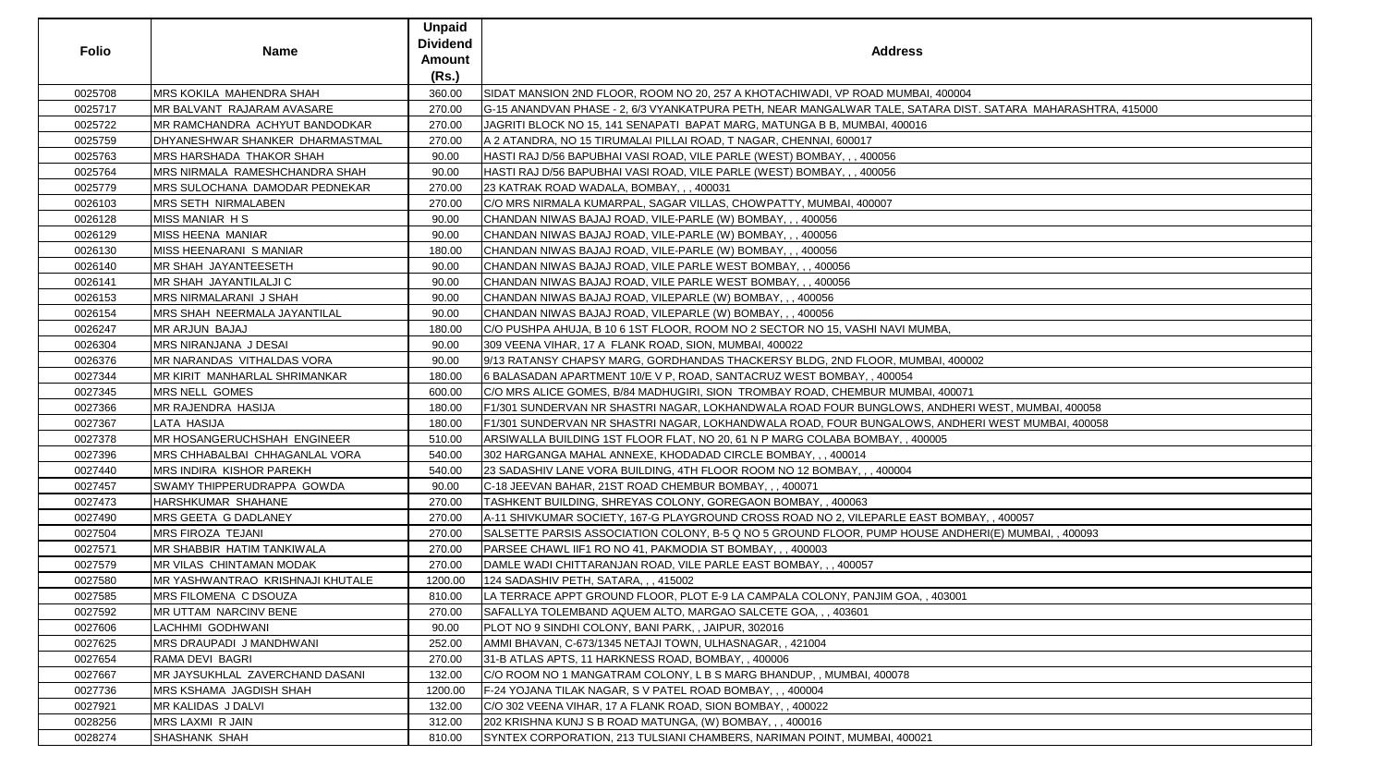| <b>Folio</b> | <b>Name</b>                         | <b>Unpaid</b><br><b>Dividend</b><br><b>Amount</b><br>(Rs.) | <b>Address</b>                                                                                              |
|--------------|-------------------------------------|------------------------------------------------------------|-------------------------------------------------------------------------------------------------------------|
| 0025708      | <b>MRS KOKILA MAHENDRA SHAH</b>     | 360.00                                                     | SIDAT MANSION 2ND FLOOR, ROOM NO 20, 257 A KHOTACHIWADI, VP ROAD MUMBAI, 400004                             |
| 0025717      | MR BALVANT RAJARAM AVASARE          | 270.00                                                     | G-15 ANANDVAN PHASE - 2, 6/3 VYANKATPURA PETH, NEAR MANGALWAR TALE, SATARA DIST. SATARA MAHARASHTRA, 415000 |
| 0025722      | MR RAMCHANDRA ACHYUT BANDODKAR      | 270.00                                                     | JAGRITI BLOCK NO 15, 141 SENAPATI BAPAT MARG, MATUNGA B B, MUMBAI, 400016                                   |
| 0025759      | DHYANESHWAR SHANKER DHARMASTMAL     | 270.00                                                     | A 2 ATANDRA, NO 15 TIRUMALAI PILLAI ROAD, T NAGAR, CHENNAI, 600017                                          |
| 0025763      | MRS HARSHADA THAKOR SHAH            | 90.00                                                      | HASTI RAJ D/56 BAPUBHAI VASI ROAD, VILE PARLE (WEST) BOMBAY, , , 400056                                     |
| 0025764      | MRS NIRMALA RAMESHCHANDRA SHAH      | 90.00                                                      | HASTI RAJ D/56 BAPUBHAI VASI ROAD, VILE PARLE (WEST) BOMBAY, , , 400056                                     |
| 0025779      | MRS SULOCHANA DAMODAR PEDNEKAR      | 270.00                                                     | 23 KATRAK ROAD WADALA, BOMBAY, ,, 400031                                                                    |
| 0026103      | <b>MRS SETH NIRMALABEN</b>          | 270.00                                                     | C/O MRS NIRMALA KUMARPAL, SAGAR VILLAS, CHOWPATTY, MUMBAI, 400007                                           |
| 0026128      | <b>MISS MANIAR HS</b>               | 90.00                                                      | CHANDAN NIWAS BAJAJ ROAD, VILE-PARLE (W) BOMBAY, , , 400056                                                 |
| 0026129      | <b>MISS HEENA MANIAR</b>            | 90.00                                                      | CHANDAN NIWAS BAJAJ ROAD, VILE-PARLE (W) BOMBAY, , , 400056                                                 |
| 0026130      | MISS HEENARANI S MANIAR             | 180.00                                                     | CHANDAN NIWAS BAJAJ ROAD, VILE-PARLE (W) BOMBAY, , , 400056                                                 |
| 0026140      | <b>MR SHAH JAYANTEESETH</b>         | 90.00                                                      | CHANDAN NIWAS BAJAJ ROAD, VILE PARLE WEST BOMBAY, , , 400056                                                |
| 0026141      | <b>MR SHAH JAYANTILALJI C</b>       | 90.00                                                      | CHANDAN NIWAS BAJAJ ROAD, VILE PARLE WEST BOMBAY, , , 400056                                                |
| 0026153      | <b>MRS NIRMALARANI J SHAH</b>       | 90.00                                                      | CHANDAN NIWAS BAJAJ ROAD, VILEPARLE (W) BOMBAY, , , 400056                                                  |
| 0026154      | <b>MRS SHAH NEERMALA JAYANTILAL</b> | 90.00                                                      | CHANDAN NIWAS BAJAJ ROAD, VILEPARLE (W) BOMBAY, , , 400056                                                  |
| 0026247      | <b>MR ARJUN BAJAJ</b>               | 180.00                                                     | ∫C/O PUSHPA AHUJA, B 10 6 1ST FLOOR, ROOM NO 2 SECTOR NO 15, VASHI NAVI MUMBA,                              |
| 0026304      | MRS NIRANJANA J DESAI               | 90.00                                                      | 309 VEENA VIHAR, 17 A FLANK ROAD, SION, MUMBAI, 400022                                                      |
| 0026376      | MR NARANDAS VITHALDAS VORA          | 90.00                                                      | 9/13 RATANSY CHAPSY MARG, GORDHANDAS THACKERSY BLDG, 2ND FLOOR, MUMBAI, 400002                              |
| 0027344      | MR KIRIT MANHARLAL SHRIMANKAR       | 180.00                                                     | 6 BALASADAN APARTMENT 10/E V P, ROAD, SANTACRUZ WEST BOMBAY, , 400054                                       |
| 0027345      | <b>MRS NELL GOMES</b>               | 600.00                                                     | IC/O MRS ALICE GOMES, B/84 MADHUGIRI, SION  TROMBAY ROAD, CHEMBUR MUMBAI, 400071                            |
| 0027366      | <b>MR RAJENDRA HASIJA</b>           | 180.00                                                     | F1/301 SUNDERVAN NR SHASTRI NAGAR, LOKHANDWALA ROAD FOUR BUNGLOWS, ANDHERI WEST, MUMBAI, 400058             |
| 0027367      | LATA HASIJA                         | 180.00                                                     | F1/301 SUNDERVAN NR SHASTRI NAGAR, LOKHANDWALA ROAD, FOUR BUNGALOWS, ANDHERI WEST MUMBAI, 400058            |
| 0027378      | MR HOSANGERUCHSHAH ENGINEER         | 510.00                                                     | ARSIWALLA BUILDING 1ST FLOOR FLAT, NO 20, 61 N P MARG COLABA BOMBAY, , 400005                               |
| 0027396      | MRS CHHABALBAI CHHAGANLAL VORA      | 540.00                                                     | 302 HARGANGA MAHAL ANNEXE, KHODADAD CIRCLE BOMBAY, , , 400014                                               |
| 0027440      | <b>MRS INDIRA KISHOR PAREKH</b>     | 540.00                                                     | 23 SADASHIV LANE VORA BUILDING, 4TH FLOOR ROOM NO 12 BOMBAY, , , 400004                                     |
| 0027457      | <b>SWAMY THIPPERUDRAPPA GOWDA</b>   | 90.00                                                      | C-18 JEEVAN BAHAR, 21ST ROAD CHEMBUR BOMBAY, ,, 400071                                                      |
| 0027473      | HARSHKUMAR SHAHANE                  | 270.00                                                     | TASHKENT BUILDING, SHREYAS COLONY, GOREGAON BOMBAY, , 400063                                                |
| 0027490      | MRS GEETA G DADLANEY                | 270.00                                                     | A-11 SHIVKUMAR SOCIETY, 167-G PLAYGROUND CROSS ROAD NO 2, VILEPARLE EAST BOMBAY, , 400057                   |
| 0027504      | <b>MRS FIROZA TEJANI</b>            | 270.00                                                     | SALSETTE PARSIS ASSOCIATION COLONY, B-5 Q NO 5 GROUND FLOOR, PUMP HOUSE ANDHERI(E) MUMBAI, , 400093         |
| 0027571      | MR SHABBIR HATIM TANKIWALA          | 270.00                                                     | PARSEE CHAWL IIF1 RO NO 41, PAKMODIA ST BOMBAY, , , 400003                                                  |
| 0027579      | <b>MR VILAS CHINTAMAN MODAK</b>     | 270.00                                                     | DAMLE WADI CHITTARANJAN ROAD, VILE PARLE EAST BOMBAY, , , 400057                                            |
| 0027580      | MR YASHWANTRAO KRISHNAJI KHUTALE    | 1200.00                                                    | 124 SADASHIV PETH, SATARA, , , 415002                                                                       |
| 0027585      | MRS FILOMENA C DSOUZA               | 810.00                                                     | LA TERRACE APPT GROUND FLOOR, PLOT E-9 LA CAMPALA COLONY, PANJIM GOA, , 403001                              |
| 0027592      | <b>MR UTTAM NARCINV BENE</b>        | 270.00                                                     | SAFALLYA TOLEMBAND AQUEM ALTO, MARGAO SALCETE GOA, , , 403601                                               |
| 0027606      | LACHHMI GODHWANI                    | 90.00                                                      | PLOT NO 9 SINDHI COLONY, BANI PARK, , JAIPUR, 302016                                                        |
| 0027625      | MRS DRAUPADI J MANDHWANI            | 252.00                                                     | AMMI BHAVAN, C-673/1345 NETAJI TOWN, ULHASNAGAR,, 421004                                                    |
| 0027654      | RAMA DEVI BAGRI                     | 270.00                                                     | 31-B ATLAS APTS, 11 HARKNESS ROAD, BOMBAY, , 400006                                                         |
| 0027667      | MR JAYSUKHLAL ZAVERCHAND DASANI     | 132.00                                                     | C/O ROOM NO 1 MANGATRAM COLONY, L B S MARG BHANDUP, , MUMBAI, 400078                                        |
| 0027736      | <b>MRS KSHAMA JAGDISH SHAH</b>      | 1200.00                                                    | F-24 YOJANA TILAK NAGAR, S V PATEL ROAD BOMBAY, , , 400004                                                  |
| 0027921      | MR KALIDAS J DALVI                  | 132.00                                                     | C/O 302 VEENA VIHAR, 17 A FLANK ROAD, SION BOMBAY, , 400022                                                 |
| 0028256      | <b>MRS LAXMI R JAIN</b>             | 312.00                                                     | 202 KRISHNA KUNJ S B ROAD MATUNGA, (W) BOMBAY, , , 400016                                                   |
| 0028274      | <b>SHASHANK SHAH</b>                | 810.00                                                     | SYNTEX CORPORATION, 213 TULSIANI CHAMBERS, NARIMAN POINT, MUMBAI, 400021                                    |
|              |                                     |                                                            |                                                                                                             |

| dress                                                         |
|---------------------------------------------------------------|
|                                                               |
|                                                               |
| MUMBAI, 400004<br>LE, SATARA DIST. SATARA MAHARASHTRA, 415000 |
| 400016                                                        |
|                                                               |
| 6                                                             |
| 6                                                             |
|                                                               |
|                                                               |
|                                                               |
|                                                               |
|                                                               |
|                                                               |
|                                                               |
|                                                               |
|                                                               |
| AVI MUMBA,                                                    |
|                                                               |
| R, MUMBAI, 400002                                             |
| 0054                                                          |
| MUMBAI, 400071                                                |
| LOWS, ANDHERI WEST, MUMBAI, 400058                            |
| ALOWS, ANDHERI WEST MUMBAI, 400058                            |
| Y, , 400005                                                   |
|                                                               |
| 0004                                                          |
|                                                               |
|                                                               |
| RLE EAST BOMBAY, , 400057                                     |
| P HOUSE ANDHERI(E) MUMBAI, , 400093                           |
|                                                               |
|                                                               |
|                                                               |
| 1 GOA, , 403001                                               |
|                                                               |
|                                                               |
|                                                               |
|                                                               |
| 078                                                           |
|                                                               |
|                                                               |
|                                                               |
| ,400021                                                       |
|                                                               |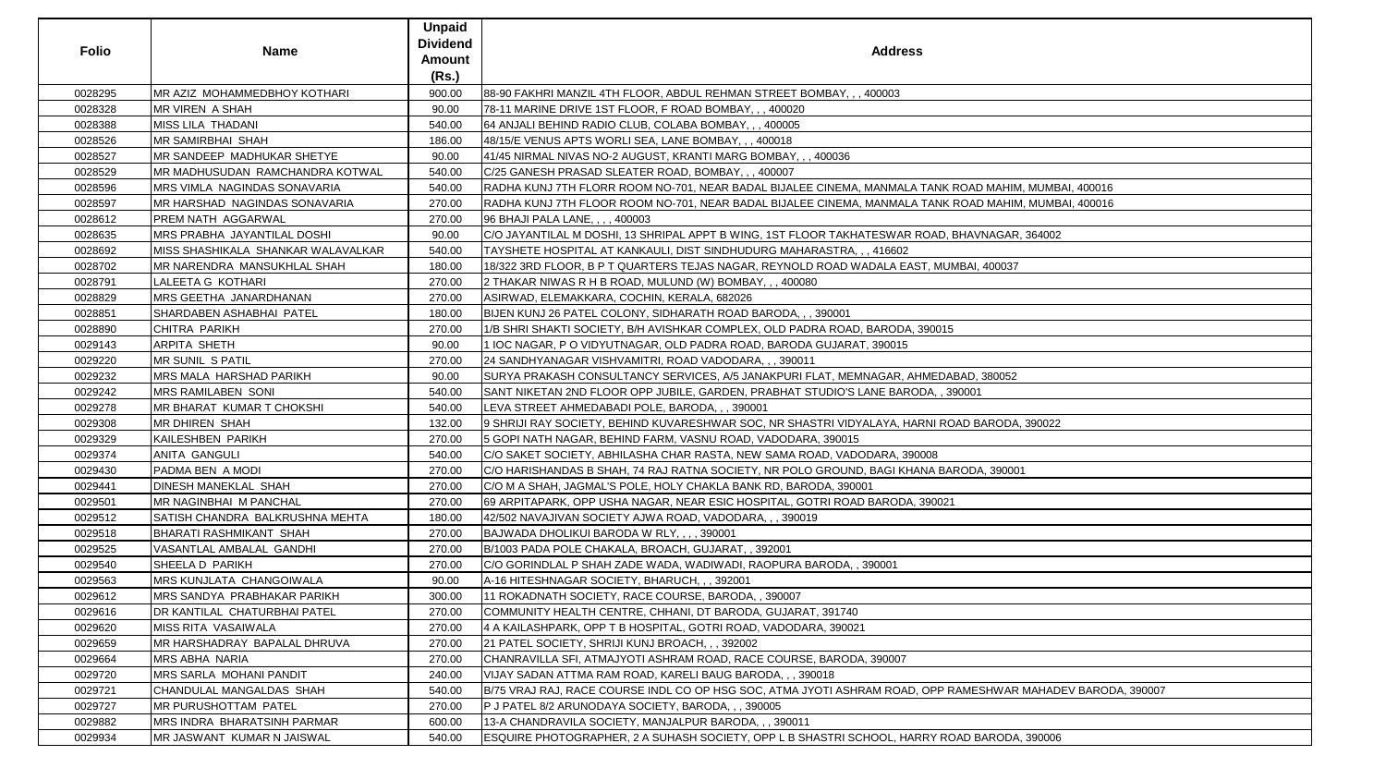| <b>Folio</b> | <b>Name</b>                                | <b>Unpaid</b><br><b>Dividend</b><br><b>Amount</b><br>(Rs.) | <b>Address</b>                                                                                              |
|--------------|--------------------------------------------|------------------------------------------------------------|-------------------------------------------------------------------------------------------------------------|
| 0028295      | <b>IMR AZIZ MOHAMMEDBHOY KOTHARI</b>       | 900.00                                                     | 88-90 FAKHRI MANZIL 4TH FLOOR, ABDUL REHMAN STREET BOMBAY, , , 400003                                       |
| 0028328      | <b>MR VIREN A SHAH</b>                     | 90.00                                                      | 78-11 MARINE DRIVE 1ST FLOOR, F ROAD BOMBAY, , , 400020                                                     |
| 0028388      | MISS LILA THADANI                          | 540.00                                                     | 64 ANJALI BEHIND RADIO CLUB, COLABA BOMBAY, , , 400005                                                      |
| 0028526      | <b>MR SAMIRBHAI SHAH</b>                   | 186.00                                                     | 48/15/E VENUS APTS WORLI SEA, LANE BOMBAY, ,, 400018                                                        |
| 0028527      | <b>IMR SANDEEP MADHUKAR SHETYE</b>         | 90.00                                                      | 41/45 NIRMAL NIVAS NO-2 AUGUST, KRANTI MARG BOMBAY, , , 400036                                              |
| 0028529      | <b>IMR MADHUSUDAN RAMCHANDRA KOTWAL</b>    | 540.00                                                     | C/25 GANESH PRASAD SLEATER ROAD, BOMBAY, ,, 400007                                                          |
| 0028596      | <b>IMRS VIMLA NAGINDAS SONAVARIA</b>       | 540.00                                                     | RADHA KUNJ 7TH FLORR ROOM NO-701, NEAR BADAL BIJALEE CINEMA, MANMALA TANK ROAD MAHIM, MUMBAI, 400016        |
| 0028597      | <b>IMR HARSHAD NAGINDAS SONAVARIA</b>      | 270.00                                                     | RADHA KUNJ 7TH FLOOR ROOM NO-701, NEAR BADAL BIJALEE CINEMA, MANMALA TANK ROAD MAHIM, MUMBAI, 400016        |
| 0028612      | <b>PREM NATH AGGARWAL</b>                  | 270.00                                                     | 96 BHAJI PALA LANE, , , , 400003                                                                            |
| 0028635      | MRS PRABHA JAYANTILAL DOSHI                | 90.00                                                      | C/O JAYANTILAL M DOSHI, 13 SHRIPAL APPT B WING, 1ST FLOOR TAKHATESWAR ROAD, BHAVNAGAR, 364002               |
| 0028692      | <b>IMISS SHASHIKALA SHANKAR WALAVALKAR</b> | 540.00                                                     | TAYSHETE HOSPITAL AT KANKAULI, DIST SINDHUDURG MAHARASTRA, , , 416602                                       |
| 0028702      | <b>MR NARENDRA MANSUKHLAL SHAH</b>         | 180.00                                                     | 18/322 3RD FLOOR, B P T QUARTERS TEJAS NAGAR, REYNOLD ROAD WADALA EAST, MUMBAI, 400037                      |
| 0028791      | LALEETA G KOTHARI                          | 270.00                                                     | 2 THAKAR NIWAS R H B ROAD, MULUND (W) BOMBAY, , , 400080                                                    |
| 0028829      | MRS GEETHA JANARDHANAN                     | 270.00                                                     | ASIRWAD, ELEMAKKARA, COCHIN, KERALA, 682026                                                                 |
| 0028851      | SHARDABEN ASHABHAI PATEL                   | 180.00                                                     | BIJEN KUNJ 26 PATEL COLONY, SIDHARATH ROAD BARODA, , , 390001                                               |
| 0028890      | <b>CHITRA PARIKH</b>                       | 270.00                                                     | 1/B SHRI SHAKTI SOCIETY, B/H AVISHKAR COMPLEX, OLD PADRA ROAD, BARODA, 390015                               |
| 0029143      | <b>ARPITA SHETH</b>                        | 90.00                                                      | 11 IOC NAGAR, P O VIDYUTNAGAR, OLD PADRA ROAD, BARODA GUJARAT, 390015                                       |
| 0029220      | MR SUNIL S PATIL                           | 270.00                                                     | 24 SANDHYANAGAR VISHVAMITRI, ROAD VADODARA, , , 390011                                                      |
| 0029232      | <b>MRS MALA HARSHAD PARIKH</b>             | 90.00                                                      | SURYA PRAKASH CONSULTANCY SERVICES, A/5 JANAKPURI FLAT, MEMNAGAR, AHMEDABAD, 380052                         |
| 0029242      | MRS RAMILABEN SONI                         | 540.00                                                     | SANT NIKETAN 2ND FLOOR OPP JUBILE, GARDEN, PRABHAT STUDIO'S LANE BARODA, , 390001                           |
| 0029278      | <b>IMR BHARAT KUMAR T CHOKSHI</b>          | 540.00                                                     | LEVA STREET AHMEDABADI POLE, BARODA, , , 390001                                                             |
| 0029308      | MR DHIREN SHAH                             | 132.00                                                     | 9 SHRIJI RAY SOCIETY, BEHIND KUVARESHWAR SOC, NR SHASTRI VIDYALAYA, HARNI ROAD BARODA, 390022               |
| 0029329      | KAILESHBEN PARIKH                          | 270.00                                                     | 5 GOPI NATH NAGAR, BEHIND FARM, VASNU ROAD, VADODARA, 390015                                                |
| 0029374      | <b>ANITA GANGULI</b>                       | 540.00                                                     | C/O SAKET SOCIETY, ABHILASHA CHAR RASTA, NEW SAMA ROAD, VADODARA, 390008                                    |
| 0029430      | <b>PADMA BEN A MODI</b>                    | 270.00                                                     | C/O HARISHANDAS B SHAH, 74 RAJ RATNA SOCIETY, NR POLO GROUND, BAGI KHANA BARODA, 390001                     |
| 0029441      | <b>DINESH MANEKLAL SHAH</b>                | 270.00                                                     | C/O M A SHAH, JAGMAL'S POLE, HOLY CHAKLA BANK RD, BARODA, 390001                                            |
| 0029501      | <b>IMR NAGINBHAI M PANCHAL</b>             | 270.00                                                     | 69 ARPITAPARK, OPP USHA NAGAR, NEAR ESIC HOSPITAL, GOTRI ROAD BARODA, 390021                                |
| 0029512      | SATISH CHANDRA BALKRUSHNA MEHTA            | 180.00                                                     | 42/502 NAVAJIVAN SOCIETY AJWA ROAD, VADODARA, , , 390019                                                    |
| 0029518      | BHARATI RASHMIKANT SHAH                    | 270.00                                                     | BAJWADA DHOLIKUI BARODA W RLY, , , , 390001                                                                 |
| 0029525      | VASANTLAL AMBALAL GANDHI                   | 270.00                                                     | B/1003 PADA POLE CHAKALA, BROACH, GUJARAT, , 392001                                                         |
| 0029540      | <b>SHEELA D PARIKH</b>                     | 270.00                                                     | IC/O GORINDLAL P SHAH ZADE WADA, WADIWADI, RAOPURA BARODA, , 390001                                         |
| 0029563      | <b>MRS KUNJLATA CHANGOIWALA</b>            | 90.00                                                      | A-16 HITESHNAGAR SOCIETY, BHARUCH, ,, 392001                                                                |
| 0029612      | <b>IMRS SANDYA PRABHAKAR PARIKH</b>        | 300.00                                                     | 11 ROKADNATH SOCIETY, RACE COURSE, BARODA, , 390007                                                         |
| 0029616      | <b>DR KANTILAL CHATURBHAI PATEL</b>        | 270.00                                                     | COMMUNITY HEALTH CENTRE, CHHANI, DT BARODA, GUJARAT, 391740                                                 |
| 0029620      | <b>MISS RITA VASAIWALA</b>                 | 270.00                                                     | 4 A KAILASHPARK, OPP T B HOSPITAL, GOTRI ROAD, VADODARA, 390021                                             |
| 0029659      | <b>IMR HARSHADRAY BAPALAL DHRUVA</b>       | 270.00                                                     | 21 PATEL SOCIETY, SHRIJI KUNJ BROACH, , , 392002                                                            |
| 0029664      | <b>MRS ABHA NARIA</b>                      | 270.00                                                     | CHANRAVILLA SFI, ATMAJYOTI ASHRAM ROAD, RACE COURSE, BARODA, 390007                                         |
| 0029720      | <b>IMRS SARLA MOHANI PANDIT</b>            | 240.00                                                     | VIJAY SADAN ATTMA RAM ROAD, KARELI BAUG BARODA, , , 390018                                                  |
| 0029721      | CHANDULAL MANGALDAS SHAH                   | 540.00                                                     | B/75 VRAJ RAJ, RACE COURSE INDL CO OP HSG SOC, ATMA JYOTI ASHRAM ROAD, OPP RAMESHWAR MAHADEV BARODA, 390007 |
| 0029727      | <b>IMR PURUSHOTTAM PATEL</b>               | 270.00                                                     | P J PATEL 8/2 ARUNODAYA SOCIETY, BARODA, , , 390005                                                         |
| 0029882      | MRS INDRA BHARATSINH PARMAR                | 600.00                                                     | 13-A CHANDRAVILA SOCIETY, MANJALPUR BARODA, , , 390011                                                      |
| 0029934      | <b>IMR JASWANT KUMAR N JAISWAL</b>         | 540.00                                                     | ESQUIRE PHOTOGRAPHER, 2 A SUHASH SOCIETY, OPP L B SHASTRI SCHOOL, HARRY ROAD BARODA, 390006                 |

| ress                                     |
|------------------------------------------|
|                                          |
|                                          |
|                                          |
|                                          |
|                                          |
|                                          |
|                                          |
| ALA TANK ROAD MAHIM, MUMBAI, 400016      |
| ALA TANK ROAD MAHIM, MUMBAI, 400016      |
| AR ROAD, BHAVNAGAR, 364002               |
| 02                                       |
| EAST, MUMBAI, 400037                     |
|                                          |
|                                          |
|                                          |
| DA, 390015                               |
| 15                                       |
| R, AHMEDABAD, 380052                     |
| ARODA, , 390001                          |
|                                          |
| HARNI ROAD BARODA, 390022                |
|                                          |
| 390008                                   |
| KHANA BARODA, 390001                     |
| DA, 390021                               |
|                                          |
|                                          |
|                                          |
|                                          |
|                                          |
|                                          |
|                                          |
|                                          |
| $\overline{7}$                           |
|                                          |
| AD, OPP RAMESHWAR MAHADEV BARODA, 390007 |
|                                          |
|                                          |
| HARRY ROAD BARODA, 390006                |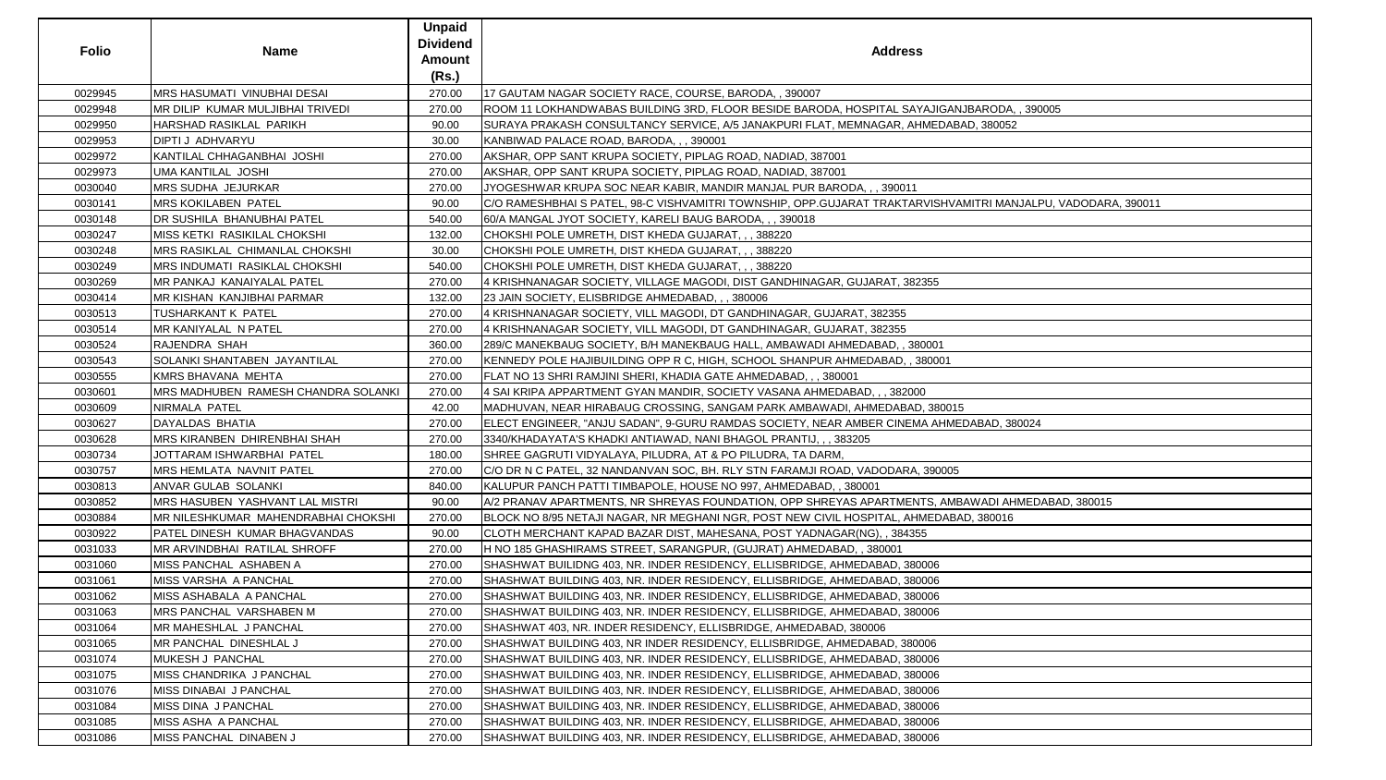| <b>Folio</b> | <b>Name</b>                          | <b>Unpaid</b><br><b>Dividend</b><br><b>Amount</b><br>(Rs.) | <b>Address</b>                                                                                               |
|--------------|--------------------------------------|------------------------------------------------------------|--------------------------------------------------------------------------------------------------------------|
| 0029945      | <b>MRS HASUMATI VINUBHAI DESAI</b>   | 270.00                                                     | 17 GAUTAM NAGAR SOCIETY RACE, COURSE, BARODA, , 390007                                                       |
| 0029948      | MR DILIP KUMAR MULJIBHAI TRIVEDI     | 270.00                                                     | ROOM 11 LOKHANDWABAS BUILDING 3RD, FLOOR BESIDE BARODA, HOSPITAL SAYAJIGANJBARODA, , 390005                  |
| 0029950      | HARSHAD RASIKLAL PARIKH              | 90.00                                                      | SURAYA PRAKASH CONSULTANCY SERVICE, A/5 JANAKPURI FLAT, MEMNAGAR, AHMEDABAD, 380052                          |
| 0029953      | DIPTI J ADHVARYU                     | 30.00                                                      | KANBIWAD PALACE ROAD, BARODA, , , 390001                                                                     |
| 0029972      | KANTILAL CHHAGANBHAI JOSHI           | 270.00                                                     | AKSHAR, OPP SANT KRUPA SOCIETY, PIPLAG ROAD, NADIAD, 387001                                                  |
| 0029973      | UMA KANTILAL JOSHI                   | 270.00                                                     | AKSHAR, OPP SANT KRUPA SOCIETY, PIPLAG ROAD, NADIAD, 387001                                                  |
| 0030040      | <b>MRS SUDHA JEJURKAR</b>            | 270.00                                                     | JYOGESHWAR KRUPA SOC NEAR KABIR, MANDIR MANJAL PUR BARODA, , , 390011                                        |
| 0030141      | <b>MRS KOKILABEN PATEL</b>           | 90.00                                                      | C/O RAMESHBHAI S PATEL, 98-C VISHVAMITRI TOWNSHIP, OPP.GUJARAT TRAKTARVISHVAMITRI MANJALPU, VADODARA, 390011 |
| 0030148      | DR SUSHILA BHANUBHAI PATEL           | 540.00                                                     | 60/A MANGAL JYOT SOCIETY, KARELI BAUG BARODA, , , 390018                                                     |
| 0030247      | MISS KETKI RASIKILAL CHOKSHI         | 132.00                                                     | CHOKSHI POLE UMRETH, DIST KHEDA GUJARAT, , , 388220                                                          |
| 0030248      | MRS RASIKLAL CHIMANLAL CHOKSHI       | 30.00                                                      | CHOKSHI POLE UMRETH, DIST KHEDA GUJARAT, , , 388220                                                          |
| 0030249      | <b>MRS INDUMATI RASIKLAL CHOKSHI</b> | 540.00                                                     | CHOKSHI POLE UMRETH, DIST KHEDA GUJARAT, , , 388220                                                          |
| 0030269      | MR PANKAJ KANAIYALAL PATEL           | 270.00                                                     | 4 KRISHNANAGAR SOCIETY, VILLAGE MAGODI, DIST GANDHINAGAR, GUJARAT, 382355                                    |
| 0030414      | MR KISHAN KANJIBHAI PARMAR           | 132.00                                                     | 23 JAIN SOCIETY, ELISBRIDGE AHMEDABAD, , , 380006                                                            |
| 0030513      | <b>TUSHARKANT K PATEL</b>            | 270.00                                                     | 4 KRISHNANAGAR SOCIETY, VILL MAGODI, DT GANDHINAGAR, GUJARAT, 382355                                         |
| 0030514      | MR KANIYALAL N PATEL                 | 270.00                                                     | 4 KRISHNANAGAR SOCIETY, VILL MAGODI, DT GANDHINAGAR, GUJARAT, 382355                                         |
| 0030524      | <b>RAJENDRA SHAH</b>                 | 360.00                                                     | 289/C MANEKBAUG SOCIETY, B/H MANEKBAUG HALL, AMBAWADI AHMEDABAD, , 380001                                    |
| 0030543      | SOLANKI SHANTABEN JAYANTILAL         | 270.00                                                     | KENNEDY POLE HAJIBUILDING OPP R C, HIGH, SCHOOL SHANPUR AHMEDABAD, , 380001                                  |
| 0030555      | KMRS BHAVANA MEHTA                   | 270.00                                                     | FLAT NO 13 SHRI RAMJINI SHERI, KHADIA GATE AHMEDABAD, , , 380001                                             |
| 0030601      | MRS MADHUBEN RAMESH CHANDRA SOLANKI  | 270.00                                                     | 4 SAI KRIPA APPARTMENT GYAN MANDIR, SOCIETY VASANA AHMEDABAD, , , 382000                                     |
| 0030609      | NIRMALA PATEL                        | 42.00                                                      | MADHUVAN, NEAR HIRABAUG CROSSING, SANGAM PARK AMBAWADI, AHMEDABAD, 380015                                    |
| 0030627      | DAYALDAS BHATIA                      | 270.00                                                     | ELECT ENGINEER, "ANJU SADAN", 9-GURU RAMDAS SOCIETY, NEAR AMBER CINEMA AHMEDABAD, 380024                     |
| 0030628      | MRS KIRANBEN DHIRENBHAI SHAH         | 270.00                                                     | 3340/KHADAYATA'S KHADKI ANTIAWAD, NANI BHAGOL PRANTIJ, , , 383205                                            |
| 0030734      | JOTTARAM ISHWARBHAI PATEL            | 180.00                                                     | SHREE GAGRUTI VIDYALAYA, PILUDRA, AT & PO PILUDRA, TA DARM,                                                  |
| 0030757      | <b>MRS HEMLATA NAVNIT PATEL</b>      | 270.00                                                     | C/O DR N C PATEL, 32 NANDANVAN SOC, BH. RLY STN FARAMJI ROAD, VADODARA, 390005                               |
| 0030813      | <b>ANVAR GULAB SOLANKI</b>           | 840.00                                                     | KALUPUR PANCH PATTI TIMBAPOLE, HOUSE NO 997, AHMEDABAD, , 380001                                             |
| 0030852      | MRS HASUBEN YASHVANT LAL MISTRI      | 90.00                                                      | A/2 PRANAV APARTMENTS, NR SHREYAS FOUNDATION, OPP SHREYAS APARTMENTS, AMBAWADI AHMEDABAD, 380015             |
| 0030884      | MR NILESHKUMAR MAHENDRABHAI CHOKSHI  | 270.00                                                     | BLOCK NO 8/95 NETAJI NAGAR, NR MEGHANI NGR, POST NEW CIVIL HOSPITAL, AHMEDABAD, 380016                       |
| 0030922      | <b>PATEL DINESH KUMAR BHAGVANDAS</b> | 90.00                                                      | CLOTH MERCHANT KAPAD BAZAR DIST, MAHESANA, POST YADNAGAR(NG), 384355                                         |
| 0031033      | <b>MR ARVINDBHAI RATILAL SHROFF</b>  | 270.00                                                     | H NO 185 GHASHIRAMS STREET, SARANGPUR, (GUJRAT) AHMEDABAD, , 380001                                          |
| 0031060      | MISS PANCHAL ASHABEN A               | 270.00                                                     | SHASHWAT BUILIDNG 403, NR. INDER RESIDENCY, ELLISBRIDGE, AHMEDABAD, 380006                                   |
| 0031061      | MISS VARSHA A PANCHAL                | 270.00                                                     | SHASHWAT BUILDING 403, NR. INDER RESIDENCY, ELLISBRIDGE, AHMEDABAD, 380006                                   |
| 0031062      | MISS ASHABALA A PANCHAL              | 270.00                                                     | SHASHWAT BUILDING 403, NR. INDER RESIDENCY, ELLISBRIDGE, AHMEDABAD, 380006                                   |
| 0031063      | MRS PANCHAL VARSHABEN M              | 270.00                                                     | SHASHWAT BUILDING 403, NR. INDER RESIDENCY, ELLISBRIDGE, AHMEDABAD, 380006                                   |
| 0031064      | MR MAHESHLAL J PANCHAL               | 270.00                                                     | SHASHWAT 403, NR. INDER RESIDENCY, ELLISBRIDGE, AHMEDABAD, 380006                                            |
| 0031065      | MR PANCHAL DINESHLAL J               | 270.00                                                     | SHASHWAT BUILDING 403, NR INDER RESIDENCY, ELLISBRIDGE, AHMEDABAD, 380006                                    |
| 0031074      | MUKESH J PANCHAL                     | 270.00                                                     | SHASHWAT BUILDING 403, NR. INDER RESIDENCY, ELLISBRIDGE, AHMEDABAD, 380006                                   |
| 0031075      | MISS CHANDRIKA J PANCHAL             | 270.00                                                     | SHASHWAT BUILDING 403, NR. INDER RESIDENCY, ELLISBRIDGE, AHMEDABAD, 380006                                   |
| 0031076      | MISS DINABAI J PANCHAL               | 270.00                                                     | SHASHWAT BUILDING 403, NR. INDER RESIDENCY, ELLISBRIDGE, AHMEDABAD, 380006                                   |
| 0031084      | <b>MISS DINA J PANCHAL</b>           | 270.00                                                     | SHASHWAT BUILDING 403, NR. INDER RESIDENCY, ELLISBRIDGE, AHMEDABAD, 380006                                   |
| 0031085      | MISS ASHA A PANCHAL                  | 270.00                                                     | SHASHWAT BUILDING 403, NR. INDER RESIDENCY, ELLISBRIDGE, AHMEDABAD, 380006                                   |
| 0031086      | MISS PANCHAL DINABEN J               | 270.00                                                     | SHASHWAT BUILDING 403, NR. INDER RESIDENCY, ELLISBRIDGE, AHMEDABAD, 380006                                   |

| BARODA, , 390005                |
|---------------------------------|
| 0,380052                        |
|                                 |
|                                 |
|                                 |
|                                 |
| ITRI MANJALPU, VADODARA, 390011 |
|                                 |
|                                 |
|                                 |
|                                 |
|                                 |
|                                 |
|                                 |
|                                 |
|                                 |
|                                 |
|                                 |
|                                 |
|                                 |
| ABAD, 380024                    |
|                                 |
|                                 |
|                                 |
|                                 |
|                                 |
| WADI AHMEDABAD, 380015          |
| , 380016                        |
|                                 |
|                                 |
|                                 |
|                                 |
|                                 |
|                                 |
|                                 |
|                                 |
|                                 |
|                                 |
|                                 |
|                                 |
|                                 |
|                                 |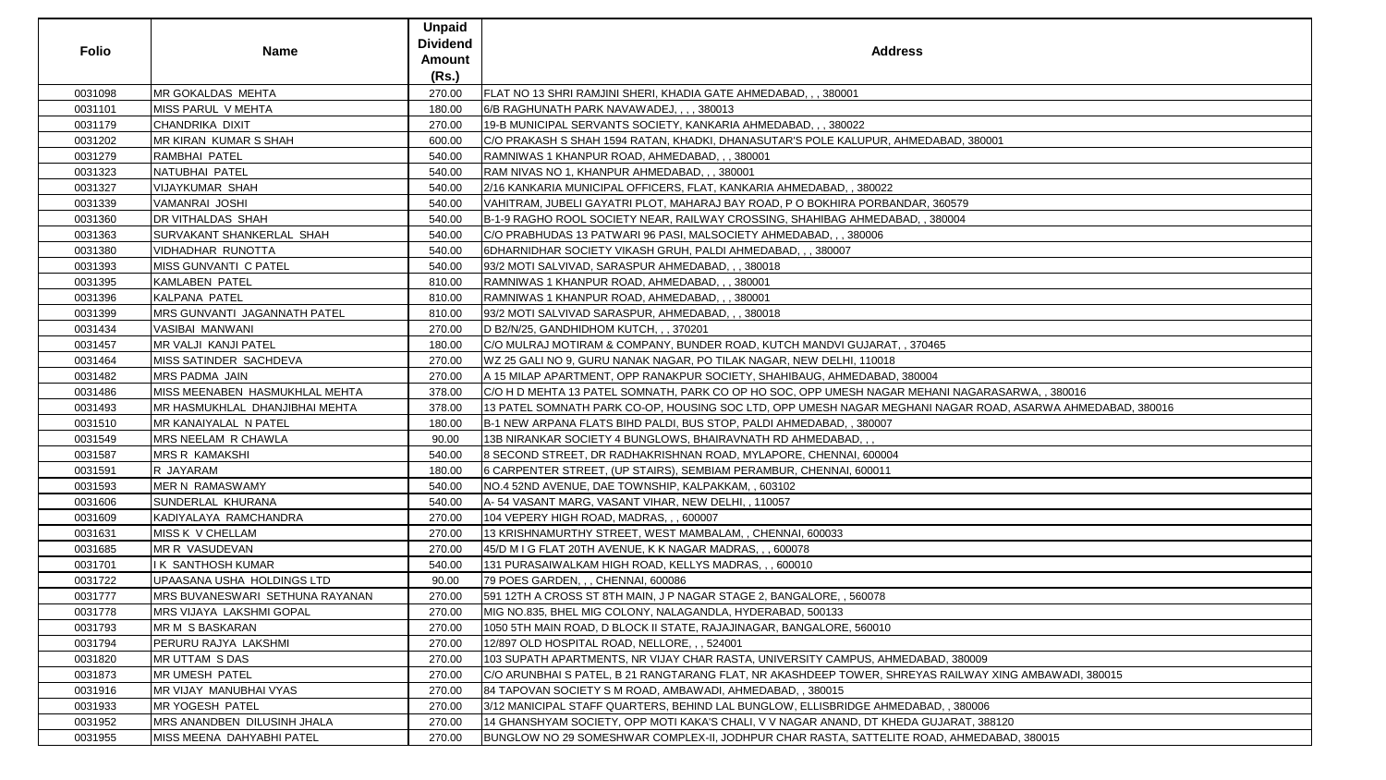| <b>Folio</b> | <b>Name</b>                     | <b>Unpaid</b><br><b>Dividend</b><br>Amount | <b>Address</b>                                                                                             |
|--------------|---------------------------------|--------------------------------------------|------------------------------------------------------------------------------------------------------------|
|              |                                 | (Rs.)                                      |                                                                                                            |
| 0031098      | <b>MR GOKALDAS MEHTA</b>        | 270.00                                     | FLAT NO 13 SHRI RAMJINI SHERI, KHADIA GATE AHMEDABAD, , , 380001                                           |
| 0031101      | MISS PARUL V MEHTA              | 180.00                                     | 6/B RAGHUNATH PARK NAVAWADEJ, , , , 380013                                                                 |
| 0031179      | CHANDRIKA DIXIT                 | 270.00                                     | 19-B MUNICIPAL SERVANTS SOCIETY, KANKARIA AHMEDABAD, , , 380022                                            |
| 0031202      | MR KIRAN KUMAR S SHAH           | 600.00                                     | C/O PRAKASH S SHAH 1594 RATAN, KHADKI, DHANASUTAR'S POLE KALUPUR, AHMEDABAD, 380001                        |
| 0031279      | RAMBHAI PATEL                   | 540.00                                     | RAMNIWAS 1 KHANPUR ROAD, AHMEDABAD, , , 380001                                                             |
| 0031323      | NATUBHAI PATEL                  | 540.00                                     | RAM NIVAS NO 1, KHANPUR AHMEDABAD, , , 380001                                                              |
| 0031327      | <b>VIJAYKUMAR SHAH</b>          | 540.00                                     | 2/16 KANKARIA MUNICIPAL OFFICERS, FLAT, KANKARIA AHMEDABAD, , 380022                                       |
| 0031339      | VAMANRAI JOSHI                  | 540.00                                     | VAHITRAM, JUBELI GAYATRI PLOT, MAHARAJ BAY ROAD, P O BOKHIRA PORBANDAR, 360579                             |
| 0031360      | <b>DR VITHALDAS SHAH</b>        | 540.00                                     | B-1-9 RAGHO ROOL SOCIETY NEAR, RAILWAY CROSSING, SHAHIBAG AHMEDABAD, , 380004                              |
| 0031363      | SURVAKANT SHANKERLAL SHAH       | 540.00                                     | C/O PRABHUDAS 13 PATWARI 96 PASI, MALSOCIETY AHMEDABAD, , , 380006                                         |
| 0031380      | <b>VIDHADHAR RUNOTTA</b>        | 540.00                                     | 6DHARNIDHAR SOCIETY VIKASH GRUH, PALDI AHMEDABAD, , , 380007                                               |
| 0031393      | MISS GUNVANTI C PATEL           | 540.00                                     | 93/2 MOTI SALVIVAD, SARASPUR AHMEDABAD, , , 380018                                                         |
| 0031395      | KAMLABEN PATEL                  | 810.00                                     | RAMNIWAS 1 KHANPUR ROAD, AHMEDABAD, , , 380001                                                             |
| 0031396      | KALPANA PATEL                   | 810.00                                     | RAMNIWAS 1 KHANPUR ROAD, AHMEDABAD, , , 380001                                                             |
| 0031399      | MRS GUNVANTI JAGANNATH PATEL    | 810.00                                     | 93/2 MOTI SALVIVAD SARASPUR, AHMEDABAD, , , 380018                                                         |
| 0031434      | VASIBAI MANWANI                 | 270.00                                     | D B2/N/25, GANDHIDHOM KUTCH, , , 370201                                                                    |
| 0031457      | <b>MR VALJI KANJI PATEL</b>     | 180.00                                     | C/O MULRAJ MOTIRAM & COMPANY, BUNDER ROAD, KUTCH MANDVI GUJARAT, , 370465                                  |
| 0031464      | MISS SATINDER SACHDEVA          | 270.00                                     | WZ 25 GALI NO 9, GURU NANAK NAGAR, PO TILAK NAGAR, NEW DELHI, 110018                                       |
| 0031482      | <b>MRS PADMA JAIN</b>           | 270.00                                     | A 15 MILAP APARTMENT, OPP RANAKPUR SOCIETY, SHAHIBAUG, AHMEDABAD, 380004                                   |
| 0031486      | MISS MEENABEN HASMUKHLAL MEHTA  | 378.00                                     | C/O H D MEHTA 13 PATEL SOMNATH, PARK CO OP HO SOC, OPP UMESH NAGAR MEHANI NAGARASARWA, , 380016            |
| 0031493      | MR HASMUKHLAL DHANJIBHAI MEHTA  | 378.00                                     | 13 PATEL SOMNATH PARK CO-OP, HOUSING SOC LTD, OPP UMESH NAGAR MEGHANI NAGAR ROAD, ASARWA AHMEDABAD, 380016 |
| 0031510      | MR KANAIYALAL N PATEL           | 180.00                                     | B-1 NEW ARPANA FLATS BIHD PALDI, BUS STOP, PALDI AHMEDABAD, , 380007                                       |
| 0031549      | MRS NEELAM R CHAWLA             | 90.00                                      | 13B NIRANKAR SOCIETY 4 BUNGLOWS, BHAIRAVNATH RD AHMEDABAD,,                                                |
| 0031587      | <b>MRS R KAMAKSHI</b>           | 540.00                                     | 8 SECOND STREET, DR RADHAKRISHNAN ROAD, MYLAPORE, CHENNAI, 600004                                          |
| 0031591      | R JAYARAM                       | 180.00                                     | 600011 6 CARPENTER STREET, (UP STAIRS), SEMBIAM PERAMBUR, CHENNAI, 600011                                  |
| 0031593      | MER N RAMASWAMY                 | 540.00                                     | NO.4 52ND AVENUE, DAE TOWNSHIP, KALPAKKAM, , 603102                                                        |
| 0031606      | SUNDERLAL KHURANA               | 540.00                                     | A-54 VASANT MARG, VASANT VIHAR, NEW DELHI, , 110057                                                        |
| 0031609      | KADIYALAYA RAMCHANDRA           | 270.00                                     | 104 VEPERY HIGH ROAD, MADRAS, , , 600007                                                                   |
| 0031631      | MISS K V CHELLAM                | 270.00                                     | 13 KRISHNAMURTHY STREET, WEST MAMBALAM, , CHENNAI, 600033                                                  |
| 0031685      | MR R VASUDEVAN                  | 270.00                                     | 45/D M I G FLAT 20TH AVENUE, K K NAGAR MADRAS, , , 600078                                                  |
| 0031701      | I K SANTHOSH KUMAR              | 540.00                                     | 131 PURASAIWALKAM HIGH ROAD, KELLYS MADRAS, , , 600010                                                     |
| 0031722      | UPAASANA USHA HOLDINGS LTD      | 90.00                                      | 79 POES GARDEN, , , CHENNAI, 600086                                                                        |
| 0031777      | MRS BUVANESWARI SETHUNA RAYANAN | 270.00                                     | 591 12TH A CROSS ST 8TH MAIN, J P NAGAR STAGE 2, BANGALORE, , 560078                                       |
| 0031778      | MRS VIJAYA LAKSHMI GOPAL        | 270.00                                     | MIG NO.835, BHEL MIG COLONY, NALAGANDLA, HYDERABAD, 500133                                                 |
| 0031793      | MR M S BASKARAN                 | 270.00                                     | 1050 5TH MAIN ROAD, D BLOCK II STATE, RAJAJINAGAR, BANGALORE, 560010                                       |
| 0031794      | PERURU RAJYA LAKSHMI            | 270.00                                     | 12/897 OLD HOSPITAL ROAD, NELLORE, , , 524001                                                              |
| 0031820      | <b>MR UTTAM S DAS</b>           | 270.00                                     | 103 SUPATH APARTMENTS, NR VIJAY CHAR RASTA, UNIVERSITY CAMPUS, AHMEDABAD, 380009                           |
| 0031873      | <b>MR UMESH PATEL</b>           | 270.00                                     | C/O ARUNBHAI S PATEL, B 21 RANGTARANG FLAT, NR AKASHDEEP TOWER, SHREYAS RAILWAY XING AMBAWADI, 380015      |
| 0031916      | <b>MR VIJAY MANUBHAI VYAS</b>   | 270.00                                     | 84 TAPOVAN SOCIETY S M ROAD, AMBAWADI, AHMEDABAD, , 380015                                                 |
| 0031933      | MR YOGESH PATEL                 | 270.00                                     | 3/12 MANICIPAL STAFF QUARTERS, BEHIND LAL BUNGLOW, ELLISBRIDGE AHMEDABAD, , 380006                         |
| 0031952      | MRS ANANDBEN DILUSINH JHALA     | 270.00                                     | 14 GHANSHYAM SOCIETY, OPP MOTI KAKA'S CHALI, V V NAGAR ANAND, DT KHEDA GUJARAT, 388120                     |
| 0031955      | MISS MEENA DAHYABHI PATEL       | 270.00                                     | BUNGLOW NO 29 SOMESHWAR COMPLEX-II, JODHPUR CHAR RASTA, SATTELITE ROAD, AHMEDABAD, 380015                  |

| 80001                                                |  |
|------------------------------------------------------|--|
|                                                      |  |
|                                                      |  |
|                                                      |  |
|                                                      |  |
|                                                      |  |
|                                                      |  |
|                                                      |  |
|                                                      |  |
|                                                      |  |
|                                                      |  |
|                                                      |  |
|                                                      |  |
|                                                      |  |
|                                                      |  |
|                                                      |  |
|                                                      |  |
|                                                      |  |
|                                                      |  |
|                                                      |  |
|                                                      |  |
|                                                      |  |
|                                                      |  |
|                                                      |  |
|                                                      |  |
| ARASARWA, , 380016<br>ROAD, ASARWA AHMEDABAD, 380016 |  |
|                                                      |  |
|                                                      |  |
|                                                      |  |
|                                                      |  |
|                                                      |  |
|                                                      |  |
|                                                      |  |
|                                                      |  |
|                                                      |  |
|                                                      |  |
|                                                      |  |
|                                                      |  |
|                                                      |  |
|                                                      |  |
|                                                      |  |
|                                                      |  |
|                                                      |  |
|                                                      |  |
|                                                      |  |
|                                                      |  |
|                                                      |  |
|                                                      |  |
| 09                                                   |  |
|                                                      |  |
|                                                      |  |
|                                                      |  |
| <u>AY XING AMBAWADI, 380015</u><br>06                |  |
| 388120                                               |  |
| EDABAD, 380015                                       |  |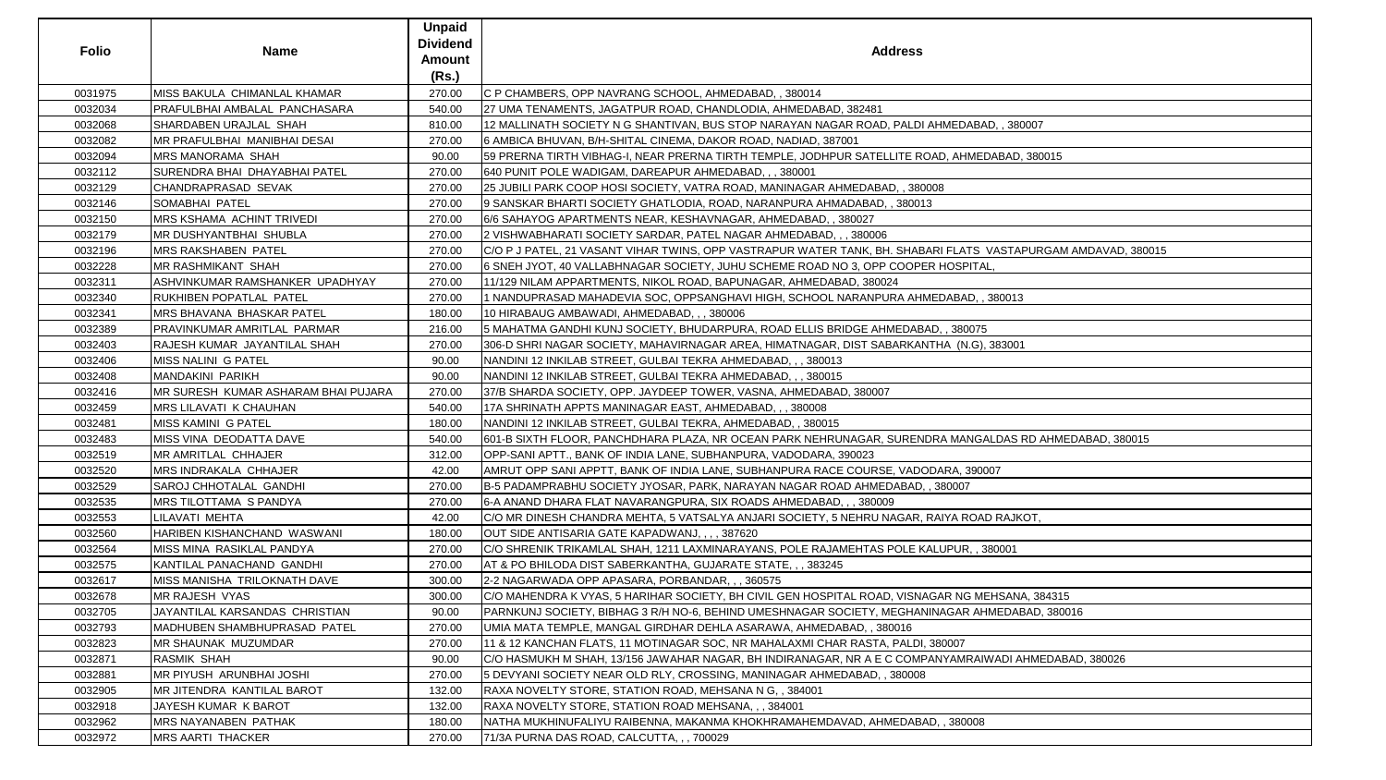| <b>Folio</b> | <b>Name</b>                                 | <b>Unpaid</b><br><b>Dividend</b><br>Amount<br>(Rs.) | <b>Address</b>                                                                                                |
|--------------|---------------------------------------------|-----------------------------------------------------|---------------------------------------------------------------------------------------------------------------|
| 0031975      | <b>IMISS BAKULA CHIMANLAL KHAMAR</b>        | 270.00                                              | C P CHAMBERS, OPP NAVRANG SCHOOL, AHMEDABAD, , 380014                                                         |
| 0032034      | PRAFULBHAI AMBALAL PANCHASARA               | 540.00                                              | 27 UMA TENAMENTS, JAGATPUR ROAD, CHANDLODIA, AHMEDABAD, 382481                                                |
| 0032068      | SHARDABEN URAJLAL SHAH                      | 810.00                                              | 12 MALLINATH SOCIETY N G SHANTIVAN, BUS STOP NARAYAN NAGAR ROAD, PALDI AHMEDABAD, , 380007                    |
| 0032082      | <b>IMR PRAFULBHAI MANIBHAI DESAI</b>        | 270.00                                              | 6 AMBICA BHUVAN, B/H-SHITAL CINEMA, DAKOR ROAD, NADIAD, 387001                                                |
| 0032094      | <b>MRS MANORAMA SHAH</b>                    | 90.00                                               | 59 PRERNA TIRTH VIBHAG-I, NEAR PRERNA TIRTH TEMPLE, JODHPUR SATELLITE ROAD, AHMEDABAD, 380015                 |
| 0032112      | SURENDRA BHAI DHAYABHAI PATEL               | 270.00                                              | 640 PUNIT POLE WADIGAM, DAREAPUR AHMEDABAD, , , 380001                                                        |
| 0032129      | CHANDRAPRASAD SEVAK                         | 270.00                                              | 25 JUBILI PARK COOP HOSI SOCIETY, VATRA ROAD, MANINAGAR AHMEDABAD, , 380008                                   |
| 0032146      | <b>SOMABHAI PATEL</b>                       | 270.00                                              | 9 SANSKAR BHARTI SOCIETY GHATLODIA, ROAD, NARANPURA AHMADABAD, , 380013                                       |
| 0032150      | <b>IMRS KSHAMA ACHINT TRIVEDI</b>           | 270.00                                              | 6/6 SAHAYOG APARTMENTS NEAR, KESHAVNAGAR, AHMEDABAD, , 380027                                                 |
| 0032179      | <b>IMR DUSHYANTBHAI SHUBLA</b>              | 270.00                                              | 2 VISHWABHARATI SOCIETY SARDAR, PATEL NAGAR AHMEDABAD, , , 380006                                             |
| 0032196      | <b>MRS RAKSHABEN PATEL</b>                  | 270.00                                              | C/O P J PATEL, 21 VASANT VIHAR TWINS, OPP VASTRAPUR WATER TANK, BH. SHABARI FLATS VASTAPURGAM AMDAVAD, 380015 |
| 0032228      | <b>MR RASHMIKANT SHAH</b>                   | 270.00                                              | 6 SNEH JYOT, 40 VALLABHNAGAR SOCIETY, JUHU SCHEME ROAD NO 3, OPP COOPER HOSPITAL,                             |
| 0032311      | ASHVINKUMAR RAMSHANKER UPADHYAY             | 270.00                                              | 11/129 NILAM APPARTMENTS, NIKOL ROAD, BAPUNAGAR, AHMEDABAD, 380024                                            |
| 0032340      | RUKHIBEN POPATLAL PATEL                     | 270.00                                              | 1 NANDUPRASAD MAHADEVIA SOC, OPPSANGHAVI HIGH, SCHOOL NARANPURA AHMEDABAD, , 380013                           |
| 0032341      | <b>IMRS BHAVANA BHASKAR PATEL</b>           | 180.00                                              | 10 HIRABAUG AMBAWADI, AHMEDABAD, , , 380006                                                                   |
| 0032389      | PRAVINKUMAR AMRITLAL PARMAR                 | 216.00                                              | 5 MAHATMA GANDHI KUNJ SOCIETY, BHUDARPURA, ROAD ELLIS BRIDGE AHMEDABAD, , 380075                              |
| 0032403      | RAJESH KUMAR JAYANTILAL SHAH                | 270.00                                              | 306-D SHRI NAGAR SOCIETY, MAHAVIRNAGAR AREA, HIMATNAGAR, DIST SABARKANTHA (N.G), 383001                       |
| 0032406      | MISS NALINI G PATEL                         | 90.00                                               | NANDINI 12 INKILAB STREET, GULBAI TEKRA AHMEDABAD, , , 380013                                                 |
| 0032408      | MANDAKINI PARIKH                            | 90.00                                               | NANDINI 12 INKILAB STREET, GULBAI TEKRA AHMEDABAD, , , 380015                                                 |
| 0032416      | <b>IMR SURESH KUMAR ASHARAM BHAI PUJARA</b> | 270.00                                              | 37/B SHARDA SOCIETY, OPP. JAYDEEP TOWER, VASNA, AHMEDABAD, 380007                                             |
| 0032459      | <b>MRS LILAVATI K CHAUHAN</b>               | 540.00                                              | 17A SHRINATH APPTS MANINAGAR EAST, AHMEDABAD, , , 380008                                                      |
| 0032481      | <b>MISS KAMINI G PATEL</b>                  | 180.00                                              | NANDINI 12 INKILAB STREET, GULBAI TEKRA, AHMEDABAD, , 380015                                                  |
| 0032483      | MISS VINA DEODATTA DAVE                     | 540.00                                              | 601-B SIXTH FLOOR, PANCHDHARA PLAZA, NR OCEAN PARK NEHRUNAGAR, SURENDRA MANGALDAS RD AHMEDABAD, 380015        |
| 0032519      | MR AMRITLAL CHHAJER                         | 312.00                                              | OPP-SANI APTT., BANK OF INDIA LANE, SUBHANPURA, VADODARA, 390023                                              |
| 0032520      | <b>MRS INDRAKALA CHHAJER</b>                | 42.00                                               | AMRUT OPP SANI APPTT, BANK OF INDIA LANE, SUBHANPURA RACE COURSE, VADODARA, 390007                            |
| 0032529      | <b>SAROJ CHHOTALAL GANDHI</b>               | 270.00                                              | B-5 PADAMPRABHU SOCIETY JYOSAR, PARK, NARAYAN NAGAR ROAD AHMEDABAD, , 380007                                  |
| 0032535      | MRS TILOTTAMA S PANDYA                      | 270.00                                              | 6-A ANAND DHARA FLAT NAVARANGPURA, SIX ROADS AHMEDABAD, , , 380009                                            |
| 0032553      | LILAVATI MEHTA                              | 42.00                                               | C/O MR DINESH CHANDRA MEHTA, 5 VATSALYA ANJARI SOCIETY, 5 NEHRU NAGAR, RAIYA ROAD RAJKOT,                     |
| 0032560      | HARIBEN KISHANCHAND WASWANI                 | 180.00                                              | OUT SIDE ANTISARIA GATE KAPADWANJ, , , , 387620                                                               |
| 0032564      | MISS MINA RASIKLAL PANDYA                   | 270.00                                              | C/O SHRENIK TRIKAMLAL SHAH, 1211 LAXMINARAYANS, POLE RAJAMEHTAS POLE KALUPUR, , 380001                        |
| 0032575      | KANTILAL PANACHAND GANDHI                   | 270.00                                              | AT & PO BHILODA DIST SABERKANTHA, GUJARATE STATE, , , 383245                                                  |
| 0032617      | <b>IMISS MANISHA TRILOKNATH DAVE</b>        | 300.00                                              | 2-2 NAGARWADA OPP APASARA, PORBANDAR, ,, 360575                                                               |
| 0032678      | <b>IMR RAJESH VYAS</b>                      | 300.00                                              | C/O MAHENDRA K VYAS, 5 HARIHAR SOCIETY, BH CIVIL GEN HOSPITAL ROAD, VISNAGAR NG MEHSANA, 384315               |
| 0032705      | JAYANTILAL KARSANDAS CHRISTIAN              | 90.00                                               | PARNKUNJ SOCIETY, BIBHAG 3 R/H NO-6, BEHIND UMESHNAGAR SOCIETY, MEGHANINAGAR AHMEDABAD, 380016                |
| 0032793      | <b>MADHUBEN SHAMBHUPRASAD PATEL</b>         | 270.00                                              | UMIA MATA TEMPLE, MANGAL GIRDHAR DEHLA ASARAWA, AHMEDABAD, , 380016                                           |
| 0032823      | <b>IMR SHAUNAK MUZUMDAR</b>                 | 270.00                                              | 11 & 12 KANCHAN FLATS, 11 MOTINAGAR SOC, NR MAHALAXMI CHAR RASTA, PALDI, 380007                               |
| 0032871      | <b>RASMIK SHAH</b>                          | 90.00                                               | C/O HASMUKH M SHAH, 13/156 JAWAHAR NAGAR, BH INDIRANAGAR, NR A E C COMPANYAMRAIWADI AHMEDABAD, 380026         |
| 0032881      | MR PIYUSH ARUNBHAI JOSHI                    | 270.00                                              | 5 DEVYANI SOCIETY NEAR OLD RLY, CROSSING, MANINAGAR AHMEDABAD, , 380008                                       |
| 0032905      | <b>IMR JITENDRA KANTILAL BAROT</b>          | 132.00                                              | RAXA NOVELTY STORE, STATION ROAD, MEHSANA N G, , 384001                                                       |
| 0032918      | JAYESH KUMAR K BAROT                        | 132.00                                              | RAXA NOVELTY STORE, STATION ROAD MEHSANA, , , 384001                                                          |
| 0032962      | <b>MRS NAYANABEN PATHAK</b>                 | 180.00                                              | NATHA MUKHINUFALIYU RAIBENNA, MAKANMA KHOKHRAMAHEMDAVAD, AHMEDABAD, , 380008                                  |
| 0032972      | <b>MRS AARTI THACKER</b>                    | 270.00                                              | 71/3A PURNA DAS ROAD, CALCUTTA, , , 700029                                                                    |

| 3AD, , 380007                   |
|---------------------------------|
|                                 |
| EDABAD, 380015                  |
|                                 |
|                                 |
|                                 |
|                                 |
| VASTAPURGAM AMDAVAD, 380015     |
| ΆL,                             |
|                                 |
| , 380013                        |
| 75                              |
| i), 383001                      |
|                                 |
|                                 |
|                                 |
|                                 |
| GALDAS RD AHMEDABAD, 380015     |
|                                 |
| 0007                            |
|                                 |
|                                 |
| AD RAJKOT,                      |
| 380001                          |
|                                 |
|                                 |
| MEHSANA, 384315                 |
| HMEDABAD, 380016                |
|                                 |
|                                 |
| <b>NIWADI AHMEDABAD, 380026</b> |
|                                 |
|                                 |
| 8                               |
|                                 |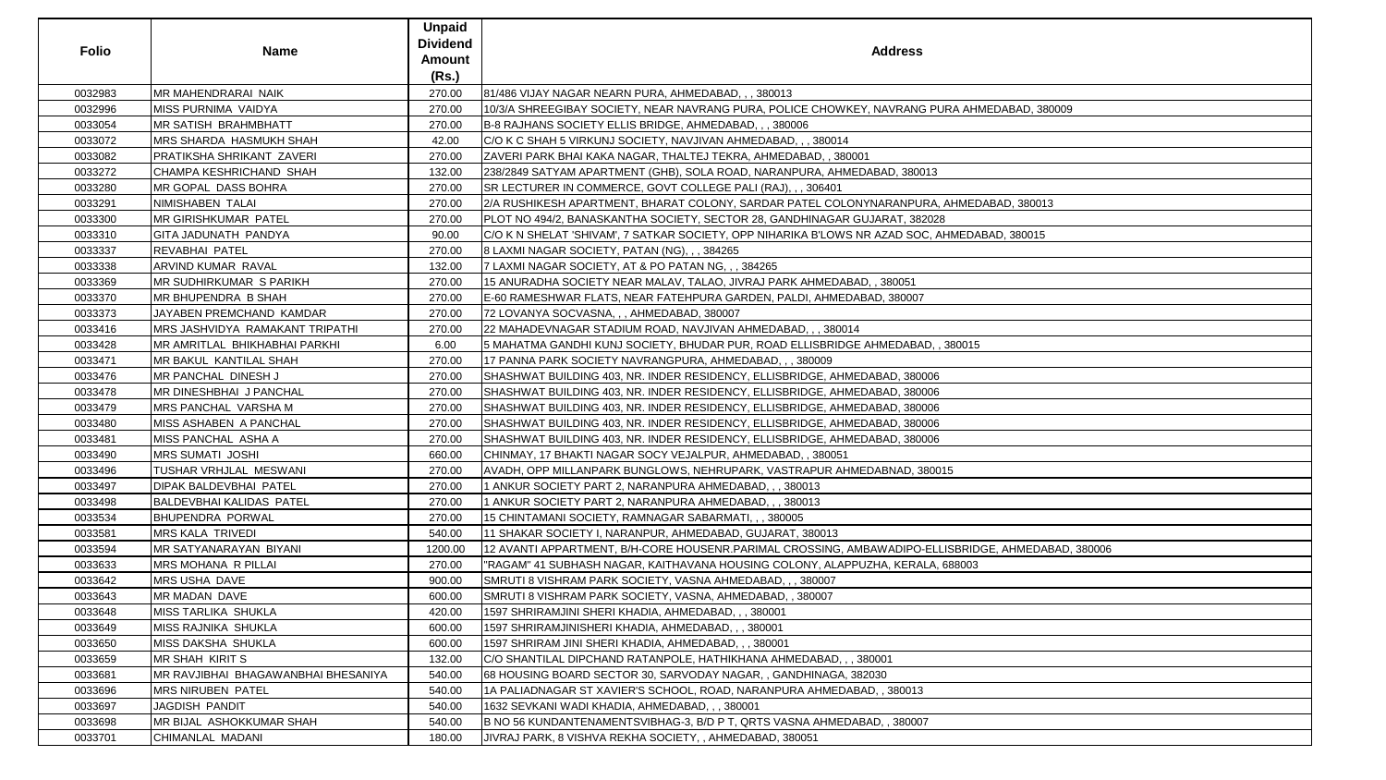| <b>Folio</b> | <b>Name</b>                         | <b>Unpaid</b><br><b>Dividend</b><br><b>Amount</b><br>(Rs.) | <b>Address</b>                                                                                     |
|--------------|-------------------------------------|------------------------------------------------------------|----------------------------------------------------------------------------------------------------|
| 0032983      | <b>MR MAHENDRARAI NAIK</b>          | 270.00                                                     | 81/486 VIJAY NAGAR NEARN PURA, AHMEDABAD, , , 380013                                               |
| 0032996      | MISS PURNIMA VAIDYA                 | 270.00                                                     | 10/3/A SHREEGIBAY SOCIETY, NEAR NAVRANG PURA, POLICE CHOWKEY, NAVRANG PURA AHMEDABAD, 380009       |
| 0033054      | MR SATISH BRAHMBHATT                | 270.00                                                     | B-8 RAJHANS SOCIETY ELLIS BRIDGE, AHMEDABAD, , , 380006                                            |
| 0033072      | MRS SHARDA HASMUKH SHAH             | 42.00                                                      | C/O K C SHAH 5 VIRKUNJ SOCIETY, NAVJIVAN AHMEDABAD, , , 380014                                     |
| 0033082      | PRATIKSHA SHRIKANT ZAVERI           | 270.00                                                     | ZAVERI PARK BHAI KAKA NAGAR, THALTEJ TEKRA, AHMEDABAD, , 380001                                    |
| 0033272      | CHAMPA KESHRICHAND SHAH             | 132.00                                                     | 238/2849 SATYAM APARTMENT (GHB), SOLA ROAD, NARANPURA, AHMEDABAD, 380013                           |
| 0033280      | MR GOPAL DASS BOHRA                 | 270.00                                                     | SR LECTURER IN COMMERCE, GOVT COLLEGE PALI (RAJ), , , 306401                                       |
| 0033291      | NIMISHABEN TALAI                    | 270.00                                                     | 2/A RUSHIKESH APARTMENT, BHARAT COLONY, SARDAR PATEL COLONYNARANPURA, AHMEDABAD, 380013            |
| 0033300      | MR GIRISHKUMAR PATEL                | 270.00                                                     | PLOT NO 494/2, BANASKANTHA SOCIETY, SECTOR 28, GANDHINAGAR GUJARAT, 382028                         |
| 0033310      | <b>GITA JADUNATH PANDYA</b>         | 90.00                                                      | C/O K N SHELAT 'SHIVAM', 7 SATKAR SOCIETY, OPP NIHARIKA B'LOWS NR AZAD SOC, AHMEDABAD, 380015      |
| 0033337      | REVABHAI PATEL                      | 270.00                                                     | 8 LAXMI NAGAR SOCIETY, PATAN (NG), , , 384265                                                      |
| 0033338      | ARVIND KUMAR RAVAL                  | 132.00                                                     | 7 LAXMI NAGAR SOCIETY, AT & PO PATAN NG, , , 384265                                                |
| 0033369      | <b>MR SUDHIRKUMAR S PARIKH</b>      | 270.00                                                     | 15 ANURADHA SOCIETY NEAR MALAV, TALAO, JIVRAJ PARK AHMEDABAD, , 380051                             |
| 0033370      | <b>MR BHUPENDRA B SHAH</b>          | 270.00                                                     | E-60 RAMESHWAR FLATS, NEAR FATEHPURA GARDEN, PALDI, AHMEDABAD, 380007                              |
| 0033373      | JAYABEN PREMCHAND KAMDAR            | 270.00                                                     | 72 LOVANYA SOCVASNA, , , AHMEDABAD, 380007                                                         |
| 0033416      | MRS JASHVIDYA RAMAKANT TRIPATHI     | 270.00                                                     | 22 MAHADEVNAGAR STADIUM ROAD, NAVJIVAN AHMEDABAD, , , 380014                                       |
| 0033428      | MR AMRITLAL BHIKHABHAI PARKHI       | 6.00                                                       | 5 MAHATMA GANDHI KUNJ SOCIETY, BHUDAR PUR, ROAD ELLISBRIDGE AHMEDABAD, , 380015                    |
| 0033471      | MR BAKUL KANTILAL SHAH              | 270.00                                                     | 17 PANNA PARK SOCIETY NAVRANGPURA, AHMEDABAD, , , 380009                                           |
| 0033476      | MR PANCHAL DINESH J                 | 270.00                                                     | SHASHWAT BUILDING 403, NR. INDER RESIDENCY, ELLISBRIDGE, AHMEDABAD, 380006                         |
| 0033478      | <b>MR DINESHBHAI J PANCHAL</b>      | 270.00                                                     | SHASHWAT BUILDING 403, NR. INDER RESIDENCY, ELLISBRIDGE, AHMEDABAD, 380006                         |
| 0033479      | MRS PANCHAL VARSHA M                | 270.00                                                     | SHASHWAT BUILDING 403, NR. INDER RESIDENCY, ELLISBRIDGE, AHMEDABAD, 380006                         |
| 0033480      | MISS ASHABEN A PANCHAL              | 270.00                                                     | SHASHWAT BUILDING 403, NR. INDER RESIDENCY, ELLISBRIDGE, AHMEDABAD, 380006                         |
| 0033481      | MISS PANCHAL ASHA A                 | 270.00                                                     | SHASHWAT BUILDING 403, NR. INDER RESIDENCY, ELLISBRIDGE, AHMEDABAD, 380006                         |
| 0033490      | <b>MRS SUMATI JOSHI</b>             | 660.00                                                     | CHINMAY, 17 BHAKTI NAGAR SOCY VEJALPUR, AHMEDABAD, , 380051                                        |
| 0033496      | TUSHAR VRHJLAL MESWANI              | 270.00                                                     | AVADH, OPP MILLANPARK BUNGLOWS, NEHRUPARK, VASTRAPUR AHMEDABNAD, 380015                            |
| 0033497      | DIPAK BALDEVBHAI PATEL              | 270.00                                                     | 1 ANKUR SOCIETY PART 2, NARANPURA AHMEDABAD, , , 380013                                            |
| 0033498      | <b>BALDEVBHAI KALIDAS PATEL</b>     | 270.00                                                     | 1 ANKUR SOCIETY PART 2, NARANPURA AHMEDABAD, , , 380013                                            |
| 0033534      | BHUPENDRA PORWAL                    | 270.00                                                     | 15 CHINTAMANI SOCIETY, RAMNAGAR SABARMATI, , , 380005                                              |
| 0033581      | <b>MRS KALA TRIVEDI</b>             | 540.00                                                     | 11 SHAKAR SOCIETY I, NARANPUR, AHMEDABAD, GUJARAT, 380013                                          |
| 0033594      | MR SATYANARAYAN BIYANI              | 1200.00                                                    | 12 AVANTI APPARTMENT, B/H-CORE HOUSENR.PARIMAL CROSSING, AMBAWADIPO-ELLISBRIDGE, AHMEDABAD, 380006 |
| 0033633      | <b>MRS MOHANA R PILLAI</b>          | 270.00                                                     | "RAGAM" 41 SUBHASH NAGAR, KAITHAVANA HOUSING COLONY, ALAPPUZHA, KERALA, 688003                     |
| 0033642      | <b>MRS USHA DAVE</b>                | 900.00                                                     | SMRUTI 8 VISHRAM PARK SOCIETY, VASNA AHMEDABAD, , , 380007                                         |
| 0033643      | MR MADAN DAVE                       | 600.00                                                     | SMRUTI 8 VISHRAM PARK SOCIETY, VASNA, AHMEDABAD, , 380007                                          |
| 0033648      | <b>MISS TARLIKA SHUKLA</b>          | 420.00                                                     | 1597 SHRIRAMJINI SHERI KHADIA, AHMEDABAD, , , 380001                                               |
| 0033649      | MISS RAJNIKA SHUKLA                 | 600.00                                                     | 1597 SHRIRAMJINISHERI KHADIA, AHMEDABAD, , , 380001                                                |
| 0033650      | MISS DAKSHA SHUKLA                  | 600.00                                                     | 1597 SHRIRAM JINI SHERI KHADIA, AHMEDABAD, , , 380001                                              |
| 0033659      | MR SHAH KIRIT S                     | 132.00                                                     | C/O SHANTILAL DIPCHAND RATANPOLE, HATHIKHANA AHMEDABAD, , , 380001                                 |
| 0033681      | MR RAVJIBHAI BHAGAWANBHAI BHESANIYA | 540.00                                                     | 68 HOUSING BOARD SECTOR 30, SARVODAY NAGAR, , GANDHINAGA, 382030                                   |
| 0033696      | <b>MRS NIRUBEN PATEL</b>            | 540.00                                                     | 1A PALIADNAGAR ST XAVIER'S SCHOOL, ROAD, NARANPURA AHMEDABAD, , 380013                             |
| 0033697      | JAGDISH PANDIT                      | 540.00                                                     | 1632 SEVKANI WADI KHADIA, AHMEDABAD, , , 380001                                                    |
| 0033698      | MR BIJAL ASHOKKUMAR SHAH            | 540.00                                                     | B NO 56 KUNDANTENAMENTSVIBHAG-3, B/D P T, QRTS VASNA AHMEDABAD, , 380007                           |
| 0033701      | CHIMANLAL MADANI                    | 180.00                                                     | JIVRAJ PARK, 8 VISHVA REKHA SOCIETY, , AHMEDABAD, 380051                                           |

| FURA AHMEDABAD, 380009         |
|--------------------------------|
|                                |
|                                |
|                                |
|                                |
| 13                             |
|                                |
| RA, AHMEDABAD, 380013          |
| 2028                           |
| C, AHMEDABAD, 380015           |
|                                |
|                                |
|                                |
|                                |
|                                |
|                                |
|                                |
|                                |
| D, , 380015                    |
|                                |
| 006                            |
| 006                            |
| 006                            |
| 006                            |
|                                |
| 006                            |
|                                |
| 80015                          |
|                                |
|                                |
|                                |
|                                |
|                                |
| ELLISBRIDGE, AHMEDABAD, 380006 |
| LA, 688003                     |
|                                |
|                                |
|                                |
|                                |
|                                |
|                                |
|                                |
|                                |
|                                |
|                                |
|                                |
|                                |
|                                |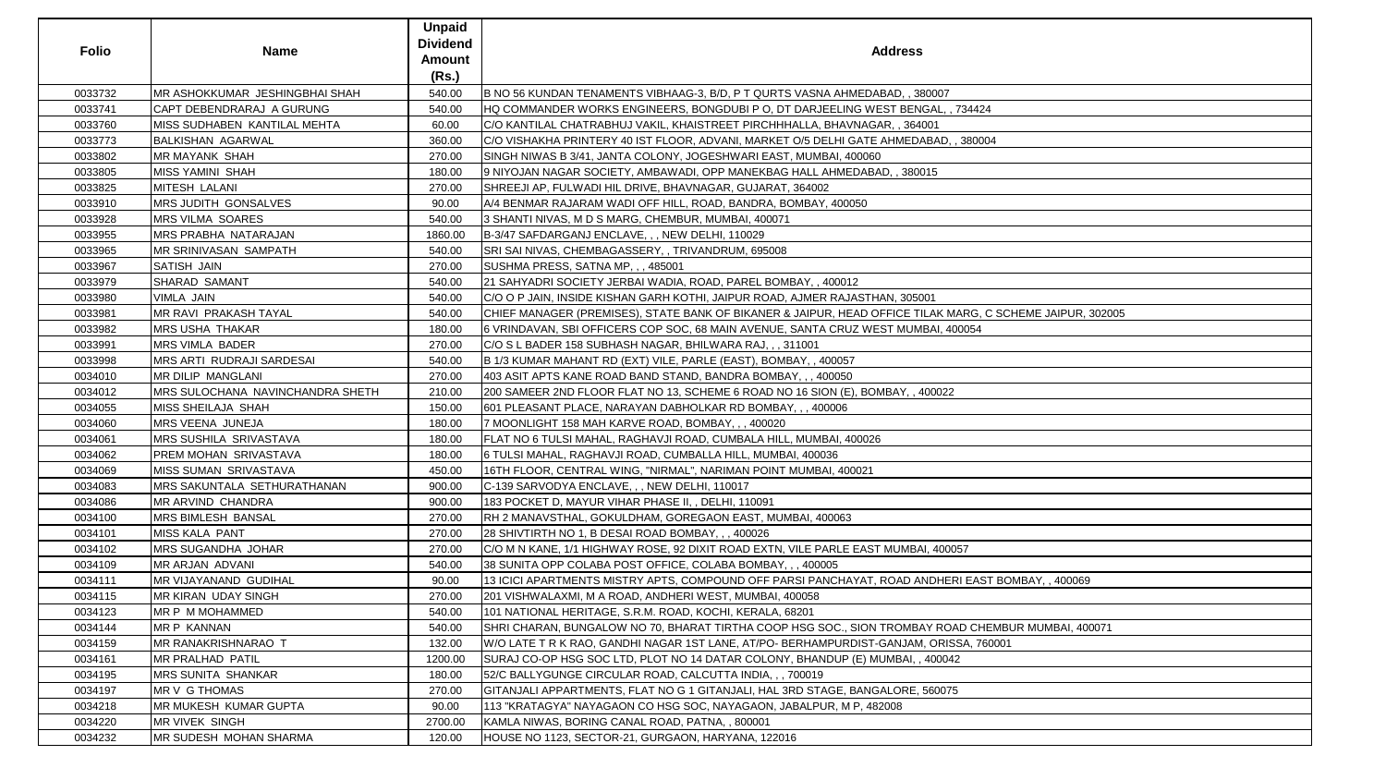| <b>Folio</b> | <b>Name</b>                             | <b>Unpaid</b><br><b>Dividend</b><br>Amount<br>(Rs.) | <b>Address</b>                                                                                            |
|--------------|-----------------------------------------|-----------------------------------------------------|-----------------------------------------------------------------------------------------------------------|
| 0033732      | MR ASHOKKUMAR JESHINGBHAI SHAH          | 540.00                                              | B NO 56 KUNDAN TENAMENTS VIBHAAG-3, B/D, P T QURTS VASNA AHMEDABAD, , 380007                              |
| 0033741      | CAPT DEBENDRARAJ A GURUNG               | 540.00                                              | HQ COMMANDER WORKS ENGINEERS, BONGDUBI P O, DT DARJEELING WEST BENGAL, , 734424                           |
| 0033760      | MISS SUDHABEN KANTILAL MEHTA            | 60.00                                               | C/O KANTILAL CHATRABHUJ VAKIL, KHAISTREET PIRCHHHALLA, BHAVNAGAR, , 364001                                |
| 0033773      | <b>BALKISHAN AGARWAL</b>                | 360.00                                              | C/O VISHAKHA PRINTERY 40 IST FLOOR, ADVANI, MARKET O/5 DELHI GATE AHMEDABAD, , 380004                     |
| 0033802      | <b>MR MAYANK SHAH</b>                   | 270.00                                              | SINGH NIWAS B 3/41, JANTA COLONY, JOGESHWARI EAST, MUMBAI, 400060                                         |
| 0033805      | <b>MISS YAMINI SHAH</b>                 | 180.00                                              | 9 NIYOJAN NAGAR SOCIETY, AMBAWADI, OPP MANEKBAG HALL AHMEDABAD, , 380015                                  |
| 0033825      | MITESH LALANI                           | 270.00                                              | SHREEJI AP, FULWADI HIL DRIVE, BHAVNAGAR, GUJARAT, 364002                                                 |
| 0033910      | MRS JUDITH GONSALVES                    | 90.00                                               | A/4 BENMAR RAJARAM WADI OFF HILL, ROAD, BANDRA, BOMBAY, 400050                                            |
| 0033928      | <b>MRS VILMA SOARES</b>                 | 540.00                                              | 3 SHANTI NIVAS, M D S MARG, CHEMBUR, MUMBAI, 400071                                                       |
| 0033955      | <b>MRS PRABHA NATARAJAN</b>             | 1860.00                                             | B-3/47 SAFDARGANJ ENCLAVE, , , NEW DELHI, 110029                                                          |
| 0033965      | <b>MR SRINIVASAN SAMPATH</b>            | 540.00                                              | SRI SAI NIVAS, CHEMBAGASSERY, , TRIVANDRUM, 695008                                                        |
| 0033967      | <b>SATISH JAIN</b>                      | 270.00                                              | SUSHMA PRESS, SATNA MP, , , 485001                                                                        |
| 0033979      | <b>SHARAD SAMANT</b>                    | 540.00                                              | 21 SAHYADRI SOCIETY JERBAI WADIA, ROAD, PAREL BOMBAY, , 400012                                            |
| 0033980      | VIMLA JAIN                              | 540.00                                              | C/O O P JAIN, INSIDE KISHAN GARH KOTHI, JAIPUR ROAD, AJMER RAJASTHAN, 305001                              |
| 0033981      | MR RAVI PRAKASH TAYAL                   | 540.00                                              | CHIEF MANAGER (PREMISES), STATE BANK OF BIKANER & JAIPUR, HEAD OFFICE TILAK MARG, C SCHEME JAIPUR, 302005 |
| 0033982      | <b>MRS USHA THAKAR</b>                  | 180.00                                              | 6 VRINDAVAN, SBI OFFICERS COP SOC, 68 MAIN AVENUE, SANTA CRUZ WEST MUMBAI, 400054                         |
| 0033991      | <b>MRS VIMLA BADER</b>                  | 270.00                                              | C/O S L BADER 158 SUBHASH NAGAR, BHILWARA RAJ, ,, 311001                                                  |
| 0033998      | <b>MRS ARTI RUDRAJI SARDESAI</b>        | 540.00                                              | B 1/3 KUMAR MAHANT RD (EXT) VILE, PARLE (EAST), BOMBAY, , 400057                                          |
| 0034010      | <b>MR DILIP MANGLANI</b>                | 270.00                                              | 403 ASIT APTS KANE ROAD BAND STAND, BANDRA BOMBAY, , , 400050                                             |
| 0034012      | <b>MRS SULOCHANA NAVINCHANDRA SHETH</b> | 210.00                                              | 200 SAMEER 2ND FLOOR FLAT NO 13, SCHEME 6 ROAD NO 16 SION (E), BOMBAY, , 400022                           |
| 0034055      | <b>MISS SHEILAJA SHAH</b>               | 150.00                                              | 601 PLEASANT PLACE, NARAYAN DABHOLKAR RD BOMBAY, , , 400006                                               |
| 0034060      | MRS VEENA JUNEJA                        | 180.00                                              | 7 MOONLIGHT 158 MAH KARVE ROAD, BOMBAY, , , 400020                                                        |
| 0034061      | <b>MRS SUSHILA SRIVASTAVA</b>           | 180.00                                              | FLAT NO 6 TULSI MAHAL, RAGHAVJI ROAD, CUMBALA HILL, MUMBAI, 400026                                        |
| 0034062      | PREM MOHAN SRIVASTAVA                   | 180.00                                              | 6 TULSI MAHAL, RAGHAVJI ROAD, CUMBALLA HILL, MUMBAI, 400036                                               |
| 0034069      | <b>MISS SUMAN SRIVASTAVA</b>            | 450.00                                              | 16TH FLOOR, CENTRAL WING, "NIRMAL", NARIMAN POINT MUMBAI, 400021                                          |
| 0034083      | <b>MRS SAKUNTALA SETHURATHANAN</b>      | 900.00                                              | C-139 SARVODYA ENCLAVE, , , NEW DELHI, 110017                                                             |
| 0034086      | MR ARVIND CHANDRA                       | 900.00                                              | 183 POCKET D, MAYUR VIHAR PHASE II, , DELHI, 110091                                                       |
| 0034100      | <b>MRS BIMLESH BANSAL</b>               | 270.00                                              | RH 2 MANAVSTHAL, GOKULDHAM, GOREGAON EAST, MUMBAI, 400063                                                 |
| 0034101      | <b>MISS KALA PANT</b>                   | 270.00                                              | 28 SHIVTIRTH NO 1, B DESAI ROAD BOMBAY, , , 400026                                                        |
| 0034102      | <b>MRS SUGANDHA JOHAR</b>               | 270.00                                              | C/O M N KANE, 1/1 HIGHWAY ROSE, 92 DIXIT ROAD EXTN, VILE PARLE EAST MUMBAI, 400057                        |
| 0034109      | <b>MR ARJAN ADVANI</b>                  | 540.00                                              | 38 SUNITA OPP COLABA POST OFFICE, COLABA BOMBAY, , , 400005                                               |
| 0034111      | <b>MR VIJAYANAND GUDIHAL</b>            | 90.00                                               | 13 ICICI APARTMENTS MISTRY APTS, COMPOUND OFF PARSI PANCHAYAT, ROAD ANDHERI EAST BOMBAY, , 400069         |
| 0034115      | <b>MR KIRAN UDAY SINGH</b>              | 270.00                                              | 201 VISHWALAXMI, M A ROAD, ANDHERI WEST, MUMBAI, 400058                                                   |
| 0034123      | MR P M MOHAMMED                         | 540.00                                              | 101 NATIONAL HERITAGE, S.R.M. ROAD, KOCHI, KERALA, 68201                                                  |
| 0034144      | <b>MR P KANNAN</b>                      | 540.00                                              | SHRI CHARAN, BUNGALOW NO 70, BHARAT TIRTHA COOP HSG SOC., SION TROMBAY ROAD CHEMBUR MUMBAI, 400071        |
| 0034159      | <b>MR RANAKRISHNARAO T</b>              | 132.00                                              | W/O LATE T R K RAO, GANDHI NAGAR 1ST LANE, AT/PO- BERHAMPURDIST-GANJAM, ORISSA, 760001                    |
| 0034161      | <b>MR PRALHAD PATIL</b>                 | 1200.00                                             | SURAJ CO-OP HSG SOC LTD, PLOT NO 14 DATAR COLONY, BHANDUP (E) MUMBAI, , 400042                            |
| 0034195      | <b>MRS SUNITA SHANKAR</b>               | 180.00                                              | 52/C BALLYGUNGE CIRCULAR ROAD, CALCUTTA INDIA, , , 700019                                                 |
| 0034197      | <b>MR V G THOMAS</b>                    | 270.00                                              | GITANJALI APPARTMENTS, FLAT NO G 1 GITANJALI, HAL 3RD STAGE, BANGALORE, 560075                            |
| 0034218      | <b>MR MUKESH KUMAR GUPTA</b>            | 90.00                                               | 113 "KRATAGYA" NAYAGAON CO HSG SOC, NAYAGAON, JABALPUR, M P, 482008                                       |
| 0034220      | <b>MR VIVEK SINGH</b>                   | 2700.00                                             | KAMLA NIWAS, BORING CANAL ROAD, PATNA, , 800001                                                           |
| 0034232      | <b>MR SUDESH MOHAN SHARMA</b>           | 120.00                                              | HOUSE NO 1123, SECTOR-21, GURGAON, HARYANA, 122016                                                        |

| 4424                        |
|-----------------------------|
|                             |
| 80004                       |
|                             |
|                             |
|                             |
|                             |
|                             |
|                             |
|                             |
|                             |
|                             |
|                             |
|                             |
|                             |
|                             |
|                             |
|                             |
| RG, C SCHEME JAIPUR, 302005 |
| 354                         |
|                             |
|                             |
|                             |
|                             |
|                             |
|                             |
|                             |
|                             |
|                             |
|                             |
|                             |
|                             |
|                             |
|                             |
|                             |
|                             |
|                             |
|                             |
|                             |
|                             |
|                             |
|                             |
| EAST BOMBAY, , 400069       |
|                             |
|                             |
|                             |
| CHEMBUR MUMBAI, 400071      |
|                             |
| A, 760001                   |
|                             |
|                             |
|                             |
|                             |
|                             |
|                             |
|                             |
|                             |
|                             |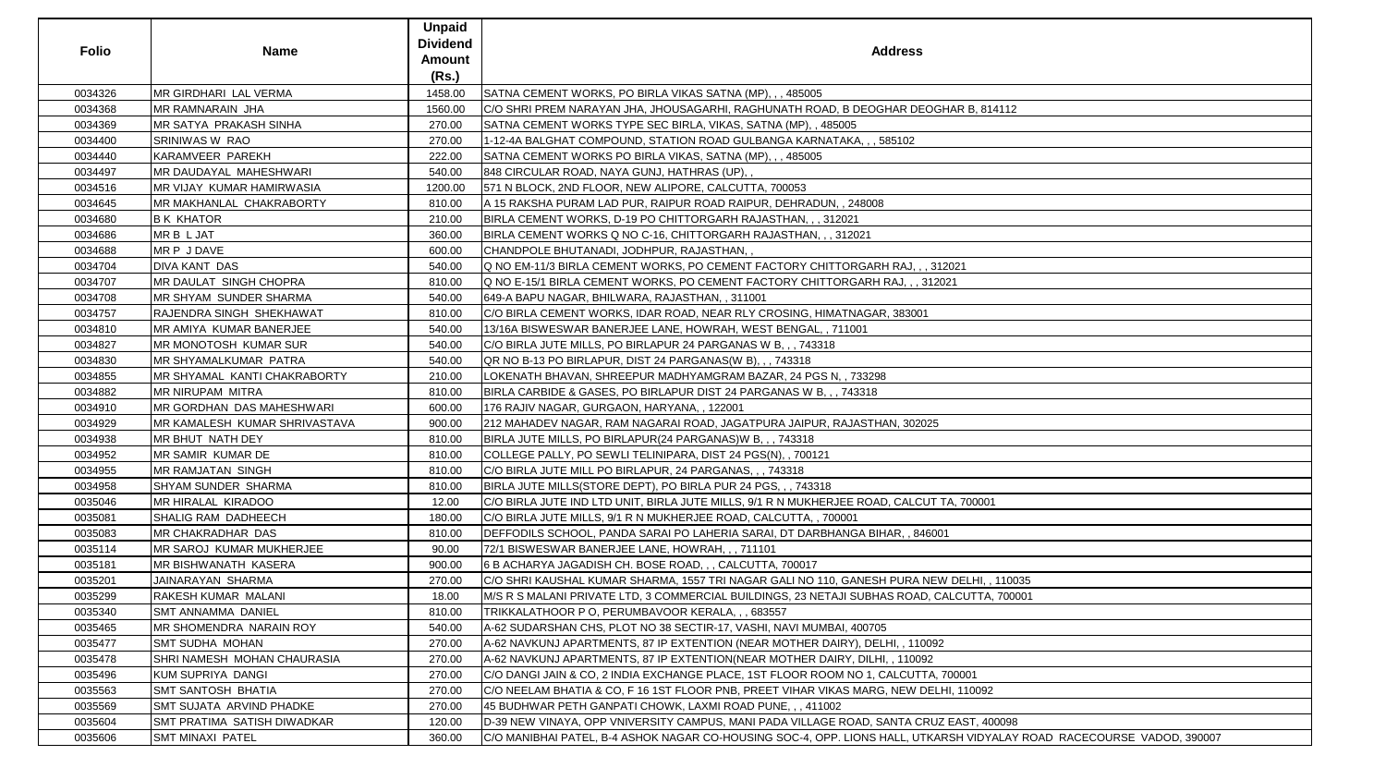| <b>Folio</b> | <b>Name</b>                           | <b>Unpaid</b><br>Dividend<br><b>Amount</b><br>(Rs.) | <b>Address</b>                                                                                                        |
|--------------|---------------------------------------|-----------------------------------------------------|-----------------------------------------------------------------------------------------------------------------------|
| 0034326      | <b>MR GIRDHARI LAL VERMA</b>          | 1458.00                                             | SATNA CEMENT WORKS, PO BIRLA VIKAS SATNA (MP), , , 485005                                                             |
| 0034368      | <b>MR RAMNARAIN JHA</b>               | 1560.00                                             | CO SHRI PREM NARAYAN JHA, JHOUSAGARHI, RAGHUNATH ROAD, B DEOGHAR DEOGHAR B, 814112                                    |
| 0034369      | <b>IMR SATYA PRAKASH SINHA</b>        | 270.00                                              | SATNA CEMENT WORKS TYPE SEC BIRLA, VIKAS, SATNA (MP), , 485005                                                        |
| 0034400      | <b>SRINIWAS W RAO</b>                 | 270.00                                              | 1-12-4A BALGHAT COMPOUND, STATION ROAD GULBANGA KARNATAKA, , , 585102                                                 |
| 0034440      | KARAMVEER PAREKH                      | 222.00                                              | SATNA CEMENT WORKS PO BIRLA VIKAS, SATNA (MP), , , 485005                                                             |
| 0034497      | MR DAUDAYAL MAHESHWARI                | 540.00                                              | 848 CIRCULAR ROAD, NAYA GUNJ, HATHRAS (UP), ,                                                                         |
| 0034516      | MR VIJAY KUMAR HAMIRWASIA             | 1200.00                                             | 571 N BLOCK, 2ND FLOOR, NEW ALIPORE, CALCUTTA, 700053                                                                 |
| 0034645      | <b>IMR MAKHANLAL CHAKRABORTY</b>      | 810.00                                              | A 15 RAKSHA PURAM LAD PUR, RAIPUR ROAD RAIPUR, DEHRADUN, , 248008                                                     |
| 0034680      | <b>B K KHATOR</b>                     | 210.00                                              | BIRLA CEMENT WORKS, D-19 PO CHITTORGARH RAJASTHAN,,, 312021                                                           |
| 0034686      | MR B L JAT                            | 360.00                                              | BIRLA CEMENT WORKS Q NO C-16, CHITTORGARH RAJASTHAN, , , 312021                                                       |
| 0034688      | MR P J DAVE                           | 600.00                                              | CHANDPOLE BHUTANADI, JODHPUR, RAJASTHAN,,                                                                             |
| 0034704      | <b>DIVA KANT DAS</b>                  | 540.00                                              | Q NO EM-11/3 BIRLA CEMENT WORKS, PO CEMENT FACTORY CHITTORGARH RAJ,,, 312021                                          |
| 0034707      | MR DAULAT SINGH CHOPRA                | 810.00                                              | Q NO E-15/1 BIRLA CEMENT WORKS, PO CEMENT FACTORY CHITTORGARH RAJ,,, 312021                                           |
| 0034708      | <b>IMR SHYAM SUNDER SHARMA</b>        | 540.00                                              | 649-A BAPU NAGAR, BHILWARA, RAJASTHAN, , 311001                                                                       |
| 0034757      | RAJENDRA SINGH SHEKHAWAT              | 810.00                                              | C/O BIRLA CEMENT WORKS, IDAR ROAD, NEAR RLY CROSING, HIMATNAGAR, 383001                                               |
| 0034810      | MR AMIYA KUMAR BANERJEE               | 540.00                                              | 13/16A BISWESWAR BANERJEE LANE, HOWRAH, WEST BENGAL, , 711001                                                         |
| 0034827      | MR MONOTOSH KUMAR SUR                 | 540.00                                              | C/O BIRLA JUTE MILLS, PO BIRLAPUR 24 PARGANAS W B, , , 743318                                                         |
| 0034830      | MR SHYAMALKUMAR PATRA                 | 540.00                                              | OR NO B-13 PO BIRLAPUR, DIST 24 PARGANAS(W B), , , 743318                                                             |
| 0034855      | MR SHYAMAL KANTI CHAKRABORTY          | 210.00                                              | LOKENATH BHAVAN, SHREEPUR MADHYAMGRAM BAZAR, 24 PGS N, , 733298                                                       |
| 0034882      | <b>MR NIRUPAM MITRA</b>               | 810.00                                              | BIRLA CARBIDE & GASES, PO BIRLAPUR DIST 24 PARGANAS W B, , , 743318                                                   |
| 0034910      | <b>MR GORDHAN DAS MAHESHWARI</b>      | 600.00                                              | 176 RAJIV NAGAR, GURGAON, HARYANA, , 122001                                                                           |
| 0034929      | <b>IMR KAMALESH KUMAR SHRIVASTAVA</b> | 900.00                                              | 212 MAHADEV NAGAR, RAM NAGARAI ROAD, JAGATPURA JAIPUR, RAJASTHAN, 302025                                              |
| 0034938      | MR BHUT NATH DEY                      | 810.00                                              | BIRLA JUTE MILLS, PO BIRLAPUR(24 PARGANAS)W B, , , 743318                                                             |
| 0034952      | MR SAMIR KUMAR DE                     | 810.00                                              | COLLEGE PALLY, PO SEWLI TELINIPARA, DIST 24 PGS(N), , 700121                                                          |
| 0034955      | <b>MR RAMJATAN SINGH</b>              | 810.00                                              | C/O BIRLA JUTE MILL PO BIRLAPUR, 24 PARGANAS, , , 743318                                                              |
| 0034958      | SHYAM SUNDER SHARMA                   | 810.00                                              | BIRLA JUTE MILLS(STORE DEPT), PO BIRLA PUR 24 PGS, , , 743318                                                         |
| 0035046      | MR HIRALAL KIRADOO                    | 12.00                                               | C/O BIRLA JUTE IND LTD UNIT, BIRLA JUTE MILLS, 9/1 R N MUKHERJEE ROAD, CALCUT TA, 700001                              |
| 0035081      | <b>SHALIG RAM DADHEECH</b>            | 180.00                                              | IC/O BIRLA JUTE MILLS, 9/1 R N MUKHERJEE ROAD, CALCUTTA, , 700001                                                     |
| 0035083      | MR CHAKRADHAR DAS                     | 810.00                                              | DEFFODILS SCHOOL, PANDA SARAI PO LAHERIA SARAI, DT DARBHANGA BIHAR,, 846001                                           |
| 0035114      | <b>MR SAROJ KUMAR MUKHERJEE</b>       | 90.00                                               | 72/1 BISWESWAR BANERJEE LANE, HOWRAH, , , 711101                                                                      |
| 0035181      | <b>MR BISHWANATH KASERA</b>           | 900.00                                              | 6 B ACHARYA JAGADISH CH. BOSE ROAD, , , CALCUTTA, 700017                                                              |
| 0035201      | JAINARAYAN SHARMA                     | 270.00                                              | C/O SHRI KAUSHAL KUMAR SHARMA, 1557 TRI NAGAR GALI NO 110, GANESH PURA NEW DELHI, , 110035                            |
| 0035299      | RAKESH KUMAR MALANI                   | 18.00                                               | M/S R S MALANI PRIVATE LTD, 3 COMMERCIAL BUILDINGS, 23 NETAJI SUBHAS ROAD, CALCUTTA, 700001                           |
| 0035340      | <b>SMT ANNAMMA DANIEL</b>             | 810.00                                              | TRIKKALATHOOR P O, PERUMBAVOOR KERALA, , , 683557                                                                     |
| 0035465      | <b>MR SHOMENDRA NARAIN ROY</b>        | 540.00                                              | A-62 SUDARSHAN CHS, PLOT NO 38 SECTIR-17, VASHI, NAVI MUMBAI, 400705                                                  |
| 0035477      | <b>SMT SUDHA MOHAN</b>                | 270.00                                              | A-62 NAVKUNJ APARTMENTS, 87 IP EXTENTION (NEAR MOTHER DAIRY), DELHI, , 110092                                         |
| 0035478      | SHRI NAMESH MOHAN CHAURASIA           | 270.00                                              | A-62 NAVKUNJ APARTMENTS, 87 IP EXTENTION(NEAR MOTHER DAIRY, DILHI, , 110092                                           |
| 0035496      | KUM SUPRIYA DANGI                     | 270.00                                              | C/O DANGI JAIN & CO, 2 INDIA EXCHANGE PLACE, 1ST FLOOR ROOM NO 1, CALCUTTA, 700001                                    |
| 0035563      | <b>SMT SANTOSH BHATIA</b>             | 270.00                                              | C/O NEELAM BHATIA & CO, F 16 1ST FLOOR PNB, PREET VIHAR VIKAS MARG, NEW DELHI, 110092                                 |
| 0035569      | <b>SMT SUJATA ARVIND PHADKE</b>       | 270.00                                              | 45 BUDHWAR PETH GANPATI CHOWK, LAXMI ROAD PUNE, , , 411002                                                            |
| 0035604      | <b>SMT PRATIMA SATISH DIWADKAR</b>    | 120.00                                              | D-39 NEW VINAYA, OPP VNIVERSITY CAMPUS, MANI PADA VILLAGE ROAD, SANTA CRUZ EAST, 400098                               |
| 0035606      | <b>SMT MINAXI PATEL</b>               | 360.00                                              | C/O MANIBHAI PATEL, B-4 ASHOK NAGAR CO-HOUSING SOC-4, OPP. LIONS HALL, UTKARSH VIDYALAY ROAD RACECOURSE VADOD, 390007 |

| GHAR B, 814112                              |
|---------------------------------------------|
|                                             |
|                                             |
|                                             |
|                                             |
|                                             |
|                                             |
|                                             |
|                                             |
|                                             |
|                                             |
|                                             |
|                                             |
| 312021                                      |
|                                             |
| 2021                                        |
|                                             |
|                                             |
|                                             |
|                                             |
|                                             |
|                                             |
|                                             |
|                                             |
|                                             |
|                                             |
|                                             |
| 5                                           |
|                                             |
|                                             |
|                                             |
|                                             |
|                                             |
|                                             |
| TA, 700001                                  |
|                                             |
| 001                                         |
|                                             |
|                                             |
|                                             |
| EW DELHI, , 110035                          |
|                                             |
| CALCUTTA, 700001                            |
|                                             |
|                                             |
|                                             |
| $\overline{92}$                             |
|                                             |
| ,700001                                     |
|                                             |
| LHI, 110092                                 |
|                                             |
| JZ EAST, 400098                             |
|                                             |
| ARSH VIDYALAY ROAD RACECOURSE VADOD, 390007 |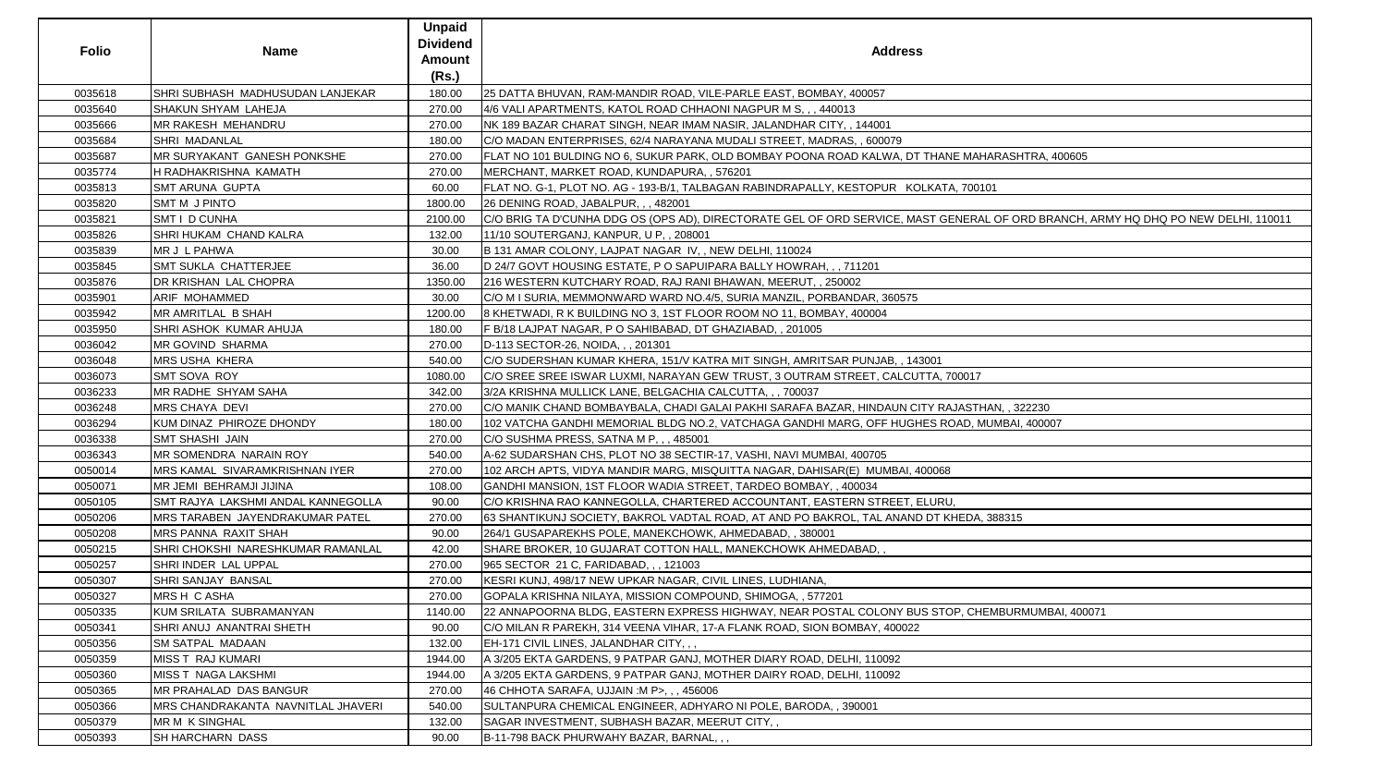| <b>Folio</b> | <b>Name</b>                            | <b>Unpaid</b><br><b>Dividend</b><br><b>Amount</b><br>(Rs.) | <b>Address</b>                                                                               |
|--------------|----------------------------------------|------------------------------------------------------------|----------------------------------------------------------------------------------------------|
| 0035618      | SHRI SUBHASH MADHUSUDAN LANJEKAR       | 180.00                                                     | 25 DATTA BHUVAN, RAM-MANDIR ROAD, VILE-PARLE EAST, BOMBAY, 400057                            |
| 0035640      | <b>SHAKUN SHYAM LAHEJA</b>             | 270.00                                                     | 4/6 VALI APARTMENTS, KATOL ROAD CHHAONI NAGPUR M S, , , 440013                               |
| 0035666      | <b>MR RAKESH MEHANDRU</b>              | 270.00                                                     | NK 189 BAZAR CHARAT SINGH, NEAR IMAM NASIR, JALANDHAR CITY, , 144001                         |
| 0035684      | <b>SHRI MADANLAL</b>                   | 180.00                                                     | C/O MADAN ENTERPRISES, 62/4 NARAYANA MUDALI STREET, MADRAS, , 600079                         |
| 0035687      | MR SURYAKANT GANESH PONKSHE            | 270.00                                                     | FLAT NO 101 BULDING NO 6, SUKUR PARK, OLD BOMBAY POONA ROAD KALWA, DT THANE MAHARASHTRA, 40  |
| 0035774      | H RADHAKRISHNA KAMATH                  | 270.00                                                     | MERCHANT, MARKET ROAD, KUNDAPURA, , 576201                                                   |
| 0035813      | <b>SMT ARUNA GUPTA</b>                 | 60.00                                                      | FLAT NO. G-1, PLOT NO. AG - 193-B/1, TALBAGAN RABINDRAPALLY, KESTOPUR KOLKATA, 700101        |
| 0035820      | <b>SMT M J PINTO</b>                   | 1800.00                                                    | 26 DENING ROAD, JABALPUR, , , 482001                                                         |
| 0035821      | <b>SMT I D CUNHA</b>                   | 2100.00                                                    | C/O BRIG TA D'CUNHA DDG OS (OPS AD), DIRECTORATE GEL OF ORD SERVICE, MAST GENERAL OF ORD BRA |
| 0035826      | SHRI HUKAM CHAND KALRA                 | 132.00                                                     | 11/10 SOUTERGANJ, KANPUR, U P., 208001                                                       |
| 0035839      | MR J L PAHWA                           | 30.00                                                      | B 131 AMAR COLONY, LAJPAT NAGAR IV, , NEW DELHI, 110024                                      |
| 0035845      | <b>SMT SUKLA CHATTERJEE</b>            | 36.00                                                      | D 24/7 GOVT HOUSING ESTATE, P O SAPUIPARA BALLY HOWRAH, , , 711201                           |
| 0035876      | <b>DR KRISHAN LAL CHOPRA</b>           | 1350.00                                                    | 216 WESTERN KUTCHARY ROAD, RAJ RANI BHAWAN, MEERUT, , 250002                                 |
| 0035901      | <b>ARIF MOHAMMED</b>                   | 30.00                                                      | C/O M I SURIA, MEMMONWARD WARD NO.4/5, SURIA MANZIL, PORBANDAR, 360575                       |
| 0035942      | <b>MR AMRITLAL B SHAH</b>              | 1200.00                                                    | 8 KHETWADI, R K BUILDING NO 3, 1ST FLOOR ROOM NO 11, BOMBAY, 400004                          |
| 0035950      | SHRI ASHOK KUMAR AHUJA                 | 180.00                                                     | F B/18 LAJPAT NAGAR, P O SAHIBABAD, DT GHAZIABAD, , 201005                                   |
| 0036042      | <b>MR GOVIND SHARMA</b>                | 270.00                                                     | D-113 SECTOR-26, NOIDA, , , 201301                                                           |
| 0036048      | <b>MRS USHA KHERA</b>                  | 540.00                                                     | C/O SUDERSHAN KUMAR KHERA, 151/V KATRA MIT SINGH, AMRITSAR PUNJAB, , 143001                  |
| 0036073      | SMT SOVA ROY                           | 1080.00                                                    | C/O SREE SREE ISWAR LUXMI, NARAYAN GEW TRUST, 3 OUTRAM STREET, CALCUTTA, 700017              |
| 0036233      | MR RADHE SHYAM SAHA                    | 342.00                                                     | 3/2A KRISHNA MULLICK LANE, BELGACHIA CALCUTTA,,, 700037                                      |
| 0036248      | <b>MRS CHAYA DEVI</b>                  | 270.00                                                     | C/O MANIK CHAND BOMBAYBALA, CHADI GALAI PAKHI SARAFA BAZAR, HINDAUN CITY RAJASTHAN, , 322230 |
| 0036294      | KUM DINAZ PHIROZE DHONDY               | 180.00                                                     | 102 VATCHA GANDHI MEMORIAL BLDG NO.2, VATCHAGA GANDHI MARG, OFF HUGHES ROAD, MUMBAI, 400007  |
| 0036338      | <b>SMT SHASHI JAIN</b>                 | 270.00                                                     | C/O SUSHMA PRESS, SATNA M P, , , 485001                                                      |
| 0036343      | MR SOMENDRA NARAIN ROY                 | 540.00                                                     | A-62 SUDARSHAN CHS, PLOT NO 38 SECTIR-17, VASHI, NAVI MUMBAI, 400705                         |
| 0050014      | MRS KAMAL SIVARAMKRISHNAN IYER         | 270.00                                                     | 102 ARCH APTS, VIDYA MANDIR MARG, MISQUITTA NAGAR, DAHISAR(E) MUMBAI, 400068                 |
| 0050071      | MR JEMI BEHRAMJI JIJINA                | 108.00                                                     | GANDHI MANSION, 1ST FLOOR WADIA STREET, TARDEO BOMBAY, , 400034                              |
| 0050105      | SMT RAJYA LAKSHMI ANDAL KANNEGOLLA     | 90.00                                                      | C/O KRISHNA RAO KANNEGOLLA, CHARTERED ACCOUNTANT, EASTERN STREET, ELURU,                     |
| 0050206      | <b>MRS TARABEN JAYENDRAKUMAR PATEL</b> | 270.00                                                     | 63 SHANTIKUNJ SOCIETY, BAKROL VADTAL ROAD, AT AND PO BAKROL, TAL ANAND DT KHEDA, 388315      |
| 0050208      | <b>MRS PANNA RAXIT SHAH</b>            | 90.00                                                      | 264/1 GUSAPAREKHS POLE, MANEKCHOWK, AHMEDABAD, , 380001                                      |
| 0050215      | SHRI CHOKSHI NARESHKUMAR RAMANLAL      | 42.00                                                      | SHARE BROKER, 10 GUJARAT COTTON HALL, MANEKCHOWK AHMEDABAD, ,                                |
| 0050257      | SHRI INDER LAL UPPAL                   | 270.00                                                     | 965 SECTOR 21 C, FARIDABAD, , , 121003                                                       |
| 0050307      | SHRI SANJAY BANSAL                     | 270.00                                                     | KESRI KUNJ, 498/17 NEW UPKAR NAGAR, CIVIL LINES, LUDHIANA,                                   |
| 0050327      | MRS H C ASHA                           | 270.00                                                     | GOPALA KRISHNA NILAYA, MISSION COMPOUND, SHIMOGA,, 577201                                    |
| 0050335      | KUM SRILATA SUBRAMANYAN                | 1140.00                                                    | 22 ANNAPOORNA BLDG, EASTERN EXPRESS HIGHWAY, NEAR POSTAL COLONY BUS STOP, CHEMBURMUMBA       |
| 0050341      | SHRI ANUJ ANANTRAI SHETH               | 90.00                                                      | C/O MILAN R PAREKH, 314 VEENA VIHAR, 17-A FLANK ROAD, SION BOMBAY, 400022                    |
| 0050356      | <b>SM SATPAL MADAAN</b>                | 132.00                                                     | EH-171 CIVIL LINES, JALANDHAR CITY, , ,                                                      |
| 0050359      | <b>MISS T RAJ KUMARI</b>               | 1944.00                                                    | A 3/205 EKTA GARDENS, 9 PATPAR GANJ, MOTHER DIARY ROAD, DELHI, 110092                        |
| 0050360      | <b>MISS T NAGA LAKSHMI</b>             | 1944.00                                                    | A 3/205 EKTA GARDENS, 9 PATPAR GANJ, MOTHER DAIRY ROAD, DELHI, 110092                        |
| 0050365      | MR PRAHALAD DAS BANGUR                 | 270.00                                                     | 46 CHHOTA SARAFA, UJJAIN : M P>, , , 456006                                                  |
| 0050366      | MRS CHANDRAKANTA NAVNITLAL JHAVERI     | 540.00                                                     | SULTANPURA CHEMICAL ENGINEER, ADHYARO NI POLE, BARODA, , 390001                              |
| 0050379      | MR M K SINGHAL                         | 132.00                                                     | SAGAR INVESTMENT, SUBHASH BAZAR, MEERUT CITY,,                                               |
| 0050393      | <b>SH HARCHARN DASS</b>                | 90.00                                                      | B-11-798 BACK PHURWAHY BAZAR, BARNAL,,,                                                      |
|              |                                        |                                                            |                                                                                              |

MAHARASHTRA, 400605

## ERAL OF ORD BRANCH, ARMY HQ DHQ PO NEW DELHI, 110011

CHEMBURMUMBAI, 400071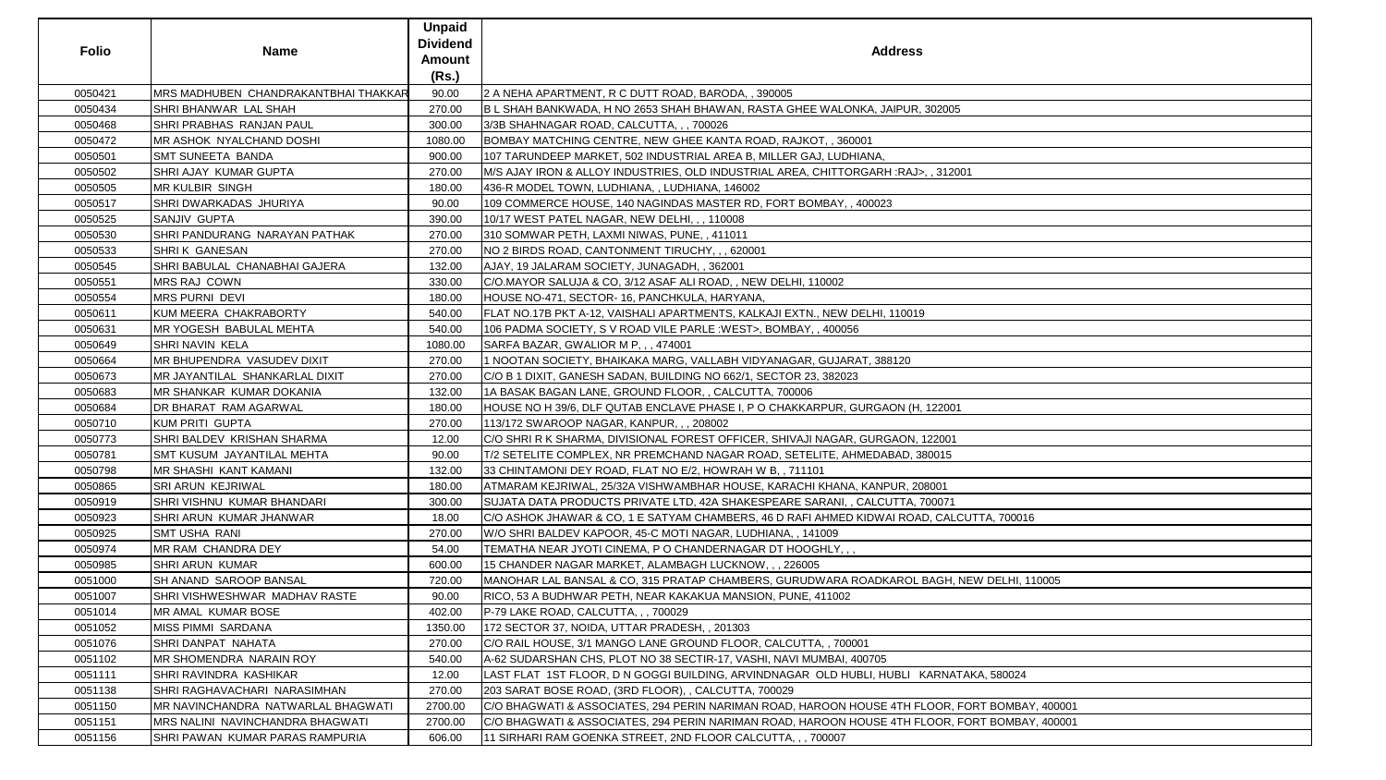| <b>Folio</b> | <b>Name</b>                                  | <b>Unpaid</b><br><b>Dividend</b><br><b>Amount</b><br>(Rs.) | <b>Address</b>                                                                                 |
|--------------|----------------------------------------------|------------------------------------------------------------|------------------------------------------------------------------------------------------------|
| 0050421      | <b>IMRS MADHUBEN CHANDRAKANTBHAI THAKKAR</b> | 90.00                                                      | 2 A NEHA APARTMENT, R C DUTT ROAD, BARODA, , 390005                                            |
| 0050434      | <b>SHRI BHANWAR LAL SHAH</b>                 | 270.00                                                     | B L SHAH BANKWADA, H NO 2653 SHAH BHAWAN, RASTA GHEE WALONKA, JAIPUR, 302005                   |
| 0050468      | <b>SHRI PRABHAS RANJAN PAUL</b>              | 300.00                                                     | 3/3B SHAHNAGAR ROAD, CALCUTTA, , , 700026                                                      |
| 0050472      | <b>IMR ASHOK NYALCHAND DOSHI</b>             | 1080.00                                                    | BOMBAY MATCHING CENTRE, NEW GHEE KANTA ROAD, RAJKOT, , 360001                                  |
| 0050501      | <b>SMT SUNEETA BANDA</b>                     | 900.00                                                     | 107 TARUNDEEP MARKET, 502 INDUSTRIAL AREA B, MILLER GAJ, LUDHIANA,                             |
| 0050502      | <b>SHRI AJAY KUMAR GUPTA</b>                 | 270.00                                                     | M/S AJAY IRON & ALLOY INDUSTRIES, OLD INDUSTRIAL AREA, CHITTORGARH :RAJ>,, 312001              |
| 0050505      | <b>MR KULBIR SINGH</b>                       | 180.00                                                     | 436-R MODEL TOWN, LUDHIANA, , LUDHIANA, 146002                                                 |
| 0050517      | <b>SHRI DWARKADAS JHURIYA</b>                | 90.00                                                      | 109 COMMERCE HOUSE, 140 NAGINDAS MASTER RD, FORT BOMBAY, , 400023                              |
| 0050525      | <b>SANJIV GUPTA</b>                          | 390.00                                                     | 10/17 WEST PATEL NAGAR, NEW DELHI, , , 110008                                                  |
| 0050530      | SHRI PANDURANG NARAYAN PATHAK                | 270.00                                                     | 310 SOMWAR PETH, LAXMI NIWAS, PUNE,, 411011                                                    |
| 0050533      | <b>SHRIK GANESAN</b>                         | 270.00                                                     | NO 2 BIRDS ROAD, CANTONMENT TIRUCHY, , , 620001                                                |
| 0050545      | SHRI BABULAL CHANABHAI GAJERA                | 132.00                                                     | AJAY, 19 JALARAM SOCIETY, JUNAGADH, , 362001                                                   |
| 0050551      | MRS RAJ COWN                                 | 330.00                                                     | C/O.MAYOR SALUJA & CO, 3/12 ASAF ALI ROAD, , NEW DELHI, 110002                                 |
| 0050554      | <b>MRS PURNI DEVI</b>                        | 180.00                                                     | HOUSE NO-471, SECTOR- 16, PANCHKULA, HARYANA,                                                  |
| 0050611      | KUM MEERA CHAKRABORTY                        | 540.00                                                     | FLAT NO.17B PKT A-12, VAISHALI APARTMENTS, KALKAJI EXTN., NEW DELHI, 110019                    |
| 0050631      | MR YOGESH BABULAL MEHTA                      | 540.00                                                     | 106 PADMA SOCIETY, S V ROAD VILE PARLE : WEST>, BOMBAY, , 400056                               |
| 0050649      | <b>SHRI NAVIN KELA</b>                       | 1080.00                                                    | SARFA BAZAR, GWALIOR M P, , , 474001                                                           |
| 0050664      | <b>MR BHUPENDRA VASUDEV DIXIT</b>            | 270.00                                                     | 1 NOOTAN SOCIETY, BHAIKAKA MARG, VALLABH VIDYANAGAR, GUJARAT, 388120                           |
| 0050673      | MR JAYANTILAL SHANKARLAL DIXIT               | 270.00                                                     | C/O B 1 DIXIT, GANESH SADAN, BUILDING NO 662/1, SECTOR 23, 382023                              |
| 0050683      | <b>IMR SHANKAR KUMAR DOKANIA</b>             | 132.00                                                     | 1A BASAK BAGAN LANE, GROUND FLOOR, , CALCUTTA, 700006                                          |
| 0050684      | <b>DR BHARAT RAM AGARWAL</b>                 | 180.00                                                     | HOUSE NO H 39/6, DLF QUTAB ENCLAVE PHASE I, P O CHAKKARPUR, GURGAON (H, 122001                 |
| 0050710      | KUM PRITI GUPTA                              | 270.00                                                     | 113/172 SWAROOP NAGAR, KANPUR, , , 208002                                                      |
| 0050773      | SHRI BALDEV KRISHAN SHARMA                   | 12.00                                                      | C/O SHRI R K SHARMA, DIVISIONAL FOREST OFFICER, SHIVAJI NAGAR, GURGAON, 122001                 |
| 0050781      | <b>SMT KUSUM JAYANTILAL MEHTA</b>            | 90.00                                                      | T/2 SETELITE COMPLEX, NR PREMCHAND NAGAR ROAD, SETELITE, AHMEDABAD, 380015                     |
| 0050798      | <b>MR SHASHI KANT KAMANI</b>                 | 132.00                                                     | 33 CHINTAMONI DEY ROAD, FLAT NO E/2, HOWRAH W B,, 711101                                       |
| 0050865      | <b>SRI ARUN KEJRIWAL</b>                     | 180.00                                                     | ATMARAM KEJRIWAL, 25/32A VISHWAMBHAR HOUSE, KARACHI KHANA, KANPUR, 208001                      |
| 0050919      | SHRI VISHNU KUMAR BHANDARI                   | 300.00                                                     | SUJATA DATA PRODUCTS PRIVATE LTD, 42A SHAKESPEARE SARANI, , CALCUTTA, 700071                   |
| 0050923      | <b>SHRI ARUN KUMAR JHANWAR</b>               | 18.00                                                      | C/O ASHOK JHAWAR & CO, 1 E SATYAM CHAMBERS, 46 D RAFI AHMED KIDWAI ROAD, CALCUTTA, 700016      |
| 0050925      | <b>SMT USHA RANI</b>                         | 270.00                                                     | W/O SHRI BALDEV KAPOOR, 45-C MOTI NAGAR, LUDHIANA,, 141009                                     |
| 0050974      | <b>IMR RAM CHANDRA DEY</b>                   | 54.00                                                      | TEMATHA NEAR JYOTI CINEMA, P O CHANDERNAGAR DT HOOGHLY, , ,                                    |
| 0050985      | <b>SHRI ARUN KUMAR</b>                       | 600.00                                                     | 15 CHANDER NAGAR MARKET, ALAMBAGH LUCKNOW, ,, 226005                                           |
| 0051000      | <b>SH ANAND SAROOP BANSAL</b>                | 720.00                                                     | MANOHAR LAL BANSAL & CO, 315 PRATAP CHAMBERS, GURUDWARA ROADKAROL BAGH, NEW DELHI, 110005      |
| 0051007      | <b>SHRI VISHWESHWAR MADHAV RASTE</b>         | 90.00                                                      | RICO, 53 A BUDHWAR PETH, NEAR KAKAKUA MANSION, PUNE, 411002                                    |
| 0051014      | <b>MR AMAL KUMAR BOSE</b>                    | 402.00                                                     | P-79 LAKE ROAD, CALCUTTA, , , 700029                                                           |
| 0051052      | MISS PIMMI SARDANA                           | 1350.00                                                    | 172 SECTOR 37, NOIDA, UTTAR PRADESH, , 201303                                                  |
| 0051076      | SHRI DANPAT NAHATA                           | 270.00                                                     | C/O RAIL HOUSE, 3/1 MANGO LANE GROUND FLOOR, CALCUTTA, , 700001                                |
| 0051102      | <b>IMR SHOMENDRA NARAIN ROY</b>              | 540.00                                                     | A-62 SUDARSHAN CHS, PLOT NO 38 SECTIR-17, VASHI, NAVI MUMBAI, 400705                           |
| 0051111      | <b>SHRI RAVINDRA KASHIKAR</b>                | 12.00                                                      | LAST FLAT 1ST FLOOR, D N GOGGI BUILDING, ARVINDNAGAR OLD HUBLI, HUBLI KARNATAKA, 580024        |
| 0051138      | <b>SHRI RAGHAVACHARI NARASIMHAN</b>          | 270.00                                                     | 203 SARAT BOSE ROAD, (3RD FLOOR), , CALCUTTA, 700029                                           |
| 0051150      | IMR NAVINCHANDRA NATWARLAL BHAGWATI          | 2700.00                                                    | C/O BHAGWATI & ASSOCIATES, 294 PERIN NARIMAN ROAD, HAROON HOUSE 4TH FLOOR, FORT BOMBAY, 400001 |
| 0051151      | <b>IMRS NALINI NAVINCHANDRA BHAGWATI</b>     | 2700.00                                                    | C/O BHAGWATI & ASSOCIATES, 294 PERIN NARIMAN ROAD, HAROON HOUSE 4TH FLOOR, FORT BOMBAY, 400001 |
| 0051156      | SHRI PAWAN KUMAR PARAS RAMPURIA              | 606.00                                                     | 11 SIRHARI RAM GOENKA STREET, 2ND FLOOR CALCUTTA, , , 700007                                   |

| 005                          |  |
|------------------------------|--|
|                              |  |
|                              |  |
|                              |  |
|                              |  |
| 12001                        |  |
|                              |  |
|                              |  |
|                              |  |
|                              |  |
|                              |  |
|                              |  |
|                              |  |
|                              |  |
|                              |  |
|                              |  |
|                              |  |
|                              |  |
|                              |  |
|                              |  |
|                              |  |
|                              |  |
|                              |  |
|                              |  |
|                              |  |
| 001                          |  |
|                              |  |
| $\overline{01}$              |  |
| $\overline{5}$               |  |
|                              |  |
|                              |  |
| 1                            |  |
| 71                           |  |
|                              |  |
| ALCUTTA, 700016              |  |
|                              |  |
|                              |  |
|                              |  |
|                              |  |
| <b>IH, NEW DELHI, 110005</b> |  |
|                              |  |
|                              |  |
|                              |  |
|                              |  |
|                              |  |
|                              |  |
| NATAKA, 580024               |  |
|                              |  |
|                              |  |
| R, FORT BOMBAY, 400001       |  |
| R, FORT BOMBAY, 400001       |  |
|                              |  |
|                              |  |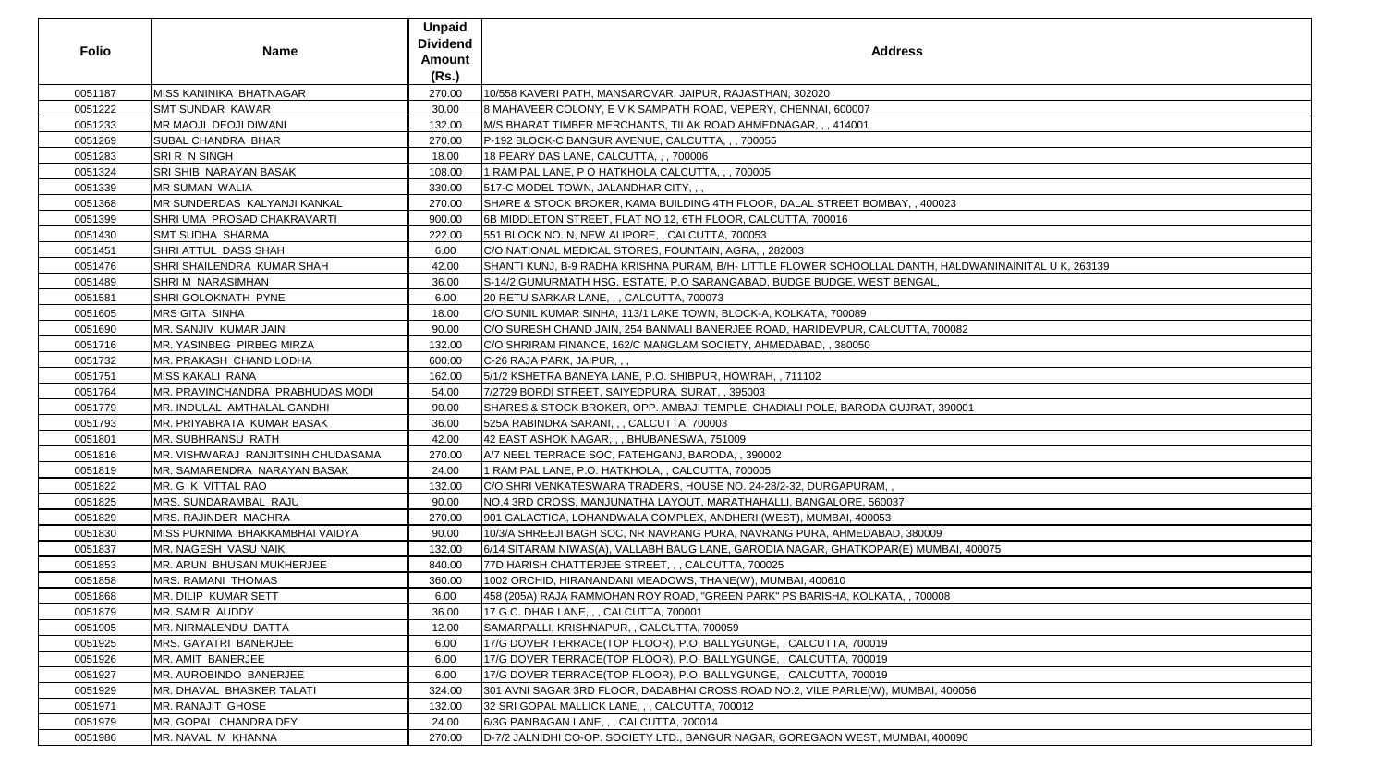| 0051187<br>MISS KANINIKA BHATNAGAR<br>270.00<br>10/558 KAVERI PATH, MANSAROVAR, JAIPUR, RAJASTHAN, 302020<br>0051222<br><b>SMT SUNDAR KAWAR</b><br>30.00<br>8 MAHAVEER COLONY, E V K SAMPATH ROAD, VEPERY, CHENNAI, 600007<br>0051233<br>MR MAOJI DEOJI DIWANI<br>132.00<br>M/S BHARAT TIMBER MERCHANTS, TILAK ROAD AHMEDNAGAR,,, 414001<br>0051269<br>SUBAL CHANDRA BHAR<br>270.00<br>P-192 BLOCK-C BANGUR AVENUE, CALCUTTA, ,, 700055<br>SRIR N SINGH<br>0051283<br>18.00<br>18 PEARY DAS LANE, CALCUTTA, , , 700006<br>SRI SHIB NARAYAN BASAK<br>0051324<br>108.00<br>1 RAM PAL LANE, P O HATKHOLA CALCUTTA, , , 700005<br><b>MR SUMAN WALIA</b><br>517-C MODEL TOWN, JALANDHAR CITY, ,,<br>0051339<br>330.00<br>0051368<br>MR SUNDERDAS KALYANJI KANKAL<br>SHARE & STOCK BROKER, KAMA BUILDING 4TH FLOOR, DALAL STREET BOMBAY, , 400023<br>270.00<br>0051399<br>SHRI UMA PROSAD CHAKRAVARTI<br>900.00<br>6B MIDDLETON STREET, FLAT NO 12, 6TH FLOOR, CALCUTTA, 700016<br>0051430<br><b>SMT SUDHA SHARMA</b><br>222.00<br>551 BLOCK NO. N, NEW ALIPORE, , CALCUTTA, 700053<br>0051451<br>SHRI ATTUL DASS SHAH<br>C/O NATIONAL MEDICAL STORES, FOUNTAIN, AGRA, , 282003<br>6.00<br>0051476<br>SHRI SHAILENDRA KUMAR SHAH<br>42.00<br>SHANTI KUNJ, B-9 RADHA KRISHNA PURAM, B/H- LITTLE FLOWER SCHOOLLAL DANTH, HALDWANINAINITAL U K, 263139<br>0051489<br>SHRIM NARASIMHAN<br>36.00<br>S-14/2 GUMURMATH HSG. ESTATE, P.O SARANGABAD, BUDGE BUDGE, WEST BENGAL,<br>0051581<br>SHRI GOLOKNATH PYNE<br>6.00<br>20 RETU SARKAR LANE, , , CALCUTTA, 700073<br><b>MRS GITA SINHA</b><br>0051605<br>18.00<br>C/O SUNIL KUMAR SINHA, 113/1 LAKE TOWN, BLOCK-A, KOLKATA, 700089<br>0051690<br>MR. SANJIV KUMAR JAIN<br>C/O SURESH CHAND JAIN, 254 BANMALI BANERJEE ROAD, HARIDEVPUR, CALCUTTA, 700082<br>90.00<br>MR. YASINBEG PIRBEG MIRZA<br>0051716<br>132.00<br>C/O SHRIRAM FINANCE, 162/C MANGLAM SOCIETY, AHMEDABAD, , 380050<br>0051732<br>MR. PRAKASH CHAND LODHA<br>C-26 RAJA PARK, JAIPUR, ,,<br>600.00<br><b>MISS KAKALI RANA</b><br>162.00<br>5/1/2 KSHETRA BANEYA LANE, P.O. SHIBPUR, HOWRAH, , 711102<br>0051751<br>MR. PRAVINCHANDRA PRABHUDAS MODI<br>0051764<br>54.00<br>7/2729 BORDI STREET, SAIYEDPURA, SURAT, , 395003<br>0051779<br>MR. INDULAL AMTHALAL GANDHI<br>90.00<br>SHARES & STOCK BROKER, OPP. AMBAJI TEMPLE, GHADIALI POLE, BARODA GUJRAT, 390001<br>MR. PRIYABRATA KUMAR BASAK<br>0051793<br>525A RABINDRA SARANI, , , CALCUTTA, 700003<br>36.00<br>MR. SUBHRANSU RATH<br>0051801<br>42.00<br>42 EAST ASHOK NAGAR, , , BHUBANESWA, 751009<br>MR. VISHWARAJ RANJITSINH CHUDASAMA<br>0051816<br>A/7 NEEL TERRACE SOC, FATEHGANJ, BARODA, , 390002<br>270.00<br>MR. SAMARENDRA NARAYAN BASAK<br>24.00<br>0051819<br>1 RAM PAL LANE, P.O. HATKHOLA, , CALCUTTA, 700005<br>0051822<br>MR. G K VITTAL RAO<br>C/O SHRI VENKATESWARA TRADERS, HOUSE NO. 24-28/2-32, DURGAPURAM,,<br>132.00<br>NO.4 3RD CROSS, MANJUNATHA LAYOUT, MARATHAHALLI, BANGALORE, 560037<br>0051825<br>MRS. SUNDARAMBAL RAJU<br>90.00<br>0051829<br>MRS. RAJINDER MACHRA<br>901 GALACTICA, LOHANDWALA COMPLEX, ANDHERI (WEST), MUMBAI, 400053<br>270.00<br>0051830<br>MISS PURNIMA BHAKKAMBHAI VAIDYA<br>90.00<br>10/3/A SHREEJI BAGH SOC, NR NAVRANG PURA, NAVRANG PURA, AHMEDABAD, 380009<br>0051837<br>MR. NAGESH VASU NAIK<br>132.00<br>6/14 SITARAM NIWAS(A), VALLABH BAUG LANE, GARODIA NAGAR, GHATKOPAR(E) MUMBAI, 400075<br>MR. ARUN BHUSAN MUKHERJEE<br>0051853<br>840.00<br>77D HARISH CHATTERJEE STREET, , , CALCUTTA, 700025<br>MRS. RAMANI THOMAS<br>1002 ORCHID, HIRANANDANI MEADOWS, THANE(W), MUMBAI, 400610<br>0051858<br>360.00<br>0051868<br>MR. DILIP KUMAR SETT<br>6.00<br>458 (205A) RAJA RAMMOHAN ROY ROAD, "GREEN PARK" PS BARISHA, KOLKATA, , 700008<br>MR. SAMIR AUDDY<br>17 G.C. DHAR LANE, , , CALCUTTA, 700001<br>0051879<br>36.00<br>0051905<br>MR. NIRMALENDU DATTA<br>SAMARPALLI, KRISHNAPUR, , CALCUTTA, 700059<br>12.00<br>0051925<br>MRS. GAYATRI BANERJEE<br>17/G DOVER TERRACE(TOP FLOOR), P.O. BALLYGUNGE, , CALCUTTA, 700019<br>6.00<br>0051926<br>MR. AMIT BANERJEE<br>6.00<br>17/G DOVER TERRACE(TOP FLOOR), P.O. BALLYGUNGE, , CALCUTTA, 700019<br>MR. AUROBINDO BANERJEE<br>17/G DOVER TERRACE(TOP FLOOR), P.O. BALLYGUNGE, , CALCUTTA, 700019<br>0051927<br>6.00<br>0051929<br>MR. DHAVAL BHASKER TALATI<br>324.00<br>301 AVNI SAGAR 3RD FLOOR, DADABHAI CROSS ROAD NO.2, VILE PARLE(W), MUMBAI, 400056<br>0051971<br>MR. RANAJIT GHOSE<br>132.00<br>32 SRI GOPAL MALLICK LANE, , , CALCUTTA, 700012<br>0051979<br>MR. GOPAL CHANDRA DEY<br>6/3G PANBAGAN LANE, , , CALCUTTA, 700014<br>24.00<br>D-7/2 JALNIDHI CO-OP. SOCIETY LTD., BANGUR NAGAR, GOREGAON WEST, MUMBAI, 400090<br>0051986<br>MR. NAVAL M KHANNA<br>270.00 | <b>Folio</b> | <b>Name</b> | <b>Unpaid</b><br><b>Dividend</b><br><b>Amount</b><br>(Rs.) | <b>Address</b> |
|------------------------------------------------------------------------------------------------------------------------------------------------------------------------------------------------------------------------------------------------------------------------------------------------------------------------------------------------------------------------------------------------------------------------------------------------------------------------------------------------------------------------------------------------------------------------------------------------------------------------------------------------------------------------------------------------------------------------------------------------------------------------------------------------------------------------------------------------------------------------------------------------------------------------------------------------------------------------------------------------------------------------------------------------------------------------------------------------------------------------------------------------------------------------------------------------------------------------------------------------------------------------------------------------------------------------------------------------------------------------------------------------------------------------------------------------------------------------------------------------------------------------------------------------------------------------------------------------------------------------------------------------------------------------------------------------------------------------------------------------------------------------------------------------------------------------------------------------------------------------------------------------------------------------------------------------------------------------------------------------------------------------------------------------------------------------------------------------------------------------------------------------------------------------------------------------------------------------------------------------------------------------------------------------------------------------------------------------------------------------------------------------------------------------------------------------------------------------------------------------------------------------------------------------------------------------------------------------------------------------------------------------------------------------------------------------------------------------------------------------------------------------------------------------------------------------------------------------------------------------------------------------------------------------------------------------------------------------------------------------------------------------------------------------------------------------------------------------------------------------------------------------------------------------------------------------------------------------------------------------------------------------------------------------------------------------------------------------------------------------------------------------------------------------------------------------------------------------------------------------------------------------------------------------------------------------------------------------------------------------------------------------------------------------------------------------------------------------------------------------------------------------------------------------------------------------------------------------------------------------------------------------------------------------------------------------------------------------------------------------------------------------------------------------------------------------------------------------------------------------------------------------------------------------------------------------------------------------------------------------------------------------------------------------------------------------------------------------------------------------------------------------------------------------------------------------------------------------------------------------------------------------------------------------------------------------------------------------------------------------------------------------------------------------------------------------------------------------------------------------------------------|--------------|-------------|------------------------------------------------------------|----------------|
|                                                                                                                                                                                                                                                                                                                                                                                                                                                                                                                                                                                                                                                                                                                                                                                                                                                                                                                                                                                                                                                                                                                                                                                                                                                                                                                                                                                                                                                                                                                                                                                                                                                                                                                                                                                                                                                                                                                                                                                                                                                                                                                                                                                                                                                                                                                                                                                                                                                                                                                                                                                                                                                                                                                                                                                                                                                                                                                                                                                                                                                                                                                                                                                                                                                                                                                                                                                                                                                                                                                                                                                                                                                                                                                                                                                                                                                                                                                                                                                                                                                                                                                                                                                                                                                                                                                                                                                                                                                                                                                                                                                                                                                                                                                                                                  |              |             |                                                            |                |
|                                                                                                                                                                                                                                                                                                                                                                                                                                                                                                                                                                                                                                                                                                                                                                                                                                                                                                                                                                                                                                                                                                                                                                                                                                                                                                                                                                                                                                                                                                                                                                                                                                                                                                                                                                                                                                                                                                                                                                                                                                                                                                                                                                                                                                                                                                                                                                                                                                                                                                                                                                                                                                                                                                                                                                                                                                                                                                                                                                                                                                                                                                                                                                                                                                                                                                                                                                                                                                                                                                                                                                                                                                                                                                                                                                                                                                                                                                                                                                                                                                                                                                                                                                                                                                                                                                                                                                                                                                                                                                                                                                                                                                                                                                                                                                  |              |             |                                                            |                |
|                                                                                                                                                                                                                                                                                                                                                                                                                                                                                                                                                                                                                                                                                                                                                                                                                                                                                                                                                                                                                                                                                                                                                                                                                                                                                                                                                                                                                                                                                                                                                                                                                                                                                                                                                                                                                                                                                                                                                                                                                                                                                                                                                                                                                                                                                                                                                                                                                                                                                                                                                                                                                                                                                                                                                                                                                                                                                                                                                                                                                                                                                                                                                                                                                                                                                                                                                                                                                                                                                                                                                                                                                                                                                                                                                                                                                                                                                                                                                                                                                                                                                                                                                                                                                                                                                                                                                                                                                                                                                                                                                                                                                                                                                                                                                                  |              |             |                                                            |                |
|                                                                                                                                                                                                                                                                                                                                                                                                                                                                                                                                                                                                                                                                                                                                                                                                                                                                                                                                                                                                                                                                                                                                                                                                                                                                                                                                                                                                                                                                                                                                                                                                                                                                                                                                                                                                                                                                                                                                                                                                                                                                                                                                                                                                                                                                                                                                                                                                                                                                                                                                                                                                                                                                                                                                                                                                                                                                                                                                                                                                                                                                                                                                                                                                                                                                                                                                                                                                                                                                                                                                                                                                                                                                                                                                                                                                                                                                                                                                                                                                                                                                                                                                                                                                                                                                                                                                                                                                                                                                                                                                                                                                                                                                                                                                                                  |              |             |                                                            |                |
|                                                                                                                                                                                                                                                                                                                                                                                                                                                                                                                                                                                                                                                                                                                                                                                                                                                                                                                                                                                                                                                                                                                                                                                                                                                                                                                                                                                                                                                                                                                                                                                                                                                                                                                                                                                                                                                                                                                                                                                                                                                                                                                                                                                                                                                                                                                                                                                                                                                                                                                                                                                                                                                                                                                                                                                                                                                                                                                                                                                                                                                                                                                                                                                                                                                                                                                                                                                                                                                                                                                                                                                                                                                                                                                                                                                                                                                                                                                                                                                                                                                                                                                                                                                                                                                                                                                                                                                                                                                                                                                                                                                                                                                                                                                                                                  |              |             |                                                            |                |
|                                                                                                                                                                                                                                                                                                                                                                                                                                                                                                                                                                                                                                                                                                                                                                                                                                                                                                                                                                                                                                                                                                                                                                                                                                                                                                                                                                                                                                                                                                                                                                                                                                                                                                                                                                                                                                                                                                                                                                                                                                                                                                                                                                                                                                                                                                                                                                                                                                                                                                                                                                                                                                                                                                                                                                                                                                                                                                                                                                                                                                                                                                                                                                                                                                                                                                                                                                                                                                                                                                                                                                                                                                                                                                                                                                                                                                                                                                                                                                                                                                                                                                                                                                                                                                                                                                                                                                                                                                                                                                                                                                                                                                                                                                                                                                  |              |             |                                                            |                |
|                                                                                                                                                                                                                                                                                                                                                                                                                                                                                                                                                                                                                                                                                                                                                                                                                                                                                                                                                                                                                                                                                                                                                                                                                                                                                                                                                                                                                                                                                                                                                                                                                                                                                                                                                                                                                                                                                                                                                                                                                                                                                                                                                                                                                                                                                                                                                                                                                                                                                                                                                                                                                                                                                                                                                                                                                                                                                                                                                                                                                                                                                                                                                                                                                                                                                                                                                                                                                                                                                                                                                                                                                                                                                                                                                                                                                                                                                                                                                                                                                                                                                                                                                                                                                                                                                                                                                                                                                                                                                                                                                                                                                                                                                                                                                                  |              |             |                                                            |                |
|                                                                                                                                                                                                                                                                                                                                                                                                                                                                                                                                                                                                                                                                                                                                                                                                                                                                                                                                                                                                                                                                                                                                                                                                                                                                                                                                                                                                                                                                                                                                                                                                                                                                                                                                                                                                                                                                                                                                                                                                                                                                                                                                                                                                                                                                                                                                                                                                                                                                                                                                                                                                                                                                                                                                                                                                                                                                                                                                                                                                                                                                                                                                                                                                                                                                                                                                                                                                                                                                                                                                                                                                                                                                                                                                                                                                                                                                                                                                                                                                                                                                                                                                                                                                                                                                                                                                                                                                                                                                                                                                                                                                                                                                                                                                                                  |              |             |                                                            |                |
|                                                                                                                                                                                                                                                                                                                                                                                                                                                                                                                                                                                                                                                                                                                                                                                                                                                                                                                                                                                                                                                                                                                                                                                                                                                                                                                                                                                                                                                                                                                                                                                                                                                                                                                                                                                                                                                                                                                                                                                                                                                                                                                                                                                                                                                                                                                                                                                                                                                                                                                                                                                                                                                                                                                                                                                                                                                                                                                                                                                                                                                                                                                                                                                                                                                                                                                                                                                                                                                                                                                                                                                                                                                                                                                                                                                                                                                                                                                                                                                                                                                                                                                                                                                                                                                                                                                                                                                                                                                                                                                                                                                                                                                                                                                                                                  |              |             |                                                            |                |
|                                                                                                                                                                                                                                                                                                                                                                                                                                                                                                                                                                                                                                                                                                                                                                                                                                                                                                                                                                                                                                                                                                                                                                                                                                                                                                                                                                                                                                                                                                                                                                                                                                                                                                                                                                                                                                                                                                                                                                                                                                                                                                                                                                                                                                                                                                                                                                                                                                                                                                                                                                                                                                                                                                                                                                                                                                                                                                                                                                                                                                                                                                                                                                                                                                                                                                                                                                                                                                                                                                                                                                                                                                                                                                                                                                                                                                                                                                                                                                                                                                                                                                                                                                                                                                                                                                                                                                                                                                                                                                                                                                                                                                                                                                                                                                  |              |             |                                                            |                |
|                                                                                                                                                                                                                                                                                                                                                                                                                                                                                                                                                                                                                                                                                                                                                                                                                                                                                                                                                                                                                                                                                                                                                                                                                                                                                                                                                                                                                                                                                                                                                                                                                                                                                                                                                                                                                                                                                                                                                                                                                                                                                                                                                                                                                                                                                                                                                                                                                                                                                                                                                                                                                                                                                                                                                                                                                                                                                                                                                                                                                                                                                                                                                                                                                                                                                                                                                                                                                                                                                                                                                                                                                                                                                                                                                                                                                                                                                                                                                                                                                                                                                                                                                                                                                                                                                                                                                                                                                                                                                                                                                                                                                                                                                                                                                                  |              |             |                                                            |                |
|                                                                                                                                                                                                                                                                                                                                                                                                                                                                                                                                                                                                                                                                                                                                                                                                                                                                                                                                                                                                                                                                                                                                                                                                                                                                                                                                                                                                                                                                                                                                                                                                                                                                                                                                                                                                                                                                                                                                                                                                                                                                                                                                                                                                                                                                                                                                                                                                                                                                                                                                                                                                                                                                                                                                                                                                                                                                                                                                                                                                                                                                                                                                                                                                                                                                                                                                                                                                                                                                                                                                                                                                                                                                                                                                                                                                                                                                                                                                                                                                                                                                                                                                                                                                                                                                                                                                                                                                                                                                                                                                                                                                                                                                                                                                                                  |              |             |                                                            |                |
|                                                                                                                                                                                                                                                                                                                                                                                                                                                                                                                                                                                                                                                                                                                                                                                                                                                                                                                                                                                                                                                                                                                                                                                                                                                                                                                                                                                                                                                                                                                                                                                                                                                                                                                                                                                                                                                                                                                                                                                                                                                                                                                                                                                                                                                                                                                                                                                                                                                                                                                                                                                                                                                                                                                                                                                                                                                                                                                                                                                                                                                                                                                                                                                                                                                                                                                                                                                                                                                                                                                                                                                                                                                                                                                                                                                                                                                                                                                                                                                                                                                                                                                                                                                                                                                                                                                                                                                                                                                                                                                                                                                                                                                                                                                                                                  |              |             |                                                            |                |
|                                                                                                                                                                                                                                                                                                                                                                                                                                                                                                                                                                                                                                                                                                                                                                                                                                                                                                                                                                                                                                                                                                                                                                                                                                                                                                                                                                                                                                                                                                                                                                                                                                                                                                                                                                                                                                                                                                                                                                                                                                                                                                                                                                                                                                                                                                                                                                                                                                                                                                                                                                                                                                                                                                                                                                                                                                                                                                                                                                                                                                                                                                                                                                                                                                                                                                                                                                                                                                                                                                                                                                                                                                                                                                                                                                                                                                                                                                                                                                                                                                                                                                                                                                                                                                                                                                                                                                                                                                                                                                                                                                                                                                                                                                                                                                  |              |             |                                                            |                |
|                                                                                                                                                                                                                                                                                                                                                                                                                                                                                                                                                                                                                                                                                                                                                                                                                                                                                                                                                                                                                                                                                                                                                                                                                                                                                                                                                                                                                                                                                                                                                                                                                                                                                                                                                                                                                                                                                                                                                                                                                                                                                                                                                                                                                                                                                                                                                                                                                                                                                                                                                                                                                                                                                                                                                                                                                                                                                                                                                                                                                                                                                                                                                                                                                                                                                                                                                                                                                                                                                                                                                                                                                                                                                                                                                                                                                                                                                                                                                                                                                                                                                                                                                                                                                                                                                                                                                                                                                                                                                                                                                                                                                                                                                                                                                                  |              |             |                                                            |                |
|                                                                                                                                                                                                                                                                                                                                                                                                                                                                                                                                                                                                                                                                                                                                                                                                                                                                                                                                                                                                                                                                                                                                                                                                                                                                                                                                                                                                                                                                                                                                                                                                                                                                                                                                                                                                                                                                                                                                                                                                                                                                                                                                                                                                                                                                                                                                                                                                                                                                                                                                                                                                                                                                                                                                                                                                                                                                                                                                                                                                                                                                                                                                                                                                                                                                                                                                                                                                                                                                                                                                                                                                                                                                                                                                                                                                                                                                                                                                                                                                                                                                                                                                                                                                                                                                                                                                                                                                                                                                                                                                                                                                                                                                                                                                                                  |              |             |                                                            |                |
|                                                                                                                                                                                                                                                                                                                                                                                                                                                                                                                                                                                                                                                                                                                                                                                                                                                                                                                                                                                                                                                                                                                                                                                                                                                                                                                                                                                                                                                                                                                                                                                                                                                                                                                                                                                                                                                                                                                                                                                                                                                                                                                                                                                                                                                                                                                                                                                                                                                                                                                                                                                                                                                                                                                                                                                                                                                                                                                                                                                                                                                                                                                                                                                                                                                                                                                                                                                                                                                                                                                                                                                                                                                                                                                                                                                                                                                                                                                                                                                                                                                                                                                                                                                                                                                                                                                                                                                                                                                                                                                                                                                                                                                                                                                                                                  |              |             |                                                            |                |
|                                                                                                                                                                                                                                                                                                                                                                                                                                                                                                                                                                                                                                                                                                                                                                                                                                                                                                                                                                                                                                                                                                                                                                                                                                                                                                                                                                                                                                                                                                                                                                                                                                                                                                                                                                                                                                                                                                                                                                                                                                                                                                                                                                                                                                                                                                                                                                                                                                                                                                                                                                                                                                                                                                                                                                                                                                                                                                                                                                                                                                                                                                                                                                                                                                                                                                                                                                                                                                                                                                                                                                                                                                                                                                                                                                                                                                                                                                                                                                                                                                                                                                                                                                                                                                                                                                                                                                                                                                                                                                                                                                                                                                                                                                                                                                  |              |             |                                                            |                |
|                                                                                                                                                                                                                                                                                                                                                                                                                                                                                                                                                                                                                                                                                                                                                                                                                                                                                                                                                                                                                                                                                                                                                                                                                                                                                                                                                                                                                                                                                                                                                                                                                                                                                                                                                                                                                                                                                                                                                                                                                                                                                                                                                                                                                                                                                                                                                                                                                                                                                                                                                                                                                                                                                                                                                                                                                                                                                                                                                                                                                                                                                                                                                                                                                                                                                                                                                                                                                                                                                                                                                                                                                                                                                                                                                                                                                                                                                                                                                                                                                                                                                                                                                                                                                                                                                                                                                                                                                                                                                                                                                                                                                                                                                                                                                                  |              |             |                                                            |                |
|                                                                                                                                                                                                                                                                                                                                                                                                                                                                                                                                                                                                                                                                                                                                                                                                                                                                                                                                                                                                                                                                                                                                                                                                                                                                                                                                                                                                                                                                                                                                                                                                                                                                                                                                                                                                                                                                                                                                                                                                                                                                                                                                                                                                                                                                                                                                                                                                                                                                                                                                                                                                                                                                                                                                                                                                                                                                                                                                                                                                                                                                                                                                                                                                                                                                                                                                                                                                                                                                                                                                                                                                                                                                                                                                                                                                                                                                                                                                                                                                                                                                                                                                                                                                                                                                                                                                                                                                                                                                                                                                                                                                                                                                                                                                                                  |              |             |                                                            |                |
|                                                                                                                                                                                                                                                                                                                                                                                                                                                                                                                                                                                                                                                                                                                                                                                                                                                                                                                                                                                                                                                                                                                                                                                                                                                                                                                                                                                                                                                                                                                                                                                                                                                                                                                                                                                                                                                                                                                                                                                                                                                                                                                                                                                                                                                                                                                                                                                                                                                                                                                                                                                                                                                                                                                                                                                                                                                                                                                                                                                                                                                                                                                                                                                                                                                                                                                                                                                                                                                                                                                                                                                                                                                                                                                                                                                                                                                                                                                                                                                                                                                                                                                                                                                                                                                                                                                                                                                                                                                                                                                                                                                                                                                                                                                                                                  |              |             |                                                            |                |
|                                                                                                                                                                                                                                                                                                                                                                                                                                                                                                                                                                                                                                                                                                                                                                                                                                                                                                                                                                                                                                                                                                                                                                                                                                                                                                                                                                                                                                                                                                                                                                                                                                                                                                                                                                                                                                                                                                                                                                                                                                                                                                                                                                                                                                                                                                                                                                                                                                                                                                                                                                                                                                                                                                                                                                                                                                                                                                                                                                                                                                                                                                                                                                                                                                                                                                                                                                                                                                                                                                                                                                                                                                                                                                                                                                                                                                                                                                                                                                                                                                                                                                                                                                                                                                                                                                                                                                                                                                                                                                                                                                                                                                                                                                                                                                  |              |             |                                                            |                |
|                                                                                                                                                                                                                                                                                                                                                                                                                                                                                                                                                                                                                                                                                                                                                                                                                                                                                                                                                                                                                                                                                                                                                                                                                                                                                                                                                                                                                                                                                                                                                                                                                                                                                                                                                                                                                                                                                                                                                                                                                                                                                                                                                                                                                                                                                                                                                                                                                                                                                                                                                                                                                                                                                                                                                                                                                                                                                                                                                                                                                                                                                                                                                                                                                                                                                                                                                                                                                                                                                                                                                                                                                                                                                                                                                                                                                                                                                                                                                                                                                                                                                                                                                                                                                                                                                                                                                                                                                                                                                                                                                                                                                                                                                                                                                                  |              |             |                                                            |                |
|                                                                                                                                                                                                                                                                                                                                                                                                                                                                                                                                                                                                                                                                                                                                                                                                                                                                                                                                                                                                                                                                                                                                                                                                                                                                                                                                                                                                                                                                                                                                                                                                                                                                                                                                                                                                                                                                                                                                                                                                                                                                                                                                                                                                                                                                                                                                                                                                                                                                                                                                                                                                                                                                                                                                                                                                                                                                                                                                                                                                                                                                                                                                                                                                                                                                                                                                                                                                                                                                                                                                                                                                                                                                                                                                                                                                                                                                                                                                                                                                                                                                                                                                                                                                                                                                                                                                                                                                                                                                                                                                                                                                                                                                                                                                                                  |              |             |                                                            |                |
|                                                                                                                                                                                                                                                                                                                                                                                                                                                                                                                                                                                                                                                                                                                                                                                                                                                                                                                                                                                                                                                                                                                                                                                                                                                                                                                                                                                                                                                                                                                                                                                                                                                                                                                                                                                                                                                                                                                                                                                                                                                                                                                                                                                                                                                                                                                                                                                                                                                                                                                                                                                                                                                                                                                                                                                                                                                                                                                                                                                                                                                                                                                                                                                                                                                                                                                                                                                                                                                                                                                                                                                                                                                                                                                                                                                                                                                                                                                                                                                                                                                                                                                                                                                                                                                                                                                                                                                                                                                                                                                                                                                                                                                                                                                                                                  |              |             |                                                            |                |
|                                                                                                                                                                                                                                                                                                                                                                                                                                                                                                                                                                                                                                                                                                                                                                                                                                                                                                                                                                                                                                                                                                                                                                                                                                                                                                                                                                                                                                                                                                                                                                                                                                                                                                                                                                                                                                                                                                                                                                                                                                                                                                                                                                                                                                                                                                                                                                                                                                                                                                                                                                                                                                                                                                                                                                                                                                                                                                                                                                                                                                                                                                                                                                                                                                                                                                                                                                                                                                                                                                                                                                                                                                                                                                                                                                                                                                                                                                                                                                                                                                                                                                                                                                                                                                                                                                                                                                                                                                                                                                                                                                                                                                                                                                                                                                  |              |             |                                                            |                |
|                                                                                                                                                                                                                                                                                                                                                                                                                                                                                                                                                                                                                                                                                                                                                                                                                                                                                                                                                                                                                                                                                                                                                                                                                                                                                                                                                                                                                                                                                                                                                                                                                                                                                                                                                                                                                                                                                                                                                                                                                                                                                                                                                                                                                                                                                                                                                                                                                                                                                                                                                                                                                                                                                                                                                                                                                                                                                                                                                                                                                                                                                                                                                                                                                                                                                                                                                                                                                                                                                                                                                                                                                                                                                                                                                                                                                                                                                                                                                                                                                                                                                                                                                                                                                                                                                                                                                                                                                                                                                                                                                                                                                                                                                                                                                                  |              |             |                                                            |                |
|                                                                                                                                                                                                                                                                                                                                                                                                                                                                                                                                                                                                                                                                                                                                                                                                                                                                                                                                                                                                                                                                                                                                                                                                                                                                                                                                                                                                                                                                                                                                                                                                                                                                                                                                                                                                                                                                                                                                                                                                                                                                                                                                                                                                                                                                                                                                                                                                                                                                                                                                                                                                                                                                                                                                                                                                                                                                                                                                                                                                                                                                                                                                                                                                                                                                                                                                                                                                                                                                                                                                                                                                                                                                                                                                                                                                                                                                                                                                                                                                                                                                                                                                                                                                                                                                                                                                                                                                                                                                                                                                                                                                                                                                                                                                                                  |              |             |                                                            |                |
|                                                                                                                                                                                                                                                                                                                                                                                                                                                                                                                                                                                                                                                                                                                                                                                                                                                                                                                                                                                                                                                                                                                                                                                                                                                                                                                                                                                                                                                                                                                                                                                                                                                                                                                                                                                                                                                                                                                                                                                                                                                                                                                                                                                                                                                                                                                                                                                                                                                                                                                                                                                                                                                                                                                                                                                                                                                                                                                                                                                                                                                                                                                                                                                                                                                                                                                                                                                                                                                                                                                                                                                                                                                                                                                                                                                                                                                                                                                                                                                                                                                                                                                                                                                                                                                                                                                                                                                                                                                                                                                                                                                                                                                                                                                                                                  |              |             |                                                            |                |
|                                                                                                                                                                                                                                                                                                                                                                                                                                                                                                                                                                                                                                                                                                                                                                                                                                                                                                                                                                                                                                                                                                                                                                                                                                                                                                                                                                                                                                                                                                                                                                                                                                                                                                                                                                                                                                                                                                                                                                                                                                                                                                                                                                                                                                                                                                                                                                                                                                                                                                                                                                                                                                                                                                                                                                                                                                                                                                                                                                                                                                                                                                                                                                                                                                                                                                                                                                                                                                                                                                                                                                                                                                                                                                                                                                                                                                                                                                                                                                                                                                                                                                                                                                                                                                                                                                                                                                                                                                                                                                                                                                                                                                                                                                                                                                  |              |             |                                                            |                |
|                                                                                                                                                                                                                                                                                                                                                                                                                                                                                                                                                                                                                                                                                                                                                                                                                                                                                                                                                                                                                                                                                                                                                                                                                                                                                                                                                                                                                                                                                                                                                                                                                                                                                                                                                                                                                                                                                                                                                                                                                                                                                                                                                                                                                                                                                                                                                                                                                                                                                                                                                                                                                                                                                                                                                                                                                                                                                                                                                                                                                                                                                                                                                                                                                                                                                                                                                                                                                                                                                                                                                                                                                                                                                                                                                                                                                                                                                                                                                                                                                                                                                                                                                                                                                                                                                                                                                                                                                                                                                                                                                                                                                                                                                                                                                                  |              |             |                                                            |                |
|                                                                                                                                                                                                                                                                                                                                                                                                                                                                                                                                                                                                                                                                                                                                                                                                                                                                                                                                                                                                                                                                                                                                                                                                                                                                                                                                                                                                                                                                                                                                                                                                                                                                                                                                                                                                                                                                                                                                                                                                                                                                                                                                                                                                                                                                                                                                                                                                                                                                                                                                                                                                                                                                                                                                                                                                                                                                                                                                                                                                                                                                                                                                                                                                                                                                                                                                                                                                                                                                                                                                                                                                                                                                                                                                                                                                                                                                                                                                                                                                                                                                                                                                                                                                                                                                                                                                                                                                                                                                                                                                                                                                                                                                                                                                                                  |              |             |                                                            |                |
|                                                                                                                                                                                                                                                                                                                                                                                                                                                                                                                                                                                                                                                                                                                                                                                                                                                                                                                                                                                                                                                                                                                                                                                                                                                                                                                                                                                                                                                                                                                                                                                                                                                                                                                                                                                                                                                                                                                                                                                                                                                                                                                                                                                                                                                                                                                                                                                                                                                                                                                                                                                                                                                                                                                                                                                                                                                                                                                                                                                                                                                                                                                                                                                                                                                                                                                                                                                                                                                                                                                                                                                                                                                                                                                                                                                                                                                                                                                                                                                                                                                                                                                                                                                                                                                                                                                                                                                                                                                                                                                                                                                                                                                                                                                                                                  |              |             |                                                            |                |
|                                                                                                                                                                                                                                                                                                                                                                                                                                                                                                                                                                                                                                                                                                                                                                                                                                                                                                                                                                                                                                                                                                                                                                                                                                                                                                                                                                                                                                                                                                                                                                                                                                                                                                                                                                                                                                                                                                                                                                                                                                                                                                                                                                                                                                                                                                                                                                                                                                                                                                                                                                                                                                                                                                                                                                                                                                                                                                                                                                                                                                                                                                                                                                                                                                                                                                                                                                                                                                                                                                                                                                                                                                                                                                                                                                                                                                                                                                                                                                                                                                                                                                                                                                                                                                                                                                                                                                                                                                                                                                                                                                                                                                                                                                                                                                  |              |             |                                                            |                |
|                                                                                                                                                                                                                                                                                                                                                                                                                                                                                                                                                                                                                                                                                                                                                                                                                                                                                                                                                                                                                                                                                                                                                                                                                                                                                                                                                                                                                                                                                                                                                                                                                                                                                                                                                                                                                                                                                                                                                                                                                                                                                                                                                                                                                                                                                                                                                                                                                                                                                                                                                                                                                                                                                                                                                                                                                                                                                                                                                                                                                                                                                                                                                                                                                                                                                                                                                                                                                                                                                                                                                                                                                                                                                                                                                                                                                                                                                                                                                                                                                                                                                                                                                                                                                                                                                                                                                                                                                                                                                                                                                                                                                                                                                                                                                                  |              |             |                                                            |                |
|                                                                                                                                                                                                                                                                                                                                                                                                                                                                                                                                                                                                                                                                                                                                                                                                                                                                                                                                                                                                                                                                                                                                                                                                                                                                                                                                                                                                                                                                                                                                                                                                                                                                                                                                                                                                                                                                                                                                                                                                                                                                                                                                                                                                                                                                                                                                                                                                                                                                                                                                                                                                                                                                                                                                                                                                                                                                                                                                                                                                                                                                                                                                                                                                                                                                                                                                                                                                                                                                                                                                                                                                                                                                                                                                                                                                                                                                                                                                                                                                                                                                                                                                                                                                                                                                                                                                                                                                                                                                                                                                                                                                                                                                                                                                                                  |              |             |                                                            |                |
|                                                                                                                                                                                                                                                                                                                                                                                                                                                                                                                                                                                                                                                                                                                                                                                                                                                                                                                                                                                                                                                                                                                                                                                                                                                                                                                                                                                                                                                                                                                                                                                                                                                                                                                                                                                                                                                                                                                                                                                                                                                                                                                                                                                                                                                                                                                                                                                                                                                                                                                                                                                                                                                                                                                                                                                                                                                                                                                                                                                                                                                                                                                                                                                                                                                                                                                                                                                                                                                                                                                                                                                                                                                                                                                                                                                                                                                                                                                                                                                                                                                                                                                                                                                                                                                                                                                                                                                                                                                                                                                                                                                                                                                                                                                                                                  |              |             |                                                            |                |
|                                                                                                                                                                                                                                                                                                                                                                                                                                                                                                                                                                                                                                                                                                                                                                                                                                                                                                                                                                                                                                                                                                                                                                                                                                                                                                                                                                                                                                                                                                                                                                                                                                                                                                                                                                                                                                                                                                                                                                                                                                                                                                                                                                                                                                                                                                                                                                                                                                                                                                                                                                                                                                                                                                                                                                                                                                                                                                                                                                                                                                                                                                                                                                                                                                                                                                                                                                                                                                                                                                                                                                                                                                                                                                                                                                                                                                                                                                                                                                                                                                                                                                                                                                                                                                                                                                                                                                                                                                                                                                                                                                                                                                                                                                                                                                  |              |             |                                                            |                |
|                                                                                                                                                                                                                                                                                                                                                                                                                                                                                                                                                                                                                                                                                                                                                                                                                                                                                                                                                                                                                                                                                                                                                                                                                                                                                                                                                                                                                                                                                                                                                                                                                                                                                                                                                                                                                                                                                                                                                                                                                                                                                                                                                                                                                                                                                                                                                                                                                                                                                                                                                                                                                                                                                                                                                                                                                                                                                                                                                                                                                                                                                                                                                                                                                                                                                                                                                                                                                                                                                                                                                                                                                                                                                                                                                                                                                                                                                                                                                                                                                                                                                                                                                                                                                                                                                                                                                                                                                                                                                                                                                                                                                                                                                                                                                                  |              |             |                                                            |                |
|                                                                                                                                                                                                                                                                                                                                                                                                                                                                                                                                                                                                                                                                                                                                                                                                                                                                                                                                                                                                                                                                                                                                                                                                                                                                                                                                                                                                                                                                                                                                                                                                                                                                                                                                                                                                                                                                                                                                                                                                                                                                                                                                                                                                                                                                                                                                                                                                                                                                                                                                                                                                                                                                                                                                                                                                                                                                                                                                                                                                                                                                                                                                                                                                                                                                                                                                                                                                                                                                                                                                                                                                                                                                                                                                                                                                                                                                                                                                                                                                                                                                                                                                                                                                                                                                                                                                                                                                                                                                                                                                                                                                                                                                                                                                                                  |              |             |                                                            |                |
|                                                                                                                                                                                                                                                                                                                                                                                                                                                                                                                                                                                                                                                                                                                                                                                                                                                                                                                                                                                                                                                                                                                                                                                                                                                                                                                                                                                                                                                                                                                                                                                                                                                                                                                                                                                                                                                                                                                                                                                                                                                                                                                                                                                                                                                                                                                                                                                                                                                                                                                                                                                                                                                                                                                                                                                                                                                                                                                                                                                                                                                                                                                                                                                                                                                                                                                                                                                                                                                                                                                                                                                                                                                                                                                                                                                                                                                                                                                                                                                                                                                                                                                                                                                                                                                                                                                                                                                                                                                                                                                                                                                                                                                                                                                                                                  |              |             |                                                            |                |
|                                                                                                                                                                                                                                                                                                                                                                                                                                                                                                                                                                                                                                                                                                                                                                                                                                                                                                                                                                                                                                                                                                                                                                                                                                                                                                                                                                                                                                                                                                                                                                                                                                                                                                                                                                                                                                                                                                                                                                                                                                                                                                                                                                                                                                                                                                                                                                                                                                                                                                                                                                                                                                                                                                                                                                                                                                                                                                                                                                                                                                                                                                                                                                                                                                                                                                                                                                                                                                                                                                                                                                                                                                                                                                                                                                                                                                                                                                                                                                                                                                                                                                                                                                                                                                                                                                                                                                                                                                                                                                                                                                                                                                                                                                                                                                  |              |             |                                                            |                |

| 23                                  |
|-------------------------------------|
|                                     |
|                                     |
|                                     |
|                                     |
|                                     |
| <u>HALDWANINAINITAL U K, 263139</u> |
|                                     |
|                                     |
|                                     |
|                                     |
|                                     |
| 00082                               |
|                                     |
|                                     |
|                                     |
|                                     |
|                                     |
|                                     |
| 390001                              |
|                                     |
|                                     |
|                                     |
|                                     |
|                                     |
|                                     |
|                                     |
|                                     |
|                                     |
|                                     |
|                                     |
|                                     |
| BAI, 400075                         |
|                                     |
|                                     |
|                                     |
| $\frac{1}{8}$                       |
|                                     |
|                                     |
|                                     |
|                                     |
|                                     |
|                                     |
|                                     |
|                                     |
| 400056                              |
|                                     |
|                                     |
|                                     |
|                                     |
| 00090                               |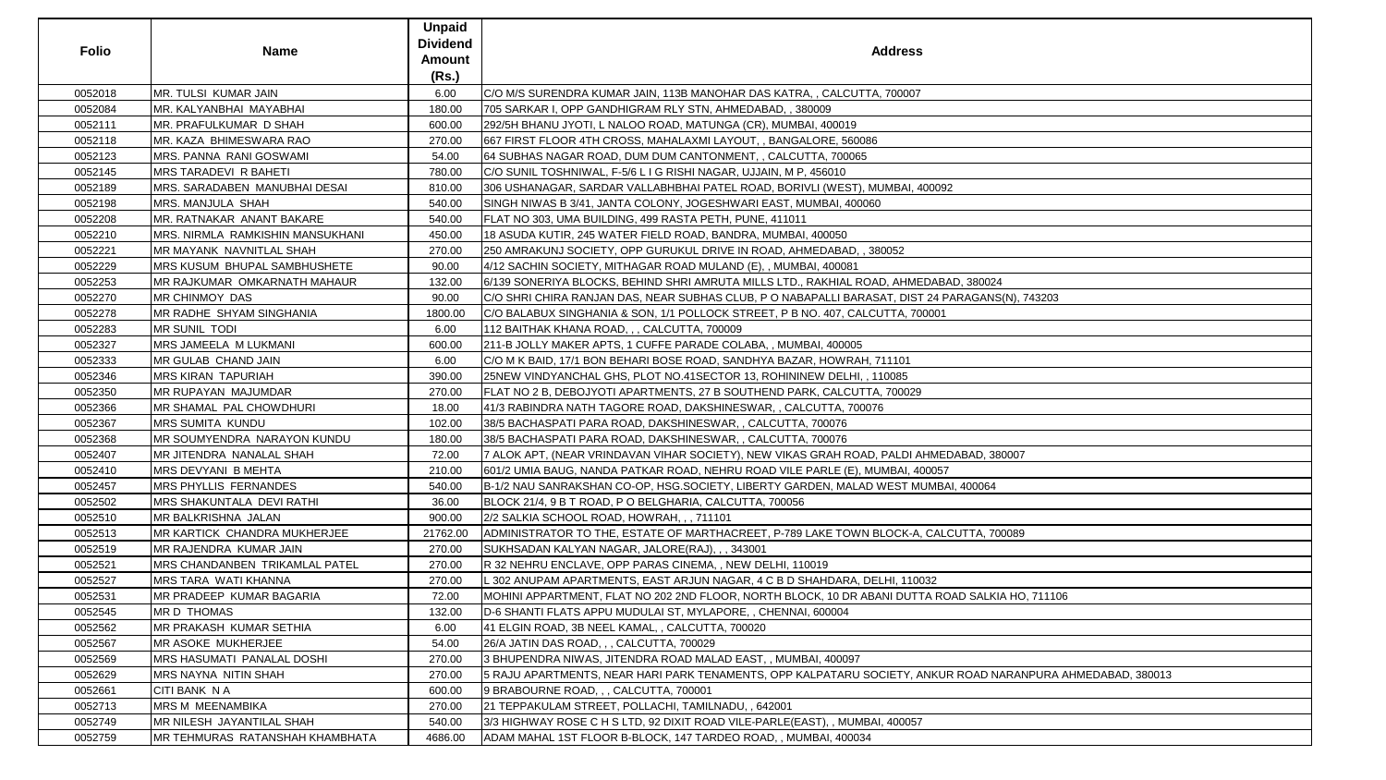| <b>Folio</b> | <b>Name</b>                             | <b>Unpaid</b><br><b>Dividend</b><br>Amount<br>(Rs.) | <b>Address</b>                                                                                             |
|--------------|-----------------------------------------|-----------------------------------------------------|------------------------------------------------------------------------------------------------------------|
| 0052018      | MR. TULSI KUMAR JAIN                    | 6.00                                                | C/O M/S SURENDRA KUMAR JAIN, 113B MANOHAR DAS KATRA, , CALCUTTA, 700007                                    |
| 0052084      | MR. KALYANBHAI MAYABHAI                 | 180.00                                              | 705 SARKAR I, OPP GANDHIGRAM RLY STN, AHMEDABAD, , 380009                                                  |
| 0052111      | MR. PRAFULKUMAR D SHAH                  | 600.00                                              | 292/5H BHANU JYOTI, L NALOO ROAD, MATUNGA (CR), MUMBAI, 400019                                             |
| 0052118      | MR. KAZA BHIMESWARA RAO                 | 270.00                                              | 667 FIRST FLOOR 4TH CROSS, MAHALAXMI LAYOUT, , BANGALORE, 560086                                           |
| 0052123      | MRS. PANNA RANI GOSWAMI                 | 54.00                                               | 64 SUBHAS NAGAR ROAD, DUM DUM CANTONMENT, , CALCUTTA, 700065                                               |
| 0052145      | <b>MRS TARADEVI R BAHETI</b>            | 780.00                                              | C/O SUNIL TOSHNIWAL, F-5/6 L I G RISHI NAGAR, UJJAIN, M P, 456010                                          |
| 0052189      | MRS. SARADABEN MANUBHAI DESAI           | 810.00                                              | 306 USHANAGAR, SARDAR VALLABHBHAI PATEL ROAD, BORIVLI (WEST), MUMBAI, 400092                               |
| 0052198      | <b>MRS. MANJULA SHAH</b>                | 540.00                                              | SINGH NIWAS B 3/41, JANTA COLONY, JOGESHWARI EAST, MUMBAI, 400060                                          |
| 0052208      | MR. RATNAKAR ANANT BAKARE               | 540.00                                              | FLAT NO 303, UMA BUILDING, 499 RASTA PETH, PUNE, 411011                                                    |
| 0052210      | <b>MRS. NIRMLA RAMKISHIN MANSUKHANI</b> | 450.00                                              | 18 ASUDA KUTIR, 245 WATER FIELD ROAD, BANDRA, MUMBAI, 400050                                               |
| 0052221      | MR MAYANK NAVNITLAL SHAH                | 270.00                                              | 250 AMRAKUNJ SOCIETY, OPP GURUKUL DRIVE IN ROAD, AHMEDABAD, , 380052                                       |
| 0052229      | MRS KUSUM BHUPAL SAMBHUSHETE            | 90.00                                               | 4/12 SACHIN SOCIETY, MITHAGAR ROAD MULAND (E), , MUMBAI, 400081                                            |
| 0052253      | MR RAJKUMAR OMKARNATH MAHAUR            | 132.00                                              | 6/139 SONERIYA BLOCKS, BEHIND SHRI AMRUTA MILLS LTD., RAKHIAL ROAD, AHMEDABAD, 380024                      |
| 0052270      | <b>MR CHINMOY DAS</b>                   | 90.00                                               | C/O SHRI CHIRA RANJAN DAS, NEAR SUBHAS CLUB, P O NABAPALLI BARASAT, DIST 24 PARAGANS(N), 743203            |
| 0052278      | <b>MR RADHE SHYAM SINGHANIA</b>         | 1800.00                                             | C/O BALABUX SINGHANIA & SON, 1/1 POLLOCK STREET, P B NO. 407, CALCUTTA, 700001                             |
| 0052283      | MR SUNIL TODI                           | 6.00                                                | 112 BAITHAK KHANA ROAD, , , CALCUTTA, 700009                                                               |
| 0052327      | MRS JAMEELA M LUKMANI                   | 600.00                                              | 211-B JOLLY MAKER APTS, 1 CUFFE PARADE COLABA, , MUMBAI, 400005                                            |
| 0052333      | MR GULAB CHAND JAIN                     | 6.00                                                | C/O M K BAID, 17/1 BON BEHARI BOSE ROAD, SANDHYA BAZAR, HOWRAH, 711101                                     |
| 0052346      | <b>MRS KIRAN TAPURIAH</b>               | 390.00                                              | 25NEW VINDYANCHAL GHS, PLOT NO.41SECTOR 13, ROHININEW DELHI, , 110085                                      |
| 0052350      | <b>MR RUPAYAN MAJUMDAR</b>              | 270.00                                              | FLAT NO 2 B, DEBOJYOTI APARTMENTS, 27 B SOUTHEND PARK, CALCUTTA, 700029                                    |
| 0052366      | MR SHAMAL PAL CHOWDHURI                 | 18.00                                               | 41/3 RABINDRA NATH TAGORE ROAD, DAKSHINESWAR, , CALCUTTA, 700076                                           |
| 0052367      | <b>MRS SUMITA KUNDU</b>                 | 102.00                                              | 38/5 BACHASPATI PARA ROAD, DAKSHINESWAR, , CALCUTTA, 700076                                                |
| 0052368      | MR SOUMYENDRA NARAYON KUNDU             | 180.00                                              | 38/5 BACHASPATI PARA ROAD, DAKSHINESWAR, , CALCUTTA, 700076                                                |
| 0052407      | MR JITENDRA NANALAL SHAH                | 72.00                                               | 7 ALOK APT, (NEAR VRINDAVAN VIHAR SOCIETY), NEW VIKAS GRAH ROAD, PALDI AHMEDABAD, 380007                   |
| 0052410      | MRS DEVYANI B MEHTA                     | 210.00                                              | 601/2 UMIA BAUG, NANDA PATKAR ROAD, NEHRU ROAD VILE PARLE (E), MUMBAI, 400057                              |
| 0052457      | <b>MRS PHYLLIS FERNANDES</b>            | 540.00                                              | B-1/2 NAU SANRAKSHAN CO-OP, HSG.SOCIETY, LIBERTY GARDEN, MALAD WEST MUMBAI, 400064                         |
| 0052502      | MRS SHAKUNTALA DEVI RATHI               | 36.00                                               | BLOCK 21/4, 9 B T ROAD, P O BELGHARIA, CALCUTTA, 700056                                                    |
| 0052510      | MR BALKRISHNA JALAN                     | 900.00                                              | 2/2 SALKIA SCHOOL ROAD, HOWRAH, ,, 711101                                                                  |
| 0052513      | MR KARTICK CHANDRA MUKHERJEE            | 21762.00                                            | ADMINISTRATOR TO THE, ESTATE OF MARTHACREET, P-789 LAKE TOWN BLOCK-A, CALCUTTA, 700089                     |
| 0052519      | MR RAJENDRA KUMAR JAIN                  | 270.00                                              | SUKHSADAN KALYAN NAGAR, JALORE(RAJ), , , 343001                                                            |
| 0052521      | MRS CHANDANBEN TRIKAMLAL PATEL          | 270.00                                              | R 32 NEHRU ENCLAVE, OPP PARAS CINEMA, , NEW DELHI, 110019                                                  |
| 0052527      | MRS TARA WATI KHANNA                    | 270.00                                              | L 302 ANUPAM APARTMENTS, EAST ARJUN NAGAR, 4 C B D SHAHDARA, DELHI, 110032                                 |
| 0052531      | MR PRADEEP KUMAR BAGARIA                | 72.00                                               | MOHINI APPARTMENT, FLAT NO 202 2ND FLOOR, NORTH BLOCK, 10 DR ABANI DUTTA ROAD SALKIA HO, 711106            |
| 0052545      | <b>MRD THOMAS</b>                       | 132.00                                              | D-6 SHANTI FLATS APPU MUDULAI ST, MYLAPORE, , CHENNAI, 600004                                              |
| 0052562      | MR PRAKASH KUMAR SETHIA                 | 6.00                                                | 41 ELGIN ROAD, 3B NEEL KAMAL, , CALCUTTA, 700020                                                           |
| 0052567      | MR ASOKE MUKHERJEE                      | 54.00                                               | 26/A JATIN DAS ROAD, , , CALCUTTA, 700029                                                                  |
| 0052569      | MRS HASUMATI PANALAL DOSHI              | 270.00                                              | 3 BHUPENDRA NIWAS, JITENDRA ROAD MALAD EAST, , MUMBAI, 400097                                              |
| 0052629      | <b>MRS NAYNA NITIN SHAH</b>             | 270.00                                              | 5 RAJU APARTMENTS, NEAR HARI PARK TENAMENTS, OPP KALPATARU SOCIETY, ANKUR ROAD NARANPURA AHMEDABAD, 380013 |
| 0052661      | CITI BANK N A                           | 600.00                                              | 9 BRABOURNE ROAD, , , CALCUTTA, 700001                                                                     |
| 0052713      | <b>MRS M MEENAMBIKA</b>                 | 270.00                                              | 21 TEPPAKULAM STREET, POLLACHI, TAMILNADU, , 642001                                                        |
| 0052749      | MR NILESH JAYANTILAL SHAH               | 540.00                                              | 3/3 HIGHWAY ROSE C H S LTD, 92 DIXIT ROAD VILE-PARLE(EAST), , MUMBAI, 400057                               |
| 0052759      | MR TEHMURAS RATANSHAH KHAMBHATA         | 4686.00                                             | ADAM MAHAL 1ST FLOOR B-BLOCK, 147 TARDEO ROAD, , MUMBAI, 400034                                            |

| 80024                          |
|--------------------------------|
| <b>SANS(N), 743203</b>         |
|                                |
|                                |
|                                |
|                                |
|                                |
|                                |
|                                |
|                                |
|                                |
|                                |
|                                |
|                                |
| D, 380007                      |
|                                |
| 064                            |
|                                |
|                                |
|                                |
| A, 700089                      |
|                                |
|                                |
|                                |
|                                |
| ALKIA HO, 711106               |
|                                |
|                                |
|                                |
|                                |
|                                |
| AD NARANPURA AHMEDABAD, 380013 |
|                                |
|                                |
|                                |
|                                |
|                                |
|                                |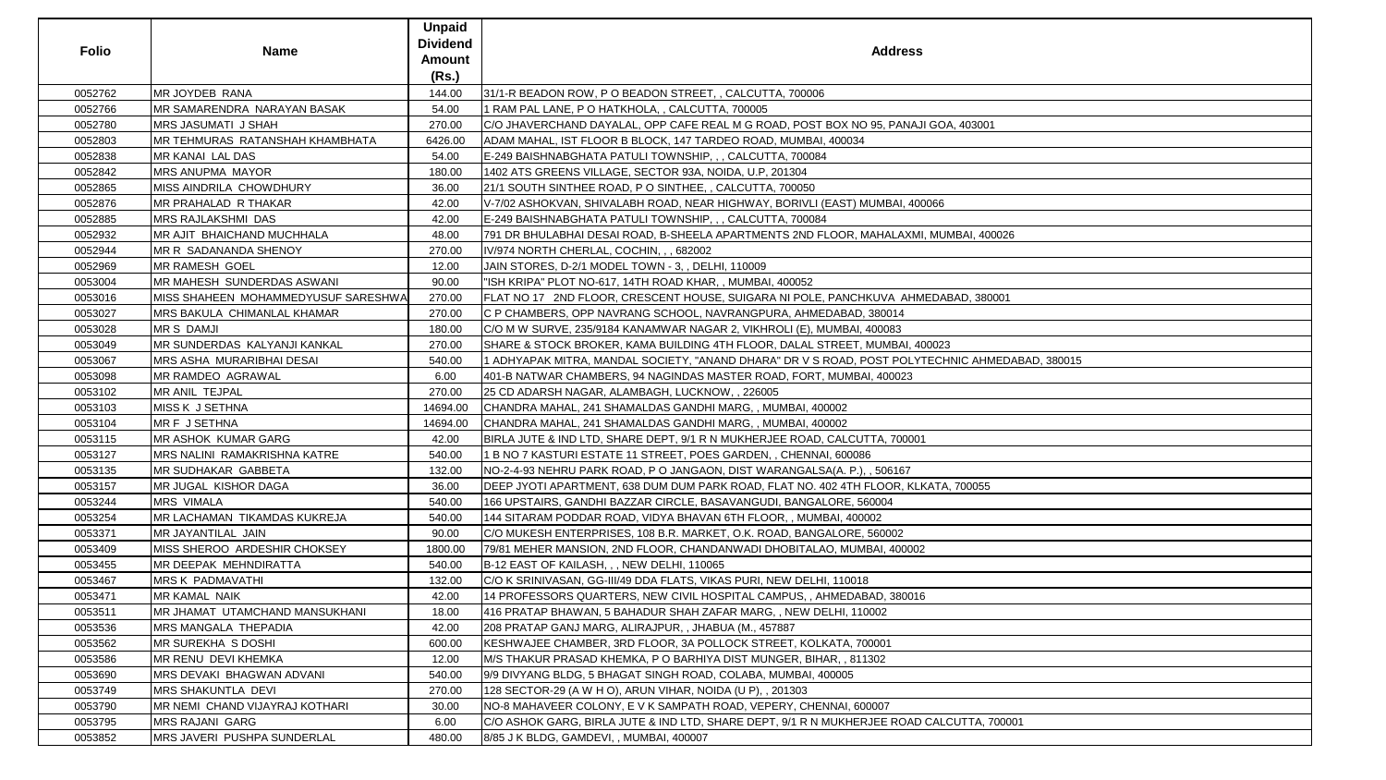| <b>Folio</b> | <b>Name</b>                                 | <b>Unpaid</b><br><b>Dividend</b><br><b>Amount</b><br>(Rs.) | <b>Address</b>                                                                                |
|--------------|---------------------------------------------|------------------------------------------------------------|-----------------------------------------------------------------------------------------------|
| 0052762      | MR JOYDEB RANA                              | 144.00                                                     | 31/1-R BEADON ROW, P O BEADON STREET, , CALCUTTA, 700006                                      |
| 0052766      | <b>MR SAMARENDRA NARAYAN BASAK</b>          | 54.00                                                      | 1 RAM PAL LANE, P O HATKHOLA, , CALCUTTA, 700005                                              |
| 0052780      | <b>MRS JASUMATI J SHAH</b>                  | 270.00                                                     | C/O JHAVERCHAND DAYALAL, OPP CAFE REAL M G ROAD, POST BOX NO 95, PANAJI GOA, 403001           |
| 0052803      | IMR TEHMURAS RATANSHAH KHAMBHATA            | 6426.00                                                    | ADAM MAHAL, IST FLOOR B BLOCK, 147 TARDEO ROAD, MUMBAI, 400034                                |
| 0052838      | <b>MR KANAI LAL DAS</b>                     | 54.00                                                      | E-249 BAISHNABGHATA PATULI TOWNSHIP, , , CALCUTTA, 700084                                     |
| 0052842      | <b>MRS ANUPMA MAYOR</b>                     | 180.00                                                     | 1402 ATS GREENS VILLAGE, SECTOR 93A, NOIDA, U.P, 201304                                       |
| 0052865      | <b>MISS AINDRILA CHOWDHURY</b>              | 36.00                                                      | 21/1 SOUTH SINTHEE ROAD, P O SINTHEE, , CALCUTTA, 700050                                      |
| 0052876      | <b>MR PRAHALAD R THAKAR</b>                 | 42.00                                                      | V-7/02 ASHOKVAN, SHIVALABH ROAD, NEAR HIGHWAY, BORIVLI (EAST) MUMBAI, 400066                  |
| 0052885      | <b>MRS RAJLAKSHMI DAS</b>                   | 42.00                                                      | E-249 BAISHNABGHATA PATULI TOWNSHIP, , , CALCUTTA, 700084                                     |
| 0052932      | MR AJIT BHAICHAND MUCHHALA                  | 48.00                                                      | 791 DR BHULABHAI DESAI ROAD, B-SHEELA APARTMENTS 2ND FLOOR, MAHALAXMI, MUMBAI, 400026         |
| 0052944      | MR R SADANANDA SHENOY                       | 270.00                                                     | IV/974 NORTH CHERLAL, COCHIN, , , 682002                                                      |
| 0052969      | <b>MR RAMESH GOEL</b>                       | 12.00                                                      | JAIN STORES, D-2/1 MODEL TOWN - 3, , DELHI, 110009                                            |
| 0053004      | <b>IMR MAHESH SUNDERDAS ASWANI</b>          | 90.00                                                      | "ISH KRIPA" PLOT NO-617, 14TH ROAD KHAR, , MUMBAI, 400052                                     |
| 0053016      | <b>IMISS SHAHEEN MOHAMMEDYUSUF SARESHWA</b> | 270.00                                                     | FLAT NO 17 2ND FLOOR, CRESCENT HOUSE, SUIGARA NI POLE, PANCHKUVA AHMEDABAD, 380001            |
| 0053027      | <b>IMRS BAKULA CHIMANLAL KHAMAR</b>         | 270.00                                                     | C P CHAMBERS, OPP NAVRANG SCHOOL, NAVRANGPURA, AHMEDABAD, 380014                              |
| 0053028      | <b>MRS DAMJI</b>                            | 180.00                                                     | C/O M W SURVE, 235/9184 KANAMWAR NAGAR 2, VIKHROLI (E), MUMBAI, 400083                        |
| 0053049      | <b>MR SUNDERDAS KALYANJI KANKAL</b>         | 270.00                                                     | SHARE & STOCK BROKER, KAMA BUILDING 4TH FLOOR, DALAL STREET, MUMBAI, 400023                   |
| 0053067      | <b>MRS ASHA MURARIBHAI DESAI</b>            | 540.00                                                     | ADHYAPAK MITRA, MANDAL SOCIETY, "ANAND DHARA" DR V S ROAD, POST POLYTECHNIC AHMEDABAD, 380015 |
| 0053098      | MR RAMDEO AGRAWAL                           | 6.00                                                       | 401-B NATWAR CHAMBERS, 94 NAGINDAS MASTER ROAD, FORT, MUMBAI, 400023                          |
| 0053102      | MR ANIL TEJPAL                              | 270.00                                                     | 25 CD ADARSH NAGAR, ALAMBAGH, LUCKNOW, , 226005                                               |
| 0053103      | <b>MISS K J SETHNA</b>                      | 14694.00                                                   | CHANDRA MAHAL, 241 SHAMALDAS GANDHI MARG, , MUMBAI, 400002                                    |
| 0053104      | MR F J SETHNA                               | 14694.00                                                   | CHANDRA MAHAL, 241 SHAMALDAS GANDHI MARG,, MUMBAI, 400002                                     |
| 0053115      | MR ASHOK KUMAR GARG                         | 42.00                                                      | BIRLA JUTE & IND LTD, SHARE DEPT, 9/1 R N MUKHERJEE ROAD, CALCUTTA, 700001                    |
| 0053127      | MRS NALINI RAMAKRISHNA KATRE                | 540.00                                                     | 1 B NO 7 KASTURI ESTATE 11 STREET, POES GARDEN, , CHENNAI, 600086                             |
| 0053135      | <b>MR SUDHAKAR GABBETA</b>                  | 132.00                                                     | NO-2-4-93 NEHRU PARK ROAD, P O JANGAON, DIST WARANGALSA(A. P.), , 506167                      |
| 0053157      | <b>MR JUGAL KISHOR DAGA</b>                 | 36.00                                                      | DEEP JYOTI APARTMENT, 638 DUM DUM PARK ROAD, FLAT NO. 402 4TH FLOOR, KLKATA, 700055           |
| 0053244      | <b>MRS VIMALA</b>                           | 540.00                                                     | 166 UPSTAIRS, GANDHI BAZZAR CIRCLE, BASAVANGUDI, BANGALORE, 560004                            |
| 0053254      | <b>MR LACHAMAN TIKAMDAS KUKREJA</b>         | 540.00                                                     | 144 SITARAM PODDAR ROAD, VIDYA BHAVAN 6TH FLOOR, , MUMBAI, 400002                             |
| 0053371      | MR JAYANTILAL JAIN                          | 90.00                                                      | C/O MUKESH ENTERPRISES, 108 B.R. MARKET, O.K. ROAD, BANGALORE, 560002                         |
| 0053409      | MISS SHEROO ARDESHIR CHOKSEY                | 1800.00                                                    | 79/81 MEHER MANSION, 2ND FLOOR, CHANDANWADI DHOBITALAO, MUMBAI, 400002                        |
| 0053455      | MR DEEPAK MEHNDIRATTA                       | 540.00                                                     | B-12 EAST OF KAILASH, , , NEW DELHI, 110065                                                   |
| 0053467      | <b>MRS K PADMAVATHI</b>                     | 132.00                                                     | C/O K SRINIVASAN, GG-III/49 DDA FLATS, VIKAS PURI, NEW DELHI, 110018                          |
| 0053471      | <b>MR KAMAL NAIK</b>                        | 42.00                                                      | 14 PROFESSORS QUARTERS, NEW CIVIL HOSPITAL CAMPUS, , AHMEDABAD, 380016                        |
| 0053511      | <b>IMR JHAMAT UTAMCHAND MANSUKHANI</b>      | 18.00                                                      | 416 PRATAP BHAWAN, 5 BAHADUR SHAH ZAFAR MARG, , NEW DELHI, 110002                             |
| 0053536      | <b>MRS MANGALA THEPADIA</b>                 | 42.00                                                      | 208 PRATAP GANJ MARG, ALIRAJPUR, , JHABUA (M., 457887                                         |
| 0053562      | <b>MR SUREKHA S DOSHI</b>                   | 600.00                                                     | KESHWAJEE CHAMBER, 3RD FLOOR, 3A POLLOCK STREET, KOLKATA, 700001                              |
| 0053586      | MR RENU DEVI KHEMKA                         | 12.00                                                      | M/S THAKUR PRASAD KHEMKA, P O BARHIYA DIST MUNGER, BIHAR, , 811302                            |
| 0053690      | <b>MRS DEVAKI BHAGWAN ADVANI</b>            | 540.00                                                     | 9/9 DIVYANG BLDG, 5 BHAGAT SINGH ROAD, COLABA, MUMBAI, 400005                                 |
| 0053749      | <b>MRS SHAKUNTLA DEVI</b>                   | 270.00                                                     | 128 SECTOR-29 (A W H O), ARUN VIHAR, NOIDA (U P), , 201303                                    |
| 0053790      | MR NEMI CHAND VIJAYRAJ KOTHARI              | 30.00                                                      | NO-8 MAHAVEER COLONY, E V K SAMPATH ROAD, VEPERY, CHENNAI, 600007                             |
| 0053795      | <b>MRS RAJANI GARG</b>                      | 6.00                                                       | C/O ASHOK GARG, BIRLA JUTE & IND LTD, SHARE DEPT, 9/1 R N MUKHERJEE ROAD CALCUTTA, 700001     |
| 0053852      | MRS JAVERI PUSHPA SUNDERLAL                 | 480.00                                                     | 8/85 J K BLDG, GAMDEVI, , MUMBAI, 400007                                                      |

| dress                                |
|--------------------------------------|
|                                      |
|                                      |
| <b>PANAJI GOA, 403001</b>            |
|                                      |
|                                      |
|                                      |
| AI, 400066                           |
|                                      |
| LAXMI, MUMBAI, 400026                |
|                                      |
|                                      |
|                                      |
| AHMEDABAD, 380001                    |
| 14                                   |
| 33                                   |
| BAI, 400023                          |
| POLYTECHNIC AHMEDABAD, 380015<br>023 |
|                                      |
|                                      |
|                                      |
| 700001                               |
|                                      |
| 167                                  |
| R, KLKATA, 700055                    |
|                                      |
|                                      |
| 02                                   |
| 100002                               |
|                                      |
|                                      |
| 880016                               |
|                                      |
|                                      |
|                                      |
|                                      |
|                                      |
|                                      |
| ROA <u>D CALCUTTA, 700001</u>        |
|                                      |
|                                      |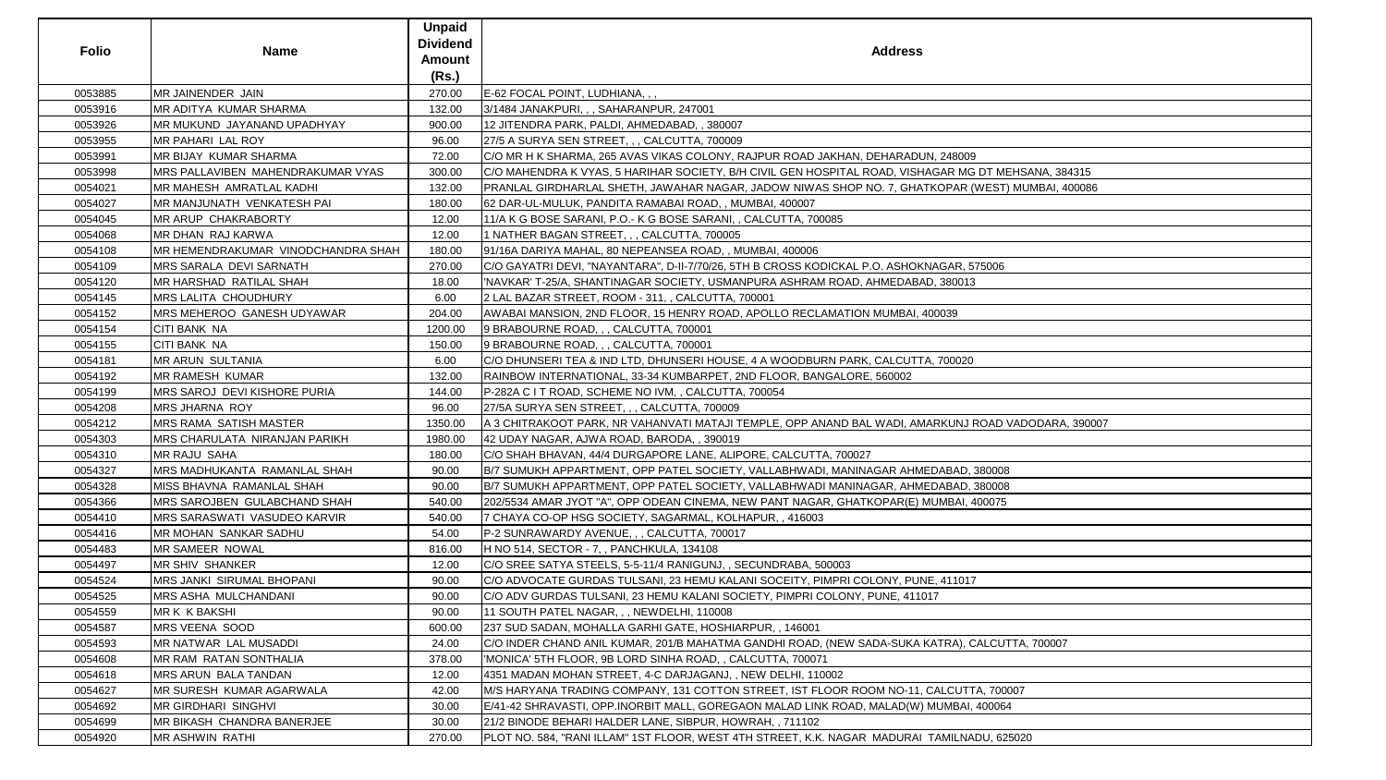| 0053885<br>MR JAINENDER JAIN<br>270.00<br>E-62 FOCAL POINT, LUDHIANA, , ,<br>0053916<br>MR ADITYA KUMAR SHARMA<br>132.00<br>3/1484 JANAKPURI, , , SAHARANPUR, 247001<br>0053926<br>MR MUKUND JAYANAND UPADHYAY<br>900.00<br>12 JITENDRA PARK, PALDI, AHMEDABAD, , 380007<br>MR PAHARI LAL ROY<br>27/5 A SURYA SEN STREET, , , CALCUTTA, 700009<br>0053955<br>96.00<br>0053991<br><b>MR BIJAY KUMAR SHARMA</b><br>72.00<br>C/O MR H K SHARMA, 265 AVAS VIKAS COLONY, RAJPUR ROAD JAKHAN, DEHARADUN, 248009<br>MRS PALLAVIBEN MAHENDRAKUMAR VYAS<br>300.00<br>C/O MAHENDRA K VYAS, 5 HARIHAR SOCIETY, B/H CIVIL GEN HOSPITAL ROAD, VISHAGAR MG DT MEHSANA, 384315 <br>0053998<br>0054021<br>MR MAHESH AMRATLAL KADHI<br>132.00<br>PRANLAL GIRDHARLAL SHETH, JAWAHAR NAGAR, JADOW NIWAS SHOP NO. 7, GHATKOPAR (WEST) MUMBAI, 400086 <br>0054027<br>MR MANJUNATH VENKATESH PAI<br>180.00<br>62 DAR-UL-MULUK, PANDITA RAMABAI ROAD, , MUMBAI, 400007<br>0054045<br>MR ARUP CHAKRABORTY<br>12.00<br>11/A K G BOSE SARANI, P.O.- K G BOSE SARANI, , CALCUTTA, 700085<br>0054068<br>MR DHAN RAJ KARWA<br>12.00<br>1 NATHER BAGAN STREET, , , CALCUTTA, 700005<br>MR HEMENDRAKUMAR VINODCHANDRA SHAH<br>0054108<br>180.00<br>91/16A DARIYA MAHAL, 80 NEPEANSEA ROAD, , MUMBAI, 400006<br><b>MRS SARALA DEVI SARNATH</b><br>C/O GAYATRI DEVI, "NAYANTARA", D-II-7/70/26, 5TH B CROSS KODICKAL P.O. ASHOKNAGAR, 575006<br>0054109<br>270.00<br>0054120<br><b>MR HARSHAD RATILAL SHAH</b><br>18.00<br>'NAVKAR' T-25/A, SHANTINAGAR SOCIETY, USMANPURA ASHRAM ROAD, AHMEDABAD, 380013<br>0054145<br><b>MRS LALITA CHOUDHURY</b><br>6.00<br>2 LAL BAZAR STREET, ROOM - 311, , CALCUTTA, 700001<br>0054152<br>MRS MEHEROO GANESH UDYAWAR<br>AWABAI MANSION, 2ND FLOOR, 15 HENRY ROAD, APOLLO RECLAMATION MUMBAI, 400039<br>204.00<br>0054154<br><b>CITI BANK NA</b><br>9 BRABOURNE ROAD, , , CALCUTTA, 700001<br>1200.00<br>0054155<br><b>CITI BANK NA</b><br>9 BRABOURNE ROAD, , , CALCUTTA, 700001<br>150.00<br>6.00<br>0054181<br><b>MR ARUN SULTANIA</b><br>C/O DHUNSERI TEA & IND LTD, DHUNSERI HOUSE, 4 A WOODBURN PARK, CALCUTTA, 700020<br>0054192<br><b>MR RAMESH KUMAR</b><br>132.00<br>RAINBOW INTERNATIONAL, 33-34 KUMBARPET, 2ND FLOOR, BANGALORE, 560002<br>0054199<br><b>MRS SAROJ DEVI KISHORE PURIA</b><br>144.00<br>P-282A C I T ROAD, SCHEME NO IVM, , CALCUTTA, 700054<br>MRS JHARNA ROY<br>0054208<br>96.00<br>27/5A SURYA SEN STREET, , , CALCUTTA, 700009<br>0054212<br><b>MRS RAMA SATISH MASTER</b><br>A 3 CHITRAKOOT PARK, NR VAHANVATI MATAJI TEMPLE, OPP ANAND BAL WADI, AMARKUNJ ROAD VADODARA, 390007 <br>1350.00<br>MRS CHARULATA NIRANJAN PARIKH<br>0054303<br>1980.00<br>42 UDAY NAGAR, AJWA ROAD, BARODA, , 390019<br><b>MR RAJU SAHA</b><br>C/O SHAH BHAVAN, 44/4 DURGAPORE LANE, ALIPORE, CALCUTTA, 700027<br>0054310<br>180.00<br>MRS MADHUKANTA RAMANLAL SHAH<br>90.00<br>B/7 SUMUKH APPARTMENT, OPP PATEL SOCIETY, VALLABHWADI, MANINAGAR AHMEDABAD, 380008<br>0054327<br>MISS BHAVNA RAMANLAL SHAH<br>0054328<br>B/7 SUMUKH APPARTMENT, OPP PATEL SOCIETY, VALLABHWADI MANINAGAR, AHMEDABAD, 380008<br>90.00<br>0054366<br>540.00<br>MRS SAROJBEN GULABCHAND SHAH<br>202/5534 AMAR JYOT "A", OPP ODEAN CINEMA, NEW PANT NAGAR, GHATKOPAR(E) MUMBAI, 400075<br>0054410<br>MRS SARASWATI VASUDEO KARVIR<br>540.00<br>7 CHAYA CO-OP HSG SOCIETY, SAGARMAL, KOLHAPUR, , 416003<br>0054416<br><b>MR MOHAN SANKAR SADHU</b><br>54.00<br>P-2 SUNRAWARDY AVENUE, , , CALCUTTA, 700017<br>0054483<br>MR SAMEER NOWAL<br>816.00<br>H NO 514, SECTOR - 7, , PANCHKULA, 134108<br>0054497<br><b>MR SHIV SHANKER</b><br>12.00<br>C/O SREE SATYA STEELS, 5-5-11/4 RANIGUNJ,, SECUNDRABA, 500003<br>0054524<br><b>MRS JANKI SIRUMAL BHOPANI</b><br>90.00<br>C/O ADVOCATE GURDAS TULSANI, 23 HEMU KALANI SOCEITY, PIMPRI COLONY, PUNE, 411017<br>0054525<br>MRS ASHA MULCHANDANI<br>C/O ADV GURDAS TULSANI, 23 HEMU KALANI SOCIETY, PIMPRI COLONY, PUNE, 411017<br>90.00<br>MR K K BAKSHI<br>11 SOUTH PATEL NAGAR, , , NEWDELHI, 110008<br>0054559<br>90.00<br>MRS VEENA SOOD<br>0054587<br>600.00<br>237 SUD SADAN, MOHALLA GARHI GATE, HOSHIARPUR, , 146001<br>0054593<br>MR NATWAR LAL MUSADDI<br>24.00<br>C/O INDER CHAND ANIL KUMAR, 201/B MAHATMA GANDHI ROAD, (NEW SADA-SUKA KATRA), CALCUTTA, 700007<br>MR RAM RATAN SONTHALIA<br>378.00<br>'MONICA' 5TH FLOOR, 9B LORD SINHA ROAD,, CALCUTTA, 700071<br>0054608<br>MRS ARUN BALA TANDAN<br>0054618<br>12.00<br>4351 MADAN MOHAN STREET, 4-C DARJAGANJ, , NEW DELHI, 110002<br>42.00<br>M/S HARYANA TRADING COMPANY, 131 COTTON STREET, IST FLOOR ROOM NO-11, CALCUTTA, 700007<br>0054627<br>MR SURESH KUMAR AGARWALA<br>0054692<br><b>MR GIRDHARI SINGHVI</b><br>30.00<br>E/41-42 SHRAVASTI, OPP.INORBIT MALL, GOREGAON MALAD LINK ROAD, MALAD(W) MUMBAI, 400064<br>MR BIKASH CHANDRA BANERJEE<br>0054699<br>21/2 BINODE BEHARI HALDER LANE, SIBPUR, HOWRAH,, 711102<br>30.00<br><b>MR ASHWIN RATHI</b><br>0054920<br>PLOT NO. 584, "RANI ILLAM" 1ST FLOOR, WEST 4TH STREET, K.K. NAGAR  MADURAI  TAMILNADU, 625020<br>270.00 | <b>Folio</b> | <b>Name</b> | <b>Unpaid</b><br><b>Dividend</b><br>Amount<br>(Rs.) | <b>Address</b> |
|-------------------------------------------------------------------------------------------------------------------------------------------------------------------------------------------------------------------------------------------------------------------------------------------------------------------------------------------------------------------------------------------------------------------------------------------------------------------------------------------------------------------------------------------------------------------------------------------------------------------------------------------------------------------------------------------------------------------------------------------------------------------------------------------------------------------------------------------------------------------------------------------------------------------------------------------------------------------------------------------------------------------------------------------------------------------------------------------------------------------------------------------------------------------------------------------------------------------------------------------------------------------------------------------------------------------------------------------------------------------------------------------------------------------------------------------------------------------------------------------------------------------------------------------------------------------------------------------------------------------------------------------------------------------------------------------------------------------------------------------------------------------------------------------------------------------------------------------------------------------------------------------------------------------------------------------------------------------------------------------------------------------------------------------------------------------------------------------------------------------------------------------------------------------------------------------------------------------------------------------------------------------------------------------------------------------------------------------------------------------------------------------------------------------------------------------------------------------------------------------------------------------------------------------------------------------------------------------------------------------------------------------------------------------------------------------------------------------------------------------------------------------------------------------------------------------------------------------------------------------------------------------------------------------------------------------------------------------------------------------------------------------------------------------------------------------------------------------------------------------------------------------------------------------------------------------------------------------------------------------------------------------------------------------------------------------------------------------------------------------------------------------------------------------------------------------------------------------------------------------------------------------------------------------------------------------------------------------------------------------------------------------------------------------------------------------------------------------------------------------------------------------------------------------------------------------------------------------------------------------------------------------------------------------------------------------------------------------------------------------------------------------------------------------------------------------------------------------------------------------------------------------------------------------------------------------------------------------------------------------------------------------------------------------------------------------------------------------------------------------------------------------------------------------------------------------------------------------------------------------------------------------------------------------------------------------------------------------------------------------------------------------------------------------------------------------------------------------------------------------------------------------------------------------------------------------------------------------------------------------------------------------------------------------------------------------------------------------------------------------------------------------------------------------------------------------------------------------------|--------------|-------------|-----------------------------------------------------|----------------|
|                                                                                                                                                                                                                                                                                                                                                                                                                                                                                                                                                                                                                                                                                                                                                                                                                                                                                                                                                                                                                                                                                                                                                                                                                                                                                                                                                                                                                                                                                                                                                                                                                                                                                                                                                                                                                                                                                                                                                                                                                                                                                                                                                                                                                                                                                                                                                                                                                                                                                                                                                                                                                                                                                                                                                                                                                                                                                                                                                                                                                                                                                                                                                                                                                                                                                                                                                                                                                                                                                                                                                                                                                                                                                                                                                                                                                                                                                                                                                                                                                                                                                                                                                                                                                                                                                                                                                                                                                                                                                                                                                                                                                                                                                                                                                                                                                                                                                                                                                                                                                                                                                                 |              |             |                                                     |                |
|                                                                                                                                                                                                                                                                                                                                                                                                                                                                                                                                                                                                                                                                                                                                                                                                                                                                                                                                                                                                                                                                                                                                                                                                                                                                                                                                                                                                                                                                                                                                                                                                                                                                                                                                                                                                                                                                                                                                                                                                                                                                                                                                                                                                                                                                                                                                                                                                                                                                                                                                                                                                                                                                                                                                                                                                                                                                                                                                                                                                                                                                                                                                                                                                                                                                                                                                                                                                                                                                                                                                                                                                                                                                                                                                                                                                                                                                                                                                                                                                                                                                                                                                                                                                                                                                                                                                                                                                                                                                                                                                                                                                                                                                                                                                                                                                                                                                                                                                                                                                                                                                                                 |              |             |                                                     |                |
|                                                                                                                                                                                                                                                                                                                                                                                                                                                                                                                                                                                                                                                                                                                                                                                                                                                                                                                                                                                                                                                                                                                                                                                                                                                                                                                                                                                                                                                                                                                                                                                                                                                                                                                                                                                                                                                                                                                                                                                                                                                                                                                                                                                                                                                                                                                                                                                                                                                                                                                                                                                                                                                                                                                                                                                                                                                                                                                                                                                                                                                                                                                                                                                                                                                                                                                                                                                                                                                                                                                                                                                                                                                                                                                                                                                                                                                                                                                                                                                                                                                                                                                                                                                                                                                                                                                                                                                                                                                                                                                                                                                                                                                                                                                                                                                                                                                                                                                                                                                                                                                                                                 |              |             |                                                     |                |
|                                                                                                                                                                                                                                                                                                                                                                                                                                                                                                                                                                                                                                                                                                                                                                                                                                                                                                                                                                                                                                                                                                                                                                                                                                                                                                                                                                                                                                                                                                                                                                                                                                                                                                                                                                                                                                                                                                                                                                                                                                                                                                                                                                                                                                                                                                                                                                                                                                                                                                                                                                                                                                                                                                                                                                                                                                                                                                                                                                                                                                                                                                                                                                                                                                                                                                                                                                                                                                                                                                                                                                                                                                                                                                                                                                                                                                                                                                                                                                                                                                                                                                                                                                                                                                                                                                                                                                                                                                                                                                                                                                                                                                                                                                                                                                                                                                                                                                                                                                                                                                                                                                 |              |             |                                                     |                |
|                                                                                                                                                                                                                                                                                                                                                                                                                                                                                                                                                                                                                                                                                                                                                                                                                                                                                                                                                                                                                                                                                                                                                                                                                                                                                                                                                                                                                                                                                                                                                                                                                                                                                                                                                                                                                                                                                                                                                                                                                                                                                                                                                                                                                                                                                                                                                                                                                                                                                                                                                                                                                                                                                                                                                                                                                                                                                                                                                                                                                                                                                                                                                                                                                                                                                                                                                                                                                                                                                                                                                                                                                                                                                                                                                                                                                                                                                                                                                                                                                                                                                                                                                                                                                                                                                                                                                                                                                                                                                                                                                                                                                                                                                                                                                                                                                                                                                                                                                                                                                                                                                                 |              |             |                                                     |                |
|                                                                                                                                                                                                                                                                                                                                                                                                                                                                                                                                                                                                                                                                                                                                                                                                                                                                                                                                                                                                                                                                                                                                                                                                                                                                                                                                                                                                                                                                                                                                                                                                                                                                                                                                                                                                                                                                                                                                                                                                                                                                                                                                                                                                                                                                                                                                                                                                                                                                                                                                                                                                                                                                                                                                                                                                                                                                                                                                                                                                                                                                                                                                                                                                                                                                                                                                                                                                                                                                                                                                                                                                                                                                                                                                                                                                                                                                                                                                                                                                                                                                                                                                                                                                                                                                                                                                                                                                                                                                                                                                                                                                                                                                                                                                                                                                                                                                                                                                                                                                                                                                                                 |              |             |                                                     |                |
|                                                                                                                                                                                                                                                                                                                                                                                                                                                                                                                                                                                                                                                                                                                                                                                                                                                                                                                                                                                                                                                                                                                                                                                                                                                                                                                                                                                                                                                                                                                                                                                                                                                                                                                                                                                                                                                                                                                                                                                                                                                                                                                                                                                                                                                                                                                                                                                                                                                                                                                                                                                                                                                                                                                                                                                                                                                                                                                                                                                                                                                                                                                                                                                                                                                                                                                                                                                                                                                                                                                                                                                                                                                                                                                                                                                                                                                                                                                                                                                                                                                                                                                                                                                                                                                                                                                                                                                                                                                                                                                                                                                                                                                                                                                                                                                                                                                                                                                                                                                                                                                                                                 |              |             |                                                     |                |
|                                                                                                                                                                                                                                                                                                                                                                                                                                                                                                                                                                                                                                                                                                                                                                                                                                                                                                                                                                                                                                                                                                                                                                                                                                                                                                                                                                                                                                                                                                                                                                                                                                                                                                                                                                                                                                                                                                                                                                                                                                                                                                                                                                                                                                                                                                                                                                                                                                                                                                                                                                                                                                                                                                                                                                                                                                                                                                                                                                                                                                                                                                                                                                                                                                                                                                                                                                                                                                                                                                                                                                                                                                                                                                                                                                                                                                                                                                                                                                                                                                                                                                                                                                                                                                                                                                                                                                                                                                                                                                                                                                                                                                                                                                                                                                                                                                                                                                                                                                                                                                                                                                 |              |             |                                                     |                |
|                                                                                                                                                                                                                                                                                                                                                                                                                                                                                                                                                                                                                                                                                                                                                                                                                                                                                                                                                                                                                                                                                                                                                                                                                                                                                                                                                                                                                                                                                                                                                                                                                                                                                                                                                                                                                                                                                                                                                                                                                                                                                                                                                                                                                                                                                                                                                                                                                                                                                                                                                                                                                                                                                                                                                                                                                                                                                                                                                                                                                                                                                                                                                                                                                                                                                                                                                                                                                                                                                                                                                                                                                                                                                                                                                                                                                                                                                                                                                                                                                                                                                                                                                                                                                                                                                                                                                                                                                                                                                                                                                                                                                                                                                                                                                                                                                                                                                                                                                                                                                                                                                                 |              |             |                                                     |                |
|                                                                                                                                                                                                                                                                                                                                                                                                                                                                                                                                                                                                                                                                                                                                                                                                                                                                                                                                                                                                                                                                                                                                                                                                                                                                                                                                                                                                                                                                                                                                                                                                                                                                                                                                                                                                                                                                                                                                                                                                                                                                                                                                                                                                                                                                                                                                                                                                                                                                                                                                                                                                                                                                                                                                                                                                                                                                                                                                                                                                                                                                                                                                                                                                                                                                                                                                                                                                                                                                                                                                                                                                                                                                                                                                                                                                                                                                                                                                                                                                                                                                                                                                                                                                                                                                                                                                                                                                                                                                                                                                                                                                                                                                                                                                                                                                                                                                                                                                                                                                                                                                                                 |              |             |                                                     |                |
|                                                                                                                                                                                                                                                                                                                                                                                                                                                                                                                                                                                                                                                                                                                                                                                                                                                                                                                                                                                                                                                                                                                                                                                                                                                                                                                                                                                                                                                                                                                                                                                                                                                                                                                                                                                                                                                                                                                                                                                                                                                                                                                                                                                                                                                                                                                                                                                                                                                                                                                                                                                                                                                                                                                                                                                                                                                                                                                                                                                                                                                                                                                                                                                                                                                                                                                                                                                                                                                                                                                                                                                                                                                                                                                                                                                                                                                                                                                                                                                                                                                                                                                                                                                                                                                                                                                                                                                                                                                                                                                                                                                                                                                                                                                                                                                                                                                                                                                                                                                                                                                                                                 |              |             |                                                     |                |
|                                                                                                                                                                                                                                                                                                                                                                                                                                                                                                                                                                                                                                                                                                                                                                                                                                                                                                                                                                                                                                                                                                                                                                                                                                                                                                                                                                                                                                                                                                                                                                                                                                                                                                                                                                                                                                                                                                                                                                                                                                                                                                                                                                                                                                                                                                                                                                                                                                                                                                                                                                                                                                                                                                                                                                                                                                                                                                                                                                                                                                                                                                                                                                                                                                                                                                                                                                                                                                                                                                                                                                                                                                                                                                                                                                                                                                                                                                                                                                                                                                                                                                                                                                                                                                                                                                                                                                                                                                                                                                                                                                                                                                                                                                                                                                                                                                                                                                                                                                                                                                                                                                 |              |             |                                                     |                |
|                                                                                                                                                                                                                                                                                                                                                                                                                                                                                                                                                                                                                                                                                                                                                                                                                                                                                                                                                                                                                                                                                                                                                                                                                                                                                                                                                                                                                                                                                                                                                                                                                                                                                                                                                                                                                                                                                                                                                                                                                                                                                                                                                                                                                                                                                                                                                                                                                                                                                                                                                                                                                                                                                                                                                                                                                                                                                                                                                                                                                                                                                                                                                                                                                                                                                                                                                                                                                                                                                                                                                                                                                                                                                                                                                                                                                                                                                                                                                                                                                                                                                                                                                                                                                                                                                                                                                                                                                                                                                                                                                                                                                                                                                                                                                                                                                                                                                                                                                                                                                                                                                                 |              |             |                                                     |                |
|                                                                                                                                                                                                                                                                                                                                                                                                                                                                                                                                                                                                                                                                                                                                                                                                                                                                                                                                                                                                                                                                                                                                                                                                                                                                                                                                                                                                                                                                                                                                                                                                                                                                                                                                                                                                                                                                                                                                                                                                                                                                                                                                                                                                                                                                                                                                                                                                                                                                                                                                                                                                                                                                                                                                                                                                                                                                                                                                                                                                                                                                                                                                                                                                                                                                                                                                                                                                                                                                                                                                                                                                                                                                                                                                                                                                                                                                                                                                                                                                                                                                                                                                                                                                                                                                                                                                                                                                                                                                                                                                                                                                                                                                                                                                                                                                                                                                                                                                                                                                                                                                                                 |              |             |                                                     |                |
|                                                                                                                                                                                                                                                                                                                                                                                                                                                                                                                                                                                                                                                                                                                                                                                                                                                                                                                                                                                                                                                                                                                                                                                                                                                                                                                                                                                                                                                                                                                                                                                                                                                                                                                                                                                                                                                                                                                                                                                                                                                                                                                                                                                                                                                                                                                                                                                                                                                                                                                                                                                                                                                                                                                                                                                                                                                                                                                                                                                                                                                                                                                                                                                                                                                                                                                                                                                                                                                                                                                                                                                                                                                                                                                                                                                                                                                                                                                                                                                                                                                                                                                                                                                                                                                                                                                                                                                                                                                                                                                                                                                                                                                                                                                                                                                                                                                                                                                                                                                                                                                                                                 |              |             |                                                     |                |
|                                                                                                                                                                                                                                                                                                                                                                                                                                                                                                                                                                                                                                                                                                                                                                                                                                                                                                                                                                                                                                                                                                                                                                                                                                                                                                                                                                                                                                                                                                                                                                                                                                                                                                                                                                                                                                                                                                                                                                                                                                                                                                                                                                                                                                                                                                                                                                                                                                                                                                                                                                                                                                                                                                                                                                                                                                                                                                                                                                                                                                                                                                                                                                                                                                                                                                                                                                                                                                                                                                                                                                                                                                                                                                                                                                                                                                                                                                                                                                                                                                                                                                                                                                                                                                                                                                                                                                                                                                                                                                                                                                                                                                                                                                                                                                                                                                                                                                                                                                                                                                                                                                 |              |             |                                                     |                |
|                                                                                                                                                                                                                                                                                                                                                                                                                                                                                                                                                                                                                                                                                                                                                                                                                                                                                                                                                                                                                                                                                                                                                                                                                                                                                                                                                                                                                                                                                                                                                                                                                                                                                                                                                                                                                                                                                                                                                                                                                                                                                                                                                                                                                                                                                                                                                                                                                                                                                                                                                                                                                                                                                                                                                                                                                                                                                                                                                                                                                                                                                                                                                                                                                                                                                                                                                                                                                                                                                                                                                                                                                                                                                                                                                                                                                                                                                                                                                                                                                                                                                                                                                                                                                                                                                                                                                                                                                                                                                                                                                                                                                                                                                                                                                                                                                                                                                                                                                                                                                                                                                                 |              |             |                                                     |                |
|                                                                                                                                                                                                                                                                                                                                                                                                                                                                                                                                                                                                                                                                                                                                                                                                                                                                                                                                                                                                                                                                                                                                                                                                                                                                                                                                                                                                                                                                                                                                                                                                                                                                                                                                                                                                                                                                                                                                                                                                                                                                                                                                                                                                                                                                                                                                                                                                                                                                                                                                                                                                                                                                                                                                                                                                                                                                                                                                                                                                                                                                                                                                                                                                                                                                                                                                                                                                                                                                                                                                                                                                                                                                                                                                                                                                                                                                                                                                                                                                                                                                                                                                                                                                                                                                                                                                                                                                                                                                                                                                                                                                                                                                                                                                                                                                                                                                                                                                                                                                                                                                                                 |              |             |                                                     |                |
|                                                                                                                                                                                                                                                                                                                                                                                                                                                                                                                                                                                                                                                                                                                                                                                                                                                                                                                                                                                                                                                                                                                                                                                                                                                                                                                                                                                                                                                                                                                                                                                                                                                                                                                                                                                                                                                                                                                                                                                                                                                                                                                                                                                                                                                                                                                                                                                                                                                                                                                                                                                                                                                                                                                                                                                                                                                                                                                                                                                                                                                                                                                                                                                                                                                                                                                                                                                                                                                                                                                                                                                                                                                                                                                                                                                                                                                                                                                                                                                                                                                                                                                                                                                                                                                                                                                                                                                                                                                                                                                                                                                                                                                                                                                                                                                                                                                                                                                                                                                                                                                                                                 |              |             |                                                     |                |
|                                                                                                                                                                                                                                                                                                                                                                                                                                                                                                                                                                                                                                                                                                                                                                                                                                                                                                                                                                                                                                                                                                                                                                                                                                                                                                                                                                                                                                                                                                                                                                                                                                                                                                                                                                                                                                                                                                                                                                                                                                                                                                                                                                                                                                                                                                                                                                                                                                                                                                                                                                                                                                                                                                                                                                                                                                                                                                                                                                                                                                                                                                                                                                                                                                                                                                                                                                                                                                                                                                                                                                                                                                                                                                                                                                                                                                                                                                                                                                                                                                                                                                                                                                                                                                                                                                                                                                                                                                                                                                                                                                                                                                                                                                                                                                                                                                                                                                                                                                                                                                                                                                 |              |             |                                                     |                |
|                                                                                                                                                                                                                                                                                                                                                                                                                                                                                                                                                                                                                                                                                                                                                                                                                                                                                                                                                                                                                                                                                                                                                                                                                                                                                                                                                                                                                                                                                                                                                                                                                                                                                                                                                                                                                                                                                                                                                                                                                                                                                                                                                                                                                                                                                                                                                                                                                                                                                                                                                                                                                                                                                                                                                                                                                                                                                                                                                                                                                                                                                                                                                                                                                                                                                                                                                                                                                                                                                                                                                                                                                                                                                                                                                                                                                                                                                                                                                                                                                                                                                                                                                                                                                                                                                                                                                                                                                                                                                                                                                                                                                                                                                                                                                                                                                                                                                                                                                                                                                                                                                                 |              |             |                                                     |                |
|                                                                                                                                                                                                                                                                                                                                                                                                                                                                                                                                                                                                                                                                                                                                                                                                                                                                                                                                                                                                                                                                                                                                                                                                                                                                                                                                                                                                                                                                                                                                                                                                                                                                                                                                                                                                                                                                                                                                                                                                                                                                                                                                                                                                                                                                                                                                                                                                                                                                                                                                                                                                                                                                                                                                                                                                                                                                                                                                                                                                                                                                                                                                                                                                                                                                                                                                                                                                                                                                                                                                                                                                                                                                                                                                                                                                                                                                                                                                                                                                                                                                                                                                                                                                                                                                                                                                                                                                                                                                                                                                                                                                                                                                                                                                                                                                                                                                                                                                                                                                                                                                                                 |              |             |                                                     |                |
|                                                                                                                                                                                                                                                                                                                                                                                                                                                                                                                                                                                                                                                                                                                                                                                                                                                                                                                                                                                                                                                                                                                                                                                                                                                                                                                                                                                                                                                                                                                                                                                                                                                                                                                                                                                                                                                                                                                                                                                                                                                                                                                                                                                                                                                                                                                                                                                                                                                                                                                                                                                                                                                                                                                                                                                                                                                                                                                                                                                                                                                                                                                                                                                                                                                                                                                                                                                                                                                                                                                                                                                                                                                                                                                                                                                                                                                                                                                                                                                                                                                                                                                                                                                                                                                                                                                                                                                                                                                                                                                                                                                                                                                                                                                                                                                                                                                                                                                                                                                                                                                                                                 |              |             |                                                     |                |
|                                                                                                                                                                                                                                                                                                                                                                                                                                                                                                                                                                                                                                                                                                                                                                                                                                                                                                                                                                                                                                                                                                                                                                                                                                                                                                                                                                                                                                                                                                                                                                                                                                                                                                                                                                                                                                                                                                                                                                                                                                                                                                                                                                                                                                                                                                                                                                                                                                                                                                                                                                                                                                                                                                                                                                                                                                                                                                                                                                                                                                                                                                                                                                                                                                                                                                                                                                                                                                                                                                                                                                                                                                                                                                                                                                                                                                                                                                                                                                                                                                                                                                                                                                                                                                                                                                                                                                                                                                                                                                                                                                                                                                                                                                                                                                                                                                                                                                                                                                                                                                                                                                 |              |             |                                                     |                |
|                                                                                                                                                                                                                                                                                                                                                                                                                                                                                                                                                                                                                                                                                                                                                                                                                                                                                                                                                                                                                                                                                                                                                                                                                                                                                                                                                                                                                                                                                                                                                                                                                                                                                                                                                                                                                                                                                                                                                                                                                                                                                                                                                                                                                                                                                                                                                                                                                                                                                                                                                                                                                                                                                                                                                                                                                                                                                                                                                                                                                                                                                                                                                                                                                                                                                                                                                                                                                                                                                                                                                                                                                                                                                                                                                                                                                                                                                                                                                                                                                                                                                                                                                                                                                                                                                                                                                                                                                                                                                                                                                                                                                                                                                                                                                                                                                                                                                                                                                                                                                                                                                                 |              |             |                                                     |                |
|                                                                                                                                                                                                                                                                                                                                                                                                                                                                                                                                                                                                                                                                                                                                                                                                                                                                                                                                                                                                                                                                                                                                                                                                                                                                                                                                                                                                                                                                                                                                                                                                                                                                                                                                                                                                                                                                                                                                                                                                                                                                                                                                                                                                                                                                                                                                                                                                                                                                                                                                                                                                                                                                                                                                                                                                                                                                                                                                                                                                                                                                                                                                                                                                                                                                                                                                                                                                                                                                                                                                                                                                                                                                                                                                                                                                                                                                                                                                                                                                                                                                                                                                                                                                                                                                                                                                                                                                                                                                                                                                                                                                                                                                                                                                                                                                                                                                                                                                                                                                                                                                                                 |              |             |                                                     |                |
|                                                                                                                                                                                                                                                                                                                                                                                                                                                                                                                                                                                                                                                                                                                                                                                                                                                                                                                                                                                                                                                                                                                                                                                                                                                                                                                                                                                                                                                                                                                                                                                                                                                                                                                                                                                                                                                                                                                                                                                                                                                                                                                                                                                                                                                                                                                                                                                                                                                                                                                                                                                                                                                                                                                                                                                                                                                                                                                                                                                                                                                                                                                                                                                                                                                                                                                                                                                                                                                                                                                                                                                                                                                                                                                                                                                                                                                                                                                                                                                                                                                                                                                                                                                                                                                                                                                                                                                                                                                                                                                                                                                                                                                                                                                                                                                                                                                                                                                                                                                                                                                                                                 |              |             |                                                     |                |
|                                                                                                                                                                                                                                                                                                                                                                                                                                                                                                                                                                                                                                                                                                                                                                                                                                                                                                                                                                                                                                                                                                                                                                                                                                                                                                                                                                                                                                                                                                                                                                                                                                                                                                                                                                                                                                                                                                                                                                                                                                                                                                                                                                                                                                                                                                                                                                                                                                                                                                                                                                                                                                                                                                                                                                                                                                                                                                                                                                                                                                                                                                                                                                                                                                                                                                                                                                                                                                                                                                                                                                                                                                                                                                                                                                                                                                                                                                                                                                                                                                                                                                                                                                                                                                                                                                                                                                                                                                                                                                                                                                                                                                                                                                                                                                                                                                                                                                                                                                                                                                                                                                 |              |             |                                                     |                |
|                                                                                                                                                                                                                                                                                                                                                                                                                                                                                                                                                                                                                                                                                                                                                                                                                                                                                                                                                                                                                                                                                                                                                                                                                                                                                                                                                                                                                                                                                                                                                                                                                                                                                                                                                                                                                                                                                                                                                                                                                                                                                                                                                                                                                                                                                                                                                                                                                                                                                                                                                                                                                                                                                                                                                                                                                                                                                                                                                                                                                                                                                                                                                                                                                                                                                                                                                                                                                                                                                                                                                                                                                                                                                                                                                                                                                                                                                                                                                                                                                                                                                                                                                                                                                                                                                                                                                                                                                                                                                                                                                                                                                                                                                                                                                                                                                                                                                                                                                                                                                                                                                                 |              |             |                                                     |                |
|                                                                                                                                                                                                                                                                                                                                                                                                                                                                                                                                                                                                                                                                                                                                                                                                                                                                                                                                                                                                                                                                                                                                                                                                                                                                                                                                                                                                                                                                                                                                                                                                                                                                                                                                                                                                                                                                                                                                                                                                                                                                                                                                                                                                                                                                                                                                                                                                                                                                                                                                                                                                                                                                                                                                                                                                                                                                                                                                                                                                                                                                                                                                                                                                                                                                                                                                                                                                                                                                                                                                                                                                                                                                                                                                                                                                                                                                                                                                                                                                                                                                                                                                                                                                                                                                                                                                                                                                                                                                                                                                                                                                                                                                                                                                                                                                                                                                                                                                                                                                                                                                                                 |              |             |                                                     |                |
|                                                                                                                                                                                                                                                                                                                                                                                                                                                                                                                                                                                                                                                                                                                                                                                                                                                                                                                                                                                                                                                                                                                                                                                                                                                                                                                                                                                                                                                                                                                                                                                                                                                                                                                                                                                                                                                                                                                                                                                                                                                                                                                                                                                                                                                                                                                                                                                                                                                                                                                                                                                                                                                                                                                                                                                                                                                                                                                                                                                                                                                                                                                                                                                                                                                                                                                                                                                                                                                                                                                                                                                                                                                                                                                                                                                                                                                                                                                                                                                                                                                                                                                                                                                                                                                                                                                                                                                                                                                                                                                                                                                                                                                                                                                                                                                                                                                                                                                                                                                                                                                                                                 |              |             |                                                     |                |
|                                                                                                                                                                                                                                                                                                                                                                                                                                                                                                                                                                                                                                                                                                                                                                                                                                                                                                                                                                                                                                                                                                                                                                                                                                                                                                                                                                                                                                                                                                                                                                                                                                                                                                                                                                                                                                                                                                                                                                                                                                                                                                                                                                                                                                                                                                                                                                                                                                                                                                                                                                                                                                                                                                                                                                                                                                                                                                                                                                                                                                                                                                                                                                                                                                                                                                                                                                                                                                                                                                                                                                                                                                                                                                                                                                                                                                                                                                                                                                                                                                                                                                                                                                                                                                                                                                                                                                                                                                                                                                                                                                                                                                                                                                                                                                                                                                                                                                                                                                                                                                                                                                 |              |             |                                                     |                |
|                                                                                                                                                                                                                                                                                                                                                                                                                                                                                                                                                                                                                                                                                                                                                                                                                                                                                                                                                                                                                                                                                                                                                                                                                                                                                                                                                                                                                                                                                                                                                                                                                                                                                                                                                                                                                                                                                                                                                                                                                                                                                                                                                                                                                                                                                                                                                                                                                                                                                                                                                                                                                                                                                                                                                                                                                                                                                                                                                                                                                                                                                                                                                                                                                                                                                                                                                                                                                                                                                                                                                                                                                                                                                                                                                                                                                                                                                                                                                                                                                                                                                                                                                                                                                                                                                                                                                                                                                                                                                                                                                                                                                                                                                                                                                                                                                                                                                                                                                                                                                                                                                                 |              |             |                                                     |                |
|                                                                                                                                                                                                                                                                                                                                                                                                                                                                                                                                                                                                                                                                                                                                                                                                                                                                                                                                                                                                                                                                                                                                                                                                                                                                                                                                                                                                                                                                                                                                                                                                                                                                                                                                                                                                                                                                                                                                                                                                                                                                                                                                                                                                                                                                                                                                                                                                                                                                                                                                                                                                                                                                                                                                                                                                                                                                                                                                                                                                                                                                                                                                                                                                                                                                                                                                                                                                                                                                                                                                                                                                                                                                                                                                                                                                                                                                                                                                                                                                                                                                                                                                                                                                                                                                                                                                                                                                                                                                                                                                                                                                                                                                                                                                                                                                                                                                                                                                                                                                                                                                                                 |              |             |                                                     |                |
|                                                                                                                                                                                                                                                                                                                                                                                                                                                                                                                                                                                                                                                                                                                                                                                                                                                                                                                                                                                                                                                                                                                                                                                                                                                                                                                                                                                                                                                                                                                                                                                                                                                                                                                                                                                                                                                                                                                                                                                                                                                                                                                                                                                                                                                                                                                                                                                                                                                                                                                                                                                                                                                                                                                                                                                                                                                                                                                                                                                                                                                                                                                                                                                                                                                                                                                                                                                                                                                                                                                                                                                                                                                                                                                                                                                                                                                                                                                                                                                                                                                                                                                                                                                                                                                                                                                                                                                                                                                                                                                                                                                                                                                                                                                                                                                                                                                                                                                                                                                                                                                                                                 |              |             |                                                     |                |
|                                                                                                                                                                                                                                                                                                                                                                                                                                                                                                                                                                                                                                                                                                                                                                                                                                                                                                                                                                                                                                                                                                                                                                                                                                                                                                                                                                                                                                                                                                                                                                                                                                                                                                                                                                                                                                                                                                                                                                                                                                                                                                                                                                                                                                                                                                                                                                                                                                                                                                                                                                                                                                                                                                                                                                                                                                                                                                                                                                                                                                                                                                                                                                                                                                                                                                                                                                                                                                                                                                                                                                                                                                                                                                                                                                                                                                                                                                                                                                                                                                                                                                                                                                                                                                                                                                                                                                                                                                                                                                                                                                                                                                                                                                                                                                                                                                                                                                                                                                                                                                                                                                 |              |             |                                                     |                |
|                                                                                                                                                                                                                                                                                                                                                                                                                                                                                                                                                                                                                                                                                                                                                                                                                                                                                                                                                                                                                                                                                                                                                                                                                                                                                                                                                                                                                                                                                                                                                                                                                                                                                                                                                                                                                                                                                                                                                                                                                                                                                                                                                                                                                                                                                                                                                                                                                                                                                                                                                                                                                                                                                                                                                                                                                                                                                                                                                                                                                                                                                                                                                                                                                                                                                                                                                                                                                                                                                                                                                                                                                                                                                                                                                                                                                                                                                                                                                                                                                                                                                                                                                                                                                                                                                                                                                                                                                                                                                                                                                                                                                                                                                                                                                                                                                                                                                                                                                                                                                                                                                                 |              |             |                                                     |                |
|                                                                                                                                                                                                                                                                                                                                                                                                                                                                                                                                                                                                                                                                                                                                                                                                                                                                                                                                                                                                                                                                                                                                                                                                                                                                                                                                                                                                                                                                                                                                                                                                                                                                                                                                                                                                                                                                                                                                                                                                                                                                                                                                                                                                                                                                                                                                                                                                                                                                                                                                                                                                                                                                                                                                                                                                                                                                                                                                                                                                                                                                                                                                                                                                                                                                                                                                                                                                                                                                                                                                                                                                                                                                                                                                                                                                                                                                                                                                                                                                                                                                                                                                                                                                                                                                                                                                                                                                                                                                                                                                                                                                                                                                                                                                                                                                                                                                                                                                                                                                                                                                                                 |              |             |                                                     |                |
|                                                                                                                                                                                                                                                                                                                                                                                                                                                                                                                                                                                                                                                                                                                                                                                                                                                                                                                                                                                                                                                                                                                                                                                                                                                                                                                                                                                                                                                                                                                                                                                                                                                                                                                                                                                                                                                                                                                                                                                                                                                                                                                                                                                                                                                                                                                                                                                                                                                                                                                                                                                                                                                                                                                                                                                                                                                                                                                                                                                                                                                                                                                                                                                                                                                                                                                                                                                                                                                                                                                                                                                                                                                                                                                                                                                                                                                                                                                                                                                                                                                                                                                                                                                                                                                                                                                                                                                                                                                                                                                                                                                                                                                                                                                                                                                                                                                                                                                                                                                                                                                                                                 |              |             |                                                     |                |
|                                                                                                                                                                                                                                                                                                                                                                                                                                                                                                                                                                                                                                                                                                                                                                                                                                                                                                                                                                                                                                                                                                                                                                                                                                                                                                                                                                                                                                                                                                                                                                                                                                                                                                                                                                                                                                                                                                                                                                                                                                                                                                                                                                                                                                                                                                                                                                                                                                                                                                                                                                                                                                                                                                                                                                                                                                                                                                                                                                                                                                                                                                                                                                                                                                                                                                                                                                                                                                                                                                                                                                                                                                                                                                                                                                                                                                                                                                                                                                                                                                                                                                                                                                                                                                                                                                                                                                                                                                                                                                                                                                                                                                                                                                                                                                                                                                                                                                                                                                                                                                                                                                 |              |             |                                                     |                |
|                                                                                                                                                                                                                                                                                                                                                                                                                                                                                                                                                                                                                                                                                                                                                                                                                                                                                                                                                                                                                                                                                                                                                                                                                                                                                                                                                                                                                                                                                                                                                                                                                                                                                                                                                                                                                                                                                                                                                                                                                                                                                                                                                                                                                                                                                                                                                                                                                                                                                                                                                                                                                                                                                                                                                                                                                                                                                                                                                                                                                                                                                                                                                                                                                                                                                                                                                                                                                                                                                                                                                                                                                                                                                                                                                                                                                                                                                                                                                                                                                                                                                                                                                                                                                                                                                                                                                                                                                                                                                                                                                                                                                                                                                                                                                                                                                                                                                                                                                                                                                                                                                                 |              |             |                                                     |                |
|                                                                                                                                                                                                                                                                                                                                                                                                                                                                                                                                                                                                                                                                                                                                                                                                                                                                                                                                                                                                                                                                                                                                                                                                                                                                                                                                                                                                                                                                                                                                                                                                                                                                                                                                                                                                                                                                                                                                                                                                                                                                                                                                                                                                                                                                                                                                                                                                                                                                                                                                                                                                                                                                                                                                                                                                                                                                                                                                                                                                                                                                                                                                                                                                                                                                                                                                                                                                                                                                                                                                                                                                                                                                                                                                                                                                                                                                                                                                                                                                                                                                                                                                                                                                                                                                                                                                                                                                                                                                                                                                                                                                                                                                                                                                                                                                                                                                                                                                                                                                                                                                                                 |              |             |                                                     |                |

| 9                           |
|-----------------------------|
| <u>G DT MEHSANA, 384315</u> |
| (WEST) MUMBAI, 400086       |
|                             |
|                             |
|                             |
|                             |
| 575006                      |
| $\frac{3}{2}$               |
|                             |
|                             |
|                             |
|                             |
|                             |
|                             |
|                             |
|                             |
| ROAD VADODARA, 390007       |
|                             |
|                             |
| 380008                      |
| 380008<br>400075            |
|                             |
|                             |
|                             |
|                             |
| 7                           |
|                             |
|                             |
|                             |
| CALCUTTA, 700007            |
|                             |
|                             |
| TA, 700007                  |
| 400064                      |
|                             |
| ADU, 625020                 |
|                             |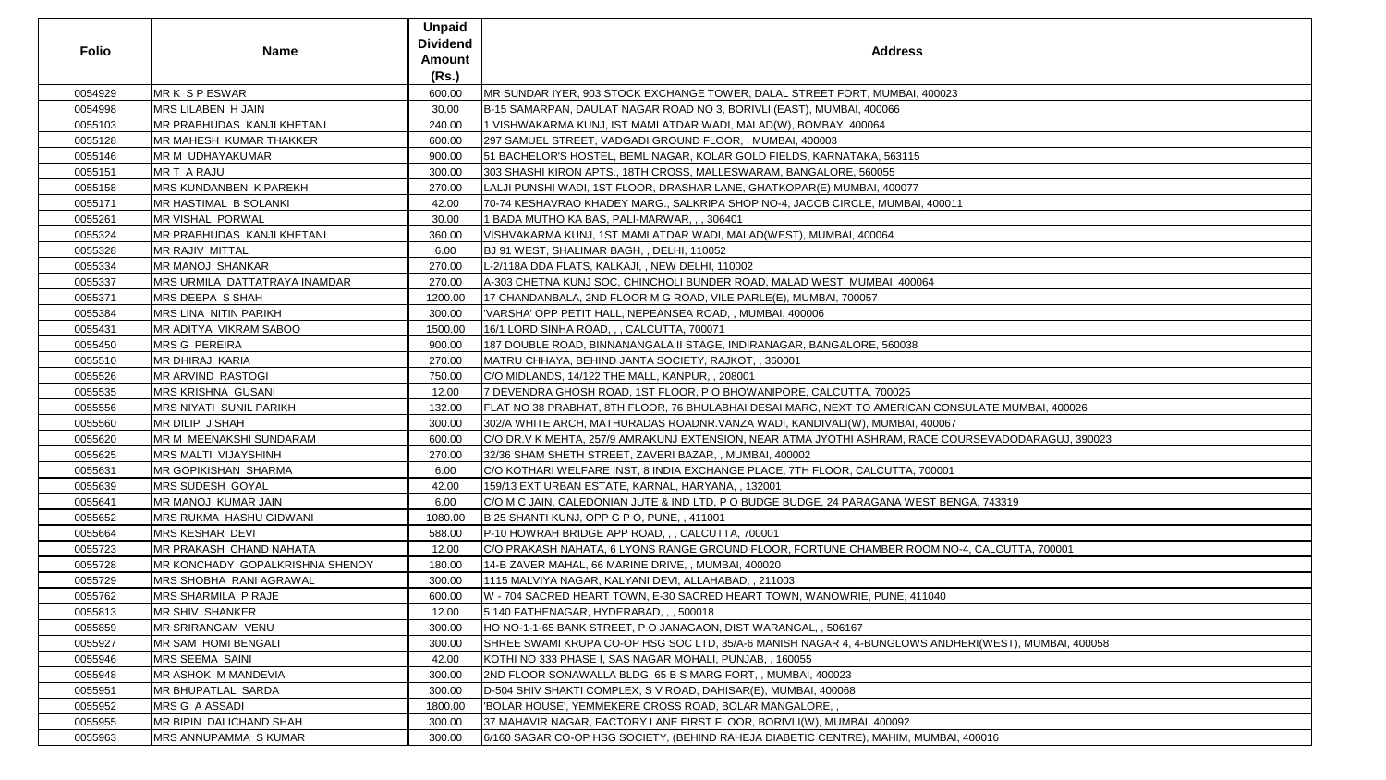| <b>Folio</b> | <b>Name</b>                     | <b>Unpaid</b><br><b>Dividend</b><br><b>Amount</b> | <b>Address</b>                                                                                       |
|--------------|---------------------------------|---------------------------------------------------|------------------------------------------------------------------------------------------------------|
|              |                                 | (Rs.)                                             |                                                                                                      |
| 0054929      | MR K S P ESWAR                  | 600.00                                            | MR SUNDAR IYER, 903 STOCK EXCHANGE TOWER, DALAL STREET FORT, MUMBAI, 400023                          |
| 0054998      | MRS LILABEN H JAIN              | 30.00                                             | B-15 SAMARPAN, DAULAT NAGAR ROAD NO 3, BORIVLI (EAST), MUMBAI, 400066                                |
| 0055103      | MR PRABHUDAS KANJI KHETANI      | 240.00                                            | 1 VISHWAKARMA KUNJ, IST MAMLATDAR WADI, MALAD(W), BOMBAY, 400064                                     |
| 0055128      | MR MAHESH KUMAR THAKKER         | 600.00                                            | 297 SAMUEL STREET, VADGADI GROUND FLOOR, , MUMBAI, 400003                                            |
| 0055146      | MR M UDHAYAKUMAR                | 900.00                                            | 51 BACHELOR'S HOSTEL, BEML NAGAR, KOLAR GOLD FIELDS, KARNATAKA, 563115                               |
| 0055151      | MR T A RAJU                     | 300.00                                            | 303 SHASHI KIRON APTS., 18TH CROSS, MALLESWARAM, BANGALORE, 560055                                   |
| 0055158      | MRS KUNDANBEN K PAREKH          | 270.00                                            | LALJI PUNSHI WADI, 1ST FLOOR, DRASHAR LANE, GHATKOPAR(E) MUMBAI, 400077                              |
| 0055171      | MR HASTIMAL B SOLANKI           | 42.00                                             | 70-74 KESHAVRAO KHADEY MARG., SALKRIPA SHOP NO-4, JACOB CIRCLE, MUMBAI, 400011                       |
| 0055261      | MR VISHAL PORWAL                | 30.00                                             | 1 BADA MUTHO KA BAS, PALI-MARWAR, , , 306401                                                         |
| 0055324      | MR PRABHUDAS KANJI KHETANI      | 360.00                                            | VISHVAKARMA KUNJ, 1ST MAMLATDAR WADI, MALAD(WEST), MUMBAI, 400064                                    |
| 0055328      | MR RAJIV MITTAL                 | 6.00                                              | BJ 91 WEST, SHALIMAR BAGH, , DELHI, 110052                                                           |
| 0055334      | <b>MR MANOJ SHANKAR</b>         | 270.00                                            | L-2/118A DDA FLATS, KALKAJI, , NEW DELHI, 110002                                                     |
| 0055337      | MRS URMILA DATTATRAYA INAMDAR   | 270.00                                            | A-303 CHETNA KUNJ SOC, CHINCHOLI BUNDER ROAD, MALAD WEST, MUMBAI, 400064                             |
| 0055371      | MRS DEEPA S SHAH                | 1200.00                                           | 17 CHANDANBALA, 2ND FLOOR M G ROAD, VILE PARLE(E), MUMBAI, 700057                                    |
| 0055384      | MRS LINA NITIN PARIKH           | 300.00                                            | VARSHA' OPP PETIT HALL, NEPEANSEA ROAD, , MUMBAI, 400006                                             |
| 0055431      | MR ADITYA VIKRAM SABOO          | 1500.00                                           | 16/1 LORD SINHA ROAD, , , CALCUTTA, 700071                                                           |
| 0055450      | <b>MRS G PEREIRA</b>            | 900.00                                            | 187 DOUBLE ROAD, BINNANANGALA II STAGE, INDIRANAGAR, BANGALORE, 560038                               |
| 0055510      | MR DHIRAJ KARIA                 | 270.00                                            | MATRU CHHAYA, BEHIND JANTA SOCIETY, RAJKOT, , 360001                                                 |
| 0055526      | MR ARVIND RASTOGI               | 750.00                                            | C/O MIDLANDS, 14/122 THE MALL, KANPUR, , 208001                                                      |
| 0055535      | <b>MRS KRISHNA GUSANI</b>       | 12.00                                             | 7 DEVENDRA GHOSH ROAD, 1ST FLOOR, P O BHOWANIPORE, CALCUTTA, 700025                                  |
| 0055556      | MRS NIYATI SUNIL PARIKH         | 132.00                                            | FLAT NO 38 PRABHAT, 8TH FLOOR, 76 BHULABHAI DESAI MARG, NEXT TO AMERICAN CONSULATE MUMBAI, 400026    |
| 0055560      | MR DILIP J SHAH                 | 300.00                                            | 302/A WHITE ARCH, MATHURADAS ROADNR.VANZA WADI, KANDIVALI(W), MUMBAI, 400067                         |
| 0055620      | MR M_MEENAKSHI SUNDARAM         | 600.00                                            | C/O DR.V K MEHTA, 257/9 AMRAKUNJ EXTENSION, NEAR ATMA JYOTHI ASHRAM, RACE COURSEVADODARAGUJ, 390023  |
| 0055625      | MRS MALTI VIJAYSHINH            | 270.00                                            | 32/36 SHAM SHETH STREET, ZAVERI BAZAR,, MUMBAI, 400002                                               |
| 0055631      | MR GOPIKISHAN SHARMA            | 6.00                                              | C/O KOTHARI WELFARE INST, 8 INDIA EXCHANGE PLACE, 7TH FLOOR, CALCUTTA, 700001                        |
| 0055639      | MRS SUDESH GOYAL                | 42.00                                             | 159/13 EXT URBAN ESTATE, KARNAL, HARYANA, , 132001                                                   |
| 0055641      | MR MANOJ KUMAR JAIN             | 6.00                                              | C/O M C JAIN, CALEDONIAN JUTE & IND LTD, P O BUDGE BUDGE, 24 PARAGANA WEST BENGA, 743319             |
| 0055652      | MRS RUKMA HASHU GIDWANI         | 1080.00                                           | B 25 SHANTI KUNJ, OPP G P O, PUNE, 411001                                                            |
| 0055664      | MRS KESHAR DEVI                 | 588.00                                            | P-10 HOWRAH BRIDGE APP ROAD, , , CALCUTTA, 700001                                                    |
| 0055723      | MR PRAKASH CHAND NAHATA         | 12.00                                             | C/O PRAKASH NAHATA, 6 LYONS RANGE GROUND FLOOR, FORTUNE CHAMBER ROOM NO-4, CALCUTTA, 700001          |
| 0055728      | MR KONCHADY GOPALKRISHNA SHENOY | 180.00                                            | 14-B ZAVER MAHAL, 66 MARINE DRIVE, , MUMBAI, 400020                                                  |
| 0055729      | MRS SHOBHA RANI AGRAWAL         | 300.00                                            | 1115 MALVIYA NAGAR, KALYANI DEVI, ALLAHABAD, , 211003                                                |
| 0055762      | MRS SHARMILA P RAJE             | 600.00                                            | W - 704 SACRED HEART TOWN, E-30 SACRED HEART TOWN, WANOWRIE, PUNE, 411040                            |
| 0055813      | MR SHIV SHANKER                 | 12.00                                             | 5 140 FATHENAGAR, HYDERABAD, , , 500018                                                              |
| 0055859      | MR SRIRANGAM VENU               | 300.00                                            | HO NO-1-1-65 BANK STREET, P O JANAGAON, DIST WARANGAL, , 506167                                      |
| 0055927      | MR SAM HOMI BENGALI             | 300.00                                            | SHREE SWAMI KRUPA CO-OP HSG SOC LTD, 35/A-6 MANISH NAGAR 4, 4-BUNGLOWS ANDHERI(WEST), MUMBAI, 400058 |
| 0055946      | MRS SEEMA SAINI                 | 42.00                                             | KOTHI NO 333 PHASE I, SAS NAGAR MOHALI, PUNJAB,, 160055                                              |
| 0055948      | MR ASHOK M MANDEVIA             | 300.00                                            | 2ND FLOOR SONAWALLA BLDG, 65 B S MARG FORT, , MUMBAI, 400023                                         |
| 0055951      | MR BHUPATLAL SARDA              | 300.00                                            | D-504 SHIV SHAKTI COMPLEX, S V ROAD, DAHISAR(E), MUMBAI, 400068                                      |
| 0055952      | MRS G A ASSADI                  | 1800.00                                           | 'BOLAR HOUSE', YEMMEKERE CROSS ROAD, BOLAR MANGALORE, ,                                              |
| 0055955      | MR BIPIN DALICHAND SHAH         | 300.00                                            | 37 MAHAVIR NAGAR, FACTORY LANE FIRST FLOOR, BORIVLI(W), MUMBAI, 400092                               |
| 0055963      | MRS ANNUPAMMA SKUMAR            | 300.00                                            | 6/160 SAGAR CO-OP HSG SOCIETY, (BEHIND RAHEJA DIABETIC CENTRE), MAHIM, MUMBAI, 400016                |

| ATE MUMBAI, 400026      |
|-------------------------|
|                         |
|                         |
| SEVADODARAGUJ, 390023   |
|                         |
|                         |
|                         |
|                         |
|                         |
| <u>,</u> 743319         |
|                         |
|                         |
|                         |
| CALCUTTA, 700001        |
|                         |
|                         |
|                         |
|                         |
|                         |
|                         |
|                         |
| I(WEST), MUMBAI, 400058 |
|                         |
|                         |
|                         |
|                         |
|                         |
|                         |
|                         |
| 0016                    |
|                         |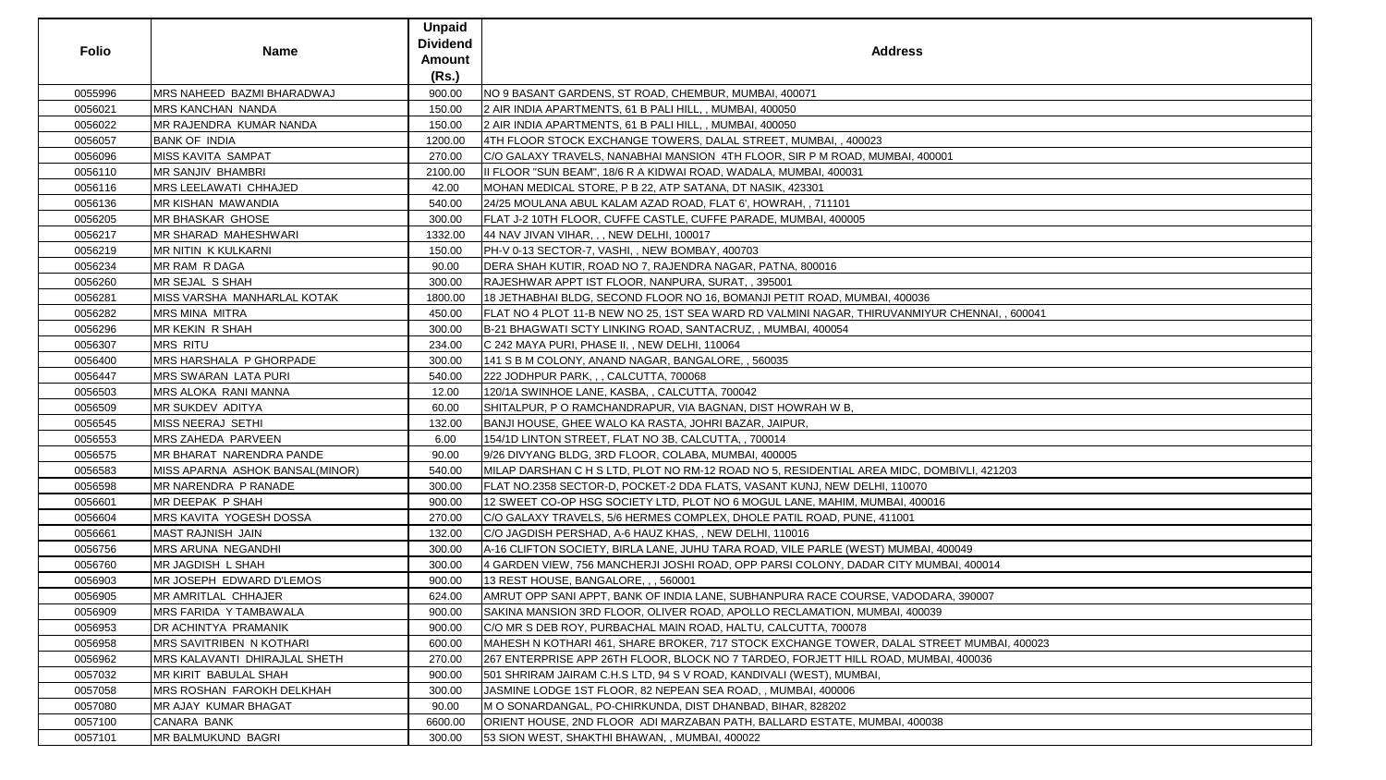| <b>Folio</b> | <b>Name</b>                       | <b>Unpaid</b><br><b>Dividend</b><br><b>Amount</b><br>(Rs.) | <b>Address</b>                                                                                |
|--------------|-----------------------------------|------------------------------------------------------------|-----------------------------------------------------------------------------------------------|
| 0055996      | <b>MRS NAHEED BAZMI BHARADWAJ</b> | 900.00                                                     | INO 9 BASANT GARDENS, ST ROAD, CHEMBUR, MUMBAI, 400071                                        |
| 0056021      | <b>MRS KANCHAN NANDA</b>          | 150.00                                                     | 2 AIR INDIA APARTMENTS, 61 B PALI HILL, , MUMBAI, 400050                                      |
| 0056022      | <b>IMR RAJENDRA KUMAR NANDA</b>   | 150.00                                                     | 2 AIR INDIA APARTMENTS, 61 B PALI HILL,, MUMBAI, 400050                                       |
| 0056057      | <b>BANK OF INDIA</b>              | 1200.00                                                    | 4TH FLOOR STOCK EXCHANGE TOWERS, DALAL STREET, MUMBAI, , 400023                               |
| 0056096      | <b>MISS KAVITA SAMPAT</b>         | 270.00                                                     | C/O GALAXY TRAVELS, NANABHAI MANSION 4TH FLOOR, SIR P M ROAD, MUMBAI, 400001                  |
| 0056110      | <b>MR SANJIV BHAMBRI</b>          | 2100.00                                                    | III FLOOR "SUN BEAM", 18/6 R A KIDWAI ROAD, WADALA, MUMBAI, 400031                            |
| 0056116      | <b>MRS LEELAWATI CHHAJED</b>      | 42.00                                                      | MOHAN MEDICAL STORE, P B 22, ATP SATANA, DT NASIK, 423301                                     |
| 0056136      | <b>MR KISHAN MAWANDIA</b>         | 540.00                                                     | 24/25 MOULANA ABUL KALAM AZAD ROAD, FLAT 6', HOWRAH, , 711101                                 |
| 0056205      | <b>MR BHASKAR GHOSE</b>           | 300.00                                                     | FLAT J-2 10TH FLOOR, CUFFE CASTLE, CUFFE PARADE, MUMBAI, 400005                               |
| 0056217      | <b>MR SHARAD MAHESHWARI</b>       | 1332.00                                                    | 44 NAV JIVAN VIHAR, , , NEW DELHI, 100017                                                     |
| 0056219      | <b>MR NITIN K KULKARNI</b>        | 150.00                                                     | PH-V 0-13 SECTOR-7, VASHI, , NEW BOMBAY, 400703                                               |
| 0056234      | MR RAM R DAGA                     | 90.00                                                      | DERA SHAH KUTIR, ROAD NO 7, RAJENDRA NAGAR, PATNA, 800016                                     |
| 0056260      | MR SEJAL S SHAH                   | 300.00                                                     | RAJESHWAR APPT IST FLOOR, NANPURA, SURAT, , 395001                                            |
| 0056281      | MISS VARSHA MANHARLAL KOTAK       | 1800.00                                                    | 18 JETHABHAI BLDG, SECOND FLOOR NO 16, BOMANJI PETIT ROAD, MUMBAI, 400036                     |
| 0056282      | <b>MRS MINA MITRA</b>             | 450.00                                                     | FLAT NO 4 PLOT 11-B NEW NO 25, 1ST SEA WARD RD VALMINI NAGAR, THIRUVANMIYUR CHENNAI, , 600041 |
| 0056296      | <b>MR KEKIN R SHAH</b>            | 300.00                                                     | B-21 BHAGWATI SCTY LINKING ROAD, SANTACRUZ,, MUMBAI, 400054                                   |
| 0056307      | <b>MRS RITU</b>                   | 234.00                                                     | C 242 MAYA PURI, PHASE II, , NEW DELHI, 110064                                                |
| 0056400      | <b>IMRS HARSHALA P GHORPADE</b>   | 300.00                                                     | 141 S B M COLONY, ANAND NAGAR, BANGALORE, , 560035                                            |
| 0056447      | <b>IMRS SWARAN LATA PURI</b>      | 540.00                                                     | 222 JODHPUR PARK, , , CALCUTTA, 700068                                                        |
| 0056503      | MRS ALOKA RANI MANNA              | 12.00                                                      | 120/1A SWINHOE LANE, KASBA, , CALCUTTA, 700042                                                |
| 0056509      | <b>MR SUKDEV ADITYA</b>           | 60.00                                                      | SHITALPUR, P O RAMCHANDRAPUR, VIA BAGNAN, DIST HOWRAH W B,                                    |
| 0056545      | MISS NEERAJ SETHI                 | 132.00                                                     | BANJI HOUSE, GHEE WALO KA RASTA, JOHRI BAZAR, JAIPUR,                                         |
| 0056553      | <b>MRS ZAHEDA PARVEEN</b>         | 6.00                                                       | 154/1D LINTON STREET, FLAT NO 3B, CALCUTTA, , 700014                                          |
| 0056575      | <b>MR BHARAT NARENDRA PANDE</b>   | 90.00                                                      | 9/26 DIVYANG BLDG, 3RD FLOOR, COLABA, MUMBAI, 400005                                          |
| 0056583      | MISS APARNA ASHOK BANSAL(MINOR)   | 540.00                                                     | MILAP DARSHAN C H S LTD, PLOT NO RM-12 ROAD NO 5, RESIDENTIAL AREA MIDC, DOMBIVLI, 421203     |
| 0056598      | <b>MR NARENDRA P RANADE</b>       | 300.00                                                     | FLAT NO.2358 SECTOR-D, POCKET-2 DDA FLATS, VASANT KUNJ, NEW DELHI, 110070                     |
| 0056601      | MR DEEPAK P SHAH                  | 900.00                                                     | 12 SWEET CO-OP HSG SOCIETY LTD, PLOT NO 6 MOGUL LANE, MAHIM, MUMBAI, 400016                   |
| 0056604      | <b>IMRS KAVITA YOGESH DOSSA</b>   | 270.00                                                     | C/O GALAXY TRAVELS, 5/6 HERMES COMPLEX, DHOLE PATIL ROAD, PUNE, 411001                        |
| 0056661      | <b>MAST RAJNISH JAIN</b>          | 132.00                                                     | C/O JAGDISH PERSHAD, A-6 HAUZ KHAS, , NEW DELHI, 110016                                       |
| 0056756      | <b>MRS ARUNA NEGANDHI</b>         | 300.00                                                     | A-16 CLIFTON SOCIETY, BIRLA LANE, JUHU TARA ROAD, VILE PARLE (WEST) MUMBAI, 400049            |
| 0056760      | <b>MR JAGDISH L SHAH</b>          | 300.00                                                     | 4 GARDEN VIEW, 756 MANCHERJI JOSHI ROAD, OPP PARSI COLONY, DADAR CITY MUMBAI, 400014          |
| 0056903      | MR JOSEPH EDWARD D'LEMOS          | 900.00                                                     | 13 REST HOUSE, BANGALORE, , , 560001                                                          |
| 0056905      | <b>MR AMRITLAL CHHAJER</b>        | 624.00                                                     | AMRUT OPP SANI APPT, BANK OF INDIA LANE, SUBHANPURA RACE COURSE, VADODARA, 390007             |
| 0056909      | MRS FARIDA Y TAMBAWALA            | 900.00                                                     | SAKINA MANSION 3RD FLOOR, OLIVER ROAD, APOLLO RECLAMATION, MUMBAI, 400039                     |
| 0056953      | <b>DR ACHINTYA PRAMANIK</b>       | 900.00                                                     | C/O MR S DEB ROY, PURBACHAL MAIN ROAD, HALTU, CALCUTTA, 700078                                |
| 0056958      | <b>IMRS SAVITRIBEN N KOTHARI</b>  | 600.00                                                     | MAHESH N KOTHARI 461, SHARE BROKER, 717 STOCK EXCHANGE TOWER, DALAL STREET MUMBAI, 400023     |
| 0056962      | IMRS KALAVANTI DHIRAJLAL SHETH    | 270.00                                                     | 267 ENTERPRISE APP 26TH FLOOR, BLOCK NO 7 TARDEO, FORJETT HILL ROAD, MUMBAI, 400036           |
| 0057032      | <b>IMR KIRIT BABULAL SHAH</b>     | 900.00                                                     | [501 SHRIRAM JAIRAM C.H.S LTD, 94 S V ROAD, KANDIVALI (WEST), MUMBAI,                         |
| 0057058      | <b>MRS ROSHAN FAROKH DELKHAH</b>  | 300.00                                                     | JASMINE LODGE 1ST FLOOR, 82 NEPEAN SEA ROAD,, MUMBAI, 400006                                  |
| 0057080      | <b>MR AJAY KUMAR BHAGAT</b>       | 90.00                                                      | M O SONARDANGAL, PO-CHIRKUNDA, DIST DHANBAD, BIHAR, 828202                                    |
| 0057100      | <b>CANARA BANK</b>                | 6600.00                                                    | ORIENT HOUSE, 2ND FLOOR ADI MARZABAN PATH, BALLARD ESTATE, MUMBAI, 400038                     |
| 0057101      | <b>MR BALMUKUND BAGRI</b>         | 300.00                                                     | 53 SION WEST, SHAKTHI BHAWAN, , MUMBAI, 400022                                                |

| ENNAI, , 600041 |  |
|-----------------|--|
|                 |  |
|                 |  |
|                 |  |
|                 |  |
|                 |  |
|                 |  |
|                 |  |
|                 |  |
|                 |  |
|                 |  |
|                 |  |
|                 |  |
|                 |  |
|                 |  |
|                 |  |
|                 |  |
| LI, 421203      |  |
|                 |  |
|                 |  |
|                 |  |
|                 |  |
|                 |  |
|                 |  |
| $\overline{9}$  |  |
|                 |  |
| 400014          |  |
|                 |  |
|                 |  |
| 90007           |  |
|                 |  |
|                 |  |
|                 |  |
| MUMBAI, 400023  |  |
|                 |  |
| 0036            |  |
|                 |  |
|                 |  |
|                 |  |
|                 |  |
|                 |  |
|                 |  |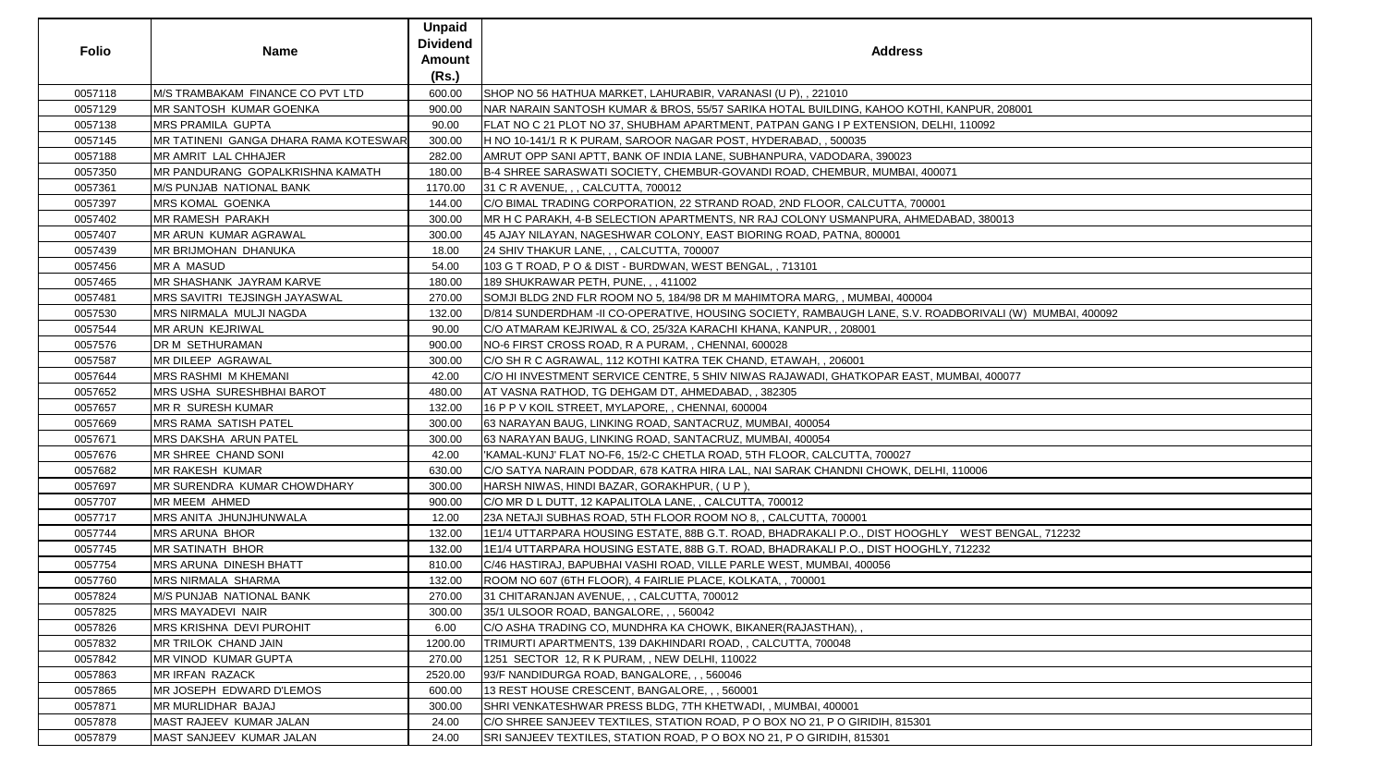| <b>Folio</b> | <b>Name</b>                           | <b>Unpaid</b><br><b>Dividend</b><br><b>Amount</b><br>(Rs.) | <b>Address</b>                                                                                          |
|--------------|---------------------------------------|------------------------------------------------------------|---------------------------------------------------------------------------------------------------------|
| 0057118      | M/S TRAMBAKAM FINANCE CO PVT LTD      | 600.00                                                     | SHOP NO 56 HATHUA MARKET, LAHURABIR, VARANASI (U P), , 221010                                           |
| 0057129      | <b>MR SANTOSH KUMAR GOENKA</b>        | 900.00                                                     | NAR NARAIN SANTOSH KUMAR & BROS, 55/57 SARIKA HOTAL BUILDING, KAHOO KOTHI, KANPUR, 208001               |
| 0057138      | <b>MRS PRAMILA GUPTA</b>              | 90.00                                                      | FLAT NO C 21 PLOT NO 37, SHUBHAM APARTMENT, PATPAN GANG I P EXTENSION, DELHI, 110092                    |
| 0057145      | MR TATINENI GANGA DHARA RAMA KOTESWAR | 300.00                                                     | H NO 10-141/1 R K PURAM, SAROOR NAGAR POST, HYDERABAD, , 500035                                         |
| 0057188      | MR AMRIT LAL CHHAJER                  | 282.00                                                     | AMRUT OPP SANI APTT, BANK OF INDIA LANE, SUBHANPURA, VADODARA, 390023                                   |
| 0057350      | MR PANDURANG GOPALKRISHNA KAMATH      | 180.00                                                     | B-4 SHREE SARASWATI SOCIETY, CHEMBUR-GOVANDI ROAD, CHEMBUR, MUMBAI, 400071                              |
| 0057361      | M/S PUNJAB NATIONAL BANK              | 1170.00                                                    | 31 C R AVENUE, , , CALCUTTA, 700012                                                                     |
| 0057397      | <b>MRS KOMAL GOENKA</b>               | 144.00                                                     | C/O BIMAL TRADING CORPORATION, 22 STRAND ROAD, 2ND FLOOR, CALCUTTA, 700001                              |
| 0057402      | MR RAMESH PARAKH                      | 300.00                                                     | MR H C PARAKH, 4-B SELECTION APARTMENTS, NR RAJ COLONY USMANPURA, AHMEDABAD, 380013                     |
| 0057407      | MR ARUN KUMAR AGRAWAL                 | 300.00                                                     | 45 AJAY NILAYAN, NAGESHWAR COLONY, EAST BIORING ROAD, PATNA, 800001                                     |
| 0057439      | MR BRIJMOHAN DHANUKA                  | 18.00                                                      | 24 SHIV THAKUR LANE, , , CALCUTTA, 700007                                                               |
| 0057456      | <b>MR A MASUD</b>                     | 54.00                                                      | 103 G T ROAD, P O & DIST - BURDWAN, WEST BENGAL, , 713101                                               |
| 0057465      | MR SHASHANK JAYRAM KARVE              | 180.00                                                     | 189 SHUKRAWAR PETH, PUNE, , , 411002                                                                    |
| 0057481      | <b>MRS SAVITRI TEJSINGH JAYASWAL</b>  | 270.00                                                     | SOMJI BLDG 2ND FLR ROOM NO 5, 184/98 DR M MAHIMTORA MARG, , MUMBAI, 400004                              |
| 0057530      | MRS NIRMALA MULJI NAGDA               | 132.00                                                     | D/814 SUNDERDHAM -II CO-OPERATIVE, HOUSING SOCIETY, RAMBAUGH LANE, S.V. ROADBORIVALI (W) MUMBAI, 400092 |
| 0057544      | MR ARUN KEJRIWAL                      | 90.00                                                      | C/O ATMARAM KEJRIWAL & CO, 25/32A KARACHI KHANA, KANPUR, , 208001                                       |
| 0057576      | DR M SETHURAMAN                       | 900.00                                                     | NO-6 FIRST CROSS ROAD, R A PURAM, , CHENNAI, 600028                                                     |
| 0057587      | MR DILEEP AGRAWAL                     | 300.00                                                     | C/O SH R C AGRAWAL, 112 KOTHI KATRA TEK CHAND, ETAWAH, , 206001                                         |
| 0057644      | MRS RASHMI M KHEMANI                  | 42.00                                                      | C/O HI INVESTMENT SERVICE CENTRE, 5 SHIV NIWAS RAJAWADI, GHATKOPAR EAST, MUMBAI, 400077                 |
| 0057652      | MRS USHA SURESHBHAI BAROT             | 480.00                                                     | AT VASNA RATHOD, TG DEHGAM DT, AHMEDABAD, , 382305                                                      |
| 0057657      | <b>MR R SURESH KUMAR</b>              | 132.00                                                     | 16 P P V KOIL STREET, MYLAPORE, , CHENNAI, 600004                                                       |
| 0057669      | MRS RAMA SATISH PATEL                 | 300.00                                                     | 63 NARAYAN BAUG, LINKING ROAD, SANTACRUZ, MUMBAI, 400054                                                |
| 0057671      | MRS DAKSHA ARUN PATEL                 | 300.00                                                     | 63 NARAYAN BAUG, LINKING ROAD, SANTACRUZ, MUMBAI, 400054                                                |
| 0057676      | MR SHREE CHAND SONI                   | 42.00                                                      | 'KAMAL-KUNJ' FLAT NO-F6, 15/2-C CHETLA ROAD, 5TH FLOOR, CALCUTTA, 700027                                |
| 0057682      | <b>MR RAKESH KUMAR</b>                | 630.00                                                     | C/O SATYA NARAIN PODDAR, 678 KATRA HIRA LAL, NAI SARAK CHANDNI CHOWK, DELHI, 110006                     |
| 0057697      | MR SURENDRA KUMAR CHOWDHARY           | 300.00                                                     | HARSH NIWAS, HINDI BAZAR, GORAKHPUR, (UP),                                                              |
| 0057707      | MR MEEM AHMED                         | 900.00                                                     | C/O MR D L DUTT, 12 KAPALITOLA LANE, , CALCUTTA, 700012                                                 |
| 0057717      | MRS ANITA JHUNJHUNWALA                | 12.00                                                      | 23A NETAJI SUBHAS ROAD, 5TH FLOOR ROOM NO 8, , CALCUTTA, 700001                                         |
| 0057744      | <b>MRS ARUNA BHOR</b>                 | 132.00                                                     | 1E1/4 UTTARPARA HOUSING ESTATE, 88B G.T. ROAD, BHADRAKALI P.O., DIST HOOGHLY WEST BENGAL, 712232        |
| 0057745      | MR SATINATH BHOR                      | 132.00                                                     | 1E1/4 UTTARPARA HOUSING ESTATE, 88B G.T. ROAD, BHADRAKALI P.O., DIST HOOGHLY, 712232                    |
| 0057754      | MRS ARUNA DINESH BHATT                | 810.00                                                     | C/46 HASTIRAJ, BAPUBHAI VASHI ROAD, VILLE PARLE WEST, MUMBAI, 400056                                    |
| 0057760      | MRS NIRMALA SHARMA                    | 132.00                                                     | ROOM NO 607 (6TH FLOOR), 4 FAIRLIE PLACE, KOLKATA, , 700001                                             |
| 0057824      | M/S PUNJAB NATIONAL BANK              | 270.00                                                     | 31 CHITARANJAN AVENUE, , , CALCUTTA, 700012                                                             |
| 0057825      | <b>MRS MAYADEVI NAIR</b>              | 300.00                                                     | 35/1 ULSOOR ROAD, BANGALORE, , , 560042                                                                 |
| 0057826      | MRS KRISHNA DEVI PUROHIT              | 6.00                                                       | C/O ASHA TRADING CO, MUNDHRA KA CHOWK, BIKANER(RAJASTHAN),                                              |
| 0057832      | MR TRILOK CHAND JAIN                  | 1200.00                                                    | TRIMURTI APARTMENTS, 139 DAKHINDARI ROAD, , CALCUTTA, 700048                                            |
| 0057842      | MR VINOD KUMAR GUPTA                  | 270.00                                                     | 1251 SECTOR 12, R K PURAM, , NEW DELHI, 110022                                                          |
| 0057863      | <b>MR IRFAN RAZACK</b>                | 2520.00                                                    | 93/F NANDIDURGA ROAD, BANGALORE, , , 560046                                                             |
| 0057865      | <b>MR JOSEPH EDWARD D'LEMOS</b>       | 600.00                                                     | 13 REST HOUSE CRESCENT, BANGALORE, , , 560001                                                           |
| 0057871      | IMR MURLIDHAR BAJAJ                   | 300.00                                                     | SHRI VENKATESHWAR PRESS BLDG, 7TH KHETWADI,, MUMBAI, 400001                                             |
| 0057878      | MAST RAJEEV KUMAR JALAN               | 24.00                                                      | C/O SHREE SANJEEV TEXTILES, STATION ROAD, P O BOX NO 21, P O GIRIDIH, 815301                            |
| 0057879      | MAST SANJEEV KUMAR JALAN              | 24.00                                                      | SRI SANJEEV TEXTILES, STATION ROAD, P O BOX NO 21, P O GIRIDIH, 815301                                  |

| KANPUR, 208001               |
|------------------------------|
| II, 110092                   |
|                              |
|                              |
|                              |
| 71                           |
|                              |
|                              |
| <b>BAD, 380013</b>           |
|                              |
|                              |
|                              |
|                              |
|                              |
| DBORIVALI (W) MUMBAI, 400092 |
|                              |
|                              |
|                              |
| JMBAI, 400077                |
|                              |
|                              |
|                              |
|                              |
|                              |
| 110006                       |
|                              |
|                              |
|                              |
| WEST BENGAL, 712232          |
| , 712232                     |
|                              |
|                              |
|                              |
|                              |
|                              |
|                              |
|                              |
|                              |
|                              |
|                              |
|                              |
|                              |
|                              |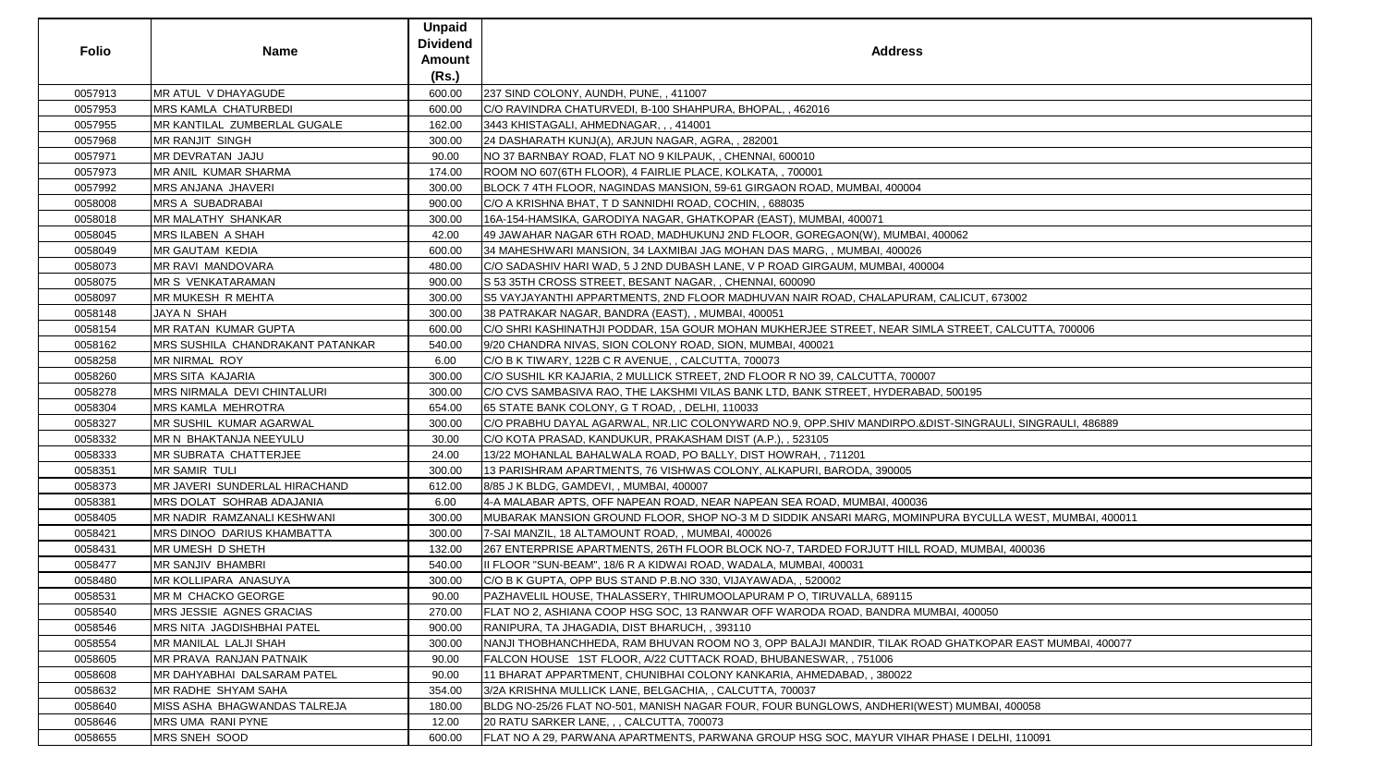| 0057913<br><b>MR ATUL V DHAYAGUDE</b><br>600.00<br>237 SIND COLONY, AUNDH, PUNE, 411007<br>0057953<br><b>IMRS KAMLA CHATURBEDI</b><br>600.00<br>C/O RAVINDRA CHATURVEDI, B-100 SHAHPURA, BHOPAL,, 462016<br>0057955<br>MR KANTILAL ZUMBERLAL GUGALE<br>3443 KHISTAGALI, AHMEDNAGAR, ,, 414001<br>162.00<br><b>MR RANJIT SINGH</b><br>0057968<br>300.00<br>24 DASHARATH KUNJ(A), ARJUN NAGAR, AGRA, , 282001<br>MR DEVRATAN JAJU<br>0057971<br>90.00<br>NO 37 BARNBAY ROAD, FLAT NO 9 KILPAUK, , CHENNAI, 600010<br>MR ANIL KUMAR SHARMA<br>0057973<br>174.00<br>ROOM NO 607(6TH FLOOR), 4 FAIRLIE PLACE, KOLKATA,, 700001<br>MRS ANJANA JHAVERI<br>BLOCK 7 4TH FLOOR, NAGINDAS MANSION, 59-61 GIRGAON ROAD, MUMBAI, 400004<br>0057992<br>300.00<br>0058008<br><b>IMRS A SUBADRABAI</b><br>900.00<br>C/O A KRISHNA BHAT, T D SANNIDHI ROAD, COCHIN, , 688035<br>0058018<br><b>MR MALATHY SHANKAR</b><br>16A-154-HAMSIKA, GARODIYA NAGAR, GHATKOPAR (EAST), MUMBAI, 400071<br>300.00<br>0058045<br><b>MRS ILABEN A SHAH</b><br>42.00<br>49 JAWAHAR NAGAR 6TH ROAD, MADHUKUNJ 2ND FLOOR, GOREGAON(W), MUMBAI, 400062<br>0058049<br>MR GAUTAM KEDIA<br>600.00<br>34 MAHESHWARI MANSION, 34 LAXMIBAI JAG MOHAN DAS MARG, , MUMBAI, 400026<br><b>MR RAVI MANDOVARA</b><br>C/O SADASHIV HARI WAD, 5 J 2ND DUBASH LANE, V P ROAD GIRGAUM, MUMBAI, 400004<br>0058073<br>480.00<br>900.00<br>0058075<br><b>IMR S VENKATARAMAN</b><br>S 53 35TH CROSS STREET, BESANT NAGAR, , CHENNAI, 600090<br>MR MUKESH R MEHTA<br>0058097<br>300.00<br>S5 VAYJAYANTHI APPARTMENTS, 2ND FLOOR MADHUVAN NAIR ROAD, CHALAPURAM, CALICUT, 673002<br>0058148<br>JAYA N SHAH<br>300.00<br>38 PATRAKAR NAGAR, BANDRA (EAST), , MUMBAI, 400051<br><b>MR RATAN KUMAR GUPTA</b><br>0058154<br>600.00<br>C/O SHRI KASHINATHJI PODDAR, 15A GOUR MOHAN MUKHERJEE STREET, NEAR SIMLA STREET, CALCUTTA, 700006<br>MRS SUSHILA CHANDRAKANT PATANKAR<br>0058162<br>9/20 CHANDRA NIVAS, SION COLONY ROAD, SION, MUMBAI, 400021<br>540.00<br><b>MR NIRMAL ROY</b><br>0058258<br>6.00<br>C/O B K TIWARY, 122B C R AVENUE, , CALCUTTA, 700073<br>0058260<br><b>MRS SITA KAJARIA</b><br>C/O SUSHIL KR KAJARIA, 2 MULLICK STREET, 2ND FLOOR R NO 39, CALCUTTA, 700007<br>300.00<br>MRS NIRMALA DEVI CHINTALURI<br>0058278<br>300.00<br>C/O CVS SAMBASIVA RAO, THE LAKSHMI VILAS BANK LTD, BANK STREET, HYDERABAD, 500195<br>0058304<br><b>IMRS KAMLA MEHROTRA</b><br>654.00<br>65 STATE BANK COLONY, G T ROAD, , DELHI, 110033<br>MR SUSHIL KUMAR AGARWAL<br>0058327<br>C/O PRABHU DAYAL AGARWAL, NR.LIC COLONYWARD NO.9, OPP.SHIV MANDIRPO.&DIST-SINGRAULI, SINGRAULI, 486889<br>300.00<br>MR N BHAKTANJA NEEYULU<br>0058332<br>30.00<br>C/O KOTA PRASAD, KANDUKUR, PRAKASHAM DIST (A.P.), , 523105<br>0058333<br><b>MR SUBRATA CHATTERJEE</b><br>13/22 MOHANLAL BAHALWALA ROAD, PO BALLY, DIST HOWRAH, , 711201<br>24.00<br><b>MR SAMIR TULI</b><br>300.00<br>0058351<br>13 PARISHRAM APARTMENTS, 76 VISHWAS COLONY, ALKAPURI, BARODA, 390005<br>MR JAVERI SUNDERLAL HIRACHAND<br>0058373<br>8/85 J K BLDG, GAMDEVI, , MUMBAI, 400007<br>612.00<br>0058381<br>MRS DOLAT SOHRAB ADAJANIA<br>6.00<br>4-A MALABAR APTS, OFF NAPEAN ROAD, NEAR NAPEAN SEA ROAD, MUMBAI, 400036<br>0058405<br>MR NADIR RAMZANALI KESHWANI<br>300.00<br>0058421<br>MRS DINOO DARIUS KHAMBATTA<br>300.00<br>7-SAI MANZIL, 18 ALTAMOUNT ROAD, , MUMBAI, 400026<br>0058431<br>MR UMESH D SHETH<br>132.00<br>267 ENTERPRISE APARTMENTS, 26TH FLOOR BLOCK NO-7, TARDED FORJUTT HILL ROAD, MUMBAI, 400036<br><b>MR SANJIV BHAMBRI</b><br>0058477<br>540.00<br>III FLOOR "SUN-BEAM", 18/6 R A KIDWAI ROAD, WADALA, MUMBAI, 400031<br><b>MR KOLLIPARA ANASUYA</b><br>0058480<br>300.00<br>C/O B K GUPTA, OPP BUS STAND P.B.NO 330, VIJAYAWADA, , 520002<br>0058531<br><b>IMR M CHACKO GEORGE</b><br>PAZHAVELIL HOUSE, THALASSERY, THIRUMOOLAPURAM P O, TIRUVALLA, 689115<br>90.00<br>0058540<br>MRS JESSIE AGNES GRACIAS<br>FLAT NO 2, ASHIANA COOP HSG SOC, 13 RANWAR OFF WARODA ROAD, BANDRA MUMBAI, 400050<br>270.00<br>0058546<br>MRS NITA JAGDISHBHAI PATEL<br>900.00<br>RANIPURA, TA JHAGADIA, DIST BHARUCH, , 393110<br>0058554<br>MR MANILAL LALJI SHAH<br>300.00<br>0058605<br>MR PRAVA RANJAN PATNAIK<br>FALCON HOUSE 1ST FLOOR, A/22 CUTTACK ROAD, BHUBANESWAR, , 751006<br>90.00<br>MR DAHYABHAI DALSARAM PATEL<br>0058608<br>90.00<br>11 BHARAT APPARTMENT, CHUNIBHAI COLONY KANKARIA, AHMEDABAD, , 380022<br>0058632<br><b>IMR RADHE SHYAM SAHA</b><br>354.00<br>3/2A KRISHNA MULLICK LANE, BELGACHIA, , CALCUTTA, 700037<br>MISS ASHA BHAGWANDAS TALREJA<br>BLDG NO-25/26 FLAT NO-501, MANISH NAGAR FOUR, FOUR BUNGLOWS, ANDHERI(WEST) MUMBAI, 400058<br>0058640<br>180.00<br>0058646<br>MRS UMA RANI PYNE<br>12.00<br>20 RATU SARKER LANE, , , CALCUTTA, 700073 | <b>Folio</b> | <b>Name</b>   | <b>Unpaid</b><br><b>Dividend</b><br><b>Amount</b><br>(Rs.) | <b>Address</b>                                                                                         |
|-------------------------------------------------------------------------------------------------------------------------------------------------------------------------------------------------------------------------------------------------------------------------------------------------------------------------------------------------------------------------------------------------------------------------------------------------------------------------------------------------------------------------------------------------------------------------------------------------------------------------------------------------------------------------------------------------------------------------------------------------------------------------------------------------------------------------------------------------------------------------------------------------------------------------------------------------------------------------------------------------------------------------------------------------------------------------------------------------------------------------------------------------------------------------------------------------------------------------------------------------------------------------------------------------------------------------------------------------------------------------------------------------------------------------------------------------------------------------------------------------------------------------------------------------------------------------------------------------------------------------------------------------------------------------------------------------------------------------------------------------------------------------------------------------------------------------------------------------------------------------------------------------------------------------------------------------------------------------------------------------------------------------------------------------------------------------------------------------------------------------------------------------------------------------------------------------------------------------------------------------------------------------------------------------------------------------------------------------------------------------------------------------------------------------------------------------------------------------------------------------------------------------------------------------------------------------------------------------------------------------------------------------------------------------------------------------------------------------------------------------------------------------------------------------------------------------------------------------------------------------------------------------------------------------------------------------------------------------------------------------------------------------------------------------------------------------------------------------------------------------------------------------------------------------------------------------------------------------------------------------------------------------------------------------------------------------------------------------------------------------------------------------------------------------------------------------------------------------------------------------------------------------------------------------------------------------------------------------------------------------------------------------------------------------------------------------------------------------------------------------------------------------------------------------------------------------------------------------------------------------------------------------------------------------------------------------------------------------------------------------------------------------------------------------------------------------------------------------------------------------------------------------------------------------------------------------------------------------------------------------------------------------------------------------------------------------------------------------------------------------------------------------------------------------------------------------------------------------------------------------------------------------------------------------------------------------------------------------------------------------------------------------------------------------------------------------------------------------------------------------------------------------------------------------------|--------------|---------------|------------------------------------------------------------|--------------------------------------------------------------------------------------------------------|
|                                                                                                                                                                                                                                                                                                                                                                                                                                                                                                                                                                                                                                                                                                                                                                                                                                                                                                                                                                                                                                                                                                                                                                                                                                                                                                                                                                                                                                                                                                                                                                                                                                                                                                                                                                                                                                                                                                                                                                                                                                                                                                                                                                                                                                                                                                                                                                                                                                                                                                                                                                                                                                                                                                                                                                                                                                                                                                                                                                                                                                                                                                                                                                                                                                                                                                                                                                                                                                                                                                                                                                                                                                                                                                                                                                                                                                                                                                                                                                                                                                                                                                                                                                                                                                                                                                                                                                                                                                                                                                                                                                                                                                                                                                                                                                                                       |              |               |                                                            |                                                                                                        |
|                                                                                                                                                                                                                                                                                                                                                                                                                                                                                                                                                                                                                                                                                                                                                                                                                                                                                                                                                                                                                                                                                                                                                                                                                                                                                                                                                                                                                                                                                                                                                                                                                                                                                                                                                                                                                                                                                                                                                                                                                                                                                                                                                                                                                                                                                                                                                                                                                                                                                                                                                                                                                                                                                                                                                                                                                                                                                                                                                                                                                                                                                                                                                                                                                                                                                                                                                                                                                                                                                                                                                                                                                                                                                                                                                                                                                                                                                                                                                                                                                                                                                                                                                                                                                                                                                                                                                                                                                                                                                                                                                                                                                                                                                                                                                                                                       |              |               |                                                            |                                                                                                        |
|                                                                                                                                                                                                                                                                                                                                                                                                                                                                                                                                                                                                                                                                                                                                                                                                                                                                                                                                                                                                                                                                                                                                                                                                                                                                                                                                                                                                                                                                                                                                                                                                                                                                                                                                                                                                                                                                                                                                                                                                                                                                                                                                                                                                                                                                                                                                                                                                                                                                                                                                                                                                                                                                                                                                                                                                                                                                                                                                                                                                                                                                                                                                                                                                                                                                                                                                                                                                                                                                                                                                                                                                                                                                                                                                                                                                                                                                                                                                                                                                                                                                                                                                                                                                                                                                                                                                                                                                                                                                                                                                                                                                                                                                                                                                                                                                       |              |               |                                                            |                                                                                                        |
|                                                                                                                                                                                                                                                                                                                                                                                                                                                                                                                                                                                                                                                                                                                                                                                                                                                                                                                                                                                                                                                                                                                                                                                                                                                                                                                                                                                                                                                                                                                                                                                                                                                                                                                                                                                                                                                                                                                                                                                                                                                                                                                                                                                                                                                                                                                                                                                                                                                                                                                                                                                                                                                                                                                                                                                                                                                                                                                                                                                                                                                                                                                                                                                                                                                                                                                                                                                                                                                                                                                                                                                                                                                                                                                                                                                                                                                                                                                                                                                                                                                                                                                                                                                                                                                                                                                                                                                                                                                                                                                                                                                                                                                                                                                                                                                                       |              |               |                                                            |                                                                                                        |
|                                                                                                                                                                                                                                                                                                                                                                                                                                                                                                                                                                                                                                                                                                                                                                                                                                                                                                                                                                                                                                                                                                                                                                                                                                                                                                                                                                                                                                                                                                                                                                                                                                                                                                                                                                                                                                                                                                                                                                                                                                                                                                                                                                                                                                                                                                                                                                                                                                                                                                                                                                                                                                                                                                                                                                                                                                                                                                                                                                                                                                                                                                                                                                                                                                                                                                                                                                                                                                                                                                                                                                                                                                                                                                                                                                                                                                                                                                                                                                                                                                                                                                                                                                                                                                                                                                                                                                                                                                                                                                                                                                                                                                                                                                                                                                                                       |              |               |                                                            |                                                                                                        |
|                                                                                                                                                                                                                                                                                                                                                                                                                                                                                                                                                                                                                                                                                                                                                                                                                                                                                                                                                                                                                                                                                                                                                                                                                                                                                                                                                                                                                                                                                                                                                                                                                                                                                                                                                                                                                                                                                                                                                                                                                                                                                                                                                                                                                                                                                                                                                                                                                                                                                                                                                                                                                                                                                                                                                                                                                                                                                                                                                                                                                                                                                                                                                                                                                                                                                                                                                                                                                                                                                                                                                                                                                                                                                                                                                                                                                                                                                                                                                                                                                                                                                                                                                                                                                                                                                                                                                                                                                                                                                                                                                                                                                                                                                                                                                                                                       |              |               |                                                            |                                                                                                        |
|                                                                                                                                                                                                                                                                                                                                                                                                                                                                                                                                                                                                                                                                                                                                                                                                                                                                                                                                                                                                                                                                                                                                                                                                                                                                                                                                                                                                                                                                                                                                                                                                                                                                                                                                                                                                                                                                                                                                                                                                                                                                                                                                                                                                                                                                                                                                                                                                                                                                                                                                                                                                                                                                                                                                                                                                                                                                                                                                                                                                                                                                                                                                                                                                                                                                                                                                                                                                                                                                                                                                                                                                                                                                                                                                                                                                                                                                                                                                                                                                                                                                                                                                                                                                                                                                                                                                                                                                                                                                                                                                                                                                                                                                                                                                                                                                       |              |               |                                                            |                                                                                                        |
|                                                                                                                                                                                                                                                                                                                                                                                                                                                                                                                                                                                                                                                                                                                                                                                                                                                                                                                                                                                                                                                                                                                                                                                                                                                                                                                                                                                                                                                                                                                                                                                                                                                                                                                                                                                                                                                                                                                                                                                                                                                                                                                                                                                                                                                                                                                                                                                                                                                                                                                                                                                                                                                                                                                                                                                                                                                                                                                                                                                                                                                                                                                                                                                                                                                                                                                                                                                                                                                                                                                                                                                                                                                                                                                                                                                                                                                                                                                                                                                                                                                                                                                                                                                                                                                                                                                                                                                                                                                                                                                                                                                                                                                                                                                                                                                                       |              |               |                                                            |                                                                                                        |
|                                                                                                                                                                                                                                                                                                                                                                                                                                                                                                                                                                                                                                                                                                                                                                                                                                                                                                                                                                                                                                                                                                                                                                                                                                                                                                                                                                                                                                                                                                                                                                                                                                                                                                                                                                                                                                                                                                                                                                                                                                                                                                                                                                                                                                                                                                                                                                                                                                                                                                                                                                                                                                                                                                                                                                                                                                                                                                                                                                                                                                                                                                                                                                                                                                                                                                                                                                                                                                                                                                                                                                                                                                                                                                                                                                                                                                                                                                                                                                                                                                                                                                                                                                                                                                                                                                                                                                                                                                                                                                                                                                                                                                                                                                                                                                                                       |              |               |                                                            |                                                                                                        |
|                                                                                                                                                                                                                                                                                                                                                                                                                                                                                                                                                                                                                                                                                                                                                                                                                                                                                                                                                                                                                                                                                                                                                                                                                                                                                                                                                                                                                                                                                                                                                                                                                                                                                                                                                                                                                                                                                                                                                                                                                                                                                                                                                                                                                                                                                                                                                                                                                                                                                                                                                                                                                                                                                                                                                                                                                                                                                                                                                                                                                                                                                                                                                                                                                                                                                                                                                                                                                                                                                                                                                                                                                                                                                                                                                                                                                                                                                                                                                                                                                                                                                                                                                                                                                                                                                                                                                                                                                                                                                                                                                                                                                                                                                                                                                                                                       |              |               |                                                            |                                                                                                        |
|                                                                                                                                                                                                                                                                                                                                                                                                                                                                                                                                                                                                                                                                                                                                                                                                                                                                                                                                                                                                                                                                                                                                                                                                                                                                                                                                                                                                                                                                                                                                                                                                                                                                                                                                                                                                                                                                                                                                                                                                                                                                                                                                                                                                                                                                                                                                                                                                                                                                                                                                                                                                                                                                                                                                                                                                                                                                                                                                                                                                                                                                                                                                                                                                                                                                                                                                                                                                                                                                                                                                                                                                                                                                                                                                                                                                                                                                                                                                                                                                                                                                                                                                                                                                                                                                                                                                                                                                                                                                                                                                                                                                                                                                                                                                                                                                       |              |               |                                                            |                                                                                                        |
|                                                                                                                                                                                                                                                                                                                                                                                                                                                                                                                                                                                                                                                                                                                                                                                                                                                                                                                                                                                                                                                                                                                                                                                                                                                                                                                                                                                                                                                                                                                                                                                                                                                                                                                                                                                                                                                                                                                                                                                                                                                                                                                                                                                                                                                                                                                                                                                                                                                                                                                                                                                                                                                                                                                                                                                                                                                                                                                                                                                                                                                                                                                                                                                                                                                                                                                                                                                                                                                                                                                                                                                                                                                                                                                                                                                                                                                                                                                                                                                                                                                                                                                                                                                                                                                                                                                                                                                                                                                                                                                                                                                                                                                                                                                                                                                                       |              |               |                                                            |                                                                                                        |
|                                                                                                                                                                                                                                                                                                                                                                                                                                                                                                                                                                                                                                                                                                                                                                                                                                                                                                                                                                                                                                                                                                                                                                                                                                                                                                                                                                                                                                                                                                                                                                                                                                                                                                                                                                                                                                                                                                                                                                                                                                                                                                                                                                                                                                                                                                                                                                                                                                                                                                                                                                                                                                                                                                                                                                                                                                                                                                                                                                                                                                                                                                                                                                                                                                                                                                                                                                                                                                                                                                                                                                                                                                                                                                                                                                                                                                                                                                                                                                                                                                                                                                                                                                                                                                                                                                                                                                                                                                                                                                                                                                                                                                                                                                                                                                                                       |              |               |                                                            |                                                                                                        |
|                                                                                                                                                                                                                                                                                                                                                                                                                                                                                                                                                                                                                                                                                                                                                                                                                                                                                                                                                                                                                                                                                                                                                                                                                                                                                                                                                                                                                                                                                                                                                                                                                                                                                                                                                                                                                                                                                                                                                                                                                                                                                                                                                                                                                                                                                                                                                                                                                                                                                                                                                                                                                                                                                                                                                                                                                                                                                                                                                                                                                                                                                                                                                                                                                                                                                                                                                                                                                                                                                                                                                                                                                                                                                                                                                                                                                                                                                                                                                                                                                                                                                                                                                                                                                                                                                                                                                                                                                                                                                                                                                                                                                                                                                                                                                                                                       |              |               |                                                            |                                                                                                        |
|                                                                                                                                                                                                                                                                                                                                                                                                                                                                                                                                                                                                                                                                                                                                                                                                                                                                                                                                                                                                                                                                                                                                                                                                                                                                                                                                                                                                                                                                                                                                                                                                                                                                                                                                                                                                                                                                                                                                                                                                                                                                                                                                                                                                                                                                                                                                                                                                                                                                                                                                                                                                                                                                                                                                                                                                                                                                                                                                                                                                                                                                                                                                                                                                                                                                                                                                                                                                                                                                                                                                                                                                                                                                                                                                                                                                                                                                                                                                                                                                                                                                                                                                                                                                                                                                                                                                                                                                                                                                                                                                                                                                                                                                                                                                                                                                       |              |               |                                                            |                                                                                                        |
|                                                                                                                                                                                                                                                                                                                                                                                                                                                                                                                                                                                                                                                                                                                                                                                                                                                                                                                                                                                                                                                                                                                                                                                                                                                                                                                                                                                                                                                                                                                                                                                                                                                                                                                                                                                                                                                                                                                                                                                                                                                                                                                                                                                                                                                                                                                                                                                                                                                                                                                                                                                                                                                                                                                                                                                                                                                                                                                                                                                                                                                                                                                                                                                                                                                                                                                                                                                                                                                                                                                                                                                                                                                                                                                                                                                                                                                                                                                                                                                                                                                                                                                                                                                                                                                                                                                                                                                                                                                                                                                                                                                                                                                                                                                                                                                                       |              |               |                                                            |                                                                                                        |
|                                                                                                                                                                                                                                                                                                                                                                                                                                                                                                                                                                                                                                                                                                                                                                                                                                                                                                                                                                                                                                                                                                                                                                                                                                                                                                                                                                                                                                                                                                                                                                                                                                                                                                                                                                                                                                                                                                                                                                                                                                                                                                                                                                                                                                                                                                                                                                                                                                                                                                                                                                                                                                                                                                                                                                                                                                                                                                                                                                                                                                                                                                                                                                                                                                                                                                                                                                                                                                                                                                                                                                                                                                                                                                                                                                                                                                                                                                                                                                                                                                                                                                                                                                                                                                                                                                                                                                                                                                                                                                                                                                                                                                                                                                                                                                                                       |              |               |                                                            |                                                                                                        |
|                                                                                                                                                                                                                                                                                                                                                                                                                                                                                                                                                                                                                                                                                                                                                                                                                                                                                                                                                                                                                                                                                                                                                                                                                                                                                                                                                                                                                                                                                                                                                                                                                                                                                                                                                                                                                                                                                                                                                                                                                                                                                                                                                                                                                                                                                                                                                                                                                                                                                                                                                                                                                                                                                                                                                                                                                                                                                                                                                                                                                                                                                                                                                                                                                                                                                                                                                                                                                                                                                                                                                                                                                                                                                                                                                                                                                                                                                                                                                                                                                                                                                                                                                                                                                                                                                                                                                                                                                                                                                                                                                                                                                                                                                                                                                                                                       |              |               |                                                            |                                                                                                        |
|                                                                                                                                                                                                                                                                                                                                                                                                                                                                                                                                                                                                                                                                                                                                                                                                                                                                                                                                                                                                                                                                                                                                                                                                                                                                                                                                                                                                                                                                                                                                                                                                                                                                                                                                                                                                                                                                                                                                                                                                                                                                                                                                                                                                                                                                                                                                                                                                                                                                                                                                                                                                                                                                                                                                                                                                                                                                                                                                                                                                                                                                                                                                                                                                                                                                                                                                                                                                                                                                                                                                                                                                                                                                                                                                                                                                                                                                                                                                                                                                                                                                                                                                                                                                                                                                                                                                                                                                                                                                                                                                                                                                                                                                                                                                                                                                       |              |               |                                                            |                                                                                                        |
|                                                                                                                                                                                                                                                                                                                                                                                                                                                                                                                                                                                                                                                                                                                                                                                                                                                                                                                                                                                                                                                                                                                                                                                                                                                                                                                                                                                                                                                                                                                                                                                                                                                                                                                                                                                                                                                                                                                                                                                                                                                                                                                                                                                                                                                                                                                                                                                                                                                                                                                                                                                                                                                                                                                                                                                                                                                                                                                                                                                                                                                                                                                                                                                                                                                                                                                                                                                                                                                                                                                                                                                                                                                                                                                                                                                                                                                                                                                                                                                                                                                                                                                                                                                                                                                                                                                                                                                                                                                                                                                                                                                                                                                                                                                                                                                                       |              |               |                                                            |                                                                                                        |
|                                                                                                                                                                                                                                                                                                                                                                                                                                                                                                                                                                                                                                                                                                                                                                                                                                                                                                                                                                                                                                                                                                                                                                                                                                                                                                                                                                                                                                                                                                                                                                                                                                                                                                                                                                                                                                                                                                                                                                                                                                                                                                                                                                                                                                                                                                                                                                                                                                                                                                                                                                                                                                                                                                                                                                                                                                                                                                                                                                                                                                                                                                                                                                                                                                                                                                                                                                                                                                                                                                                                                                                                                                                                                                                                                                                                                                                                                                                                                                                                                                                                                                                                                                                                                                                                                                                                                                                                                                                                                                                                                                                                                                                                                                                                                                                                       |              |               |                                                            |                                                                                                        |
|                                                                                                                                                                                                                                                                                                                                                                                                                                                                                                                                                                                                                                                                                                                                                                                                                                                                                                                                                                                                                                                                                                                                                                                                                                                                                                                                                                                                                                                                                                                                                                                                                                                                                                                                                                                                                                                                                                                                                                                                                                                                                                                                                                                                                                                                                                                                                                                                                                                                                                                                                                                                                                                                                                                                                                                                                                                                                                                                                                                                                                                                                                                                                                                                                                                                                                                                                                                                                                                                                                                                                                                                                                                                                                                                                                                                                                                                                                                                                                                                                                                                                                                                                                                                                                                                                                                                                                                                                                                                                                                                                                                                                                                                                                                                                                                                       |              |               |                                                            |                                                                                                        |
|                                                                                                                                                                                                                                                                                                                                                                                                                                                                                                                                                                                                                                                                                                                                                                                                                                                                                                                                                                                                                                                                                                                                                                                                                                                                                                                                                                                                                                                                                                                                                                                                                                                                                                                                                                                                                                                                                                                                                                                                                                                                                                                                                                                                                                                                                                                                                                                                                                                                                                                                                                                                                                                                                                                                                                                                                                                                                                                                                                                                                                                                                                                                                                                                                                                                                                                                                                                                                                                                                                                                                                                                                                                                                                                                                                                                                                                                                                                                                                                                                                                                                                                                                                                                                                                                                                                                                                                                                                                                                                                                                                                                                                                                                                                                                                                                       |              |               |                                                            |                                                                                                        |
|                                                                                                                                                                                                                                                                                                                                                                                                                                                                                                                                                                                                                                                                                                                                                                                                                                                                                                                                                                                                                                                                                                                                                                                                                                                                                                                                                                                                                                                                                                                                                                                                                                                                                                                                                                                                                                                                                                                                                                                                                                                                                                                                                                                                                                                                                                                                                                                                                                                                                                                                                                                                                                                                                                                                                                                                                                                                                                                                                                                                                                                                                                                                                                                                                                                                                                                                                                                                                                                                                                                                                                                                                                                                                                                                                                                                                                                                                                                                                                                                                                                                                                                                                                                                                                                                                                                                                                                                                                                                                                                                                                                                                                                                                                                                                                                                       |              |               |                                                            |                                                                                                        |
|                                                                                                                                                                                                                                                                                                                                                                                                                                                                                                                                                                                                                                                                                                                                                                                                                                                                                                                                                                                                                                                                                                                                                                                                                                                                                                                                                                                                                                                                                                                                                                                                                                                                                                                                                                                                                                                                                                                                                                                                                                                                                                                                                                                                                                                                                                                                                                                                                                                                                                                                                                                                                                                                                                                                                                                                                                                                                                                                                                                                                                                                                                                                                                                                                                                                                                                                                                                                                                                                                                                                                                                                                                                                                                                                                                                                                                                                                                                                                                                                                                                                                                                                                                                                                                                                                                                                                                                                                                                                                                                                                                                                                                                                                                                                                                                                       |              |               |                                                            |                                                                                                        |
|                                                                                                                                                                                                                                                                                                                                                                                                                                                                                                                                                                                                                                                                                                                                                                                                                                                                                                                                                                                                                                                                                                                                                                                                                                                                                                                                                                                                                                                                                                                                                                                                                                                                                                                                                                                                                                                                                                                                                                                                                                                                                                                                                                                                                                                                                                                                                                                                                                                                                                                                                                                                                                                                                                                                                                                                                                                                                                                                                                                                                                                                                                                                                                                                                                                                                                                                                                                                                                                                                                                                                                                                                                                                                                                                                                                                                                                                                                                                                                                                                                                                                                                                                                                                                                                                                                                                                                                                                                                                                                                                                                                                                                                                                                                                                                                                       |              |               |                                                            |                                                                                                        |
|                                                                                                                                                                                                                                                                                                                                                                                                                                                                                                                                                                                                                                                                                                                                                                                                                                                                                                                                                                                                                                                                                                                                                                                                                                                                                                                                                                                                                                                                                                                                                                                                                                                                                                                                                                                                                                                                                                                                                                                                                                                                                                                                                                                                                                                                                                                                                                                                                                                                                                                                                                                                                                                                                                                                                                                                                                                                                                                                                                                                                                                                                                                                                                                                                                                                                                                                                                                                                                                                                                                                                                                                                                                                                                                                                                                                                                                                                                                                                                                                                                                                                                                                                                                                                                                                                                                                                                                                                                                                                                                                                                                                                                                                                                                                                                                                       |              |               |                                                            |                                                                                                        |
|                                                                                                                                                                                                                                                                                                                                                                                                                                                                                                                                                                                                                                                                                                                                                                                                                                                                                                                                                                                                                                                                                                                                                                                                                                                                                                                                                                                                                                                                                                                                                                                                                                                                                                                                                                                                                                                                                                                                                                                                                                                                                                                                                                                                                                                                                                                                                                                                                                                                                                                                                                                                                                                                                                                                                                                                                                                                                                                                                                                                                                                                                                                                                                                                                                                                                                                                                                                                                                                                                                                                                                                                                                                                                                                                                                                                                                                                                                                                                                                                                                                                                                                                                                                                                                                                                                                                                                                                                                                                                                                                                                                                                                                                                                                                                                                                       |              |               |                                                            | MUBARAK MANSION GROUND FLOOR, SHOP NO-3 M D SIDDIK ANSARI MARG, MOMINPURA BYCULLA WEST, MUMBAI, 400011 |
|                                                                                                                                                                                                                                                                                                                                                                                                                                                                                                                                                                                                                                                                                                                                                                                                                                                                                                                                                                                                                                                                                                                                                                                                                                                                                                                                                                                                                                                                                                                                                                                                                                                                                                                                                                                                                                                                                                                                                                                                                                                                                                                                                                                                                                                                                                                                                                                                                                                                                                                                                                                                                                                                                                                                                                                                                                                                                                                                                                                                                                                                                                                                                                                                                                                                                                                                                                                                                                                                                                                                                                                                                                                                                                                                                                                                                                                                                                                                                                                                                                                                                                                                                                                                                                                                                                                                                                                                                                                                                                                                                                                                                                                                                                                                                                                                       |              |               |                                                            |                                                                                                        |
|                                                                                                                                                                                                                                                                                                                                                                                                                                                                                                                                                                                                                                                                                                                                                                                                                                                                                                                                                                                                                                                                                                                                                                                                                                                                                                                                                                                                                                                                                                                                                                                                                                                                                                                                                                                                                                                                                                                                                                                                                                                                                                                                                                                                                                                                                                                                                                                                                                                                                                                                                                                                                                                                                                                                                                                                                                                                                                                                                                                                                                                                                                                                                                                                                                                                                                                                                                                                                                                                                                                                                                                                                                                                                                                                                                                                                                                                                                                                                                                                                                                                                                                                                                                                                                                                                                                                                                                                                                                                                                                                                                                                                                                                                                                                                                                                       |              |               |                                                            |                                                                                                        |
|                                                                                                                                                                                                                                                                                                                                                                                                                                                                                                                                                                                                                                                                                                                                                                                                                                                                                                                                                                                                                                                                                                                                                                                                                                                                                                                                                                                                                                                                                                                                                                                                                                                                                                                                                                                                                                                                                                                                                                                                                                                                                                                                                                                                                                                                                                                                                                                                                                                                                                                                                                                                                                                                                                                                                                                                                                                                                                                                                                                                                                                                                                                                                                                                                                                                                                                                                                                                                                                                                                                                                                                                                                                                                                                                                                                                                                                                                                                                                                                                                                                                                                                                                                                                                                                                                                                                                                                                                                                                                                                                                                                                                                                                                                                                                                                                       |              |               |                                                            |                                                                                                        |
|                                                                                                                                                                                                                                                                                                                                                                                                                                                                                                                                                                                                                                                                                                                                                                                                                                                                                                                                                                                                                                                                                                                                                                                                                                                                                                                                                                                                                                                                                                                                                                                                                                                                                                                                                                                                                                                                                                                                                                                                                                                                                                                                                                                                                                                                                                                                                                                                                                                                                                                                                                                                                                                                                                                                                                                                                                                                                                                                                                                                                                                                                                                                                                                                                                                                                                                                                                                                                                                                                                                                                                                                                                                                                                                                                                                                                                                                                                                                                                                                                                                                                                                                                                                                                                                                                                                                                                                                                                                                                                                                                                                                                                                                                                                                                                                                       |              |               |                                                            |                                                                                                        |
|                                                                                                                                                                                                                                                                                                                                                                                                                                                                                                                                                                                                                                                                                                                                                                                                                                                                                                                                                                                                                                                                                                                                                                                                                                                                                                                                                                                                                                                                                                                                                                                                                                                                                                                                                                                                                                                                                                                                                                                                                                                                                                                                                                                                                                                                                                                                                                                                                                                                                                                                                                                                                                                                                                                                                                                                                                                                                                                                                                                                                                                                                                                                                                                                                                                                                                                                                                                                                                                                                                                                                                                                                                                                                                                                                                                                                                                                                                                                                                                                                                                                                                                                                                                                                                                                                                                                                                                                                                                                                                                                                                                                                                                                                                                                                                                                       |              |               |                                                            |                                                                                                        |
|                                                                                                                                                                                                                                                                                                                                                                                                                                                                                                                                                                                                                                                                                                                                                                                                                                                                                                                                                                                                                                                                                                                                                                                                                                                                                                                                                                                                                                                                                                                                                                                                                                                                                                                                                                                                                                                                                                                                                                                                                                                                                                                                                                                                                                                                                                                                                                                                                                                                                                                                                                                                                                                                                                                                                                                                                                                                                                                                                                                                                                                                                                                                                                                                                                                                                                                                                                                                                                                                                                                                                                                                                                                                                                                                                                                                                                                                                                                                                                                                                                                                                                                                                                                                                                                                                                                                                                                                                                                                                                                                                                                                                                                                                                                                                                                                       |              |               |                                                            |                                                                                                        |
|                                                                                                                                                                                                                                                                                                                                                                                                                                                                                                                                                                                                                                                                                                                                                                                                                                                                                                                                                                                                                                                                                                                                                                                                                                                                                                                                                                                                                                                                                                                                                                                                                                                                                                                                                                                                                                                                                                                                                                                                                                                                                                                                                                                                                                                                                                                                                                                                                                                                                                                                                                                                                                                                                                                                                                                                                                                                                                                                                                                                                                                                                                                                                                                                                                                                                                                                                                                                                                                                                                                                                                                                                                                                                                                                                                                                                                                                                                                                                                                                                                                                                                                                                                                                                                                                                                                                                                                                                                                                                                                                                                                                                                                                                                                                                                                                       |              |               |                                                            |                                                                                                        |
|                                                                                                                                                                                                                                                                                                                                                                                                                                                                                                                                                                                                                                                                                                                                                                                                                                                                                                                                                                                                                                                                                                                                                                                                                                                                                                                                                                                                                                                                                                                                                                                                                                                                                                                                                                                                                                                                                                                                                                                                                                                                                                                                                                                                                                                                                                                                                                                                                                                                                                                                                                                                                                                                                                                                                                                                                                                                                                                                                                                                                                                                                                                                                                                                                                                                                                                                                                                                                                                                                                                                                                                                                                                                                                                                                                                                                                                                                                                                                                                                                                                                                                                                                                                                                                                                                                                                                                                                                                                                                                                                                                                                                                                                                                                                                                                                       |              |               |                                                            | NANJI THOBHANCHHEDA, RAM BHUVAN ROOM NO 3, OPP BALAJI MANDIR, TILAK ROAD GHATKOPAR EAST MUMBAI, 400077 |
|                                                                                                                                                                                                                                                                                                                                                                                                                                                                                                                                                                                                                                                                                                                                                                                                                                                                                                                                                                                                                                                                                                                                                                                                                                                                                                                                                                                                                                                                                                                                                                                                                                                                                                                                                                                                                                                                                                                                                                                                                                                                                                                                                                                                                                                                                                                                                                                                                                                                                                                                                                                                                                                                                                                                                                                                                                                                                                                                                                                                                                                                                                                                                                                                                                                                                                                                                                                                                                                                                                                                                                                                                                                                                                                                                                                                                                                                                                                                                                                                                                                                                                                                                                                                                                                                                                                                                                                                                                                                                                                                                                                                                                                                                                                                                                                                       |              |               |                                                            |                                                                                                        |
|                                                                                                                                                                                                                                                                                                                                                                                                                                                                                                                                                                                                                                                                                                                                                                                                                                                                                                                                                                                                                                                                                                                                                                                                                                                                                                                                                                                                                                                                                                                                                                                                                                                                                                                                                                                                                                                                                                                                                                                                                                                                                                                                                                                                                                                                                                                                                                                                                                                                                                                                                                                                                                                                                                                                                                                                                                                                                                                                                                                                                                                                                                                                                                                                                                                                                                                                                                                                                                                                                                                                                                                                                                                                                                                                                                                                                                                                                                                                                                                                                                                                                                                                                                                                                                                                                                                                                                                                                                                                                                                                                                                                                                                                                                                                                                                                       |              |               |                                                            |                                                                                                        |
|                                                                                                                                                                                                                                                                                                                                                                                                                                                                                                                                                                                                                                                                                                                                                                                                                                                                                                                                                                                                                                                                                                                                                                                                                                                                                                                                                                                                                                                                                                                                                                                                                                                                                                                                                                                                                                                                                                                                                                                                                                                                                                                                                                                                                                                                                                                                                                                                                                                                                                                                                                                                                                                                                                                                                                                                                                                                                                                                                                                                                                                                                                                                                                                                                                                                                                                                                                                                                                                                                                                                                                                                                                                                                                                                                                                                                                                                                                                                                                                                                                                                                                                                                                                                                                                                                                                                                                                                                                                                                                                                                                                                                                                                                                                                                                                                       |              |               |                                                            |                                                                                                        |
|                                                                                                                                                                                                                                                                                                                                                                                                                                                                                                                                                                                                                                                                                                                                                                                                                                                                                                                                                                                                                                                                                                                                                                                                                                                                                                                                                                                                                                                                                                                                                                                                                                                                                                                                                                                                                                                                                                                                                                                                                                                                                                                                                                                                                                                                                                                                                                                                                                                                                                                                                                                                                                                                                                                                                                                                                                                                                                                                                                                                                                                                                                                                                                                                                                                                                                                                                                                                                                                                                                                                                                                                                                                                                                                                                                                                                                                                                                                                                                                                                                                                                                                                                                                                                                                                                                                                                                                                                                                                                                                                                                                                                                                                                                                                                                                                       |              |               |                                                            |                                                                                                        |
|                                                                                                                                                                                                                                                                                                                                                                                                                                                                                                                                                                                                                                                                                                                                                                                                                                                                                                                                                                                                                                                                                                                                                                                                                                                                                                                                                                                                                                                                                                                                                                                                                                                                                                                                                                                                                                                                                                                                                                                                                                                                                                                                                                                                                                                                                                                                                                                                                                                                                                                                                                                                                                                                                                                                                                                                                                                                                                                                                                                                                                                                                                                                                                                                                                                                                                                                                                                                                                                                                                                                                                                                                                                                                                                                                                                                                                                                                                                                                                                                                                                                                                                                                                                                                                                                                                                                                                                                                                                                                                                                                                                                                                                                                                                                                                                                       |              |               |                                                            |                                                                                                        |
|                                                                                                                                                                                                                                                                                                                                                                                                                                                                                                                                                                                                                                                                                                                                                                                                                                                                                                                                                                                                                                                                                                                                                                                                                                                                                                                                                                                                                                                                                                                                                                                                                                                                                                                                                                                                                                                                                                                                                                                                                                                                                                                                                                                                                                                                                                                                                                                                                                                                                                                                                                                                                                                                                                                                                                                                                                                                                                                                                                                                                                                                                                                                                                                                                                                                                                                                                                                                                                                                                                                                                                                                                                                                                                                                                                                                                                                                                                                                                                                                                                                                                                                                                                                                                                                                                                                                                                                                                                                                                                                                                                                                                                                                                                                                                                                                       | 0058655      | MRS SNEH SOOD | 600.00                                                     | FLAT NO A 29, PARWANA APARTMENTS, PARWANA GROUP HSG SOC, MAYUR VIHAR PHASE I DELHI, 110091             |

| EET, CALCUTTA, 700006<br>IGRAULI, SINGRAULI, 486889<br>YCULLA WEST, MUMBAI, 400011<br>UMBAI, 400036<br>00050<br>TKOPAR EAST MUMBAI, 400077 |                 |
|--------------------------------------------------------------------------------------------------------------------------------------------|-----------------|
|                                                                                                                                            |                 |
|                                                                                                                                            |                 |
|                                                                                                                                            |                 |
|                                                                                                                                            |                 |
|                                                                                                                                            |                 |
|                                                                                                                                            |                 |
|                                                                                                                                            |                 |
|                                                                                                                                            |                 |
|                                                                                                                                            |                 |
|                                                                                                                                            |                 |
|                                                                                                                                            |                 |
|                                                                                                                                            |                 |
|                                                                                                                                            |                 |
|                                                                                                                                            |                 |
|                                                                                                                                            |                 |
|                                                                                                                                            |                 |
|                                                                                                                                            |                 |
|                                                                                                                                            |                 |
|                                                                                                                                            | UT, 673002      |
|                                                                                                                                            |                 |
|                                                                                                                                            |                 |
|                                                                                                                                            |                 |
|                                                                                                                                            |                 |
|                                                                                                                                            |                 |
|                                                                                                                                            | 95              |
|                                                                                                                                            |                 |
|                                                                                                                                            |                 |
|                                                                                                                                            |                 |
|                                                                                                                                            |                 |
|                                                                                                                                            |                 |
|                                                                                                                                            |                 |
|                                                                                                                                            |                 |
|                                                                                                                                            |                 |
|                                                                                                                                            |                 |
|                                                                                                                                            |                 |
|                                                                                                                                            |                 |
|                                                                                                                                            |                 |
|                                                                                                                                            |                 |
|                                                                                                                                            |                 |
|                                                                                                                                            |                 |
|                                                                                                                                            |                 |
|                                                                                                                                            |                 |
|                                                                                                                                            |                 |
|                                                                                                                                            |                 |
|                                                                                                                                            |                 |
|                                                                                                                                            | JMBAI, 400058   |
|                                                                                                                                            |                 |
|                                                                                                                                            | I DELHI, 110091 |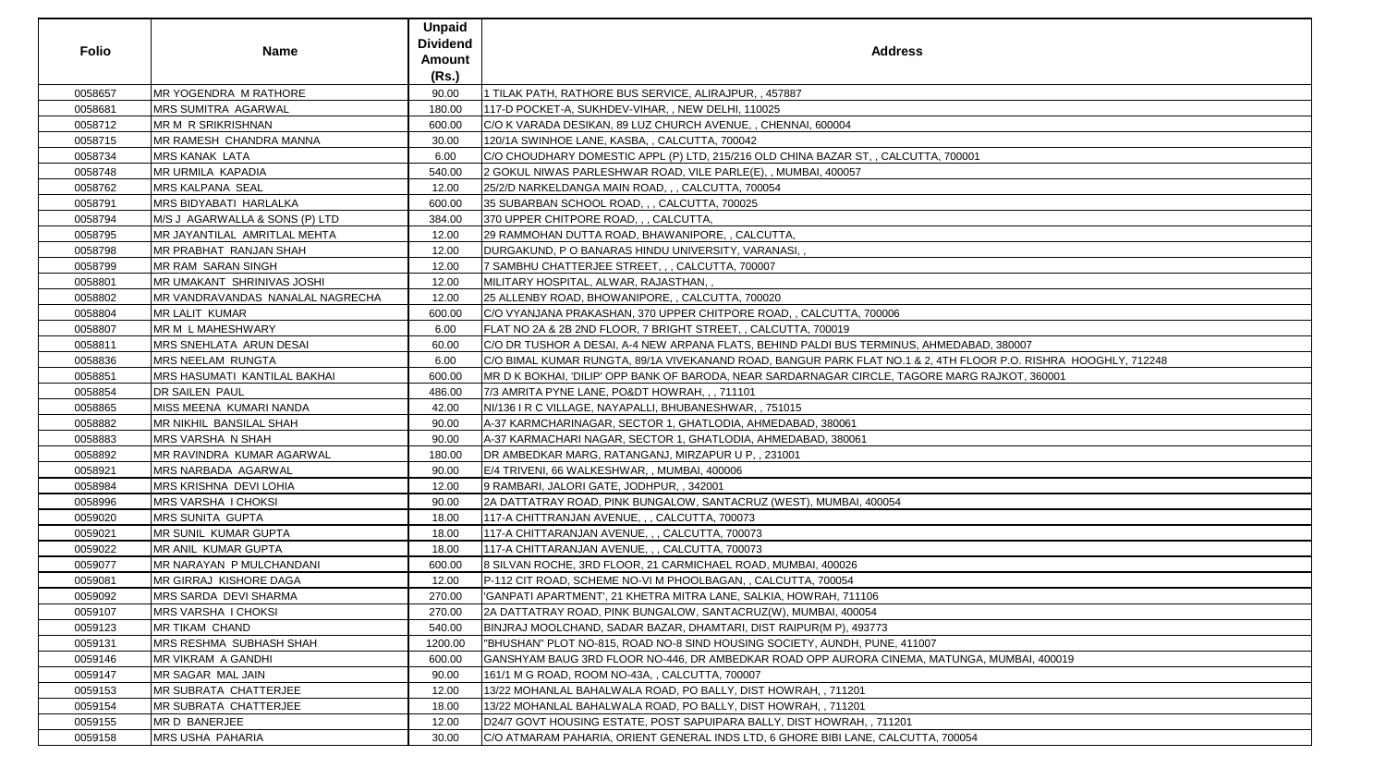| <b>Folio</b> | <b>Name</b>                         | <b>Unpaid</b><br><b>Dividend</b><br><b>Amount</b><br>(Rs.) | <b>Address</b>                                                                                                  |
|--------------|-------------------------------------|------------------------------------------------------------|-----------------------------------------------------------------------------------------------------------------|
| 0058657      | <b>MR YOGENDRA M RATHORE</b>        | 90.00                                                      | 1 TILAK PATH, RATHORE BUS SERVICE, ALIRAJPUR, , 457887                                                          |
| 0058681      | MRS SUMITRA AGARWAL                 | 180.00                                                     | 117-D POCKET-A, SUKHDEV-VIHAR, , NEW DELHI, 110025                                                              |
| 0058712      | MR M R SRIKRISHNAN                  | 600.00                                                     | C/O K VARADA DESIKAN, 89 LUZ CHURCH AVENUE, , CHENNAI, 600004                                                   |
| 0058715      | MR RAMESH CHANDRA MANNA             | 30.00                                                      | 120/1A SWINHOE LANE, KASBA, , CALCUTTA, 700042                                                                  |
| 0058734      | <b>MRS KANAK LATA</b>               | 6.00                                                       | C/O CHOUDHARY DOMESTIC APPL (P) LTD, 215/216 OLD CHINA BAZAR ST, , CALCUTTA, 700001                             |
| 0058748      | <b>MR URMILA KAPADIA</b>            | 540.00                                                     | 2 GOKUL NIWAS PARLESHWAR ROAD, VILE PARLE(E), , MUMBAI, 400057                                                  |
| 0058762      | <b>MRS KALPANA SEAL</b>             | 12.00                                                      | 25/2/D NARKELDANGA MAIN ROAD, , , CALCUTTA, 700054                                                              |
| 0058791      | MRS BIDYABATI HARLALKA              | 600.00                                                     | 35 SUBARBAN SCHOOL ROAD, , , CALCUTTA, 700025                                                                   |
| 0058794      | M/S J AGARWALLA & SONS (P) LTD      | 384.00                                                     | 370 UPPER CHITPORE ROAD, , , CALCUTTA,                                                                          |
| 0058795      | MR JAYANTILAL AMRITLAL MEHTA        | 12.00                                                      | 29 RAMMOHAN DUTTA ROAD, BHAWANIPORE,, CALCUTTA,                                                                 |
| 0058798      | <b>MR PRABHAT RANJAN SHAH</b>       | 12.00                                                      | DURGAKUND, P O BANARAS HINDU UNIVERSITY, VARANASI, ,                                                            |
| 0058799      | <b>MR RAM SARAN SINGH</b>           | 12.00                                                      | 7 SAMBHU CHATTERJEE STREET, , , CALCUTTA, 700007                                                                |
| 0058801      | MR UMAKANT SHRINIVAS JOSHI          | 12.00                                                      | MILITARY HOSPITAL, ALWAR, RAJASTHAN,,                                                                           |
| 0058802      | MR VANDRAVANDAS NANALAL NAGRECHA    | 12.00                                                      | 25 ALLENBY ROAD, BHOWANIPORE, , CALCUTTA, 700020                                                                |
| 0058804      | <b>MR LALIT KUMAR</b>               | 600.00                                                     | C/O VYANJANA PRAKASHAN, 370 UPPER CHITPORE ROAD, , CALCUTTA, 700006                                             |
| 0058807      | <b>MR M L MAHESHWARY</b>            | 6.00                                                       | FLAT NO 2A & 2B 2ND FLOOR, 7 BRIGHT STREET, , CALCUTTA, 700019                                                  |
| 0058811      | MRS SNEHLATA ARUN DESAI             | 60.00                                                      | C/O DR TUSHOR A DESAI, A-4 NEW ARPANA FLATS, BEHIND PALDI BUS TERMINUS, AHMEDABAD, 380007                       |
| 0058836      | <b>MRS NEELAM RUNGTA</b>            | 6.00                                                       | C/O BIMAL KUMAR RUNGTA, 89/1A VIVEKANAND ROAD, BANGUR PARK FLAT NO.1 & 2, 4TH FLOOR P.O. RISHRA HOOGHLY, 712248 |
| 0058851      | <b>MRS HASUMATI KANTILAL BAKHAI</b> | 600.00                                                     | MR D K BOKHAI, 'DILIP' OPP BANK OF BARODA, NEAR SARDARNAGAR CIRCLE, TAGORE MARG RAJKOT, 360001                  |
| 0058854      | <b>DR SAILEN PAUL</b>               | 486.00                                                     | 7/3 AMRITA PYNE LANE, PO&DT HOWRAH,,, 711101                                                                    |
| 0058865      | MISS MEENA KUMARI NANDA             | 42.00                                                      | NI/136 I R C VILLAGE, NAYAPALLI, BHUBANESHWAR, , 751015                                                         |
| 0058882      | MR NIKHIL BANSILAL SHAH             | 90.00                                                      | A-37 KARMCHARINAGAR, SECTOR 1, GHATLODIA, AHMEDABAD, 380061                                                     |
| 0058883      | <b>MRS VARSHA N SHAH</b>            | 90.00                                                      | A-37 KARMACHARI NAGAR, SECTOR 1, GHATLODIA, AHMEDABAD, 380061                                                   |
| 0058892      | MR RAVINDRA KUMAR AGARWAL           | 180.00                                                     | DR AMBEDKAR MARG, RATANGANJ, MIRZAPUR U P,, 231001                                                              |
| 0058921      | <b>MRS NARBADA AGARWAL</b>          | 90.00                                                      | E/4 TRIVENI, 66 WALKESHWAR,, MUMBAI, 400006                                                                     |
| 0058984      | MRS KRISHNA DEVI LOHIA              | 12.00                                                      | 9 RAMBARI, JALORI GATE, JODHPUR, , 342001                                                                       |
| 0058996      | MRS VARSHA I CHOKSI                 | 90.00                                                      | 2A DATTATRAY ROAD, PINK BUNGALOW, SANTACRUZ (WEST), MUMBAI, 400054                                              |
| 0059020      | <b>MRS SUNITA GUPTA</b>             | 18.00                                                      | 117-A CHITTRANJAN AVENUE, , , CALCUTTA, 700073                                                                  |
| 0059021      | <b>MR SUNIL KUMAR GUPTA</b>         | 18.00                                                      | 117-A CHITTARANJAN AVENUE, , , CALCUTTA, 700073                                                                 |
| 0059022      | <b>MR ANIL KUMAR GUPTA</b>          | 18.00                                                      | 117-A CHITTARANJAN AVENUE, , , CALCUTTA, 700073                                                                 |
| 0059077      | MR NARAYAN P MULCHANDANI            | 600.00                                                     | 8 SILVAN ROCHE, 3RD FLOOR, 21 CARMICHAEL ROAD, MUMBAI, 400026                                                   |
| 0059081      | <b>MR GIRRAJ KISHORE DAGA</b>       | 12.00                                                      | P-112 CIT ROAD, SCHEME NO-VI M PHOOLBAGAN, , CALCUTTA, 700054                                                   |
| 0059092      | <b>MRS SARDA DEVI SHARMA</b>        | 270.00                                                     | 'GANPATI APARTMENT', 21 KHETRA MITRA LANE, SALKIA, HOWRAH, 711106                                               |
| 0059107      | <b>MRS VARSHA I CHOKSI</b>          | 270.00                                                     | 2A DATTATRAY ROAD, PINK BUNGALOW, SANTACRUZ(W), MUMBAI, 400054                                                  |
| 0059123      | <b>MR TIKAM CHAND</b>               | 540.00                                                     | BINJRAJ MOOLCHAND, SADAR BAZAR, DHAMTARI, DIST RAIPUR(M P), 493773                                              |
| 0059131      | <b>MRS RESHMA SUBHASH SHAH</b>      | 1200.00                                                    | "BHUSHAN" PLOT NO-815, ROAD NO-8 SIND HOUSING SOCIETY, AUNDH, PUNE, 411007                                      |
| 0059146      | <b>MR VIKRAM A GANDHI</b>           | 600.00                                                     | GANSHYAM BAUG 3RD FLOOR NO-446, DR AMBEDKAR ROAD OPP AURORA CINEMA, MATUNGA, MUMBAI, 400019                     |
| 0059147      | MR SAGAR MAL JAIN                   | 90.00                                                      | 161/1 M G ROAD, ROOM NO-43A, , CALCUTTA, 700007                                                                 |
| 0059153      | <b>MR SUBRATA CHATTERJEE</b>        | 12.00                                                      | 13/22 MOHANLAL BAHALWALA ROAD, PO BALLY, DIST HOWRAH, , 711201                                                  |
| 0059154      | <b>MR SUBRATA CHATTERJEE</b>        | 18.00                                                      | 13/22 MOHANLAL BAHALWALA ROAD, PO BALLY, DIST HOWRAH, , 711201                                                  |
| 0059155      | MR D BANERJEE                       | 12.00                                                      | D24/7 GOVT HOUSING ESTATE, POST SAPUIPARA BALLY, DIST HOWRAH, , 711201                                          |
| 0059158      | <b>MRS USHA PAHARIA</b>             | 30.00                                                      | C/O ATMARAM PAHARIA, ORIENT GENERAL INDS LTD, 6 GHORE BIBI LANE, CALCUTTA, 700054                               |

| 700001                               |  |
|--------------------------------------|--|
|                                      |  |
|                                      |  |
|                                      |  |
|                                      |  |
|                                      |  |
|                                      |  |
|                                      |  |
|                                      |  |
|                                      |  |
|                                      |  |
|                                      |  |
|                                      |  |
|                                      |  |
|                                      |  |
|                                      |  |
|                                      |  |
| <b>IEDABAD, 380007</b>               |  |
| TH FLOOR P.O. RISHRA HOOGHLY, 712248 |  |
|                                      |  |
|                                      |  |
|                                      |  |
|                                      |  |
|                                      |  |
|                                      |  |
|                                      |  |
|                                      |  |
|                                      |  |
|                                      |  |
|                                      |  |
|                                      |  |
|                                      |  |
|                                      |  |
|                                      |  |
|                                      |  |
|                                      |  |
|                                      |  |
|                                      |  |
|                                      |  |
|                                      |  |
| MARG RAJKOT, 360001                  |  |
|                                      |  |
|                                      |  |
|                                      |  |
|                                      |  |
|                                      |  |
|                                      |  |
|                                      |  |
| TUNGA, MUMBAI, 400019                |  |
|                                      |  |
|                                      |  |
| 700054                               |  |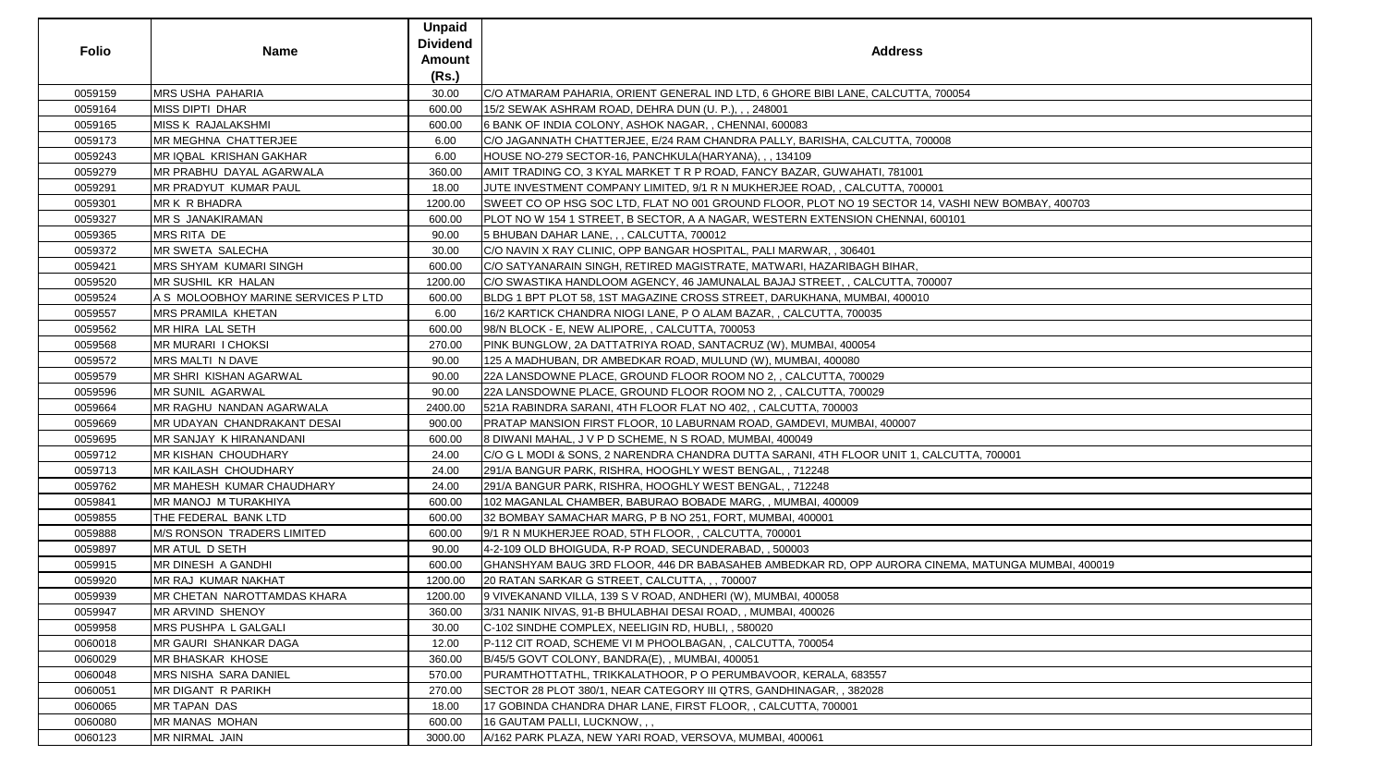| <b>Folio</b> | <b>Name</b>                         | <b>Unpaid</b><br><b>Dividend</b><br><b>Amount</b><br>(Rs.) | <b>Address</b>                                                                                    |
|--------------|-------------------------------------|------------------------------------------------------------|---------------------------------------------------------------------------------------------------|
| 0059159      | <b>MRS USHA PAHARIA</b>             | 30.00                                                      | C/O ATMARAM PAHARIA, ORIENT GENERAL IND LTD, 6 GHORE BIBI LANE, CALCUTTA, 700054                  |
| 0059164      | <b>MISS DIPTI DHAR</b>              | 600.00                                                     | 15/2 SEWAK ASHRAM ROAD, DEHRA DUN (U. P.), , , 248001                                             |
| 0059165      | <b>MISS K RAJALAKSHMI</b>           | 600.00                                                     | 6 BANK OF INDIA COLONY, ASHOK NAGAR, , CHENNAI, 600083                                            |
| 0059173      | MR MEGHNA CHATTERJEE                | 6.00                                                       | C/O JAGANNATH CHATTERJEE, E/24 RAM CHANDRA PALLY, BARISHA, CALCUTTA, 700008                       |
| 0059243      | MR IQBAL KRISHAN GAKHAR             | 6.00                                                       | HOUSE NO-279 SECTOR-16, PANCHKULA(HARYANA), , , 134109                                            |
| 0059279      | MR PRABHU DAYAL AGARWALA            | 360.00                                                     | AMIT TRADING CO, 3 KYAL MARKET T R P ROAD, FANCY BAZAR, GUWAHATI, 781001                          |
| 0059291      | MR PRADYUT KUMAR PAUL               | 18.00                                                      | JUTE INVESTMENT COMPANY LIMITED, 9/1 R N MUKHERJEE ROAD, , CALCUTTA, 700001                       |
| 0059301      | <b>MRK R BHADRA</b>                 | 1200.00                                                    | SWEET CO OP HSG SOC LTD, FLAT NO 001 GROUND FLOOR, PLOT NO 19 SECTOR 14, VASHI NEW BOMBAY, 400703 |
| 0059327      | <b>MR S JANAKIRAMAN</b>             | 600.00                                                     | PLOT NO W 154 1 STREET, B SECTOR, A A NAGAR, WESTERN EXTENSION CHENNAI, 600101                    |
| 0059365      | MRS RITA DE                         | 90.00                                                      | 5 BHUBAN DAHAR LANE, , , CALCUTTA, 700012                                                         |
| 0059372      | MR SWETA SALECHA                    | 30.00                                                      | C/O NAVIN X RAY CLINIC, OPP BANGAR HOSPITAL, PALI MARWAR, , 306401                                |
| 0059421      | MRS SHYAM KUMARI SINGH              | 600.00                                                     | C/O SATYANARAIN SINGH, RETIRED MAGISTRATE, MATWARI, HAZARIBAGH BIHAR,                             |
| 0059520      | MR SUSHIL KR HALAN                  | 1200.00                                                    | C/O SWASTIKA HANDLOOM AGENCY, 46 JAMUNALAL BAJAJ STREET, , CALCUTTA, 700007                       |
| 0059524      | A S MOLOOBHOY MARINE SERVICES P LTD | 600.00                                                     | BLDG 1 BPT PLOT 58, 1ST MAGAZINE CROSS STREET, DARUKHANA, MUMBAI, 400010                          |
| 0059557      | MRS PRAMILA KHETAN                  | 6.00                                                       | 16/2 KARTICK CHANDRA NIOGI LANE, P O ALAM BAZAR, , CALCUTTA, 700035                               |
| 0059562      | MR HIRA LAL SETH                    | 600.00                                                     | 98/N BLOCK - E, NEW ALIPORE, , CALCUTTA, 700053                                                   |
| 0059568      | <b>MR MURARI I CHOKSI</b>           | 270.00                                                     | PINK BUNGLOW, 2A DATTATRIYA ROAD, SANTACRUZ (W), MUMBAI, 400054                                   |
| 0059572      | MRS MALTI N DAVE                    | 90.00                                                      | 125 A MADHUBAN, DR AMBEDKAR ROAD, MULUND (W), MUMBAI, 400080                                      |
| 0059579      | MR SHRI KISHAN AGARWAL              | 90.00                                                      | 22A LANSDOWNE PLACE, GROUND FLOOR ROOM NO 2, , CALCUTTA, 700029                                   |
| 0059596      | <b>MR SUNIL AGARWAL</b>             | 90.00                                                      | 22A LANSDOWNE PLACE, GROUND FLOOR ROOM NO 2, , CALCUTTA, 700029                                   |
| 0059664      | MR RAGHU NANDAN AGARWALA            | 2400.00                                                    | 521A RABINDRA SARANI, 4TH FLOOR FLAT NO 402, , CALCUTTA, 700003                                   |
| 0059669      | MR UDAYAN CHANDRAKANT DESAI         | 900.00                                                     | PRATAP MANSION FIRST FLOOR, 10 LABURNAM ROAD, GAMDEVI, MUMBAI, 400007                             |
| 0059695      | MR SANJAY K HIRANANDANI             | 600.00                                                     | 8 DIWANI MAHAL, J V P D SCHEME, N S ROAD, MUMBAI, 400049                                          |
| 0059712      | MR KISHAN CHOUDHARY                 | 24.00                                                      | C/O G L MODI & SONS, 2 NARENDRA CHANDRA DUTTA SARANI, 4TH FLOOR UNIT 1, CALCUTTA, 700001          |
| 0059713      | MR KAILASH CHOUDHARY                | 24.00                                                      | 291/A BANGUR PARK, RISHRA, HOOGHLY WEST BENGAL, , 712248                                          |
| 0059762      | MR MAHESH KUMAR CHAUDHARY           | 24.00                                                      | 291/A BANGUR PARK, RISHRA, HOOGHLY WEST BENGAL, , 712248                                          |
| 0059841      | MR MANOJ M TURAKHIYA                | 600.00                                                     | 102 MAGANLAL CHAMBER, BABURAO BOBADE MARG, , MUMBAI, 400009                                       |
| 0059855      | THE FEDERAL BANK LTD                | 600.00                                                     | 32 BOMBAY SAMACHAR MARG, P B NO 251, FORT, MUMBAI, 400001                                         |
| 0059888      | <b>M/S RONSON TRADERS LIMITED</b>   | 600.00                                                     | 9/1 R N MUKHERJEE ROAD, 5TH FLOOR, , CALCUTTA, 700001                                             |
| 0059897      | MR ATUL D SETH                      | 90.00                                                      | 4-2-109 OLD BHOIGUDA, R-P ROAD, SECUNDERABAD, , 500003                                            |
| 0059915      | MR DINESH A GANDHI                  | 600.00                                                     | GHANSHYAM BAUG 3RD FLOOR, 446 DR BABASAHEB AMBEDKAR RD, OPP AURORA CINEMA, MATUNGA MUMBAI, 400019 |
| 0059920      | MR RAJ KUMAR NAKHAT                 | 1200.00                                                    | 20 RATAN SARKAR G STREET, CALCUTTA,  700007                                                       |
| 0059939      | MR CHETAN NAROTTAMDAS KHARA         | 1200.00                                                    | 9 VIVEKANAND VILLA, 139 S V ROAD, ANDHERI (W), MUMBAI, 400058                                     |
| 0059947      | <b>MR ARVIND SHENOY</b>             | 360.00                                                     | 3/31 NANIK NIVAS, 91-B BHULABHAI DESAI ROAD, , MUMBAI, 400026                                     |
| 0059958      | MRS PUSHPA L GALGALI                | 30.00                                                      | C-102 SINDHE COMPLEX, NEELIGIN RD, HUBLI, , 580020                                                |
| 0060018      | MR GAURI SHANKAR DAGA               | 12.00                                                      | P-112 CIT ROAD, SCHEME VI M PHOOLBAGAN, , CALCUTTA, 700054                                        |
| 0060029      | MR BHASKAR KHOSE                    | 360.00                                                     | B/45/5 GOVT COLONY, BANDRA(E), , MUMBAI, 400051                                                   |
| 0060048      | MRS NISHA SARA DANIEL               | 570.00                                                     | PURAMTHOTTATHL, TRIKKALATHOOR, P O PERUMBAVOOR, KERALA, 683557                                    |
| 0060051      | <b>MR DIGANT R PARIKH</b>           | 270.00                                                     | SECTOR 28 PLOT 380/1, NEAR CATEGORY III QTRS, GANDHINAGAR, , 382028                               |
| 0060065      | <b>MR TAPAN DAS</b>                 | 18.00                                                      | 17 GOBINDA CHANDRA DHAR LANE, FIRST FLOOR, , CALCUTTA, 700001                                     |
| 0060080      | MR MANAS MOHAN                      | 600.00                                                     | 16 GAUTAM PALLI, LUCKNOW, , ,                                                                     |
| 0060123      | MR NIRMAL JAIN                      | 3000.00                                                    | A/162 PARK PLAZA, NEW YARI ROAD, VERSOVA, MUMBAI, 400061                                          |

| NEW BOMBAY, 400703     |
|------------------------|
|                        |
|                        |
|                        |
|                        |
|                        |
|                        |
|                        |
|                        |
|                        |
|                        |
|                        |
|                        |
|                        |
|                        |
|                        |
|                        |
|                        |
|                        |
|                        |
|                        |
|                        |
|                        |
|                        |
| A, 700001              |
|                        |
|                        |
|                        |
|                        |
|                        |
|                        |
|                        |
|                        |
|                        |
| MATUNGA MUMBAI, 400019 |
|                        |
|                        |
|                        |
|                        |
|                        |
|                        |
|                        |
|                        |
|                        |
|                        |
|                        |
|                        |
|                        |
|                        |
|                        |
|                        |
|                        |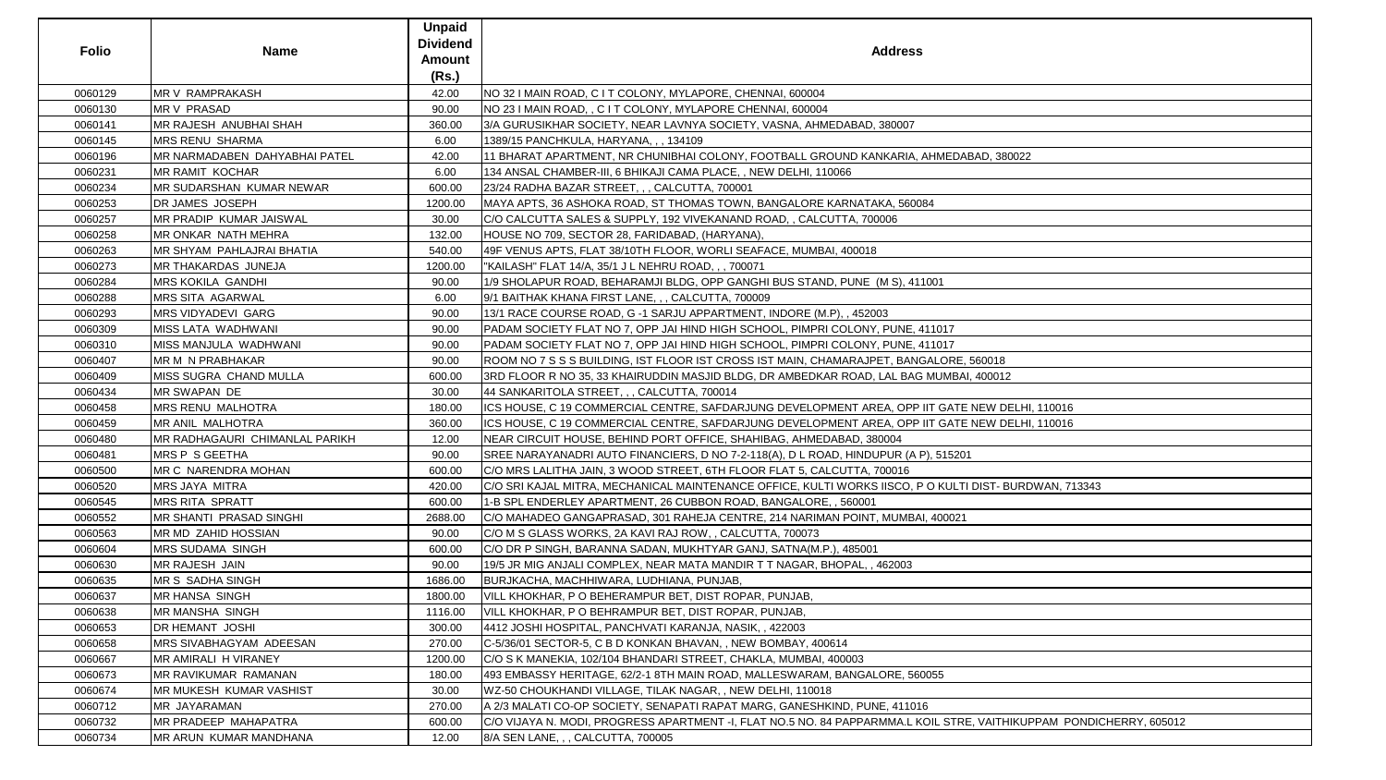| <b>Folio</b> | <b>Name</b>                       | <b>Unpaid</b><br><b>Dividend</b><br>Amount<br>(Rs.) | <b>Address</b>                                                                                                      |
|--------------|-----------------------------------|-----------------------------------------------------|---------------------------------------------------------------------------------------------------------------------|
| 0060129      | MR V RAMPRAKASH                   | 42.00                                               | NO 32 I MAIN ROAD, C I T COLONY, MYLAPORE, CHENNAI, 600004                                                          |
| 0060130      | <b>MRV PRASAD</b>                 | 90.00                                               | NO 23 I MAIN ROAD, , C I T COLONY, MYLAPORE CHENNAI, 600004                                                         |
| 0060141      | MR RAJESH ANUBHAI SHAH            | 360.00                                              | 3/A GURUSIKHAR SOCIETY, NEAR LAVNYA SOCIETY, VASNA, AHMEDABAD, 380007                                               |
| 0060145      | <b>MRS RENU SHARMA</b>            | 6.00                                                | 1389/15 PANCHKULA, HARYANA, , , 134109                                                                              |
| 0060196      | MR NARMADABEN DAHYABHAI PATEL     | 42.00                                               | 11 BHARAT APARTMENT, NR CHUNIBHAI COLONY, FOOTBALL GROUND KANKARIA, AHMEDABAD, 380022                               |
| 0060231      | <b>MR RAMIT KOCHAR</b>            | 6.00                                                | 134 ANSAL CHAMBER-III, 6 BHIKAJI CAMA PLACE, , NEW DELHI, 110066                                                    |
| 0060234      | <b>IMR SUDARSHAN KUMAR NEWAR</b>  | 600.00                                              | 23/24 RADHA BAZAR STREET, , , CALCUTTA, 700001                                                                      |
| 0060253      | DR JAMES JOSEPH                   | 1200.00                                             | MAYA APTS, 36 ASHOKA ROAD, ST THOMAS TOWN, BANGALORE KARNATAKA, 560084                                              |
| 0060257      | <b>IMR PRADIP KUMAR JAISWAL</b>   | 30.00                                               | C/O CALCUTTA SALES & SUPPLY, 192 VIVEKANAND ROAD, , CALCUTTA, 700006                                                |
| 0060258      | MR ONKAR NATH MEHRA               | 132.00                                              | HOUSE NO 709, SECTOR 28, FARIDABAD, (HARYANA),                                                                      |
| 0060263      | <b>IMR SHYAM PAHLAJRAI BHATIA</b> | 540.00                                              | 49F VENUS APTS, FLAT 38/10TH FLOOR, WORLI SEAFACE, MUMBAI, 400018                                                   |
| 0060273      | <b>MR THAKARDAS JUNEJA</b>        | 1200.00                                             | "KAILASH" FLAT 14/A, 35/1 J L NEHRU ROAD, , , 700071                                                                |
| 0060284      | <b>MRS KOKILA GANDHI</b>          | 90.00                                               | 1/9 SHOLAPUR ROAD, BEHARAMJI BLDG, OPP GANGHI BUS STAND, PUNE (M S), 411001                                         |
| 0060288      | <b>MRS SITA AGARWAL</b>           | 6.00                                                | 9/1 BAITHAK KHANA FIRST LANE, , , CALCUTTA, 700009                                                                  |
| 0060293      | <b>MRS VIDYADEVI GARG</b>         | 90.00                                               | 13/1 RACE COURSE ROAD, G -1 SARJU APPARTMENT, INDORE (M.P), , 452003                                                |
| 0060309      | MISS LATA WADHWANI                | 90.00                                               | PADAM SOCIETY FLAT NO 7, OPP JAI HIND HIGH SCHOOL, PIMPRI COLONY, PUNE, 411017                                      |
| 0060310      | MISS MANJULA WADHWANI             | 90.00                                               | PADAM SOCIETY FLAT NO 7, OPP JAI HIND HIGH SCHOOL, PIMPRI COLONY, PUNE, 411017                                      |
| 0060407      | MR M N PRABHAKAR                  | 90.00                                               | ROOM NO 7 S S S BUILDING, IST FLOOR IST CROSS IST MAIN, CHAMARAJPET, BANGALORE, 560018                              |
| 0060409      | <b>MISS SUGRA CHAND MULLA</b>     | 600.00                                              | 3RD FLOOR R NO 35, 33 KHAIRUDDIN MASJID BLDG, DR AMBEDKAR ROAD, LAL BAG MUMBAI, 400012                              |
| 0060434      | MR SWAPAN DE                      | 30.00                                               | 44 SANKARITOLA STREET, , , CALCUTTA, 700014                                                                         |
| 0060458      | <b>MRS RENU MALHOTRA</b>          | 180.00                                              | ICS HOUSE, C 19 COMMERCIAL CENTRE, SAFDARJUNG DEVELOPMENT AREA, OPP IIT GATE NEW DELHI, 110016                      |
| 0060459      | MR ANIL MALHOTRA                  | 360.00                                              | ICS HOUSE, C 19 COMMERCIAL CENTRE, SAFDARJUNG DEVELOPMENT AREA, OPP IIT GATE NEW DELHI, 110016                      |
| 0060480      | MR RADHAGAURI CHIMANLAL PARIKH    | 12.00                                               | NEAR CIRCUIT HOUSE, BEHIND PORT OFFICE, SHAHIBAG, AHMEDABAD, 380004                                                 |
| 0060481      | <b>MRS P S GEETHA</b>             | 90.00                                               | SREE NARAYANADRI AUTO FINANCIERS, D NO 7-2-118(A), D L ROAD, HINDUPUR (A P), 515201                                 |
| 0060500      | <b>IMR C NARENDRA MOHAN</b>       | 600.00                                              | C/O MRS LALITHA JAIN, 3 WOOD STREET, 6TH FLOOR FLAT 5, CALCUTTA, 700016                                             |
| 0060520      | <b>MRS JAYA MITRA</b>             | 420.00                                              | C/O SRI KAJAL MITRA, MECHANICAL MAINTENANCE OFFICE, KULTI WORKS IISCO, P O KULTI DIST- BURDWAN, 713343              |
| 0060545      | <b>MRS RITA SPRATT</b>            | 600.00                                              | 1-B SPL ENDERLEY APARTMENT, 26 CUBBON ROAD, BANGALORE, , 560001                                                     |
| 0060552      | IMR SHANTI PRASAD SINGHI          | 2688.00                                             | C/O MAHADEO GANGAPRASAD, 301 RAHEJA CENTRE, 214 NARIMAN POINT, MUMBAI, 400021                                       |
| 0060563      | MR MD ZAHID HOSSIAN               | 90.00                                               | C/O M S GLASS WORKS, 2A KAVI RAJ ROW, , CALCUTTA, 700073                                                            |
| 0060604      | <b>MRS SUDAMA SINGH</b>           | 600.00                                              | C/O DR P SINGH, BARANNA SADAN, MUKHTYAR GANJ, SATNA(M.P.), 485001                                                   |
| 0060630      | MR RAJESH JAIN                    | 90.00                                               | 19/5 JR MIG ANJALI COMPLEX, NEAR MATA MANDIR T T NAGAR, BHOPAL, , 462003                                            |
| 0060635      | <b>IMR S SADHA SINGH</b>          | 1686.00                                             | <b>BURJKACHA, MACHHIWARA, LUDHIANA, PUNJAB,</b>                                                                     |
| 0060637      | <b>MR HANSA SINGH</b>             | 1800.00                                             | VILL KHOKHAR, P O BEHERAMPUR BET, DIST ROPAR, PUNJAB,                                                               |
| 0060638      | MR MANSHA SINGH                   | 1116.00                                             | VILL KHOKHAR, P O BEHRAMPUR BET, DIST ROPAR, PUNJAB,                                                                |
| 0060653      | <b>DR HEMANT JOSHI</b>            | 300.00                                              | 4412 JOSHI HOSPITAL, PANCHVATI KARANJA, NASIK, , 422003                                                             |
| 0060658      | <b>MRS SIVABHAGYAM ADEESAN</b>    | 270.00                                              | C-5/36/01 SECTOR-5, C B D KONKAN BHAVAN, , NEW BOMBAY, 400614                                                       |
| 0060667      | <b>MR AMIRALI H VIRANEY</b>       | 1200.00                                             | C/O S K MANEKIA, 102/104 BHANDARI STREET, CHAKLA, MUMBAI, 400003                                                    |
| 0060673      | MR RAVIKUMAR RAMANAN              | 180.00                                              | 493 EMBASSY HERITAGE, 62/2-1 8TH MAIN ROAD, MALLESWARAM, BANGALORE, 560055                                          |
| 0060674      | IMR MUKESH KUMAR VASHIST          | 30.00                                               | WZ-50 CHOUKHANDI VILLAGE, TILAK NAGAR, , NEW DELHI, 110018                                                          |
| 0060712      | MR JAYARAMAN                      | 270.00                                              | A 2/3 MALATI CO-OP SOCIETY, SENAPATI RAPAT MARG, GANESHKIND, PUNE, 411016                                           |
| 0060732      | MR PRADEEP MAHAPATRA              | 600.00                                              | C/O VIJAYA N. MODI, PROGRESS APARTMENT -I, FLAT NO.5 NO. 84 PAPPARMMA.L KOIL STRE, VAITHIKUPPAM PONDICHERRY, 605012 |
| 0060734      | MR ARUN KUMAR MANDHANA            | 12.00                                               | 8/A SEN LANE, , , CALCUTTA, 700005                                                                                  |

| ddress                                            |
|---------------------------------------------------|
|                                                   |
|                                                   |
| 80007                                             |
| KARIA, AHMEDABAD, 380022                          |
|                                                   |
|                                                   |
| A, 560084                                         |
| 06                                                |
|                                                   |
|                                                   |
| 1 S), 411001                                      |
|                                                   |
| 3                                                 |
| PUNE, 411017                                      |
| PUNE, 411017                                      |
| T, BANGALORE, 560018                              |
| AL BAG MUMBAI, 400012                             |
| A, OPP IIT GATE NEW DELHI, 110016                 |
| A, OPP IIT GATE NEW DELHI, 110016                 |
| 004                                               |
| <sup>2</sup> UR (A P), 515201                     |
| 0016                                              |
| ISCO, PO KULTI DIST- BURDWAN, 713343              |
|                                                   |
| MUMBAI, 400021                                    |
|                                                   |
| 62003                                             |
|                                                   |
|                                                   |
|                                                   |
|                                                   |
|                                                   |
| RE, 560055                                        |
|                                                   |
| : 411016                                          |
| IMA.L KOIL STRE, VAITHIKUPPAM PONDICHERRY, 605012 |
|                                                   |
|                                                   |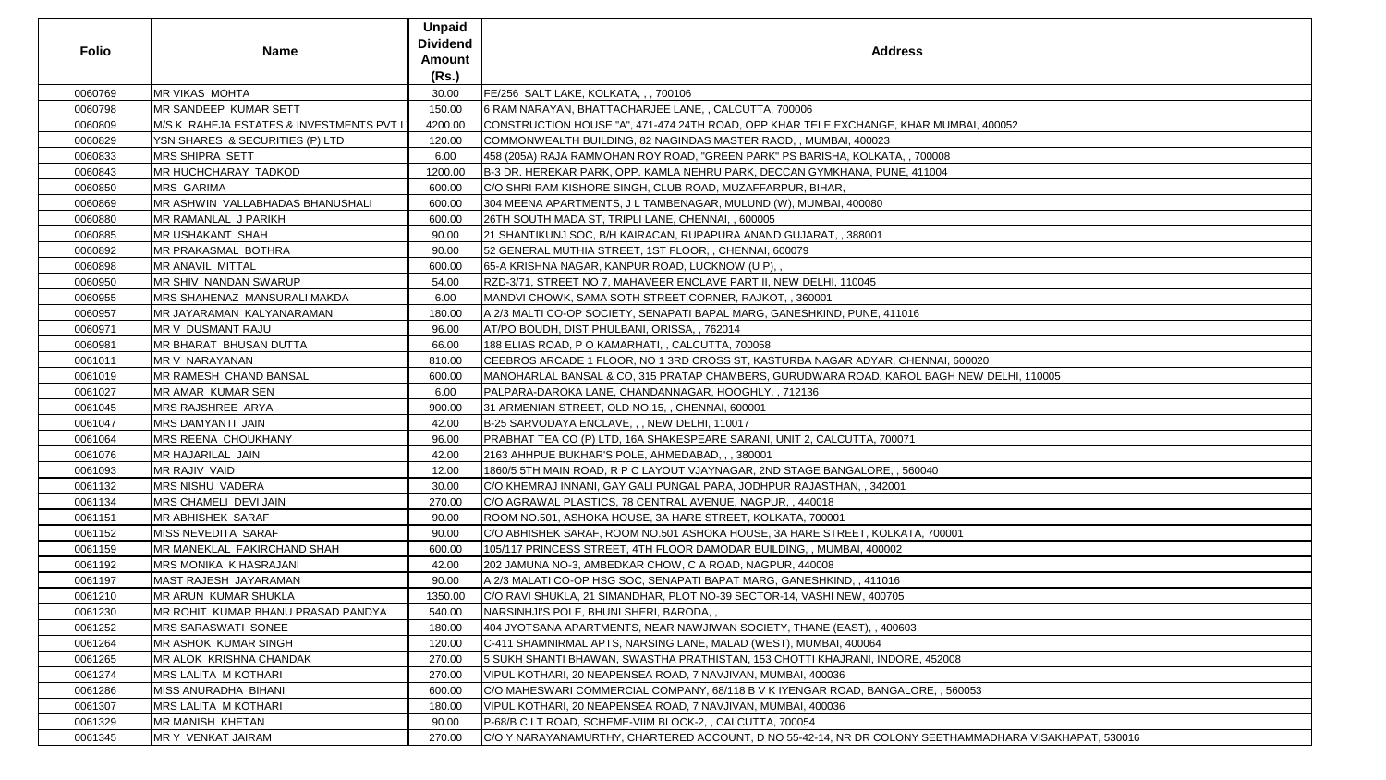| <b>Folio</b> | <b>Name</b>                               | <b>Unpaid</b><br><b>Dividend</b><br><b>Amount</b><br>(Rs.) | <b>Address</b>                                                                                         |
|--------------|-------------------------------------------|------------------------------------------------------------|--------------------------------------------------------------------------------------------------------|
| 0060769      | <b>MR VIKAS MOHTA</b>                     | 30.00                                                      | FE/256 SALT LAKE, KOLKATA, , , 700106                                                                  |
| 0060798      | MR SANDEEP KUMAR SETT                     | 150.00                                                     | 6 RAM NARAYAN, BHATTACHARJEE LANE, , CALCUTTA, 700006                                                  |
| 0060809      | M/S K RAHEJA ESTATES & INVESTMENTS PVT LT | 4200.00                                                    | CONSTRUCTION HOUSE "A", 471-474 24TH ROAD, OPP KHAR TELE EXCHANGE, KHAR MUMBAI, 400052                 |
| 0060829      | YSN SHARES & SECURITIES (P) LTD           | 120.00                                                     | COMMONWEALTH BUILDING, 82 NAGINDAS MASTER RAOD,, MUMBAI, 400023                                        |
| 0060833      | MRS SHIPRA SETT                           | 6.00                                                       | 458 (205A) RAJA RAMMOHAN ROY ROAD, "GREEN PARK" PS BARISHA, KOLKATA, , 700008                          |
| 0060843      | MR HUCHCHARAY TADKOD                      | 1200.00                                                    | B-3 DR. HEREKAR PARK, OPP. KAMLA NEHRU PARK, DECCAN GYMKHANA, PUNE, 411004                             |
| 0060850      | <b>MRS GARIMA</b>                         | 600.00                                                     | C/O SHRI RAM KISHORE SINGH, CLUB ROAD, MUZAFFARPUR, BIHAR,                                             |
| 0060869      | MR ASHWIN VALLABHADAS BHANUSHALI          | 600.00                                                     | 304 MEENA APARTMENTS, J L TAMBENAGAR, MULUND (W), MUMBAI, 400080                                       |
| 0060880      | MR RAMANLAL J PARIKH                      | 600.00                                                     | 26TH SOUTH MADA ST, TRIPLI LANE, CHENNAI, , 600005                                                     |
| 0060885      | <b>MR USHAKANT SHAH</b>                   | 90.00                                                      | 21 SHANTIKUNJ SOC, B/H KAIRACAN, RUPAPURA ANAND GUJARAT, , 388001                                      |
| 0060892      | MR PRAKASMAL BOTHRA                       | 90.00                                                      | 52 GENERAL MUTHIA STREET, 1ST FLOOR,, CHENNAI, 600079                                                  |
| 0060898      | MR ANAVIL MITTAL                          | 600.00                                                     | 65-A KRISHNA NAGAR, KANPUR ROAD, LUCKNOW (U P),,                                                       |
| 0060950      | <b>MR SHIV NANDAN SWARUP</b>              | 54.00                                                      | RZD-3/71, STREET NO 7, MAHAVEER ENCLAVE PART II, NEW DELHI, 110045                                     |
| 0060955      | MRS SHAHENAZ MANSURALI MAKDA              | 6.00                                                       | MANDVI CHOWK, SAMA SOTH STREET CORNER, RAJKOT,, 360001                                                 |
| 0060957      | MR JAYARAMAN KALYANARAMAN                 | 180.00                                                     | A 2/3 MALTI CO-OP SOCIETY, SENAPATI BAPAL MARG, GANESHKIND, PUNE, 411016                               |
| 0060971      | MR V DUSMANT RAJU                         | 96.00                                                      | AT/PO BOUDH, DIST PHULBANI, ORISSA, , 762014                                                           |
| 0060981      | MR BHARAT BHUSAN DUTTA                    | 66.00                                                      | 188 ELIAS ROAD, P O KAMARHATI, , CALCUTTA, 700058                                                      |
| 0061011      | MR V NARAYANAN                            | 810.00                                                     | CEEBROS ARCADE 1 FLOOR, NO 1 3RD CROSS ST, KASTURBA NAGAR ADYAR, CHENNAI, 600020                       |
| 0061019      | MR RAMESH CHAND BANSAL                    | 600.00                                                     | MANOHARLAL BANSAL & CO, 315 PRATAP CHAMBERS, GURUDWARA ROAD, KAROL BAGH NEW DELHI, 110005              |
| 0061027      | MR AMAR KUMAR SEN                         | 6.00                                                       | PALPARA-DAROKA LANE, CHANDANNAGAR, HOOGHLY, , 712136                                                   |
| 0061045      | MRS RAJSHREE ARYA                         | 900.00                                                     | 31 ARMENIAN STREET, OLD NO.15,, CHENNAI, 600001                                                        |
| 0061047      | <b>MRS DAMYANTI JAIN</b>                  | 42.00                                                      | B-25 SARVODAYA ENCLAVE, , , NEW DELHI, 110017                                                          |
| 0061064      | MRS REENA CHOUKHANY                       | 96.00                                                      | PRABHAT TEA CO (P) LTD, 16A SHAKESPEARE SARANI, UNIT 2, CALCUTTA, 700071                               |
| 0061076      | MR HAJARILAL JAIN                         | 42.00                                                      | 2163 AHHPUE BUKHAR'S POLE, AHMEDABAD, , , 380001                                                       |
| 0061093      | MR RAJIV VAID                             | 12.00                                                      | 1860/5 5TH MAIN ROAD, R P C LAYOUT VJAYNAGAR, 2ND STAGE BANGALORE, , 560040                            |
| 0061132      | <b>MRS NISHU VADERA</b>                   | 30.00                                                      | C/O KHEMRAJ INNANI, GAY GALI PUNGAL PARA, JODHPUR RAJASTHAN, , 342001                                  |
| 0061134      | MRS CHAMELI DEVI JAIN                     | 270.00                                                     | C/O AGRAWAL PLASTICS, 78 CENTRAL AVENUE, NAGPUR, , 440018                                              |
| 0061151      | <b>MR ABHISHEK SARAF</b>                  | 90.00                                                      | IROOM NO.501, ASHOKA HOUSE, 3A HARE STREET, KOLKATA, 700001                                            |
| 0061152      | <b>MISS NEVEDITA SARAF</b>                | 90.00                                                      | C/O ABHISHEK SARAF, ROOM NO.501 ASHOKA HOUSE, 3A HARE STREET, KOLKATA, 700001                          |
| 0061159      | MR MANEKLAL FAKIRCHAND SHAH               | 600.00                                                     | 105/117 PRINCESS STREET, 4TH FLOOR DAMODAR BUILDING, , MUMBAI, 400002                                  |
| 0061192      | MRS MONIKA K HASRAJANI                    | 42.00                                                      | 202 JAMUNA NO-3, AMBEDKAR CHOW, C A ROAD, NAGPUR, 440008                                               |
| 0061197      | <b>MAST RAJESH JAYARAMAN</b>              | 90.00                                                      | A 2/3 MALATI CO-OP HSG SOC, SENAPATI BAPAT MARG, GANESHKIND, , 411016                                  |
| 0061210      | <b>MR ARUN KUMAR SHUKLA</b>               | 1350.00                                                    | C/O RAVI SHUKLA, 21 SIMANDHAR, PLOT NO-39 SECTOR-14, VASHI NEW, 400705                                 |
| 0061230      | MR ROHIT KUMAR BHANU PRASAD PANDYA        | 540.00                                                     | NARSINHJI'S POLE, BHUNI SHERI, BARODA,,                                                                |
| 0061252      | <b>MRS SARASWATI SONEE</b>                | 180.00                                                     | 404 JYOTSANA APARTMENTS, NEAR NAWJIWAN SOCIETY, THANE (EAST), , 400603                                 |
| 0061264      | MR ASHOK KUMAR SINGH                      | 120.00                                                     | C-411 SHAMNIRMAL APTS, NARSING LANE, MALAD (WEST), MUMBAI, 400064                                      |
| 0061265      | MR ALOK KRISHNA CHANDAK                   | 270.00                                                     | 5 SUKH SHANTI BHAWAN, SWASTHA PRATHISTAN, 153 CHOTTI KHAJRANI, INDORE, 452008                          |
| 0061274      | <b>MRS LALITA M KOTHARI</b>               | 270.00                                                     | VIPUL KOTHARI, 20 NEAPENSEA ROAD, 7 NAVJIVAN, MUMBAI, 400036                                           |
| 0061286      | MISS ANURADHA BIHANI                      | 600.00                                                     | C/O MAHESWARI COMMERCIAL COMPANY, 68/118 B V K IYENGAR ROAD, BANGALORE, , 560053                       |
| 0061307      | <b>MRS LALITA M KOTHARI</b>               | 180.00                                                     | VIPUL KOTHARI, 20 NEAPENSEA ROAD, 7 NAVJIVAN, MUMBAI, 400036                                           |
| 0061329      | <b>MR MANISH KHETAN</b>                   | 90.00                                                      | P-68/B C I T ROAD, SCHEME-VIIM BLOCK-2, , CALCUTTA, 700054                                             |
| 0061345      | <b>MR Y VENKAT JAIRAM</b>                 | 270.00                                                     | C/O Y NARAYANAMURTHY, CHARTERED ACCOUNT, D NO 55-42-14, NR DR COLONY SEETHAMMADHARA VISAKHAPAT, 530016 |

| AI, 400052                         |
|------------------------------------|
|                                    |
|                                    |
|                                    |
|                                    |
|                                    |
|                                    |
|                                    |
|                                    |
|                                    |
|                                    |
|                                    |
|                                    |
|                                    |
|                                    |
|                                    |
|                                    |
|                                    |
| 0020                               |
| EW DELHI, 110005                   |
|                                    |
|                                    |
|                                    |
|                                    |
|                                    |
|                                    |
|                                    |
|                                    |
|                                    |
|                                    |
|                                    |
|                                    |
|                                    |
|                                    |
|                                    |
|                                    |
|                                    |
|                                    |
|                                    |
|                                    |
|                                    |
|                                    |
|                                    |
| 53                                 |
|                                    |
|                                    |
|                                    |
| <b>MMADHARA VISAKHAPAT, 530016</b> |
|                                    |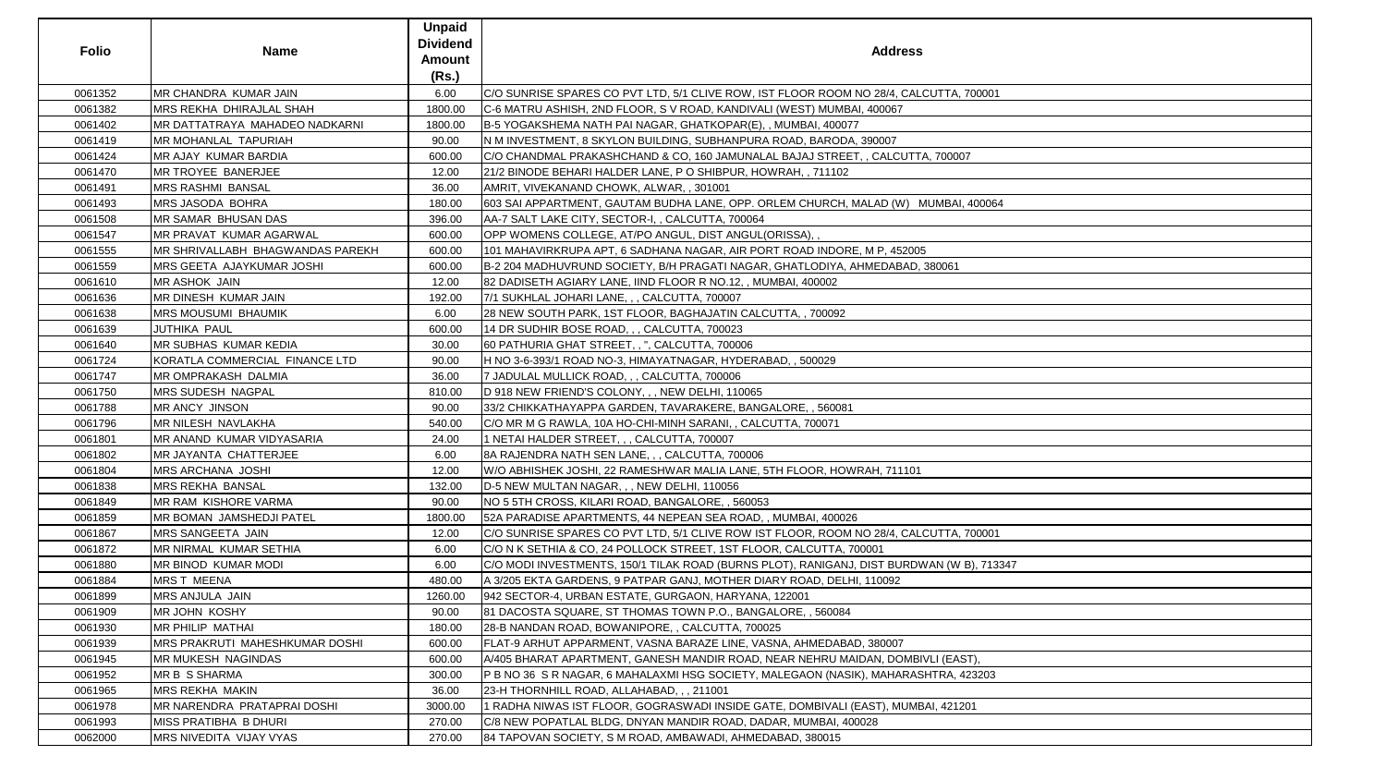| <b>Folio</b> | <b>Name</b>                      | <b>Unpaid</b><br><b>Dividend</b><br><b>Amount</b><br>(Rs.) | <b>Address</b>                                                                            |
|--------------|----------------------------------|------------------------------------------------------------|-------------------------------------------------------------------------------------------|
| 0061352      | MR CHANDRA KUMAR JAIN            | 6.00                                                       | C/O SUNRISE SPARES CO PVT LTD, 5/1 CLIVE ROW, IST FLOOR ROOM NO 28/4, CALCUTTA, 700001    |
| 0061382      | <b>MRS REKHA DHIRAJLAL SHAH</b>  | 1800.00                                                    | C-6 MATRU ASHISH, 2ND FLOOR, S V ROAD, KANDIVALI (WEST) MUMBAI, 400067                    |
| 0061402      | MR DATTATRAYA MAHADEO NADKARNI   | 1800.00                                                    | B-5 YOGAKSHEMA NATH PAI NAGAR, GHATKOPAR(E),, MUMBAI, 400077                              |
| 0061419      | <b>MR MOHANLAL TAPURIAH</b>      | 90.00                                                      | IN M INVESTMENT, 8 SKYLON BUILDING, SUBHANPURA ROAD, BARODA, 390007                       |
| 0061424      | MR AJAY KUMAR BARDIA             | 600.00                                                     | C/O CHANDMAL PRAKASHCHAND & CO, 160 JAMUNALAL BAJAJ STREET, , CALCUTTA, 700007            |
| 0061470      | MR TROYEE BANERJEE               | 12.00                                                      | 21/2 BINODE BEHARI HALDER LANE, P O SHIBPUR, HOWRAH, , 711102                             |
| 0061491      | <b>MRS RASHMI BANSAL</b>         | 36.00                                                      | AMRIT, VIVEKANAND CHOWK, ALWAR, , 301001                                                  |
| 0061493      | <b>MRS JASODA BOHRA</b>          | 180.00                                                     | 603 SAI APPARTMENT, GAUTAM BUDHA LANE, OPP. ORLEM CHURCH, MALAD (W) MUMBAI, 400064        |
| 0061508      | <b>MR SAMAR BHUSAN DAS</b>       | 396.00                                                     | AA-7 SALT LAKE CITY, SECTOR-I, , CALCUTTA, 700064                                         |
| 0061547      | MR PRAVAT KUMAR AGARWAL          | 600.00                                                     | OPP WOMENS COLLEGE, AT/PO ANGUL, DIST ANGUL(ORISSA),,                                     |
| 0061555      | MR SHRIVALLABH BHAGWANDAS PAREKH | 600.00                                                     | 101 MAHAVIRKRUPA APT, 6 SADHANA NAGAR, AIR PORT ROAD INDORE, M P, 452005                  |
| 0061559      | MRS GEETA AJAYKUMAR JOSHI        | 600.00                                                     | B-2 204 MADHUVRUND SOCIETY, B/H PRAGATI NAGAR, GHATLODIYA, AHMEDABAD, 380061              |
| 0061610      | MR ASHOK JAIN                    | 12.00                                                      | 82 DADISETH AGIARY LANE, IIND FLOOR R NO.12, , MUMBAI, 400002                             |
| 0061636      | MR DINESH KUMAR JAIN             | 192.00                                                     | 7/1 SUKHLAL JOHARI LANE, , , CALCUTTA, 700007                                             |
| 0061638      | <b>MRS MOUSUMI BHAUMIK</b>       | 6.00                                                       | 28 NEW SOUTH PARK, 1ST FLOOR, BAGHAJATIN CALCUTTA, , 700092                               |
| 0061639      | <b>JUTHIKA PAUL</b>              | 600.00                                                     | 14 DR SUDHIR BOSE ROAD, , , CALCUTTA, 700023                                              |
| 0061640      | MR SUBHAS KUMAR KEDIA            | 30.00                                                      | 60 PATHURIA GHAT STREET, , ", CALCUTTA, 700006                                            |
| 0061724      | KORATLA COMMERCIAL FINANCE LTD   | 90.00                                                      | H NO 3-6-393/1 ROAD NO-3, HIMAYATNAGAR, HYDERABAD, , 500029                               |
| 0061747      | MR OMPRAKASH DALMIA              | 36.00                                                      | 7 JADULAL MULLICK ROAD, , , CALCUTTA, 700006                                              |
| 0061750      | MRS SUDESH NAGPAL                | 810.00                                                     | D 918 NEW FRIEND'S COLONY, , , NEW DELHI, 110065                                          |
| 0061788      | <b>MR ANCY JINSON</b>            | 90.00                                                      | 33/2 CHIKKATHAYAPPA GARDEN, TAVARAKERE, BANGALORE, , 560081                               |
| 0061796      | MR NILESH NAVLAKHA               | 540.00                                                     | C/O MR M G RAWLA, 10A HO-CHI-MINH SARANI, , CALCUTTA, 700071                              |
| 0061801      | MR ANAND KUMAR VIDYASARIA        | 24.00                                                      | 1 NETAI HALDER STREET, , , CALCUTTA, 700007                                               |
| 0061802      | MR JAYANTA CHATTERJEE            | 6.00                                                       | 8A RAJENDRA NATH SEN LANE, , , CALCUTTA, 700006                                           |
| 0061804      | <b>MRS ARCHANA JOSHI</b>         | 12.00                                                      | W/O ABHISHEK JOSHI, 22 RAMESHWAR MALIA LANE, 5TH FLOOR, HOWRAH, 711101                    |
| 0061838      | <b>MRS REKHA BANSAL</b>          | 132.00                                                     | D-5 NEW MULTAN NAGAR, , , NEW DELHI, 110056                                               |
| 0061849      | MR RAM KISHORE VARMA             | 90.00                                                      | NO 5 5TH CROSS, KILARI ROAD, BANGALORE, , 560053                                          |
| 0061859      | MR BOMAN JAMSHEDJI PATEL         | 1800.00                                                    | 52A PARADISE APARTMENTS, 44 NEPEAN SEA ROAD, , MUMBAI, 400026                             |
| 0061867      | <b>MRS SANGEETA JAIN</b>         | 12.00                                                      | IC/O SUNRISE SPARES CO PVT LTD, 5/1 CLIVE ROW IST FLOOR, ROOM NO 28/4, CALCUTTA, 700001   |
| 0061872      | MR NIRMAL KUMAR SETHIA           | 6.00                                                       | C/O N K SETHIA & CO, 24 POLLOCK STREET, 1ST FLOOR, CALCUTTA, 700001                       |
| 0061880      | MR BINOD KUMAR MODI              | 6.00                                                       | C/O MODI INVESTMENTS, 150/1 TILAK ROAD (BURNS PLOT), RANIGANJ, DIST BURDWAN (W B), 713347 |
| 0061884      | MRS T MEENA                      | 480.00                                                     | A 3/205 EKTA GARDENS, 9 PATPAR GANJ, MOTHER DIARY ROAD, DELHI, 110092                     |
| 0061899      | MRS ANJULA JAIN                  | 1260.00                                                    | 942 SECTOR-4, URBAN ESTATE, GURGAON, HARYANA, 122001                                      |
| 0061909      | <b>MR JOHN KOSHY</b>             | 90.00                                                      | 81 DACOSTA SQUARE, ST THOMAS TOWN P.O., BANGALORE, , 560084                               |
| 0061930      | <b>MR PHILIP MATHAI</b>          | 180.00                                                     | 28-B NANDAN ROAD, BOWANIPORE, , CALCUTTA, 700025                                          |
| 0061939      | MRS PRAKRUTI MAHESHKUMAR DOSHI   | 600.00                                                     | FLAT-9 ARHUT APPARMENT, VASNA BARAZE LINE, VASNA, AHMEDABAD, 380007                       |
| 0061945      | MR MUKESH NAGINDAS               | 600.00                                                     | A/405 BHARAT APARTMENT, GANESH MANDIR ROAD, NEAR NEHRU MAIDAN, DOMBIVLI (EAST),           |
| 0061952      | <b>MR B S SHARMA</b>             | 300.00                                                     | P B NO 36 S R NAGAR, 6 MAHALAXMI HSG SOCIETY, MALEGAON (NASIK), MAHARASHTRA, 423203       |
| 0061965      | <b>MRS REKHA MAKIN</b>           | 36.00                                                      | 23-H THORNHILL ROAD, ALLAHABAD, , , 211001                                                |
| 0061978      | MR NARENDRA PRATAPRAI DOSHI      | 3000.00                                                    | 1 RADHA NIWAS IST FLOOR, GOGRASWADI INSIDE GATE, DOMBIVALI (EAST), MUMBAI, 421201         |
| 0061993      | MISS PRATIBHA B DHURI            | 270.00                                                     | C/8 NEW POPATLAL BLDG, DNYAN MANDIR ROAD, DADAR, MUMBAI, 400028                           |
| 0062000      | MRS NIVEDITA VIJAY VYAS          | 270.00                                                     | 84 TAPOVAN SOCIETY, S M ROAD, AMBAWADI, AHMEDABAD, 380015                                 |

| ddress                       |
|------------------------------|
| 3/4, CALCUTTA, 700001        |
| 067                          |
|                              |
|                              |
| 07                           |
| LCUTTA, 700007               |
|                              |
|                              |
| (W)<br>MUMBAI, 400064        |
|                              |
|                              |
| , 452005                     |
|                              |
| DABAD, 380061                |
|                              |
|                              |
|                              |
|                              |
|                              |
|                              |
|                              |
|                              |
|                              |
|                              |
|                              |
|                              |
|                              |
| 711101                       |
|                              |
|                              |
|                              |
| 3/4, CALCUTTA, 700001        |
|                              |
| <b>BURDWAN (W B), 713347</b> |
|                              |
|                              |
|                              |
|                              |
| 007                          |
| DOMBIVLI (EAST),             |
|                              |
| HARASHTRA, 423203            |
|                              |
| , MUMBAI, 421201             |
|                              |
|                              |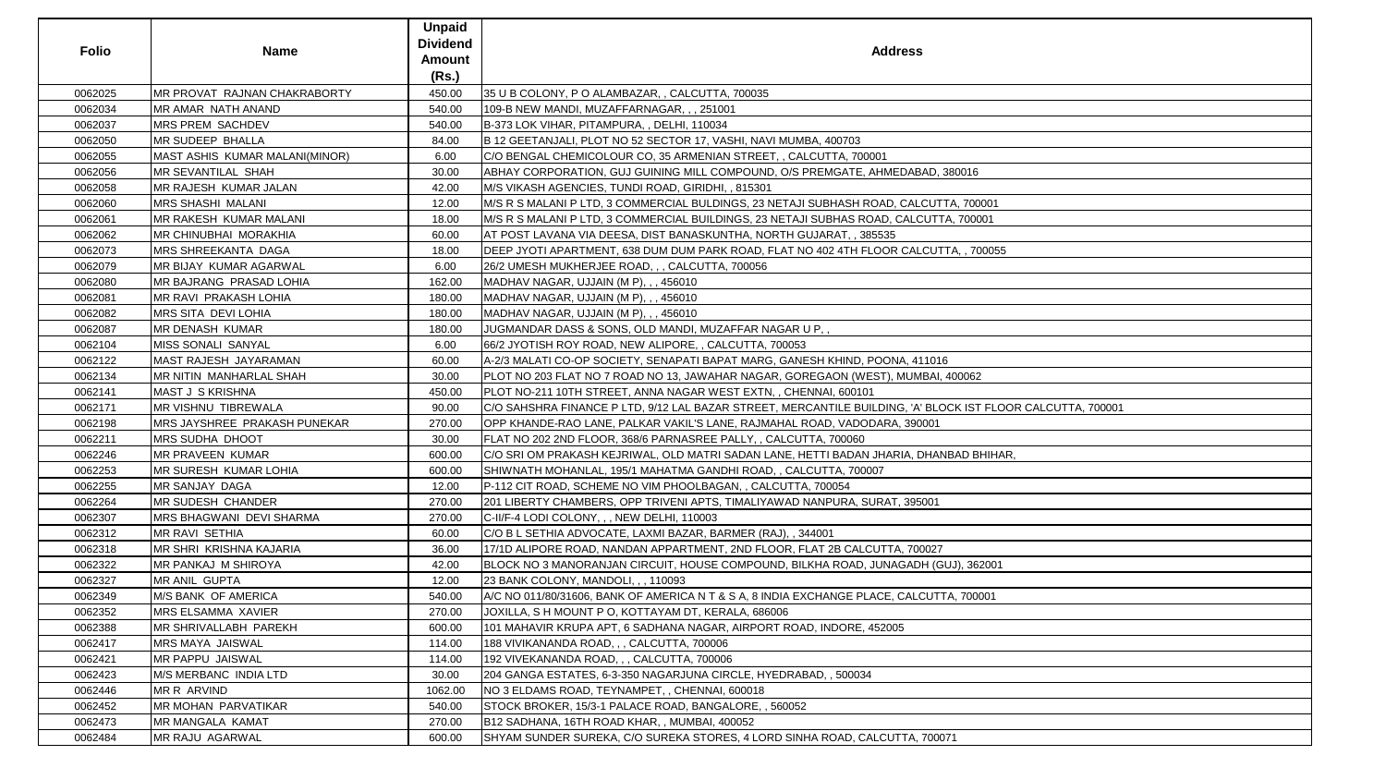| <b>Folio</b> | <b>Name</b>                          | <b>Unpaid</b><br><b>Dividend</b><br><b>Amount</b><br>(Rs.) | <b>Address</b>                                                                                              |
|--------------|--------------------------------------|------------------------------------------------------------|-------------------------------------------------------------------------------------------------------------|
| 0062025      | <b>IMR PROVAT RAJNAN CHAKRABORTY</b> | 450.00                                                     | 35 U B COLONY, P O ALAMBAZAR, , CALCUTTA, 700035                                                            |
| 0062034      | MR AMAR NATH ANAND                   | 540.00                                                     | 109-B NEW MANDI, MUZAFFARNAGAR, , , 251001                                                                  |
| 0062037      | MRS PREM SACHDEV                     | 540.00                                                     | B-373 LOK VIHAR, PITAMPURA, , DELHI, 110034                                                                 |
| 0062050      | MR SUDEEP BHALLA                     | 84.00                                                      | B 12 GEETANJALI, PLOT NO 52 SECTOR 17, VASHI, NAVI MUMBA, 400703                                            |
| 0062055      | MAST ASHIS KUMAR MALANI(MINOR)       | 6.00                                                       | C/O BENGAL CHEMICOLOUR CO, 35 ARMENIAN STREET, , CALCUTTA, 700001                                           |
| 0062056      | MR SEVANTILAL SHAH                   | 30.00                                                      | ABHAY CORPORATION, GUJ GUINING MILL COMPOUND, O/S PREMGATE, AHMEDABAD, 380016                               |
| 0062058      | MR RAJESH KUMAR JALAN                | 42.00                                                      | M/S VIKASH AGENCIES, TUNDI ROAD, GIRIDHI, , 815301                                                          |
| 0062060      | <b>MRS SHASHI MALANI</b>             | 12.00                                                      | M/S R S MALANI P LTD, 3 COMMERCIAL BULDINGS, 23 NETAJI SUBHASH ROAD, CALCUTTA, 700001                       |
| 0062061      | <b>MR RAKESH KUMAR MALANI</b>        | 18.00                                                      | M/S R S MALANI P LTD, 3 COMMERCIAL BUILDINGS, 23 NETAJI SUBHAS ROAD, CALCUTTA, 700001                       |
| 0062062      | <b>MR CHINUBHAI MORAKHIA</b>         | 60.00                                                      | AT POST LAVANA VIA DEESA, DIST BANASKUNTHA, NORTH GUJARAT, , 385535                                         |
| 0062073      | <b>MRS SHREEKANTA DAGA</b>           | 18.00                                                      | DEEP JYOTI APARTMENT, 638 DUM DUM PARK ROAD, FLAT NO 402 4TH FLOOR CALCUTTA, , 700055                       |
| 0062079      | MR BIJAY KUMAR AGARWAL               | 6.00                                                       | 26/2 UMESH MUKHERJEE ROAD, , , CALCUTTA, 700056                                                             |
| 0062080      | <b>IMR BAJRANG PRASAD LOHIA</b>      | 162.00                                                     | MADHAV NAGAR, UJJAIN (M P), , , 456010                                                                      |
| 0062081      | <b>MR RAVI PRAKASH LOHIA</b>         | 180.00                                                     | MADHAV NAGAR, UJJAIN (M P), , , 456010                                                                      |
| 0062082      | <b>MRS SITA DEVI LOHIA</b>           | 180.00                                                     | MADHAV NAGAR, UJJAIN (M P), , , 456010                                                                      |
| 0062087      | <b>MR DENASH KUMAR</b>               | 180.00                                                     | JUGMANDAR DASS & SONS, OLD MANDI, MUZAFFAR NAGAR U P, ,                                                     |
| 0062104      | MISS SONALI SANYAL                   | 6.00                                                       | 66/2 JYOTISH ROY ROAD, NEW ALIPORE, , CALCUTTA, 700053                                                      |
| 0062122      | MAST RAJESH JAYARAMAN                | 60.00                                                      | A-2/3 MALATI CO-OP SOCIETY, SENAPATI BAPAT MARG, GANESH KHIND, POONA, 411016                                |
| 0062134      | MR NITIN MANHARLAL SHAH              | 30.00                                                      | PLOT NO 203 FLAT NO 7 ROAD NO 13, JAWAHAR NAGAR, GOREGAON (WEST), MUMBAI, 400062                            |
| 0062141      | MAST J S KRISHNA                     | 450.00                                                     | PLOT NO-211 10TH STREET, ANNA NAGAR WEST EXTN,, CHENNAI, 600101                                             |
| 0062171      | <b>MR VISHNU TIBREWALA</b>           | 90.00                                                      | C/O SAHSHRA FINANCE P LTD, 9/12 LAL BAZAR STREET, MERCANTILE BUILDING, 'A' BLOCK IST FLOOR CALCUTTA, 700001 |
| 0062198      | MRS JAYSHREE PRAKASH PUNEKAR         | 270.00                                                     | OPP KHANDE-RAO LANE, PALKAR VAKIL'S LANE, RAJMAHAL ROAD, VADODARA, 390001                                   |
| 0062211      | <b>MRS SUDHA DHOOT</b>               | 30.00                                                      | FLAT NO 202 2ND FLOOR, 368/6 PARNASREE PALLY, , CALCUTTA, 700060                                            |
| 0062246      | MR PRAVEEN KUMAR                     | 600.00                                                     | C/O SRI OM PRAKASH KEJRIWAL, OLD MATRI SADAN LANE, HETTI BADAN JHARIA, DHANBAD BHIHAR,                      |
| 0062253      | <b>MR SURESH KUMAR LOHIA</b>         | 600.00                                                     | SHIWNATH MOHANLAL, 195/1 MAHATMA GANDHI ROAD, , CALCUTTA, 700007                                            |
| 0062255      | <b>MR SANJAY DAGA</b>                | 12.00                                                      | P-112 CIT ROAD, SCHEME NO VIM PHOOLBAGAN, , CALCUTTA, 700054                                                |
| 0062264      | MR SUDESH CHANDER                    | 270.00                                                     | 201 LIBERTY CHAMBERS, OPP TRIVENI APTS, TIMALIYAWAD NANPURA, SURAT, 395001                                  |
| 0062307      | <b>IMRS BHAGWANI DEVI SHARMA</b>     | 270.00                                                     | C-II/F-4 LODI COLONY, , , NEW DELHI, 110003                                                                 |
| 0062312      | MR RAVI SETHIA                       | 60.00                                                      | C/O B L SETHIA ADVOCATE, LAXMI BAZAR, BARMER (RAJ), , 344001                                                |
| 0062318      | MR SHRI KRISHNA KAJARIA              | 36.00                                                      | 17/1D ALIPORE ROAD, NANDAN APPARTMENT, 2ND FLOOR, FLAT 2B CALCUTTA, 700027                                  |
| 0062322      | <b>MR PANKAJ M SHIROYA</b>           | 42.00                                                      | BLOCK NO 3 MANORANJAN CIRCUIT, HOUSE COMPOUND, BILKHA ROAD, JUNAGADH (GUJ), 362001                          |
| 0062327      | MR ANIL GUPTA                        | 12.00                                                      | 23 BANK COLONY, MANDOLI, , , 110093                                                                         |
| 0062349      | M/S BANK OF AMERICA                  | 540.00                                                     | A/C NO 011/80/31606, BANK OF AMERICA N T & S A, 8 INDIA EXCHANGE PLACE, CALCUTTA, 700001                    |
| 0062352      | MRS ELSAMMA XAVIER                   | 270.00                                                     | JOXILLA, S H MOUNT P O, KOTTAYAM DT, KERALA, 686006                                                         |
| 0062388      | MR SHRIVALLABH PAREKH                | 600.00                                                     | 101 MAHAVIR KRUPA APT, 6 SADHANA NAGAR, AIRPORT ROAD, INDORE, 452005                                        |
| 0062417      | <b>MRS MAYA JAISWAL</b>              | 114.00                                                     | 188 VIVIKANANDA ROAD, , , CALCUTTA, 700006                                                                  |
| 0062421      | <b>MR PAPPU JAISWAL</b>              | 114.00                                                     | 192 VIVEKANANDA ROAD, , , CALCUTTA, 700006                                                                  |
| 0062423      | M/S MERBANC INDIA LTD                | 30.00                                                      | 204 GANGA ESTATES, 6-3-350 NAGARJUNA CIRCLE, HYEDRABAD, , 500034                                            |
| 0062446      | MR R ARVIND                          | 1062.00                                                    | NO 3 ELDAMS ROAD, TEYNAMPET, , CHENNAI, 600018                                                              |
| 0062452      | <b>MR MOHAN PARVATIKAR</b>           | 540.00                                                     | STOCK BROKER, 15/3-1 PALACE ROAD, BANGALORE, , 560052                                                       |
| 0062473      | <b>MR MANGALA KAMAT</b>              | 270.00                                                     | B12 SADHANA, 16TH ROAD KHAR,, MUMBAI, 400052                                                                |
| 0062484      | MR RAJU AGARWAL                      | 600.00                                                     | SHYAM SUNDER SUREKA, C/O SUREKA STORES, 4 LORD SINHA ROAD, CALCUTTA, 700071                                 |

| 16                                |
|-----------------------------------|
|                                   |
| 700001                            |
|                                   |
| 00001                             |
|                                   |
| 700055                            |
|                                   |
|                                   |
|                                   |
|                                   |
|                                   |
|                                   |
|                                   |
|                                   |
|                                   |
| 062                               |
|                                   |
|                                   |
| <b>IST FLOOR CALCUTTA, 700001</b> |
|                                   |
|                                   |
|                                   |
| <b>BHIHAR,</b>                    |
|                                   |
|                                   |
|                                   |
|                                   |
|                                   |
|                                   |
|                                   |
|                                   |
|                                   |
| 362001                            |
|                                   |
|                                   |
| 00001                             |
|                                   |
|                                   |
|                                   |
|                                   |
|                                   |
|                                   |
|                                   |
|                                   |
|                                   |
|                                   |
|                                   |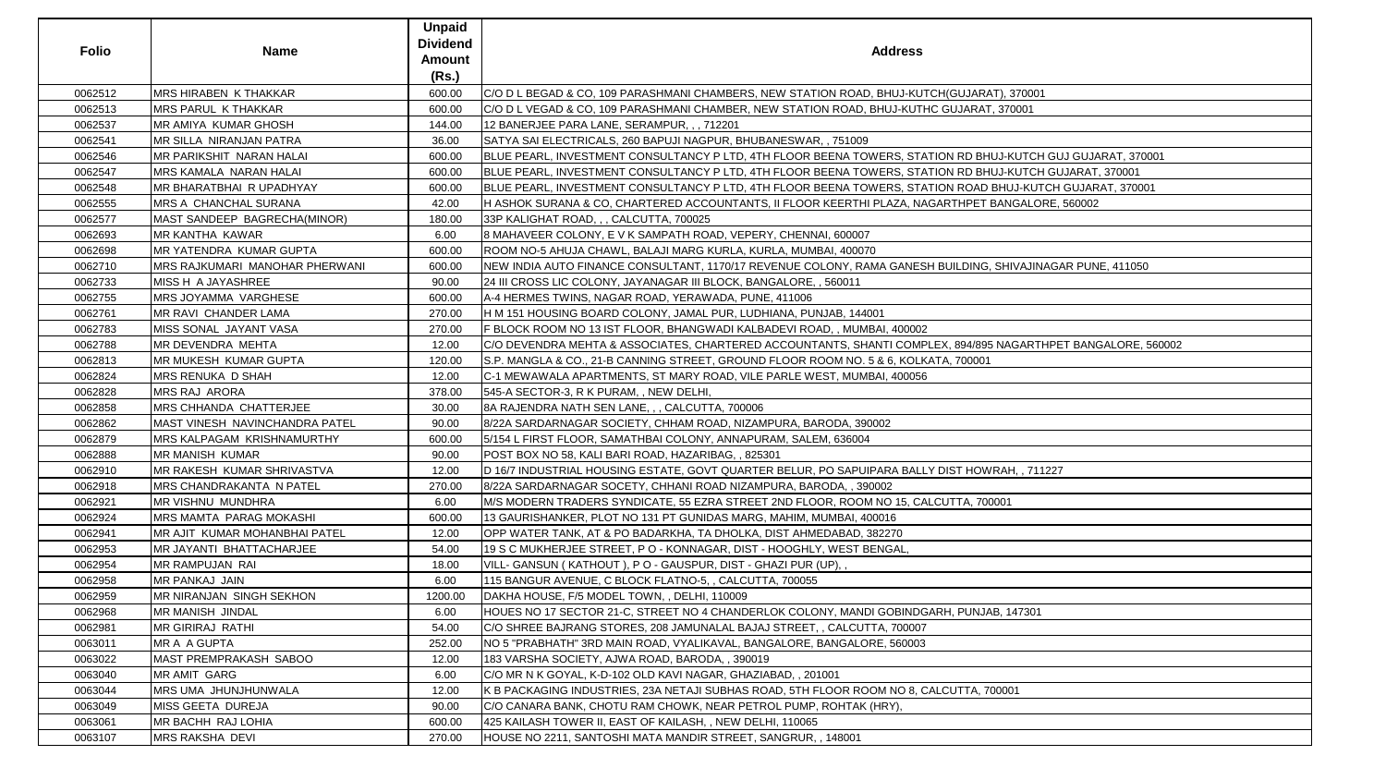| <b>Folio</b> | <b>Name</b>                            | <b>Unpaid</b><br><b>Dividend</b><br>Amount<br>(Rs.) | <b>Address</b>                                                                                               |
|--------------|----------------------------------------|-----------------------------------------------------|--------------------------------------------------------------------------------------------------------------|
| 0062512      | <b>MRS HIRABEN K THAKKAR</b>           | 600.00                                              | C/O D L BEGAD & CO, 109 PARASHMANI CHAMBERS, NEW STATION ROAD, BHUJ-KUTCH(GUJARAT), 370001                   |
| 0062513      | <b>MRS PARUL K THAKKAR</b>             | 600.00                                              | C/O D L VEGAD & CO, 109 PARASHMANI CHAMBER, NEW STATION ROAD, BHUJ-KUTHC GUJARAT, 370001                     |
| 0062537      | <b>IMR AMIYA KUMAR GHOSH</b>           | 144.00                                              | 12 BANERJEE PARA LANE, SERAMPUR, , , 712201                                                                  |
| 0062541      | IMR SILLA NIRANJAN PATRA               | 36.00                                               | SATYA SAI ELECTRICALS, 260 BAPUJI NAGPUR, BHUBANESWAR,, 751009                                               |
| 0062546      | MR PARIKSHIT NARAN HALAI               | 600.00                                              | BLUE PEARL, INVESTMENT CONSULTANCY P LTD, 4TH FLOOR BEENA TOWERS, STATION RD BHUJ-KUTCH GUJ GUJARAT, 370001  |
| 0062547      | MRS KAMALA NARAN HALAI                 | 600.00                                              | BLUE PEARL, INVESTMENT CONSULTANCY P LTD, 4TH FLOOR BEENA TOWERS, STATION RD BHUJ-KUTCH GUJARAT, 370001      |
| 0062548      | MR BHARATBHAI R UPADHYAY               | 600.00                                              | BLUE PEARL, INVESTMENT CONSULTANCY P LTD, 4TH FLOOR BEENA TOWERS, STATION ROAD BHUJ-KUTCH GUJARAT, 370001    |
| 0062555      | <b>IMRS A CHANCHAL SURANA</b>          | 42.00                                               | H ASHOK SURANA & CO, CHARTERED ACCOUNTANTS, II FLOOR KEERTHI PLAZA, NAGARTHPET BANGALORE, 560002             |
| 0062577      | MAST SANDEEP BAGRECHA(MINOR)           | 180.00                                              | 33P KALIGHAT ROAD, , , CALCUTTA, 700025                                                                      |
| 0062693      | MR KANTHA KAWAR                        | 6.00                                                | 8 MAHAVEER COLONY, E V K SAMPATH ROAD, VEPERY, CHENNAI, 600007                                               |
| 0062698      | MR YATENDRA KUMAR GUPTA                | 600.00                                              | ROOM NO-5 AHUJA CHAWL, BALAJI MARG KURLA, KURLA, MUMBAI, 400070                                              |
| 0062710      | <b>IMRS RAJKUMARI MANOHAR PHERWANI</b> | 600.00                                              | NEW INDIA AUTO FINANCE CONSULTANT, 1170/17 REVENUE COLONY, RAMA GANESH BUILDING, SHIVAJINAGAR PUNE, 411050   |
| 0062733      | <b>MISS H A JAYASHREE</b>              | 90.00                                               | 24 III CROSS LIC COLONY, JAYANAGAR III BLOCK, BANGALORE, , 560011                                            |
| 0062755      | MRS JOYAMMA VARGHESE                   | 600.00                                              | A-4 HERMES TWINS, NAGAR ROAD, YERAWADA, PUNE, 411006                                                         |
| 0062761      | MR RAVI CHANDER LAMA                   | 270.00                                              | H M 151 HOUSING BOARD COLONY, JAMAL PUR, LUDHIANA, PUNJAB, 144001                                            |
| 0062783      | MISS SONAL JAYANT VASA                 | 270.00                                              | FBLOCK ROOM NO 13 IST FLOOR, BHANGWADI KALBADEVI ROAD, , MUMBAI, 400002                                      |
| 0062788      | MR DEVENDRA MEHTA                      | 12.00                                               | C/O DEVENDRA MEHTA & ASSOCIATES, CHARTERED ACCOUNTANTS, SHANTI COMPLEX, 894/895 NAGARTHPET BANGALORE, 560002 |
| 0062813      | <b>MR MUKESH KUMAR GUPTA</b>           | 120.00                                              | S.P. MANGLA & CO., 21-B CANNING STREET, GROUND FLOOR ROOM NO. 5 & 6, KOLKATA, 700001                         |
| 0062824      | <b>MRS RENUKA D SHAH</b>               | 12.00                                               | C-1 MEWAWALA APARTMENTS, ST MARY ROAD, VILE PARLE WEST, MUMBAI, 400056                                       |
| 0062828      | <b>MRS RAJ ARORA</b>                   | 378.00                                              | [545-A SECTOR-3, R K PURAM, , NEW DELHI,                                                                     |
| 0062858      | MRS CHHANDA CHATTERJEE                 | 30.00                                               | 8A RAJENDRA NATH SEN LANE, , , CALCUTTA, 700006                                                              |
| 0062862      | MAST VINESH NAVINCHANDRA PATEL         | 90.00                                               | 8/22A SARDARNAGAR SOCIETY, CHHAM ROAD, NIZAMPURA, BARODA, 390002                                             |
| 0062879      | <b>MRS KALPAGAM KRISHNAMURTHY</b>      | 600.00                                              | 5/154 L FIRST FLOOR, SAMATHBAI COLONY, ANNAPURAM, SALEM, 636004                                              |
| 0062888      | <b>MR MANISH KUMAR</b>                 | 90.00                                               | POST BOX NO 58, KALI BARI ROAD, HAZARIBAG, , 825301                                                          |
| 0062910      | <b>IMR RAKESH KUMAR SHRIVASTVA</b>     | 12.00                                               | D 16/7 INDUSTRIAL HOUSING ESTATE, GOVT QUARTER BELUR, PO SAPUIPARA BALLY DIST HOWRAH, , 711227               |
| 0062918      | <b>MRS CHANDRAKANTA N PATEL</b>        | 270.00                                              | 8/22A SARDARNAGAR SOCETY, CHHANI ROAD NIZAMPURA, BARODA, , 390002                                            |
| 0062921      | MR VISHNU MUNDHRA                      | 6.00                                                | M/S MODERN TRADERS SYNDICATE, 55 EZRA STREET 2ND FLOOR, ROOM NO 15, CALCUTTA, 700001                         |
| 0062924      | <b>IMRS MAMTA PARAG MOKASHI</b>        | 600.00                                              | 13 GAURISHANKER, PLOT NO 131 PT GUNIDAS MARG, MAHIM, MUMBAI, 400016                                          |
| 0062941      | <b>IMR AJIT KUMAR MOHANBHAI PATEL</b>  | 12.00                                               | OPP WATER TANK, AT & PO BADARKHA, TA DHOLKA, DIST AHMEDABAD, 382270                                          |
| 0062953      | MR JAYANTI BHATTACHARJEE               | 54.00                                               | 19 S C MUKHERJEE STREET, P O - KONNAGAR, DIST - HOOGHLY, WEST BENGAL,                                        |
| 0062954      | MR RAMPUJAN RAI                        | 18.00                                               | VILL- GANSUN (KATHOUT), P O - GAUSPUR, DIST - GHAZI PUR (UP), ,                                              |
| 0062958      | <b>MR PANKAJ JAIN</b>                  | 6.00                                                | 115 BANGUR AVENUE, C BLOCK FLATNO-5, , CALCUTTA, 700055                                                      |
| 0062959      | <b>IMR NIRANJAN SINGH SEKHON</b>       | 1200.00                                             | DAKHA HOUSE, F/5 MODEL TOWN, , DELHI, 110009                                                                 |
| 0062968      | <b>MR MANISH JINDAL</b>                | 6.00                                                | HOUES NO 17 SECTOR 21-C, STREET NO 4 CHANDERLOK COLONY, MANDI GOBINDGARH, PUNJAB, 147301                     |
| 0062981      | <b>IMR GIRIRAJ RATHI</b>               | 54.00                                               | C/O SHREE BAJRANG STORES, 208 JAMUNALAL BAJAJ STREET, , CALCUTTA, 700007                                     |
| 0063011      | MR A A GUPTA                           | 252.00                                              | NO 5 "PRABHATH" 3RD MAIN ROAD, VYALIKAVAL, BANGALORE, BANGALORE, 560003                                      |
| 0063022      | MAST PREMPRAKASH SABOO                 | 12.00                                               | 183 VARSHA SOCIETY, AJWA ROAD, BARODA, , 390019                                                              |
| 0063040      | <b>MR AMIT GARG</b>                    | 6.00                                                | C/O MR N K GOYAL, K-D-102 OLD KAVI NAGAR, GHAZIABAD, , 201001                                                |
| 0063044      | <b>IMRS UMA JHUNJHUNWALA</b>           | 12.00                                               | K B PACKAGING INDUSTRIES, 23A NETAJI SUBHAS ROAD, 5TH FLOOR ROOM NO 8, CALCUTTA, 700001                      |
| 0063049      | MISS GEETA DUREJA                      | 90.00                                               | C/O CANARA BANK, CHOTU RAM CHOWK, NEAR PETROL PUMP, ROHTAK (HRY),                                            |
| 0063061      | MR BACHH RAJ LOHIA                     | 600.00                                              | 425 KAILASH TOWER II, EAST OF KAILASH, , NEW DELHI, 110065                                                   |
| 0063107      | MRS RAKSHA DEVI                        | 270.00                                              | HOUSE NO 2211, SANTOSHI MATA MANDIR STREET, SANGRUR, , 148001                                                |

| ARAT), 370001                    |
|----------------------------------|
| RAT, 370001                      |
|                                  |
|                                  |
| BHUJ-KUTCH GUJ GUJARAT, 370001   |
| BHUJ-KUTCH GUJARAT, 370001       |
| AD BHUJ-KUTCH GUJARAT, 370001    |
| ET BANGALORE, 560002             |
|                                  |
|                                  |
|                                  |
| NG, SHIVAJINAGAR PUNE, 411050    |
|                                  |
|                                  |
|                                  |
|                                  |
| 895 NAGARTHPET BANGALORE, 560002 |
| 001                              |
|                                  |
|                                  |
|                                  |
|                                  |
|                                  |
|                                  |
| OWRAH, , 711227                  |
|                                  |
| 700001                           |
|                                  |
|                                  |
|                                  |
|                                  |
|                                  |
|                                  |
| NJAB, 147301                     |
|                                  |
|                                  |
|                                  |
|                                  |
| 4, 700001                        |
|                                  |
|                                  |
|                                  |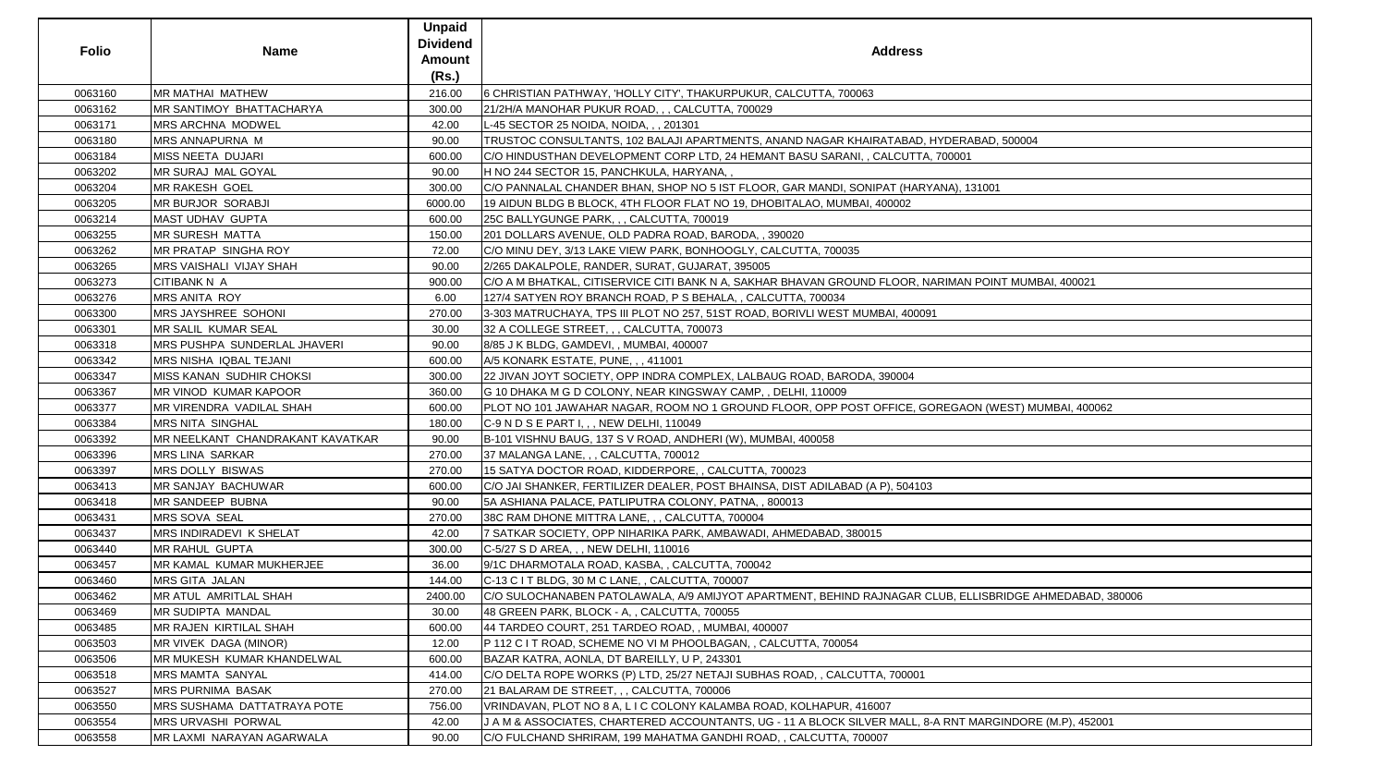| <b>Folio</b> | <b>Name</b>                      | <b>Unpaid</b><br><b>Dividend</b><br><b>Amount</b> | <b>Address</b>                                                                                           |
|--------------|----------------------------------|---------------------------------------------------|----------------------------------------------------------------------------------------------------------|
|              |                                  | (Rs.)                                             |                                                                                                          |
| 0063160      | <b>MR MATHAI MATHEW</b>          | 216.00                                            | 6 CHRISTIAN PATHWAY, 'HOLLY CITY', THAKURPUKUR, CALCUTTA, 700063                                         |
| 0063162      | <b>MR SANTIMOY BHATTACHARYA</b>  | 300.00                                            | 21/2H/A MANOHAR PUKUR ROAD, , , CALCUTTA, 700029                                                         |
| 0063171      | <b>MRS ARCHNA MODWEL</b>         | 42.00                                             | L-45 SECTOR 25 NOIDA, NOIDA, ,, 201301                                                                   |
| 0063180      | MRS ANNAPURNA M                  | 90.00                                             | TRUSTOC CONSULTANTS, 102 BALAJI APARTMENTS, ANAND NAGAR KHAIRATABAD, HYDERABAD, 500004                   |
| 0063184      | MISS NEETA DUJARI                | 600.00                                            | C/O HINDUSTHAN DEVELOPMENT CORP LTD, 24 HEMANT BASU SARANI, , CALCUTTA, 700001                           |
| 0063202      | <b>MR SURAJ MAL GOYAL</b>        | 90.00                                             | H NO 244 SECTOR 15, PANCHKULA, HARYANA, ,                                                                |
| 0063204      | <b>MR RAKESH GOEL</b>            | 300.00                                            | C/O PANNALAL CHANDER BHAN, SHOP NO 5 IST FLOOR, GAR MANDI, SONIPAT (HARYANA), 131001                     |
| 0063205      | MR BURJOR SORABJI                | 6000.00                                           | 19 AIDUN BLDG B BLOCK, 4TH FLOOR FLAT NO 19, DHOBITALAO, MUMBAI, 400002                                  |
| 0063214      | <b>MAST UDHAV GUPTA</b>          | 600.00                                            | 25C BALLYGUNGE PARK, , , CALCUTTA, 700019                                                                |
| 0063255      | <b>MR SURESH MATTA</b>           | 150.00                                            | 201 DOLLARS AVENUE, OLD PADRA ROAD, BARODA, , 390020                                                     |
| 0063262      | MR PRATAP SINGHA ROY             | 72.00                                             | C/O MINU DEY, 3/13 LAKE VIEW PARK, BONHOOGLY, CALCUTTA, 700035                                           |
| 0063265      | MRS VAISHALI VIJAY SHAH          | 90.00                                             | 2/265 DAKALPOLE, RANDER, SURAT, GUJARAT, 395005                                                          |
| 0063273      | <b>CITIBANK N A</b>              | 900.00                                            | C/O A M BHATKAL, CITISERVICE CITI BANK N A, SAKHAR BHAVAN GROUND FLOOR, NARIMAN POINT MUMBAI, 400021     |
| 0063276      | MRS ANITA ROY                    | 6.00                                              | 127/4 SATYEN ROY BRANCH ROAD, P S BEHALA, , CALCUTTA, 700034                                             |
| 0063300      | MRS JAYSHREE SOHONI              | 270.00                                            | 3-303 MATRUCHAYA, TPS III PLOT NO 257, 51ST ROAD, BORIVLI WEST MUMBAI, 400091                            |
| 0063301      | MR SALIL KUMAR SEAL              | 30.00                                             | 32 A COLLEGE STREET, , , CALCUTTA, 700073                                                                |
| 0063318      | MRS PUSHPA SUNDERLAL JHAVERI     | 90.00                                             | 8/85 J K BLDG, GAMDEVI, , MUMBAI, 400007                                                                 |
| 0063342      | MRS NISHA IQBAL TEJANI           | 600.00                                            | A/5 KONARK ESTATE, PUNE, , , 411001                                                                      |
| 0063347      | MISS KANAN SUDHIR CHOKSI         | 300.00                                            | 22 JIVAN JOYT SOCIETY, OPP INDRA COMPLEX, LALBAUG ROAD, BARODA, 390004                                   |
| 0063367      | <b>MR VINOD KUMAR KAPOOR</b>     | 360.00                                            | G 10 DHAKA M G D COLONY, NEAR KINGSWAY CAMP, , DELHI, 110009                                             |
| 0063377      | MR VIRENDRA VADILAL SHAH         | 600.00                                            | PLOT NO 101 JAWAHAR NAGAR, ROOM NO 1 GROUND FLOOR, OPP POST OFFICE, GOREGAON (WEST) MUMBAI, 400062       |
| 0063384      | <b>MRS NITA SINGHAL</b>          | 180.00                                            | C-9 N D S E PART I, , , NEW DELHI, 110049                                                                |
| 0063392      | MR NEELKANT CHANDRAKANT KAVATKAR | 90.00                                             | B-101 VISHNU BAUG, 137 S V ROAD, ANDHERI (W), MUMBAI, 400058                                             |
| 0063396      | MRS LINA SARKAR                  | 270.00                                            | 37 MALANGA LANE, , , CALCUTTA, 700012                                                                    |
| 0063397      | <b>MRS DOLLY BISWAS</b>          | 270.00                                            | 15 SATYA DOCTOR ROAD, KIDDERPORE, , CALCUTTA, 700023                                                     |
| 0063413      | MR SANJAY BACHUWAR               | 600.00                                            | C/O JAI SHANKER, FERTILIZER DEALER, POST BHAINSA, DIST ADILABAD (A P), 504103                            |
| 0063418      | <b>MR SANDEEP BUBNA</b>          | 90.00                                             | 5A ASHIANA PALACE, PATLIPUTRA COLONY, PATNA, , 800013                                                    |
| 0063431      | <b>MRS SOVA SEAL</b>             | 270.00                                            | 38C RAM DHONE MITTRA LANE, , , CALCUTTA, 700004                                                          |
| 0063437      | MRS INDIRADEVI K SHELAT          | 42.00                                             | 7 SATKAR SOCIETY, OPP NIHARIKA PARK, AMBAWADI, AHMEDABAD, 380015                                         |
| 0063440      | MR RAHUL GUPTA                   | 300.00                                            | C-5/27 S D AREA, , , NEW DELHI, 110016                                                                   |
| 0063457      | MR KAMAL KUMAR MUKHERJEE         | 36.00                                             | 9/1C DHARMOTALA ROAD, KASBA, , CALCUTTA, 700042                                                          |
| 0063460      | <b>MRS GITA JALAN</b>            | 144.00                                            | C-13 C I T BLDG, 30 M C LANE, , CALCUTTA, 700007                                                         |
| 0063462      | <b>MR ATUL AMRITLAL SHAH</b>     | 2400.00                                           | C/O SULOCHANABEN PATOLAWALA, A/9 AMIJYOT APARTMENT, BEHIND RAJNAGAR CLUB, ELLISBRIDGE AHMEDABAD, 380006  |
| 0063469      | <b>MR SUDIPTA MANDAL</b>         | 30.00                                             | 48 GREEN PARK, BLOCK - A, , CALCUTTA, 700055                                                             |
| 0063485      | MR RAJEN KIRTILAL SHAH           | 600.00                                            | 44 TARDEO COURT, 251 TARDEO ROAD, , MUMBAI, 400007                                                       |
| 0063503      | MR VIVEK DAGA (MINOR)            | 12.00                                             | P 112 C I T ROAD, SCHEME NO VI M PHOOLBAGAN, , CALCUTTA, 700054                                          |
| 0063506      | MR MUKESH KUMAR KHANDELWAL       | 600.00                                            | BAZAR KATRA, AONLA, DT BAREILLY, U P, 243301                                                             |
| 0063518      | <b>MRS MAMTA SANYAL</b>          | 414.00                                            | C/O DELTA ROPE WORKS (P) LTD, 25/27 NETAJI SUBHAS ROAD, , CALCUTTA, 700001                               |
| 0063527      | <b>MRS PURNIMA BASAK</b>         | 270.00                                            | 21 BALARAM DE STREET, , , CALCUTTA, 700006                                                               |
| 0063550      | MRS SUSHAMA DATTATRAYA POTE      | 756.00                                            | VRINDAVAN, PLOT NO 8 A, L I C COLONY KALAMBA ROAD, KOLHAPUR, 416007                                      |
| 0063554      | MRS URVASHI PORWAL               | 42.00                                             | J A M & ASSOCIATES, CHARTERED ACCOUNTANTS, UG - 11 A BLOCK SILVER MALL, 8-A RNT MARGINDORE (M.P), 452001 |
| 0063558      | MR LAXMI NARAYAN AGARWALA        | 90.00                                             | C/O FULCHAND SHRIRAM, 199 MAHATMA GANDHI ROAD, , CALCUTTA, 700007                                        |

| HYDERABAD, 500004                  |
|------------------------------------|
| 700001                             |
|                                    |
| <u>(ANA), 131001</u>               |
|                                    |
|                                    |
|                                    |
|                                    |
|                                    |
|                                    |
| ARIMAN POINT MUMBAI, 400021        |
|                                    |
| 1                                  |
|                                    |
|                                    |
|                                    |
|                                    |
|                                    |
|                                    |
| DREGAON (WEST) MUMBAI, 400062      |
|                                    |
|                                    |
|                                    |
|                                    |
|                                    |
|                                    |
|                                    |
|                                    |
|                                    |
|                                    |
|                                    |
|                                    |
| LUB, ELLISBRIDGE AHMEDABAD, 380006 |
|                                    |
|                                    |
|                                    |
|                                    |
|                                    |
|                                    |
|                                    |
|                                    |
| A RNT MARGINDORE (M.P), 452001     |
|                                    |
|                                    |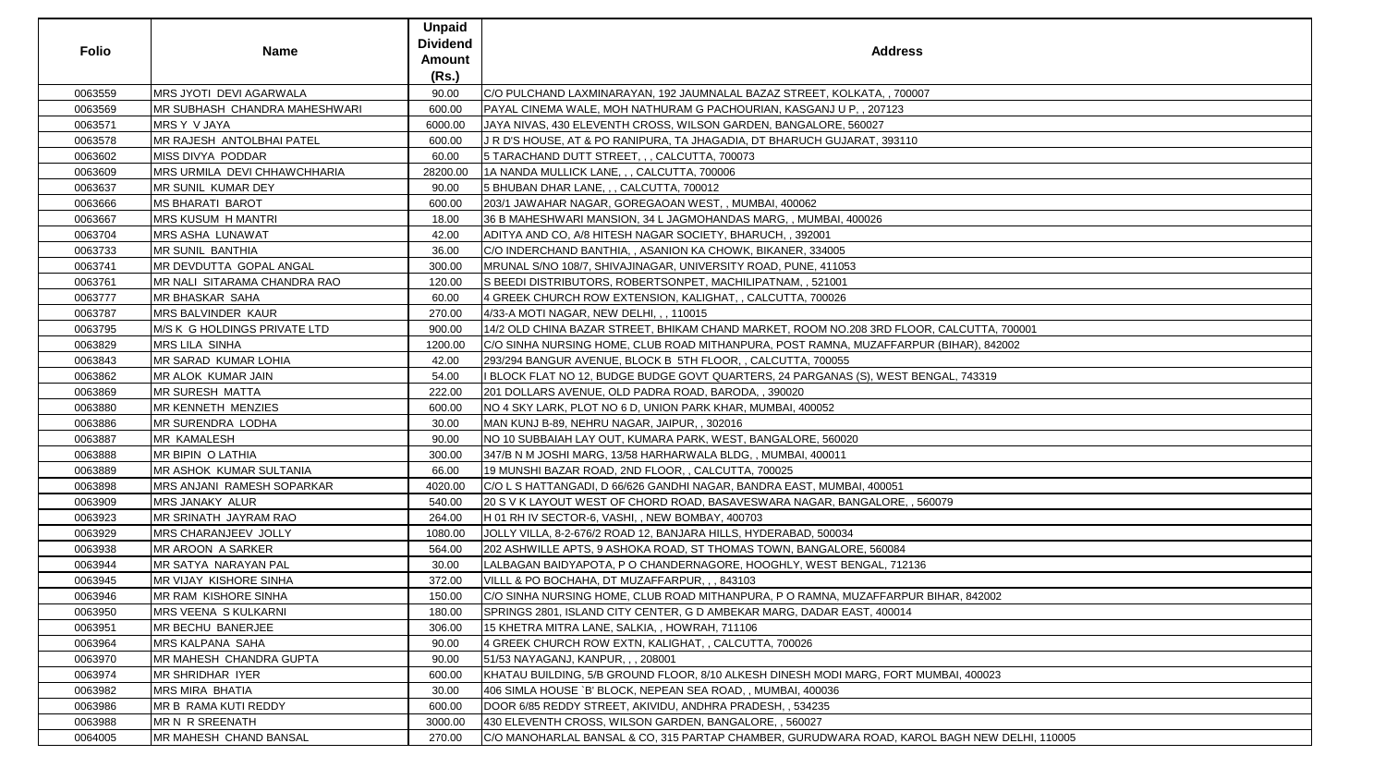| <b>Folio</b> | <b>Name</b>                          | <b>Unpaid</b><br><b>Dividend</b><br><b>Amount</b><br>(Rs.) | <b>Address</b>                                                                               |
|--------------|--------------------------------------|------------------------------------------------------------|----------------------------------------------------------------------------------------------|
| 0063559      | MRS JYOTI DEVI AGARWALA              | 90.00                                                      | C/O PULCHAND LAXMINARAYAN, 192 JAUMNALAL BAZAZ STREET, KOLKATA, , 700007                     |
| 0063569      | <b>MR SUBHASH CHANDRA MAHESHWARI</b> | 600.00                                                     | PAYAL CINEMA WALE, MOH NATHURAM G PACHOURIAN, KASGANJ U P, , 207123                          |
| 0063571      | MRS Y V JAYA                         | 6000.00                                                    | JAYA NIVAS, 430 ELEVENTH CROSS, WILSON GARDEN, BANGALORE, 560027                             |
| 0063578      | MR RAJESH ANTOLBHAI PATEL            | 600.00                                                     | J R D'S HOUSE, AT & PO RANIPURA, TA JHAGADIA, DT BHARUCH GUJARAT, 393110                     |
| 0063602      | MISS DIVYA PODDAR                    | 60.00                                                      | 5 TARACHAND DUTT STREET, , , CALCUTTA, 700073                                                |
| 0063609      | MRS URMILA DEVI CHHAWCHHARIA         | 28200.00                                                   | 1A NANDA MULLICK LANE, , , CALCUTTA, 700006                                                  |
| 0063637      | MR SUNIL KUMAR DEY                   | 90.00                                                      | 5 BHUBAN DHAR LANE, , , CALCUTTA, 700012                                                     |
| 0063666      | <b>IMS BHARATI BAROT</b>             | 600.00                                                     | 203/1 JAWAHAR NAGAR, GOREGAOAN WEST, , MUMBAI, 400062                                        |
| 0063667      | <b>MRS KUSUM H MANTRI</b>            | 18.00                                                      | 36 B MAHESHWARI MANSION, 34 L JAGMOHANDAS MARG, , MUMBAI, 400026                             |
| 0063704      | <b>MRS ASHA LUNAWAT</b>              | 42.00                                                      | ADITYA AND CO, A/8 HITESH NAGAR SOCIETY, BHARUCH, , 392001                                   |
| 0063733      | MR SUNIL BANTHIA                     | 36.00                                                      | C/O INDERCHAND BANTHIA,, ASANION KA CHOWK, BIKANER, 334005                                   |
| 0063741      | MR DEVDUTTA GOPAL ANGAL              | 300.00                                                     | MRUNAL S/NO 108/7, SHIVAJINAGAR, UNIVERSITY ROAD, PUNE, 411053                               |
| 0063761      | MR NALI SITARAMA CHANDRA RAO         | 120.00                                                     | S BEEDI DISTRIBUTORS, ROBERTSONPET, MACHILIPATNAM, , 521001                                  |
| 0063777      | MR BHASKAR SAHA                      | 60.00                                                      | 4 GREEK CHURCH ROW EXTENSION, KALIGHAT, , CALCUTTA, 700026                                   |
| 0063787      | <b>MRS BALVINDER KAUR</b>            | 270.00                                                     | 4/33-A MOTI NAGAR, NEW DELHI, , , 110015                                                     |
| 0063795      | M/S K G HOLDINGS PRIVATE LTD         | 900.00                                                     | 14/2 OLD CHINA BAZAR STREET, BHIKAM CHAND MARKET, ROOM NO.208 3RD FLOOR, CALCUTTA, 700001    |
| 0063829      | <b>MRS LILA SINHA</b>                | 1200.00                                                    | C/O SINHA NURSING HOME, CLUB ROAD MITHANPURA, POST RAMNA, MUZAFFARPUR (BIHAR), 842002        |
| 0063843      | MR SARAD KUMAR LOHIA                 | 42.00                                                      | 293/294 BANGUR AVENUE, BLOCK B 5TH FLOOR, , CALCUTTA, 700055                                 |
| 0063862      | MR ALOK KUMAR JAIN                   | 54.00                                                      | I BLOCK FLAT NO 12, BUDGE BUDGE GOVT QUARTERS, 24 PARGANAS (S), WEST BENGAL, 743319          |
| 0063869      | <b>MR SURESH MATTA</b>               | 222.00                                                     | 201 DOLLARS AVENUE, OLD PADRA ROAD, BARODA, , 390020                                         |
| 0063880      | <b>MR KENNETH MENZIES</b>            | 600.00                                                     | NO 4 SKY LARK, PLOT NO 6 D, UNION PARK KHAR, MUMBAI, 400052                                  |
| 0063886      | <b>IMR SURENDRA LODHA</b>            | 30.00                                                      | MAN KUNJ B-89, NEHRU NAGAR, JAIPUR, , 302016                                                 |
| 0063887      | MR KAMALESH                          | 90.00                                                      | NO 10 SUBBAIAH LAY OUT, KUMARA PARK, WEST, BANGALORE, 560020                                 |
| 0063888      | MR BIPIN O LATHIA                    | 300.00                                                     | 347/B N M JOSHI MARG, 13/58 HARHARWALA BLDG, , MUMBAI, 400011                                |
| 0063889      | MR ASHOK KUMAR SULTANIA              | 66.00                                                      | 19 MUNSHI BAZAR ROAD, 2ND FLOOR, , CALCUTTA, 700025                                          |
| 0063898      | MRS ANJANI RAMESH SOPARKAR           | 4020.00                                                    | C/O L S HATTANGADI, D 66/626 GANDHI NAGAR, BANDRA EAST, MUMBAI, 400051                       |
| 0063909      | MRS JANAKY ALUR                      | 540.00                                                     | 20 S V K LAYOUT WEST OF CHORD ROAD, BASAVESWARA NAGAR, BANGALORE, , 560079                   |
| 0063923      | MR SRINATH JAYRAM RAO                | 264.00                                                     | H 01 RH IV SECTOR-6, VASHI, , NEW BOMBAY, 400703                                             |
| 0063929      | MRS CHARANJEEV JOLLY                 | 1080.00                                                    | JJOLLY VILLA, 8-2-676/2 ROAD 12, BANJARA HILLS, HYDERABAD, 500034                            |
| 0063938      | MR AROON A SARKER                    | 564.00                                                     | 202 ASHWILLE APTS, 9 ASHOKA ROAD, ST THOMAS TOWN, BANGALORE, 560084                          |
| 0063944      | MR SATYA NARAYAN PAL                 | 30.00                                                      | LALBAGAN BAIDYAPOTA, P O CHANDERNAGORE, HOOGHLY, WEST BENGAL, 712136                         |
| 0063945      | MR VIJAY KISHORE SINHA               | 372.00                                                     | VILLL & PO BOCHAHA, DT MUZAFFARPUR, ,, 843103                                                |
| 0063946      | MR RAM KISHORE SINHA                 | 150.00                                                     | C/O SINHA NURSING HOME, CLUB ROAD MITHANPURA, P O RAMNA, MUZAFFARPUR BIHAR, 842002           |
| 0063950      | MRS VEENA S KULKARNI                 | 180.00                                                     | SPRINGS 2801, ISLAND CITY CENTER, G D AMBEKAR MARG, DADAR EAST, 400014                       |
| 0063951      | MR BECHU BANERJEE                    | 306.00                                                     | 15 KHETRA MITRA LANE, SALKIA, , HOWRAH, 711106                                               |
| 0063964      | <b>MRS KALPANA SAHA</b>              | 90.00                                                      | 4 GREEK CHURCH ROW EXTN, KALIGHAT, , CALCUTTA, 700026                                        |
| 0063970      | MR MAHESH CHANDRA GUPTA              | 90.00                                                      | 51/53 NAYAGANJ, KANPUR, , , 208001                                                           |
| 0063974      | <b>MR SHRIDHAR IYER</b>              | 600.00                                                     | KHATAU BUILDING, 5/B GROUND FLOOR, 8/10 ALKESH DINESH MODI MARG, FORT MUMBAI, 400023         |
| 0063982      | <b>MRS MIRA BHATIA</b>               | 30.00                                                      | 406 SIMLA HOUSE `B' BLOCK, NEPEAN SEA ROAD, , MUMBAI, 400036                                 |
| 0063986      | MR B RAMA KUTI REDDY                 | 600.00                                                     | DOOR 6/85 REDDY STREET, AKIVIDU, ANDHRA PRADESH, , 534235                                    |
| 0063988      | <b>MR N R SREENATH</b>               | 3000.00                                                    | 430 ELEVENTH CROSS, WILSON GARDEN, BANGALORE, , 560027                                       |
| 0064005      | MR MAHESH CHAND BANSAL               | 270.00                                                     | C/O MANOHARLAL BANSAL & CO, 315 PARTAP CHAMBER, GURUDWARA ROAD, KAROL BAGH NEW DELHI, 110005 |

| TTA, 700001              |  |
|--------------------------|--|
| , 842002                 |  |
|                          |  |
|                          |  |
| 3319                     |  |
|                          |  |
|                          |  |
|                          |  |
|                          |  |
|                          |  |
|                          |  |
|                          |  |
|                          |  |
|                          |  |
|                          |  |
|                          |  |
|                          |  |
|                          |  |
|                          |  |
|                          |  |
|                          |  |
|                          |  |
|                          |  |
|                          |  |
|                          |  |
|                          |  |
|                          |  |
|                          |  |
|                          |  |
|                          |  |
|                          |  |
|                          |  |
|                          |  |
|                          |  |
|                          |  |
|                          |  |
|                          |  |
| 2002<br>0023             |  |
|                          |  |
|                          |  |
| <b>NEW DELHI, 110005</b> |  |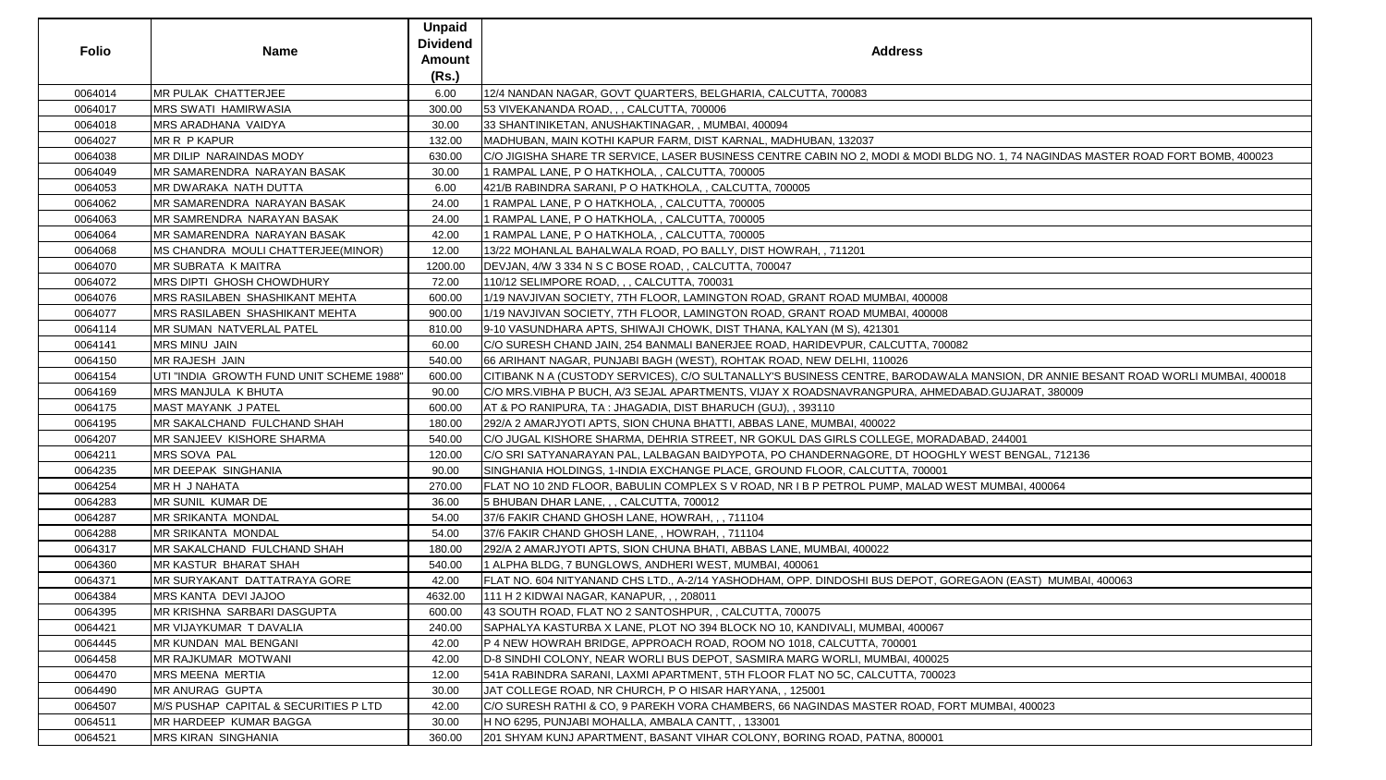| <b>Folio</b> | <b>Name</b>                              | <b>Unpaid</b><br><b>Dividend</b><br><b>Amount</b><br>(Rs.) | <b>Address</b>                                                                                   |
|--------------|------------------------------------------|------------------------------------------------------------|--------------------------------------------------------------------------------------------------|
| 0064014      | <b>MR PULAK CHATTERJEE</b>               | 6.00                                                       | 12/4 NANDAN NAGAR, GOVT QUARTERS, BELGHARIA, CALCUTTA, 700083                                    |
| 0064017      | <b>MRS SWATI HAMIRWASIA</b>              | 300.00                                                     | 53 VIVEKANANDA ROAD, , , CALCUTTA, 700006                                                        |
| 0064018      | <b>MRS ARADHANA VAIDYA</b>               | 30.00                                                      | 33 SHANTINIKETAN, ANUSHAKTINAGAR, , MUMBAI, 400094                                               |
| 0064027      | MR R P KAPUR                             | 132.00                                                     | MADHUBAN, MAIN KOTHI KAPUR FARM, DIST KARNAL, MADHUBAN, 132037                                   |
| 0064038      | MR DILIP NARAINDAS MODY                  | 630.00                                                     | C/O JIGISHA SHARE TR SERVICE, LASER BUSINESS CENTRE CABIN NO 2, MODI & MODI BLDG NO. 1, 74 NAGII |
| 0064049      | MR SAMARENDRA NARAYAN BASAK              | 30.00                                                      | 1 RAMPAL LANE, P O HATKHOLA, , CALCUTTA, 700005                                                  |
| 0064053      | MR DWARAKA NATH DUTTA                    | 6.00                                                       | 421/B RABINDRA SARANI, P O HATKHOLA, , CALCUTTA, 700005                                          |
| 0064062      | <b>MR SAMARENDRA NARAYAN BASAK</b>       | 24.00                                                      | 1 RAMPAL LANE, P O HATKHOLA, , CALCUTTA, 700005                                                  |
| 0064063      | MR SAMRENDRA NARAYAN BASAK               | 24.00                                                      | 1 RAMPAL LANE, P O HATKHOLA, , CALCUTTA, 700005                                                  |
| 0064064      | MR SAMARENDRA NARAYAN BASAK              | 42.00                                                      | I RAMPAL LANE, P O HATKHOLA, , CALCUTTA, 700005                                                  |
| 0064068      | MS CHANDRA MOULI CHATTERJEE(MINOR)       | 12.00                                                      | 13/22 MOHANLAL BAHALWALA ROAD, PO BALLY, DIST HOWRAH, , 711201                                   |
| 0064070      | <b>MR SUBRATA K MAITRA</b>               | 1200.00                                                    | DEVJAN, 4/W 3 334 N S C BOSE ROAD, , CALCUTTA, 700047                                            |
| 0064072      | <b>MRS DIPTI GHOSH CHOWDHURY</b>         | 72.00                                                      | 110/12 SELIMPORE ROAD, , , CALCUTTA, 700031                                                      |
| 0064076      | <b>MRS RASILABEN SHASHIKANT MEHTA</b>    | 600.00                                                     | 1/19 NAVJIVAN SOCIETY, 7TH FLOOR, LAMINGTON ROAD, GRANT ROAD MUMBAI, 400008                      |
| 0064077      | MRS RASILABEN SHASHIKANT MEHTA           | 900.00                                                     | 1/19 NAVJIVAN SOCIETY, 7TH FLOOR, LAMINGTON ROAD, GRANT ROAD MUMBAI, 400008                      |
| 0064114      | MR SUMAN NATVERLAL PATEL                 | 810.00                                                     | 9-10 VASUNDHARA APTS, SHIWAJI CHOWK, DIST THANA, KALYAN (M S), 421301                            |
| 0064141      | <b>MRS MINU JAIN</b>                     | 60.00                                                      | C/O SURESH CHAND JAIN, 254 BANMALI BANERJEE ROAD, HARIDEVPUR, CALCUTTA, 700082                   |
| 0064150      | MR RAJESH JAIN                           | 540.00                                                     | 66 ARIHANT NAGAR, PUNJABI BAGH (WEST), ROHTAK ROAD, NEW DELHI, 110026                            |
| 0064154      | UTI "INDIA GROWTH FUND UNIT SCHEME 1988" | 600.00                                                     | CITIBANK N A (CUSTODY SERVICES), C/O SULTANALLY'S BUSINESS CENTRE, BARODAWALA MANSION, DR AI     |
| 0064169      | <b>MRS MANJULA K BHUTA</b>               | 90.00                                                      | C/O MRS.VIBHA P BUCH, A/3 SEJAL APARTMENTS, VIJAY X ROADSNAVRANGPURA, AHMEDABAD.GUJARAT, 3       |
| 0064175      | <b>MAST MAYANK J PATEL</b>               | 600.00                                                     | AT & PO RANIPURA, TA : JHAGADIA, DIST BHARUCH (GUJ), , 393110                                    |
| 0064195      | MR SAKALCHAND FULCHAND SHAH              | 180.00                                                     | 292/A 2 AMARJYOTI APTS, SION CHUNA BHATTI, ABBAS LANE, MUMBAI, 400022                            |
| 0064207      | MR SANJEEV KISHORE SHARMA                | 540.00                                                     | C/O JUGAL KISHORE SHARMA, DEHRIA STREET, NR GOKUL DAS GIRLS COLLEGE, MORADABAD, 244001           |
| 0064211      | MRS SOVA PAL                             | 120.00                                                     | C/O SRI SATYANARAYAN PAL, LALBAGAN BAIDYPOTA, PO CHANDERNAGORE, DT HOOGHLY WEST BENGAL,          |
| 0064235      | <b>MR DEEPAK SINGHANIA</b>               | 90.00                                                      | SINGHANIA HOLDINGS, 1-INDIA EXCHANGE PLACE, GROUND FLOOR, CALCUTTA, 700001                       |
| 0064254      | MR H J NAHATA                            | 270.00                                                     | FLAT NO 10 2ND FLOOR, BABULIN COMPLEX S V ROAD, NR I B P PETROL PUMP, MALAD WEST MUMBAI, 4000    |
| 0064283      | MR SUNIL KUMAR DE                        | 36.00                                                      | 5 BHUBAN DHAR LANE, , , CALCUTTA, 700012                                                         |
| 0064287      | <b>MR SRIKANTA MONDAL</b>                | 54.00                                                      | 37/6 FAKIR CHAND GHOSH LANE, HOWRAH, ,, 711104                                                   |
| 0064288      | <b>MR SRIKANTA MONDAL</b>                | 54.00                                                      | 37/6 FAKIR CHAND GHOSH LANE,, HOWRAH,, 711104                                                    |
| 0064317      | MR SAKALCHAND FULCHAND SHAH              | 180.00                                                     | 292/A 2 AMARJYOTI APTS, SION CHUNA BHATI, ABBAS LANE, MUMBAI, 400022                             |
| 0064360      | <b>MR KASTUR BHARAT SHAH</b>             | 540.00                                                     | 1 ALPHA BLDG, 7 BUNGLOWS, ANDHERI WEST, MUMBAI, 400061                                           |
| 0064371      | MR SURYAKANT DATTATRAYA GORE             | 42.00                                                      | FLAT NO. 604 NITYANAND CHS LTD., A-2/14 YASHODHAM, OPP. DINDOSHI BUS DEPOT, GOREGAON (EAST)  M   |
| 0064384      | MRS KANTA DEVI JAJOO                     | 4632.00                                                    | 111 H 2 KIDWAI NAGAR, KANAPUR, , , 208011                                                        |
| 0064395      | MR KRISHNA SARBARI DASGUPTA              | 600.00                                                     | 43 SOUTH ROAD, FLAT NO 2 SANTOSHPUR, , CALCUTTA, 700075                                          |
| 0064421      | MR VIJAYKUMAR T DAVALIA                  | 240.00                                                     | SAPHALYA KASTURBA X LANE, PLOT NO 394 BLOCK NO 10, KANDIVALI, MUMBAI, 400067                     |
| 0064445      | MR KUNDAN MAL BENGANI                    | 42.00                                                      | P 4 NEW HOWRAH BRIDGE, APPROACH ROAD, ROOM NO 1018, CALCUTTA, 700001                             |
| 0064458      | <b>MR RAJKUMAR MOTWANI</b>               | 42.00                                                      | D-8 SINDHI COLONY, NEAR WORLI BUS DEPOT, SASMIRA MARG WORLI, MUMBAI, 400025                      |
| 0064470      | <b>MRS MEENA MERTIA</b>                  | 12.00                                                      | 541A RABINDRA SARANI, LAXMI APARTMENT, 5TH FLOOR FLAT NO 5C, CALCUTTA, 700023                    |
| 0064490      | <b>MR ANURAG GUPTA</b>                   | 30.00                                                      | JAT COLLEGE ROAD, NR CHURCH, P O HISAR HARYANA,, 125001                                          |
| 0064507      | M/S PUSHAP CAPITAL & SECURITIES P LTD    | 42.00                                                      | C/O SURESH RATHI & CO, 9 PAREKH VORA CHAMBERS, 66 NAGINDAS MASTER ROAD, FORT MUMBAI, 400023      |
| 0064511      | MR HARDEEP KUMAR BAGGA                   | 30.00                                                      | H NO 6295, PUNJABI MOHALLA, AMBALA CANTT,, 133001                                                |
| 0064521      | <b>MRS KIRAN SINGHANIA</b>               | 360.00                                                     | 201 SHYAM KUNJ APARTMENT, BASANT VIHAR COLONY, BORING ROAD, PATNA, 800001                        |

## 3 NO. 1, 74 NAGINDAS MASTER ROAD FORT BOMB, 400023

MANSION, DRANNIE BESANT ROAD WORLI MUMBAI, 400018 BAD GUJARAT, 380009

WEST BENGAL, 712136

3T MUMBAI, 400064

EGAON (EAST) MUMBAI, 400063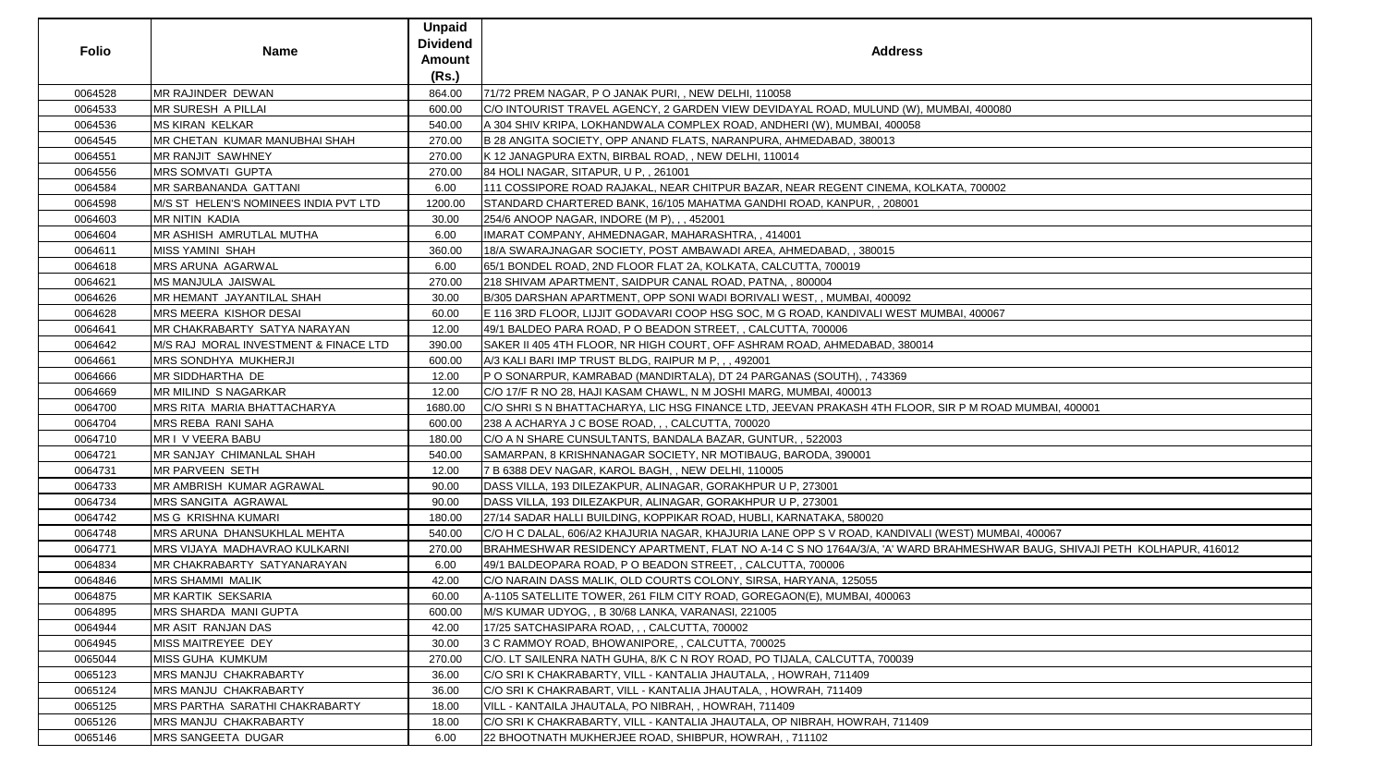|              |                                       | <b>Unpaid</b>   |                                                                                                                          |
|--------------|---------------------------------------|-----------------|--------------------------------------------------------------------------------------------------------------------------|
| <b>Folio</b> | <b>Name</b>                           | <b>Dividend</b> | <b>Address</b>                                                                                                           |
|              |                                       | <b>Amount</b>   |                                                                                                                          |
|              |                                       | (Rs.)           |                                                                                                                          |
| 0064528      | MR RAJINDER DEWAN                     | 864.00          | 71/72 PREM NAGAR, P O JANAK PURI, , NEW DELHI, 110058                                                                    |
| 0064533      | <b>MR SURESH A PILLAI</b>             | 600.00          | C/O INTOURIST TRAVEL AGENCY, 2 GARDEN VIEW DEVIDAYAL ROAD, MULUND (W), MUMBAI, 400080                                    |
| 0064536      | <b>MS KIRAN KELKAR</b>                | 540.00          | A 304 SHIV KRIPA, LOKHANDWALA COMPLEX ROAD, ANDHERI (W), MUMBAI, 400058                                                  |
| 0064545      | MR CHETAN KUMAR MANUBHAI SHAH         | 270.00          | B 28 ANGITA SOCIETY, OPP ANAND FLATS, NARANPURA, AHMEDABAD, 380013                                                       |
| 0064551      | MR RANJIT SAWHNEY                     | 270.00          | K 12 JANAGPURA EXTN, BIRBAL ROAD, , NEW DELHI, 110014                                                                    |
| 0064556      | <b>MRS SOMVATI GUPTA</b>              | 270.00          | 84 HOLI NAGAR, SITAPUR, U P., 261001                                                                                     |
| 0064584      | <b>MR SARBANANDA GATTANI</b>          | 6.00            | 111 COSSIPORE ROAD RAJAKAL, NEAR CHITPUR BAZAR, NEAR REGENT CINEMA, KOLKATA, 700002                                      |
| 0064598      | M/S ST HELEN'S NOMINEES INDIA PVT LTD | 1200.00         | STANDARD CHARTERED BANK, 16/105 MAHATMA GANDHI ROAD, KANPUR, , 208001                                                    |
| 0064603      | <b>MR NITIN KADIA</b>                 | 30.00           | 254/6 ANOOP NAGAR, INDORE (M P), , , 452001                                                                              |
| 0064604      | MR ASHISH AMRUTLAL MUTHA              | 6.00            | IMARAT COMPANY, AHMEDNAGAR, MAHARASHTRA,, 414001                                                                         |
| 0064611      | <b>MISS YAMINI SHAH</b>               | 360.00          | 18/A SWARAJNAGAR SOCIETY, POST AMBAWADI AREA, AHMEDABAD, , 380015                                                        |
| 0064618      | MRS ARUNA AGARWAL                     | 6.00            | 65/1 BONDEL ROAD, 2ND FLOOR FLAT 2A, KOLKATA, CALCUTTA, 700019                                                           |
| 0064621      | <b>MS MANJULA JAISWAL</b>             | 270.00          | 218 SHIVAM APARTMENT, SAIDPUR CANAL ROAD, PATNA,, 800004                                                                 |
| 0064626      | MR HEMANT JAYANTILAL SHAH             | 30.00           | B/305 DARSHAN APARTMENT, OPP SONI WADI BORIVALI WEST, , MUMBAI, 400092                                                   |
| 0064628      | MRS MEERA KISHOR DESAI                | 60.00           | E 116 3RD FLOOR, LIJJIT GODAVARI COOP HSG SOC, M G ROAD, KANDIVALI WEST MUMBAI, 400067                                   |
| 0064641      | MR CHAKRABARTY SATYA NARAYAN          | 12.00           | 49/1 BALDEO PARA ROAD, P O BEADON STREET, , CALCUTTA, 700006                                                             |
| 0064642      | M/S RAJ MORAL INVESTMENT & FINACE LTD | 390.00          | SAKER II 405 4TH FLOOR, NR HIGH COURT, OFF ASHRAM ROAD, AHMEDABAD, 380014                                                |
| 0064661      | MRS SONDHYA MUKHERJI                  | 600.00          | A/3 KALI BARI IMP TRUST BLDG, RAIPUR M P, , , 492001                                                                     |
| 0064666      | <b>MR SIDDHARTHA DE</b>               | 12.00           | P O SONARPUR, KAMRABAD (MANDIRTALA), DT 24 PARGANAS (SOUTH), , 743369                                                    |
| 0064669      | <b>MR MILIND S NAGARKAR</b>           | 12.00           | C/O 17/F R NO 28, HAJI KASAM CHAWL, N M JOSHI MARG, MUMBAI, 400013                                                       |
| 0064700      | MRS RITA MARIA BHATTACHARYA           | 1680.00         | C/O SHRI S N BHATTACHARYA, LIC HSG FINANCE LTD, JEEVAN PRAKASH 4TH FLOOR, SIR P M ROAD MUMBAI, 400001                    |
| 0064704      | <b>MRS REBA RANI SAHA</b>             | 600.00          | 238 A ACHARYA J C BOSE ROAD, , , CALCUTTA, 700020                                                                        |
| 0064710      | MR I V VEERA BABU                     | 180.00          | C/O A N SHARE CUNSULTANTS, BANDALA BAZAR, GUNTUR, , 522003                                                               |
| 0064721      | MR SANJAY CHIMANLAL SHAH              | 540.00          | SAMARPAN, 8 KRISHNANAGAR SOCIETY, NR MOTIBAUG, BARODA, 390001                                                            |
| 0064731      | <b>MR PARVEEN SETH</b>                | 12.00           | 7 B 6388 DEV NAGAR, KAROL BAGH, , NEW DELHI, 110005                                                                      |
| 0064733      | MR AMBRISH KUMAR AGRAWAL              | 90.00           | DASS VILLA, 193 DILEZAKPUR, ALINAGAR, GORAKHPUR U P, 273001                                                              |
| 0064734      | MRS SANGITA AGRAWAL                   | 90.00           | DASS VILLA, 193 DILEZAKPUR, ALINAGAR, GORAKHPUR U P, 273001                                                              |
| 0064742      | <b>MS G KRISHNA KUMARI</b>            | 180.00          | 27/14 SADAR HALLI BUILDING, KOPPIKAR ROAD, HUBLI, KARNATAKA, 580020                                                      |
| 0064748      | MRS ARUNA DHANSUKHLAL MEHTA           | 540.00          | C/O H C DALAL, 606/A2 KHAJURIA NAGAR, KHAJURIA LANE OPP S V ROAD, KANDIVALI (WEST) MUMBAI, 400067                        |
| 0064771      | MRS VIJAYA MADHAVRAO KULKARNI         | 270.00          | BRAHMESHWAR RESIDENCY APARTMENT, FLAT NO A-14 C S NO 1764A/3/A, 'A' WARD BRAHMESHWAR BAUG, SHIVAJI PETH KOLHAPUR, 416012 |
| 0064834      | MR CHAKRABARTY SATYANARAYAN           | 6.00            | 49/1 BALDEOPARA ROAD, P O BEADON STREET, , CALCUTTA, 700006                                                              |
| 0064846      | <b>MRS SHAMMI MALIK</b>               | 42.00           | C/O NARAIN DASS MALIK, OLD COURTS COLONY, SIRSA, HARYANA, 125055                                                         |
| 0064875      | <b>MR KARTIK SEKSARIA</b>             | 60.00           | A-1105 SATELLITE TOWER, 261 FILM CITY ROAD, GOREGAON(E), MUMBAI, 400063                                                  |
| 0064895      | MRS SHARDA MANI GUPTA                 | 600.00          | M/S KUMAR UDYOG, , B 30/68 LANKA, VARANASI, 221005                                                                       |
| 0064944      | MR ASIT RANJAN DAS                    | 42.00           | 17/25 SATCHASIPARA ROAD, , , CALCUTTA, 700002                                                                            |
| 0064945      | MISS MAITREYEE DEY                    | 30.00           | 3 C RAMMOY ROAD, BHOWANIPORE, , CALCUTTA, 700025                                                                         |
| 0065044      | MISS GUHA KUMKUM                      | 270.00          | C/O. LT SAILENRA NATH GUHA, 8/K C N ROY ROAD, PO TIJALA, CALCUTTA, 700039                                                |
| 0065123      | MRS MANJU CHAKRABARTY                 | 36.00           | C/O SRI K CHAKRABARTY, VILL - KANTALIA JHAUTALA, , HOWRAH, 711409                                                        |
| 0065124      | <b>MRS MANJU CHAKRABARTY</b>          | 36.00           | C/O SRI K CHAKRABART, VILL - KANTALIA JHAUTALA, , HOWRAH, 711409                                                         |
| 0065125      | MRS PARTHA SARATHI CHAKRABARTY        | 18.00           | VILL - KANTAILA JHAUTALA, PO NIBRAH, , HOWRAH, 711409                                                                    |
| 0065126      | MRS MANJU CHAKRABARTY                 | 18.00           | C/O SRI K CHAKRABARTY, VILL - KANTALIA JHAUTALA, OP NIBRAH, HOWRAH, 711409                                               |
| 0065146      | MRS SANGEETA DUGAR                    | 6.00            | 22 BHOOTNATH MUKHERJEE ROAD, SHIBPUR, HOWRAH,, 711102                                                                    |

| S                                                  |
|----------------------------------------------------|
|                                                    |
| ), MUMBAI, 400080                                  |
|                                                    |
| 8                                                  |
|                                                    |
|                                                    |
|                                                    |
| KOLKATA, 700002                                    |
|                                                    |
|                                                    |
|                                                    |
|                                                    |
|                                                    |
|                                                    |
|                                                    |
|                                                    |
| MUMBAI, 400067                                     |
|                                                    |
| 014                                                |
|                                                    |
|                                                    |
|                                                    |
|                                                    |
| OR, SIR P M ROAD MUMBAI, 400001                    |
|                                                    |
|                                                    |
|                                                    |
|                                                    |
|                                                    |
|                                                    |
|                                                    |
| ALI (WEST) MUMBAI, 400067                          |
| RD BRAHMESHWAR BAUG, SHIVAJI PETH KOLHAPUR, 416012 |
|                                                    |
|                                                    |
|                                                    |
|                                                    |
|                                                    |
|                                                    |
|                                                    |
|                                                    |
|                                                    |
|                                                    |
|                                                    |
|                                                    |
| 09                                                 |
|                                                    |
|                                                    |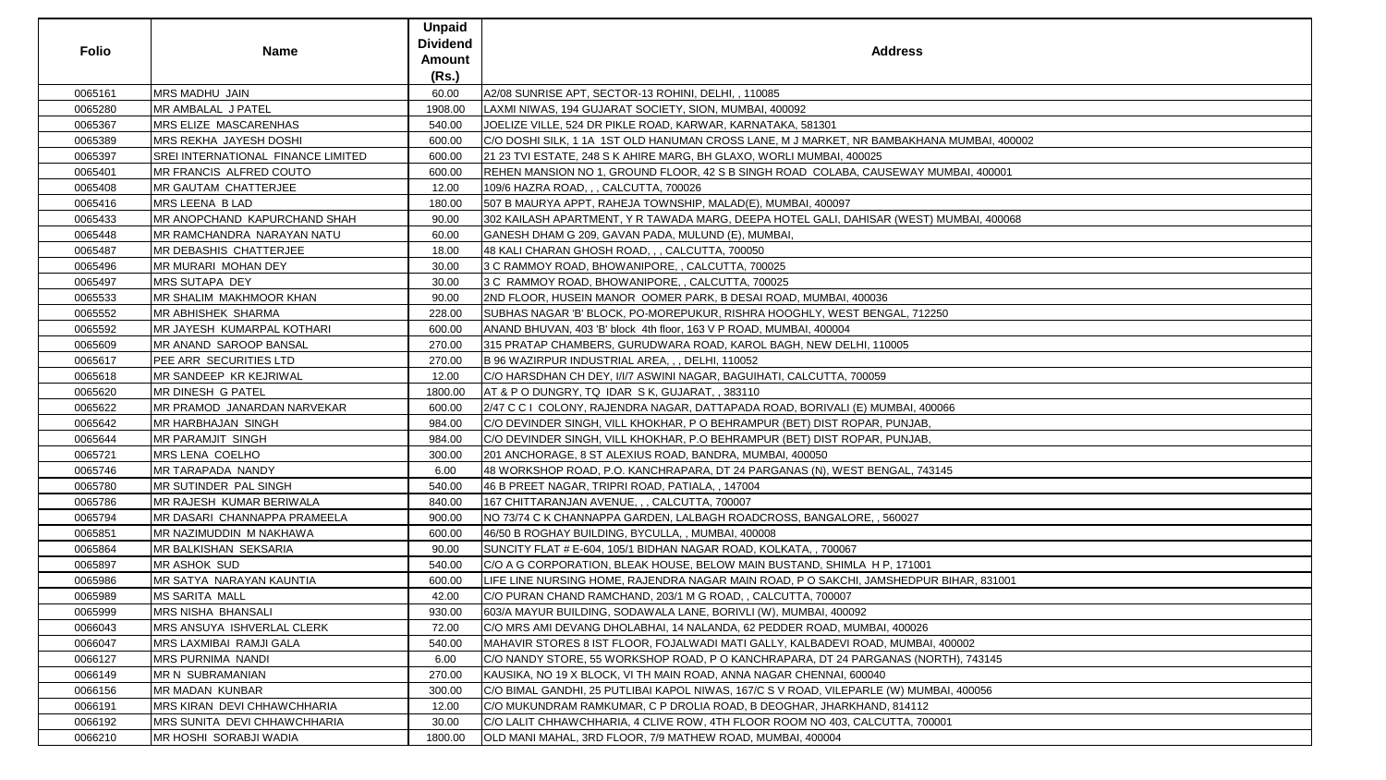| <b>Folio</b> | <b>Name</b>                          | <b>Unpaid</b><br><b>Dividend</b><br><b>Amount</b><br>(Rs.) | <b>Address</b>                                                                             |
|--------------|--------------------------------------|------------------------------------------------------------|--------------------------------------------------------------------------------------------|
| 0065161      | <b>MRS MADHU JAIN</b>                | 60.00                                                      | A2/08 SUNRISE APT, SECTOR-13 ROHINI, DELHI, , 110085                                       |
| 0065280      | MR AMBALAL J PATEL                   | 1908.00                                                    | LAXMI NIWAS, 194 GUJARAT SOCIETY, SION, MUMBAI, 400092                                     |
| 0065367      | <b>MRS ELIZE MASCARENHAS</b>         | 540.00                                                     | JOELIZE VILLE, 524 DR PIKLE ROAD, KARWAR, KARNATAKA, 581301                                |
| 0065389      | <b>MRS REKHA JAYESH DOSHI</b>        | 600.00                                                     | C/O DOSHI SILK, 1 1A  1ST OLD HANUMAN CROSS LANE, M J MARKET, NR BAMBAKHANA MUMBAI, 400002 |
| 0065397      | SREI INTERNATIONAL FINANCE LIMITED   | 600.00                                                     | 21 23 TVI ESTATE, 248 S K AHIRE MARG, BH GLAXO, WORLI MUMBAI, 400025                       |
| 0065401      | <b>IMR FRANCIS ALFRED COUTO</b>      | 600.00                                                     | REHEN MANSION NO 1, GROUND FLOOR, 42 S B SINGH ROAD  COLABA, CAUSEWAY MUMBAI, 400001       |
| 0065408      | <b>IMR GAUTAM CHATTERJEE</b>         | 12.00                                                      | 109/6 HAZRA ROAD, , , CALCUTTA, 700026                                                     |
| 0065416      | <b>MRS LEENA B LAD</b>               | 180.00                                                     | 507 B MAURYA APPT, RAHEJA TOWNSHIP, MALAD(E), MUMBAI, 400097                               |
| 0065433      | <b>MR ANOPCHAND KAPURCHAND SHAH</b>  | 90.00                                                      | 302 KAILASH APARTMENT, Y R TAWADA MARG, DEEPA HOTEL GALI, DAHISAR (WEST) MUMBAI, 400068    |
| 0065448      | MR RAMCHANDRA NARAYAN NATU           | 60.00                                                      | GANESH DHAM G 209, GAVAN PADA, MULUND (E), MUMBAI,                                         |
| 0065487      | <b>IMR DEBASHIS CHATTERJEE</b>       | 18.00                                                      | 48 KALI CHARAN GHOSH ROAD, , , CALCUTTA, 700050                                            |
| 0065496      | <b>IMR MURARI MOHAN DEY</b>          | 30.00                                                      | 3 C RAMMOY ROAD, BHOWANIPORE, , CALCUTTA, 700025                                           |
| 0065497      | <b>MRS SUTAPA DEY</b>                | 30.00                                                      | 3 C RAMMOY ROAD, BHOWANIPORE, , CALCUTTA, 700025                                           |
| 0065533      | <b>IMR SHALIM MAKHMOOR KHAN</b>      | 90.00                                                      | 2ND FLOOR, HUSEIN MANOR OOMER PARK, B DESAI ROAD, MUMBAI, 400036                           |
| 0065552      | <b>MR ABHISHEK SHARMA</b>            | 228.00                                                     | SUBHAS NAGAR 'B' BLOCK, PO-MOREPUKUR, RISHRA HOOGHLY, WEST BENGAL, 712250                  |
| 0065592      | <b>IMR JAYESH KUMARPAL KOTHARI</b>   | 600.00                                                     | ANAND BHUVAN, 403 'B' block 4th floor, 163 V P ROAD, MUMBAI, 400004                        |
| 0065609      | MR ANAND SAROOP BANSAL               | 270.00                                                     | 315 PRATAP CHAMBERS, GURUDWARA ROAD, KAROL BAGH, NEW DELHI, 110005                         |
| 0065617      | PEE ARR SECURITIES LTD               | 270.00                                                     | B 96 WAZIRPUR INDUSTRIAL AREA, , , DELHI, 110052                                           |
| 0065618      | <b>IMR SANDEEP KR KEJRIWAL</b>       | 12.00                                                      | C/O HARSDHAN CH DEY, I/I/7 ASWINI NAGAR, BAGUIHATI, CALCUTTA, 700059                       |
| 0065620      | IMR DINESH G PATEL                   | 1800.00                                                    | AT & P O DUNGRY, TQ IDAR S K, GUJARAT, , 383110                                            |
| 0065622      | <b>IMR PRAMOD JANARDAN NARVEKAR</b>  | 600.00                                                     | 2/47 C C I  COLONY, RAJENDRA NAGAR, DATTAPADA ROAD, BORIVALI (E) MUMBAI, 400066            |
| 0065642      | MR HARBHAJAN SINGH                   | 984.00                                                     | C/O DEVINDER SINGH, VILL KHOKHAR, P O BEHRAMPUR (BET) DIST ROPAR, PUNJAB,                  |
| 0065644      | <b>IMR PARAMJIT SINGH</b>            | 984.00                                                     | C/O DEVINDER SINGH, VILL KHOKHAR, P.O BEHRAMPUR (BET) DIST ROPAR, PUNJAB,                  |
| 0065721      | <b>MRS LENA COELHO</b>               | 300.00                                                     | 201 ANCHORAGE, 8 ST ALEXIUS ROAD, BANDRA, MUMBAI, 400050                                   |
| 0065746      | MR TARAPADA NANDY                    | 6.00                                                       | 48 WORKSHOP ROAD, P.O. KANCHRAPARA, DT 24 PARGANAS (N), WEST BENGAL, 743145                |
| 0065780      | <b>IMR SUTINDER PAL SINGH</b>        | 540.00                                                     | 46 B PREET NAGAR, TRIPRI ROAD, PATIALA,, 147004                                            |
| 0065786      | MR RAJESH KUMAR BERIWALA             | 840.00                                                     | 167 CHITTARANJAN AVENUE, , , CALCUTTA, 700007                                              |
| 0065794      | MR DASARI CHANNAPPA PRAMEELA         | 900.00                                                     | NO 73/74 C K CHANNAPPA GARDEN, LALBAGH ROADCROSS, BANGALORE, , 560027                      |
| 0065851      | MR NAZIMUDDIN M NAKHAWA              | 600.00                                                     | 46/50 B ROGHAY BUILDING, BYCULLA, , MUMBAI, 400008                                         |
| 0065864      | <b>IMR BALKISHAN SEKSARIA</b>        | 90.00                                                      | SUNCITY FLAT # E-604, 105/1 BIDHAN NAGAR ROAD, KOLKATA,, 700067                            |
| 0065897      | <b>MR ASHOK SUD</b>                  | 540.00                                                     | C/O A G CORPORATION, BLEAK HOUSE, BELOW MAIN BUSTAND, SHIMLA H P, 171001                   |
| 0065986      | IMR SATYA NARAYAN KAUNTIA            | 600.00                                                     | LIFE LINE NURSING HOME, RAJENDRA NAGAR MAIN ROAD, P O SAKCHI, JAMSHEDPUR BIHAR, 831001     |
| 0065989      | IMS SARITA MALL                      | 42.00                                                      | C/O PURAN CHAND RAMCHAND, 203/1 M G ROAD, , CALCUTTA, 700007                               |
| 0065999      | <b>MRS NISHA BHANSALI</b>            | 930.00                                                     | 603/A MAYUR BUILDING, SODAWALA LANE, BORIVLI (W), MUMBAI, 400092                           |
| 0066043      | MRS ANSUYA ISHVERLAL CLERK           | 72.00                                                      | C/O MRS AMI DEVANG DHOLABHAI, 14 NALANDA, 62 PEDDER ROAD, MUMBAI, 400026                   |
| 0066047      | <b>MRS LAXMIBAI RAMJI GALA</b>       | 540.00                                                     | MAHAVIR STORES 8 IST FLOOR, FOJALWADI MATI GALLY, KALBADEVI ROAD, MUMBAI, 400002           |
| 0066127      | <b>MRS PURNIMA NANDI</b>             | 6.00                                                       | C/O NANDY STORE, 55 WORKSHOP ROAD, P O KANCHRAPARA, DT 24 PARGANAS (NORTH), 743145         |
| 0066149      | <b>MR N SUBRAMANIAN</b>              | 270.00                                                     | KAUSIKA, NO 19 X BLOCK, VI TH MAIN ROAD, ANNA NAGAR CHENNAI, 600040                        |
| 0066156      | <b>MR MADAN KUNBAR</b>               | 300.00                                                     | C/O BIMAL GANDHI, 25 PUTLIBAI KAPOL NIWAS, 167/C S V ROAD, VILEPARLE (W) MUMBAI, 400056    |
| 0066191      | <b>MRS KIRAN DEVI CHHAWCHHARIA</b>   | 12.00                                                      | C/O MUKUNDRAM RAMKUMAR, C P DROLIA ROAD, B DEOGHAR, JHARKHAND, 814112                      |
| 0066192      | <b>IMRS SUNITA DEVI CHHAWCHHARIA</b> | 30.00                                                      | C/O LALIT CHHAWCHHARIA, 4 CLIVE ROW, 4TH FLOOR ROOM NO 403, CALCUTTA, 700001               |
| 0066210      | MR HOSHI SORABJI WADIA               | 1800.00                                                    | OLD MANI MAHAL, 3RD FLOOR, 7/9 MATHEW ROAD, MUMBAI, 400004                                 |

| BAI, 400002 |  |
|-------------|--|
|             |  |
|             |  |
| 400001      |  |
|             |  |
|             |  |
|             |  |
|             |  |
| I, 400068   |  |
|             |  |
|             |  |
|             |  |
|             |  |
|             |  |
|             |  |
|             |  |
|             |  |
|             |  |
|             |  |
|             |  |
|             |  |
|             |  |
|             |  |
|             |  |
|             |  |
|             |  |
|             |  |
|             |  |
|             |  |
|             |  |
|             |  |
|             |  |
|             |  |
|             |  |
|             |  |
|             |  |
|             |  |
|             |  |
|             |  |
|             |  |
|             |  |
|             |  |
| , 831001    |  |
|             |  |
|             |  |
|             |  |
|             |  |
|             |  |
|             |  |
|             |  |
| 43145       |  |
|             |  |
|             |  |
| 056         |  |
|             |  |
|             |  |
|             |  |
|             |  |
|             |  |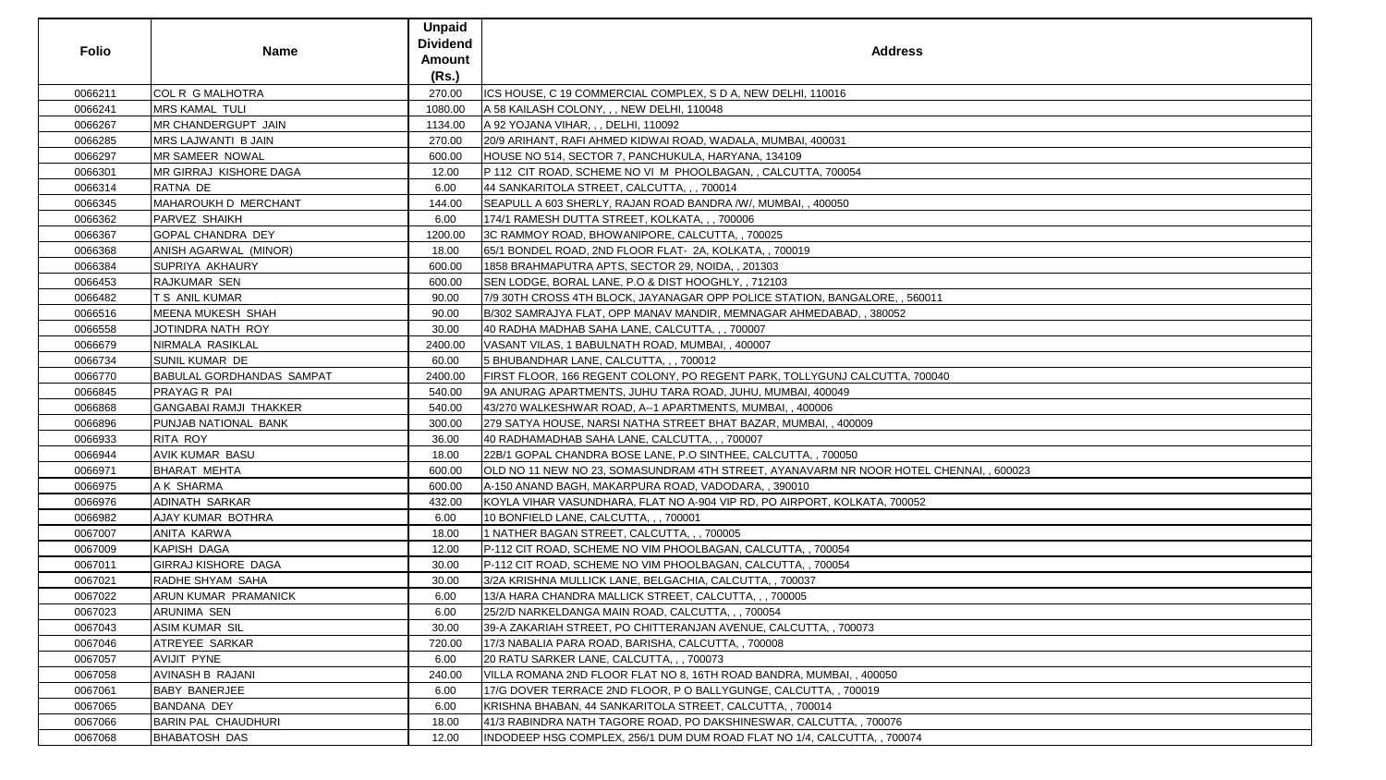| <b>Folio</b> | <b>Name</b>                      | <b>Unpaid</b><br><b>Dividend</b><br><b>Amount</b><br>(Rs.) | <b>Address</b>                                                                         |
|--------------|----------------------------------|------------------------------------------------------------|----------------------------------------------------------------------------------------|
| 0066211      | <b>COL R G MALHOTRA</b>          | 270.00                                                     | ICS HOUSE, C 19 COMMERCIAL COMPLEX, S D A, NEW DELHI, 110016                           |
| 0066241      | <b>MRS KAMAL TULI</b>            | 1080.00                                                    | A 58 KAILASH COLONY, , , NEW DELHI, 110048                                             |
| 0066267      | MR CHANDERGUPT JAIN              | 1134.00                                                    | A 92 YOJANA VIHAR, , , DELHI, 110092                                                   |
| 0066285      | MRS LAJWANTI B JAIN              | 270.00                                                     | 20/9 ARIHANT, RAFI AHMED KIDWAI ROAD, WADALA, MUMBAI, 400031                           |
| 0066297      | <b>MR SAMEER NOWAL</b>           | 600.00                                                     | HOUSE NO 514, SECTOR 7, PANCHUKULA, HARYANA, 134109                                    |
| 0066301      | <b>MR GIRRAJ KISHORE DAGA</b>    | 12.00                                                      | P 112 CIT ROAD, SCHEME NO VI M PHOOLBAGAN, , CALCUTTA, 700054                          |
| 0066314      | RATNA DE                         | 6.00                                                       | 44 SANKARITOLA STREET, CALCUTTA, , , 700014                                            |
| 0066345      | <b>MAHAROUKH D MERCHANT</b>      | 144.00                                                     | SEAPULL A 603 SHERLY, RAJAN ROAD BANDRA /W/, MUMBAI,, 400050                           |
| 0066362      | <b>PARVEZ SHAIKH</b>             | 6.00                                                       | 174/1 RAMESH DUTTA STREET, KOLKATA, , , 700006                                         |
| 0066367      | <b>GOPAL CHANDRA DEY</b>         | 1200.00                                                    | 3C RAMMOY ROAD, BHOWANIPORE, CALCUTTA,, 700025                                         |
| 0066368      | ANISH AGARWAL (MINOR)            | 18.00                                                      | 65/1 BONDEL ROAD, 2ND FLOOR FLAT- 2A, KOLKATA, , 700019                                |
| 0066384      | <b>SUPRIYA AKHAURY</b>           | 600.00                                                     | 1858 BRAHMAPUTRA APTS, SECTOR 29, NOIDA, , 201303                                      |
| 0066453      | <b>RAJKUMAR SEN</b>              | 600.00                                                     | SEN LODGE, BORAL LANE, P.O & DIST HOOGHLY, , 712103                                    |
| 0066482      | T S ANIL KUMAR                   | 90.00                                                      | 7/9 30TH CROSS 4TH BLOCK, JAYANAGAR OPP POLICE STATION, BANGALORE, , 560011            |
| 0066516      | <b>MEENA MUKESH SHAH</b>         | 90.00                                                      | B/302 SAMRAJYA FLAT, OPP MANAV MANDIR, MEMNAGAR AHMEDABAD, , 380052                    |
| 0066558      | JOTINDRA NATH ROY                | 30.00                                                      | 40 RADHA MADHAB SAHA LANE, CALCUTTA, , , 700007                                        |
| 0066679      | NIRMALA RASIKLAL                 | 2400.00                                                    | VASANT VILAS, 1 BABULNATH ROAD, MUMBAI, , 400007                                       |
| 0066734      | <b>SUNIL KUMAR DE</b>            | 60.00                                                      | 5 BHUBANDHAR LANE, CALCUTTA, , , 700012                                                |
| 0066770      | <b>BABULAL GORDHANDAS SAMPAT</b> | 2400.00                                                    | FIRST FLOOR, 166 REGENT COLONY, PO REGENT PARK, TOLLYGUNJ CALCUTTA, 700040             |
| 0066845      | PRAYAG R PAI                     | 540.00                                                     | 9A ANURAG APARTMENTS, JUHU TARA ROAD, JUHU, MUMBAI, 400049                             |
| 0066868      | <b>GANGABAI RAMJI THAKKER</b>    | 540.00                                                     | 43/270 WALKESHWAR ROAD, A--1 APARTMENTS, MUMBAI,, 400006                               |
| 0066896      | PUNJAB NATIONAL BANK             | 300.00                                                     | 279 SATYA HOUSE, NARSI NATHA STREET BHAT BAZAR, MUMBAI, , 400009                       |
| 0066933      | <b>RITA ROY</b>                  | 36.00                                                      | 40 RADHAMADHAB SAHA LANE, CALCUTTA, , , 700007                                         |
| 0066944      | <b>AVIK KUMAR BASU</b>           | 18.00                                                      | 22B/1 GOPAL CHANDRA BOSE LANE, P.O SINTHEE, CALCUTTA, , 700050                         |
| 0066971      | <b>BHARAT MEHTA</b>              | 600.00                                                     | OLD NO 11 NEW NO 23, SOMASUNDRAM 4TH STREET, AYANAVARM NR NOOR HOTEL CHENNAI, , 600023 |
| 0066975      | A K SHARMA                       | 600.00                                                     | A-150 ANAND BAGH, MAKARPURA ROAD, VADODARA, , 390010                                   |
| 0066976      | <b>ADINATH SARKAR</b>            | 432.00                                                     | KOYLA VIHAR VASUNDHARA, FLAT NO A-904 VIP RD, PO AIRPORT, KOLKATA, 700052              |
| 0066982      | AJAY KUMAR BOTHRA                | 6.00                                                       | 10 BONFIELD LANE, CALCUTTA, , , 700001                                                 |
| 0067007      | ANITA KARWA                      | 18.00                                                      | 1 NATHER BAGAN STREET, CALCUTTA, ,, 700005                                             |
| 0067009      | KAPISH DAGA                      | 12.00                                                      | P-112 CIT ROAD, SCHEME NO VIM PHOOLBAGAN, CALCUTTA, , 700054                           |
| 0067011      | <b>GIRRAJ KISHORE DAGA</b>       | 30.00                                                      | P-112 CIT ROAD, SCHEME NO VIM PHOOLBAGAN, CALCUTTA, , 700054                           |
| 0067021      | RADHE SHYAM SAHA                 | 30.00                                                      | 3/2A KRISHNA MULLICK LANE, BELGACHIA, CALCUTTA, , 700037                               |
| 0067022      | ARUN KUMAR PRAMANICK             | 6.00                                                       | 13/A HARA CHANDRA MALLICK STREET, CALCUTTA, ,, 700005                                  |
| 0067023      | ARUNIMA SEN                      | 6.00                                                       | 25/2/D NARKELDANGA MAIN ROAD, CALCUTTA, , , 700054                                     |
| 0067043      | ASIM KUMAR SIL                   | 30.00                                                      | 39-A ZAKARIAH STREET, PO CHITTERANJAN AVENUE, CALCUTTA,, 700073                        |
| 0067046      | ATREYEE SARKAR                   | 720.00                                                     | 17/3 NABALIA PARA ROAD, BARISHA, CALCUTTA, , 700008                                    |
| 0067057      | <b>AVIJIT PYNE</b>               | 6.00                                                       | 20 RATU SARKER LANE, CALCUTTA, , , 700073                                              |
| 0067058      | AVINASH B RAJANI                 | 240.00                                                     | VILLA ROMANA 2ND FLOOR FLAT NO 8, 16TH ROAD BANDRA, MUMBAI, , 400050                   |
| 0067061      | <b>BABY BANERJEE</b>             | 6.00                                                       | 17/G DOVER TERRACE 2ND FLOOR, P O BALLYGUNGE, CALCUTTA, , 700019                       |
| 0067065      | <b>BANDANA DEY</b>               | 6.00                                                       | KRISHNA BHABAN, 44 SANKARITOLA STREET, CALCUTTA,, 700014                               |
| 0067066      | <b>BARIN PAL CHAUDHURI</b>       | 18.00                                                      | 41/3 RABINDRA NATH TAGORE ROAD, PO DAKSHINESWAR, CALCUTTA, , 700076                    |
| 0067068      | <b>BHABATOSH DAS</b>             | 12.00                                                      | INDODEEP HSG COMPLEX, 256/1 DUM DUM ROAD FLAT NO 1/4, CALCUTTA, , 700074               |

| NAI, , 600023 |  |
|---------------|--|
|               |  |
|               |  |
|               |  |
|               |  |
|               |  |
|               |  |
|               |  |
|               |  |
|               |  |
|               |  |
|               |  |
|               |  |
|               |  |
|               |  |
|               |  |
|               |  |
|               |  |
|               |  |
|               |  |
|               |  |
|               |  |
|               |  |
|               |  |
|               |  |
|               |  |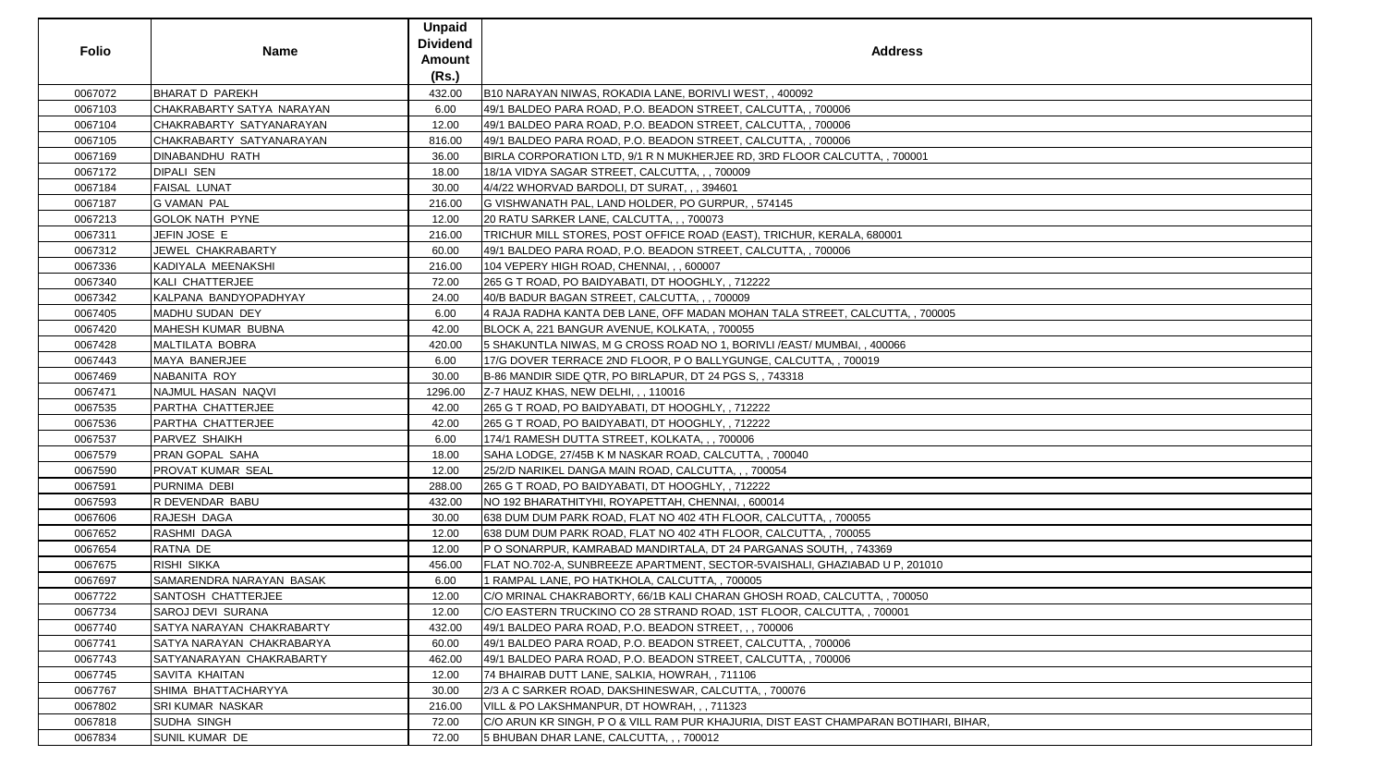| <b>Folio</b> | <b>Name</b>                     | <b>Unpaid</b><br><b>Dividend</b><br><b>Amount</b><br>(Rs.) | <b>Address</b>                                                                       |
|--------------|---------------------------------|------------------------------------------------------------|--------------------------------------------------------------------------------------|
| 0067072      | <b>BHARAT D PAREKH</b>          | 432.00                                                     | B10 NARAYAN NIWAS, ROKADIA LANE, BORIVLI WEST, , 400092                              |
| 0067103      | CHAKRABARTY SATYA NARAYAN       | 6.00                                                       | 49/1 BALDEO PARA ROAD, P.O. BEADON STREET, CALCUTTA, , 700006                        |
| 0067104      | CHAKRABARTY SATYANARAYAN        | 12.00                                                      | 49/1 BALDEO PARA ROAD, P.O. BEADON STREET, CALCUTTA, , 700006                        |
| 0067105      | CHAKRABARTY SATYANARAYAN        | 816.00                                                     | 49/1 BALDEO PARA ROAD, P.O. BEADON STREET, CALCUTTA, , 700006                        |
| 0067169      | <b>DINABANDHU RATH</b>          | 36.00                                                      | BIRLA CORPORATION LTD, 9/1 R N MUKHERJEE RD, 3RD FLOOR CALCUTTA, , 700001            |
| 0067172      | <b>DIPALI SEN</b>               | 18.00                                                      | 18/1A VIDYA SAGAR STREET, CALCUTTA, , , 700009                                       |
| 0067184      | <b>FAISAL LUNAT</b>             | 30.00                                                      | 4/4/22 WHORVAD BARDOLI, DT SURAT, , , 394601                                         |
| 0067187      | <b>G VAMAN PAL</b>              | 216.00                                                     | G VISHWANATH PAL, LAND HOLDER, PO GURPUR, , 574145                                   |
| 0067213      | <b>GOLOK NATH PYNE</b>          | 12.00                                                      | 20 RATU SARKER LANE, CALCUTTA, , , 700073                                            |
| 0067311      | JEFIN JOSE E                    | 216.00                                                     | TRICHUR MILL STORES, POST OFFICE ROAD (EAST), TRICHUR, KERALA, 680001                |
| 0067312      | JEWEL CHAKRABARTY               | 60.00                                                      | 49/1 BALDEO PARA ROAD, P.O. BEADON STREET, CALCUTTA, , 700006                        |
| 0067336      | KADIYALA MEENAKSHI              | 216.00                                                     | 104 VEPERY HIGH ROAD, CHENNAI, , , 600007                                            |
| 0067340      | KALI CHATTERJEE                 | 72.00                                                      | 265 G T ROAD, PO BAIDYABATI, DT HOOGHLY, , 712222                                    |
| 0067342      | KALPANA BANDYOPADHYAY           | 24.00                                                      | 40/B BADUR BAGAN STREET, CALCUTTA, , , 700009                                        |
| 0067405      | MADHU SUDAN DEY                 | 6.00                                                       | 4 RAJA RADHA KANTA DEB LANE, OFF MADAN MOHAN TALA STREET, CALCUTTA, , 700005         |
| 0067420      | MAHESH KUMAR BUBNA              | 42.00                                                      | BLOCK A, 221 BANGUR AVENUE, KOLKATA, , 700055                                        |
| 0067428      | MALTILATA BOBRA                 | 420.00                                                     | 5 SHAKUNTLA NIWAS, M G CROSS ROAD NO 1, BORIVLI / EAST/ MUMBAI, , 400066             |
| 0067443      | MAYA BANERJEE                   | 6.00                                                       | 17/G DOVER TERRACE 2ND FLOOR, P O BALLYGUNGE, CALCUTTA, , 700019                     |
| 0067469      | NABANITA ROY                    | 30.00                                                      | B-86 MANDIR SIDE QTR, PO BIRLAPUR, DT 24 PGS S, , 743318                             |
| 0067471      | NAJMUL HASAN NAQVI              | 1296.00                                                    | Z-7 HAUZ KHAS, NEW DELHI, , , 110016                                                 |
| 0067535      | PARTHA CHATTERJEE               | 42.00                                                      | 265 G T ROAD, PO BAIDYABATI, DT HOOGHLY, , 712222                                    |
| 0067536      | PARTHA CHATTERJEE               | 42.00                                                      | 265 G T ROAD, PO BAIDYABATI, DT HOOGHLY, , 712222                                    |
| 0067537      | <b>PARVEZ SHAIKH</b>            | 6.00                                                       | 174/1 RAMESH DUTTA STREET, KOLKATA, , , 700006                                       |
| 0067579      | PRAN GOPAL SAHA                 | 18.00                                                      | SAHA LODGE, 27/45B K M NASKAR ROAD, CALCUTTA, , 700040                               |
| 0067590      | <b>PROVAT KUMAR SEAL</b>        | 12.00                                                      | 25/2/D NARIKEL DANGA MAIN ROAD, CALCUTTA, , , 700054                                 |
| 0067591      | PURNIMA DEBI                    | 288.00                                                     | 265 G T ROAD, PO BAIDYABATI, DT HOOGHLY, , 712222                                    |
| 0067593      | R DEVENDAR BABU                 | 432.00                                                     | NO 192 BHARATHITYHI, ROYAPETTAH, CHENNAI, , 600014                                   |
| 0067606      | <b>RAJESH DAGA</b>              | 30.00                                                      | 638 DUM DUM PARK ROAD, FLAT NO 402 4TH FLOOR, CALCUTTA, , 700055                     |
| 0067652      | RASHMI DAGA                     | 12.00                                                      | 638 DUM DUM PARK ROAD, FLAT NO 402 4TH FLOOR, CALCUTTA, , 700055                     |
| 0067654      | RATNA DE                        | 12.00                                                      | P O SONARPUR, KAMRABAD MANDIRTALA, DT 24 PARGANAS SOUTH, , 743369                    |
| 0067675      | <b>RISHI SIKKA</b>              | 456.00                                                     | FLAT NO.702-A, SUNBREEZE APARTMENT, SECTOR-5VAISHALI, GHAZIABAD U P, 201010          |
| 0067697      | <b>SAMARENDRA NARAYAN BASAK</b> | 6.00                                                       | 1 RAMPAL LANE, PO HATKHOLA, CALCUTTA, , 700005                                       |
| 0067722      | SANTOSH CHATTERJEE              | 12.00                                                      | C/O MRINAL CHAKRABORTY, 66/1B KALI CHARAN GHOSH ROAD, CALCUTTA, , 700050             |
| 0067734      | <b>SAROJ DEVI SURANA</b>        | 12.00                                                      | C/O EASTERN TRUCKINO CO 28 STRAND ROAD, 1ST FLOOR, CALCUTTA, , 700001                |
| 0067740      | SATYA NARAYAN CHAKRABARTY       | 432.00                                                     | 49/1 BALDEO PARA ROAD, P.O. BEADON STREET, , , 700006                                |
| 0067741      | SATYA NARAYAN CHAKRABARYA       | 60.00                                                      | 49/1 BALDEO PARA ROAD, P.O. BEADON STREET, CALCUTTA, , 700006                        |
| 0067743      | SATYANARAYAN CHAKRABARTY        | 462.00                                                     | 49/1 BALDEO PARA ROAD, P.O. BEADON STREET, CALCUTTA, , 700006                        |
| 0067745      | <b>SAVITA KHAITAN</b>           | 12.00                                                      | 74 BHAIRAB DUTT LANE, SALKIA, HOWRAH, , 711106                                       |
| 0067767      | SHIMA BHATTACHARYYA             | 30.00                                                      | 2/3 A C SARKER ROAD, DAKSHINESWAR, CALCUTTA, , 700076                                |
| 0067802      | SRI KUMAR NASKAR                | 216.00                                                     | VILL & PO LAKSHMANPUR, DT HOWRAH, , , 711323                                         |
| 0067818      | SUDHA SINGH                     | 72.00                                                      | C/O ARUN KR SINGH, P O & VILL RAM PUR KHAJURIA, DIST EAST CHAMPARAN BOTIHARI, BIHAR, |
| 0067834      | <b>SUNIL KUMAR DE</b>           | 72.00                                                      | 5 BHUBAN DHAR LANE, CALCUTTA, , , 700012                                             |

| 0005                     |  |
|--------------------------|--|
|                          |  |
|                          |  |
|                          |  |
|                          |  |
|                          |  |
|                          |  |
|                          |  |
|                          |  |
|                          |  |
|                          |  |
|                          |  |
|                          |  |
|                          |  |
|                          |  |
|                          |  |
|                          |  |
|                          |  |
|                          |  |
|                          |  |
|                          |  |
|                          |  |
|                          |  |
|                          |  |
|                          |  |
| $\overline{0}$           |  |
|                          |  |
|                          |  |
|                          |  |
|                          |  |
|                          |  |
|                          |  |
|                          |  |
|                          |  |
|                          |  |
|                          |  |
|                          |  |
|                          |  |
|                          |  |
|                          |  |
| <u>.<br/>RI, BIHAR, </u> |  |
|                          |  |
|                          |  |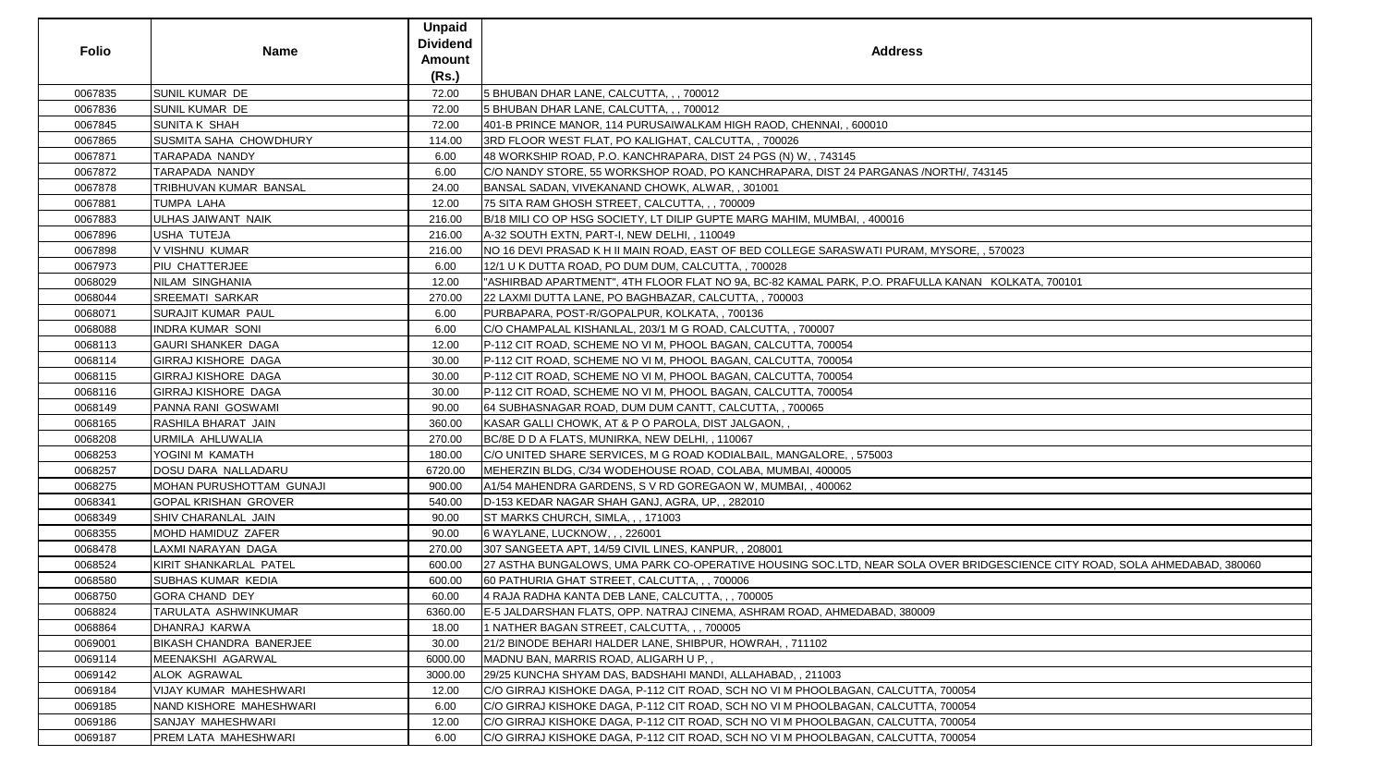|              |                             | <b>Unpaid</b>   |                                                                                                                           |
|--------------|-----------------------------|-----------------|---------------------------------------------------------------------------------------------------------------------------|
| <b>Folio</b> | <b>Name</b>                 | <b>Dividend</b> | <b>Address</b>                                                                                                            |
|              |                             | Amount          |                                                                                                                           |
|              |                             | (Rs.)           |                                                                                                                           |
| 0067835      | SUNIL KUMAR DE              | 72.00           | 5 BHUBAN DHAR LANE, CALCUTTA, , , 700012                                                                                  |
| 0067836      | SUNIL KUMAR DE              | 72.00           | 5 BHUBAN DHAR LANE, CALCUTTA, ,, 700012                                                                                   |
| 0067845      | <b>SUNITA K SHAH</b>        | 72.00           | 401-B PRINCE MANOR, 114 PURUSAIWALKAM HIGH RAOD, CHENNAI, , 600010                                                        |
| 0067865      | SUSMITA SAHA CHOWDHURY      | 114.00          | 3RD FLOOR WEST FLAT, PO KALIGHAT, CALCUTTA, , 700026                                                                      |
| 0067871      | TARAPADA NANDY              | 6.00            | 48 WORKSHIP ROAD, P.O. KANCHRAPARA, DIST 24 PGS (N) W, , 743145                                                           |
| 0067872      | TARAPADA NANDY              | 6.00            | C/O NANDY STORE, 55 WORKSHOP ROAD, PO KANCHRAPARA, DIST 24 PARGANAS /NORTH/, 743145                                       |
| 0067878      | TRIBHUVAN KUMAR BANSAL      | 24.00           | BANSAL SADAN, VIVEKANAND CHOWK, ALWAR,, 301001                                                                            |
| 0067881      | TUMPA LAHA                  | 12.00           | 75 SITA RAM GHOSH STREET, CALCUTTA, , , 700009                                                                            |
| 0067883      | ULHAS JAIWANT NAIK          | 216.00          | B/18 MILI CO OP HSG SOCIETY, LT DILIP GUPTE MARG MAHIM, MUMBAI, , 400016                                                  |
| 0067896      | USHA TUTEJA                 | 216.00          | A-32 SOUTH EXTN, PART-I, NEW DELHI, , 110049                                                                              |
| 0067898      | V VISHNU KUMAR              | 216.00          | NO 16 DEVI PRASAD K H II MAIN ROAD, EAST OF BED COLLEGE SARASWATI PURAM, MYSORE, , 570023                                 |
| 0067973      | PIU CHATTERJEE              | 6.00            | 12/1 U K DUTTA ROAD, PO DUM DUM, CALCUTTA, , 700028                                                                       |
| 0068029      | NILAM SINGHANIA             | 12.00           | "ASHIRBAD APARTMENT", 4TH FLOOR FLAT NO 9A, BC-82 KAMAL PARK, P.O. PRAFULLA KANAN KOLKATA, 700101                         |
| 0068044      | SREEMATI SARKAR             | 270.00          | 22 LAXMI DUTTA LANE, PO BAGHBAZAR, CALCUTTA, , 700003                                                                     |
| 0068071      | <b>SURAJIT KUMAR PAUL</b>   | 6.00            | PURBAPARA, POST-R/GOPALPUR, KOLKATA,, 700136                                                                              |
| 0068088      | <b>INDRA KUMAR SONI</b>     | 6.00            | C/O CHAMPALAL KISHANLAL, 203/1 M G ROAD, CALCUTTA, , 700007                                                               |
| 0068113      | <b>GAURI SHANKER DAGA</b>   | 12.00           | P-112 CIT ROAD, SCHEME NO VI M, PHOOL BAGAN, CALCUTTA, 700054                                                             |
| 0068114      | GIRRAJ KISHORE DAGA         | 30.00           | P-112 CIT ROAD, SCHEME NO VI M, PHOOL BAGAN, CALCUTTA, 700054                                                             |
| 0068115      | GIRRAJ KISHORE DAGA         | 30.00           | P-112 CIT ROAD, SCHEME NO VI M, PHOOL BAGAN, CALCUTTA, 700054                                                             |
| 0068116      | GIRRAJ KISHORE DAGA         | 30.00           | P-112 CIT ROAD, SCHEME NO VI M, PHOOL BAGAN, CALCUTTA, 700054                                                             |
| 0068149      | PANNA RANI GOSWAMI          | 90.00           | 64 SUBHASNAGAR ROAD, DUM DUM CANTT, CALCUTTA,, 700065                                                                     |
| 0068165      | RASHILA BHARAT JAIN         | 360.00          | KASAR GALLI CHOWK, AT & P O PAROLA, DIST JALGAON,,                                                                        |
| 0068208      | URMILA AHLUWALIA            | 270.00          | BC/8E D D A FLATS, MUNIRKA, NEW DELHI, , 110067                                                                           |
| 0068253      | YOGINI M KAMATH             | 180.00          | C/O UNITED SHARE SERVICES, M G ROAD KODIALBAIL, MANGALORE, , 575003                                                       |
| 0068257      | DOSU DARA NALLADARU         | 6720.00         | MEHERZIN BLDG, C/34 WODEHOUSE ROAD, COLABA, MUMBAI, 400005                                                                |
| 0068275      | MOHAN PURUSHOTTAM GUNAJI    | 900.00          | A1/54 MAHENDRA GARDENS, S V RD GOREGAON W, MUMBAI,, 400062                                                                |
| 0068341      | <b>GOPAL KRISHAN GROVER</b> | 540.00          | D-153 KEDAR NAGAR SHAH GANJ, AGRA, UP,, 282010                                                                            |
| 0068349      | SHIV CHARANLAL JAIN         | 90.00           | ST MARKS CHURCH, SIMLA, , , 171003                                                                                        |
| 0068355      | MOHD HAMIDUZ ZAFER          | 90.00           | 6 WAYLANE, LUCKNOW, , , 226001                                                                                            |
| 0068478      | LAXMI NARAYAN DAGA          | 270.00          | 307 SANGEETA APT, 14/59 CIVIL LINES, KANPUR,, 208001                                                                      |
| 0068524      | KIRIT SHANKARLAL PATEL      | 600.00          | 27 ASTHA BUNGALOWS, UMA PARK CO-OPERATIVE HOUSING SOC.LTD, NEAR SOLA OVER BRIDGESCIENCE CITY ROAD, SOLA AHMEDABAD, 380060 |
| 0068580      | <b>SUBHAS KUMAR KEDIA</b>   | 600.00          | 60 PATHURIA GHAT STREET, CALCUTTA, , , 700006                                                                             |
| 0068750      | <b>GORA CHAND DEY</b>       | 60.00           | 4 RAJA RADHA KANTA DEB LANE, CALCUTTA, ,, 700005                                                                          |
| 0068824      | TARULATA ASHWINKUMAR        | 6360.00         | E-5 JALDARSHAN FLATS, OPP. NATRAJ CINEMA, ASHRAM ROAD, AHMEDABAD, 380009                                                  |
| 0068864      | DHANRAJ KARWA               | 18.00           | 1 NATHER BAGAN STREET, CALCUTTA, , , 700005                                                                               |
| 0069001      | BIKASH CHANDRA BANERJEE     | 30.00           | 21/2 BINODE BEHARI HALDER LANE, SHIBPUR, HOWRAH, , 711102                                                                 |
| 0069114      | MEENAKSHI AGARWAL           | 6000.00         | MADNU BAN, MARRIS ROAD, ALIGARH U P,,                                                                                     |
| 0069142      | ALOK AGRAWAL                | 3000.00         | 29/25 KUNCHA SHYAM DAS, BADSHAHI MANDI, ALLAHABAD, , 211003                                                               |
| 0069184      | VIJAY KUMAR MAHESHWARI      | 12.00           | C/O GIRRAJ KISHOKE DAGA, P-112 CIT ROAD, SCH NO VI M PHOOLBAGAN, CALCUTTA, 700054                                         |
| 0069185      | NAND KISHORE MAHESHWARI     | 6.00            | C/O GIRRAJ KISHOKE DAGA, P-112 CIT ROAD, SCH NO VI M PHOOLBAGAN, CALCUTTA, 700054                                         |
| 0069186      | SANJAY MAHESHWARI           | 12.00           | C/O GIRRAJ KISHOKE DAGA, P-112 CIT ROAD, SCH NO VI M PHOOLBAGAN, CALCUTTA, 700054                                         |
| 0069187      | PREM LATA MAHESHWARI        | 6.00            | C/O GIRRAJ KISHOKE DAGA, P-112 CIT ROAD, SCH NO VI M PHOOLBAGAN, CALCUTTA, 700054                                         |
|              |                             |                 |                                                                                                                           |

| ress                                                      |  |
|-----------------------------------------------------------|--|
|                                                           |  |
|                                                           |  |
|                                                           |  |
| NAS / NORTH/, 743145                                      |  |
|                                                           |  |
| 6                                                         |  |
|                                                           |  |
| JRAM, MYSORE, , 570023                                    |  |
| RAFULLA KANAN KOLKATA, 700101                             |  |
|                                                           |  |
|                                                           |  |
|                                                           |  |
|                                                           |  |
|                                                           |  |
|                                                           |  |
|                                                           |  |
|                                                           |  |
|                                                           |  |
|                                                           |  |
|                                                           |  |
| SOLA OVER BRIDGESCIENCE CITY ROAD, SOLA AHMEDABAD, 380060 |  |
|                                                           |  |
| 380009                                                    |  |
|                                                           |  |
|                                                           |  |
| <b>CUTTA, 700054</b>                                      |  |
| CUTTA, 700054<br><b>CUTTA, 700054</b>                     |  |
| <b>CUTTA, 700054</b>                                      |  |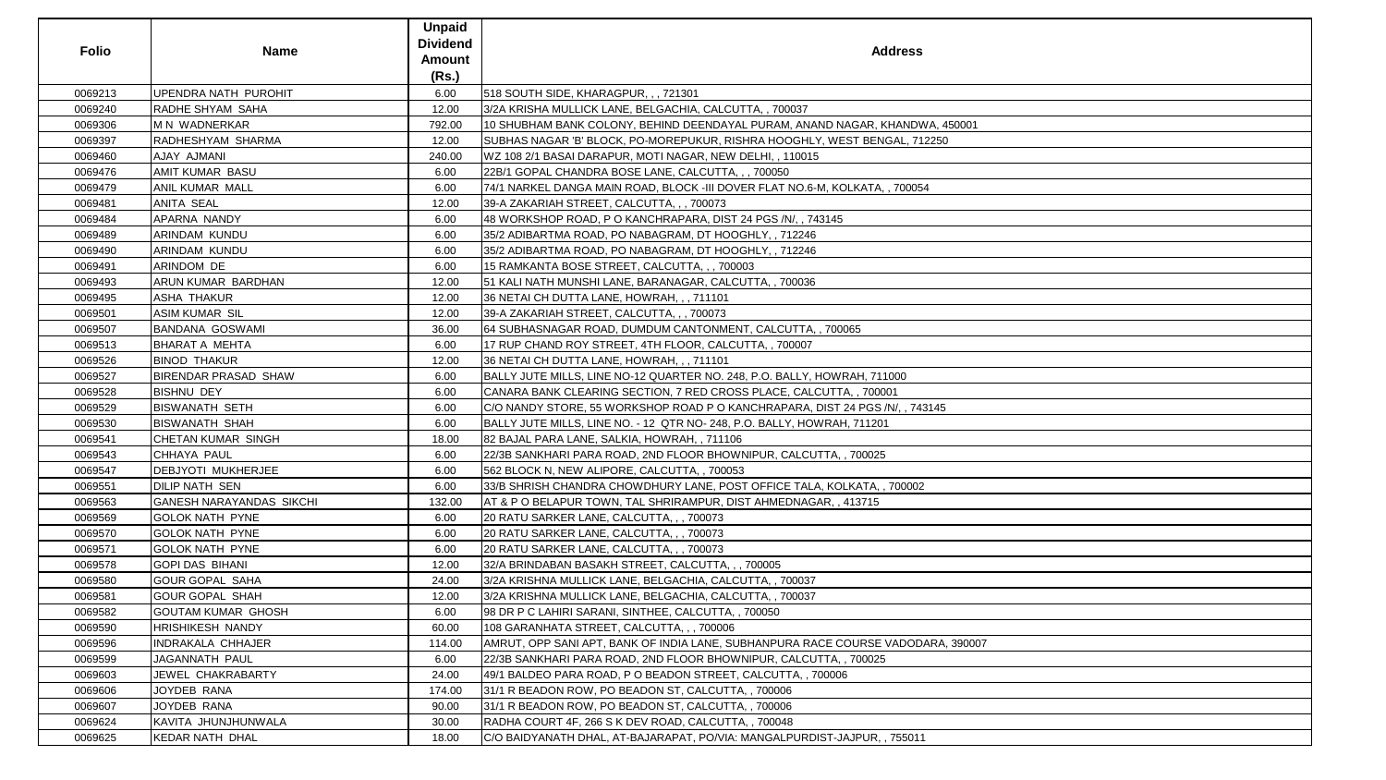| <b>Folio</b> | <b>Name</b>                     | <b>Unpaid</b><br><b>Dividend</b><br><b>Amount</b><br>(Rs.) | <b>Address</b>                                                                   |
|--------------|---------------------------------|------------------------------------------------------------|----------------------------------------------------------------------------------|
| 0069213      | UPENDRA NATH PUROHIT            | 6.00                                                       | 518 SOUTH SIDE, KHARAGPUR, , , 721301                                            |
| 0069240      | RADHE SHYAM SAHA                | 12.00                                                      | 3/2A KRISHA MULLICK LANE, BELGACHIA, CALCUTTA, , 700037                          |
| 0069306      | M N WADNERKAR                   | 792.00                                                     | 10 SHUBHAM BANK COLONY, BEHIND DEENDAYAL PURAM, ANAND NAGAR, KHANDWA, 450001     |
| 0069397      | RADHESHYAM SHARMA               | 12.00                                                      | SUBHAS NAGAR 'B' BLOCK, PO-MOREPUKUR, RISHRA HOOGHLY, WEST BENGAL, 712250        |
| 0069460      | AJAY AJMANI                     | 240.00                                                     | WZ 108 2/1 BASAI DARAPUR, MOTI NAGAR, NEW DELHI, , 110015                        |
| 0069476      | <b>AMIT KUMAR BASU</b>          | 6.00                                                       | 22B/1 GOPAL CHANDRA BOSE LANE, CALCUTTA, , , 700050                              |
| 0069479      | <b>ANIL KUMAR MALL</b>          | 6.00                                                       | 74/1 NARKEL DANGA MAIN ROAD, BLOCK -III DOVER FLAT NO.6-M, KOLKATA, , 700054     |
| 0069481      | <b>ANITA SEAL</b>               | 12.00                                                      | 39-A ZAKARIAH STREET, CALCUTTA, , , 700073                                       |
| 0069484      | APARNA NANDY                    | 6.00                                                       | 48 WORKSHOP ROAD, P O KANCHRAPARA, DIST 24 PGS /N/, , 743145                     |
| 0069489      | ARINDAM KUNDU                   | 6.00                                                       | 35/2 ADIBARTMA ROAD, PO NABAGRAM, DT HOOGHLY, , 712246                           |
| 0069490      | ARINDAM KUNDU                   | 6.00                                                       | 35/2 ADIBARTMA ROAD, PO NABAGRAM, DT HOOGHLY, , 712246                           |
| 0069491      | ARINDOM DE                      | 6.00                                                       | 15 RAMKANTA BOSE STREET, CALCUTTA, , , 700003                                    |
| 0069493      | ARUN KUMAR BARDHAN              | 12.00                                                      | 51 KALI NATH MUNSHI LANE, BARANAGAR, CALCUTTA,, 700036                           |
| 0069495      | <b>ASHA THAKUR</b>              | 12.00                                                      | 36 NETAI CH DUTTA LANE, HOWRAH, ,, 711101                                        |
| 0069501      | <b>ASIM KUMAR SIL</b>           | 12.00                                                      | 39-A ZAKARIAH STREET, CALCUTTA, , , 700073                                       |
| 0069507      | <b>BANDANA GOSWAMI</b>          | 36.00                                                      | 64 SUBHASNAGAR ROAD, DUMDUM CANTONMENT, CALCUTTA,, 700065                        |
| 0069513      | <b>BHARAT A MEHTA</b>           | 6.00                                                       | 17 RUP CHAND ROY STREET, 4TH FLOOR, CALCUTTA, , 700007                           |
| 0069526      | <b>BINOD THAKUR</b>             | 12.00                                                      | 36 NETAI CH DUTTA LANE, HOWRAH, ,, 711101                                        |
| 0069527      | <b>BIRENDAR PRASAD SHAW</b>     | 6.00                                                       | BALLY JUTE MILLS, LINE NO-12 QUARTER NO. 248, P.O. BALLY, HOWRAH, 711000         |
| 0069528      | <b>BISHNU DEY</b>               | 6.00                                                       | CANARA BANK CLEARING SECTION, 7 RED CROSS PLACE, CALCUTTA, , 700001              |
| 0069529      | <b>BISWANATH SETH</b>           | 6.00                                                       | C/O NANDY STORE, 55 WORKSHOP ROAD P O KANCHRAPARA, DIST 24 PGS /N/, , 743145     |
| 0069530      | <b>BISWANATH SHAH</b>           | 6.00                                                       | BALLY JUTE MILLS, LINE NO. - 12 QTR NO- 248, P.O. BALLY, HOWRAH, 711201          |
| 0069541      | CHETAN KUMAR SINGH              | 18.00                                                      | 82 BAJAL PARA LANE, SALKIA, HOWRAH, , 711106                                     |
| 0069543      | CHHAYA PAUL                     | 6.00                                                       | 22/3B SANKHARI PARA ROAD, 2ND FLOOR BHOWNIPUR, CALCUTTA, , 700025                |
| 0069547      | <b>DEBJYOTI MUKHERJEE</b>       | 6.00                                                       | 562 BLOCK N, NEW ALIPORE, CALCUTTA, , 700053                                     |
| 0069551      | DILIP NATH SEN                  | 6.00                                                       | 33/B SHRISH CHANDRA CHOWDHURY LANE, POST OFFICE TALA, KOLKATA, , 700002          |
| 0069563      | <b>GANESH NARAYANDAS SIKCHI</b> | 132.00                                                     | AT & P O BELAPUR TOWN, TAL SHRIRAMPUR, DIST AHMEDNAGAR,, 413715                  |
| 0069569      | <b>GOLOK NATH PYNE</b>          | 6.00                                                       | 20 RATU SARKER LANE, CALCUTTA, , , 700073                                        |
| 0069570      | <b>GOLOK NATH PYNE</b>          | 6.00                                                       | 20 RATU SARKER LANE, CALCUTTA, , , 700073                                        |
| 0069571      | <b>GOLOK NATH PYNE</b>          | 6.00                                                       | 20 RATU SARKER LANE, CALCUTTA, , , 700073                                        |
| 0069578      | <b>GOPI DAS BIHANI</b>          | 12.00                                                      | 32/A BRINDABAN BASAKH STREET, CALCUTTA, , , 700005                               |
| 0069580      | <b>GOUR GOPAL SAHA</b>          | 24.00                                                      | 3/2A KRISHNA MULLICK LANE, BELGACHIA, CALCUTTA, , 700037                         |
| 0069581      | <b>GOUR GOPAL SHAH</b>          | 12.00                                                      | 3/2A KRISHNA MULLICK LANE, BELGACHIA, CALCUTTA, , 700037                         |
| 0069582      | <b>GOUTAM KUMAR GHOSH</b>       | 6.00                                                       | 98 DR P C LAHIRI SARANI, SINTHEE, CALCUTTA, , 700050                             |
| 0069590      | HRISHIKESH NANDY                | 60.00                                                      | 108 GARANHATA STREET, CALCUTTA, , , 700006                                       |
| 0069596      | <b>INDRAKALA CHHAJER</b>        | 114.00                                                     | AMRUT, OPP SANI APT, BANK OF INDIA LANE, SUBHANPURA RACE COURSE VADODARA, 390007 |
| 0069599      | JAGANNATH PAUL                  | 6.00                                                       | 22/3B SANKHARI PARA ROAD, 2ND FLOOR BHOWNIPUR, CALCUTTA, , 700025                |
| 0069603      | JEWEL CHAKRABARTY               | 24.00                                                      | 49/1 BALDEO PARA ROAD, P O BEADON STREET, CALCUTTA, , 700006                     |
| 0069606      | JOYDEB RANA                     | 174.00                                                     | 31/1 R BEADON ROW, PO BEADON ST, CALCUTTA, , 700006                              |
| 0069607      | JOYDEB RANA                     | 90.00                                                      | 31/1 R BEADON ROW, PO BEADON ST, CALCUTTA, , 700006                              |
| 0069624      | KAVITA JHUNJHUNWALA             | 30.00                                                      | RADHA COURT 4F, 266 S K DEV ROAD, CALCUTTA,, 700048                              |
| 0069625      | <b>KEDAR NATH DHAL</b>          | 18.00                                                      | C/O BAIDYANATH DHAL, AT-BAJARAPAT, PO/VIA: MANGALPURDIST-JAJPUR, , 755011        |
|              |                                 |                                                            |                                                                                  |

| $\lambda$ , 450001 |  |
|--------------------|--|
| $\frac{250}{50}$   |  |
|                    |  |
|                    |  |
|                    |  |
|                    |  |
|                    |  |
|                    |  |
|                    |  |
|                    |  |
|                    |  |
|                    |  |
|                    |  |
|                    |  |
|                    |  |
|                    |  |
|                    |  |
|                    |  |
|                    |  |
|                    |  |
|                    |  |
|                    |  |
|                    |  |
|                    |  |
| $\overline{45}$    |  |
|                    |  |
|                    |  |
|                    |  |
|                    |  |
|                    |  |
|                    |  |
|                    |  |
|                    |  |
|                    |  |
|                    |  |
|                    |  |
|                    |  |
|                    |  |
|                    |  |
|                    |  |
|                    |  |
|                    |  |
|                    |  |
|                    |  |
|                    |  |
| RA, 390007         |  |
|                    |  |
|                    |  |
|                    |  |
|                    |  |
|                    |  |
|                    |  |
|                    |  |
|                    |  |
|                    |  |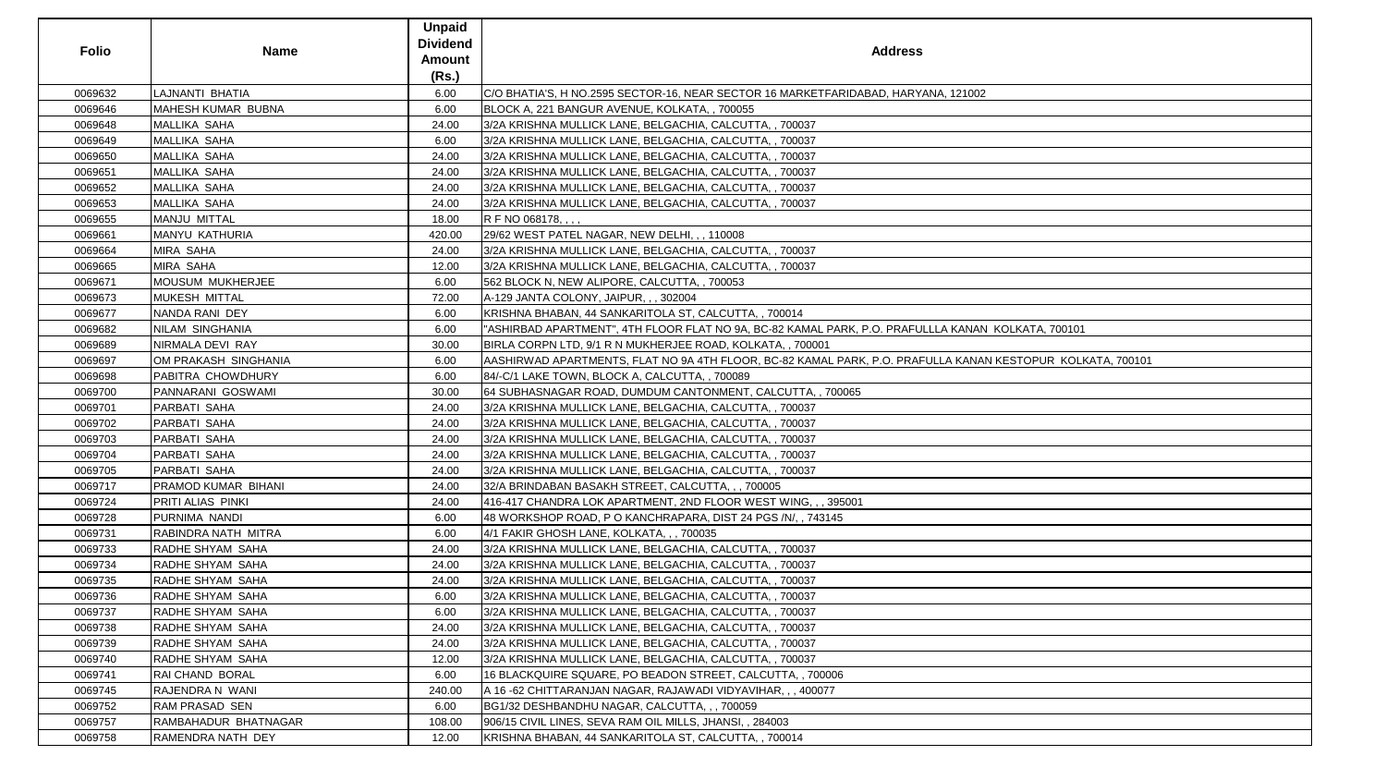| <b>Folio</b> | <b>Name</b>               | <b>Unpaid</b><br><b>Dividend</b><br><b>Amount</b><br>(Rs.) | <b>Address</b>                                                                                  |
|--------------|---------------------------|------------------------------------------------------------|-------------------------------------------------------------------------------------------------|
| 0069632      | LAJNANTI BHATIA           | 6.00                                                       | C/O BHATIA'S, H NO.2595 SECTOR-16, NEAR SECTOR 16 MARKETFARIDABAD, HARYANA, 121002              |
| 0069646      | <b>MAHESH KUMAR BUBNA</b> | 6.00                                                       | BLOCK A, 221 BANGUR AVENUE, KOLKATA, , 700055                                                   |
| 0069648      | <b>MALLIKA SAHA</b>       | 24.00                                                      | 3/2A KRISHNA MULLICK LANE, BELGACHIA, CALCUTTA, , 700037                                        |
| 0069649      | MALLIKA SAHA              | 6.00                                                       | 3/2A KRISHNA MULLICK LANE, BELGACHIA, CALCUTTA, , 700037                                        |
| 0069650      | <b>MALLIKA SAHA</b>       | 24.00                                                      | 3/2A KRISHNA MULLICK LANE, BELGACHIA, CALCUTTA, , 700037                                        |
| 0069651      | <b>MALLIKA SAHA</b>       | 24.00                                                      | 3/2A KRISHNA MULLICK LANE, BELGACHIA, CALCUTTA, , 700037                                        |
| 0069652      | <b>MALLIKA SAHA</b>       | 24.00                                                      | 3/2A KRISHNA MULLICK LANE, BELGACHIA, CALCUTTA, , 700037                                        |
| 0069653      | <b>MALLIKA SAHA</b>       | 24.00                                                      | 3/2A KRISHNA MULLICK LANE, BELGACHIA, CALCUTTA, , 700037                                        |
| 0069655      | MANJU MITTAL              | 18.00                                                      | R F NO 068178, , , ,                                                                            |
| 0069661      | MANYU KATHURIA            | 420.00                                                     | 29/62 WEST PATEL NAGAR, NEW DELHI, , , 110008                                                   |
| 0069664      | <b>MIRA SAHA</b>          | 24.00                                                      | 3/2A KRISHNA MULLICK LANE, BELGACHIA, CALCUTTA, , 700037                                        |
| 0069665      | <b>MIRA SAHA</b>          | 12.00                                                      | 3/2A KRISHNA MULLICK LANE, BELGACHIA, CALCUTTA, , 700037                                        |
| 0069671      | <b>MOUSUM MUKHERJEE</b>   | 6.00                                                       | 562 BLOCK N, NEW ALIPORE, CALCUTTA, , 700053                                                    |
| 0069673      | <b>MUKESH MITTAL</b>      | 72.00                                                      | A-129 JANTA COLONY, JAIPUR, , , 302004                                                          |
| 0069677      | NANDA RANI DEY            | 6.00                                                       | KRISHNA BHABAN, 44 SANKARITOLA ST, CALCUTTA, , 700014                                           |
| 0069682      | <b>NILAM SINGHANIA</b>    | 6.00                                                       | "ASHIRBAD APARTMENT", 4TH FLOOR FLAT NO 9A, BC-82 KAMAL PARK, P.O. PRAFULLLA KANAN  KOLKATA, 70 |
| 0069689      | NIRMALA DEVI RAY          | 30.00                                                      | BIRLA CORPN LTD, 9/1 R N MUKHERJEE ROAD, KOLKATA, , 700001                                      |
| 0069697      | OM PRAKASH SINGHANIA      | 6.00                                                       | AASHIRWAD APARTMENTS, FLAT NO 9A 4TH FLOOR, BC-82 KAMAL PARK, P.O. PRAFULLA KANAN KESTOPUR      |
| 0069698      | PABITRA CHOWDHURY         | 6.00                                                       | 84/-C/1 LAKE TOWN, BLOCK A, CALCUTTA, , 700089                                                  |
| 0069700      | PANNARANI GOSWAMI         | 30.00                                                      | 64 SUBHASNAGAR ROAD, DUMDUM CANTONMENT, CALCUTTA, , 700065                                      |
| 0069701      | PARBATI SAHA              | 24.00                                                      | 3/2A KRISHNA MULLICK LANE, BELGACHIA, CALCUTTA, , 700037                                        |
| 0069702      | PARBATI SAHA              | 24.00                                                      | 3/2A KRISHNA MULLICK LANE, BELGACHIA, CALCUTTA, , 700037                                        |
| 0069703      | PARBATI SAHA              | 24.00                                                      | 3/2A KRISHNA MULLICK LANE, BELGACHIA, CALCUTTA, , 700037                                        |
| 0069704      | PARBATI SAHA              | 24.00                                                      | 3/2A KRISHNA MULLICK LANE, BELGACHIA, CALCUTTA, , 700037                                        |
| 0069705      | PARBATI SAHA              | 24.00                                                      | 3/2A KRISHNA MULLICK LANE, BELGACHIA, CALCUTTA, , 700037                                        |
| 0069717      | PRAMOD KUMAR BIHANI       | 24.00                                                      | 32/A BRINDABAN BASAKH STREET, CALCUTTA, , , 700005                                              |
| 0069724      | PRITI ALIAS PINKI         | 24.00                                                      | 416-417 CHANDRA LOK APARTMENT, 2ND FLOOR WEST WING, , , 395001                                  |
| 0069728      | PURNIMA NANDI             | 6.00                                                       | 48 WORKSHOP ROAD, P O KANCHRAPARA, DIST 24 PGS /N/, , 743145                                    |
| 0069731      | RABINDRA NATH MITRA       | 6.00                                                       | 4/1 FAKIR GHOSH LANE, KOLKATA, , , 700035                                                       |
| 0069733      | RADHE SHYAM SAHA          | 24.00                                                      | 3/2A KRISHNA MULLICK LANE, BELGACHIA, CALCUTTA, , 700037                                        |
| 0069734      | RADHE SHYAM SAHA          | 24.00                                                      | 3/2A KRISHNA MULLICK LANE, BELGACHIA, CALCUTTA, , 700037                                        |
| 0069735      | RADHE SHYAM SAHA          | 24.00                                                      | 3/2A KRISHNA MULLICK LANE, BELGACHIA, CALCUTTA, , 700037                                        |
| 0069736      | RADHE SHYAM SAHA          | 6.00                                                       | 3/2A KRISHNA MULLICK LANE, BELGACHIA, CALCUTTA, , 700037                                        |
| 0069737      | RADHE SHYAM SAHA          | 6.00                                                       | 3/2A KRISHNA MULLICK LANE, BELGACHIA, CALCUTTA, , 700037                                        |
| 0069738      | RADHE SHYAM SAHA          | 24.00                                                      | 3/2A KRISHNA MULLICK LANE, BELGACHIA, CALCUTTA, , 700037                                        |
| 0069739      | RADHE SHYAM SAHA          | 24.00                                                      | 3/2A KRISHNA MULLICK LANE, BELGACHIA, CALCUTTA, , 700037                                        |
| 0069740      | RADHE SHYAM SAHA          | 12.00                                                      | 3/2A KRISHNA MULLICK LANE, BELGACHIA, CALCUTTA, , 700037                                        |
| 0069741      | <b>RAI CHAND BORAL</b>    | 6.00                                                       | 16 BLACKQUIRE SQUARE, PO BEADON STREET, CALCUTTA, , 700006                                      |
| 0069745      | RAJENDRA N WANI           | 240.00                                                     | A 16-62 CHITTARANJAN NAGAR, RAJAWADI VIDYAVIHAR,,, 400077                                       |
| 0069752      | <b>RAM PRASAD SEN</b>     | 6.00                                                       | BG1/32 DESHBANDHU NAGAR, CALCUTTA, , , 700059                                                   |
| 0069757      | RAMBAHADUR BHATNAGAR      | 108.00                                                     | 906/15 CIVIL LINES, SEVA RAM OIL MILLS, JHANSI, , 284003                                        |
| 0069758      | RAMENDRA NATH DEY         | 12.00                                                      | KRISHNA BHABAN, 44 SANKARITOLA ST, CALCUTTA, , 700014                                           |

| A, 121002                         |  |
|-----------------------------------|--|
|                                   |  |
|                                   |  |
|                                   |  |
|                                   |  |
|                                   |  |
|                                   |  |
|                                   |  |
|                                   |  |
|                                   |  |
|                                   |  |
|                                   |  |
|                                   |  |
|                                   |  |
|                                   |  |
|                                   |  |
|                                   |  |
|                                   |  |
|                                   |  |
|                                   |  |
|                                   |  |
|                                   |  |
| A KANAN KOLKATA, 700101           |  |
|                                   |  |
|                                   |  |
| LA KANAN KESTOPUR KOLKATA, 700101 |  |
|                                   |  |
|                                   |  |
|                                   |  |
|                                   |  |
|                                   |  |
|                                   |  |
|                                   |  |
|                                   |  |
|                                   |  |
|                                   |  |
|                                   |  |
|                                   |  |
|                                   |  |
|                                   |  |
|                                   |  |
|                                   |  |
|                                   |  |
|                                   |  |
|                                   |  |
|                                   |  |
|                                   |  |
|                                   |  |
|                                   |  |
|                                   |  |
|                                   |  |
|                                   |  |
|                                   |  |
|                                   |  |
|                                   |  |
|                                   |  |
|                                   |  |
|                                   |  |
|                                   |  |
|                                   |  |
|                                   |  |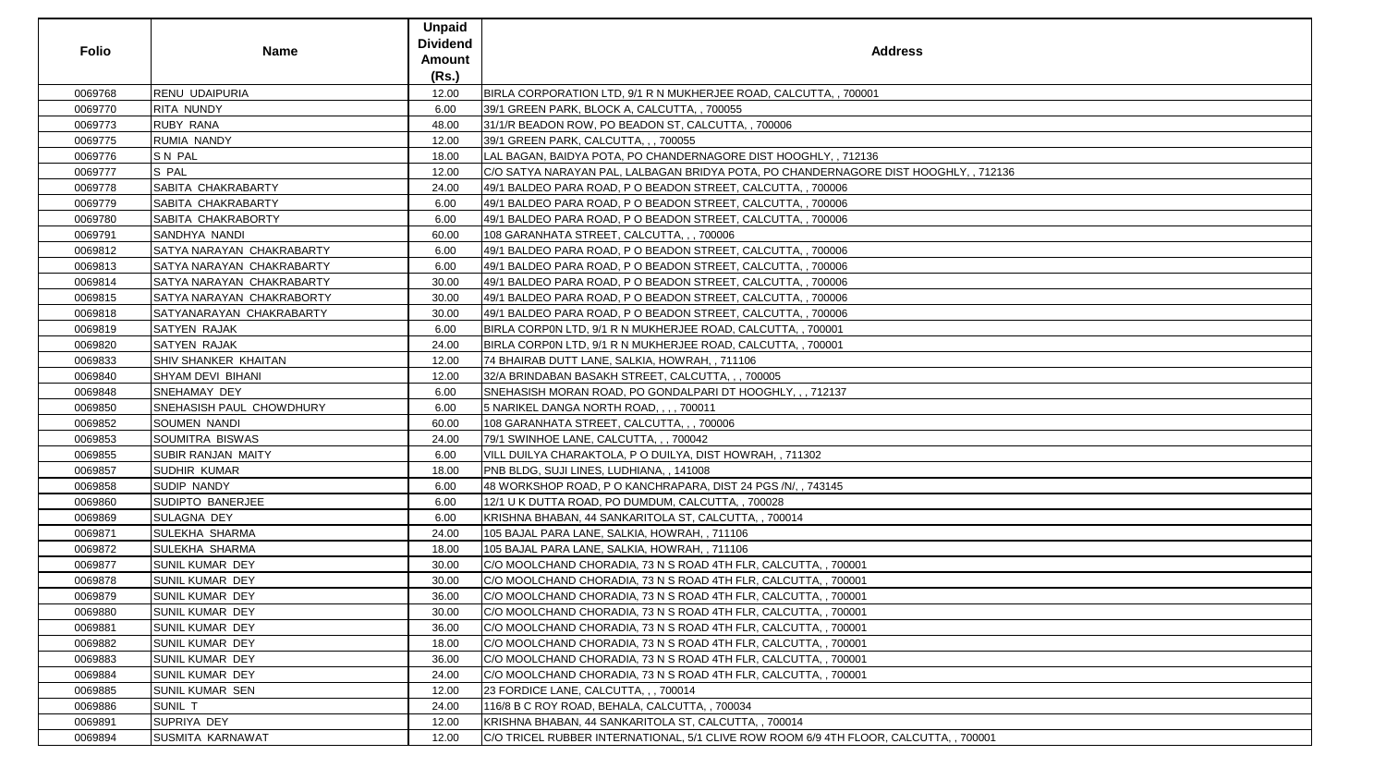|              |                           | <b>Unpaid</b>   |                                                                                       |
|--------------|---------------------------|-----------------|---------------------------------------------------------------------------------------|
| <b>Folio</b> |                           | <b>Dividend</b> |                                                                                       |
|              | <b>Name</b>               | <b>Amount</b>   | <b>Address</b>                                                                        |
|              |                           | (Rs.)           |                                                                                       |
| 0069768      | <b>RENU UDAIPURIA</b>     | 12.00           | BIRLA CORPORATION LTD, 9/1 R N MUKHERJEE ROAD, CALCUTTA, , 700001                     |
| 0069770      | RITA NUNDY                | 6.00            | 39/1 GREEN PARK, BLOCK A, CALCUTTA, , 700055                                          |
| 0069773      | <b>RUBY RANA</b>          | 48.00           | 31/1/R BEADON ROW, PO BEADON ST, CALCUTTA, , 700006                                   |
| 0069775      | <b>RUMIA NANDY</b>        | 12.00           | 39/1 GREEN PARK, CALCUTTA, , , 700055                                                 |
| 0069776      | SN PAL                    | 18.00           | LAL BAGAN, BAIDYA POTA, PO CHANDERNAGORE DIST HOOGHLY, , 712136                       |
| 0069777      | S PAL                     | 12.00           | C/O SATYA NARAYAN PAL, LALBAGAN BRIDYA POTA, PO CHANDERNAGORE DIST HOOGHLY, , 712136  |
| 0069778      | SABITA CHAKRABARTY        | 24.00           | 49/1 BALDEO PARA ROAD, P O BEADON STREET, CALCUTTA, , 700006                          |
| 0069779      | SABITA CHAKRABARTY        | 6.00            | 49/1 BALDEO PARA ROAD, P O BEADON STREET, CALCUTTA, , 700006                          |
| 0069780      | SABITA CHAKRABORTY        | 6.00            | 49/1 BALDEO PARA ROAD, P O BEADON STREET, CALCUTTA, , 700006                          |
| 0069791      | SANDHYA NANDI             | 60.00           | 108 GARANHATA STREET, CALCUTTA, , , 700006                                            |
| 0069812      | SATYA NARAYAN CHAKRABARTY | 6.00            | 49/1 BALDEO PARA ROAD, P O BEADON STREET, CALCUTTA, , 700006                          |
| 0069813      | SATYA NARAYAN CHAKRABARTY | 6.00            | 49/1 BALDEO PARA ROAD, P O BEADON STREET, CALCUTTA, , 700006                          |
| 0069814      | SATYA NARAYAN CHAKRABARTY | 30.00           | 49/1 BALDEO PARA ROAD, P O BEADON STREET, CALCUTTA, , 700006                          |
| 0069815      | SATYA NARAYAN CHAKRABORTY | 30.00           | 49/1 BALDEO PARA ROAD, P O BEADON STREET, CALCUTTA, , 700006                          |
| 0069818      | SATYANARAYAN CHAKRABARTY  | 30.00           | 49/1 BALDEO PARA ROAD, P O BEADON STREET, CALCUTTA, , 700006                          |
| 0069819      | SATYEN RAJAK              | 6.00            | BIRLA CORPON LTD, 9/1 R N MUKHERJEE ROAD, CALCUTTA, , 700001                          |
| 0069820      | <b>SATYEN RAJAK</b>       | 24.00           | BIRLA CORPON LTD, 9/1 R N MUKHERJEE ROAD, CALCUTTA, , 700001                          |
| 0069833      | SHIV SHANKER KHAITAN      | 12.00           | 74 BHAIRAB DUTT LANE, SALKIA, HOWRAH, , 711106                                        |
| 0069840      | SHYAM DEVI BIHANI         | 12.00           | 32/A BRINDABAN BASAKH STREET, CALCUTTA, , , 700005                                    |
| 0069848      | SNEHAMAY DEY              | 6.00            | SNEHASISH MORAN ROAD, PO GONDALPARI DT HOOGHLY, , , 712137                            |
| 0069850      | SNEHASISH PAUL CHOWDHURY  | 6.00            | 5 NARIKEL DANGA NORTH ROAD, , , , 700011                                              |
| 0069852      | SOUMEN NANDI              | 60.00           | 108 GARANHATA STREET, CALCUTTA, , , 700006                                            |
| 0069853      | SOUMITRA BISWAS           | 24.00           | 79/1 SWINHOE LANE, CALCUTTA, , , 700042                                               |
| 0069855      | <b>SUBIR RANJAN MAITY</b> | 6.00            | VILL DUILYA CHARAKTOLA, PO DUILYA, DIST HOWRAH, , 711302                              |
| 0069857      | <b>SUDHIR KUMAR</b>       | 18.00           | PNB BLDG, SUJI LINES, LUDHIANA, , 141008                                              |
| 0069858      | SUDIP NANDY               | 6.00            | 48 WORKSHOP ROAD, P O KANCHRAPARA, DIST 24 PGS /N/, , 743145                          |
| 0069860      | SUDIPTO BANERJEE          | 6.00            | 12/1 U K DUTTA ROAD, PO DUMDUM, CALCUTTA, , 700028                                    |
| 0069869      | SULAGNA DEY               | 6.00            | KRISHNA BHABAN, 44 SANKARITOLA ST, CALCUTTA, , 700014                                 |
| 0069871      | <b>SULEKHA SHARMA</b>     | 24.00           | 105 BAJAL PARA LANE, SALKIA, HOWRAH, , 711106                                         |
| 0069872      | SULEKHA SHARMA            | 18.00           | 105 BAJAL PARA LANE, SALKIA, HOWRAH, , 711106                                         |
| 0069877      | <b>SUNIL KUMAR DEY</b>    | 30.00           | C/O MOOLCHAND CHORADIA, 73 N S ROAD 4TH FLR, CALCUTTA, , 700001                       |
| 0069878      | <b>SUNIL KUMAR DEY</b>    | 30.00           | C/O MOOLCHAND CHORADIA, 73 N S ROAD 4TH FLR, CALCUTTA, , 700001                       |
| 0069879      | SUNIL KUMAR DEY           | 36.00           | C/O MOOLCHAND CHORADIA, 73 N S ROAD 4TH FLR, CALCUTTA, , 700001                       |
| 0069880      | SUNIL KUMAR DEY           | 30.00           | C/O MOOLCHAND CHORADIA, 73 N S ROAD 4TH FLR, CALCUTTA, , 700001                       |
| 0069881      | <b>SUNIL KUMAR DEY</b>    | 36.00           | C/O MOOLCHAND CHORADIA, 73 N S ROAD 4TH FLR, CALCUTTA, , 700001                       |
| 0069882      | <b>SUNIL KUMAR DEY</b>    | 18.00           | C/O MOOLCHAND CHORADIA, 73 N S ROAD 4TH FLR, CALCUTTA, , 700001                       |
| 0069883      | <b>SUNIL KUMAR DEY</b>    | 36.00           | C/O MOOLCHAND CHORADIA, 73 N S ROAD 4TH FLR, CALCUTTA, , 700001                       |
| 0069884      | SUNIL KUMAR DEY           | 24.00           | C/O MOOLCHAND CHORADIA, 73 N S ROAD 4TH FLR, CALCUTTA, , 700001                       |
| 0069885      | SUNIL KUMAR SEN           | 12.00           | 23 FORDICE LANE, CALCUTTA, , , 700014                                                 |
| 0069886      | SUNIL T                   | 24.00           | 116/8 B C ROY ROAD, BEHALA, CALCUTTA, , 700034                                        |
| 0069891      | SUPRIYA DEY               | 12.00           | KRISHNA BHABAN, 44 SANKARITOLA ST, CALCUTTA, , 700014                                 |
| 0069894      | <b>SUSMITA KARNAWAT</b>   | 12.00           | C/O TRICEL RUBBER INTERNATIONAL, 5/1 CLIVE ROW ROOM 6/9 4TH FLOOR, CALCUTTA, , 700001 |

| 712136 |  |
|--------|--|
|        |  |
|        |  |
|        |  |
|        |  |
|        |  |
|        |  |
|        |  |
|        |  |
|        |  |
|        |  |
|        |  |
|        |  |
|        |  |
|        |  |
|        |  |
|        |  |
|        |  |
|        |  |
|        |  |
|        |  |
|        |  |
|        |  |
|        |  |
|        |  |
|        |  |
|        |  |
|        |  |
|        |  |
|        |  |
|        |  |
|        |  |
|        |  |
|        |  |
|        |  |
|        |  |
|        |  |
|        |  |
|        |  |
|        |  |
|        |  |
|        |  |
|        |  |
|        |  |
|        |  |
|        |  |
|        |  |
|        |  |
|        |  |
|        |  |
|        |  |
|        |  |
|        |  |
| 0001   |  |
|        |  |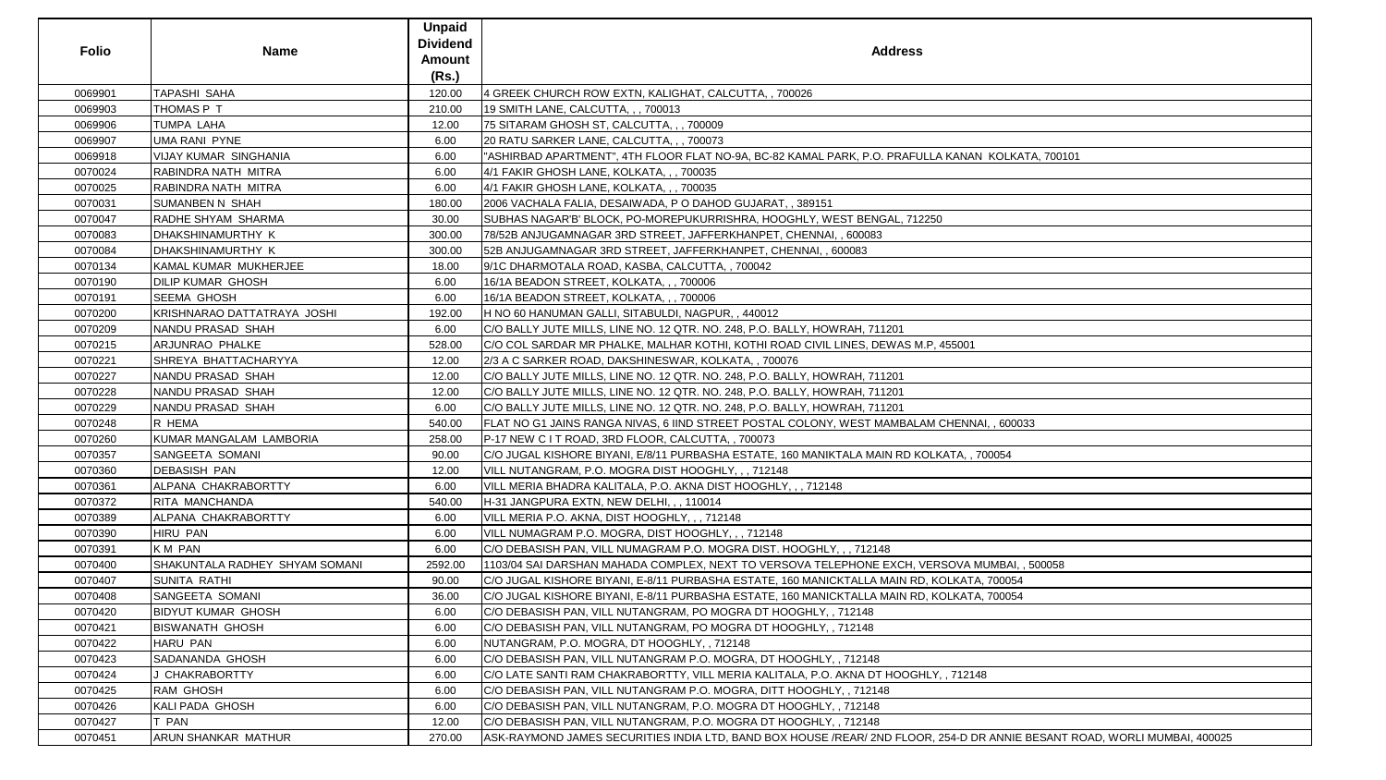|              |                                | <b>Unpaid</b><br><b>Dividend</b> |                                                                                                                           |  |
|--------------|--------------------------------|----------------------------------|---------------------------------------------------------------------------------------------------------------------------|--|
| <b>Folio</b> | <b>Name</b>                    | <b>Amount</b>                    | <b>Address</b>                                                                                                            |  |
|              |                                | (Rs.)                            |                                                                                                                           |  |
| 0069901      | <b>TAPASHI SAHA</b>            | 120.00                           | 4 GREEK CHURCH ROW EXTN, KALIGHAT, CALCUTTA, , 700026                                                                     |  |
| 0069903      | THOMAS P T                     | 210.00                           | 19 SMITH LANE, CALCUTTA, , , 700013                                                                                       |  |
| 0069906      | <b>TUMPA LAHA</b>              | 12.00                            | 75 SITARAM GHOSH ST, CALCUTTA, , , 700009                                                                                 |  |
| 0069907      | <b>UMA RANI PYNE</b>           | 6.00                             | 20 RATU SARKER LANE, CALCUTTA, , , 700073                                                                                 |  |
| 0069918      | <b>VIJAY KUMAR SINGHANIA</b>   | 6.00                             | "ASHIRBAD APARTMENT", 4TH FLOOR FLAT NO-9A, BC-82 KAMAL PARK, P.O. PRAFULLA KANAN KOLKATA, 700101                         |  |
| 0070024      | RABINDRA NATH MITRA            | 6.00                             | 4/1 FAKIR GHOSH LANE, KOLKATA, , , 700035                                                                                 |  |
| 0070025      | RABINDRA NATH MITRA            | 6.00                             | 4/1 FAKIR GHOSH LANE, KOLKATA, , , 700035                                                                                 |  |
| 0070031      | <b>SUMANBEN N SHAH</b>         | 180.00                           | 2006 VACHALA FALIA, DESAIWADA, PO DAHOD GUJARAT, , 389151                                                                 |  |
| 0070047      | RADHE SHYAM SHARMA             | 30.00                            | SUBHAS NAGAR'B' BLOCK, PO-MOREPUKURRISHRA, HOOGHLY, WEST BENGAL, 712250                                                   |  |
| 0070083      | DHAKSHINAMURTHY K              | 300.00                           | 78/52B ANJUGAMNAGAR 3RD STREET, JAFFERKHANPET, CHENNAI, , 600083                                                          |  |
| 0070084      | DHAKSHINAMURTHY K              | 300.00                           | 52B ANJUGAMNAGAR 3RD STREET, JAFFERKHANPET, CHENNAI, , 600083                                                             |  |
| 0070134      | KAMAL KUMAR MUKHERJEE          | 18.00                            | 9/1C DHARMOTALA ROAD, KASBA, CALCUTTA, , 700042                                                                           |  |
| 0070190      | <b>DILIP KUMAR GHOSH</b>       | 6.00                             | 16/1A BEADON STREET, KOLKATA, , , 700006                                                                                  |  |
| 0070191      | <b>SEEMA GHOSH</b>             | 6.00                             | 16/1A BEADON STREET, KOLKATA, , , 700006                                                                                  |  |
| 0070200      | KRISHNARAO DATTATRAYA JOSHI    | 192.00                           | H NO 60 HANUMAN GALLI, SITABULDI, NAGPUR,, 440012                                                                         |  |
| 0070209      | NANDU PRASAD SHAH              | 6.00                             | C/O BALLY JUTE MILLS, LINE NO. 12 QTR. NO. 248, P.O. BALLY, HOWRAH, 711201                                                |  |
| 0070215      | ARJUNRAO PHALKE                | 528.00                           | C/O COL SARDAR MR PHALKE, MALHAR KOTHI, KOTHI ROAD CIVIL LINES, DEWAS M.P, 455001                                         |  |
| 0070221      | SHREYA BHATTACHARYYA           | 12.00                            | 2/3 A C SARKER ROAD, DAKSHINESWAR, KOLKATA, , 700076                                                                      |  |
| 0070227      | NANDU PRASAD SHAH              | 12.00                            | C/O BALLY JUTE MILLS, LINE NO. 12 QTR. NO. 248, P.O. BALLY, HOWRAH, 711201                                                |  |
| 0070228      | NANDU PRASAD SHAH              | 12.00                            | C/O BALLY JUTE MILLS, LINE NO. 12 QTR. NO. 248, P.O. BALLY, HOWRAH, 711201                                                |  |
| 0070229      | NANDU PRASAD SHAH              | 6.00                             | C/O BALLY JUTE MILLS, LINE NO. 12 QTR. NO. 248, P.O. BALLY, HOWRAH, 711201                                                |  |
| 0070248      | R HEMA                         | 540.00                           | FLAT NO G1 JAINS RANGA NIVAS, 6 IIND STREET POSTAL COLONY, WEST MAMBALAM CHENNAI, , 600033                                |  |
| 0070260      | KUMAR MANGALAM LAMBORIA        | 258.00                           | P-17 NEW C I T ROAD, 3RD FLOOR, CALCUTTA, , 700073                                                                        |  |
| 0070357      | <b>SANGEETA SOMANI</b>         | 90.00                            | C/O JUGAL KISHORE BIYANI, E/8/11 PURBASHA ESTATE, 160 MANIKTALA MAIN RD KOLKATA, , 700054                                 |  |
| 0070360      | <b>DEBASISH PAN</b>            | 12.00                            | VILL NUTANGRAM, P.O. MOGRA DIST HOOGHLY, ,, 712148                                                                        |  |
| 0070361      | ALPANA CHAKRABORTTY            | 6.00                             | VILL MERIA BHADRA KALITALA, P.O. AKNA DIST HOOGHLY, ,, 712148                                                             |  |
| 0070372      | RITA MANCHANDA                 | 540.00                           | H-31 JANGPURA EXTN, NEW DELHI, , , 110014                                                                                 |  |
| 0070389      | ALPANA CHAKRABORTTY            | 6.00                             | VILL MERIA P.O. AKNA, DIST HOOGHLY, , , 712148                                                                            |  |
| 0070390      | HIRU PAN                       | 6.00                             | VILL NUMAGRAM P.O. MOGRA, DIST HOOGHLY,  712148                                                                           |  |
| 0070391      | <b>KM PAN</b>                  | 6.00                             | C/O DEBASISH PAN, VILL NUMAGRAM P.O. MOGRA DIST. HOOGHLY, , , 712148                                                      |  |
| 0070400      | SHAKUNTALA RADHEY SHYAM SOMANI | 2592.00                          | 1103/04 SAI DARSHAN MAHADA COMPLEX, NEXT TO VERSOVA TELEPHONE EXCH, VERSOVA MUMBAI, , 500058                              |  |
| 0070407      | <b>SUNITA RATHI</b>            | 90.00                            | C/O JUGAL KISHORE BIYANI, E-8/11 PURBASHA ESTATE, 160 MANICKTALLA MAIN RD, KOLKATA, 700054                                |  |
| 0070408      | <b>SANGEETA SOMANI</b>         | 36.00                            | C/O JUGAL KISHORE BIYANI, E-8/11 PURBASHA ESTATE, 160 MANICKTALLA MAIN RD, KOLKATA, 700054                                |  |
| 0070420      | <b>BIDYUT KUMAR GHOSH</b>      | 6.00                             | C/O DEBASISH PAN, VILL NUTANGRAM, PO MOGRA DT HOOGHLY, , 712148                                                           |  |
| 0070421      | <b>BISWANATH GHOSH</b>         | 6.00                             | C/O DEBASISH PAN, VILL NUTANGRAM, PO MOGRA DT HOOGHLY, , 712148                                                           |  |
| 0070422      | HARU PAN                       | 6.00                             | NUTANGRAM, P.O. MOGRA, DT HOOGHLY, , 712148                                                                               |  |
| 0070423      | SADANANDA GHOSH                | 6.00                             | C/O DEBASISH PAN, VILL NUTANGRAM P.O. MOGRA, DT HOOGHLY, , 712148                                                         |  |
| 0070424      | J CHAKRABORTTY                 | 6.00                             | C/O LATE SANTI RAM CHAKRABORTTY, VILL MERIA KALITALA, P.O. AKNA DT HOOGHLY, , 712148                                      |  |
| 0070425      | RAM GHOSH                      | 6.00                             | C/O DEBASISH PAN, VILL NUTANGRAM P.O. MOGRA, DITT HOOGHLY, , 712148                                                       |  |
| 0070426      | <b>KALI PADA GHOSH</b>         | 6.00                             | C/O DEBASISH PAN, VILL NUTANGRAM, P.O. MOGRA DT HOOGHLY, , 712148                                                         |  |
| 0070427      | <b>T PAN</b>                   | 12.00                            | C/O DEBASISH PAN, VILL NUTANGRAM, P.O. MOGRA DT HOOGHLY, , 712148                                                         |  |
| 0070451      | <b>ARUN SHANKAR MATHUR</b>     | 270.00                           | ASK-RAYMOND JAMES SECURITIES INDIA LTD, BAND BOX HOUSE /REAR/ 2ND FLOOR, 254-D DR ANNIE BESANT ROAD, WORLI MUMBAI, 400025 |  |

| <u>A KANAN KOLKATA, 700101</u>                   |
|--------------------------------------------------|
|                                                  |
|                                                  |
| C                                                |
|                                                  |
|                                                  |
|                                                  |
|                                                  |
|                                                  |
| 455001                                           |
|                                                  |
|                                                  |
|                                                  |
| CHENNAI, , 600033                                |
|                                                  |
| <u> KATA, , 700054</u>                           |
|                                                  |
|                                                  |
|                                                  |
|                                                  |
| <b>RSOVA MUMBAI, , 500058</b>                    |
| OLKATA, 700054                                   |
| OLKATA, 700054                                   |
|                                                  |
|                                                  |
| $\frac{7}{1}$ , 712148                           |
|                                                  |
|                                                  |
| 254-D DR ANNIE BESANT ROAD, WORLI MUMBAI, 400025 |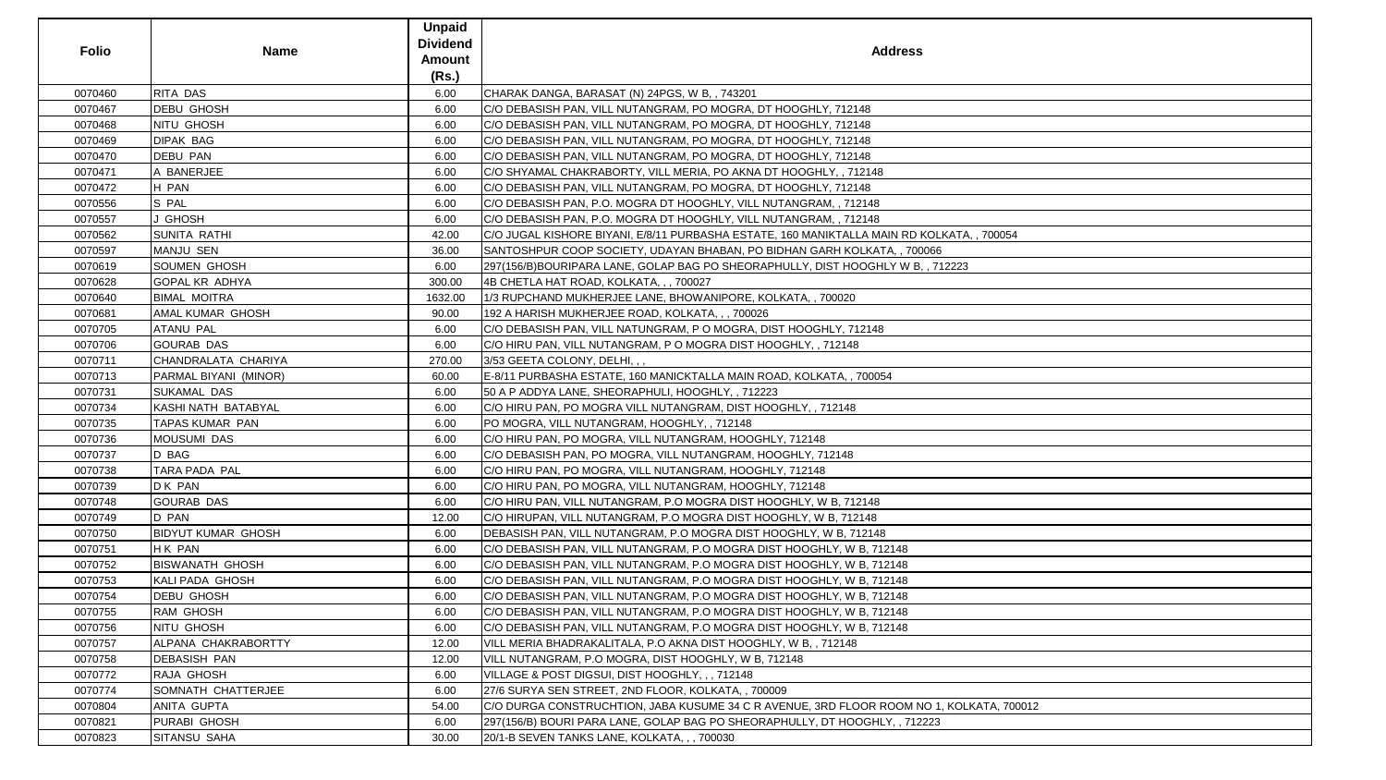| <b>Folio</b> | <b>Name</b>               | <b>Unpaid</b><br><b>Dividend</b><br><b>Amount</b><br>(Rs.) | <b>Address</b>                                                                             |
|--------------|---------------------------|------------------------------------------------------------|--------------------------------------------------------------------------------------------|
| 0070460      | <b>RITA DAS</b>           | 6.00                                                       | CHARAK DANGA, BARASAT (N) 24PGS, W B, , 743201                                             |
| 0070467      | <b>DEBU GHOSH</b>         | 6.00                                                       | C/O DEBASISH PAN, VILL NUTANGRAM, PO MOGRA, DT HOOGHLY, 712148                             |
| 0070468      | <b>NITU GHOSH</b>         | 6.00                                                       | C/O DEBASISH PAN, VILL NUTANGRAM, PO MOGRA, DT HOOGHLY, 712148                             |
| 0070469      | <b>DIPAK BAG</b>          | 6.00                                                       | C/O DEBASISH PAN, VILL NUTANGRAM, PO MOGRA, DT HOOGHLY, 712148                             |
| 0070470      | <b>DEBU PAN</b>           | 6.00                                                       | C/O DEBASISH PAN, VILL NUTANGRAM, PO MOGRA, DT HOOGHLY, 712148                             |
| 0070471      | A BANERJEE                | 6.00                                                       | C/O SHYAMAL CHAKRABORTY, VILL MERIA, PO AKNA DT HOOGHLY, , 712148                          |
| 0070472      | H PAN                     | 6.00                                                       | C/O DEBASISH PAN, VILL NUTANGRAM, PO MOGRA, DT HOOGHLY, 712148                             |
| 0070556      | S PAL                     | 6.00                                                       | C/O DEBASISH PAN, P.O. MOGRA DT HOOGHLY, VILL NUTANGRAM, , 712148                          |
| 0070557      | J GHOSH                   | 6.00                                                       | C/O DEBASISH PAN, P.O. MOGRA DT HOOGHLY, VILL NUTANGRAM, , 712148                          |
| 0070562      | <b>SUNITA RATHI</b>       | 42.00                                                      | C/O JUGAL KISHORE BIYANI, E/8/11 PURBASHA ESTATE, 160 MANIKTALLA MAIN RD KOLKATA, , 700054 |
| 0070597      | MANJU SEN                 | 36.00                                                      | SANTOSHPUR COOP SOCIETY, UDAYAN BHABAN, PO BIDHAN GARH KOLKATA, , 700066                   |
| 0070619      | <b>SOUMEN GHOSH</b>       | 6.00                                                       | 297(156/B)BOURIPARA LANE, GOLAP BAG PO SHEORAPHULLY, DIST HOOGHLY W B, , 712223            |
| 0070628      | <b>GOPAL KR ADHYA</b>     | 300.00                                                     | 4B CHETLA HAT ROAD, KOLKATA, , , 700027                                                    |
| 0070640      | <b>BIMAL MOITRA</b>       | 1632.00                                                    | 1/3 RUPCHAND MUKHERJEE LANE, BHOWANIPORE, KOLKATA,, 700020                                 |
| 0070681      | <b>AMAL KUMAR GHOSH</b>   | 90.00                                                      | 192 A HARISH MUKHERJEE ROAD, KOLKATA, , , 700026                                           |
| 0070705      | <b>ATANU PAL</b>          | 6.00                                                       | C/O DEBASISH PAN, VILL NATUNGRAM, P O MOGRA, DIST HOOGHLY, 712148                          |
| 0070706      | <b>GOURAB DAS</b>         | 6.00                                                       | C/O HIRU PAN, VILL NUTANGRAM, P O MOGRA DIST HOOGHLY, , 712148                             |
| 0070711      | CHANDRALATA CHARIYA       | 270.00                                                     | 3/53 GEETA COLONY, DELHI, , ,                                                              |
| 0070713      | PARMAL BIYANI (MINOR)     | 60.00                                                      | E-8/11 PURBASHA ESTATE, 160 MANICKTALLA MAIN ROAD, KOLKATA, , 700054                       |
| 0070731      | <b>SUKAMAL DAS</b>        | 6.00                                                       | 50 A P ADDYA LANE, SHEORAPHULI, HOOGHLY, , 712223                                          |
| 0070734      | KASHI NATH BATABYAL       | 6.00                                                       | C/O HIRU PAN, PO MOGRA VILL NUTANGRAM, DIST HOOGHLY, , 712148                              |
| 0070735      | <b>TAPAS KUMAR PAN</b>    | 6.00                                                       | PO MOGRA, VILL NUTANGRAM, HOOGHLY, , 712148                                                |
| 0070736      | <b>MOUSUMI DAS</b>        | 6.00                                                       | C/O HIRU PAN, PO MOGRA, VILL NUTANGRAM, HOOGHLY, 712148                                    |
| 0070737      | D BAG                     | 6.00                                                       | C/O DEBASISH PAN, PO MOGRA, VILL NUTANGRAM, HOOGHLY, 712148                                |
| 0070738      | <b>TARA PADA PAL</b>      | 6.00                                                       | C/O HIRU PAN, PO MOGRA, VILL NUTANGRAM, HOOGHLY, 712148                                    |
| 0070739      | D K PAN                   | 6.00                                                       | C/O HIRU PAN, PO MOGRA, VILL NUTANGRAM, HOOGHLY, 712148                                    |
| 0070748      | <b>GOURAB DAS</b>         | 6.00                                                       | C/O HIRU PAN, VILL NUTANGRAM, P.O MOGRA DIST HOOGHLY, W B, 712148                          |
| 0070749      | D PAN                     | 12.00                                                      | C/O HIRUPAN, VILL NUTANGRAM, P.O MOGRA DIST HOOGHLY, W B, 712148                           |
| 0070750      | <b>BIDYUT KUMAR GHOSH</b> | 6.00                                                       | DEBASISH PAN, VILL NUTANGRAM, P.O MOGRA DIST HOOGHLY, W B, 712148                          |
| 0070751      | H K PAN                   | 6.00                                                       | C/O DEBASISH PAN, VILL NUTANGRAM, P.O MOGRA DIST HOOGHLY, W B, 712148                      |
| 0070752      | <b>BISWANATH GHOSH</b>    | 6.00                                                       | C/O DEBASISH PAN, VILL NUTANGRAM, P.O MOGRA DIST HOOGHLY, W B, 712148                      |
| 0070753      | KALI PADA GHOSH           | 6.00                                                       | C/O DEBASISH PAN, VILL NUTANGRAM, P.O MOGRA DIST HOOGHLY, W B, 712148                      |
| 0070754      | <b>DEBU GHOSH</b>         | 6.00                                                       | C/O DEBASISH PAN, VILL NUTANGRAM, P.O MOGRA DIST HOOGHLY, W B, 712148                      |
| 0070755      | <b>RAM GHOSH</b>          | 6.00                                                       | C/O DEBASISH PAN, VILL NUTANGRAM, P.O MOGRA DIST HOOGHLY, W B, 712148                      |
| 0070756      | NITU GHOSH                | 6.00                                                       | C/O DEBASISH PAN, VILL NUTANGRAM, P.O MOGRA DIST HOOGHLY, W B, 712148                      |
| 0070757      | ALPANA CHAKRABORTTY       | 12.00                                                      | VILL MERIA BHADRAKALITALA, P.O AKNA DIST HOOGHLY, W B, , 712148                            |
| 0070758      | <b>DEBASISH PAN</b>       | 12.00                                                      | VILL NUTANGRAM, P.O MOGRA, DIST HOOGHLY, W B, 712148                                       |
| 0070772      | RAJA GHOSH                | 6.00                                                       | VILLAGE & POST DIGSUI, DIST HOOGHLY, , , 712148                                            |
| 0070774      | SOMNATH CHATTERJEE        | 6.00                                                       | 27/6 SURYA SEN STREET, 2ND FLOOR, KOLKATA, , 700009                                        |
| 0070804      | <b>ANITA GUPTA</b>        | 54.00                                                      | C/O DURGA CONSTRUCHTION, JABA KUSUME 34 C R AVENUE, 3RD FLOOR ROOM NO 1, KOLKATA, 700012   |
| 0070821      | PURABI GHOSH              | 6.00                                                       | 297(156/B) BOURI PARA LANE, GOLAP BAG PO SHEORAPHULLY, DT HOOGHLY, , 712223                |
| 0070823      | SITANSU SAHA              | 30.00                                                      | 20/1-B SEVEN TANKS LANE, KOLKATA, , , 700030                                               |

| S                     |  |
|-----------------------|--|
|                       |  |
|                       |  |
|                       |  |
|                       |  |
|                       |  |
|                       |  |
|                       |  |
|                       |  |
|                       |  |
|                       |  |
|                       |  |
|                       |  |
|                       |  |
|                       |  |
| KOLKATA, , 700054     |  |
| 0066                  |  |
|                       |  |
| $\overline{3,712223}$ |  |
|                       |  |
|                       |  |
|                       |  |
|                       |  |
|                       |  |
|                       |  |
|                       |  |
|                       |  |
|                       |  |
|                       |  |
|                       |  |
|                       |  |
|                       |  |
|                       |  |
|                       |  |
|                       |  |
|                       |  |
|                       |  |
|                       |  |
|                       |  |
|                       |  |
|                       |  |
|                       |  |
|                       |  |
|                       |  |
|                       |  |
|                       |  |
|                       |  |
|                       |  |
|                       |  |
|                       |  |
|                       |  |
|                       |  |
| NO 1, KOLKATA, 700012 |  |
| 2223                  |  |
|                       |  |
|                       |  |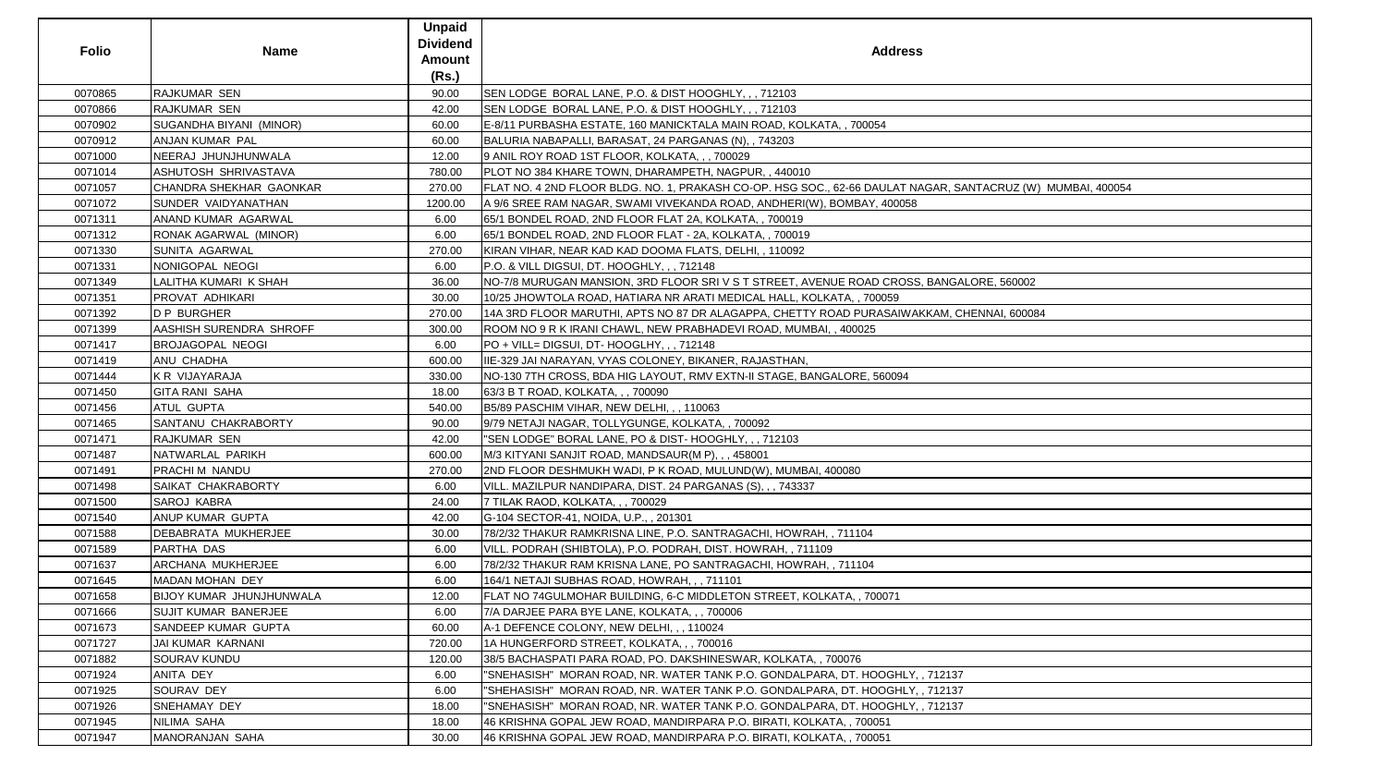| <b>Folio</b> | <b>Name</b>                     | <b>Unpaid</b><br><b>Dividend</b><br><b>Amount</b><br>(Rs.) | <b>Address</b>                                                                                              |
|--------------|---------------------------------|------------------------------------------------------------|-------------------------------------------------------------------------------------------------------------|
| 0070865      | <b>RAJKUMAR SEN</b>             | 90.00                                                      | SEN LODGE BORAL LANE, P.O. & DIST HOOGHLY, , , 712103                                                       |
| 0070866      | <b>RAJKUMAR SEN</b>             | 42.00                                                      | SEN LODGE BORAL LANE, P.O. & DIST HOOGHLY, , , 712103                                                       |
| 0070902      | SUGANDHA BIYANI (MINOR)         | 60.00                                                      | E-8/11 PURBASHA ESTATE, 160 MANICKTALA MAIN ROAD, KOLKATA, , 700054                                         |
| 0070912      | ANJAN KUMAR PAL                 | 60.00                                                      | BALURIA NABAPALLI, BARASAT, 24 PARGANAS (N), , 743203                                                       |
| 0071000      | NEERAJ JHUNJHUNWALA             | 12.00                                                      | 9 ANIL ROY ROAD 1ST FLOOR, KOLKATA, , , 700029                                                              |
| 0071014      | ASHUTOSH SHRIVASTAVA            | 780.00                                                     | PLOT NO 384 KHARE TOWN, DHARAMPETH, NAGPUR,, 440010                                                         |
| 0071057      | <b>CHANDRA SHEKHAR GAONKAR</b>  | 270.00                                                     | FLAT NO. 4 2ND FLOOR BLDG. NO. 1, PRAKASH CO-OP. HSG SOC., 62-66 DAULAT NAGAR, SANTACRUZ (W) MUMBAI, 400054 |
| 0071072      | SUNDER VAIDYANATHAN             | 1200.00                                                    | A 9/6 SREE RAM NAGAR, SWAMI VIVEKANDA ROAD, ANDHERI(W), BOMBAY, 400058                                      |
| 0071311      | ANAND KUMAR AGARWAL             | 6.00                                                       | 65/1 BONDEL ROAD, 2ND FLOOR FLAT 2A, KOLKATA,, 700019                                                       |
| 0071312      | RONAK AGARWAL (MINOR)           | 6.00                                                       | 65/1 BONDEL ROAD, 2ND FLOOR FLAT - 2A, KOLKATA, , 700019                                                    |
| 0071330      | <b>SUNITA AGARWAL</b>           | 270.00                                                     | KIRAN VIHAR, NEAR KAD KAD DOOMA FLATS, DELHI, , 110092                                                      |
| 0071331      | NONIGOPAL NEOGI                 | 6.00                                                       | P.O. & VILL DIGSUI, DT. HOOGHLY, , , 712148                                                                 |
| 0071349      | LALITHA KUMARI K SHAH           | 36.00                                                      | NO-7/8 MURUGAN MANSION, 3RD FLOOR SRI V S T STREET, AVENUE ROAD CROSS, BANGALORE, 560002                    |
| 0071351      | <b>PROVAT ADHIKARI</b>          | 30.00                                                      | 10/25 JHOWTOLA ROAD, HATIARA NR ARATI MEDICAL HALL, KOLKATA, , 700059                                       |
| 0071392      | D P BURGHER                     | 270.00                                                     | 14A 3RD FLOOR MARUTHI, APTS NO 87 DR ALAGAPPA, CHETTY ROAD PURASAIWAKKAM, CHENNAI, 600084                   |
| 0071399      | <b>AASHISH SURENDRA SHROFF</b>  | 300.00                                                     | ROOM NO 9 R K IRANI CHAWL, NEW PRABHADEVI ROAD, MUMBAI, , 400025                                            |
| 0071417      | <b>BROJAGOPAL NEOGI</b>         | 6.00                                                       | PO + VILL= DIGSUI, DT- HOOGLHY, , , 712148                                                                  |
| 0071419      | <b>ANU CHADHA</b>               | 600.00                                                     | IIE-329 JAI NARAYAN, VYAS COLONEY, BIKANER, RAJASTHAN,                                                      |
| 0071444      | K R VIJAYARAJA                  | 330.00                                                     | NO-130 7TH CROSS, BDA HIG LAYOUT, RMV EXTN-II STAGE, BANGALORE, 560094                                      |
| 0071450      | <b>GITA RANI SAHA</b>           | 18.00                                                      | 63/3 B T ROAD, KOLKATA, , , 700090                                                                          |
| 0071456      | <b>ATUL GUPTA</b>               | 540.00                                                     | B5/89 PASCHIM VIHAR, NEW DELHI, , , 110063                                                                  |
| 0071465      | SANTANU CHAKRABORTY             | 90.00                                                      | 9/79 NETAJI NAGAR, TOLLYGUNGE, KOLKATA,, 700092                                                             |
| 0071471      | <b>RAJKUMAR SEN</b>             | 42.00                                                      | "SEN LODGE" BORAL LANE, PO & DIST-HOOGHLY, ,, 712103                                                        |
| 0071487      | NATWARLAL PARIKH                | 600.00                                                     | M/3 KITYANI SANJIT ROAD, MANDSAUR(M P), , , 458001                                                          |
| 0071491      | <b>PRACHIM NANDU</b>            | 270.00                                                     | 2ND FLOOR DESHMUKH WADI, P K ROAD, MULUND(W), MUMBAI, 400080                                                |
| 0071498      | SAIKAT CHAKRABORTY              | 6.00                                                       | VILL. MAZILPUR NANDIPARA, DIST. 24 PARGANAS (S), , , 743337                                                 |
| 0071500      | SAROJ KABRA                     | 24.00                                                      | 7 TILAK RAOD, KOLKATA, , , 700029                                                                           |
| 0071540      | ANUP KUMAR GUPTA                | 42.00                                                      | G-104 SECTOR-41, NOIDA, U.P.,, 201301                                                                       |
| 0071588      | DEBABRATA MUKHERJEE             | 30.00                                                      | 78/2/32 THAKUR RAMKRISNA LINE, P.O. SANTRAGACHI, HOWRAH, , 711104                                           |
| 0071589      | <b>PARTHA DAS</b>               | 6.00                                                       | VILL. PODRAH (SHIBTOLA), P.O. PODRAH, DIST. HOWRAH, , 711109                                                |
| 0071637      | ARCHANA MUKHERJEE               | 6.00                                                       | 78/2/32 THAKUR RAM KRISNA LANE, PO SANTRAGACHI, HOWRAH, , 711104                                            |
| 0071645      | MADAN MOHAN DEY                 | 6.00                                                       | 164/1 NETAJI SUBHAS ROAD, HOWRAH, ,, 711101                                                                 |
| 0071658      | <b>BIJOY KUMAR JHUNJHUNWALA</b> | 12.00                                                      | FLAT NO 74GULMOHAR BUILDING, 6-C MIDDLETON STREET, KOLKATA, , 700071                                        |
| 0071666      | <b>SUJIT KUMAR BANERJEE</b>     | 6.00                                                       | 7/A DARJEE PARA BYE LANE, KOLKATA, , , 700006                                                               |
| 0071673      | <b>SANDEEP KUMAR GUPTA</b>      | 60.00                                                      | A-1 DEFENCE COLONY, NEW DELHI, , , 110024                                                                   |
| 0071727      | JAI KUMAR KARNANI               | 720.00                                                     | 1A HUNGERFORD STREET, KOLKATA, , , 700016                                                                   |
| 0071882      | <b>SOURAV KUNDU</b>             | 120.00                                                     | 38/5 BACHASPATI PARA ROAD, PO. DAKSHINESWAR, KOLKATA, , 700076                                              |
| 0071924      | <b>ANITA DEY</b>                | 6.00                                                       | "SNEHASISH" MORAN ROAD, NR. WATER TANK P.O. GONDALPARA, DT. HOOGHLY, , 712137                               |
| 0071925      | <b>SOURAV DEY</b>               | 6.00                                                       | "SHEHASISH" MORAN ROAD, NR. WATER TANK P.O. GONDALPARA, DT. HOOGHLY, , 712137                               |
| 0071926      | SNEHAMAY DEY                    | 18.00                                                      | "SNEHASISH" MORAN ROAD, NR. WATER TANK P.O. GONDALPARA, DT. HOOGHLY, , 712137                               |
| 0071945      | NILIMA SAHA                     | 18.00                                                      | 46 KRISHNA GOPAL JEW ROAD, MANDIRPARA P.O. BIRATI, KOLKATA, , 700051                                        |
| 0071947      | MANORANJAN SAHA                 | 30.00                                                      | 46 KRISHNA GOPAL JEW ROAD, MANDIRPARA P.O. BIRATI, KOLKATA, , 700051                                        |

| ITACRUZ (W) MUMBAI, 400054 |
|----------------------------|
|                            |
|                            |
|                            |
|                            |
|                            |
|                            |
|                            |
| ORE, 560002                |
|                            |
| ENNAI, 600084              |
|                            |
|                            |
|                            |
|                            |
|                            |
|                            |
|                            |
|                            |
|                            |
|                            |
|                            |
|                            |
|                            |
|                            |
|                            |
|                            |
|                            |
|                            |
|                            |
|                            |
|                            |
|                            |
|                            |
|                            |
|                            |
|                            |
|                            |
|                            |
|                            |
|                            |
|                            |
|                            |
|                            |
|                            |
|                            |
|                            |
|                            |
|                            |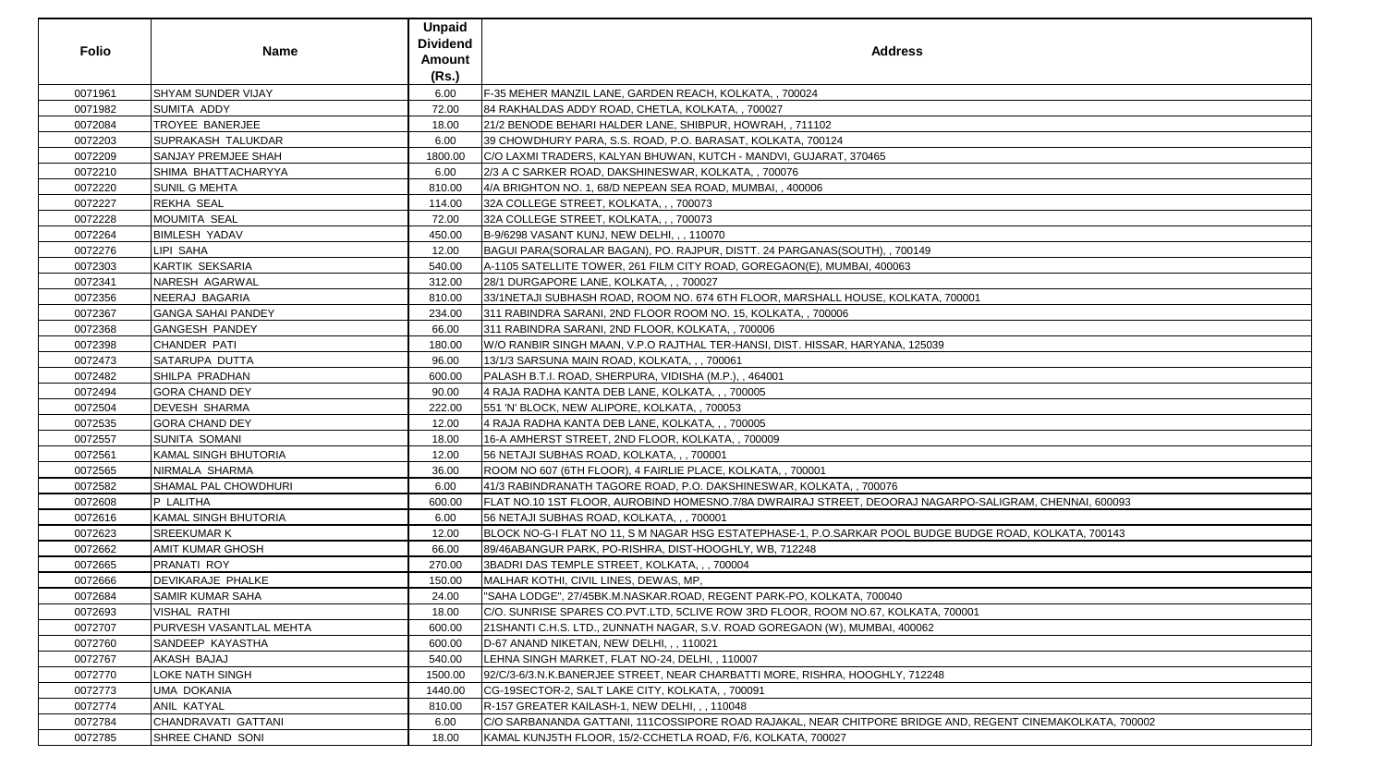| <b>Folio</b> | <b>Name</b>                 | <b>Unpaid</b><br><b>Dividend</b><br><b>Amount</b><br>(Rs.) | <b>Address</b>                                                                                            |
|--------------|-----------------------------|------------------------------------------------------------|-----------------------------------------------------------------------------------------------------------|
| 0071961      | <b>SHYAM SUNDER VIJAY</b>   | 6.00                                                       | F-35 MEHER MANZIL LANE, GARDEN REACH, KOLKATA,, 700024                                                    |
| 0071982      | <b>SUMITA ADDY</b>          | 72.00                                                      | 84 RAKHALDAS ADDY ROAD, CHETLA, KOLKATA, , 700027                                                         |
| 0072084      | TROYEE BANERJEE             | 18.00                                                      | 21/2 BENODE BEHARI HALDER LANE, SHIBPUR, HOWRAH, , 711102                                                 |
| 0072203      | <b>SUPRAKASH TALUKDAR</b>   | 6.00                                                       | 39 CHOWDHURY PARA, S.S. ROAD, P.O. BARASAT, KOLKATA, 700124                                               |
| 0072209      | SANJAY PREMJEE SHAH         | 1800.00                                                    | C/O LAXMI TRADERS, KALYAN BHUWAN, KUTCH - MANDVI, GUJARAT, 370465                                         |
| 0072210      | SHIMA BHATTACHARYYA         | 6.00                                                       | 2/3 A C SARKER ROAD, DAKSHINESWAR, KOLKATA, , 700076                                                      |
| 0072220      | <b>SUNIL G MEHTA</b>        | 810.00                                                     | 4/A BRIGHTON NO. 1, 68/D NEPEAN SEA ROAD, MUMBAI,, 400006                                                 |
| 0072227      | <b>REKHA SEAL</b>           | 114.00                                                     | 32A COLLEGE STREET, KOLKATA, , , 700073                                                                   |
| 0072228      | <b>MOUMITA SEAL</b>         | 72.00                                                      | 32A COLLEGE STREET, KOLKATA, , , 700073                                                                   |
| 0072264      | <b>BIMLESH YADAV</b>        | 450.00                                                     | B-9/6298 VASANT KUNJ, NEW DELHI, , , 110070                                                               |
| 0072276      | LIPI SAHA                   | 12.00                                                      | BAGUI PARA(SORALAR BAGAN), PO. RAJPUR, DISTT. 24 PARGANAS(SOUTH), , 700149                                |
| 0072303      | <b>KARTIK SEKSARIA</b>      | 540.00                                                     | A-1105 SATELLITE TOWER, 261 FILM CITY ROAD, GOREGAON(E), MUMBAI, 400063                                   |
| 0072341      | <b>NARESH AGARWAL</b>       | 312.00                                                     | 28/1 DURGAPORE LANE, KOLKATA, , , 700027                                                                  |
| 0072356      | NEERAJ BAGARIA              | 810.00                                                     | 33/1NETAJI SUBHASH ROAD, ROOM NO. 674 6TH FLOOR, MARSHALL HOUSE, KOLKATA, 700001                          |
| 0072367      | <b>GANGA SAHAI PANDEY</b>   | 234.00                                                     | 311 RABINDRA SARANI, 2ND FLOOR ROOM NO. 15, KOLKATA,, 700006                                              |
| 0072368      | <b>GANGESH PANDEY</b>       | 66.00                                                      | 311 RABINDRA SARANI, 2ND FLOOR, KOLKATA, , 700006                                                         |
| 0072398      | CHANDER PATI                | 180.00                                                     | W/O RANBIR SINGH MAAN, V.P.O RAJTHAL TER-HANSI, DIST. HISSAR, HARYANA, 125039                             |
| 0072473      | SATARUPA DUTTA              | 96.00                                                      | 13/1/3 SARSUNA MAIN ROAD, KOLKATA, , , 700061                                                             |
| 0072482      | SHILPA PRADHAN              | 600.00                                                     | PALASH B.T.I. ROAD, SHERPURA, VIDISHA (M.P.), , 464001                                                    |
| 0072494      | <b>GORA CHAND DEY</b>       | 90.00                                                      | 4 RAJA RADHA KANTA DEB LANE, KOLKATA, , , 700005                                                          |
| 0072504      | <b>DEVESH SHARMA</b>        | 222.00                                                     | 551 'N' BLOCK, NEW ALIPORE, KOLKATA, , 700053                                                             |
| 0072535      | <b>GORA CHAND DEY</b>       | 12.00                                                      | 4 RAJA RADHA KANTA DEB LANE, KOLKATA, , , 700005                                                          |
| 0072557      | <b>SUNITA SOMANI</b>        | 18.00                                                      | 16-A AMHERST STREET, 2ND FLOOR, KOLKATA,, 700009                                                          |
| 0072561      | KAMAL SINGH BHUTORIA        | 12.00                                                      | 56 NETAJI SUBHAS ROAD, KOLKATA, , , 700001                                                                |
| 0072565      | NIRMALA SHARMA              | 36.00                                                      | ROOM NO 607 (6TH FLOOR), 4 FAIRLIE PLACE, KOLKATA, , 700001                                               |
| 0072582      | <b>SHAMAL PAL CHOWDHURI</b> | 6.00                                                       | 41/3 RABINDRANATH TAGORE ROAD, P.O. DAKSHINESWAR, KOLKATA, , 700076                                       |
| 0072608      | P LALITHA                   | 600.00                                                     | FLAT NO.10 1ST FLOOR, AUROBIND HOMESNO.7/8A DWRAIRAJ STREET, DEOORAJ NAGARPO-SALIGRAM, CHENNAI, 600093    |
| 0072616      | <b>KAMAL SINGH BHUTORIA</b> | 6.00                                                       | 56 NETAJI SUBHAS ROAD, KOLKATA, , , 700001                                                                |
| 0072623      | <b>SREEKUMAR K</b>          | 12.00                                                      | BLOCK NO-G-I FLAT NO 11, S M NAGAR HSG ESTATEPHASE-1, P.O.SARKAR POOL BUDGE BUDGE ROAD, KOLKATA, 700143   |
| 0072662      | <b>AMIT KUMAR GHOSH</b>     | 66.00                                                      | 89/46ABANGUR PARK, PO-RISHRA, DIST-HOOGHLY, WB, 712248                                                    |
| 0072665      | PRANATI ROY                 | 270.00                                                     | 3BADRI DAS TEMPLE STREET, KOLKATA, , , 700004                                                             |
| 0072666      | <b>DEVIKARAJE PHALKE</b>    | 150.00                                                     | MALHAR KOTHI, CIVIL LINES, DEWAS, MP,                                                                     |
| 0072684      | <b>SAMIR KUMAR SAHA</b>     | 24.00                                                      | "SAHA LODGE", 27/45BK.M.NASKAR.ROAD, REGENT PARK-PO, KOLKATA, 700040                                      |
| 0072693      | <b>VISHAL RATHI</b>         | 18.00                                                      | C/O. SUNRISE SPARES CO.PVT.LTD, 5CLIVE ROW 3RD FLOOR, ROOM NO.67, KOLKATA, 700001                         |
| 0072707      | PURVESH VASANTLAL MEHTA     | 600.00                                                     | 21 SHANTI C.H.S. LTD., 2UNNATH NAGAR, S.V. ROAD GOREGAON (W), MUMBAI, 400062                              |
| 0072760      | SANDEEP KAYASTHA            | 600.00                                                     | D-67 ANAND NIKETAN, NEW DELHI, , , 110021                                                                 |
| 0072767      | AKASH BAJAJ                 | 540.00                                                     | LEHNA SINGH MARKET, FLAT NO-24, DELHI,, 110007                                                            |
| 0072770      | LOKE NATH SINGH             | 1500.00                                                    | 92/C/3-6/3.N.K.BANERJEE STREET, NEAR CHARBATTI MORE, RISHRA, HOOGHLY, 712248                              |
| 0072773      | <b>UMA DOKANIA</b>          | 1440.00                                                    | CG-19SECTOR-2, SALT LAKE CITY, KOLKATA,, 700091                                                           |
| 0072774      | ANIL KATYAL                 | 810.00                                                     | R-157 GREATER KAILASH-1, NEW DELHI, , , 110048                                                            |
| 0072784      | CHANDRAVATI GATTANI         | 6.00                                                       | C/O SARBANANDA GATTANI, 111COSSIPORE ROAD RAJAKAL, NEAR CHITPORE BRIDGE AND, REGENT CINEMAKOLKATA, 700002 |
| 0072785      | SHREE CHAND SONI            | 18.00                                                      | KAMAL KUNJ5TH FLOOR, 15/2-CCHETLA ROAD, F/6, KOLKATA, 700027                                              |

| -SALIGRAM, CHENNAI, 600093   |
|------------------------------|
|                              |
|                              |
| GE ROAD, KOLKATA, 700143     |
|                              |
|                              |
|                              |
|                              |
|                              |
|                              |
|                              |
|                              |
|                              |
|                              |
|                              |
|                              |
|                              |
|                              |
| REGENT CINEMAKOLKATA, 700002 |
|                              |
|                              |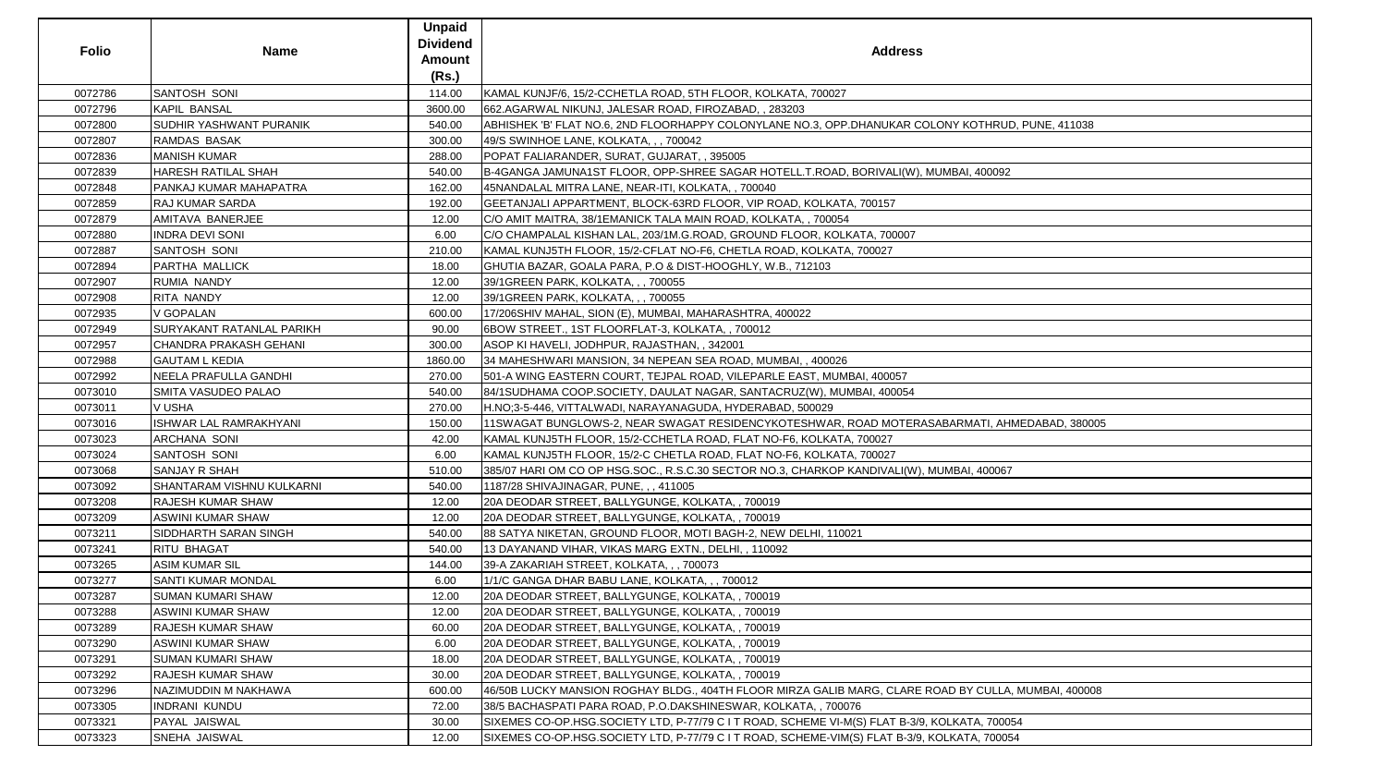| <b>Folio</b> | <b>Name</b>                      | <b>Unpaid</b><br><b>Dividend</b><br><b>Amount</b><br>(Rs.) | <b>Address</b>                                                                                |
|--------------|----------------------------------|------------------------------------------------------------|-----------------------------------------------------------------------------------------------|
| 0072786      | SANTOSH SONI                     | 114.00                                                     | KAMAL KUNJF/6, 15/2-CCHETLA ROAD, 5TH FLOOR, KOLKATA, 700027                                  |
| 0072796      | <b>KAPIL BANSAL</b>              | 3600.00                                                    | 662.AGARWAL NIKUNJ, JALESAR ROAD, FIROZABAD, , 283203                                         |
| 0072800      | <b>SUDHIR YASHWANT PURANIK</b>   | 540.00                                                     | ABHISHEK 'B' FLAT NO.6, 2ND FLOORHAPPY COLONYLANE NO.3, OPP.DHANUKAR COLONY KOTHRUD, PUNE, 4  |
| 0072807      | <b>RAMDAS BASAK</b>              | 300.00                                                     | 49/S SWINHOE LANE, KOLKATA, , , 700042                                                        |
| 0072836      | <b>MANISH KUMAR</b>              | 288.00                                                     | POPAT FALIARANDER, SURAT, GUJARAT, , 395005                                                   |
| 0072839      | <b>HARESH RATILAL SHAH</b>       | 540.00                                                     | B-4GANGA JAMUNA1ST FLOOR, OPP-SHREE SAGAR HOTELL.T.ROAD, BORIVALI(W), MUMBAI, 400092          |
| 0072848      | PANKAJ KUMAR MAHAPATRA           | 162.00                                                     | 45NANDALAL MITRA LANE, NEAR-ITI, KOLKATA,, 700040                                             |
| 0072859      | <b>RAJ KUMAR SARDA</b>           | 192.00                                                     | GEETANJALI APPARTMENT, BLOCK-63RD FLOOR, VIP ROAD, KOLKATA, 700157                            |
| 0072879      | AMITAVA BANERJEE                 | 12.00                                                      | C/O AMIT MAITRA, 38/1EMANICK TALA MAIN ROAD, KOLKATA, , 700054                                |
| 0072880      | <b>INDRA DEVI SONI</b>           | 6.00                                                       | C/O CHAMPALAL KISHAN LAL, 203/1M.G.ROAD, GROUND FLOOR, KOLKATA, 700007                        |
| 0072887      | SANTOSH SONI                     | 210.00                                                     | KAMAL KUNJ5TH FLOOR, 15/2-CFLAT NO-F6, CHETLA ROAD, KOLKATA, 700027                           |
| 0072894      | PARTHA MALLICK                   | 18.00                                                      | GHUTIA BAZAR, GOALA PARA, P.O & DIST-HOOGHLY, W.B., 712103                                    |
| 0072907      | <b>RUMIA NANDY</b>               | 12.00                                                      | 39/1GREEN PARK, KOLKATA, , , 700055                                                           |
| 0072908      | RITA NANDY                       | 12.00                                                      | 39/1GREEN PARK, KOLKATA, , , 700055                                                           |
| 0072935      | <b>V GOPALAN</b>                 | 600.00                                                     | 17/206SHIV MAHAL, SION (E), MUMBAI, MAHARASHTRA, 400022                                       |
| 0072949      | <b>SURYAKANT RATANLAL PARIKH</b> | 90.00                                                      | 6BOW STREET., 1ST FLOORFLAT-3, KOLKATA, , 700012                                              |
| 0072957      | <b>CHANDRA PRAKASH GEHANI</b>    | 300.00                                                     | ASOP KI HAVELI, JODHPUR, RAJASTHAN, , 342001                                                  |
|              |                                  |                                                            |                                                                                               |
| 0072988      | <b>GAUTAM L KEDIA</b>            | 1860.00                                                    | 34 MAHESHWARI MANSION, 34 NEPEAN SEA ROAD, MUMBAI,, 400026                                    |
| 0072992      | NEELA PRAFULLA GANDHI            | 270.00                                                     | 501-A WING EASTERN COURT, TEJPAL ROAD, VILEPARLE EAST, MUMBAI, 400057                         |
| 0073010      | <b>SMITA VASUDEO PALAO</b>       | 540.00                                                     | 84/1SUDHAMA COOP.SOCIETY, DAULAT NAGAR, SANTACRUZ(W), MUMBAI, 400054                          |
| 0073011      | <b>V USHA</b>                    | 270.00                                                     | H.NO;3-5-446, VITTALWADI, NARAYANAGUDA, HYDERABAD, 500029                                     |
| 0073016      | <b>ISHWAR LAL RAMRAKHYANI</b>    | 150.00                                                     | 11SWAGAT BUNGLOWS-2, NEAR SWAGAT RESIDENCYKOTESHWAR, ROAD MOTERASABARMATI, AHMEDABAD          |
| 0073023      | <b>ARCHANA SONI</b>              | 42.00                                                      | KAMAL KUNJ5TH FLOOR, 15/2-CCHETLA ROAD, FLAT NO-F6, KOLKATA, 700027                           |
| 0073024      | SANTOSH SONI                     | 6.00                                                       | KAMAL KUNJ5TH FLOOR, 15/2-C CHETLA ROAD, FLAT NO-F6, KOLKATA, 700027                          |
| 0073068      | <b>SANJAY R SHAH</b>             | 510.00                                                     | 385/07 HARI OM CO OP HSG.SOC., R.S.C.30 SECTOR NO.3, CHARKOP KANDIVALI(W), MUMBAI, 400067     |
| 0073092      | <b>SHANTARAM VISHNU KULKARNI</b> | 540.00                                                     | 1187/28 SHIVAJINAGAR, PUNE, , , 411005                                                        |
| 0073208      | RAJESH KUMAR SHAW                | 12.00                                                      | 20A DEODAR STREET, BALLYGUNGE, KOLKATA, , 700019                                              |
| 0073209      | ASWINI KUMAR SHAW                | 12.00                                                      | 20A DEODAR STREET, BALLYGUNGE, KOLKATA, , 700019                                              |
| 0073211      | SIDDHARTH SARAN SINGH            | 540.00                                                     | 88 SATYA NIKETAN, GROUND FLOOR, MOTI BAGH-2, NEW DELHI, 110021                                |
| 0073241      | <b>RITU BHAGAT</b>               | 540.00                                                     | 13 DAYANAND VIHAR, VIKAS MARG EXTN., DELHI, , 110092                                          |
| 0073265      | <b>ASIM KUMAR SIL</b>            | 144.00                                                     | 39-A ZAKARIAH STREET, KOLKATA, , , 700073                                                     |
| 0073277      | <b>SANTI KUMAR MONDAL</b>        | 6.00                                                       | 1/1/C GANGA DHAR BABU LANE, KOLKATA, , , 700012                                               |
| 0073287      | <b>SUMAN KUMARI SHAW</b>         | 12.00                                                      | 20A DEODAR STREET, BALLYGUNGE, KOLKATA,, 700019                                               |
| 0073288      | <b>ASWINI KUMAR SHAW</b>         | 12.00                                                      | 20A DEODAR STREET, BALLYGUNGE, KOLKATA,, 700019                                               |
| 0073289      | <b>RAJESH KUMAR SHAW</b>         | 60.00                                                      | 20A DEODAR STREET, BALLYGUNGE, KOLKATA,, 700019                                               |
| 0073290      | <b>ASWINI KUMAR SHAW</b>         | 6.00                                                       | 20A DEODAR STREET, BALLYGUNGE, KOLKATA,, 700019                                               |
| 0073291      | <b>SUMAN KUMARI SHAW</b>         | 18.00                                                      | 20A DEODAR STREET, BALLYGUNGE, KOLKATA,, 700019                                               |
| 0073292      | <b>RAJESH KUMAR SHAW</b>         | 30.00                                                      | 20A DEODAR STREET, BALLYGUNGE, KOLKATA,, 700019                                               |
| 0073296      | NAZIMUDDIN M NAKHAWA             | 600.00                                                     | 46/50B LUCKY MANSION ROGHAY BLDG., 404TH FLOOR MIRZA GALIB MARG, CLARE ROAD BY CULLA, MUMBAI, |
| 0073305      | <b>INDRANI KUNDU</b>             | 72.00                                                      | 38/5 BACHASPATI PARA ROAD, P.O.DAKSHINESWAR, KOLKATA, , 700076                                |
| 0073321      | PAYAL JAISWAL                    | 30.00                                                      | SIXEMES CO-OP.HSG.SOCIETY LTD, P-77/79 C I T ROAD, SCHEME VI-M(S) FLAT B-3/9, KOLKATA, 700054 |
| 0073323      | SNEHA JAISWAL                    | 12.00                                                      | SIXEMES CO-OP.HSG.SOCIETY LTD, P-77/79 C I T ROAD, SCHEME-VIM(S) FLAT B-3/9, KOLKATA, 700054  |

| Š                               |
|---------------------------------|
|                                 |
|                                 |
|                                 |
|                                 |
| COLONY KOTHRUD, PUNE, 411038    |
|                                 |
| , MUMBAI, 400092                |
|                                 |
|                                 |
|                                 |
|                                 |
|                                 |
|                                 |
|                                 |
|                                 |
|                                 |
|                                 |
|                                 |
|                                 |
|                                 |
|                                 |
| ASABARMATI, AHMEDABAD, 380005   |
|                                 |
|                                 |
| ), MUMBAI, 400067               |
|                                 |
|                                 |
|                                 |
|                                 |
|                                 |
|                                 |
|                                 |
|                                 |
|                                 |
|                                 |
|                                 |
|                                 |
| E ROAD BY CULLA, MUMBAI, 400008 |
|                                 |
| 9, KOLKATA, 700054              |
| 9, KOLKATA, 700054              |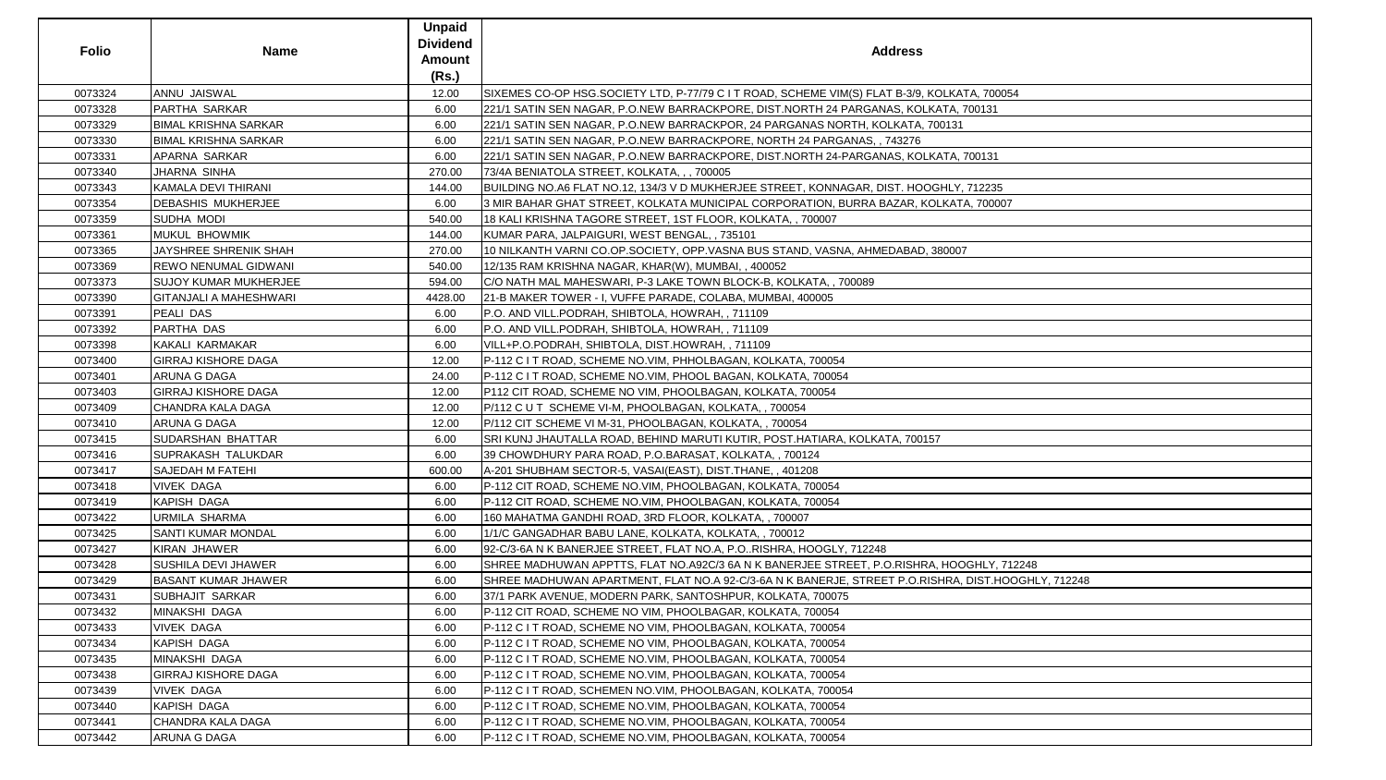| <b>Folio</b> | <b>Name</b>                   | <b>Unpaid</b><br><b>Dividend</b><br><b>Amount</b><br>(Rs.) | <b>Address</b>                                                                                     |
|--------------|-------------------------------|------------------------------------------------------------|----------------------------------------------------------------------------------------------------|
| 0073324      | ANNU JAISWAL                  | 12.00                                                      | SIXEMES CO-OP HSG.SOCIETY LTD, P-77/79 C I T ROAD, SCHEME VIM(S) FLAT B-3/9, KOLKATA, 700054       |
| 0073328      | PARTHA SARKAR                 | 6.00                                                       | 221/1 SATIN SEN NAGAR, P.O.NEW BARRACKPORE, DIST.NORTH 24 PARGANAS, KOLKATA, 700131                |
| 0073329      | <b>BIMAL KRISHNA SARKAR</b>   | 6.00                                                       | 221/1 SATIN SEN NAGAR, P.O.NEW BARRACKPOR, 24 PARGANAS NORTH, KOLKATA, 700131                      |
| 0073330      | <b>BIMAL KRISHNA SARKAR</b>   | 6.00                                                       | 221/1 SATIN SEN NAGAR, P.O.NEW BARRACKPORE, NORTH 24 PARGANAS, , 743276                            |
| 0073331      | APARNA SARKAR                 | 6.00                                                       | 221/1 SATIN SEN NAGAR, P.O.NEW BARRACKPORE, DIST.NORTH 24-PARGANAS, KOLKATA, 700131                |
| 0073340      | JHARNA SINHA                  | 270.00                                                     | 73/4A BENIATOLA STREET, KOLKATA, , , 700005                                                        |
| 0073343      | <b>KAMALA DEVI THIRANI</b>    | 144.00                                                     | BUILDING NO.A6 FLAT NO.12, 134/3 V D MUKHERJEE STREET, KONNAGAR, DIST. HOOGHLY, 712235             |
| 0073354      | <b>DEBASHIS MUKHERJEE</b>     | 6.00                                                       | 3 MIR BAHAR GHAT STREET, KOLKATA MUNICIPAL CORPORATION, BURRA BAZAR, KOLKATA, 700007               |
| 0073359      | SUDHA MODI                    | 540.00                                                     | 18 KALI KRISHNA TAGORE STREET, 1ST FLOOR, KOLKATA, , 700007                                        |
| 0073361      | MUKUL BHOWMIK                 | 144.00                                                     | KUMAR PARA, JALPAIGURI, WEST BENGAL, , 735101                                                      |
| 0073365      | JAYSHREE SHRENIK SHAH         | 270.00                                                     | 10 NILKANTH VARNI CO.OP.SOCIETY, OPP.VASNA BUS STAND, VASNA, AHMEDABAD, 380007                     |
| 0073369      | <b>REWO NENUMAL GIDWANI</b>   | 540.00                                                     | 12/135 RAM KRISHNA NAGAR, KHAR(W), MUMBAI,, 400052                                                 |
| 0073373      | <b>SUJOY KUMAR MUKHERJEE</b>  | 594.00                                                     | C/O NATH MAL MAHESWARI, P-3 LAKE TOWN BLOCK-B, KOLKATA, , 700089                                   |
| 0073390      | <b>GITANJALI A MAHESHWARI</b> | 4428.00                                                    | 21-B MAKER TOWER - I, VUFFE PARADE, COLABA, MUMBAI, 400005                                         |
| 0073391      | <b>PEALI DAS</b>              | 6.00                                                       | P.O. AND VILL.PODRAH, SHIBTOLA, HOWRAH,, 711109                                                    |
| 0073392      | PARTHA DAS                    | 6.00                                                       | P.O. AND VILL.PODRAH, SHIBTOLA, HOWRAH,, 711109                                                    |
| 0073398      | KAKALI KARMAKAR               | 6.00                                                       | VILL+P.O.PODRAH, SHIBTOLA, DIST.HOWRAH,, 711109                                                    |
| 0073400      | <b>GIRRAJ KISHORE DAGA</b>    | 12.00                                                      | P-112 C I T ROAD, SCHEME NO.VIM, PHHOLBAGAN, KOLKATA, 700054                                       |
| 0073401      | ARUNA G DAGA                  | 24.00                                                      | P-112 C I T ROAD, SCHEME NO.VIM, PHOOL BAGAN, KOLKATA, 700054                                      |
| 0073403      | <b>GIRRAJ KISHORE DAGA</b>    | 12.00                                                      | P112 CIT ROAD, SCHEME NO VIM, PHOOLBAGAN, KOLKATA, 700054                                          |
| 0073409      | CHANDRA KALA DAGA             | 12.00                                                      | P/112 C U T SCHEME VI-M, PHOOLBAGAN, KOLKATA, , 700054                                             |
| 0073410      | <b>ARUNA G DAGA</b>           | 12.00                                                      | P/112 CIT SCHEME VI M-31, PHOOLBAGAN, KOLKATA,, 700054                                             |
| 0073415      | SUDARSHAN BHATTAR             | 6.00                                                       | SRI KUNJ JHAUTALLA ROAD, BEHIND MARUTI KUTIR, POST.HATIARA, KOLKATA, 700157                        |
| 0073416      | <b>SUPRAKASH TALUKDAR</b>     | 6.00                                                       | 39 CHOWDHURY PARA ROAD, P.O.BARASAT, KOLKATA,, 700124                                              |
| 0073417      | <b>SAJEDAH M FATEHI</b>       | 600.00                                                     | A-201 SHUBHAM SECTOR-5, VASAI(EAST), DIST.THANE, , 401208                                          |
| 0073418      | <b>VIVEK DAGA</b>             | 6.00                                                       | P-112 CIT ROAD, SCHEME NO.VIM, PHOOLBAGAN, KOLKATA, 700054                                         |
| 0073419      | KAPISH DAGA                   | 6.00                                                       | P-112 CIT ROAD, SCHEME NO.VIM, PHOOLBAGAN, KOLKATA, 700054                                         |
| 0073422      | URMILA SHARMA                 | 6.00                                                       | 160 MAHATMA GANDHI ROAD, 3RD FLOOR, KOLKATA,, 700007                                               |
| 0073425      | <b>SANTI KUMAR MONDAL</b>     | 6.00                                                       | 1/1/C GANGADHAR BABU LANE, KOLKATA, KOLKATA, , 700012                                              |
| 0073427      | <b>KIRAN JHAWER</b>           | 6.00                                                       | 92-C/3-6A N K BANERJEE STREET, FLAT NO.A, P.ORISHRA, HOOGLY, 712248                                |
| 0073428      | <b>SUSHILA DEVI JHAWER</b>    | 6.00                                                       | SHREE MADHUWAN APPTTS, FLAT NO.A92C/3 6A N K BANERJEE STREET, P.O.RISHRA, HOOGHLY, 712248          |
| 0073429      | <b>BASANT KUMAR JHAWER</b>    | 6.00                                                       | SHREE MADHUWAN APARTMENT, FLAT NO.A 92-C/3-6A N K BANERJE, STREET P.O.RISHRA, DIST.HOOGHLY, 712248 |
| 0073431      | <b>SUBHAJIT SARKAR</b>        | 6.00                                                       | 37/1 PARK AVENUE, MODERN PARK, SANTOSHPUR, KOLKATA, 700075                                         |
| 0073432      | <b>MINAKSHI DAGA</b>          | 6.00                                                       | P-112 CIT ROAD, SCHEME NO VIM, PHOOLBAGAR, KOLKATA, 700054                                         |
| 0073433      | <b>VIVEK DAGA</b>             | 6.00                                                       | P-112 C I T ROAD, SCHEME NO VIM, PHOOLBAGAN, KOLKATA, 700054                                       |
| 0073434      | <b>KAPISH DAGA</b>            | 6.00                                                       | P-112 C I T ROAD, SCHEME NO VIM, PHOOLBAGAN, KOLKATA, 700054                                       |
| 0073435      | MINAKSHI DAGA                 | 6.00                                                       | P-112 C I T ROAD, SCHEME NO.VIM, PHOOLBAGAN, KOLKATA, 700054                                       |
| 0073438      | <b>GIRRAJ KISHORE DAGA</b>    | 6.00                                                       | P-112 C I T ROAD, SCHEME NO.VIM, PHOOLBAGAN, KOLKATA, 700054                                       |
| 0073439      | <b>VIVEK DAGA</b>             | 6.00                                                       | P-112 C I T ROAD, SCHEMEN NO.VIM, PHOOLBAGAN, KOLKATA, 700054                                      |
| 0073440      | KAPISH DAGA                   | 6.00                                                       | P-112 C I T ROAD, SCHEME NO.VIM, PHOOLBAGAN, KOLKATA, 700054                                       |
| 0073441      | CHANDRA KALA DAGA             | 6.00                                                       | P-112 C I T ROAD, SCHEME NO.VIM, PHOOLBAGAN, KOLKATA, 700054                                       |
| 0073442      | <b>ARUNA G DAGA</b>           | 6.00                                                       | P-112 C I T ROAD, SCHEME NO.VIM, PHOOLBAGAN, KOLKATA, 700054                                       |
|              |                               |                                                            |                                                                                                    |

| $\lambda$ , 700054 |  |
|--------------------|--|
| 0131               |  |
|                    |  |
|                    |  |
| 0131               |  |
| 12235              |  |
| 700007             |  |
|                    |  |
|                    |  |
|                    |  |
|                    |  |
|                    |  |
|                    |  |
|                    |  |
|                    |  |
|                    |  |
|                    |  |
|                    |  |
|                    |  |
|                    |  |
|                    |  |
|                    |  |
|                    |  |
|                    |  |
|                    |  |
|                    |  |
|                    |  |
|                    |  |
| HLY, 712248        |  |
| ST.HOOGHLY, 712248 |  |
|                    |  |
|                    |  |
|                    |  |
|                    |  |
|                    |  |
|                    |  |
|                    |  |
|                    |  |
|                    |  |
|                    |  |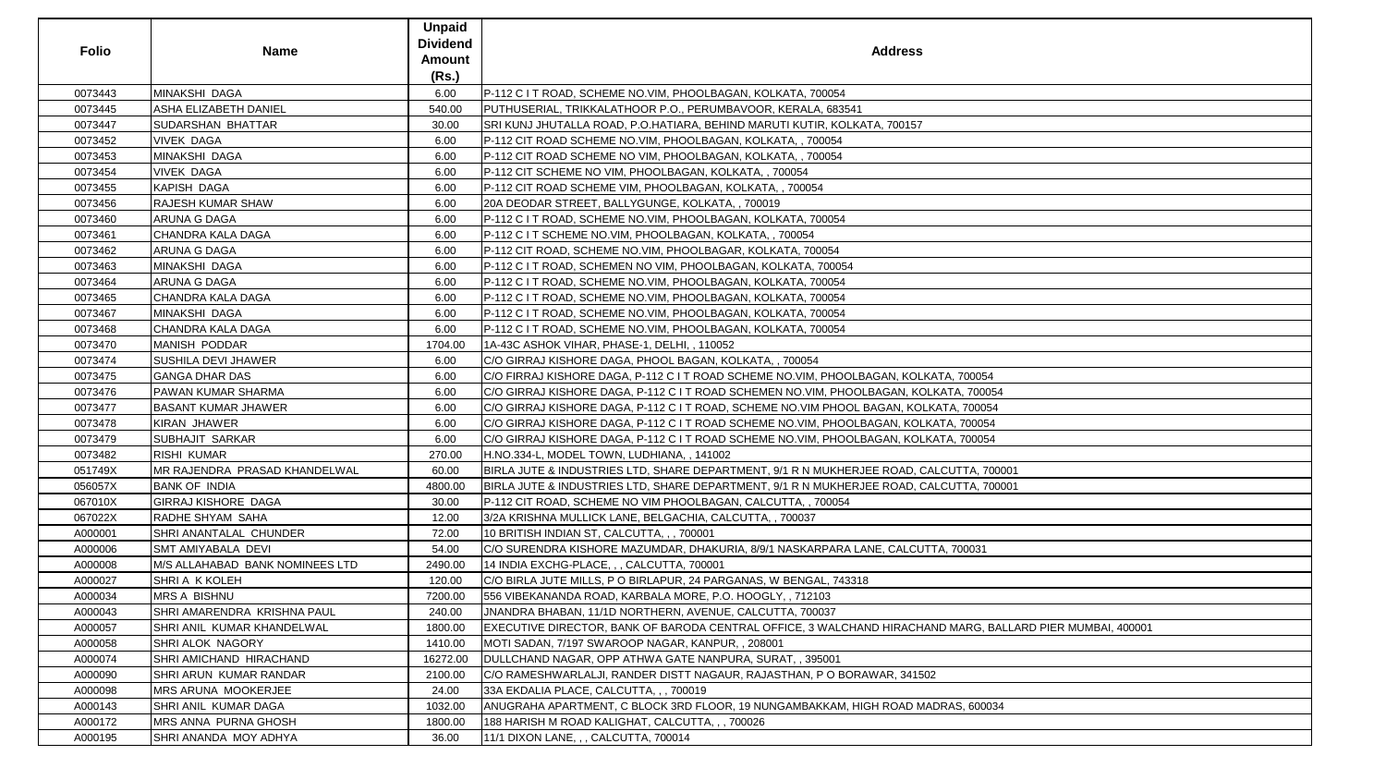| <b>Folio</b> | <b>Name</b>                        | <b>Unpaid</b><br><b>Dividend</b><br>Amount<br>(Rs.) | <b>Address</b>                                                                                            |
|--------------|------------------------------------|-----------------------------------------------------|-----------------------------------------------------------------------------------------------------------|
| 0073443      | MINAKSHI DAGA                      | 6.00                                                | P-112 C I T ROAD, SCHEME NO.VIM, PHOOLBAGAN, KOLKATA, 700054                                              |
| 0073445      | <b>ASHA ELIZABETH DANIEL</b>       | 540.00                                              | PUTHUSERIAL, TRIKKALATHOOR P.O., PERUMBAVOOR, KERALA, 683541                                              |
| 0073447      | SUDARSHAN BHATTAR                  | 30.00                                               | SRI KUNJ JHUTALLA ROAD, P.O.HATIARA, BEHIND MARUTI KUTIR, KOLKATA, 700157                                 |
| 0073452      | <b>VIVEK DAGA</b>                  | 6.00                                                | P-112 CIT ROAD SCHEME NO.VIM, PHOOLBAGAN, KOLKATA,, 700054                                                |
| 0073453      | MINAKSHI DAGA                      | 6.00                                                | P-112 CIT ROAD SCHEME NO VIM, PHOOLBAGAN, KOLKATA,, 700054                                                |
| 0073454      | <b>VIVEK DAGA</b>                  | 6.00                                                | P-112 CIT SCHEME NO VIM, PHOOLBAGAN, KOLKATA,, 700054                                                     |
| 0073455      | <b>KAPISH DAGA</b>                 | 6.00                                                | P-112 CIT ROAD SCHEME VIM, PHOOLBAGAN, KOLKATA,, 700054                                                   |
| 0073456      | <b>RAJESH KUMAR SHAW</b>           | 6.00                                                | 20A DEODAR STREET, BALLYGUNGE, KOLKATA, , 700019                                                          |
| 0073460      | <b>ARUNA G DAGA</b>                | 6.00                                                | P-112 C I T ROAD, SCHEME NO.VIM, PHOOLBAGAN, KOLKATA, 700054                                              |
| 0073461      | CHANDRA KALA DAGA                  | 6.00                                                | P-112 C I T SCHEME NO.VIM, PHOOLBAGAN, KOLKATA, , 700054                                                  |
| 0073462      | ARUNA G DAGA                       | 6.00                                                | P-112 CIT ROAD, SCHEME NO.VIM, PHOOLBAGAR, KOLKATA, 700054                                                |
| 0073463      | MINAKSHI DAGA                      | 6.00                                                | P-112 C I T ROAD, SCHEMEN NO VIM, PHOOLBAGAN, KOLKATA, 700054                                             |
| 0073464      | <b>ARUNA G DAGA</b>                | 6.00                                                | P-112 C I T ROAD, SCHEME NO. VIM, PHOOLBAGAN, KOLKATA, 700054                                             |
| 0073465      | CHANDRA KALA DAGA                  | 6.00                                                | P-112 C I T ROAD, SCHEME NO. VIM, PHOOLBAGAN, KOLKATA, 700054                                             |
| 0073467      | MINAKSHI DAGA                      | 6.00                                                | P-112 C I T ROAD, SCHEME NO.VIM, PHOOLBAGAN, KOLKATA, 700054                                              |
| 0073468      | <b>CHANDRA KALA DAGA</b>           | 6.00                                                | P-112 C I T ROAD, SCHEME NO.VIM, PHOOLBAGAN, KOLKATA, 700054                                              |
| 0073470      | MANISH PODDAR                      | 1704.00                                             | 1A-43C ASHOK VIHAR, PHASE-1, DELHI, , 110052                                                              |
| 0073474      | <b>SUSHILA DEVI JHAWER</b>         | 6.00                                                | C/O GIRRAJ KISHORE DAGA, PHOOL BAGAN, KOLKATA,, 700054                                                    |
| 0073475      | <b>GANGA DHAR DAS</b>              | 6.00                                                | C/O FIRRAJ KISHORE DAGA, P-112 C I T ROAD SCHEME NO.VIM, PHOOLBAGAN, KOLKATA, 700054                      |
| 0073476      | <b>PAWAN KUMAR SHARMA</b>          | 6.00                                                | C/O GIRRAJ KISHORE DAGA, P-112 C I T ROAD SCHEMEN NO.VIM, PHOOLBAGAN, KOLKATA, 700054                     |
| 0073477      | <b>BASANT KUMAR JHAWER</b>         | 6.00                                                | C/O GIRRAJ KISHORE DAGA, P-112 C I T ROAD, SCHEME NO.VIM PHOOL BAGAN, KOLKATA, 700054                     |
| 0073478      | KIRAN JHAWER                       | 6.00                                                | C/O GIRRAJ KISHORE DAGA, P-112 C I T ROAD SCHEME NO.VIM, PHOOLBAGAN, KOLKATA, 700054                      |
| 0073479      | <b>SUBHAJIT SARKAR</b>             | 6.00                                                | C/O GIRRAJ KISHORE DAGA, P-112 C I T ROAD SCHEME NO.VIM, PHOOLBAGAN, KOLKATA, 700054                      |
| 0073482      | <b>RISHI KUMAR</b>                 | 270.00                                              | H.NO.334-L, MODEL TOWN, LUDHIANA,, 141002                                                                 |
| 051749X      | MR RAJENDRA PRASAD KHANDELWAL      | 60.00                                               | BIRLA JUTE & INDUSTRIES LTD, SHARE DEPARTMENT, 9/1 R N MUKHERJEE ROAD, CALCUTTA, 700001                   |
| 056057X      | <b>BANK OF INDIA</b>               | 4800.00                                             | BIRLA JUTE & INDUSTRIES LTD, SHARE DEPARTMENT, 9/1 R N MUKHERJEE ROAD, CALCUTTA, 700001                   |
| 067010X      | <b>GIRRAJ KISHORE DAGA</b>         | 30.00                                               | P-112 CIT ROAD, SCHEME NO VIM PHOOLBAGAN, CALCUTTA, , 700054                                              |
| 067022X      | RADHE SHYAM SAHA                   | 12.00                                               | 3/2A KRISHNA MULLICK LANE, BELGACHIA, CALCUTTA, , 700037                                                  |
| A000001      | <b>SHRI ANANTALAL CHUNDER</b>      | 72.00                                               | 10 BRITISH INDIAN ST, CALCUTTA, , , 700001                                                                |
| A000006      | <b>SMT AMIYABALA DEVI</b>          | 54.00                                               | C/O SURENDRA KISHORE MAZUMDAR, DHAKURIA, 8/9/1 NASKARPARA LANE, CALCUTTA, 700031                          |
| A000008      | M/S ALLAHABAD BANK NOMINEES LTD    | 2490.00                                             | 14 INDIA EXCHG-PLACE, , , CALCUTTA, 700001                                                                |
| A000027      | <b>SHRI A K KOLEH</b>              | 120.00                                              | C/O BIRLA JUTE MILLS, P O BIRLAPUR, 24 PARGANAS, W BENGAL, 743318                                         |
| A000034      | <b>MRS A BISHNU</b>                | 7200.00                                             | 556 VIBEKANANDA ROAD, KARBALA MORE, P.O. HOOGLY, , 712103                                                 |
| A000043      | <b>SHRI AMARENDRA KRISHNA PAUL</b> | 240.00                                              | JNANDRA BHABAN, 11/1D NORTHERN, AVENUE, CALCUTTA, 700037                                                  |
| A000057      | SHRI ANIL KUMAR KHANDELWAL         | 1800.00                                             | EXECUTIVE DIRECTOR, BANK OF BARODA CENTRAL OFFICE, 3 WALCHAND HIRACHAND MARG, BALLARD PIER MUMBAI, 400001 |
| A000058      | <b>SHRI ALOK NAGORY</b>            | 1410.00                                             | MOTI SADAN, 7/197 SWAROOP NAGAR, KANPUR, , 208001                                                         |
| A000074      | <b>SHRI AMICHAND HIRACHAND</b>     | 16272.00                                            | DULLCHAND NAGAR, OPP ATHWA GATE NANPURA, SURAT, , 395001                                                  |
| A000090      | <b>SHRI ARUN KUMAR RANDAR</b>      | 2100.00                                             | C/O RAMESHWARLALJI, RANDER DISTT NAGAUR, RAJASTHAN, P O BORAWAR, 341502                                   |
| A000098      | <b>IMRS ARUNA MOOKERJEE</b>        | 24.00                                               | 33A EKDALIA PLACE, CALCUTTA, , , 700019                                                                   |
| A000143      | <b>SHRI ANIL KUMAR DAGA</b>        | 1032.00                                             | ANUGRAHA APARTMENT, C BLOCK 3RD FLOOR, 19 NUNGAMBAKKAM, HIGH ROAD MADRAS, 600034                          |
| A000172      | <b>MRS ANNA PURNA GHOSH</b>        | 1800.00                                             | 188 HARISH M ROAD KALIGHAT, CALCUTTA, , , 700026                                                          |
| A000195      | SHRI ANANDA MOY ADHYA              | 36.00                                               | 11/1 DIXON LANE, , , CALCUTTA, 700014                                                                     |

| 0054                            |
|---------------------------------|
| 700054                          |
| 00054                           |
| 00054                           |
| 00054                           |
|                                 |
| A, 700001<br>A, 700001          |
|                                 |
|                                 |
|                                 |
|                                 |
| 031                             |
|                                 |
|                                 |
|                                 |
|                                 |
| RG, BALLARD PIER MUMBAI, 400001 |
|                                 |
|                                 |
|                                 |
|                                 |
|                                 |
| 600034                          |
|                                 |
|                                 |
|                                 |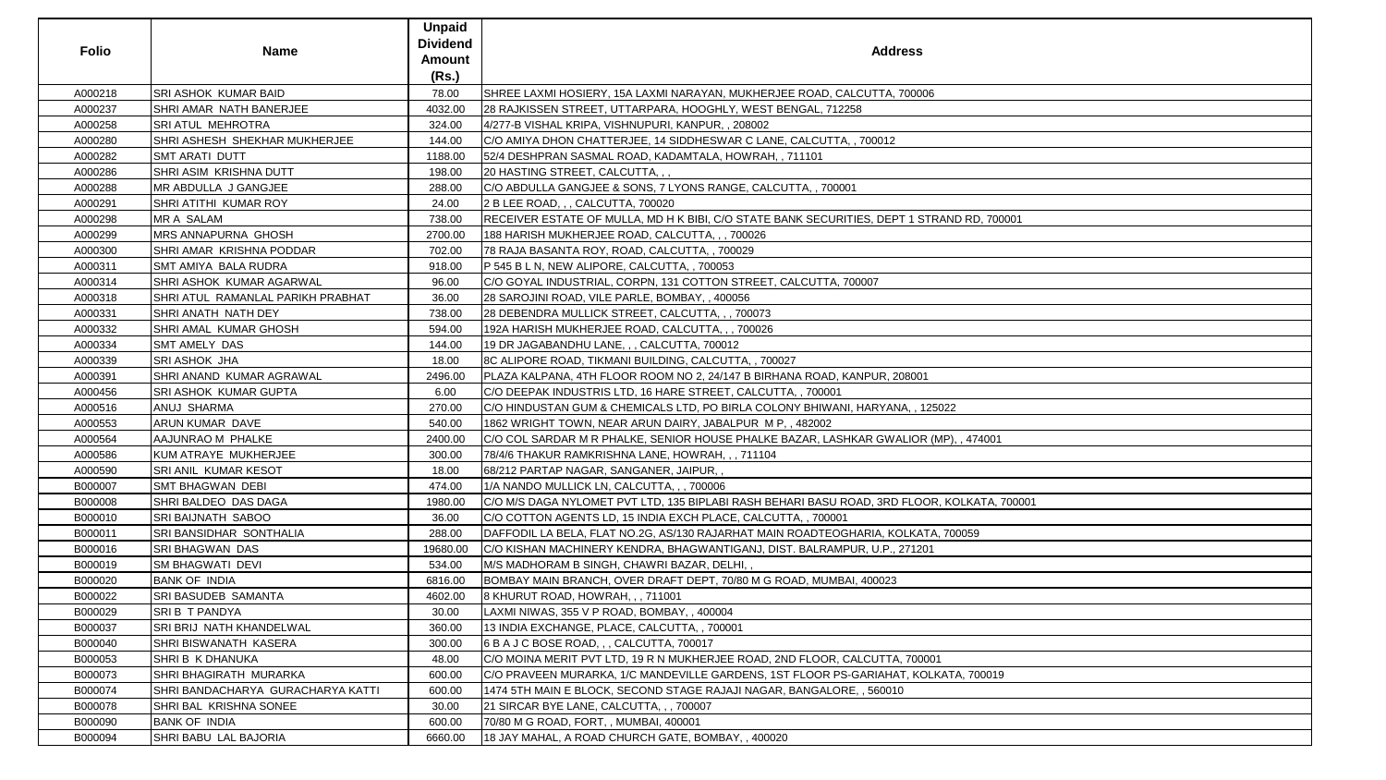| <b>Folio</b> | <b>Name</b>                       | <b>Unpaid</b><br><b>Dividend</b><br><b>Amount</b><br>(Rs.) | <b>Address</b>                                                                              |
|--------------|-----------------------------------|------------------------------------------------------------|---------------------------------------------------------------------------------------------|
| A000218      | <b>SRI ASHOK KUMAR BAID</b>       | 78.00                                                      | SHREE LAXMI HOSIERY, 15A LAXMI NARAYAN, MUKHERJEE ROAD, CALCUTTA, 700006                    |
| A000237      | SHRI AMAR NATH BANERJEE           | 4032.00                                                    | 28 RAJKISSEN STREET, UTTARPARA, HOOGHLY, WEST BENGAL, 712258                                |
| A000258      | <b>SRI ATUL MEHROTRA</b>          | 324.00                                                     | 4/277-B VISHAL KRIPA, VISHNUPURI, KANPUR, , 208002                                          |
| A000280      | SHRI ASHESH SHEKHAR MUKHERJEE     | 144.00                                                     | C/O AMIYA DHON CHATTERJEE, 14 SIDDHESWAR C LANE, CALCUTTA, , 700012                         |
| A000282      | <b>SMT ARATI DUTT</b>             | 1188.00                                                    | 52/4 DESHPRAN SASMAL ROAD, KADAMTALA, HOWRAH,, 711101                                       |
| A000286      | SHRI ASIM KRISHNA DUTT            | 198.00                                                     | 20 HASTING STREET, CALCUTTA, , ,                                                            |
| A000288      | MR ABDULLA J GANGJEE              | 288.00                                                     | C/O ABDULLA GANGJEE & SONS, 7 LYONS RANGE, CALCUTTA, , 700001                               |
| A000291      | SHRI ATITHI KUMAR ROY             | 24.00                                                      | 2 B LEE ROAD, , , CALCUTTA, 700020                                                          |
| A000298      | <b>MR A SALAM</b>                 | 738.00                                                     | RECEIVER ESTATE OF MULLA, MD H K BIBI, C/O STATE BANK SECURITIES, DEPT 1 STRAND RD, 700001  |
| A000299      | <b>MRS ANNAPURNA GHOSH</b>        | 2700.00                                                    | 188 HARISH MUKHERJEE ROAD, CALCUTTA, , , 700026                                             |
| A000300      | SHRI AMAR KRISHNA PODDAR          | 702.00                                                     | 78 RAJA BASANTA ROY, ROAD, CALCUTTA,, 700029                                                |
| A000311      | SMT AMIYA BALA RUDRA              | 918.00                                                     | P 545 B L N, NEW ALIPORE, CALCUTTA, , 700053                                                |
| A000314      | SHRI ASHOK KUMAR AGARWAL          | 96.00                                                      | C/O GOYAL INDUSTRIAL, CORPN, 131 COTTON STREET, CALCUTTA, 700007                            |
| A000318      | SHRI ATUL RAMANLAL PARIKH PRABHAT | 36.00                                                      | 28 SAROJINI ROAD, VILE PARLE, BOMBAY, , 400056                                              |
| A000331      | SHRI ANATH NATH DEY               | 738.00                                                     | 28 DEBENDRA MULLICK STREET, CALCUTTA, ,, 700073                                             |
| A000332      | SHRI AMAL KUMAR GHOSH             | 594.00                                                     | 192A HARISH MUKHERJEE ROAD, CALCUTTA, ,, 700026                                             |
| A000334      | <b>SMT AMELY DAS</b>              | 144.00                                                     | 19 DR JAGABANDHU LANE, , , CALCUTTA, 700012                                                 |
| A000339      | <b>SRI ASHOK JHA</b>              | 18.00                                                      | 8C ALIPORE ROAD, TIKMANI BUILDING, CALCUTTA, , 700027                                       |
| A000391      | SHRI ANAND KUMAR AGRAWAL          | 2496.00                                                    | PLAZA KALPANA, 4TH FLOOR ROOM NO 2, 24/147 B BIRHANA ROAD, KANPUR, 208001                   |
| A000456      | <b>SRI ASHOK KUMAR GUPTA</b>      | 6.00                                                       | C/O DEEPAK INDUSTRIS LTD, 16 HARE STREET, CALCUTTA,, 700001                                 |
| A000516      | ANUJ SHARMA                       | 270.00                                                     | C/O HINDUSTAN GUM & CHEMICALS LTD, PO BIRLA COLONY BHIWANI, HARYANA, , 125022               |
| A000553      | ARUN KUMAR DAVE                   | 540.00                                                     | 1862 WRIGHT TOWN, NEAR ARUN DAIRY, JABALPUR M P., 482002                                    |
| A000564      | AAJUNRAO M PHALKE                 | 2400.00                                                    | C/O COL SARDAR M R PHALKE, SENIOR HOUSE PHALKE BAZAR, LASHKAR GWALIOR (MP), , 474001        |
| A000586      | KUM ATRAYE MUKHERJEE              | 300.00                                                     | 78/4/6 THAKUR RAMKRISHNA LANE, HOWRAH, ,, 711104                                            |
| A000590      | <b>SRI ANIL KUMAR KESOT</b>       | 18.00                                                      | 68/212 PARTAP NAGAR, SANGANER, JAIPUR,,                                                     |
| B000007      | <b>SMT BHAGWAN DEBI</b>           | 474.00                                                     | 1/A NANDO MULLICK LN, CALCUTTA, , , 700006                                                  |
| B000008      | SHRI BALDEO DAS DAGA              | 1980.00                                                    | C/O M/S DAGA NYLOMET PVT LTD, 135 BIPLABI RASH BEHARI BASU ROAD, 3RD FLOOR, KOLKATA, 700001 |
| B000010      | <b>SRI BAIJNATH SABOO</b>         | 36.00                                                      | C/O COTTON AGENTS LD, 15 INDIA EXCH PLACE, CALCUTTA, , 700001                               |
| B000011      | SRI BANSIDHAR SONTHALIA           | 288.00                                                     | DAFFODIL LA BELA, FLAT NO.2G, AS/130 RAJARHAT MAIN ROADTEOGHARIA, KOLKATA, 700059           |
| B000016      | <b>SRI BHAGWAN DAS</b>            | 19680.00                                                   | C/O KISHAN MACHINERY KENDRA, BHAGWANTIGANJ, DIST. BALRAMPUR, U.P., 271201                   |
| B000019      | <b>SM BHAGWATI DEVI</b>           | 534.00                                                     | M/S MADHORAM B SINGH, CHAWRI BAZAR, DELHI, ,                                                |
| B000020      | <b>BANK OF INDIA</b>              | 6816.00                                                    | BOMBAY MAIN BRANCH, OVER DRAFT DEPT, 70/80 M G ROAD, MUMBAI, 400023                         |
| B000022      | <b>SRI BASUDEB SAMANTA</b>        | 4602.00                                                    | 8 KHURUT ROAD, HOWRAH, , , 711001                                                           |
| B000029      | SRIB T PANDYA                     | 30.00                                                      | LAXMI NIWAS, 355 V P ROAD, BOMBAY, , 400004                                                 |
| B000037      | SRI BRIJ NATH KHANDELWAL          | 360.00                                                     | 13 INDIA EXCHANGE, PLACE, CALCUTTA, , 700001                                                |
| B000040      | SHRI BISWANATH KASERA             | 300.00                                                     | 6 B A J C BOSE ROAD, , , CALCUTTA, 700017                                                   |
| B000053      | SHRI B K DHANUKA                  | 48.00                                                      | C/O MOINA MERIT PVT LTD, 19 R N MUKHERJEE ROAD, 2ND FLOOR, CALCUTTA, 700001                 |
| B000073      | <b>SHRI BHAGIRATH MURARKA</b>     | 600.00                                                     | C/O PRAVEEN MURARKA, 1/C MANDEVILLE GARDENS, 1ST FLOOR PS-GARIAHAT, KOLKATA, 700019         |
| B000074      | SHRI BANDACHARYA GURACHARYA KATTI | 600.00                                                     | 1474 5TH MAIN E BLOCK, SECOND STAGE RAJAJI NAGAR, BANGALORE, , 560010                       |
| B000078      | SHRI BAL KRISHNA SONEE            | 30.00                                                      | 21 SIRCAR BYE LANE, CALCUTTA, , , 700007                                                    |
| B000090      | <b>BANK OF INDIA</b>              | 600.00                                                     | 70/80 M G ROAD, FORT, , MUMBAI, 400001                                                      |
| B000094      | SHRI BABU LAL BAJORIA             | 6660.00                                                    | 18 JAY MAHAL, A ROAD CHURCH GATE, BOMBAY, , 400020                                          |

| RD, 700001           |  |
|----------------------|--|
|                      |  |
|                      |  |
|                      |  |
|                      |  |
|                      |  |
|                      |  |
|                      |  |
|                      |  |
|                      |  |
|                      |  |
|                      |  |
|                      |  |
|                      |  |
|                      |  |
|                      |  |
|                      |  |
|                      |  |
|                      |  |
|                      |  |
|                      |  |
|                      |  |
|                      |  |
|                      |  |
|                      |  |
| 174001               |  |
|                      |  |
|                      |  |
|                      |  |
|                      |  |
|                      |  |
|                      |  |
|                      |  |
|                      |  |
| <u> KATA, 700001</u> |  |
|                      |  |
|                      |  |
|                      |  |
| 59                   |  |
|                      |  |
|                      |  |
|                      |  |
|                      |  |
|                      |  |
|                      |  |
|                      |  |
|                      |  |
|                      |  |
|                      |  |
|                      |  |
|                      |  |
|                      |  |
|                      |  |
|                      |  |
| 700019               |  |
|                      |  |
|                      |  |
|                      |  |
|                      |  |
|                      |  |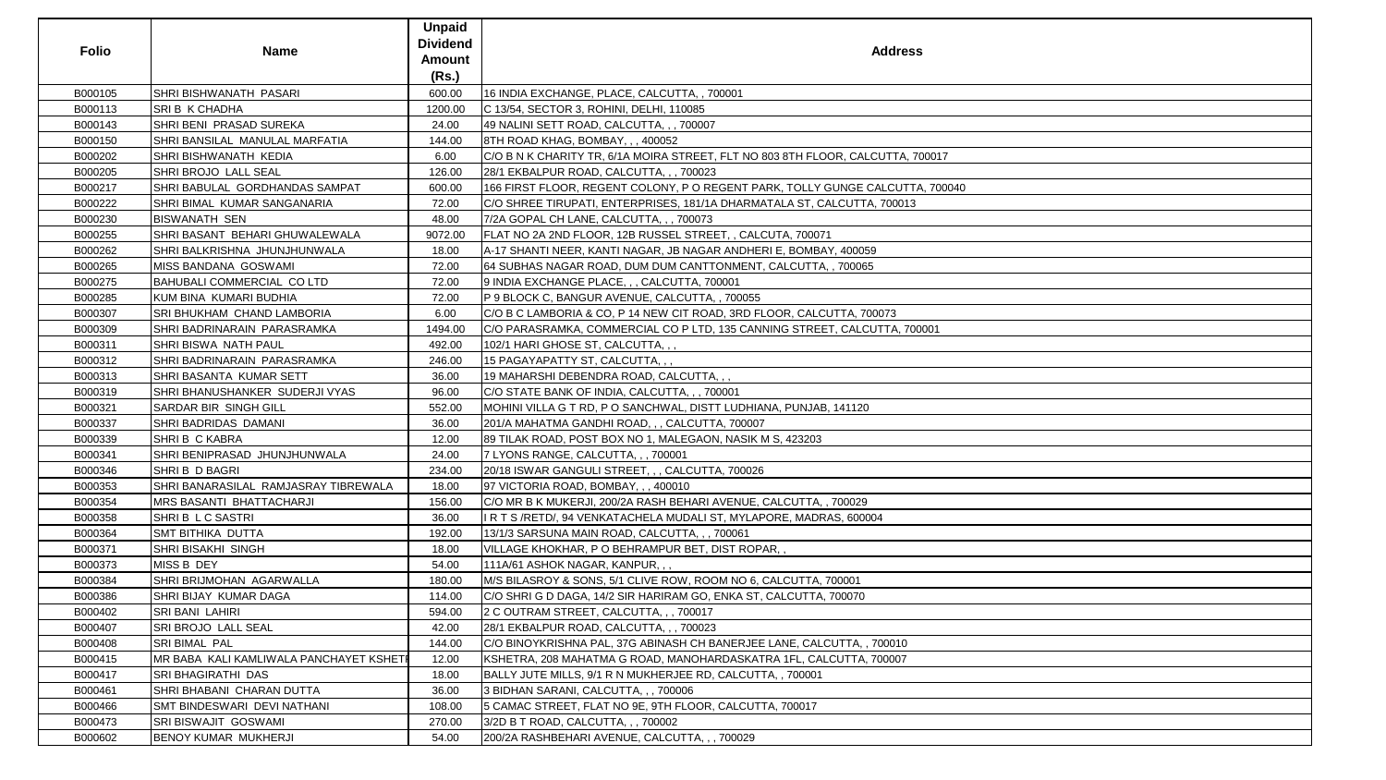| <b>Folio</b> | <b>Name</b>                             | <b>Unpaid</b><br><b>Dividend</b><br><b>Amount</b><br>(Rs.) | <b>Address</b>                                                                  |
|--------------|-----------------------------------------|------------------------------------------------------------|---------------------------------------------------------------------------------|
| B000105      | ISHRI BISHWANATH PASARI                 | 600.00                                                     | 16 INDIA EXCHANGE, PLACE, CALCUTTA, , 700001                                    |
| B000113      | SRI B K CHADHA                          | 1200.00                                                    | C 13/54, SECTOR 3, ROHINI, DELHI, 110085                                        |
| B000143      | SHRI BENI PRASAD SUREKA                 | 24.00                                                      | 49 NALINI SETT ROAD, CALCUTTA, , , 700007                                       |
| B000150      | SHRI BANSILAL MANULAL MARFATIA          | 144.00                                                     | 8TH ROAD KHAG, BOMBAY, ,, 400052                                                |
| B000202      | SHRI BISHWANATH KEDIA                   | 6.00                                                       | C/O B N K CHARITY TR, 6/1A MOIRA STREET, FLT NO 803 8TH FLOOR, CALCUTTA, 700017 |
| B000205      | SHRI BROJO LALL SEAL                    | 126.00                                                     | 28/1 EKBALPUR ROAD, CALCUTTA, , , 700023                                        |
| B000217      | SHRI BABULAL GORDHANDAS SAMPAT          | 600.00                                                     | 166 FIRST FLOOR, REGENT COLONY, P O REGENT PARK, TOLLY GUNGE CALCUTTA, 700040   |
| B000222      | ISHRI BIMAL  KUMAR SANGANARIA           | 72.00                                                      | C/O SHREE TIRUPATI, ENTERPRISES, 181/1A DHARMATALA ST, CALCUTTA, 700013         |
| B000230      | <b>BISWANATH SEN</b>                    | 48.00                                                      | 7/2A GOPAL CH LANE, CALCUTTA, , , 700073                                        |
| B000255      | SHRI BASANT BEHARI GHUWALEWALA          | 9072.00                                                    | FLAT NO 2A 2ND FLOOR, 12B RUSSEL STREET, , CALCUTA, 700071                      |
| B000262      | SHRI BALKRISHNA JHUNJHUNWALA            | 18.00                                                      | A-17 SHANTI NEER, KANTI NAGAR, JB NAGAR ANDHERI E, BOMBAY, 400059               |
| B000265      | MISS BANDANA GOSWAMI                    | 72.00                                                      | 64 SUBHAS NAGAR ROAD, DUM DUM CANTTONMENT, CALCUTTA, , 700065                   |
| B000275      | BAHUBALI COMMERCIAL CO LTD              | 72.00                                                      | 9 INDIA EXCHANGE PLACE, , , CALCUTTA, 700001                                    |
| B000285      | KUM BINA KUMARI BUDHIA                  | 72.00                                                      | P 9 BLOCK C, BANGUR AVENUE, CALCUTTA,, 700055                                   |
| B000307      | <b>SRI BHUKHAM CHAND LAMBORIA</b>       | 6.00                                                       | C/O B C LAMBORIA & CO, P 14 NEW CIT ROAD, 3RD FLOOR, CALCUTTA, 700073           |
| B000309      | SHRI BADRINARAIN PARASRAMKA             | 1494.00                                                    | C/O PARASRAMKA, COMMERCIAL CO P LTD, 135 CANNING STREET, CALCUTTA, 700001       |
| B000311      | SHRI BISWA NATH PAUL                    | 492.00                                                     | 102/1 HARI GHOSE ST, CALCUTTA, , ,                                              |
| B000312      | SHRI BADRINARAIN PARASRAMKA             | 246.00                                                     | 15 PAGAYAPATTY ST, CALCUTTA, , ,                                                |
| B000313      | SHRI BASANTA KUMAR SETT                 | 36.00                                                      | 19 MAHARSHI DEBENDRA ROAD, CALCUTTA, , ,                                        |
| B000319      | SHRI BHANUSHANKER SUDERJI VYAS          | 96.00                                                      | C/O STATE BANK OF INDIA, CALCUTTA, , , 700001                                   |
| B000321      | <b>SARDAR BIR SINGH GILL</b>            | 552.00                                                     | MOHINI VILLA G T RD, P O SANCHWAL, DISTT LUDHIANA, PUNJAB, 141120               |
| B000337      | SHRI BADRIDAS DAMANI                    | 36.00                                                      | 201/A MAHATMA GANDHI ROAD, , , CALCUTTA, 700007                                 |
| B000339      | SHRI B C KABRA                          | 12.00                                                      | 89 TILAK ROAD, POST BOX NO 1, MALEGAON, NASIK M S, 423203                       |
| B000341      | SHRI BENIPRASAD JHUNJHUNWALA            | 24.00                                                      | 7 LYONS RANGE, CALCUTTA, , , 700001                                             |
| B000346      | SHRIB D BAGRI                           | 234.00                                                     | 20/18 ISWAR GANGULI STREET, , , CALCUTTA, 700026                                |
| B000353      | SHRI BANARASILAL RAMJASRAY TIBREWALA    | 18.00                                                      | 97 VICTORIA ROAD, BOMBAY, , , 400010                                            |
| B000354      | <b>MRS BASANTI BHATTACHARJI</b>         | 156.00                                                     | C/O MR B K MUKERJI, 200/2A RASH BEHARI AVENUE, CALCUTTA,, 700029                |
| B000358      | SHRIB LC SASTRI                         | 36.00                                                      | I R T S /RETD/, 94 VENKATACHELA MUDALI ST, MYLAPORE, MADRAS, 600004             |
| B000364      | <b>SMT BITHIKA DUTTA</b>                | 192.00                                                     | 13/1/3 SARSUNA MAIN ROAD, CALCUTTA, , , 700061                                  |
| B000371      | SHRI BISAKHI SINGH                      | 18.00                                                      | VILLAGE KHOKHAR, P O BEHRAMPUR BET, DIST ROPAR,,                                |
| B000373      | <b>MISS B DEY</b>                       | 54.00                                                      | 111A/61 ASHOK NAGAR, KANPUR, , ,                                                |
| B000384      | SHRI BRIJMOHAN AGARWALLA                | 180.00                                                     | M/S BILASROY & SONS, 5/1 CLIVE ROW, ROOM NO 6, CALCUTTA, 700001                 |
| B000386      | <b>SHRI BIJAY KUMAR DAGA</b>            | 114.00                                                     | C/O SHRI G D DAGA, 14/2 SIR HARIRAM GO, ENKA ST, CALCUTTA, 700070               |
| B000402      | <b>SRI BANI LAHIRI</b>                  | 594.00                                                     | 2 C OUTRAM STREET, CALCUTTA, , , 700017                                         |
| B000407      | <b>SRI BROJO LALL SEAL</b>              | 42.00                                                      | 28/1 EKBALPUR ROAD, CALCUTTA, , , 700023                                        |
| B000408      | <b>SRI BIMAL PAL</b>                    | 144.00                                                     | C/O BINOYKRISHNA PAL, 37G ABINASH CH BANERJEE LANE, CALCUTTA, , 700010          |
| B000415      | MR BABA KALI KAMLIWALA PANCHAYET KSHETI | 12.00                                                      | KSHETRA, 208 MAHATMA G ROAD, MANOHARDASKATRA 1FL, CALCUTTA, 700007              |
| B000417      | <b>SRI BHAGIRATHI DAS</b>               | 18.00                                                      | BALLY JUTE MILLS, 9/1 R N MUKHERJEE RD, CALCUTTA, , 700001                      |
| B000461      | SHRI BHABANI CHARAN DUTTA               | 36.00                                                      | 3 BIDHAN SARANI, CALCUTTA, , , 700006                                           |
| B000466      | <b>SMT BINDESWARI DEVI NATHANI</b>      | 108.00                                                     | 5 CAMAC STREET, FLAT NO 9E, 9TH FLOOR, CALCUTTA, 700017                         |
| B000473      | SRI BISWAJIT GOSWAMI                    | 270.00                                                     | 3/2D B T ROAD, CALCUTTA, , , 700002                                             |
| B000602      | <b>BENOY KUMAR MUKHERJI</b>             | 54.00                                                      | 200/2A RASHBEHARI AVENUE, CALCUTTA, , , 700029                                  |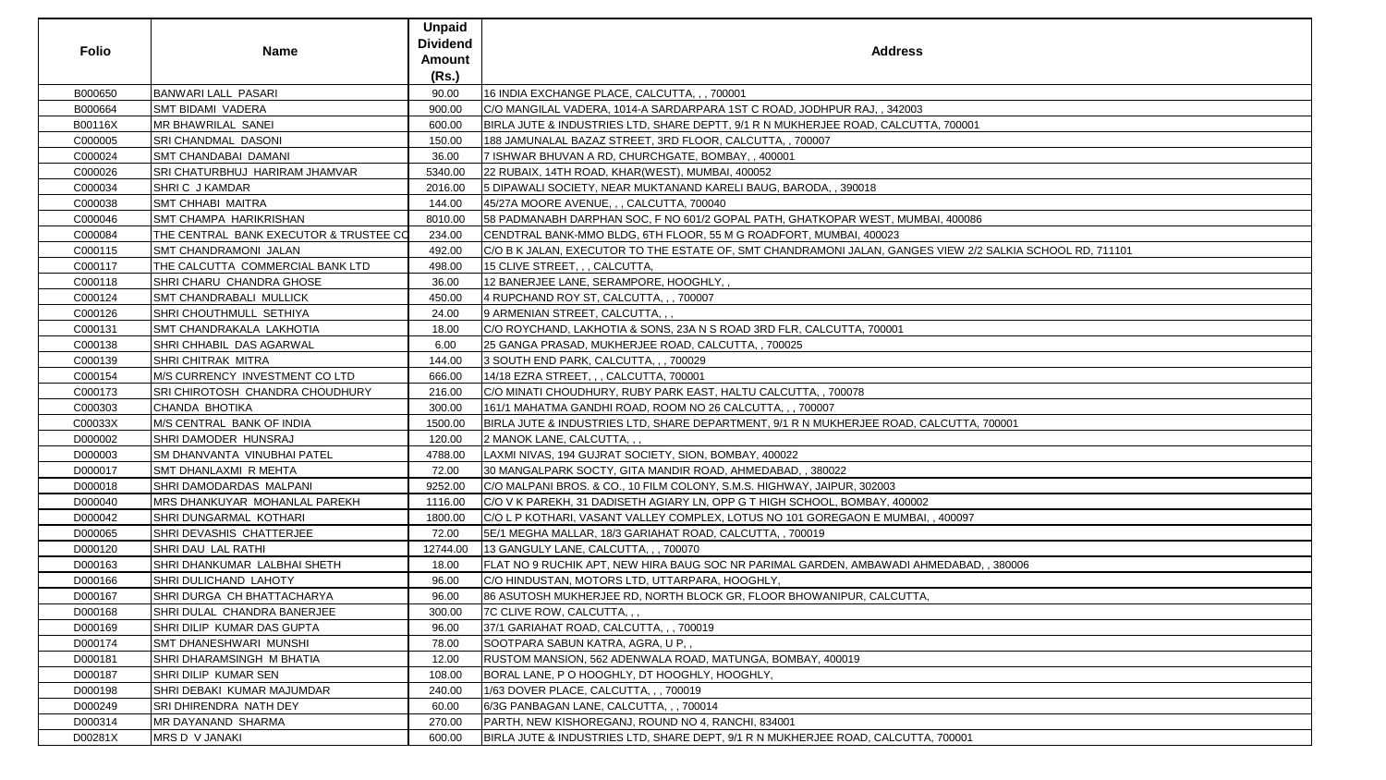| <b>Folio</b> | <b>Name</b>                            | <b>Unpaid</b><br><b>Dividend</b><br><b>Amount</b><br>(Rs.) | <b>Address</b>                                                                                            |
|--------------|----------------------------------------|------------------------------------------------------------|-----------------------------------------------------------------------------------------------------------|
| B000650      | <b>BANWARI LALL PASARI</b>             | 90.00                                                      | 16 INDIA EXCHANGE PLACE, CALCUTTA, ,, 700001                                                              |
| B000664      | <b>SMT BIDAMI VADERA</b>               | 900.00                                                     | C/O MANGILAL VADERA, 1014-A SARDARPARA 1ST C ROAD, JODHPUR RAJ, , 342003                                  |
| B00116X      | MR BHAWRILAL SANEI                     | 600.00                                                     | BIRLA JUTE & INDUSTRIES LTD, SHARE DEPTT, 9/1 R N MUKHERJEE ROAD, CALCUTTA, 700001                        |
| C000005      | <b>SRI CHANDMAL DASONI</b>             | 150.00                                                     | 188 JAMUNALAL BAZAZ STREET, 3RD FLOOR, CALCUTTA, , 700007                                                 |
| C000024      | <b>SMT CHANDABAI DAMANI</b>            | 36.00                                                      | 7 ISHWAR BHUVAN A RD, CHURCHGATE, BOMBAY, , 400001                                                        |
| C000026      | SRI CHATURBHUJ HARIRAM JHAMVAR         | 5340.00                                                    | 22 RUBAIX, 14TH ROAD, KHAR(WEST), MUMBAI, 400052                                                          |
| C000034      | SHRIC J KAMDAR                         | 2016.00                                                    | 5 DIPAWALI SOCIETY, NEAR MUKTANAND KARELI BAUG, BARODA, , 390018                                          |
| C000038      | <b>SMT CHHABI MAITRA</b>               | 144.00                                                     | 45/27A MOORE AVENUE, , , CALCUTTA, 700040                                                                 |
| C000046      | <b>SMT CHAMPA HARIKRISHAN</b>          | 8010.00                                                    | 58 PADMANABH DARPHAN SOC, F NO 601/2 GOPAL PATH, GHATKOPAR WEST, MUMBAI, 400086                           |
| C000084      | THE CENTRAL BANK EXECUTOR & TRUSTEE CO | 234.00                                                     | CENDTRAL BANK-MMO BLDG, 6TH FLOOR, 55 M G ROADFORT, MUMBAI, 400023                                        |
| C000115      | <b>SMT CHANDRAMONI JALAN</b>           | 492.00                                                     | C/O B K JALAN, EXECUTOR TO THE ESTATE OF, SMT CHANDRAMONI JALAN, GANGES VIEW 2/2 SALKIA SCHOOL RD, 711101 |
| C000117      | THE CALCUTTA COMMERCIAL BANK LTD       | 498.00                                                     | 15 CLIVE STREET, , , CALCUTTA,                                                                            |
| C000118      | SHRI CHARU CHANDRA GHOSE               | 36.00                                                      | 12 BANERJEE LANE, SERAMPORE, HOOGHLY,,                                                                    |
| C000124      | <b>SMT CHANDRABALI MULLICK</b>         | 450.00                                                     | 4 RUPCHAND ROY ST, CALCUTTA, , , 700007                                                                   |
| C000126      | <b>SHRI CHOUTHMULL SETHIYA</b>         | 24.00                                                      | 9 ARMENIAN STREET, CALCUTTA, , ,                                                                          |
| C000131      | <b>SMT CHANDRAKALA LAKHOTIA</b>        | 18.00                                                      | C/O ROYCHAND, LAKHOTIA & SONS, 23A N S ROAD 3RD FLR, CALCUTTA, 700001                                     |
| C000138      | SHRI CHHABIL DAS AGARWAL               | 6.00                                                       | 25 GANGA PRASAD, MUKHERJEE ROAD, CALCUTTA,, 700025                                                        |
| C000139      | SHRI CHITRAK MITRA                     | 144.00                                                     | 3 SOUTH END PARK, CALCUTTA, , , 700029                                                                    |
| C000154      | M/S CURRENCY INVESTMENT CO LTD         | 666.00                                                     | 14/18 EZRA STREET, , , CALCUTTA, 700001                                                                   |
| C000173      | <b>SRI CHIROTOSH CHANDRA CHOUDHURY</b> | 216.00                                                     | C/O MINATI CHOUDHURY, RUBY PARK EAST, HALTU CALCUTTA, , 700078                                            |
| C000303      | <b>CHANDA BHOTIKA</b>                  | 300.00                                                     | 161/1 MAHATMA GANDHI ROAD, ROOM NO 26 CALCUTTA, , , 700007                                                |
| C00033X      | M/S CENTRAL BANK OF INDIA              | 1500.00                                                    | BIRLA JUTE & INDUSTRIES LTD, SHARE DEPARTMENT, 9/1 R N MUKHERJEE ROAD, CALCUTTA, 700001                   |
| D000002      | SHRI DAMODER HUNSRAJ                   | 120.00                                                     | 2 MANOK LANE, CALCUTTA, , ,                                                                               |
| D000003      | <b>SM DHANVANTA VINUBHAI PATEL</b>     | 4788.00                                                    | LAXMI NIVAS, 194 GUJRAT SOCIETY, SION, BOMBAY, 400022                                                     |
| D000017      | <b>SMT DHANLAXMI R MEHTA</b>           | 72.00                                                      | 30 MANGALPARK SOCTY, GITA MANDIR ROAD, AHMEDABAD,, 380022                                                 |
| D000018      | SHRI DAMODARDAS MALPANI                | 9252.00                                                    | C/O MALPANI BROS. & CO., 10 FILM COLONY, S.M.S. HIGHWAY, JAIPUR, 302003                                   |
| D000040      | MRS DHANKUYAR MOHANLAL PAREKH          | 1116.00                                                    | C/O V K PAREKH, 31 DADISETH AGIARY LN, OPP G T HIGH SCHOOL, BOMBAY, 400002                                |
| D000042      | <b>SHRI DUNGARMAL KOTHARI</b>          | 1800.00                                                    | C/O L P KOTHARI, VASANT VALLEY COMPLEX, LOTUS NO 101 GOREGAON E MUMBAI, , 400097                          |
| D000065      | SHRI DEVASHIS CHATTERJEE               | 72.00                                                      | 5E/1 MEGHA MALLAR, 18/3 GARIAHAT ROAD, CALCUTTA, , 700019                                                 |
| D000120      | SHRI DAU LAL RATHI                     | 12744.00                                                   | 13 GANGULY LANE, CALCUTTA, , , 700070                                                                     |
| D000163      | SHRI DHANKUMAR LALBHAI SHETH           | 18.00                                                      | FLAT NO 9 RUCHIK APT, NEW HIRA BAUG SOC NR PARIMAL GARDEN, AMBAWADI AHMEDABAD, , 380006                   |
| D000166      | SHRI DULICHAND LAHOTY                  | 96.00                                                      | IC/O HINDUSTAN, MOTORS LTD, UTTARPARA, HOOGHLY,                                                           |
| D000167      | SHRI DURGA CH BHATTACHARYA             | 96.00                                                      | 86 ASUTOSH MUKHERJEE RD, NORTH BLOCK GR, FLOOR BHOWANIPUR, CALCUTTA,                                      |
| D000168      | SHRI DULAL CHANDRA BANERJEE            | 300.00                                                     | 7C CLIVE ROW, CALCUTTA, , ,                                                                               |
| D000169      | SHRI DILIP KUMAR DAS GUPTA             | 96.00                                                      | 37/1 GARIAHAT ROAD, CALCUTTA, , , 700019                                                                  |
| D000174      | SMT DHANESHWARI MUNSHI                 | 78.00                                                      | SOOTPARA SABUN KATRA, AGRA, U P, ,                                                                        |
| D000181      | SHRI DHARAMSINGH M BHATIA              | 12.00                                                      | RUSTOM MANSION, 562 ADENWALA ROAD, MATUNGA, BOMBAY, 400019                                                |
| D000187      | <b>SHRI DILIP KUMAR SEN</b>            | 108.00                                                     | BORAL LANE, P O HOOGHLY, DT HOOGHLY, HOOGHLY,                                                             |
| D000198      | <b>SHRI DEBAKI KUMAR MAJUMDAR</b>      | 240.00                                                     | 1/63 DOVER PLACE, CALCUTTA, , , 700019                                                                    |
| D000249      | SRI DHIRENDRA NATH DEY                 | 60.00                                                      | 6/3G PANBAGAN LANE, CALCUTTA, , , 700014                                                                  |
| D000314      | <b>MR DAYANAND SHARMA</b>              | 270.00                                                     | PARTH, NEW KISHOREGANJ, ROUND NO 4, RANCHI, 834001                                                        |
| D00281X      | MRS D V JANAKI                         | 600.00                                                     | BIRLA JUTE & INDUSTRIES LTD, SHARE DEPT, 9/1 R N MUKHERJEE ROAD, CALCUTTA, 700001                         |

| $\overline{)01}$             |
|------------------------------|
|                              |
|                              |
|                              |
|                              |
|                              |
|                              |
|                              |
|                              |
| 086                          |
|                              |
|                              |
| 2/2 SALKIA SCHOOL RD, 711101 |
|                              |
|                              |
|                              |
|                              |
|                              |
|                              |
|                              |
|                              |
|                              |
|                              |
|                              |
|                              |
|                              |
|                              |
| TA, 700001                   |
|                              |
|                              |
|                              |
|                              |
|                              |
|                              |
|                              |
|                              |
| 97                           |
|                              |
|                              |
|                              |
| 3AD, , 380006                |
|                              |
|                              |
|                              |
|                              |
|                              |
|                              |
|                              |
|                              |
|                              |
|                              |
|                              |
|                              |
|                              |
|                              |
|                              |
| $\frac{1}{2}$                |
|                              |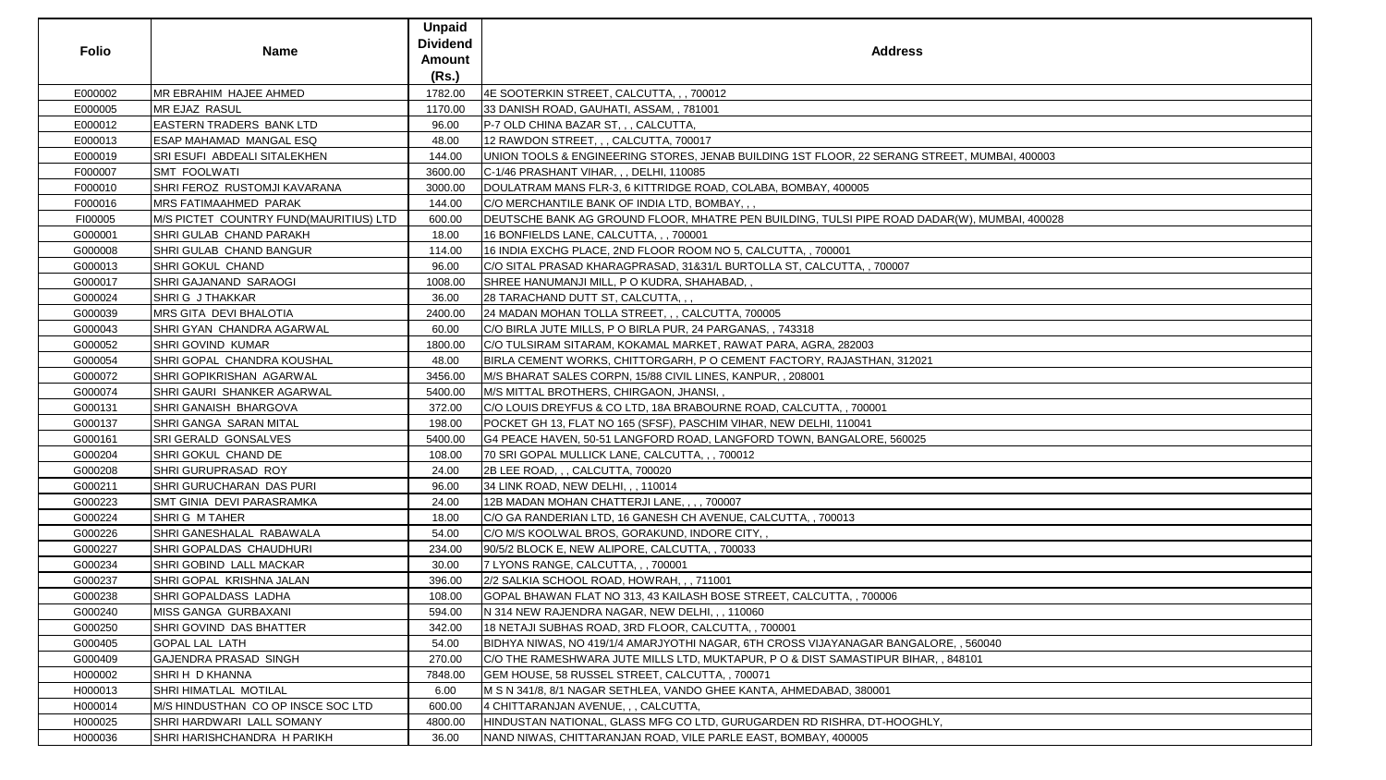|              |                                        | <b>Unpaid</b>   |                                                                                              |
|--------------|----------------------------------------|-----------------|----------------------------------------------------------------------------------------------|
| <b>Folio</b> |                                        | <b>Dividend</b> | <b>Address</b>                                                                               |
|              | <b>Name</b>                            | <b>Amount</b>   |                                                                                              |
|              |                                        | (Rs.)           |                                                                                              |
| E000002      | <b>MR EBRAHIM HAJEE AHMED</b>          | 1782.00         | 4E SOOTERKIN STREET, CALCUTTA, , , 700012                                                    |
| E000005      | MR EJAZ RASUL                          | 1170.00         | 33 DANISH ROAD, GAUHATI, ASSAM, , 781001                                                     |
| E000012      | <b>EASTERN TRADERS BANK LTD</b>        | 96.00           | P-7 OLD CHINA BAZAR ST, , , CALCUTTA,                                                        |
| E000013      | ESAP MAHAMAD MANGAL ESQ                | 48.00           | 12 RAWDON STREET, , , CALCUTTA, 700017                                                       |
| E000019      | <b>SRI ESUFI ABDEALI SITALEKHEN</b>    | 144.00          | UNION TOOLS & ENGINEERING STORES, JENAB BUILDING 1ST FLOOR, 22 SERANG STREET, MUMBAI, 400003 |
| F000007      | <b>SMT FOOLWATI</b>                    | 3600.00         | C-1/46 PRASHANT VIHAR, , , DELHI, 110085                                                     |
| F000010      | SHRI FEROZ RUSTOMJI KAVARANA           | 3000.00         | DOULATRAM MANS FLR-3, 6 KITTRIDGE ROAD, COLABA, BOMBAY, 400005                               |
| F000016      | <b>MRS FATIMAAHMED PARAK</b>           | 144.00          | C/O MERCHANTILE BANK OF INDIA LTD, BOMBAY, , ,                                               |
| FI00005      | M/S PICTET COUNTRY FUND(MAURITIUS) LTD | 600.00          | DEUTSCHE BANK AG GROUND FLOOR, MHATRE PEN BUILDING, TULSI PIPE ROAD DADAR(W), MUMBAI, 400028 |
| G000001      | SHRI GULAB CHAND PARAKH                | 18.00           | 16 BONFIELDS LANE, CALCUTTA, , , 700001                                                      |
| G000008      | SHRI GULAB CHAND BANGUR                | 114.00          | 16 INDIA EXCHG PLACE, 2ND FLOOR ROOM NO 5, CALCUTTA, , 700001                                |
| G000013      | <b>SHRI GOKUL CHAND</b>                | 96.00           | C/O SITAL PRASAD KHARAGPRASAD, 31&31/L BURTOLLA ST, CALCUTTA, , 700007                       |
| G000017      | <b>SHRI GAJANAND SARAOGI</b>           | 1008.00         | SHREE HANUMANJI MILL, P O KUDRA, SHAHABAD, ,                                                 |
| G000024      | <b>SHRIG J THAKKAR</b>                 | 36.00           | 28 TARACHAND DUTT ST, CALCUTTA, , ,                                                          |
| G000039      | <b>MRS GITA DEVI BHALOTIA</b>          | 2400.00         | 24 MADAN MOHAN TOLLA STREET, , , CALCUTTA, 700005                                            |
| G000043      | SHRI GYAN CHANDRA AGARWAL              | 60.00           | C/O BIRLA JUTE MILLS, P O BIRLA PUR, 24 PARGANAS, , 743318                                   |
| G000052      | SHRI GOVIND KUMAR                      | 1800.00         | C/O TULSIRAM SITARAM, KOKAMAL MARKET, RAWAT PARA, AGRA, 282003                               |
| G000054      | <b>SHRI GOPAL CHANDRA KOUSHAL</b>      | 48.00           | BIRLA CEMENT WORKS, CHITTORGARH, P O CEMENT FACTORY, RAJASTHAN, 312021                       |
| G000072      | <b>SHRI GOPIKRISHAN AGARWAL</b>        | 3456.00         | M/S BHARAT SALES CORPN, 15/88 CIVIL LINES, KANPUR, , 208001                                  |
| G000074      | <b>SHRI GAURI SHANKER AGARWAL</b>      | 5400.00         | M/S MITTAL BROTHERS, CHIRGAON, JHANSI,                                                       |
| G000131      | SHRI GANAISH BHARGOVA                  | 372.00          | C/O LOUIS DREYFUS & CO LTD, 18A BRABOURNE ROAD, CALCUTTA, , 700001                           |
| G000137      | SHRI GANGA SARAN MITAL                 | 198.00          | POCKET GH 13, FLAT NO 165 (SFSF), PASCHIM VIHAR, NEW DELHI, 110041                           |
| G000161      | SRI GERALD GONSALVES                   | 5400.00         | G4 PEACE HAVEN, 50-51 LANGFORD ROAD, LANGFORD TOWN, BANGALORE, 560025                        |
| G000204      | SHRI GOKUL CHAND DE                    | 108.00          | 70 SRI GOPAL MULLICK LANE, CALCUTTA, , , 700012                                              |
| G000208      | SHRI GURUPRASAD ROY                    | 24.00           | 2B LEE ROAD, , , CALCUTTA, 700020                                                            |
| G000211      | SHRI GURUCHARAN DAS PURI               | 96.00           | 34 LINK ROAD, NEW DELHI, , , 110014                                                          |
| G000223      | SMT GINIA DEVI PARASRAMKA              | 24.00           | 12B MADAN MOHAN CHATTERJI LANE, , , , 700007                                                 |
| G000224      | SHRIG M TAHER                          | 18.00           | C/O GA RANDERIAN LTD, 16 GANESH CH AVENUE, CALCUTTA,, 700013                                 |
| G000226      | SHRI GANESHALAL RABAWALA               | 54.00           | C/O M/S KOOLWAL BROS, GORAKUND, INDORE CITY,,                                                |
| G000227      | SHRI GOPALDAS CHAUDHURI                | 234.00          | 90/5/2 BLOCK E, NEW ALIPORE, CALCUTTA, , 700033                                              |
| G000234      | SHRI GOBIND LALL MACKAR                | 30.00           | 7 LYONS RANGE, CALCUTTA, , , 700001                                                          |
| G000237      | SHRI GOPAL KRISHNA JALAN               | 396.00          | 2/2 SALKIA SCHOOL ROAD, HOWRAH, ,, 711001                                                    |
| G000238      | SHRI GOPALDASS LADHA                   | 108.00          | GOPAL BHAWAN FLAT NO 313, 43 KAILASH BOSE STREET, CALCUTTA, , 700006                         |
| G000240      | MISS GANGA GURBAXANI                   | 594.00          | N 314 NEW RAJENDRA NAGAR, NEW DELHI, , , 110060                                              |
| G000250      | SHRI GOVIND DAS BHATTER                | 342.00          | 18 NETAJI SUBHAS ROAD, 3RD FLOOR, CALCUTTA, , 700001                                         |
| G000405      | <b>GOPAL LAL LATH</b>                  | 54.00           | BIDHYA NIWAS, NO 419/1/4 AMARJYOTHI NAGAR, 6TH CROSS VIJAYANAGAR BANGALORE, , 560040         |
| G000409      | <b>GAJENDRA PRASAD SINGH</b>           | 270.00          | C/O THE RAMESHWARA JUTE MILLS LTD, MUKTAPUR, P O & DIST SAMASTIPUR BIHAR, , 848101           |
| H000002      | SHRI H D KHANNA                        | 7848.00         | GEM HOUSE, 58 RUSSEL STREET, CALCUTTA, , 700071                                              |
| H000013      | <b>SHRI HIMATLAL MOTILAL</b>           | 6.00            | M S N 341/8, 8/1 NAGAR SETHLEA, VANDO GHEE KANTA, AHMEDABAD, 380001                          |
| H000014      | M/S HINDUSTHAN CO OP INSCE SOC LTD     | 600.00          | 4 CHITTARANJAN AVENUE, , , CALCUTTA,                                                         |
| H000025      | SHRI HARDWARI LALL SOMANY              | 4800.00         | HINDUSTAN NATIONAL, GLASS MFG CO LTD, GURUGARDEN RD RISHRA, DT-HOOGHLY,                      |
| H000036      | SHRI HARISHCHANDRA H PARIKH            | 36.00           | NAND NIWAS, CHITTARANJAN ROAD, VILE PARLE EAST, BOMBAY, 400005                               |

| MUMBAI, 400003   |  |
|------------------|--|
|                  |  |
|                  |  |
|                  |  |
|                  |  |
| , MUMBAI, 400028 |  |
|                  |  |
|                  |  |
|                  |  |
|                  |  |
|                  |  |
|                  |  |
|                  |  |
|                  |  |
|                  |  |
|                  |  |
|                  |  |
|                  |  |
|                  |  |
|                  |  |
|                  |  |
|                  |  |
|                  |  |
|                  |  |
|                  |  |
|                  |  |
|                  |  |
|                  |  |
|                  |  |
|                  |  |
|                  |  |
|                  |  |
|                  |  |
|                  |  |
|                  |  |
|                  |  |
|                  |  |
|                  |  |
|                  |  |
|                  |  |
|                  |  |
|                  |  |
|                  |  |
| 60040            |  |
|                  |  |
| $\overline{)1}$  |  |
|                  |  |
|                  |  |
|                  |  |
|                  |  |
|                  |  |
|                  |  |
|                  |  |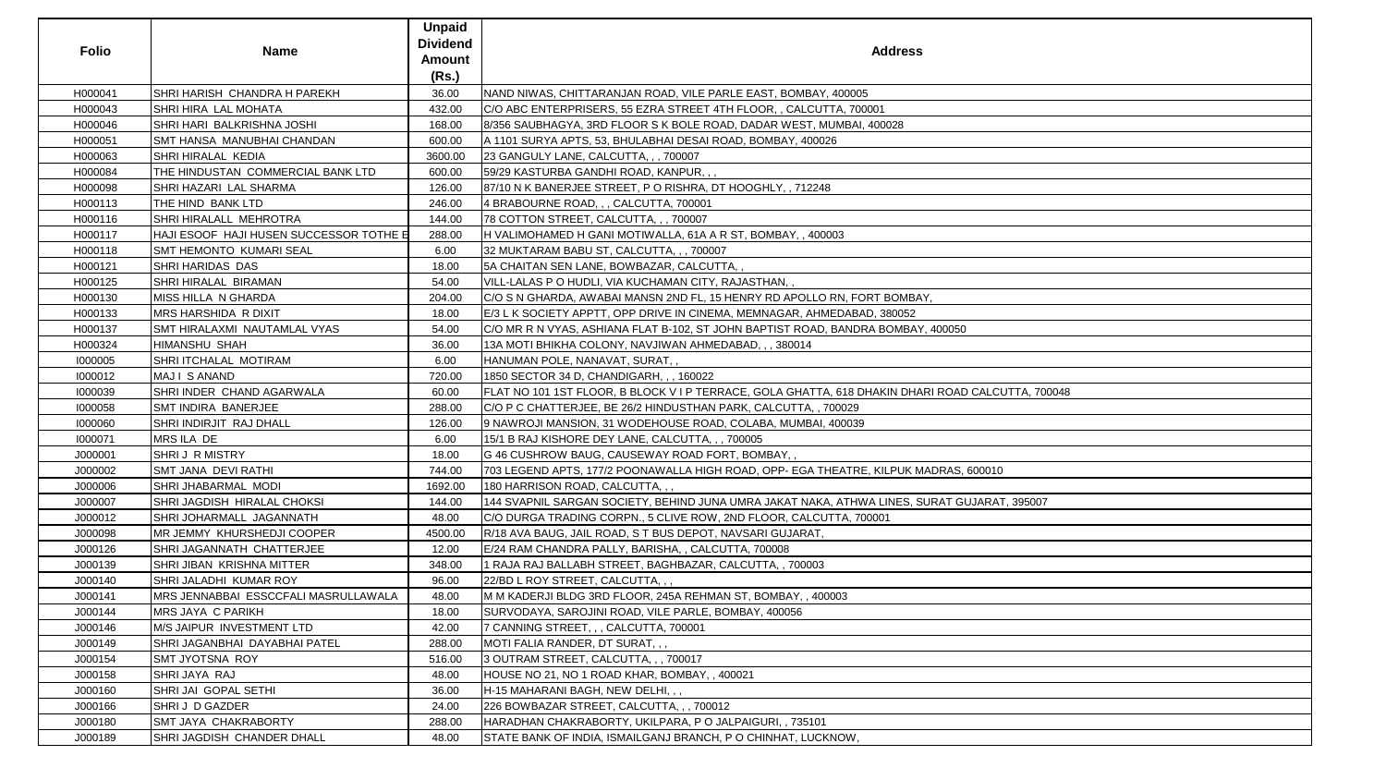| <b>Folio</b> | <b>Name</b>                             | <b>Unpaid</b><br><b>Dividend</b><br><b>Amount</b><br>(Rs.) | <b>Address</b>                                                                                    |
|--------------|-----------------------------------------|------------------------------------------------------------|---------------------------------------------------------------------------------------------------|
| H000041      | SHRI HARISH CHANDRA H PAREKH            | 36.00                                                      | NAND NIWAS, CHITTARANJAN ROAD, VILE PARLE EAST, BOMBAY, 400005                                    |
| H000043      | <b>SHRI HIRA LAL MOHATA</b>             | 432.00                                                     | C/O ABC ENTERPRISERS, 55 EZRA STREET 4TH FLOOR, , CALCUTTA, 700001                                |
| H000046      | SHRI HARI BALKRISHNA JOSHI              | 168.00                                                     | 8/356 SAUBHAGYA, 3RD FLOOR S K BOLE ROAD, DADAR WEST, MUMBAI, 400028                              |
| H000051      | SMT HANSA MANUBHAI CHANDAN              | 600.00                                                     | A 1101 SURYA APTS, 53, BHULABHAI DESAI ROAD, BOMBAY, 400026                                       |
| H000063      | SHRI HIRALAL KEDIA                      | 3600.00                                                    | 23 GANGULY LANE, CALCUTTA, , , 700007                                                             |
| H000084      | THE HINDUSTAN COMMERCIAL BANK LTD       | 600.00                                                     | 59/29 KASTURBA GANDHI ROAD, KANPUR,,,                                                             |
| H000098      | <b>SHRI HAZARI LAL SHARMA</b>           | 126.00                                                     | 87/10 N K BANERJEE STREET, P O RISHRA, DT HOOGHLY, , 712248                                       |
| H000113      | THE HIND BANK LTD                       | 246.00                                                     | 4 BRABOURNE ROAD, , , CALCUTTA, 700001                                                            |
| H000116      | SHRI HIRALALL MEHROTRA                  | 144.00                                                     | 78 COTTON STREET, CALCUTTA, , , 700007                                                            |
| H000117      | HAJI ESOOF HAJI HUSEN SUCCESSOR TOTHE E | 288.00                                                     | H VALIMOHAMED H GANI MOTIWALLA, 61A A R ST, BOMBAY, , 400003                                      |
| H000118      | SMT HEMONTO KUMARI SEAL                 | 6.00                                                       | 32 MUKTARAM BABU ST, CALCUTTA, , , 700007                                                         |
| H000121      | <b>SHRI HARIDAS DAS</b>                 | 18.00                                                      | 5A CHAITAN SEN LANE, BOWBAZAR, CALCUTTA,,                                                         |
| H000125      | <b>SHRI HIRALAL BIRAMAN</b>             | 54.00                                                      | VILL-LALAS P O HUDLI, VIA KUCHAMAN CITY, RAJASTHAN,,                                              |
| H000130      | MISS HILLA N GHARDA                     | 204.00                                                     | C/O S N GHARDA, AWABAI MANSN 2ND FL, 15 HENRY RD APOLLO RN, FORT BOMBAY,                          |
| H000133      | MRS HARSHIDA R DIXIT                    | 18.00                                                      | E/3 L K SOCIETY APPTT, OPP DRIVE IN CINEMA, MEMNAGAR, AHMEDABAD, 380052                           |
| H000137      | SMT HIRALAXMI NAUTAMLAL VYAS            | 54.00                                                      | C/O MR R N VYAS, ASHIANA FLAT B-102, ST JOHN BAPTIST ROAD, BANDRA BOMBAY, 400050                  |
| H000324      | <b>HIMANSHU SHAH</b>                    | 36.00                                                      | 13A MOTI BHIKHA COLONY, NAVJIWAN AHMEDABAD, , , 380014                                            |
| 1000005      | SHRI ITCHALAL MOTIRAM                   | 6.00                                                       | HANUMAN POLE, NANAVAT, SURAT,,                                                                    |
| 1000012      | MAJI SANAND                             | 720.00                                                     | 1850 SECTOR 34 D, CHANDIGARH, , , 160022                                                          |
| 1000039      | SHRI INDER CHAND AGARWALA               | 60.00                                                      | FLAT NO 101 1ST FLOOR, B BLOCK V I P TERRACE, GOLA GHATTA, 618 DHAKIN DHARI ROAD CALCUTTA, 700048 |
| 1000058      | <b>SMT INDIRA BANERJEE</b>              | 288.00                                                     | C/O P C CHATTERJEE, BE 26/2 HINDUSTHAN PARK, CALCUTTA, , 700029                                   |
| 1000060      | SHRI INDIRJIT RAJ DHALL                 | 126.00                                                     | 9 NAWROJI MANSION, 31 WODEHOUSE ROAD, COLABA, MUMBAI, 400039                                      |
| 1000071      | MRS ILA DE                              | 6.00                                                       | 15/1 B RAJ KISHORE DEY LANE, CALCUTTA, , , 700005                                                 |
| J000001      | <b>SHRIJ R MISTRY</b>                   | 18.00                                                      | G 46 CUSHROW BAUG, CAUSEWAY ROAD FORT, BOMBAY,,                                                   |
| J000002      | SMT JANA DEVI RATHI                     | 744.00                                                     | 703 LEGEND APTS, 177/2 POONAWALLA HIGH ROAD, OPP- EGA THEATRE, KILPUK MADRAS, 600010              |
| J000006      | SHRI JHABARMAL MODI                     | 1692.00                                                    | 180 HARRISON ROAD, CALCUTTA, , ,                                                                  |
| J000007      | SHRI JAGDISH HIRALAL CHOKSI             | 144.00                                                     | 144 SVAPNIL SARGAN SOCIETY, BEHIND JUNA UMRA JAKAT NAKA, ATHWA LINES, SURAT GUJARAT, 395007       |
| J000012      | SHRI JOHARMALL JAGANNATH                | 48.00                                                      | C/O DURGA TRADING CORPN., 5 CLIVE ROW, 2ND FLOOR, CALCUTTA, 700001                                |
| J000098      | MR JEMMY KHURSHEDJI COOPER              | 4500.00                                                    | R/18 AVA BAUG, JAIL ROAD, S T BUS DEPOT, NAVSARI GUJARAT,                                         |
| J000126      | SHRI JAGANNATH CHATTERJEE               | 12.00                                                      | E/24 RAM CHANDRA PALLY, BARISHA, , CALCUTTA, 700008                                               |
| J000139      | SHRI JIBAN KRISHNA MITTER               | 348.00                                                     | 1 RAJA RAJ BALLABH STREET, BAGHBAZAR, CALCUTTA, , 700003                                          |
| J000140      | <b>SHRI JALADHI KUMAR ROY</b>           | 96.00                                                      | 22/BD L ROY STREET, CALCUTTA, , ,                                                                 |
| J000141      | MRS JENNABBAI ESSCCFALI MASRULLAWALA    | 48.00                                                      | M M KADERJI BLDG 3RD FLOOR, 245A REHMAN ST, BOMBAY, , 400003                                      |
| J000144      | <b>MRS JAYA C PARIKH</b>                | 18.00                                                      | SURVODAYA, SAROJINI ROAD, VILE PARLE, BOMBAY, 400056                                              |
| J000146      | M/S JAIPUR INVESTMENT LTD               | 42.00                                                      | 7 CANNING STREET, , , CALCUTTA, 700001                                                            |
| J000149      | SHRI JAGANBHAI DAYABHAI PATEL           | 288.00                                                     | MOTI FALIA RANDER, DT SURAT, , ,                                                                  |
| J000154      | <b>SMT JYOTSNA ROY</b>                  | 516.00                                                     | 3 OUTRAM STREET, CALCUTTA, , , 700017                                                             |
| J000158      | SHRI JAYA RAJ                           | 48.00                                                      | HOUSE NO 21, NO 1 ROAD KHAR, BOMBAY,, 400021                                                      |
| J000160      | <b>SHRI JAI GOPAL SETHI</b>             | 36.00                                                      | H-15 MAHARANI BAGH, NEW DELHI, , ,                                                                |
| J000166      | SHRIJ D GAZDER                          | 24.00                                                      | 226 BOWBAZAR STREET, CALCUTTA, , , 700012                                                         |
| J000180      | SMT JAYA CHAKRABORTY                    | 288.00                                                     | HARADHAN CHAKRABORTY, UKILPARA, POJALPAIGURI,, 735101                                             |
| J000189      | SHRI JAGDISH CHANDER DHALL              | 48.00                                                      | STATE BANK OF INDIA, ISMAILGANJ BRANCH, P O CHINHAT, LUCKNOW,                                     |

| CALCUTTA, 700048 |  |
|------------------|--|
|                  |  |
|                  |  |
|                  |  |
|                  |  |
|                  |  |
|                  |  |
| 00010            |  |
|                  |  |
|                  |  |
| ARAT, 395007     |  |
|                  |  |
|                  |  |
|                  |  |
|                  |  |
|                  |  |
|                  |  |
|                  |  |
|                  |  |
|                  |  |
|                  |  |
|                  |  |
|                  |  |
|                  |  |
|                  |  |
|                  |  |
|                  |  |
|                  |  |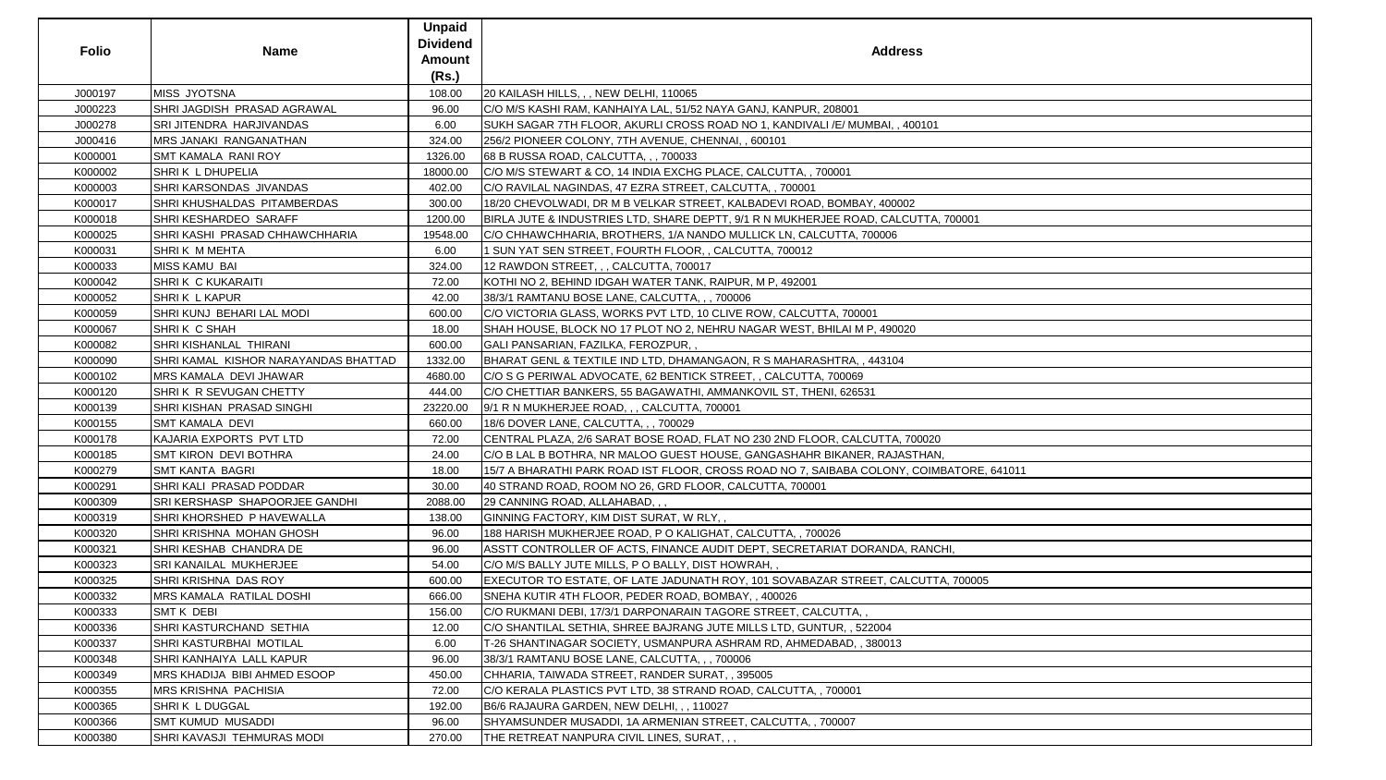| <b>Folio</b> | <b>Name</b>                          | <b>Unpaid</b><br><b>Dividend</b><br><b>Amount</b><br>(Rs.) | <b>Address</b>                                                                           |
|--------------|--------------------------------------|------------------------------------------------------------|------------------------------------------------------------------------------------------|
| J000197      | <b>MISS JYOTSNA</b>                  | 108.00                                                     | 20 KAILASH HILLS, , , NEW DELHI, 110065                                                  |
| J000223      | SHRI JAGDISH PRASAD AGRAWAL          | 96.00                                                      | C/O M/S KASHI RAM, KANHAIYA LAL, 51/52 NAYA GANJ, KANPUR, 208001                         |
| J000278      | SRI JITENDRA HARJIVANDAS             | 6.00                                                       | SUKH SAGAR 7TH FLOOR, AKURLI CROSS ROAD NO 1, KANDIVALI /E/ MUMBAI, , 400101             |
| J000416      | <b>MRS JANAKI RANGANATHAN</b>        | 324.00                                                     | 256/2 PIONEER COLONY, 7TH AVENUE, CHENNAI, , 600101                                      |
| K000001      | <b>SMT KAMALA RANI ROY</b>           | 1326.00                                                    | 68 B RUSSA ROAD, CALCUTTA, , , 700033                                                    |
| K000002      | SHRIK L DHUPELIA                     | 18000.00                                                   | C/O M/S STEWART & CO, 14 INDIA EXCHG PLACE, CALCUTTA, , 700001                           |
| K000003      | SHRI KARSONDAS JIVANDAS              | 402.00                                                     | C/O RAVILAL NAGINDAS, 47 EZRA STREET, CALCUTTA,, 700001                                  |
| K000017      | SHRI KHUSHALDAS PITAMBERDAS          | 300.00                                                     | 18/20 CHEVOLWADI, DR M B VELKAR STREET, KALBADEVI ROAD, BOMBAY, 400002                   |
| K000018      | SHRI KESHARDEO SARAFF                | 1200.00                                                    | BIRLA JUTE & INDUSTRIES LTD, SHARE DEPTT, 9/1 R N MUKHERJEE ROAD, CALCUTTA, 700001       |
| K000025      | SHRI KASHI PRASAD CHHAWCHHARIA       | 19548.00                                                   | C/O CHHAWCHHARIA, BROTHERS, 1/A NANDO MULLICK LN, CALCUTTA, 700006                       |
| K000031      | SHRIK M MEHTA                        | 6.00                                                       | 1 SUN YAT SEN STREET, FOURTH FLOOR, , CALCUTTA, 700012                                   |
| K000033      | <b>MISS KAMU BAI</b>                 | 324.00                                                     | 12 RAWDON STREET, , , CALCUTTA, 700017                                                   |
| K000042      | <b>SHRIK C KUKARAITI</b>             | 72.00                                                      | KOTHI NO 2, BEHIND IDGAH WATER TANK, RAIPUR, M P, 492001                                 |
| K000052      | <b>SHRIK LKAPUR</b>                  | 42.00                                                      | 38/3/1 RAMTANU BOSE LANE, CALCUTTA, , , 700006                                           |
| K000059      | SHRI KUNJ BEHARI LAL MODI            | 600.00                                                     | C/O VICTORIA GLASS, WORKS PVT LTD, 10 CLIVE ROW, CALCUTTA, 700001                        |
| K000067      | SHRIK C SHAH                         | 18.00                                                      | SHAH HOUSE, BLOCK NO 17 PLOT NO 2, NEHRU NAGAR WEST, BHILAI M P, 490020                  |
| K000082      | SHRI KISHANLAL THIRANI               | 600.00                                                     | GALI PANSARIAN, FAZILKA, FEROZPUR,,                                                      |
| K000090      | SHRI KAMAL KISHOR NARAYANDAS BHATTAD | 1332.00                                                    | BHARAT GENL & TEXTILE IND LTD, DHAMANGAON, R S MAHARASHTRA, , 443104                     |
| K000102      | MRS KAMALA DEVI JHAWAR               | 4680.00                                                    | C/O S G PERIWAL ADVOCATE, 62 BENTICK STREET, , CALCUTTA, 700069                          |
| K000120      | SHRIK R SEVUGAN CHETTY               | 444.00                                                     | C/O CHETTIAR BANKERS, 55 BAGAWATHI, AMMANKOVIL ST, THENI, 626531                         |
| K000139      | <b>SHRI KISHAN PRASAD SINGHI</b>     | 23220.00                                                   | 9/1 R N MUKHERJEE ROAD, , , CALCUTTA, 700001                                             |
| K000155      | <b>SMT KAMALA DEVI</b>               | 660.00                                                     | 18/6 DOVER LANE, CALCUTTA, , , 700029                                                    |
| K000178      | KAJARIA EXPORTS PVT LTD              | 72.00                                                      | CENTRAL PLAZA, 2/6 SARAT BOSE ROAD, FLAT NO 230 2ND FLOOR, CALCUTTA, 700020              |
| K000185      | <b>SMT KIRON DEVI BOTHRA</b>         | 24.00                                                      | C/O B LAL B BOTHRA, NR MALOO GUEST HOUSE, GANGASHAHR BIKANER, RAJASTHAN,                 |
| K000279      | <b>SMT KANTA BAGRI</b>               | 18.00                                                      | 15/7 A BHARATHI PARK ROAD IST FLOOR, CROSS ROAD NO 7, SAIBABA COLONY, COIMBATORE, 641011 |
| K000291      | SHRI KALI PRASAD PODDAR              | 30.00                                                      | 40 STRAND ROAD, ROOM NO 26, GRD FLOOR, CALCUTTA, 700001                                  |
| K000309      | SRI KERSHASP SHAPOORJEE GANDHI       | 2088.00                                                    | 29 CANNING ROAD, ALLAHABAD, , ,                                                          |
| K000319      | SHRI KHORSHED P HAVEWALLA            | 138.00                                                     | GINNING FACTORY, KIM DIST SURAT, W RLY,,                                                 |
| K000320      | SHRI KRISHNA MOHAN GHOSH             | 96.00                                                      | 188 HARISH MUKHERJEE ROAD, P O KALIGHAT, CALCUTTA, , 700026                              |
| K000321      | SHRI KESHAB CHANDRA DE               | 96.00                                                      | ASSTT CONTROLLER OF ACTS, FINANCE AUDIT DEPT, SECRETARIAT DORANDA, RANCHI,               |
| K000323      | SRI KANAILAL MUKHERJEE               | 54.00                                                      | C/O M/S BALLY JUTE MILLS, P O BALLY, DIST HOWRAH, ,                                      |
| K000325      | SHRI KRISHNA DAS ROY                 | 600.00                                                     | EXECUTOR TO ESTATE, OF LATE JADUNATH ROY, 101 SOVABAZAR STREET, CALCUTTA, 700005         |
| K000332      | <b>MRS KAMALA RATILAL DOSHI</b>      | 666.00                                                     | SNEHA KUTIR 4TH FLOOR, PEDER ROAD, BOMBAY,, 400026                                       |
| K000333      | <b>SMT K DEBI</b>                    | 156.00                                                     | C/O RUKMANI DEBI, 17/3/1 DARPONARAIN TAGORE STREET, CALCUTTA, ,                          |
| K000336      | SHRI KASTURCHAND SETHIA              | 12.00                                                      | C/O SHANTILAL SETHIA, SHREE BAJRANG JUTE MILLS LTD, GUNTUR, , 522004                     |
| K000337      | SHRI KASTURBHAI MOTILAL              | 6.00                                                       | T-26 SHANTINAGAR SOCIETY, USMANPURA ASHRAM RD, AHMEDABAD, , 380013                       |
| K000348      | SHRI KANHAIYA LALL KAPUR             | 96.00                                                      | 38/3/1 RAMTANU BOSE LANE, CALCUTTA, , , 700006                                           |
| K000349      | MRS KHADIJA BIBI AHMED ESOOP         | 450.00                                                     | CHHARIA, TAIWADA STREET, RANDER SURAT, , 395005                                          |
| K000355      | <b>IMRS KRISHNA PACHISIA</b>         | 72.00                                                      | C/O KERALA PLASTICS PVT LTD, 38 STRAND ROAD, CALCUTTA, , 700001                          |
| K000365      | SHRIK LDUGGAL                        | 192.00                                                     | B6/6 RAJAURA GARDEN, NEW DELHI, , , 110027                                               |
| K000366      | <b>SMT KUMUD MUSADDI</b>             | 96.00                                                      | SHYAMSUNDER MUSADDI, 1A ARMENIAN STREET, CALCUTTA, , 700007                              |
| K000380      | SHRI KAVASJI TEHMURAS MODI           | 270.00                                                     | THE RETREAT NANPURA CIVIL LINES, SURAT, , ,                                              |

| $\lambda$ , 700001          |
|-----------------------------|
|                             |
|                             |
|                             |
|                             |
|                             |
|                             |
|                             |
|                             |
|                             |
|                             |
|                             |
|                             |
|                             |
|                             |
|                             |
|                             |
| 0<br>N,<br>/IBATORE, 641011 |
|                             |
|                             |
|                             |
|                             |
|                             |
|                             |
|                             |
| CHI,                        |
|                             |
| TA, 700005                  |
|                             |
|                             |
|                             |
|                             |
|                             |
|                             |
|                             |
|                             |
|                             |
|                             |
|                             |
|                             |
|                             |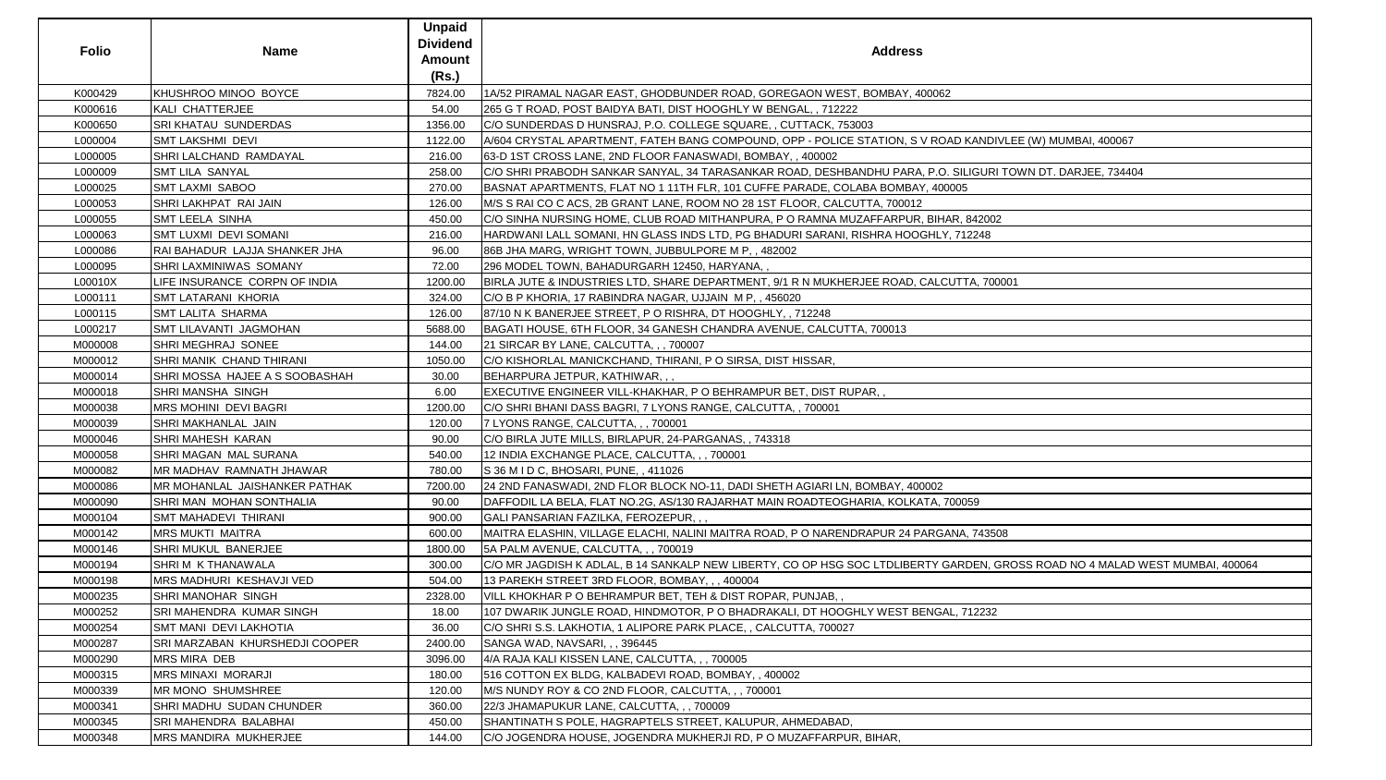|              |                                | <b>Unpaid</b>   |                                                                                                                              |
|--------------|--------------------------------|-----------------|------------------------------------------------------------------------------------------------------------------------------|
| <b>Folio</b> | <b>Name</b>                    | <b>Dividend</b> | <b>Address</b>                                                                                                               |
|              |                                | Amount          |                                                                                                                              |
|              |                                | (Rs.)           |                                                                                                                              |
| K000429      | KHUSHROO MINOO BOYCE           | 7824.00         | 1A/52 PIRAMAL NAGAR EAST, GHODBUNDER ROAD, GOREGAON WEST, BOMBAY, 400062                                                     |
| K000616      | KALI CHATTERJEE                | 54.00           | 265 G T ROAD, POST BAIDYA BATI, DIST HOOGHLY W BENGAL, , 712222                                                              |
| K000650      | SRI KHATAU SUNDERDAS           | 1356.00         | C/O SUNDERDAS D HUNSRAJ, P.O. COLLEGE SQUARE, , CUTTACK, 753003                                                              |
| L000004      | SMT LAKSHMI DEVI               | 1122.00         | A/604 CRYSTAL APARTMENT, FATEH BANG COMPOUND, OPP - POLICE STATION, S V ROAD KANDIVLEE (W) MUMBAI, 400067                    |
| L000005      | SHRI LALCHAND RAMDAYAL         | 216.00          | 63-D 1ST CROSS LANE, 2ND FLOOR FANASWADI, BOMBAY,, 400002                                                                    |
| L000009      | SMT LILA SANYAL                | 258.00          | C/O SHRI PRABODH SANKAR SANYAL, 34 TARASANKAR ROAD, DESHBANDHU PARA, P.O. SILIGURI TOWN DT. DARJEE, 734404                   |
| L000025      | <b>SMT LAXMI SABOO</b>         | 270.00          | BASNAT APARTMENTS, FLAT NO 1 11TH FLR, 101 CUFFE PARADE, COLABA BOMBAY, 400005                                               |
| L000053      | SHRI LAKHPAT RAI JAIN          | 126.00          | M/S S RAI CO C ACS, 2B GRANT LANE, ROOM NO 28 1ST FLOOR, CALCUTTA, 700012                                                    |
| L000055      | <b>SMT LEELA SINHA</b>         | 450.00          | C/O SINHA NURSING HOME, CLUB ROAD MITHANPURA, P O RAMNA MUZAFFARPUR, BIHAR, 842002                                           |
| L000063      | <b>SMT LUXMI DEVI SOMANI</b>   | 216.00          | HARDWANI LALL SOMANI, HN GLASS INDS LTD, PG BHADURI SARANI, RISHRA HOOGHLY, 712248                                           |
| L000086      | RAI BAHADUR LAJJA SHANKER JHA  | 96.00           | 86B JHA MARG, WRIGHT TOWN, JUBBULPORE M P,, 482002                                                                           |
| L000095      | SHRI LAXMINIWAS SOMANY         | 72.00           | 296 MODEL TOWN, BAHADURGARH 12450, HARYANA,,                                                                                 |
| L00010X      | LIFE INSURANCE CORPN OF INDIA  | 1200.00         | BIRLA JUTE & INDUSTRIES LTD, SHARE DEPARTMENT, 9/1 R N MUKHERJEE ROAD, CALCUTTA, 700001                                      |
| L000111      | SMT LATARANI KHORIA            | 324.00          | C/O B P KHORIA, 17 RABINDRA NAGAR, UJJAIN M P, , 456020                                                                      |
| L000115      | <b>SMT LALITA SHARMA</b>       | 126.00          | 87/10 N K BANERJEE STREET, P O RISHRA, DT HOOGHLY, 712248                                                                    |
| L000217      | SMT LILAVANTI JAGMOHAN         | 5688.00         | BAGATI HOUSE, 6TH FLOOR, 34 GANESH CHANDRA AVENUE, CALCUTTA, 700013                                                          |
| M000008      | SHRI MEGHRAJ SONEE             | 144.00          | 21 SIRCAR BY LANE, CALCUTTA, , , 700007                                                                                      |
| M000012      | SHRI MANIK CHAND THIRANI       | 1050.00         | C/O KISHORLAL MANICKCHAND, THIRANI, P O SIRSA, DIST HISSAR,                                                                  |
| M000014      | SHRI MOSSA HAJEE A S SOOBASHAH | 30.00           | BEHARPURA JETPUR, KATHIWAR, , ,                                                                                              |
| M000018      | SHRI MANSHA SINGH              | 6.00            | EXECUTIVE ENGINEER VILL-KHAKHAR, P O BEHRAMPUR BET, DIST RUPAR,                                                              |
| M000038      | MRS MOHINI DEVI BAGRI          | 1200.00         | C/O SHRI BHANI DASS BAGRI, 7 LYONS RANGE, CALCUTTA, , 700001                                                                 |
| M000039      | SHRI MAKHANLAL JAIN            | 120.00          | 7 LYONS RANGE, CALCUTTA, , , 700001                                                                                          |
| M000046      | SHRI MAHESH KARAN              | 90.00           | C/O BIRLA JUTE MILLS, BIRLAPUR, 24-PARGANAS, , 743318                                                                        |
| M000058      | SHRI MAGAN MAL SURANA          | 540.00          | 12 INDIA EXCHANGE PLACE, CALCUTTA, , , 700001                                                                                |
| M000082      | MR MADHAV RAMNATH JHAWAR       | 780.00          | S 36 M I D C, BHOSARI, PUNE, , 411026                                                                                        |
| M000086      | MR MOHANLAL JAISHANKER PATHAK  | 7200.00         | 24 2ND FANASWADI, 2ND FLOR BLOCK NO-11, DADI SHETH AGIARI LN, BOMBAY, 400002                                                 |
| M000090      | SHRI MAN MOHAN SONTHALIA       | 90.00           | DAFFODIL LA BELA, FLAT NO.2G, AS/130 RAJARHAT MAIN ROADTEOGHARIA, KOLKATA, 700059                                            |
| M000104      | SMT MAHADEVI THIRANI           | 900.00          | GALI PANSARIAN FAZILKA, FEROZEPUR,,,                                                                                         |
| M000142      | <b>MRS MUKTI MAITRA</b>        | 600.00          | MAITRA ELASHIN, VILLAGE ELACHI, NALINI MAITRA ROAD, P O NARENDRAPUR 24 PARGANA, 743508                                       |
| M000146      | SHRI MUKUL BANERJEE            | 1800.00         | 5A PALM AVENUE, CALCUTTA, , , 700019                                                                                         |
| M000194      | SHRIM K THANAWALA              | 300.00          | C/O MR JAGDISH K ADLAL, B 14 SANKALP NEW LIBERTY, CO OP HSG SOC LTDLIBERTY GARDEN, GROSS ROAD NO 4 MALAD WEST MUMBAI, 400064 |
| M000198      | MRS MADHURI KESHAVJI VED       | 504.00          | 13 PAREKH STREET 3RD FLOOR, BOMBAY, ,, 400004                                                                                |
| M000235      | SHRI MANOHAR SINGH             | 2328.00         | VILL KHOKHAR P O BEHRAMPUR BET, TEH & DIST ROPAR, PUNJAB,                                                                    |
| M000252      | SRI MAHENDRA KUMAR SINGH       | 18.00           | 107 DWARIK JUNGLE ROAD, HINDMOTOR, P O BHADRAKALI, DT HOOGHLY WEST BENGAL, 712232                                            |
| M000254      | <b>SMT MANI DEVI LAKHOTIA</b>  | 36.00           | C/O SHRI S.S. LAKHOTIA, 1 ALIPORE PARK PLACE, , CALCUTTA, 700027                                                             |
| M000287      | SRI MARZABAN KHURSHEDJI COOPER | 2400.00         | SANGA WAD, NAVSARI, , , 396445                                                                                               |
| M000290      | <b>MRS MIRA DEB</b>            | 3096.00         | 4/A RAJA KALI KISSEN LANE, CALCUTTA, , , 700005                                                                              |
| M000315      | <b>MRS MINAXI MORARJI</b>      | 180.00          | 516 COTTON EX BLDG, KALBADEVI ROAD, BOMBAY, , 400002                                                                         |
| M000339      | <b>MR MONO SHUMSHREE</b>       | 120.00          | M/S NUNDY ROY & CO 2ND FLOOR, CALCUTTA, , , 700001                                                                           |
| M000341      | SHRI MADHU SUDAN CHUNDER       | 360.00          | 22/3 JHAMAPUKUR LANE, CALCUTTA, , , 700009                                                                                   |
| M000345      | SRI MAHENDRA BALABHAI          | 450.00          | SHANTINATH S POLE, HAGRAPTELS STREET, KALUPUR, AHMEDABAD,                                                                    |
| M000348      | MRS MANDIRA MUKHERJEE          | 144.00          | C/O JOGENDRA HOUSE, JOGENDRA MUKHERJI RD, P O MUZAFFARPUR, BIHAR,                                                            |

| ess                                                     |
|---------------------------------------------------------|
| Y, 400062                                               |
|                                                         |
|                                                         |
| I, S V ROAD KANDIVLEE (W) MUMBAI, 400067                |
| ARA, P.O. SILIGURI TOWN DT. DARJEE, 734404              |
| IBAY, 400005                                            |
| 012                                                     |
| PUR, BIHAR, 842002                                      |
| <b>OOGHLY, 712248</b>                                   |
|                                                         |
| AD, CALCUTTA, 700001                                    |
|                                                         |
|                                                         |
| 3                                                       |
|                                                         |
|                                                         |
|                                                         |
|                                                         |
|                                                         |
|                                                         |
|                                                         |
| , 400002                                                |
| ILKATA, 700059                                          |
| 24 PARGANA, 743508                                      |
|                                                         |
| BERTY GARDEN, GROSS ROAD NO 4 MALAD WEST MUMBAI, 400064 |
|                                                         |
|                                                         |
| T BENGAL, 712232                                        |
|                                                         |
|                                                         |
|                                                         |
|                                                         |
|                                                         |
|                                                         |
|                                                         |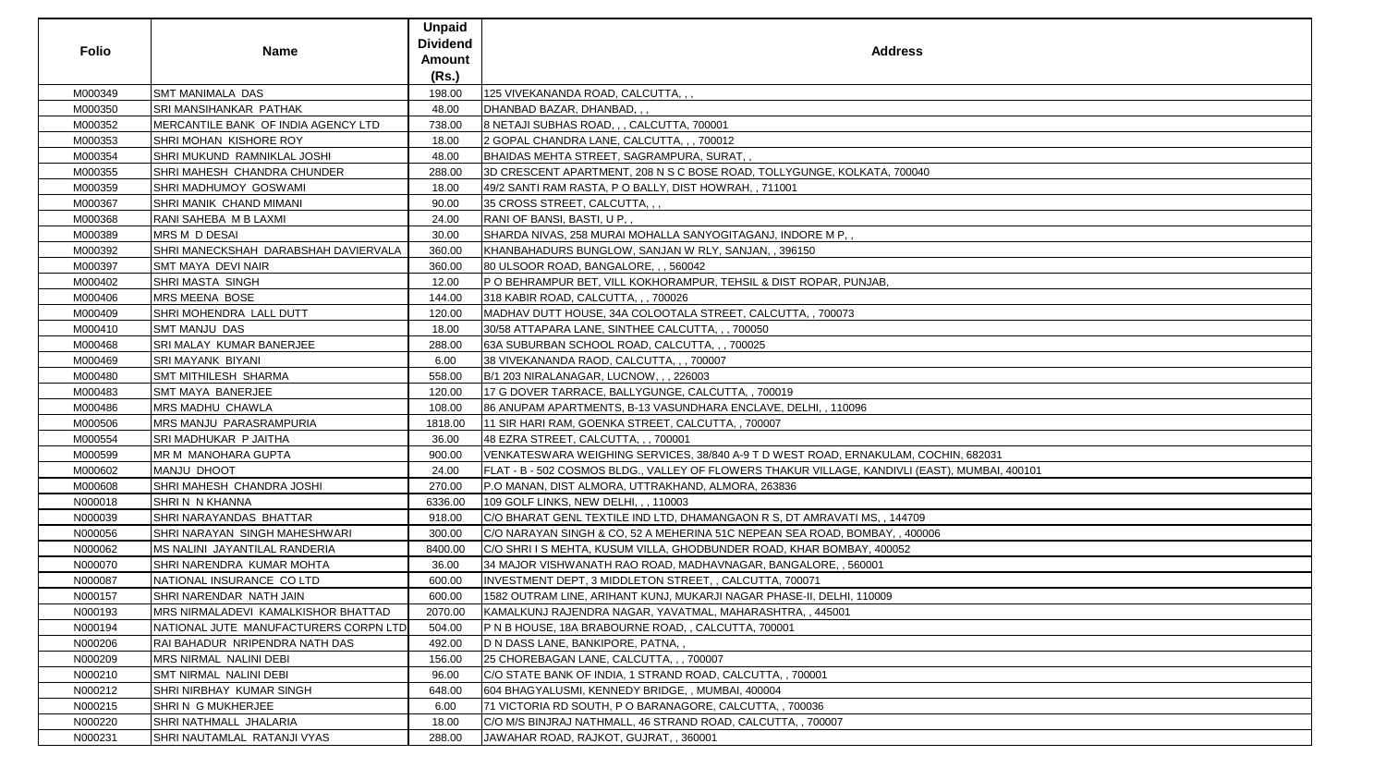| M000349<br><b>SMT MANIMALA DAS</b><br>198.00<br>125 VIVEKANANDA ROAD, CALCUTTA, , ,<br>SRI MANSIHANKAR PATHAK<br>M000350<br>48.00<br>DHANBAD BAZAR, DHANBAD, , ,<br>MERCANTILE BANK OF INDIA AGENCY LTD<br>8 NETAJI SUBHAS ROAD, , , CALCUTTA, 700001<br>M000352<br>738.00<br>SHRI MOHAN KISHORE ROY<br>M000353<br>18.00<br>2 GOPAL CHANDRA LANE, CALCUTTA, , , 700012<br>M000354<br>SHRI MUKUND RAMNIKLAL JOSHI<br>48.00<br>BHAIDAS MEHTA STREET, SAGRAMPURA, SURAT, ,<br>SHRI MAHESH CHANDRA CHUNDER<br>288.00<br>3D CRESCENT APARTMENT, 208 N S C BOSE ROAD, TOLLYGUNGE, KOLKATA, 700040<br>M000355<br>M000359<br>SHRI MADHUMOY GOSWAMI<br>49/2 SANTI RAM RASTA, P O BALLY, DIST HOWRAH, , 711001<br>18.00<br>SHRI MANIK CHAND MIMANI<br>35 CROSS STREET, CALCUTTA, , ,<br>M000367<br>90.00<br>M000368<br>RANI SAHEBA M B LAXMI<br>RANI OF BANSI, BASTI, U P,,<br>24.00<br>M000389<br>MRS M D DESAI<br>30.00<br>SHARDA NIVAS, 258 MURAI MOHALLA SANYOGITAGANJ, INDORE M P,,<br>SHRI MANECKSHAH DARABSHAH DAVIERVALA<br>M000392<br>360.00<br>KHANBAHADURS BUNGLOW, SANJAN W RLY, SANJAN, , 396150<br>M000397<br>SMT MAYA DEVI NAIR<br>80 ULSOOR ROAD, BANGALORE, , , 560042<br>360.00<br>M000402<br><b>SHRI MASTA SINGH</b><br>12.00<br>P O BEHRAMPUR BET, VILL KOKHORAMPUR, TEHSIL & DIST ROPAR, PUNJAB,<br>M000406<br><b>MRS MEENA BOSE</b><br>144.00<br>318 KABIR ROAD, CALCUTTA, , , 700026<br>SHRI MOHENDRA LALL DUTT<br>M000409<br>MADHAV DUTT HOUSE, 34A COLOOTALA STREET, CALCUTTA,, 700073<br>120.00<br>M000410<br><b>SMT MANJU DAS</b><br>18.00<br>30/58 ATTAPARA LANE, SINTHEE CALCUTTA, , , 700050<br>M000468<br>SRI MALAY KUMAR BANERJEE<br>63A SUBURBAN SCHOOL ROAD, CALCUTTA, , , 700025<br>288.00<br>M000469<br>SRI MAYANK BIYANI<br>6.00<br>38 VIVEKANANDA RAOD, CALCUTTA, , , 700007<br>M000480<br>SMT MITHILESH SHARMA<br>558.00<br>B/1 203 NIRALANAGAR, LUCNOW, , , 226003<br>SMT MAYA BANERJEE<br>17 G DOVER TARRACE, BALLYGUNGE, CALCUTTA, , 700019<br>M000483<br>120.00<br><b>MRS MADHU CHAWLA</b><br>86 ANUPAM APARTMENTS, B-13 VASUNDHARA ENCLAVE, DELHI, , 110096<br>M000486<br>108.00<br>MRS MANJU PARASRAMPURIA<br>M000506<br>11 SIR HARI RAM, GOENKA STREET, CALCUTTA, , 700007<br>1818.00<br>SRI MADHUKAR P JAITHA<br>M000554<br>36.00<br>48 EZRA STREET, CALCUTTA, , , 700001<br>MR M MANOHARA GUPTA<br>VENKATESWARA WEIGHING SERVICES, 38/840 A-9 T D WEST ROAD, ERNAKULAM, COCHIN, 682031<br>M000599<br>900.00<br>MANJU DHOOT<br>FLAT - B - 502 COSMOS BLDG., VALLEY OF FLOWERS THAKUR VILLAGE, KANDIVLI (EAST), MUMBAI, 400101<br>M000602<br>24.00<br>SHRI MAHESH CHANDRA JOSHI<br>M000608<br>P.O MANAN, DIST ALMORA, UTTRAKHAND, ALMORA, 263836<br>270.00<br>SHRIN N KHANNA<br>6336.00<br>109 GOLF LINKS, NEW DELHI, , , 110003<br>N000018<br>N000039<br>SHRI NARAYANDAS BHATTAR<br>918.00<br>C/O BHARAT GENL TEXTILE IND LTD, DHAMANGAON R S, DT AMRAVATI MS, , 144709<br>N000056<br>300.00<br>C/O NARAYAN SINGH & CO, 52 A MEHERINA 51C NEPEAN SEA ROAD, BOMBAY, , 400006<br>SHRI NARAYAN SINGH MAHESHWARI<br>N000062<br>MS NALINI JAYANTILAL RANDERIA<br>8400.00<br>C/O SHRI I S MEHTA, KUSUM VILLA, GHODBUNDER ROAD, KHAR BOMBAY, 400052<br>N000070<br>SHRI NARENDRA KUMAR MOHTA<br>36.00<br>34 MAJOR VISHWANATH RAO ROAD, MADHAVNAGAR, BANGALORE, , 560001<br>NATIONAL INSURANCE CO LTD<br>600.00<br>N000087<br>INVESTMENT DEPT, 3 MIDDLETON STREET, , CALCUTTA, 700071<br>N000157<br>SHRI NARENDAR NATH JAIN<br>600.00<br>1582 OUTRAM LINE, ARIHANT KUNJ, MUKARJI NAGAR PHASE-II, DELHI, 110009<br>N000193<br>MRS NIRMALADEVI KAMALKISHOR BHATTAD<br>2070.00<br>KAMALKUNJ RAJENDRA NAGAR, YAVATMAL, MAHARASHTRA, , 445001<br>N000194<br>NATIONAL JUTE MANUFACTURERS CORPN LTD<br>504.00<br>IP N B HOUSE, 18A BRABOURNE ROAD, , CALCUTTA, 700001<br>RAI BAHADUR NRIPENDRA NATH DAS<br>N000206<br>492.00<br>D N DASS LANE, BANKIPORE, PATNA,,<br>N000209<br>25 CHOREBAGAN LANE, CALCUTTA, , , 700007<br>MRS NIRMAL NALINI DEBI<br>156.00<br>N000210<br>SMT NIRMAL NALINI DEBI<br>96.00<br>C/O STATE BANK OF INDIA, 1 STRAND ROAD, CALCUTTA, , 700001<br>N000212<br>SHRI NIRBHAY KUMAR SINGH<br>648.00<br>604 BHAGYALUSMI, KENNEDY BRIDGE, , MUMBAI, 400004<br>N000215<br>SHRIN G MUKHERJEE<br>6.00<br>71 VICTORIA RD SOUTH, P O BARANAGORE, CALCUTTA, , 700036<br>N000220<br>SHRI NATHMALL JHALARIA<br>18.00<br>C/O M/S BINJRAJ NATHMALL, 46 STRAND ROAD, CALCUTTA, , 700007<br>N000231<br>SHRI NAUTAMLAL RATANJI VYAS<br>288.00<br>JAWAHAR ROAD, RAJKOT, GUJRAT, , 360001 | <b>Folio</b> | <b>Name</b> | <b>Unpaid</b><br><b>Dividend</b><br><b>Amount</b><br>(Rs.) | <b>Address</b> |
|---------------------------------------------------------------------------------------------------------------------------------------------------------------------------------------------------------------------------------------------------------------------------------------------------------------------------------------------------------------------------------------------------------------------------------------------------------------------------------------------------------------------------------------------------------------------------------------------------------------------------------------------------------------------------------------------------------------------------------------------------------------------------------------------------------------------------------------------------------------------------------------------------------------------------------------------------------------------------------------------------------------------------------------------------------------------------------------------------------------------------------------------------------------------------------------------------------------------------------------------------------------------------------------------------------------------------------------------------------------------------------------------------------------------------------------------------------------------------------------------------------------------------------------------------------------------------------------------------------------------------------------------------------------------------------------------------------------------------------------------------------------------------------------------------------------------------------------------------------------------------------------------------------------------------------------------------------------------------------------------------------------------------------------------------------------------------------------------------------------------------------------------------------------------------------------------------------------------------------------------------------------------------------------------------------------------------------------------------------------------------------------------------------------------------------------------------------------------------------------------------------------------------------------------------------------------------------------------------------------------------------------------------------------------------------------------------------------------------------------------------------------------------------------------------------------------------------------------------------------------------------------------------------------------------------------------------------------------------------------------------------------------------------------------------------------------------------------------------------------------------------------------------------------------------------------------------------------------------------------------------------------------------------------------------------------------------------------------------------------------------------------------------------------------------------------------------------------------------------------------------------------------------------------------------------------------------------------------------------------------------------------------------------------------------------------------------------------------------------------------------------------------------------------------------------------------------------------------------------------------------------------------------------------------------------------------------------------------------------------------------------------------------------------------------------------------------------------------------------------------------------------------------------------------------------------------------------------------------------------------------------------------------------------------------------------------------------------------------------------------------------------------------------------------------------------------------------------------------------------------------------------------|--------------|-------------|------------------------------------------------------------|----------------|
|                                                                                                                                                                                                                                                                                                                                                                                                                                                                                                                                                                                                                                                                                                                                                                                                                                                                                                                                                                                                                                                                                                                                                                                                                                                                                                                                                                                                                                                                                                                                                                                                                                                                                                                                                                                                                                                                                                                                                                                                                                                                                                                                                                                                                                                                                                                                                                                                                                                                                                                                                                                                                                                                                                                                                                                                                                                                                                                                                                                                                                                                                                                                                                                                                                                                                                                                                                                                                                                                                                                                                                                                                                                                                                                                                                                                                                                                                                                                                                                                                                                                                                                                                                                                                                                                                                                                                                                                                                                                                                                     |              |             |                                                            |                |
|                                                                                                                                                                                                                                                                                                                                                                                                                                                                                                                                                                                                                                                                                                                                                                                                                                                                                                                                                                                                                                                                                                                                                                                                                                                                                                                                                                                                                                                                                                                                                                                                                                                                                                                                                                                                                                                                                                                                                                                                                                                                                                                                                                                                                                                                                                                                                                                                                                                                                                                                                                                                                                                                                                                                                                                                                                                                                                                                                                                                                                                                                                                                                                                                                                                                                                                                                                                                                                                                                                                                                                                                                                                                                                                                                                                                                                                                                                                                                                                                                                                                                                                                                                                                                                                                                                                                                                                                                                                                                                                     |              |             |                                                            |                |
|                                                                                                                                                                                                                                                                                                                                                                                                                                                                                                                                                                                                                                                                                                                                                                                                                                                                                                                                                                                                                                                                                                                                                                                                                                                                                                                                                                                                                                                                                                                                                                                                                                                                                                                                                                                                                                                                                                                                                                                                                                                                                                                                                                                                                                                                                                                                                                                                                                                                                                                                                                                                                                                                                                                                                                                                                                                                                                                                                                                                                                                                                                                                                                                                                                                                                                                                                                                                                                                                                                                                                                                                                                                                                                                                                                                                                                                                                                                                                                                                                                                                                                                                                                                                                                                                                                                                                                                                                                                                                                                     |              |             |                                                            |                |
|                                                                                                                                                                                                                                                                                                                                                                                                                                                                                                                                                                                                                                                                                                                                                                                                                                                                                                                                                                                                                                                                                                                                                                                                                                                                                                                                                                                                                                                                                                                                                                                                                                                                                                                                                                                                                                                                                                                                                                                                                                                                                                                                                                                                                                                                                                                                                                                                                                                                                                                                                                                                                                                                                                                                                                                                                                                                                                                                                                                                                                                                                                                                                                                                                                                                                                                                                                                                                                                                                                                                                                                                                                                                                                                                                                                                                                                                                                                                                                                                                                                                                                                                                                                                                                                                                                                                                                                                                                                                                                                     |              |             |                                                            |                |
|                                                                                                                                                                                                                                                                                                                                                                                                                                                                                                                                                                                                                                                                                                                                                                                                                                                                                                                                                                                                                                                                                                                                                                                                                                                                                                                                                                                                                                                                                                                                                                                                                                                                                                                                                                                                                                                                                                                                                                                                                                                                                                                                                                                                                                                                                                                                                                                                                                                                                                                                                                                                                                                                                                                                                                                                                                                                                                                                                                                                                                                                                                                                                                                                                                                                                                                                                                                                                                                                                                                                                                                                                                                                                                                                                                                                                                                                                                                                                                                                                                                                                                                                                                                                                                                                                                                                                                                                                                                                                                                     |              |             |                                                            |                |
|                                                                                                                                                                                                                                                                                                                                                                                                                                                                                                                                                                                                                                                                                                                                                                                                                                                                                                                                                                                                                                                                                                                                                                                                                                                                                                                                                                                                                                                                                                                                                                                                                                                                                                                                                                                                                                                                                                                                                                                                                                                                                                                                                                                                                                                                                                                                                                                                                                                                                                                                                                                                                                                                                                                                                                                                                                                                                                                                                                                                                                                                                                                                                                                                                                                                                                                                                                                                                                                                                                                                                                                                                                                                                                                                                                                                                                                                                                                                                                                                                                                                                                                                                                                                                                                                                                                                                                                                                                                                                                                     |              |             |                                                            |                |
|                                                                                                                                                                                                                                                                                                                                                                                                                                                                                                                                                                                                                                                                                                                                                                                                                                                                                                                                                                                                                                                                                                                                                                                                                                                                                                                                                                                                                                                                                                                                                                                                                                                                                                                                                                                                                                                                                                                                                                                                                                                                                                                                                                                                                                                                                                                                                                                                                                                                                                                                                                                                                                                                                                                                                                                                                                                                                                                                                                                                                                                                                                                                                                                                                                                                                                                                                                                                                                                                                                                                                                                                                                                                                                                                                                                                                                                                                                                                                                                                                                                                                                                                                                                                                                                                                                                                                                                                                                                                                                                     |              |             |                                                            |                |
|                                                                                                                                                                                                                                                                                                                                                                                                                                                                                                                                                                                                                                                                                                                                                                                                                                                                                                                                                                                                                                                                                                                                                                                                                                                                                                                                                                                                                                                                                                                                                                                                                                                                                                                                                                                                                                                                                                                                                                                                                                                                                                                                                                                                                                                                                                                                                                                                                                                                                                                                                                                                                                                                                                                                                                                                                                                                                                                                                                                                                                                                                                                                                                                                                                                                                                                                                                                                                                                                                                                                                                                                                                                                                                                                                                                                                                                                                                                                                                                                                                                                                                                                                                                                                                                                                                                                                                                                                                                                                                                     |              |             |                                                            |                |
|                                                                                                                                                                                                                                                                                                                                                                                                                                                                                                                                                                                                                                                                                                                                                                                                                                                                                                                                                                                                                                                                                                                                                                                                                                                                                                                                                                                                                                                                                                                                                                                                                                                                                                                                                                                                                                                                                                                                                                                                                                                                                                                                                                                                                                                                                                                                                                                                                                                                                                                                                                                                                                                                                                                                                                                                                                                                                                                                                                                                                                                                                                                                                                                                                                                                                                                                                                                                                                                                                                                                                                                                                                                                                                                                                                                                                                                                                                                                                                                                                                                                                                                                                                                                                                                                                                                                                                                                                                                                                                                     |              |             |                                                            |                |
|                                                                                                                                                                                                                                                                                                                                                                                                                                                                                                                                                                                                                                                                                                                                                                                                                                                                                                                                                                                                                                                                                                                                                                                                                                                                                                                                                                                                                                                                                                                                                                                                                                                                                                                                                                                                                                                                                                                                                                                                                                                                                                                                                                                                                                                                                                                                                                                                                                                                                                                                                                                                                                                                                                                                                                                                                                                                                                                                                                                                                                                                                                                                                                                                                                                                                                                                                                                                                                                                                                                                                                                                                                                                                                                                                                                                                                                                                                                                                                                                                                                                                                                                                                                                                                                                                                                                                                                                                                                                                                                     |              |             |                                                            |                |
|                                                                                                                                                                                                                                                                                                                                                                                                                                                                                                                                                                                                                                                                                                                                                                                                                                                                                                                                                                                                                                                                                                                                                                                                                                                                                                                                                                                                                                                                                                                                                                                                                                                                                                                                                                                                                                                                                                                                                                                                                                                                                                                                                                                                                                                                                                                                                                                                                                                                                                                                                                                                                                                                                                                                                                                                                                                                                                                                                                                                                                                                                                                                                                                                                                                                                                                                                                                                                                                                                                                                                                                                                                                                                                                                                                                                                                                                                                                                                                                                                                                                                                                                                                                                                                                                                                                                                                                                                                                                                                                     |              |             |                                                            |                |
|                                                                                                                                                                                                                                                                                                                                                                                                                                                                                                                                                                                                                                                                                                                                                                                                                                                                                                                                                                                                                                                                                                                                                                                                                                                                                                                                                                                                                                                                                                                                                                                                                                                                                                                                                                                                                                                                                                                                                                                                                                                                                                                                                                                                                                                                                                                                                                                                                                                                                                                                                                                                                                                                                                                                                                                                                                                                                                                                                                                                                                                                                                                                                                                                                                                                                                                                                                                                                                                                                                                                                                                                                                                                                                                                                                                                                                                                                                                                                                                                                                                                                                                                                                                                                                                                                                                                                                                                                                                                                                                     |              |             |                                                            |                |
|                                                                                                                                                                                                                                                                                                                                                                                                                                                                                                                                                                                                                                                                                                                                                                                                                                                                                                                                                                                                                                                                                                                                                                                                                                                                                                                                                                                                                                                                                                                                                                                                                                                                                                                                                                                                                                                                                                                                                                                                                                                                                                                                                                                                                                                                                                                                                                                                                                                                                                                                                                                                                                                                                                                                                                                                                                                                                                                                                                                                                                                                                                                                                                                                                                                                                                                                                                                                                                                                                                                                                                                                                                                                                                                                                                                                                                                                                                                                                                                                                                                                                                                                                                                                                                                                                                                                                                                                                                                                                                                     |              |             |                                                            |                |
|                                                                                                                                                                                                                                                                                                                                                                                                                                                                                                                                                                                                                                                                                                                                                                                                                                                                                                                                                                                                                                                                                                                                                                                                                                                                                                                                                                                                                                                                                                                                                                                                                                                                                                                                                                                                                                                                                                                                                                                                                                                                                                                                                                                                                                                                                                                                                                                                                                                                                                                                                                                                                                                                                                                                                                                                                                                                                                                                                                                                                                                                                                                                                                                                                                                                                                                                                                                                                                                                                                                                                                                                                                                                                                                                                                                                                                                                                                                                                                                                                                                                                                                                                                                                                                                                                                                                                                                                                                                                                                                     |              |             |                                                            |                |
|                                                                                                                                                                                                                                                                                                                                                                                                                                                                                                                                                                                                                                                                                                                                                                                                                                                                                                                                                                                                                                                                                                                                                                                                                                                                                                                                                                                                                                                                                                                                                                                                                                                                                                                                                                                                                                                                                                                                                                                                                                                                                                                                                                                                                                                                                                                                                                                                                                                                                                                                                                                                                                                                                                                                                                                                                                                                                                                                                                                                                                                                                                                                                                                                                                                                                                                                                                                                                                                                                                                                                                                                                                                                                                                                                                                                                                                                                                                                                                                                                                                                                                                                                                                                                                                                                                                                                                                                                                                                                                                     |              |             |                                                            |                |
|                                                                                                                                                                                                                                                                                                                                                                                                                                                                                                                                                                                                                                                                                                                                                                                                                                                                                                                                                                                                                                                                                                                                                                                                                                                                                                                                                                                                                                                                                                                                                                                                                                                                                                                                                                                                                                                                                                                                                                                                                                                                                                                                                                                                                                                                                                                                                                                                                                                                                                                                                                                                                                                                                                                                                                                                                                                                                                                                                                                                                                                                                                                                                                                                                                                                                                                                                                                                                                                                                                                                                                                                                                                                                                                                                                                                                                                                                                                                                                                                                                                                                                                                                                                                                                                                                                                                                                                                                                                                                                                     |              |             |                                                            |                |
|                                                                                                                                                                                                                                                                                                                                                                                                                                                                                                                                                                                                                                                                                                                                                                                                                                                                                                                                                                                                                                                                                                                                                                                                                                                                                                                                                                                                                                                                                                                                                                                                                                                                                                                                                                                                                                                                                                                                                                                                                                                                                                                                                                                                                                                                                                                                                                                                                                                                                                                                                                                                                                                                                                                                                                                                                                                                                                                                                                                                                                                                                                                                                                                                                                                                                                                                                                                                                                                                                                                                                                                                                                                                                                                                                                                                                                                                                                                                                                                                                                                                                                                                                                                                                                                                                                                                                                                                                                                                                                                     |              |             |                                                            |                |
|                                                                                                                                                                                                                                                                                                                                                                                                                                                                                                                                                                                                                                                                                                                                                                                                                                                                                                                                                                                                                                                                                                                                                                                                                                                                                                                                                                                                                                                                                                                                                                                                                                                                                                                                                                                                                                                                                                                                                                                                                                                                                                                                                                                                                                                                                                                                                                                                                                                                                                                                                                                                                                                                                                                                                                                                                                                                                                                                                                                                                                                                                                                                                                                                                                                                                                                                                                                                                                                                                                                                                                                                                                                                                                                                                                                                                                                                                                                                                                                                                                                                                                                                                                                                                                                                                                                                                                                                                                                                                                                     |              |             |                                                            |                |
|                                                                                                                                                                                                                                                                                                                                                                                                                                                                                                                                                                                                                                                                                                                                                                                                                                                                                                                                                                                                                                                                                                                                                                                                                                                                                                                                                                                                                                                                                                                                                                                                                                                                                                                                                                                                                                                                                                                                                                                                                                                                                                                                                                                                                                                                                                                                                                                                                                                                                                                                                                                                                                                                                                                                                                                                                                                                                                                                                                                                                                                                                                                                                                                                                                                                                                                                                                                                                                                                                                                                                                                                                                                                                                                                                                                                                                                                                                                                                                                                                                                                                                                                                                                                                                                                                                                                                                                                                                                                                                                     |              |             |                                                            |                |
|                                                                                                                                                                                                                                                                                                                                                                                                                                                                                                                                                                                                                                                                                                                                                                                                                                                                                                                                                                                                                                                                                                                                                                                                                                                                                                                                                                                                                                                                                                                                                                                                                                                                                                                                                                                                                                                                                                                                                                                                                                                                                                                                                                                                                                                                                                                                                                                                                                                                                                                                                                                                                                                                                                                                                                                                                                                                                                                                                                                                                                                                                                                                                                                                                                                                                                                                                                                                                                                                                                                                                                                                                                                                                                                                                                                                                                                                                                                                                                                                                                                                                                                                                                                                                                                                                                                                                                                                                                                                                                                     |              |             |                                                            |                |
|                                                                                                                                                                                                                                                                                                                                                                                                                                                                                                                                                                                                                                                                                                                                                                                                                                                                                                                                                                                                                                                                                                                                                                                                                                                                                                                                                                                                                                                                                                                                                                                                                                                                                                                                                                                                                                                                                                                                                                                                                                                                                                                                                                                                                                                                                                                                                                                                                                                                                                                                                                                                                                                                                                                                                                                                                                                                                                                                                                                                                                                                                                                                                                                                                                                                                                                                                                                                                                                                                                                                                                                                                                                                                                                                                                                                                                                                                                                                                                                                                                                                                                                                                                                                                                                                                                                                                                                                                                                                                                                     |              |             |                                                            |                |
|                                                                                                                                                                                                                                                                                                                                                                                                                                                                                                                                                                                                                                                                                                                                                                                                                                                                                                                                                                                                                                                                                                                                                                                                                                                                                                                                                                                                                                                                                                                                                                                                                                                                                                                                                                                                                                                                                                                                                                                                                                                                                                                                                                                                                                                                                                                                                                                                                                                                                                                                                                                                                                                                                                                                                                                                                                                                                                                                                                                                                                                                                                                                                                                                                                                                                                                                                                                                                                                                                                                                                                                                                                                                                                                                                                                                                                                                                                                                                                                                                                                                                                                                                                                                                                                                                                                                                                                                                                                                                                                     |              |             |                                                            |                |
|                                                                                                                                                                                                                                                                                                                                                                                                                                                                                                                                                                                                                                                                                                                                                                                                                                                                                                                                                                                                                                                                                                                                                                                                                                                                                                                                                                                                                                                                                                                                                                                                                                                                                                                                                                                                                                                                                                                                                                                                                                                                                                                                                                                                                                                                                                                                                                                                                                                                                                                                                                                                                                                                                                                                                                                                                                                                                                                                                                                                                                                                                                                                                                                                                                                                                                                                                                                                                                                                                                                                                                                                                                                                                                                                                                                                                                                                                                                                                                                                                                                                                                                                                                                                                                                                                                                                                                                                                                                                                                                     |              |             |                                                            |                |
|                                                                                                                                                                                                                                                                                                                                                                                                                                                                                                                                                                                                                                                                                                                                                                                                                                                                                                                                                                                                                                                                                                                                                                                                                                                                                                                                                                                                                                                                                                                                                                                                                                                                                                                                                                                                                                                                                                                                                                                                                                                                                                                                                                                                                                                                                                                                                                                                                                                                                                                                                                                                                                                                                                                                                                                                                                                                                                                                                                                                                                                                                                                                                                                                                                                                                                                                                                                                                                                                                                                                                                                                                                                                                                                                                                                                                                                                                                                                                                                                                                                                                                                                                                                                                                                                                                                                                                                                                                                                                                                     |              |             |                                                            |                |
|                                                                                                                                                                                                                                                                                                                                                                                                                                                                                                                                                                                                                                                                                                                                                                                                                                                                                                                                                                                                                                                                                                                                                                                                                                                                                                                                                                                                                                                                                                                                                                                                                                                                                                                                                                                                                                                                                                                                                                                                                                                                                                                                                                                                                                                                                                                                                                                                                                                                                                                                                                                                                                                                                                                                                                                                                                                                                                                                                                                                                                                                                                                                                                                                                                                                                                                                                                                                                                                                                                                                                                                                                                                                                                                                                                                                                                                                                                                                                                                                                                                                                                                                                                                                                                                                                                                                                                                                                                                                                                                     |              |             |                                                            |                |
|                                                                                                                                                                                                                                                                                                                                                                                                                                                                                                                                                                                                                                                                                                                                                                                                                                                                                                                                                                                                                                                                                                                                                                                                                                                                                                                                                                                                                                                                                                                                                                                                                                                                                                                                                                                                                                                                                                                                                                                                                                                                                                                                                                                                                                                                                                                                                                                                                                                                                                                                                                                                                                                                                                                                                                                                                                                                                                                                                                                                                                                                                                                                                                                                                                                                                                                                                                                                                                                                                                                                                                                                                                                                                                                                                                                                                                                                                                                                                                                                                                                                                                                                                                                                                                                                                                                                                                                                                                                                                                                     |              |             |                                                            |                |
|                                                                                                                                                                                                                                                                                                                                                                                                                                                                                                                                                                                                                                                                                                                                                                                                                                                                                                                                                                                                                                                                                                                                                                                                                                                                                                                                                                                                                                                                                                                                                                                                                                                                                                                                                                                                                                                                                                                                                                                                                                                                                                                                                                                                                                                                                                                                                                                                                                                                                                                                                                                                                                                                                                                                                                                                                                                                                                                                                                                                                                                                                                                                                                                                                                                                                                                                                                                                                                                                                                                                                                                                                                                                                                                                                                                                                                                                                                                                                                                                                                                                                                                                                                                                                                                                                                                                                                                                                                                                                                                     |              |             |                                                            |                |
|                                                                                                                                                                                                                                                                                                                                                                                                                                                                                                                                                                                                                                                                                                                                                                                                                                                                                                                                                                                                                                                                                                                                                                                                                                                                                                                                                                                                                                                                                                                                                                                                                                                                                                                                                                                                                                                                                                                                                                                                                                                                                                                                                                                                                                                                                                                                                                                                                                                                                                                                                                                                                                                                                                                                                                                                                                                                                                                                                                                                                                                                                                                                                                                                                                                                                                                                                                                                                                                                                                                                                                                                                                                                                                                                                                                                                                                                                                                                                                                                                                                                                                                                                                                                                                                                                                                                                                                                                                                                                                                     |              |             |                                                            |                |
|                                                                                                                                                                                                                                                                                                                                                                                                                                                                                                                                                                                                                                                                                                                                                                                                                                                                                                                                                                                                                                                                                                                                                                                                                                                                                                                                                                                                                                                                                                                                                                                                                                                                                                                                                                                                                                                                                                                                                                                                                                                                                                                                                                                                                                                                                                                                                                                                                                                                                                                                                                                                                                                                                                                                                                                                                                                                                                                                                                                                                                                                                                                                                                                                                                                                                                                                                                                                                                                                                                                                                                                                                                                                                                                                                                                                                                                                                                                                                                                                                                                                                                                                                                                                                                                                                                                                                                                                                                                                                                                     |              |             |                                                            |                |
|                                                                                                                                                                                                                                                                                                                                                                                                                                                                                                                                                                                                                                                                                                                                                                                                                                                                                                                                                                                                                                                                                                                                                                                                                                                                                                                                                                                                                                                                                                                                                                                                                                                                                                                                                                                                                                                                                                                                                                                                                                                                                                                                                                                                                                                                                                                                                                                                                                                                                                                                                                                                                                                                                                                                                                                                                                                                                                                                                                                                                                                                                                                                                                                                                                                                                                                                                                                                                                                                                                                                                                                                                                                                                                                                                                                                                                                                                                                                                                                                                                                                                                                                                                                                                                                                                                                                                                                                                                                                                                                     |              |             |                                                            |                |
|                                                                                                                                                                                                                                                                                                                                                                                                                                                                                                                                                                                                                                                                                                                                                                                                                                                                                                                                                                                                                                                                                                                                                                                                                                                                                                                                                                                                                                                                                                                                                                                                                                                                                                                                                                                                                                                                                                                                                                                                                                                                                                                                                                                                                                                                                                                                                                                                                                                                                                                                                                                                                                                                                                                                                                                                                                                                                                                                                                                                                                                                                                                                                                                                                                                                                                                                                                                                                                                                                                                                                                                                                                                                                                                                                                                                                                                                                                                                                                                                                                                                                                                                                                                                                                                                                                                                                                                                                                                                                                                     |              |             |                                                            |                |
|                                                                                                                                                                                                                                                                                                                                                                                                                                                                                                                                                                                                                                                                                                                                                                                                                                                                                                                                                                                                                                                                                                                                                                                                                                                                                                                                                                                                                                                                                                                                                                                                                                                                                                                                                                                                                                                                                                                                                                                                                                                                                                                                                                                                                                                                                                                                                                                                                                                                                                                                                                                                                                                                                                                                                                                                                                                                                                                                                                                                                                                                                                                                                                                                                                                                                                                                                                                                                                                                                                                                                                                                                                                                                                                                                                                                                                                                                                                                                                                                                                                                                                                                                                                                                                                                                                                                                                                                                                                                                                                     |              |             |                                                            |                |
|                                                                                                                                                                                                                                                                                                                                                                                                                                                                                                                                                                                                                                                                                                                                                                                                                                                                                                                                                                                                                                                                                                                                                                                                                                                                                                                                                                                                                                                                                                                                                                                                                                                                                                                                                                                                                                                                                                                                                                                                                                                                                                                                                                                                                                                                                                                                                                                                                                                                                                                                                                                                                                                                                                                                                                                                                                                                                                                                                                                                                                                                                                                                                                                                                                                                                                                                                                                                                                                                                                                                                                                                                                                                                                                                                                                                                                                                                                                                                                                                                                                                                                                                                                                                                                                                                                                                                                                                                                                                                                                     |              |             |                                                            |                |
|                                                                                                                                                                                                                                                                                                                                                                                                                                                                                                                                                                                                                                                                                                                                                                                                                                                                                                                                                                                                                                                                                                                                                                                                                                                                                                                                                                                                                                                                                                                                                                                                                                                                                                                                                                                                                                                                                                                                                                                                                                                                                                                                                                                                                                                                                                                                                                                                                                                                                                                                                                                                                                                                                                                                                                                                                                                                                                                                                                                                                                                                                                                                                                                                                                                                                                                                                                                                                                                                                                                                                                                                                                                                                                                                                                                                                                                                                                                                                                                                                                                                                                                                                                                                                                                                                                                                                                                                                                                                                                                     |              |             |                                                            |                |
|                                                                                                                                                                                                                                                                                                                                                                                                                                                                                                                                                                                                                                                                                                                                                                                                                                                                                                                                                                                                                                                                                                                                                                                                                                                                                                                                                                                                                                                                                                                                                                                                                                                                                                                                                                                                                                                                                                                                                                                                                                                                                                                                                                                                                                                                                                                                                                                                                                                                                                                                                                                                                                                                                                                                                                                                                                                                                                                                                                                                                                                                                                                                                                                                                                                                                                                                                                                                                                                                                                                                                                                                                                                                                                                                                                                                                                                                                                                                                                                                                                                                                                                                                                                                                                                                                                                                                                                                                                                                                                                     |              |             |                                                            |                |
|                                                                                                                                                                                                                                                                                                                                                                                                                                                                                                                                                                                                                                                                                                                                                                                                                                                                                                                                                                                                                                                                                                                                                                                                                                                                                                                                                                                                                                                                                                                                                                                                                                                                                                                                                                                                                                                                                                                                                                                                                                                                                                                                                                                                                                                                                                                                                                                                                                                                                                                                                                                                                                                                                                                                                                                                                                                                                                                                                                                                                                                                                                                                                                                                                                                                                                                                                                                                                                                                                                                                                                                                                                                                                                                                                                                                                                                                                                                                                                                                                                                                                                                                                                                                                                                                                                                                                                                                                                                                                                                     |              |             |                                                            |                |
|                                                                                                                                                                                                                                                                                                                                                                                                                                                                                                                                                                                                                                                                                                                                                                                                                                                                                                                                                                                                                                                                                                                                                                                                                                                                                                                                                                                                                                                                                                                                                                                                                                                                                                                                                                                                                                                                                                                                                                                                                                                                                                                                                                                                                                                                                                                                                                                                                                                                                                                                                                                                                                                                                                                                                                                                                                                                                                                                                                                                                                                                                                                                                                                                                                                                                                                                                                                                                                                                                                                                                                                                                                                                                                                                                                                                                                                                                                                                                                                                                                                                                                                                                                                                                                                                                                                                                                                                                                                                                                                     |              |             |                                                            |                |
|                                                                                                                                                                                                                                                                                                                                                                                                                                                                                                                                                                                                                                                                                                                                                                                                                                                                                                                                                                                                                                                                                                                                                                                                                                                                                                                                                                                                                                                                                                                                                                                                                                                                                                                                                                                                                                                                                                                                                                                                                                                                                                                                                                                                                                                                                                                                                                                                                                                                                                                                                                                                                                                                                                                                                                                                                                                                                                                                                                                                                                                                                                                                                                                                                                                                                                                                                                                                                                                                                                                                                                                                                                                                                                                                                                                                                                                                                                                                                                                                                                                                                                                                                                                                                                                                                                                                                                                                                                                                                                                     |              |             |                                                            |                |
|                                                                                                                                                                                                                                                                                                                                                                                                                                                                                                                                                                                                                                                                                                                                                                                                                                                                                                                                                                                                                                                                                                                                                                                                                                                                                                                                                                                                                                                                                                                                                                                                                                                                                                                                                                                                                                                                                                                                                                                                                                                                                                                                                                                                                                                                                                                                                                                                                                                                                                                                                                                                                                                                                                                                                                                                                                                                                                                                                                                                                                                                                                                                                                                                                                                                                                                                                                                                                                                                                                                                                                                                                                                                                                                                                                                                                                                                                                                                                                                                                                                                                                                                                                                                                                                                                                                                                                                                                                                                                                                     |              |             |                                                            |                |
|                                                                                                                                                                                                                                                                                                                                                                                                                                                                                                                                                                                                                                                                                                                                                                                                                                                                                                                                                                                                                                                                                                                                                                                                                                                                                                                                                                                                                                                                                                                                                                                                                                                                                                                                                                                                                                                                                                                                                                                                                                                                                                                                                                                                                                                                                                                                                                                                                                                                                                                                                                                                                                                                                                                                                                                                                                                                                                                                                                                                                                                                                                                                                                                                                                                                                                                                                                                                                                                                                                                                                                                                                                                                                                                                                                                                                                                                                                                                                                                                                                                                                                                                                                                                                                                                                                                                                                                                                                                                                                                     |              |             |                                                            |                |
|                                                                                                                                                                                                                                                                                                                                                                                                                                                                                                                                                                                                                                                                                                                                                                                                                                                                                                                                                                                                                                                                                                                                                                                                                                                                                                                                                                                                                                                                                                                                                                                                                                                                                                                                                                                                                                                                                                                                                                                                                                                                                                                                                                                                                                                                                                                                                                                                                                                                                                                                                                                                                                                                                                                                                                                                                                                                                                                                                                                                                                                                                                                                                                                                                                                                                                                                                                                                                                                                                                                                                                                                                                                                                                                                                                                                                                                                                                                                                                                                                                                                                                                                                                                                                                                                                                                                                                                                                                                                                                                     |              |             |                                                            |                |
|                                                                                                                                                                                                                                                                                                                                                                                                                                                                                                                                                                                                                                                                                                                                                                                                                                                                                                                                                                                                                                                                                                                                                                                                                                                                                                                                                                                                                                                                                                                                                                                                                                                                                                                                                                                                                                                                                                                                                                                                                                                                                                                                                                                                                                                                                                                                                                                                                                                                                                                                                                                                                                                                                                                                                                                                                                                                                                                                                                                                                                                                                                                                                                                                                                                                                                                                                                                                                                                                                                                                                                                                                                                                                                                                                                                                                                                                                                                                                                                                                                                                                                                                                                                                                                                                                                                                                                                                                                                                                                                     |              |             |                                                            |                |

| CHIN, 682031        |
|---------------------|
| ST), MUMBAI, 400101 |
|                     |
|                     |
|                     |
|                     |
| 6                   |
|                     |
|                     |
|                     |
|                     |
|                     |
|                     |
|                     |
|                     |
|                     |
|                     |
|                     |
|                     |
|                     |
|                     |
|                     |
|                     |
|                     |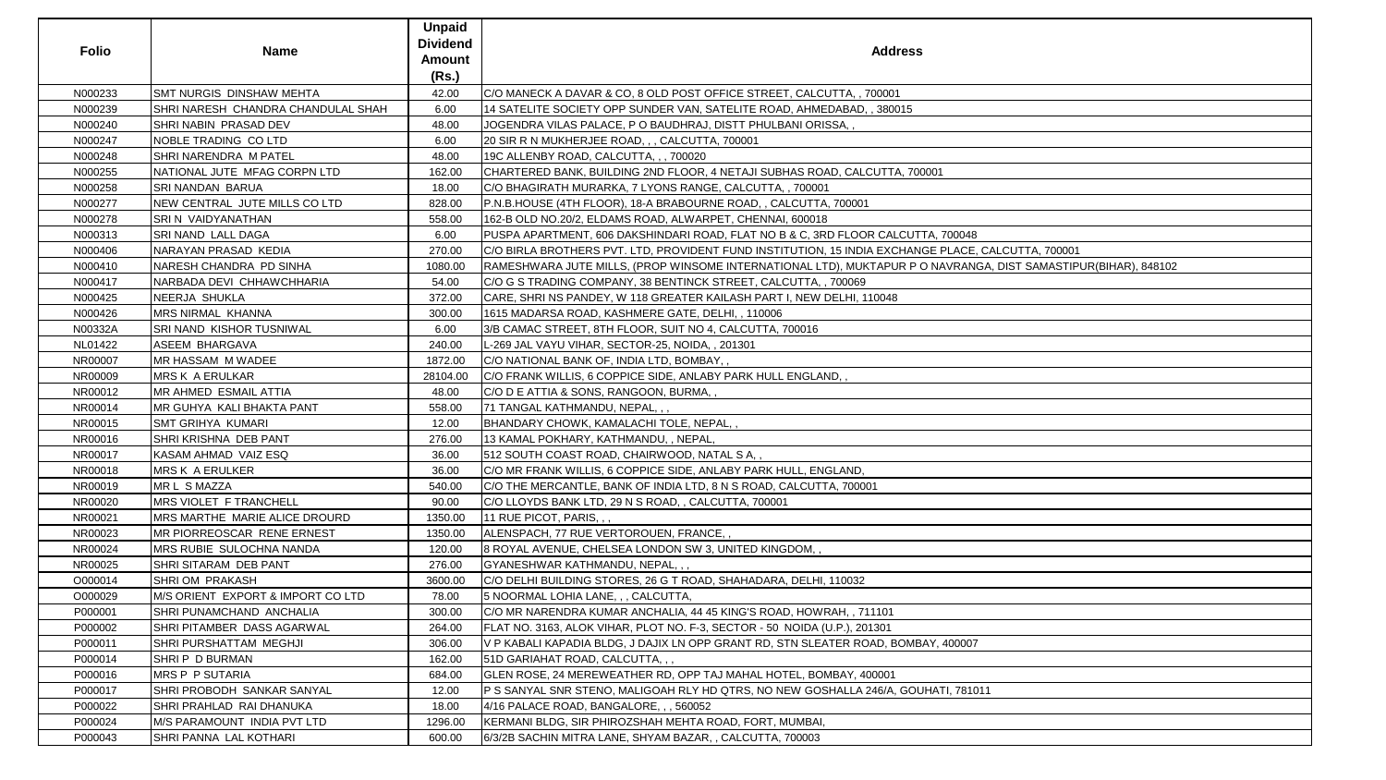| <b>Folio</b> | <b>Name</b>                        | <b>Unpaid</b><br><b>Dividend</b><br>Amount<br>(Rs.) | <b>Address</b>                                                                                                 |
|--------------|------------------------------------|-----------------------------------------------------|----------------------------------------------------------------------------------------------------------------|
| N000233      | SMT NURGIS DINSHAW MEHTA           | 42.00                                               | C/O MANECK A DAVAR & CO, 8 OLD POST OFFICE STREET, CALCUTTA, , 700001                                          |
| N000239      | SHRI NARESH CHANDRA CHANDULAL SHAH | 6.00                                                | 14 SATELITE SOCIETY OPP SUNDER VAN, SATELITE ROAD, AHMEDABAD, , 380015                                         |
| N000240      | SHRI NABIN PRASAD DEV              | 48.00                                               | JOGENDRA VILAS PALACE, P O BAUDHRAJ, DISTT PHULBANI ORISSA,,                                                   |
| N000247      | NOBLE TRADING CO LTD               | 6.00                                                | 20 SIR R N MUKHERJEE ROAD, , , CALCUTTA, 700001                                                                |
| N000248      | SHRI NARENDRA M PATEL              | 48.00                                               | 19C ALLENBY ROAD, CALCUTTA, , , 700020                                                                         |
| N000255      | NATIONAL JUTE MFAG CORPN LTD       | 162.00                                              | CHARTERED BANK, BUILDING 2ND FLOOR, 4 NETAJI SUBHAS ROAD, CALCUTTA, 700001                                     |
| N000258      | <b>SRI NANDAN BARUA</b>            | 18.00                                               | C/O BHAGIRATH MURARKA, 7 LYONS RANGE, CALCUTTA, , 700001                                                       |
| N000277      | NEW CENTRAL JUTE MILLS CO LTD      | 828.00                                              | P.N.B.HOUSE (4TH FLOOR), 18-A BRABOURNE ROAD, , CALCUTTA, 700001                                               |
| N000278      | SRI N VAIDYANATHAN                 | 558.00                                              | 162-B OLD NO.20/2, ELDAMS ROAD, ALWARPET, CHENNAI, 600018                                                      |
| N000313      | <b>SRI NAND LALL DAGA</b>          | 6.00                                                | PUSPA APARTMENT, 606 DAKSHINDARI ROAD, FLAT NO B & C, 3RD FLOOR CALCUTTA, 700048                               |
| N000406      | NARAYAN PRASAD KEDIA               | 270.00                                              | C/O BIRLA BROTHERS PVT. LTD, PROVIDENT FUND INSTITUTION, 15 INDIA EXCHANGE PLACE, CALCUTTA, 700001             |
| N000410      | NARESH CHANDRA PD SINHA            | 1080.00                                             | RAMESHWARA JUTE MILLS, (PROP WINSOME INTERNATIONAL LTD), MUKTAPUR P O NAVRANGA, DIST SAMASTIPUR(BIHAR), 848102 |
| N000417      | NARBADA DEVI CHHAWCHHARIA          | 54.00                                               | C/O G S TRADING COMPANY, 38 BENTINCK STREET, CALCUTTA, , 700069                                                |
| N000425      | NEERJA SHUKLA                      | 372.00                                              | CARE, SHRI NS PANDEY, W 118 GREATER KAILASH PART I, NEW DELHI, 110048                                          |
| N000426      | <b>MRS NIRMAL KHANNA</b>           | 300.00                                              | 1615 MADARSA ROAD, KASHMERE GATE, DELHI, , 110006                                                              |
| N00332A      | SRI NAND KISHOR TUSNIWAL           | 6.00                                                | 3/B CAMAC STREET, 8TH FLOOR, SUIT NO 4, CALCUTTA, 700016                                                       |
| NL01422      | <b>ASEEM BHARGAVA</b>              | 240.00                                              | L-269 JAL VAYU VIHAR, SECTOR-25, NOIDA,, 201301                                                                |
| NR00007      | <b>MR HASSAM M WADEE</b>           | 1872.00                                             | C/O NATIONAL BANK OF, INDIA LTD, BOMBAY,,                                                                      |
| NR00009      | <b>MRS K A ERULKAR</b>             | 28104.00                                            | C/O FRANK WILLIS, 6 COPPICE SIDE, ANLABY PARK HULL ENGLAND,,                                                   |
| NR00012      | <b>MR AHMED ESMAIL ATTIA</b>       | 48.00                                               | C/O D E ATTIA & SONS, RANGOON, BURMA, ,                                                                        |
| NR00014      | MR GUHYA KALI BHAKTA PANT          | 558.00                                              | 71 TANGAL KATHMANDU, NEPAL,,,                                                                                  |
| NR00015      | <b>SMT GRIHYA KUMARI</b>           | 12.00                                               | BHANDARY CHOWK, KAMALACHI TOLE, NEPAL,,                                                                        |
| NR00016      | SHRI KRISHNA DEB PANT              | 276.00                                              | 13 KAMAL POKHARY, KATHMANDU, , NEPAL,                                                                          |
| NR00017      | KASAM AHMAD VAIZ ESQ               | 36.00                                               | 512 SOUTH COAST ROAD, CHAIRWOOD, NATAL S A,,                                                                   |
| NR00018      | <b>MRS K A ERULKER</b>             | 36.00                                               | C/O MR FRANK WILLIS, 6 COPPICE SIDE, ANLABY PARK HULL, ENGLAND,                                                |
| NR00019      | MR L S MAZZA                       | 540.00                                              | C/O THE MERCANTLE, BANK OF INDIA LTD, 8 N S ROAD, CALCUTTA, 700001                                             |
| NR00020      | MRS VIOLET F TRANCHELL             | 90.00                                               | C/O LLOYDS BANK LTD, 29 N S ROAD, , CALCUTTA, 700001                                                           |
| NR00021      | MRS MARTHE MARIE ALICE DROURD      | 1350.00                                             | 11 RUE PICOT, PARIS, , ,                                                                                       |
| NR00023      | MR PIORREOSCAR RENE ERNEST         | 1350.00                                             | ALENSPACH, 77 RUE VERTOROUEN, FRANCE,                                                                          |
| NR00024      | MRS RUBIE SULOCHNA NANDA           | 120.00                                              | 8 ROYAL AVENUE, CHELSEA LONDON SW 3, UNITED KINGDOM, ,                                                         |
| NR00025      | SHRI SITARAM DEB PANT              | 276.00                                              | GYANESHWAR KATHMANDU, NEPAL,,,                                                                                 |
| O000014      | <b>SHRIOM PRAKASH</b>              | 3600.00                                             | C/O DELHI BUILDING STORES, 26 G T ROAD, SHAHADARA, DELHI, 110032                                               |
| O000029      | M/S ORIENT EXPORT & IMPORT CO LTD  | 78.00                                               | 5 NOORMAL LOHIA LANE, , , CALCUTTA,                                                                            |
| P000001      | SHRI PUNAMCHAND ANCHALIA           | 300.00                                              | C/O MR NARENDRA KUMAR ANCHALIA, 44 45 KING'S ROAD, HOWRAH, , 711101                                            |
| P000002      | SHRI PITAMBER DASS AGARWAL         | 264.00                                              | FLAT NO. 3163, ALOK VIHAR, PLOT NO. F-3, SECTOR - 50  NOIDA (U.P.), 201301                                     |
| P000011      | <b>SHRI PURSHATTAM MEGHJI</b>      | 306.00                                              | V P KABALI KAPADIA BLDG, J DAJIX LN OPP GRANT RD, STN SLEATER ROAD, BOMBAY, 400007                             |
| P000014      | SHRIP D BURMAN                     | 162.00                                              | 51D GARIAHAT ROAD, CALCUTTA,,,                                                                                 |
| P000016      | <b>MRS P P SUTARIA</b>             | 684.00                                              | GLEN ROSE, 24 MEREWEATHER RD, OPP TAJ MAHAL HOTEL, BOMBAY, 400001                                              |
| P000017      | SHRI PROBODH SANKAR SANYAL         | 12.00                                               | P S SANYAL SNR STENO, MALIGOAH RLY HD QTRS, NO NEW GOSHALLA 246/A, GOUHATI, 781011                             |
| P000022      | SHRI PRAHLAD RAI DHANUKA           | 18.00                                               | 4/16 PALACE ROAD, BANGALORE, , , 560052                                                                        |
| P000024      | M/S PARAMOUNT INDIA PVT LTD        | 1296.00                                             | KERMANI BLDG, SIR PHIROZSHAH MEHTA ROAD, FORT, MUMBAI,                                                         |
| P000043      | SHRI PANNA LAL KOTHARI             | 600.00                                              | 6/3/2B SACHIN MITRA LANE, SHYAM BAZAR, , CALCUTTA, 700003                                                      |

| 1                                        |  |
|------------------------------------------|--|
|                                          |  |
|                                          |  |
|                                          |  |
|                                          |  |
|                                          |  |
| 700048                                   |  |
|                                          |  |
| PLACE, CALCUTTA, 700001                  |  |
| IAVRANGA, DIST SAMASTIPUR(BIHAR), 848102 |  |
|                                          |  |
|                                          |  |
|                                          |  |
|                                          |  |
|                                          |  |
|                                          |  |
|                                          |  |
|                                          |  |
|                                          |  |
|                                          |  |
|                                          |  |
|                                          |  |
|                                          |  |
|                                          |  |
|                                          |  |
|                                          |  |
|                                          |  |
|                                          |  |
|                                          |  |
|                                          |  |
|                                          |  |
|                                          |  |
|                                          |  |
|                                          |  |
|                                          |  |
|                                          |  |
|                                          |  |
|                                          |  |
|                                          |  |
|                                          |  |
|                                          |  |
|                                          |  |
|                                          |  |
|                                          |  |
|                                          |  |
| ,400007                                  |  |
|                                          |  |
|                                          |  |
|                                          |  |
|                                          |  |
| TI, 781011                               |  |
|                                          |  |
|                                          |  |
|                                          |  |
|                                          |  |
|                                          |  |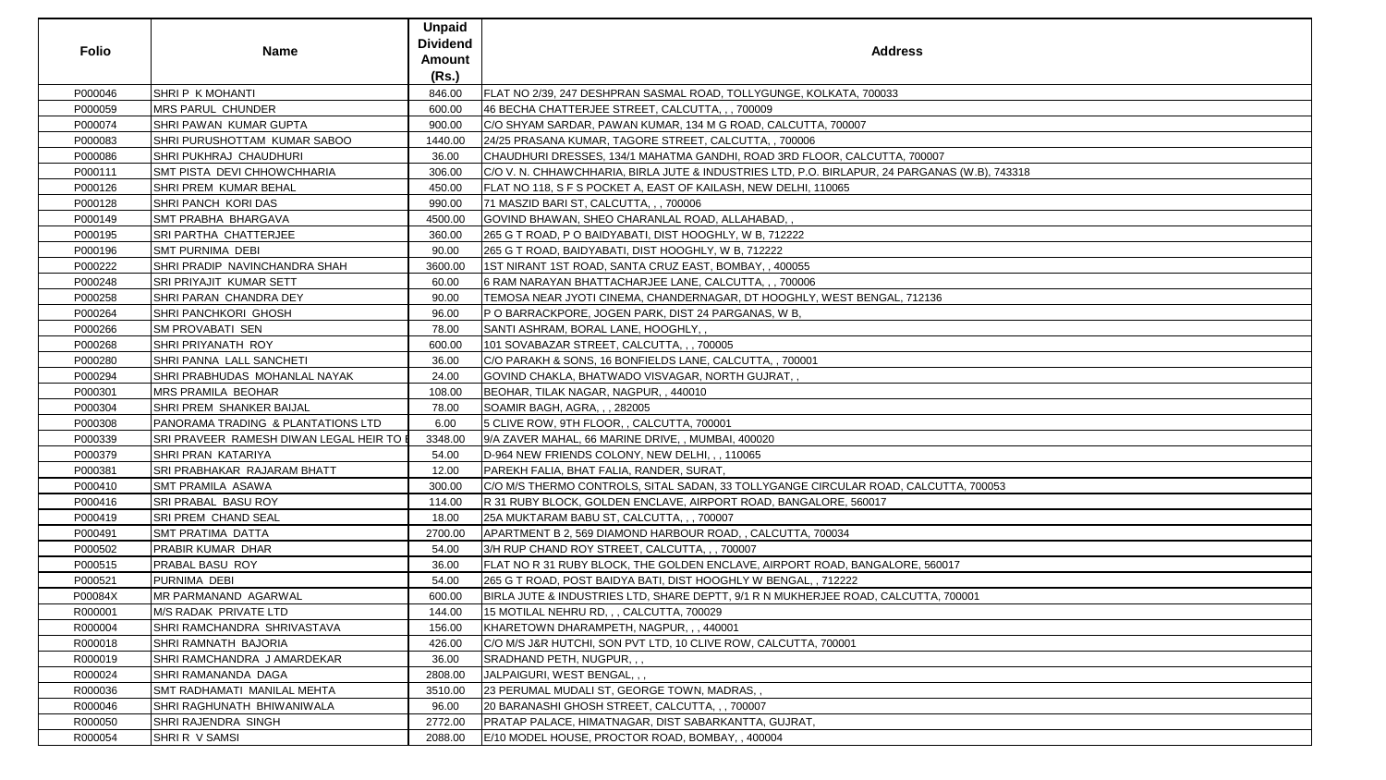| <b>Folio</b> | <b>Name</b>                              | <b>Unpaid</b><br><b>Dividend</b><br><b>Amount</b><br>(Rs.) | <b>Address</b>                                                                                |
|--------------|------------------------------------------|------------------------------------------------------------|-----------------------------------------------------------------------------------------------|
| P000046      | <b>SHRIP K MOHANTI</b>                   | 846.00                                                     | FLAT NO 2/39, 247 DESHPRAN SASMAL ROAD, TOLLYGUNGE, KOLKATA, 700033                           |
| P000059      | <b>MRS PARUL CHUNDER</b>                 | 600.00                                                     | 46 BECHA CHATTERJEE STREET, CALCUTTA, , , 700009                                              |
| P000074      | SHRI PAWAN KUMAR GUPTA                   | 900.00                                                     | C/O SHYAM SARDAR, PAWAN KUMAR, 134 M G ROAD, CALCUTTA, 700007                                 |
| P000083      | SHRI PURUSHOTTAM KUMAR SABOO             | 1440.00                                                    | 24/25 PRASANA KUMAR, TAGORE STREET, CALCUTTA, , 700006                                        |
| P000086      | SHRI PUKHRAJ CHAUDHURI                   | 36.00                                                      | CHAUDHURI DRESSES, 134/1 MAHATMA GANDHI, ROAD 3RD FLOOR, CALCUTTA, 700007                     |
| P000111      | <b>SMT PISTA DEVI CHHOWCHHARIA</b>       | 306.00                                                     | C/O V. N. CHHAWCHHARIA, BIRLA JUTE & INDUSTRIES LTD, P.O. BIRLAPUR, 24 PARGANAS (W.B), 743318 |
| P000126      | <b>SHRI PREM KUMAR BEHAL</b>             | 450.00                                                     | FLAT NO 118, S F S POCKET A, EAST OF KAILASH, NEW DELHI, 110065                               |
| P000128      | <b>SHRI PANCH KORI DAS</b>               | 990.00                                                     | 71 MASZID BARI ST, CALCUTTA, , , 700006                                                       |
| P000149      | SMT PRABHA BHARGAVA                      | 4500.00                                                    | GOVIND BHAWAN, SHEO CHARANLAL ROAD, ALLAHABAD,                                                |
| P000195      | SRI PARTHA CHATTERJEE                    | 360.00                                                     | 265 G T ROAD, P O BAIDYABATI, DIST HOOGHLY, W B, 712222                                       |
| P000196      | <b>SMT PURNIMA DEBI</b>                  | 90.00                                                      | 265 G T ROAD, BAIDYABATI, DIST HOOGHLY, W B, 712222                                           |
| P000222      | SHRI PRADIP NAVINCHANDRA SHAH            | 3600.00                                                    | 1ST NIRANT 1ST ROAD, SANTA CRUZ EAST, BOMBAY, , 400055                                        |
| P000248      | <b>SRI PRIYAJIT KUMAR SETT</b>           | 60.00                                                      | 6 RAM NARAYAN BHATTACHARJEE LANE, CALCUTTA, , , 700006                                        |
| P000258      | SHRI PARAN CHANDRA DEY                   | 90.00                                                      | TEMOSA NEAR JYOTI CINEMA, CHANDERNAGAR, DT HOOGHLY, WEST BENGAL, 712136                       |
| P000264      | <b>SHRI PANCHKORI GHOSH</b>              | 96.00                                                      | P O BARRACKPORE, JOGEN PARK, DIST 24 PARGANAS, W B,                                           |
| P000266      | SM PROVABATI SEN                         | 78.00                                                      | SANTI ASHRAM, BORAL LANE, HOOGHLY,,                                                           |
| P000268      | SHRI PRIYANATH ROY                       | 600.00                                                     | 101 SOVABAZAR STREET, CALCUTTA, , , 700005                                                    |
| P000280      | SHRI PANNA LALL SANCHETI                 | 36.00                                                      | C/O PARAKH & SONS, 16 BONFIELDS LANE, CALCUTTA,, 700001                                       |
| P000294      | SHRI PRABHUDAS MOHANLAL NAYAK            | 24.00                                                      | GOVIND CHAKLA, BHATWADO VISVAGAR, NORTH GUJRAT,,                                              |
| P000301      | <b>MRS PRAMILA BEOHAR</b>                | 108.00                                                     | BEOHAR, TILAK NAGAR, NAGPUR, , 440010                                                         |
| P000304      | <b>SHRI PREM SHANKER BAIJAL</b>          | 78.00                                                      | SOAMIR BAGH, AGRA, , , 282005                                                                 |
| P000308      | PANORAMA TRADING & PLANTATIONS LTD       | 6.00                                                       | 5 CLIVE ROW, 9TH FLOOR, , CALCUTTA, 700001                                                    |
| P000339      | SRI PRAVEER RAMESH DIWAN LEGAL HEIR TO E | 3348.00                                                    | 9/A ZAVER MAHAL, 66 MARINE DRIVE, , MUMBAI, 400020                                            |
| P000379      | SHRI PRAN KATARIYA                       | 54.00                                                      | D-964 NEW FRIENDS COLONY, NEW DELHI, , , 110065                                               |
| P000381      | <b>SRI PRABHAKAR RAJARAM BHATT</b>       | 12.00                                                      | PAREKH FALIA, BHAT FALIA, RANDER, SURAT,                                                      |
| P000410      | <b>SMT PRAMILA ASAWA</b>                 | 300.00                                                     | C/O M/S THERMO CONTROLS, SITAL SADAN, 33 TOLLYGANGE CIRCULAR ROAD, CALCUTTA, 700053           |
| P000416      | SRI PRABAL BASU ROY                      | 114.00                                                     | R 31 RUBY BLOCK, GOLDEN ENCLAVE, AIRPORT ROAD, BANGALORE, 560017                              |
| P000419      | SRI PREM CHAND SEAL                      | 18.00                                                      | 25A MUKTARAM BABU ST, CALCUTTA, , , 700007                                                    |
| P000491      | <b>SMT PRATIMA DATTA</b>                 | 2700.00                                                    | APARTMENT B 2, 569 DIAMOND HARBOUR ROAD, , CALCUTTA, 700034                                   |
| P000502      | <b>PRABIR KUMAR DHAR</b>                 | 54.00                                                      | 3/H RUP CHAND ROY STREET, CALCUTTA, ,, 700007                                                 |
| P000515      | PRABAL BASU ROY                          | 36.00                                                      | FLAT NO R 31 RUBY BLOCK, THE GOLDEN ENCLAVE, AIRPORT ROAD, BANGALORE, 560017                  |
| P000521      | PURNIMA DEBI                             | 54.00                                                      | 265 G T ROAD, POST BAIDYA BATI, DIST HOOGHLY W BENGAL, , 712222                               |
| P00084X      | MR PARMANAND AGARWAL                     | 600.00                                                     | BIRLA JUTE & INDUSTRIES LTD, SHARE DEPTT, 9/1 R N MUKHERJEE ROAD, CALCUTTA, 700001            |
| R000001      | M/S RADAK PRIVATE LTD                    | 144.00                                                     | 15 MOTILAL NEHRU RD, , , CALCUTTA, 700029                                                     |
| R000004      | SHRI RAMCHANDRA SHRIVASTAVA              | 156.00                                                     | KHARETOWN DHARAMPETH, NAGPUR, ,, 440001                                                       |
| R000018      | SHRI RAMNATH BAJORIA                     | 426.00                                                     | C/O M/S J&R HUTCHI, SON PVT LTD, 10 CLIVE ROW, CALCUTTA, 700001                               |
| R000019      | SHRI RAMCHANDRA J AMARDEKAR              | 36.00                                                      | SRADHAND PETH, NUGPUR, , ,                                                                    |
| R000024      | SHRI RAMANANDA DAGA                      | 2808.00                                                    | JALPAIGURI, WEST BENGAL, , ,                                                                  |
| R000036      | SMT RADHAMATI MANILAL MEHTA              | 3510.00                                                    | [23 PERUMAL MUDALI ST, GEORGE TOWN, MADRAS,,                                                  |
| R000046      | SHRI RAGHUNATH BHIWANIWALA               | 96.00                                                      | 20 BARANASHI GHOSH STREET, CALCUTTA, , , 700007                                               |
| R000050      | SHRI RAJENDRA SINGH                      | 2772.00                                                    | PRATAP PALACE, HIMATNAGAR, DIST SABARKANTTA, GUJRAT,                                          |
| R000054      | SHRIR V SAMSI                            | 2088.00                                                    | E/10 MODEL HOUSE, PROCTOR ROAD, BOMBAY,, 400004                                               |

| SS                   |
|----------------------|
|                      |
|                      |
|                      |
| 700007               |
| RGANAS (W.B), 743318 |
|                      |
|                      |
|                      |
|                      |
| 12136                |
|                      |
|                      |
|                      |
|                      |
|                      |
|                      |
|                      |
| CALCUTTA, 700053     |
|                      |
|                      |
|                      |
| E, 560017            |
| UTTA, 700001         |
|                      |
|                      |
|                      |
|                      |
|                      |
|                      |
|                      |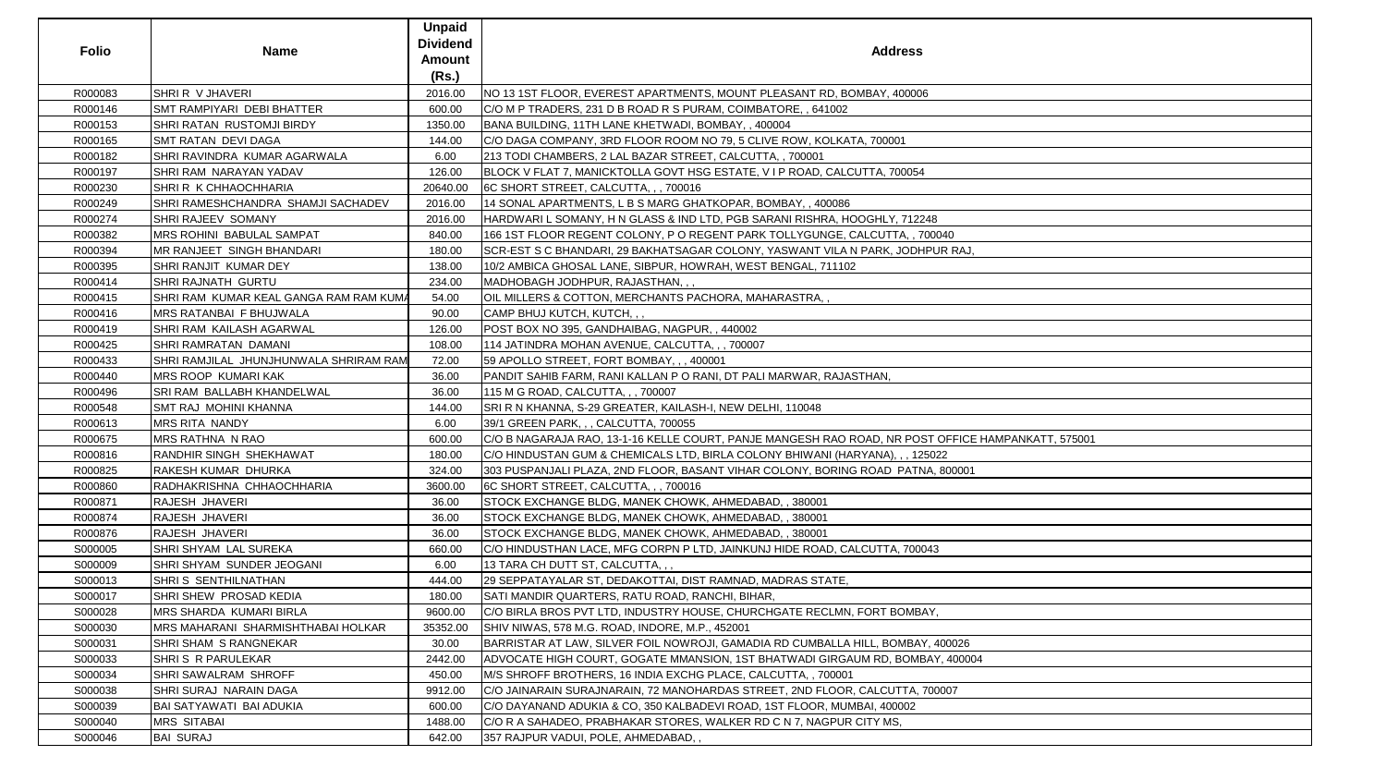| <b>Folio</b> | <b>Name</b>                               | <b>Unpaid</b><br><b>Dividend</b><br>Amount<br>(Rs.) | <b>Address</b>                                                                                     |
|--------------|-------------------------------------------|-----------------------------------------------------|----------------------------------------------------------------------------------------------------|
| R000083      | SHRIR V JHAVERI                           | 2016.00                                             | NO 13 1ST FLOOR, EVEREST APARTMENTS, MOUNT PLEASANT RD, BOMBAY, 400006                             |
| R000146      | SMT RAMPIYARI DEBI BHATTER                | 600.00                                              | C/O M P TRADERS, 231 D B ROAD R S PURAM, COIMBATORE, , 641002                                      |
| R000153      | SHRI RATAN RUSTOMJI BIRDY                 | 1350.00                                             | BANA BUILDING, 11TH LANE KHETWADI, BOMBAY,, 400004                                                 |
| R000165      | <b>SMT RATAN DEVI DAGA</b>                | 144.00                                              | C/O DAGA COMPANY, 3RD FLOOR ROOM NO 79, 5 CLIVE ROW, KOLKATA, 700001                               |
| R000182      | SHRI RAVINDRA KUMAR AGARWALA              | 6.00                                                | 213 TODI CHAMBERS, 2 LAL BAZAR STREET, CALCUTTA, , 700001                                          |
| R000197      | SHRI RAM NARAYAN YADAV                    | 126.00                                              | BLOCK V FLAT 7, MANICKTOLLA GOVT HSG ESTATE, V I P ROAD, CALCUTTA, 700054                          |
| R000230      | <b>SHRI R K CHHAOCHHARIA</b>              | 20640.00                                            | 6C SHORT STREET, CALCUTTA, , , 700016                                                              |
| R000249      | SHRI RAMESHCHANDRA SHAMJI SACHADEV        | 2016.00                                             | 14 SONAL APARTMENTS, L B S MARG GHATKOPAR, BOMBAY, , 400086                                        |
| R000274      | SHRI RAJEEV SOMANY                        | 2016.00                                             | HARDWARI L SOMANY, H N GLASS & IND LTD, PGB SARANI RISHRA, HOOGHLY, 712248                         |
| R000382      | <b>MRS ROHINI BABULAL SAMPAT</b>          | 840.00                                              | 166 1ST FLOOR REGENT COLONY, P O REGENT PARK TOLLYGUNGE, CALCUTTA, , 700040                        |
| R000394      | MR RANJEET SINGH BHANDARI                 | 180.00                                              | SCR-EST S C BHANDARI, 29 BAKHATSAGAR COLONY, YASWANT VILA N PARK, JODHPUR RAJ,                     |
| R000395      | SHRI RANJIT KUMAR DEY                     | 138.00                                              | 10/2 AMBICA GHOSAL LANE, SIBPUR, HOWRAH, WEST BENGAL, 711102                                       |
| R000414      | <b>SHRI RAJNATH GURTU</b>                 | 234.00                                              | MADHOBAGH JODHPUR, RAJASTHAN, , ,                                                                  |
| R000415      | SHRI RAM KUMAR KEAL GANGA RAM RAM KUMA    | 54.00                                               | OIL MILLERS & COTTON, MERCHANTS PACHORA, MAHARASTRA,                                               |
| R000416      | <b>MRS RATANBAI F BHUJWALA</b>            | 90.00                                               | CAMP BHUJ KUTCH, KUTCH, , ,                                                                        |
| R000419      | SHRI RAM KAILASH AGARWAL                  | 126.00                                              | POST BOX NO 395, GANDHAIBAG, NAGPUR,, 440002                                                       |
| R000425      | SHRI RAMRATAN DAMANI                      | 108.00                                              | 114 JATINDRA MOHAN AVENUE, CALCUTTA, , , 700007                                                    |
| R000433      | SHRI RAMJILAL JHUNJHUNWALA SHRIRAM RAM    | 72.00                                               | 59 APOLLO STREET, FORT BOMBAY, , , 400001                                                          |
| R000440      | <b>MRS ROOP KUMARI KAK</b>                | 36.00                                               | PANDIT SAHIB FARM, RANI KALLAN P O RANI, DT PALI MARWAR, RAJASTHAN,                                |
| R000496      | SRI RAM BALLABH KHANDELWAL                | 36.00                                               | 115 M G ROAD, CALCUTTA, , , 700007                                                                 |
| R000548      | SMT RAJ MOHINI KHANNA                     | 144.00                                              | SRI R N KHANNA, S-29 GREATER, KAILASH-I, NEW DELHI, 110048                                         |
| R000613      | <b>MRS RITA NANDY</b>                     | 6.00                                                | 39/1 GREEN PARK, , , CALCUTTA, 700055                                                              |
| R000675      | <b>MRS RATHNA N RAO</b>                   | 600.00                                              | C/O B NAGARAJA RAO, 13-1-16 KELLE COURT, PANJE MANGESH RAO ROAD, NR POST OFFICE HAMPANKATT, 575001 |
| R000816      | RANDHIR SINGH SHEKHAWAT                   | 180.00                                              | C/O HINDUSTAN GUM & CHEMICALS LTD, BIRLA COLONY BHIWANI (HARYANA), , , 125022                      |
| R000825      | <b>RAKESH KUMAR DHURKA</b>                | 324.00                                              | 303 PUSPANJALI PLAZA, 2ND FLOOR, BASANT VIHAR COLONY, BORING ROAD PATNA, 800001                    |
| R000860      | RADHAKRISHNA CHHAOCHHARIA                 | 3600.00                                             | 6C SHORT STREET, CALCUTTA, , , 700016                                                              |
| R000871      | RAJESH JHAVERI                            | 36.00                                               | STOCK EXCHANGE BLDG, MANEK CHOWK, AHMEDABAD, , 380001                                              |
| R000874      | RAJESH JHAVERI                            | 36.00                                               | STOCK EXCHANGE BLDG, MANEK CHOWK, AHMEDABAD, , 380001                                              |
| R000876      | RAJESH JHAVERI                            | 36.00                                               | STOCK EXCHANGE BLDG, MANEK CHOWK, AHMEDABAD, , 380001                                              |
| S000005      | <b>SHRI SHYAM LAL SUREKA</b>              | 660.00                                              | C/O HINDUSTHAN LACE, MFG CORPN P LTD, JAINKUNJ HIDE ROAD, CALCUTTA, 700043                         |
| S000009      | SHRI SHYAM SUNDER JEOGANI                 | 6.00                                                | 13 TARA CH DUTT ST, CALCUTTA, , ,                                                                  |
| S000013      | SHRIS SENTHILNATHAN                       | 444.00                                              | 29 SEPPATAYALAR ST, DEDAKOTTAI, DIST RAMNAD, MADRAS STATE,                                         |
| S000017      | SHRI SHEW PROSAD KEDIA                    | 180.00                                              | SATI MANDIR QUARTERS, RATU ROAD, RANCHI, BIHAR,                                                    |
| S000028      | <b>MRS SHARDA KUMARI BIRLA</b>            | 9600.00                                             | C/O BIRLA BROS PVT LTD, INDUSTRY HOUSE, CHURCHGATE RECLMN, FORT BOMBAY,                            |
| S000030      | <b>MRS MAHARANI SHARMISHTHABAI HOLKAR</b> | 35352.00                                            | SHIV NIWAS, 578 M.G. ROAD, INDORE, M.P., 452001                                                    |
| S000031      | <b>SHRI SHAM S RANGNEKAR</b>              | 30.00                                               | BARRISTAR AT LAW, SILVER FOIL NOWROJI, GAMADIA RD CUMBALLA HILL, BOMBAY, 400026                    |
| S000033      | <b>SHRI S R PARULEKAR</b>                 | 2442.00                                             | ADVOCATE HIGH COURT, GOGATE MMANSION, 1ST BHATWADI GIRGAUM RD, BOMBAY, 400004                      |
| S000034      | <b>SHRI SAWALRAM SHROFF</b>               | 450.00                                              | M/S SHROFF BROTHERS, 16 INDIA EXCHG PLACE, CALCUTTA, , 700001                                      |
| S000038      | SHRI SURAJ NARAIN DAGA                    | 9912.00                                             | C/O JAINARAIN SURAJNARAIN, 72 MANOHARDAS STREET, 2ND FLOOR, CALCUTTA, 700007                       |
| S000039      | <b>BAI SATYAWATI BAI ADUKIA</b>           | 600.00                                              | C/O DAYANAND ADUKIA & CO, 350 KALBADEVI ROAD, 1ST FLOOR, MUMBAI, 400002                            |
| S000040      | <b>MRS SITABAI</b>                        | 1488.00                                             | C/O R A SAHADEO, PRABHAKAR STORES, WALKER RD C N 7, NAGPUR CITY MS,                                |
| S000046      | <b>BAI SURAJ</b>                          | 642.00                                              | 357 RAJPUR VADUI, POLE, AHMEDABAD,,                                                                |

| J,                    |  |
|-----------------------|--|
|                       |  |
|                       |  |
|                       |  |
|                       |  |
|                       |  |
|                       |  |
|                       |  |
|                       |  |
|                       |  |
|                       |  |
|                       |  |
|                       |  |
|                       |  |
|                       |  |
|                       |  |
|                       |  |
|                       |  |
|                       |  |
|                       |  |
| CE HAMPANKATT, 575001 |  |
|                       |  |
|                       |  |
| $\overline{01}$       |  |
|                       |  |
|                       |  |
|                       |  |
|                       |  |
|                       |  |
|                       |  |
|                       |  |
|                       |  |
|                       |  |
|                       |  |
|                       |  |
|                       |  |
|                       |  |
|                       |  |
|                       |  |
|                       |  |
|                       |  |
|                       |  |
|                       |  |
|                       |  |
| $\overline{6}$        |  |
| 004                   |  |
|                       |  |
|                       |  |
|                       |  |
|                       |  |
|                       |  |
|                       |  |
|                       |  |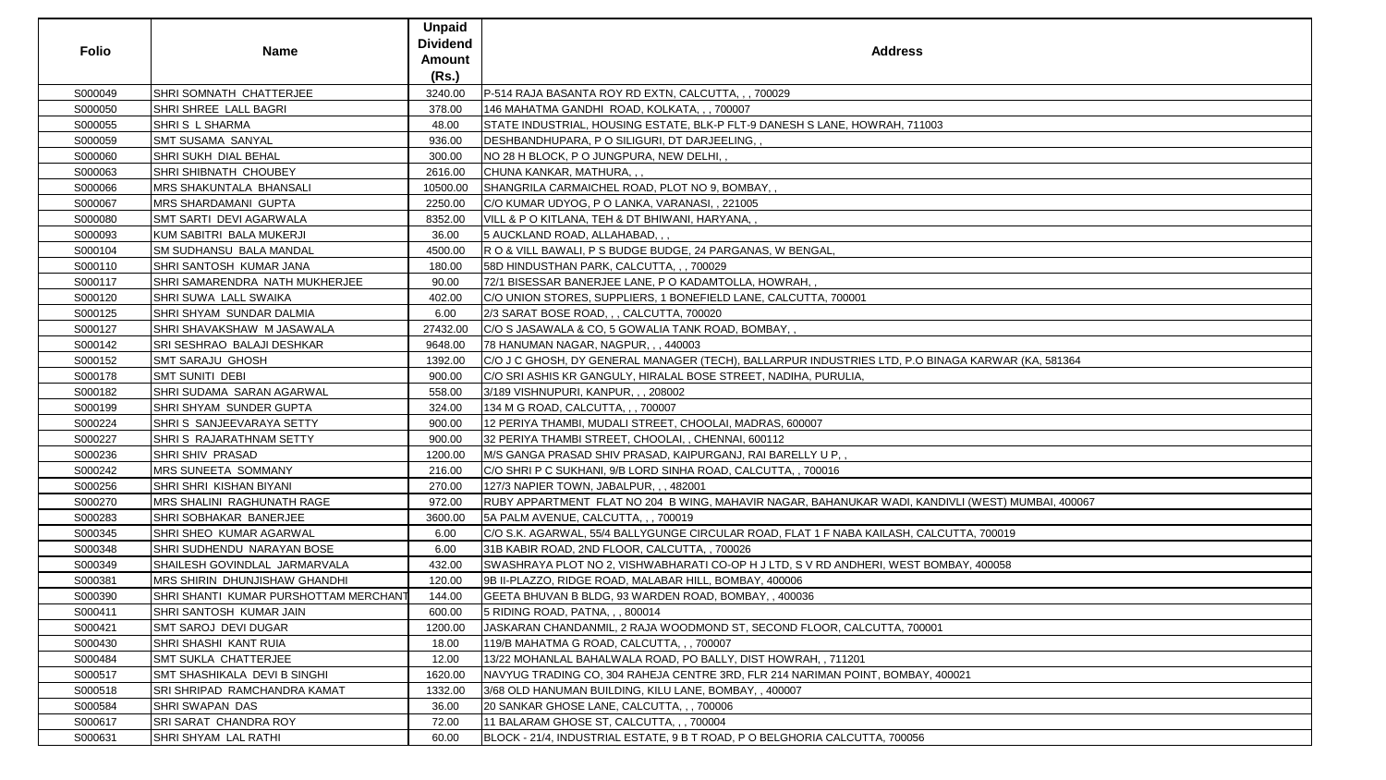| <b>Folio</b> | <b>Name</b>                           | <b>Unpaid</b><br><b>Dividend</b><br>Amount<br>(Rs.) | <b>Address</b>                                                                                    |
|--------------|---------------------------------------|-----------------------------------------------------|---------------------------------------------------------------------------------------------------|
| S000049      | SHRI SOMNATH CHATTERJEE               | 3240.00                                             | P-514 RAJA BASANTA ROY RD EXTN, CALCUTTA, , , 700029                                              |
| S000050      | SHRI SHREE LALL BAGRI                 | 378.00                                              | 146 MAHATMA GANDHI ROAD, KOLKATA, , , 700007                                                      |
| S000055      | SHRIS L SHARMA                        | 48.00                                               | STATE INDUSTRIAL, HOUSING ESTATE, BLK-P FLT-9 DANESH S LANE, HOWRAH, 711003                       |
| S000059      | <b>SMT SUSAMA SANYAL</b>              | 936.00                                              | DESHBANDHUPARA, P O SILIGURI, DT DARJEELING, ,                                                    |
| S000060      | SHRI SUKH DIAL BEHAL                  | 300.00                                              | NO 28 H BLOCK, P O JUNGPURA, NEW DELHI,,                                                          |
| S000063      | SHRI SHIBNATH CHOUBEY                 | 2616.00                                             | CHUNA KANKAR, MATHURA, , ,                                                                        |
| S000066      | <b>MRS SHAKUNTALA BHANSALI</b>        | 10500.00                                            | SHANGRILA CARMAICHEL ROAD, PLOT NO 9, BOMBAY,,                                                    |
| S000067      | <b>MRS SHARDAMANI GUPTA</b>           | 2250.00                                             | C/O KUMAR UDYOG, P O LANKA, VARANASI, , 221005                                                    |
| S000080      | SMT SARTI DEVI AGARWALA               | 8352.00                                             | VILL & P O KITLANA, TEH & DT BHIWANI, HARYANA,,                                                   |
| S000093      | KUM SABITRI BALA MUKERJI              | 36.00                                               | 5 AUCKLAND ROAD, ALLAHABAD, , ,                                                                   |
| S000104      | <b>SM SUDHANSU BALA MANDAL</b>        | 4500.00                                             | R O & VILL BAWALI, P S BUDGE BUDGE, 24 PARGANAS, W BENGAL,                                        |
| S000110      | SHRI SANTOSH KUMAR JANA               | 180.00                                              | 58D HINDUSTHAN PARK, CALCUTTA, , , 700029                                                         |
| S000117      | SHRI SAMARENDRA NATH MUKHERJEE        | 90.00                                               | 72/1 BISESSAR BANERJEE LANE, P O KADAMTOLLA, HOWRAH,                                              |
| S000120      | SHRI SUWA LALL SWAIKA                 | 402.00                                              | C/O UNION STORES, SUPPLIERS, 1 BONEFIELD LANE, CALCUTTA, 700001                                   |
| S000125      | SHRI SHYAM SUNDAR DALMIA              | 6.00                                                | 2/3 SARAT BOSE ROAD, , , CALCUTTA, 700020                                                         |
| S000127      | SHRI SHAVAKSHAW M JASAWALA            | 27432.00                                            | C/O S JASAWALA & CO, 5 GOWALIA TANK ROAD, BOMBAY,,                                                |
| S000142      | <b>SRI SESHRAO BALAJI DESHKAR</b>     | 9648.00                                             | 78 HANUMAN NAGAR, NAGPUR, , , 440003                                                              |
| S000152      | <b>SMT SARAJU GHOSH</b>               | 1392.00                                             | C/O J C GHOSH, DY GENERAL MANAGER (TECH), BALLARPUR INDUSTRIES LTD, P.O BINAGA KARWAR (KA, 581364 |
| S000178      | <b>SMT SUNITI DEBI</b>                | 900.00                                              | C/O SRI ASHIS KR GANGULY, HIRALAL BOSE STREET, NADIHA, PURULIA,                                   |
| S000182      | SHRI SUDAMA SARAN AGARWAL             | 558.00                                              | 3/189 VISHNUPURI, KANPUR, , , 208002                                                              |
| S000199      | SHRI SHYAM SUNDER GUPTA               | 324.00                                              | 134 M G ROAD, CALCUTTA, , , 700007                                                                |
| S000224      | SHRIS SANJEEVARAYA SETTY              | 900.00                                              | 12 PERIYA THAMBI, MUDALI STREET, CHOOLAI, MADRAS, 600007                                          |
| S000227      | SHRIS RAJARATHNAM SETTY               | 900.00                                              | 32 PERIYA THAMBI STREET, CHOOLAI,, CHENNAI, 600112                                                |
| S000236      | SHRI SHIV PRASAD                      | 1200.00                                             | M/S GANGA PRASAD SHIV PRASAD, KAIPURGANJ, RAI BARELLY U P,,                                       |
| S000242      | <b>MRS SUNEETA SOMMANY</b>            | 216.00                                              | C/O SHRI P C SUKHANI, 9/B LORD SINHA ROAD, CALCUTTA,, 700016                                      |
| S000256      | SHRI SHRI KISHAN BIYANI               | 270.00                                              | 127/3 NAPIER TOWN, JABALPUR, , , 482001                                                           |
| S000270      | MRS SHALINI RAGHUNATH RAGE            | 972.00                                              | RUBY APPARTMENT FLAT NO 204 B WING, MAHAVIR NAGAR, BAHANUKAR WADI, KANDIVLI (WEST) MUMBAI, 400067 |
| S000283      | SHRI SOBHAKAR BANERJEE                | 3600.00                                             | 5A PALM AVENUE, CALCUTTA, ,, 700019                                                               |
| S000345      | SHRI SHEO KUMAR AGARWAL               | 6.00                                                | C/O S.K. AGARWAL, 55/4 BALLYGUNGE CIRCULAR ROAD, FLAT 1 F NABA KAILASH, CALCUTTA, 700019          |
| S000348      | SHRI SUDHENDU NARAYAN BOSE            | 6.00                                                | 31B KABIR ROAD, 2ND FLOOR, CALCUTTA, , 700026                                                     |
| S000349      | SHAILESH GOVINDLAL JARMARVALA         | 432.00                                              | SWASHRAYA PLOT NO 2, VISHWABHARATI CO-OP H J LTD, S V RD ANDHERI, WEST BOMBAY, 400058             |
| S000381      | <b>MRS SHIRIN DHUNJISHAW GHANDHI</b>  | 120.00                                              | 9B II-PLAZZO, RIDGE ROAD, MALABAR HILL, BOMBAY, 400006                                            |
| S000390      | SHRI SHANTI KUMAR PURSHOTTAM MERCHANT | 144.00                                              | GEETA BHUVAN B BLDG, 93 WARDEN ROAD, BOMBAY,, 400036                                              |
| S000411      | SHRI SANTOSH KUMAR JAIN               | 600.00                                              | 5 RIDING ROAD, PATNA, , , 800014                                                                  |
| S000421      | <b>SMT SAROJ DEVI DUGAR</b>           | 1200.00                                             | JASKARAN CHANDANMIL, 2 RAJA WOODMOND ST, SECOND FLOOR, CALCUTTA, 700001                           |
| S000430      | SHRI SHASHI KANT RUIA                 | 18.00                                               | 119/B MAHATMA G ROAD, CALCUTTA, , , 700007                                                        |
| S000484      | <b>SMT SUKLA CHATTERJEE</b>           | 12.00                                               | 13/22 MOHANLAL BAHALWALA ROAD, PO BALLY, DIST HOWRAH, , 711201                                    |
| S000517      | <b>SMT SHASHIKALA DEVI B SINGHI</b>   | 1620.00                                             | NAVYUG TRADING CO, 304 RAHEJA CENTRE 3RD, FLR 214 NARIMAN POINT, BOMBAY, 400021                   |
| S000518      | <b>SRI SHRIPAD RAMCHANDRA KAMAT</b>   | 1332.00                                             | 3/68 OLD HANUMAN BUILDING, KILU LANE, BOMBAY, , 400007                                            |
| S000584      | <b>SHRI SWAPAN DAS</b>                | 36.00                                               | 20 SANKAR GHOSE LANE, CALCUTTA, , , 700006                                                        |
| S000617      | SRI SARAT CHANDRA ROY                 | 72.00                                               | 11 BALARAM GHOSE ST, CALCUTTA, ,, 700004                                                          |
| S000631      | SHRI SHYAM LAL RATHI                  | 60.00                                               | BLOCK - 21/4, INDUSTRIAL ESTATE, 9 B T ROAD, P O BELGHORIA CALCUTTA, 700056                       |

| ARWAR (KA, 581364)   |  |
|----------------------|--|
|                      |  |
|                      |  |
|                      |  |
|                      |  |
|                      |  |
|                      |  |
|                      |  |
|                      |  |
|                      |  |
|                      |  |
|                      |  |
|                      |  |
|                      |  |
| VEST) MUMBAI, 400067 |  |
|                      |  |
|                      |  |
| 700019               |  |
|                      |  |
|                      |  |
| 400058               |  |
|                      |  |
|                      |  |
|                      |  |
|                      |  |
|                      |  |
|                      |  |
|                      |  |
|                      |  |
|                      |  |
|                      |  |
|                      |  |
|                      |  |
|                      |  |
|                      |  |
|                      |  |
|                      |  |
|                      |  |
|                      |  |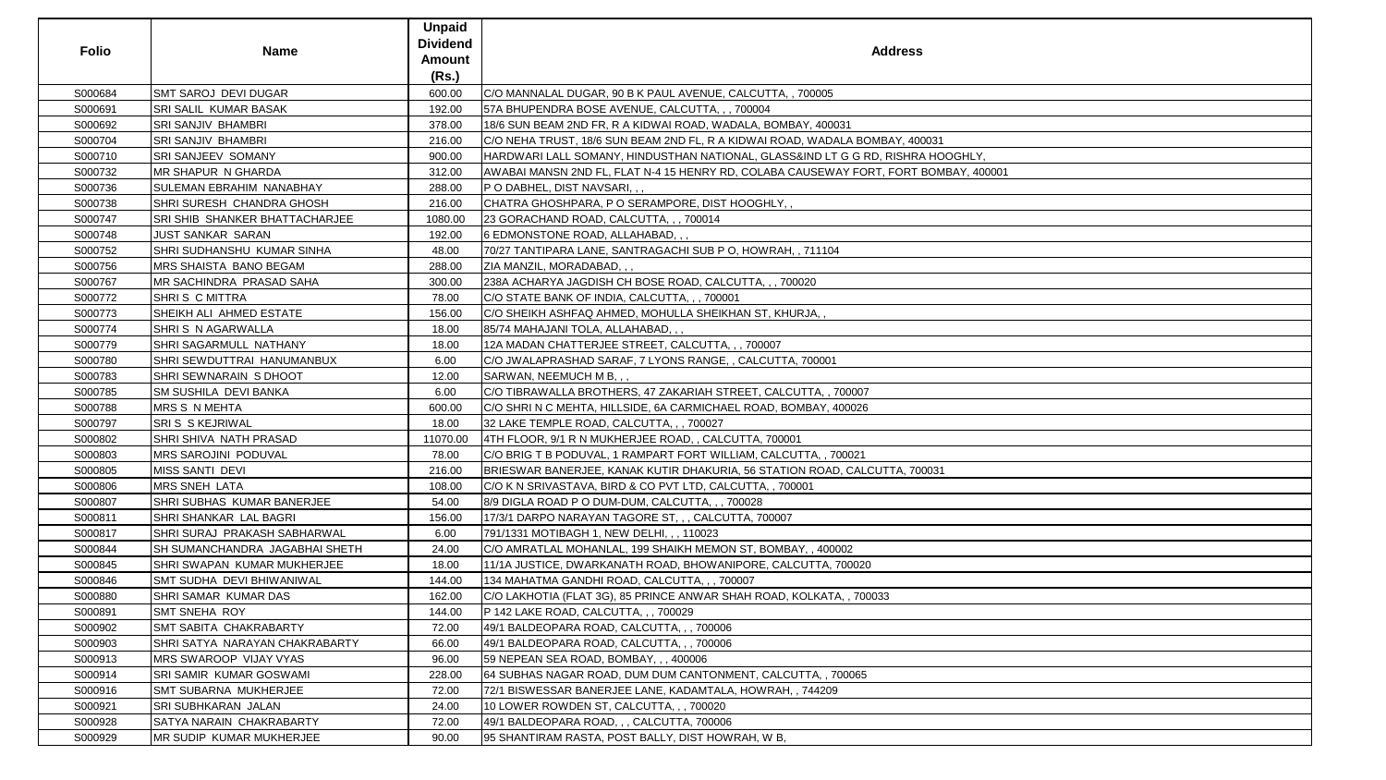| <b>Folio</b> | <b>Name</b>                         | <b>Unpaid</b><br><b>Dividend</b><br><b>Amount</b><br>(Rs.) | <b>Address</b>                                                                       |
|--------------|-------------------------------------|------------------------------------------------------------|--------------------------------------------------------------------------------------|
| S000684      | <b>SMT SAROJ DEVI DUGAR</b>         | 600.00                                                     | C/O MANNALAL DUGAR, 90 B K PAUL AVENUE, CALCUTTA,, 700005                            |
| S000691      | SRI SALIL KUMAR BASAK               | 192.00                                                     | 57A BHUPENDRA BOSE AVENUE, CALCUTTA, ,, 700004                                       |
| S000692      | <b>SRI SANJIV BHAMBRI</b>           | 378.00                                                     | 18/6 SUN BEAM 2ND FR, R A KIDWAI ROAD, WADALA, BOMBAY, 400031                        |
| S000704      | SRI SANJIV BHAMBRI                  | 216.00                                                     | C/O NEHA TRUST, 18/6 SUN BEAM 2ND FL, R A KIDWAI ROAD, WADALA BOMBAY, 400031         |
| S000710      | SRI SANJEEV SOMANY                  | 900.00                                                     | HARDWARI LALL SOMANY, HINDUSTHAN NATIONAL, GLASS&IND LT G G RD, RISHRA HOOGHLY,      |
| S000732      | <b>MR SHAPUR N GHARDA</b>           | 312.00                                                     | AWABAI MANSN 2ND FL, FLAT N-4 15 HENRY RD, COLABA CAUSEWAY FORT, FORT BOMBAY, 400001 |
| S000736      | SULEMAN EBRAHIM NANABHAY            | 288.00                                                     | P O DABHEL, DIST NAVSARI, , ,                                                        |
| S000738      | SHRI SURESH CHANDRA GHOSH           | 216.00                                                     | CHATRA GHOSHPARA, P O SERAMPORE, DIST HOOGHLY,,                                      |
| S000747      | SRI SHIB SHANKER BHATTACHARJEE      | 1080.00                                                    | 23 GORACHAND ROAD, CALCUTTA, , , 700014                                              |
| S000748      | <b>JUST SANKAR SARAN</b>            | 192.00                                                     | 6 EDMONSTONE ROAD, ALLAHABAD, , ,                                                    |
| S000752      | <b>SHRI SUDHANSHU KUMAR SINHA</b>   | 48.00                                                      | 70/27 TANTIPARA LANE, SANTRAGACHI SUB P O, HOWRAH, , 711104                          |
| S000756      | <b>MRS SHAISTA BANO BEGAM</b>       | 288.00                                                     | ZIA MANZIL, MORADABAD, , ,                                                           |
| S000767      | MR SACHINDRA PRASAD SAHA            | 300.00                                                     | 238A ACHARYA JAGDISH CH BOSE ROAD, CALCUTTA, , , 700020                              |
| S000772      | SHRIS C MITTRA                      | 78.00                                                      | C/O STATE BANK OF INDIA, CALCUTTA, ,, 700001                                         |
| S000773      | SHEIKH ALI AHMED ESTATE             | 156.00                                                     | C/O SHEIKH ASHFAQ AHMED, MOHULLA SHEIKHAN ST, KHURJA,,                               |
| S000774      | SHRIS N AGARWALLA                   | 18.00                                                      | 85/74 MAHAJANI TOLA, ALLAHABAD, , ,                                                  |
| S000779      | SHRI SAGARMULL NATHANY              | 18.00                                                      | 12A MADAN CHATTERJEE STREET, CALCUTTA, , , 700007                                    |
| S000780      | SHRI SEWDUTTRAI HANUMANBUX          | 6.00                                                       | C/O JWALAPRASHAD SARAF, 7 LYONS RANGE, , CALCUTTA, 700001                            |
| S000783      | SHRI SEWNARAIN S DHOOT              | 12.00                                                      | SARWAN, NEEMUCH M B, , ,                                                             |
| S000785      | SM SUSHILA DEVI BANKA               | 6.00                                                       | C/O TIBRAWALLA BROTHERS, 47 ZAKARIAH STREET, CALCUTTA, , 700007                      |
| S000788      | <b>MRS S N MEHTA</b>                | 600.00                                                     | C/O SHRI N C MEHTA, HILLSIDE, 6A CARMICHAEL ROAD, BOMBAY, 400026                     |
| S000797      | <b>SRIS SKEJRIWAL</b>               | 18.00                                                      | 32 LAKE TEMPLE ROAD, CALCUTTA, , , 700027                                            |
| S000802      | SHRI SHIVA NATH PRASAD              | 11070.00                                                   | 4TH FLOOR, 9/1 R N MUKHERJEE ROAD, , CALCUTTA, 700001                                |
| S000803      | MRS SAROJINI PODUVAL                | 78.00                                                      | C/O BRIG T B PODUVAL, 1 RAMPART FORT WILLIAM, CALCUTTA, , 700021                     |
| S000805      | <b>MISS SANTI DEVI</b>              | 216.00                                                     | BRIESWAR BANERJEE, KANAK KUTIR DHAKURIA, 56 STATION ROAD, CALCUTTA, 700031           |
| S000806      | <b>MRS SNEH LATA</b>                | 108.00                                                     | C/O K N SRIVASTAVA, BIRD & CO PVT LTD, CALCUTTA, , 700001                            |
| S000807      | SHRI SUBHAS KUMAR BANERJEE          | 54.00                                                      | 8/9 DIGLA ROAD P O DUM-DUM, CALCUTTA, , , 700028                                     |
| S000811      | SHRI SHANKAR LAL BAGRI              | 156.00                                                     | 17/3/1 DARPO NARAYAN TAGORE ST, , , CALCUTTA, 700007                                 |
| S000817      | <b>SHRI SURAJ PRAKASH SABHARWAL</b> | 6.00                                                       | 791/1331 MOTIBAGH 1, NEW DELHI, , , 110023                                           |
| S000844      | SH SUMANCHANDRA JAGABHAI SHETH      | 24.00                                                      | C/O AMRATLAL MOHANLAL, 199 SHAIKH MEMON ST, BOMBAY, , 400002                         |
| S000845      | <b>SHRI SWAPAN KUMAR MUKHERJEE</b>  | 18.00                                                      | 11/1A JUSTICE, DWARKANATH ROAD, BHOWANIPORE, CALCUTTA, 700020                        |
| S000846      | SMT SUDHA DEVI BHIWANIWAL           | 144.00                                                     | 134 MAHATMA GANDHI ROAD, CALCUTTA, , , 700007                                        |
| S000880      | SHRI SAMAR KUMAR DAS                | 162.00                                                     | C/O LAKHOTIA (FLAT 3G), 85 PRINCE ANWAR SHAH ROAD, KOLKATA, , 700033                 |
| S000891      | <b>SMT SNEHA ROY</b>                | 144.00                                                     | P 142 LAKE ROAD, CALCUTTA, , , 700029                                                |
| S000902      | <b>SMT SABITA CHAKRABARTY</b>       | 72.00                                                      | 49/1 BALDEOPARA ROAD, CALCUTTA, , , 700006                                           |
| S000903      | SHRI SATYA NARAYAN CHAKRABARTY      | 66.00                                                      | 49/1 BALDEOPARA ROAD, CALCUTTA, , , 700006                                           |
| S000913      | MRS SWAROOP VIJAY VYAS              | 96.00                                                      | 59 NEPEAN SEA ROAD, BOMBAY, , , 400006                                               |
| S000914      | <b>SRI SAMIR KUMAR GOSWAMI</b>      | 228.00                                                     | 64 SUBHAS NAGAR ROAD, DUM DUM CANTONMENT, CALCUTTA, , 700065                         |
| S000916      | <b>SMT SUBARNA MUKHERJEE</b>        | 72.00                                                      | 72/1 BISWESSAR BANERJEE LANE, KADAMTALA, HOWRAH, , 744209                            |
| S000921      | SRI SUBHKARAN JALAN                 | 24.00                                                      | 10 LOWER ROWDEN ST, CALCUTTA, , , 700020                                             |
| S000928      | SATYA NARAIN CHAKRABARTY            | 72.00                                                      | 49/1 BALDEOPARA ROAD, , , CALCUTTA, 700006                                           |
| S000929      | <b>MR SUDIP KUMAR MUKHERJEE</b>     | 90.00                                                      | 95 SHANTIRAM RASTA, POST BALLY, DIST HOWRAH, W B,                                    |

| <u>.Y,</u> |  |
|------------|--|
| 400001     |  |
|            |  |
|            |  |
|            |  |
|            |  |
|            |  |
|            |  |
|            |  |
|            |  |
|            |  |
|            |  |
|            |  |
|            |  |
|            |  |
|            |  |
|            |  |
|            |  |
|            |  |
|            |  |
|            |  |
|            |  |
|            |  |
|            |  |
|            |  |
|            |  |
|            |  |
|            |  |
|            |  |
|            |  |
|            |  |
|            |  |
|            |  |
|            |  |
|            |  |
|            |  |
|            |  |
|            |  |
|            |  |
|            |  |
|            |  |
|            |  |
|            |  |
|            |  |
|            |  |
|            |  |
|            |  |
|            |  |
|            |  |
|            |  |
|            |  |
|            |  |
|            |  |
|            |  |
|            |  |
|            |  |
|            |  |
|            |  |
|            |  |
|            |  |
|            |  |
|            |  |
|            |  |
|            |  |
|            |  |
|            |  |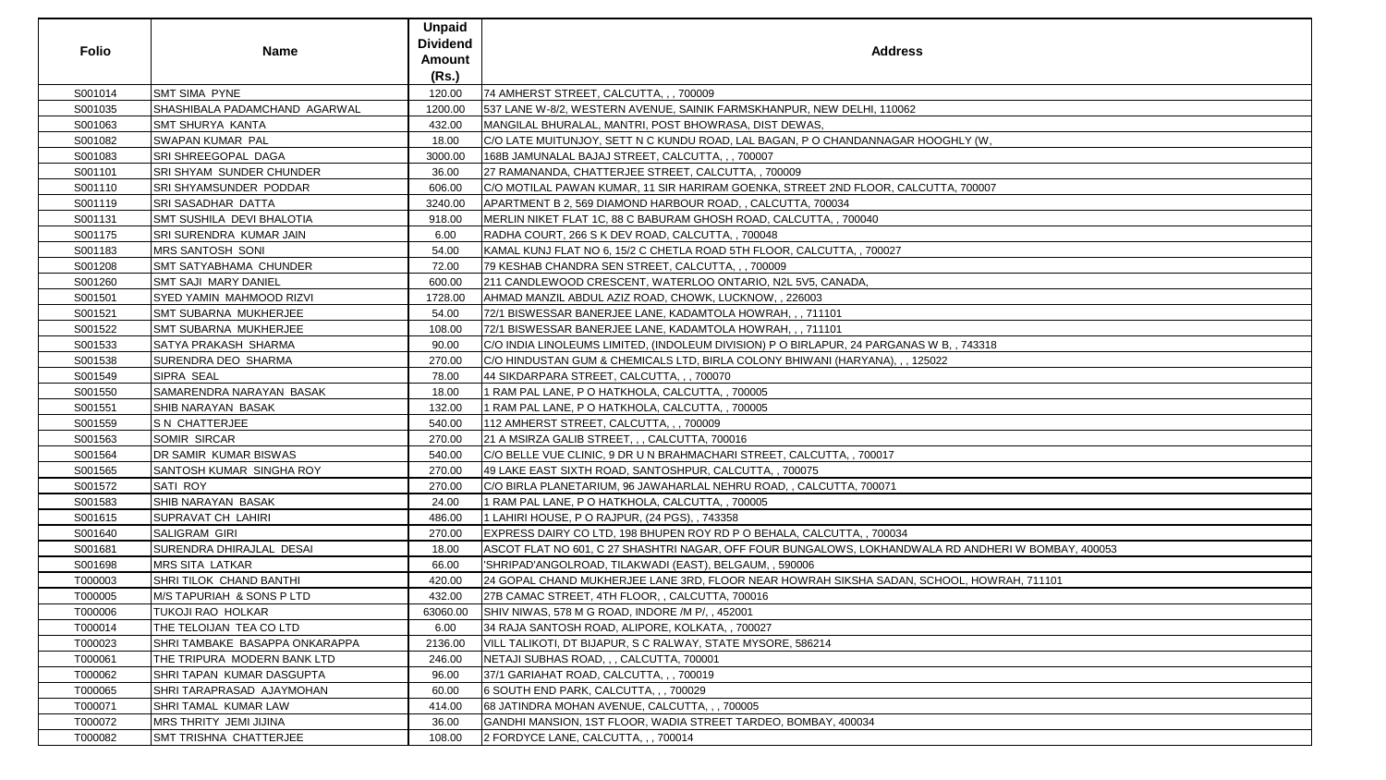| <b>Folio</b> | <b>Name</b>                          | <b>Unpaid</b><br><b>Dividend</b><br><b>Amount</b><br>(Rs.) | <b>Address</b>                                                                             |
|--------------|--------------------------------------|------------------------------------------------------------|--------------------------------------------------------------------------------------------|
| S001014      | <b>SMT SIMA PYNE</b>                 | 120.00                                                     | 74 AMHERST STREET, CALCUTTA, , , 700009                                                    |
| S001035      | SHASHIBALA PADAMCHAND AGARWAL        | 1200.00                                                    | 537 LANE W-8/2, WESTERN AVENUE, SAINIK FARMSKHANPUR, NEW DELHI, 110062                     |
| S001063      | <b>SMT SHURYA KANTA</b>              | 432.00                                                     | MANGILAL BHURALAL, MANTRI, POST BHOWRASA, DIST DEWAS,                                      |
| S001082      | <b>SWAPAN KUMAR PAL</b>              | 18.00                                                      | C/O LATE MUITUNJOY, SETT N C KUNDU ROAD, LAL BAGAN, P O CHANDANNAGAR HOOGHLY (W,           |
| S001083      | SRI SHREEGOPAL DAGA                  | 3000.00                                                    | 168B JAMUNALAL BAJAJ STREET, CALCUTTA, , , 700007                                          |
| S001101      | <b>SRI SHYAM SUNDER CHUNDER</b>      | 36.00                                                      | 27 RAMANANDA, CHATTERJEE STREET, CALCUTTA, , 700009                                        |
| S001110      | SRI SHYAMSUNDER PODDAR               | 606.00                                                     | C/O MOTILAL PAWAN KUMAR, 11 SIR HARIRAM GOENKA, STREET 2ND FLOOR, CALCUTTA, 700007         |
| S001119      | <b>SRI SASADHAR DATTA</b>            | 3240.00                                                    | APARTMENT B 2, 569 DIAMOND HARBOUR ROAD, , CALCUTTA, 700034                                |
| S001131      | <b>SMT SUSHILA DEVI BHALOTIA</b>     | 918.00                                                     | MERLIN NIKET FLAT 1C, 88 C BABURAM GHOSH ROAD, CALCUTTA, , 700040                          |
| S001175      | <b>SRI SURENDRA KUMAR JAIN</b>       | 6.00                                                       | RADHA COURT, 266 S K DEV ROAD, CALCUTTA,, 700048                                           |
| S001183      | <b>MRS SANTOSH SONI</b>              | 54.00                                                      | KAMAL KUNJ FLAT NO 6, 15/2 C CHETLA ROAD 5TH FLOOR, CALCUTTA, , 700027                     |
| S001208      | <b>SMT SATYABHAMA CHUNDER</b>        | 72.00                                                      | 79 KESHAB CHANDRA SEN STREET, CALCUTTA, , , 700009                                         |
| S001260      | <b>SMT SAJI MARY DANIEL</b>          | 600.00                                                     | 211 CANDLEWOOD CRESCENT, WATERLOO ONTARIO, N2L 5V5, CANADA,                                |
| S001501      | <b>SYED YAMIN MAHMOOD RIZVI</b>      | 1728.00                                                    | AHMAD MANZIL ABDUL AZIZ ROAD, CHOWK, LUCKNOW, , 226003                                     |
| S001521      | <b>SMT SUBARNA MUKHERJEE</b>         | 54.00                                                      | 72/1 BISWESSAR BANERJEE LANE, KADAMTOLA HOWRAH, , , 711101                                 |
| S001522      | <b>SMT SUBARNA MUKHERJEE</b>         | 108.00                                                     | 72/1 BISWESSAR BANERJEE LANE, KADAMTOLA HOWRAH, , , 711101                                 |
| S001533      | <b>SATYA PRAKASH SHARMA</b>          | 90.00                                                      | C/O INDIA LINOLEUMS LIMITED, (INDOLEUM DIVISION) P O BIRLAPUR, 24 PARGANAS W B, , 743318   |
| S001538      | SURENDRA DEO SHARMA                  | 270.00                                                     | C/O HINDUSTAN GUM & CHEMICALS LTD, BIRLA COLONY BHIWANI (HARYANA), , , 125022              |
| S001549      | SIPRA SEAL                           | 78.00                                                      | 44 SIKDARPARA STREET, CALCUTTA, , , 700070                                                 |
| S001550      | <b>SAMARENDRA NARAYAN BASAK</b>      | 18.00                                                      | 1 RAM PAL LANE, P O HATKHOLA, CALCUTTA, , 700005                                           |
| S001551      | <b>SHIB NARAYAN BASAK</b>            | 132.00                                                     | 1 RAM PAL LANE, P O HATKHOLA, CALCUTTA, , 700005                                           |
| S001559      | <b>S N CHATTERJEE</b>                | 540.00                                                     | 112 AMHERST STREET, CALCUTTA, , , 700009                                                   |
| S001563      | <b>SOMIR SIRCAR</b>                  | 270.00                                                     | 21 A MSIRZA GALIB STREET, , , CALCUTTA, 700016                                             |
| S001564      | DR SAMIR KUMAR BISWAS                | 540.00                                                     | C/O BELLE VUE CLINIC, 9 DR U N BRAHMACHARI STREET, CALCUTTA, , 700017                      |
| S001565      | SANTOSH KUMAR SINGHA ROY             | 270.00                                                     | 49 LAKE EAST SIXTH ROAD, SANTOSHPUR, CALCUTTA, , 700075                                    |
| S001572      | SATI ROY                             | 270.00                                                     | C/O BIRLA PLANETARIUM, 96 JAWAHARLAL NEHRU ROAD, , CALCUTTA, 700071                        |
| S001583      | SHIB NARAYAN BASAK                   | 24.00                                                      | 1 RAM PAL LANE, P O HATKHOLA, CALCUTTA, , 700005                                           |
| S001615      | <b>SUPRAVAT CH LAHIRI</b>            | 486.00                                                     | 1 LAHIRI HOUSE, P O RAJPUR, (24 PGS), , 743358                                             |
| S001640      | <b>SALIGRAM GIRI</b>                 | 270.00                                                     | EXPRESS DAIRY CO LTD, 198 BHUPEN ROY RD P O BEHALA, CALCUTTA, , 700034                     |
| S001681      | SURENDRA DHIRAJLAL DESAI             | 18.00                                                      | ASCOT FLAT NO 601, C 27 SHASHTRI NAGAR, OFF FOUR BUNGALOWS, LOKHANDWALA RD ANDHERI W BOMB. |
| S001698      | <b>MRS SITA LATKAR</b>               | 66.00                                                      | SHRIPAD'ANGOLROAD, TILAKWADI (EAST), BELGAUM, , 590006                                     |
| T000003      | SHRI TILOK CHAND BANTHI              | 420.00                                                     | 24 GOPAL CHAND MUKHERJEE LANE 3RD, FLOOR NEAR HOWRAH SIKSHA SADAN, SCHOOL, HOWRAH, 711101  |
| T000005      | <b>M/S TAPURIAH &amp; SONS P LTD</b> | 432.00                                                     | 27B CAMAC STREET, 4TH FLOOR, , CALCUTTA, 700016                                            |
| T000006      | <b>TUKOJI RAO HOLKAR</b>             | 63060.00                                                   | SHIV NIWAS, 578 M G ROAD, INDORE /M P/, 452001                                             |
| T000014      | THE TELOIJAN TEA CO LTD              | 6.00                                                       | 34 RAJA SANTOSH ROAD, ALIPORE, KOLKATA,, 700027                                            |
| T000023      | SHRI TAMBAKE BASAPPA ONKARAPPA       | 2136.00                                                    | VILL TALIKOTI, DT BIJAPUR, S C RALWAY, STATE MYSORE, 586214                                |
| T000061      | THE TRIPURA MODERN BANK LTD          | 246.00                                                     | NETAJI SUBHAS ROAD, , , CALCUTTA, 700001                                                   |
| T000062      | SHRI TAPAN KUMAR DASGUPTA            | 96.00                                                      | 37/1 GARIAHAT ROAD, CALCUTTA, , , 700019                                                   |
| T000065      | SHRI TARAPRASAD AJAYMOHAN            | 60.00                                                      | 6 SOUTH END PARK, CALCUTTA, , , 700029                                                     |
| T000071      | SHRI TAMAL KUMAR LAW                 | 414.00                                                     | 68 JATINDRA MOHAN AVENUE, CALCUTTA, , , 700005                                             |
| T000072      | MRS THRITY JEMI JIJINA               | 36.00                                                      | GANDHI MANSION, 1ST FLOOR, WADIA STREET TARDEO, BOMBAY, 400034                             |
| T000082      | SMT TRISHNA CHATTERJEE               | 108.00                                                     | 2 FORDYCE LANE, CALCUTTA, , , 700014                                                       |

| <b>OGHLY (W,</b>              |  |
|-------------------------------|--|
|                               |  |
|                               |  |
|                               |  |
| TTA, 700007                   |  |
|                               |  |
|                               |  |
|                               |  |
|                               |  |
|                               |  |
|                               |  |
|                               |  |
|                               |  |
|                               |  |
|                               |  |
|                               |  |
|                               |  |
| B, , 743318                   |  |
| $\overline{22}$               |  |
|                               |  |
|                               |  |
|                               |  |
|                               |  |
|                               |  |
|                               |  |
|                               |  |
|                               |  |
|                               |  |
|                               |  |
|                               |  |
|                               |  |
|                               |  |
|                               |  |
|                               |  |
| A RD ANDHERI W BOMBAY, 400053 |  |
|                               |  |
|                               |  |
| HOOL, HOWRAH, 711101          |  |
|                               |  |
|                               |  |
|                               |  |
|                               |  |
|                               |  |
|                               |  |
|                               |  |
|                               |  |
|                               |  |
|                               |  |
|                               |  |
|                               |  |
|                               |  |
|                               |  |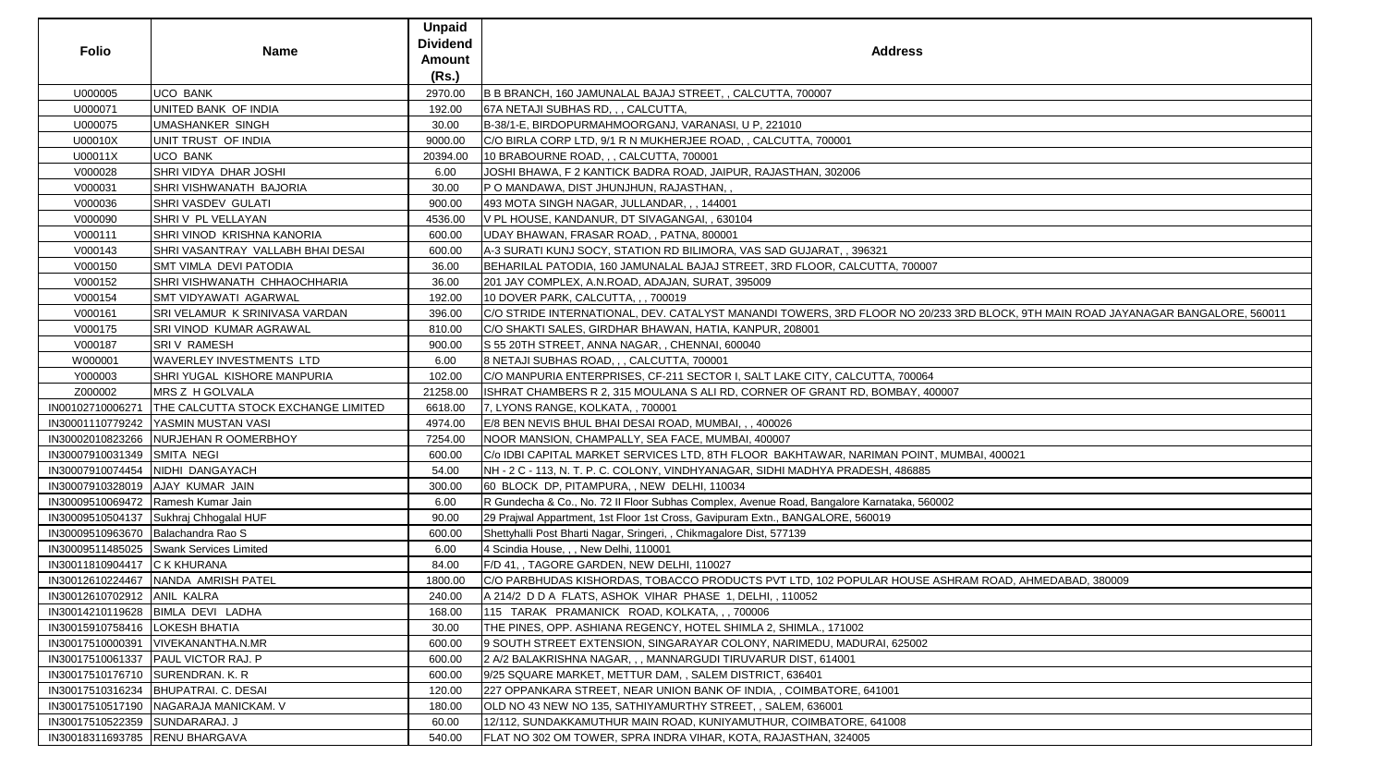|                                    |                                            | <b>Unpaid</b><br><b>Dividend</b> |                                                                                                                                  |
|------------------------------------|--------------------------------------------|----------------------------------|----------------------------------------------------------------------------------------------------------------------------------|
| <b>Folio</b>                       | Name                                       | <b>Amount</b>                    | <b>Address</b>                                                                                                                   |
|                                    |                                            | (Rs.)                            |                                                                                                                                  |
| U000005                            | <b>UCO BANK</b>                            | 2970.00                          | B B BRANCH, 160 JAMUNALAL BAJAJ STREET, , CALCUTTA, 700007                                                                       |
| U000071                            | UNITED BANK OF INDIA                       | 192.00                           | 67A NETAJI SUBHAS RD, , , CALCUTTA,                                                                                              |
| U000075                            | <b>UMASHANKER SINGH</b>                    | 30.00                            | B-38/1-E, BIRDOPURMAHMOORGANJ, VARANASI, U P, 221010                                                                             |
| U00010X                            | UNIT TRUST OF INDIA                        | 9000.00                          | C/O BIRLA CORP LTD, 9/1 R N MUKHERJEE ROAD, , CALCUTTA, 700001                                                                   |
| U00011X                            | <b>UCO BANK</b>                            | 20394.00                         | 10 BRABOURNE ROAD, , , CALCUTTA, 700001                                                                                          |
| V000028                            | SHRI VIDYA DHAR JOSHI                      | 6.00                             | JOSHI BHAWA, F 2 KANTICK BADRA ROAD, JAIPUR, RAJASTHAN, 302006                                                                   |
| V000031                            | <b>SHRI VISHWANATH BAJORIA</b>             | 30.00                            | P O MANDAWA, DIST JHUNJHUN, RAJASTHAN, ,                                                                                         |
| V000036                            | <b>SHRI VASDEV GULATI</b>                  | 900.00                           | 493 MOTA SINGH NAGAR, JULLANDAR, ,, 144001                                                                                       |
| V000090                            | SHRIV PL VELLAYAN                          | 4536.00                          | V PL HOUSE, KANDANUR, DT SIVAGANGAI, , 630104                                                                                    |
| V000111                            | SHRI VINOD KRISHNA KANORIA                 | 600.00                           | UDAY BHAWAN, FRASAR ROAD, , PATNA, 800001                                                                                        |
| V000143                            | SHRI VASANTRAY VALLABH BHAI DESAI          | 600.00                           | [A-3 SURATI KUNJ SOCY, STATION RD BILIMORA, VAS SAD GUJARAT, , 396321                                                            |
| V000150                            | <b>SMT VIMLA DEVI PATODIA</b>              | 36.00                            | BEHARILAL PATODIA, 160 JAMUNALAL BAJAJ STREET, 3RD FLOOR, CALCUTTA, 700007                                                       |
| V000152                            | SHRI VISHWANATH CHHAOCHHARIA               | 36.00                            | 201 JAY COMPLEX, A.N.ROAD, ADAJAN, SURAT, 395009                                                                                 |
| V000154                            | <b>SMT VIDYAWATI AGARWAL</b>               | 192.00                           | 10 DOVER PARK, CALCUTTA, , , 700019                                                                                              |
| V000161                            | SRI VELAMUR K SRINIVASA VARDAN             | 396.00                           | C/O STRIDE INTERNATIONAL, DEV. CATALYST MANANDI TOWERS, 3RD FLOOR NO 20/233 3RD BLOCK, 9TH MAIN ROAD JAYANAGAR BANGALORE, 560011 |
| V000175                            | SRI VINOD KUMAR AGRAWAL                    | 810.00                           | C/O SHAKTI SALES, GIRDHAR BHAWAN, HATIA, KANPUR, 208001                                                                          |
| V000187                            | <b>SRIV RAMESH</b>                         | 900.00                           | S 55 20TH STREET, ANNA NAGAR, , CHENNAI, 600040                                                                                  |
| W000001                            | <b>WAVERLEY INVESTMENTS LTD</b>            | 6.00                             | 8 NETAJI SUBHAS ROAD, , , CALCUTTA, 700001                                                                                       |
| Y000003                            | <b>SHRI YUGAL KISHORE MANPURIA</b>         | 102.00                           | C/O MANPURIA ENTERPRISES, CF-211 SECTOR I, SALT LAKE CITY, CALCUTTA, 700064                                                      |
| Z000002                            | MRS Z H GOLVALA                            | 21258.00                         | ISHRAT CHAMBERS R 2, 315 MOULANA S ALI RD, CORNER OF GRANT RD, BOMBAY, 400007                                                    |
| IN00102710006271                   | <b>THE CALCUTTA STOCK EXCHANGE LIMITED</b> | 6618.00                          | 7, LYONS RANGE, KOLKATA, , 700001                                                                                                |
|                                    | IN30001110779242 YASMIN MUSTAN VASI        | 4974.00                          | E/8 BEN NEVIS BHUL BHAI DESAI ROAD, MUMBAI, , , 400026                                                                           |
|                                    | IN30002010823266 NURJEHAN ROOMERBHOY       | 7254.00                          | NOOR MANSION, CHAMPALLY, SEA FACE, MUMBAI, 400007                                                                                |
| IN30007910031349 SMITA NEGI        |                                            | 600.00                           | C/o IDBI CAPITAL MARKET SERVICES LTD, 8TH FLOOR BAKHTAWAR, NARIMAN POINT, MUMBAI, 400021                                         |
|                                    | IN30007910074454 NIDHI DANGAYACH           | 54.00                            | NH - 2 C - 113, N. T. P. C. COLONY, VINDHYANAGAR, SIDHI MADHYA PRADESH, 486885                                                   |
|                                    | IN30007910328019 AJAY KUMAR JAIN           | 300.00                           | 60 BLOCK DP, PITAMPURA, , NEW DELHI, 110034                                                                                      |
|                                    | IN30009510069472 Ramesh Kumar Jain         | 6.00                             | R Gundecha & Co., No. 72 II Floor Subhas Complex, Avenue Road, Bangalore Karnataka, 560002                                       |
|                                    | IN30009510504137 Sukhraj Chhogalal HUF     | 90.00                            | 29 Prajwal Appartment, 1st Floor 1st Cross, Gavipuram Extn., BANGALORE, 560019                                                   |
| IN30009510963670 Balachandra Rao S |                                            | 600.00                           | Shettyhalli Post Bharti Nagar, Sringeri, , Chikmagalore Dist, 577139                                                             |
|                                    | IN30009511485025 Swank Services Limited    | 6.00                             | 4 Scindia House, , , New Delhi, 110001                                                                                           |
| IN30011810904417 C K KHURANA       |                                            | 84.00                            | F/D 41, , TAGORE GARDEN, NEW DELHI, 110027                                                                                       |
|                                    | IN30012610224467   NANDA AMRISH PATEL      | 1800.00                          | C/O PARBHUDAS KISHORDAS, TOBACCO PRODUCTS PVT LTD, 102 POPULAR HOUSE ASHRAM ROAD, AHMEDABAD, 380009                              |
| IN30012610702912 ANIL KALRA        |                                            | 240.00                           | A 214/2 D D A FLATS, ASHOK VIHAR PHASE 1, DELHI, 110052                                                                          |
|                                    | IN30014210119628 BIMLA DEVI LADHA          | 168.00                           | 115 TARAK PRAMANICK ROAD, KOLKATA, , , 700006                                                                                    |
| IN30015910758416   LOKESH BHATIA   |                                            | 30.00                            | THE PINES, OPP. ASHIANA REGENCY, HOTEL SHIMLA 2, SHIMLA., 171002                                                                 |
|                                    | IN30017510000391   VIVEKANANTHA.N.MR       | 600.00                           | 9 SOUTH STREET EXTENSION, SINGARAYAR COLONY, NARIMEDU, MADURAI, 625002                                                           |
|                                    | IN30017510061337   PAUL VICTOR RAJ. P      | 600.00                           | 2 A/2 BALAKRISHNA NAGAR, , , MANNARGUDI TIRUVARUR DIST, 614001                                                                   |
| IN30017510176710 SURENDRAN. K. R.  |                                            | 600.00                           | 9/25 SQUARE MARKET, METTUR DAM, , SALEM DISTRICT, 636401                                                                         |
|                                    | IN30017510316234   BHUPATRAI. C. DESAI     | 120.00                           | 227 OPPANKARA STREET, NEAR UNION BANK OF INDIA, , COIMBATORE, 641001                                                             |
|                                    | IN30017510517190   NAGARAJA MANICKAM. V    | 180.00                           | OLD NO 43 NEW NO 135, SATHIYAMURTHY STREET, , SALEM, 636001                                                                      |
| IN30017510522359 SUNDARARAJ. J     |                                            | 60.00                            | 12/112, SUNDAKKAMUTHUR MAIN ROAD, KUNIYAMUTHUR, COIMBATORE, 641008                                                               |
| IN30018311693785 RENU BHARGAVA     |                                            | 540.00                           | FLAT NO 302 OM TOWER, SPRA INDRA VIHAR, KOTA, RAJASTHAN, 324005                                                                  |

| BLOCK, 9TH MAIN ROAD JAYANAGAR BANGALORE, 560011 |
|--------------------------------------------------|
|                                                  |
|                                                  |
|                                                  |
|                                                  |
|                                                  |
|                                                  |
|                                                  |
|                                                  |
|                                                  |
|                                                  |
|                                                  |
| AI, 400021                                       |
|                                                  |
|                                                  |
|                                                  |
|                                                  |
|                                                  |
|                                                  |
|                                                  |
|                                                  |
|                                                  |
| <u>I ROAD, AHMEDABAD, 380009</u>                 |
|                                                  |
|                                                  |
|                                                  |
|                                                  |
|                                                  |
|                                                  |
|                                                  |
|                                                  |
|                                                  |
|                                                  |
|                                                  |
|                                                  |
|                                                  |
|                                                  |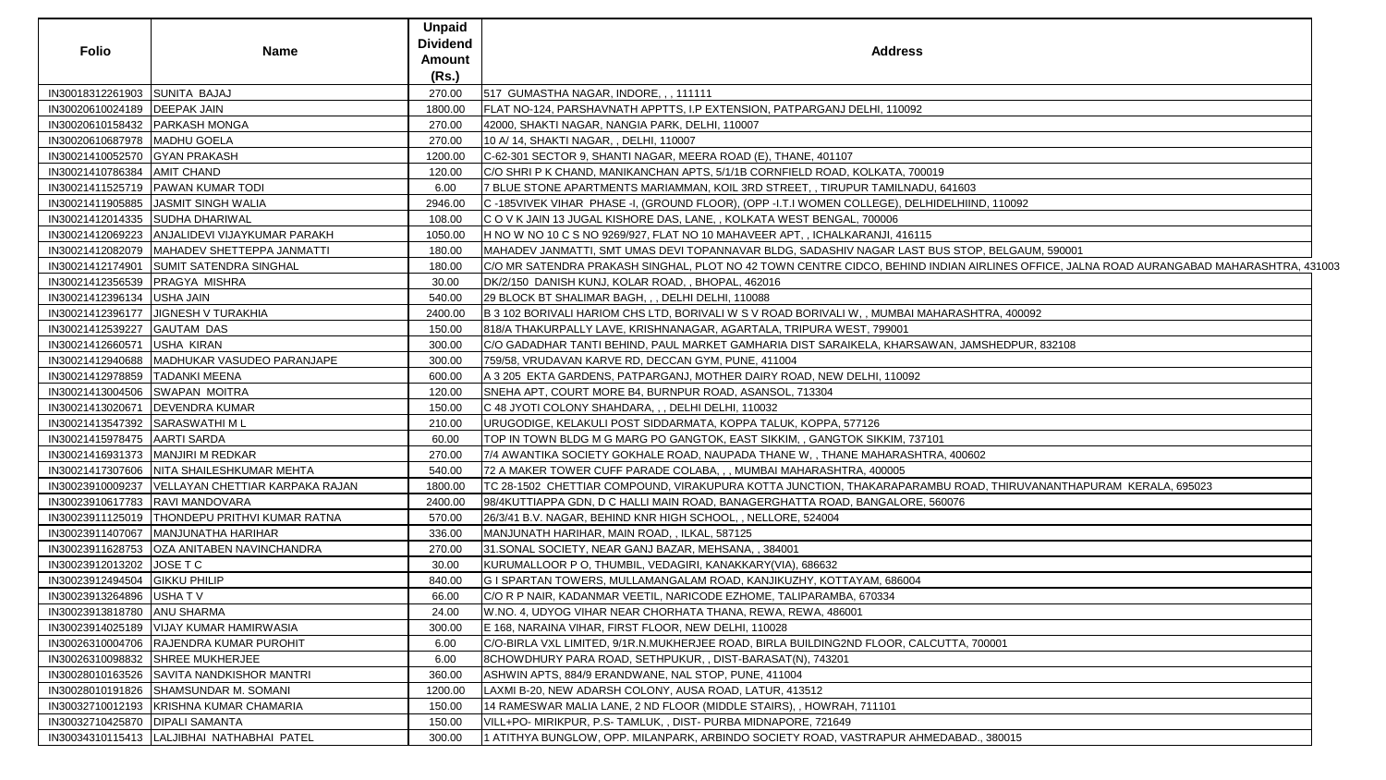| <b>Folio</b>                      | <b>Name</b>                                        | <b>Unpaid</b><br><b>Dividend</b><br><b>Amount</b> | <b>Address</b>                                                                                                                          |
|-----------------------------------|----------------------------------------------------|---------------------------------------------------|-----------------------------------------------------------------------------------------------------------------------------------------|
|                                   |                                                    | (Rs.)                                             |                                                                                                                                         |
| IN30018312261903 SUNITA BAJAJ     |                                                    | 270.00                                            | 517 GUMASTHA NAGAR, INDORE, , , 111111                                                                                                  |
| IN30020610024189   DEEPAK JAIN    |                                                    | 1800.00                                           | FLAT NO-124, PARSHAVNATH APPTTS, I.P EXTENSION, PATPARGANJ DELHI, 110092                                                                |
| IN30020610158432   PARKASH MONGA  |                                                    | 270.00                                            | 42000, SHAKTI NAGAR, NANGIA PARK, DELHI, 110007                                                                                         |
| IN30020610687978   MADHU GOELA    |                                                    | 270.00                                            | 10 A/ 14, SHAKTI NAGAR, , DELHI, 110007                                                                                                 |
| IN30021410052570 GYAN PRAKASH     |                                                    | 1200.00                                           | C-62-301 SECTOR 9, SHANTI NAGAR, MEERA ROAD (E), THANE, 401107                                                                          |
| IN30021410786384   AMIT CHAND     |                                                    | 120.00                                            | C/O SHRI P K CHAND, MANIKANCHAN APTS, 5/1/1B CORNFIELD ROAD, KOLKATA, 700019                                                            |
|                                   | IN30021411525719   PAWAN KUMAR TODI                | 6.00                                              | 7 BLUE STONE APARTMENTS MARIAMMAN, KOIL 3RD STREET, , TIRUPUR TAMILNADU, 641603                                                         |
|                                   | IN30021411905885  JASMIT SINGH WALIA               | 2946.00                                           | C -185VIVEK VIHAR PHASE -I, (GROUND FLOOR), (OPP -I.T.I WOMEN COLLEGE), DELHIDELHIIND, 110092                                           |
|                                   | IN30021412014335 SUDHA DHARIWAL                    | 108.00                                            | C O V K JAIN 13 JUGAL KISHORE DAS, LANE, , KOLKATA WEST BENGAL, 700006                                                                  |
|                                   | IN30021412069223 ANJALIDEVI VIJAYKUMAR PARAKH      | 1050.00                                           | H NO W NO 10 C S NO 9269/927, FLAT NO 10 MAHAVEER APT, , ICHALKARANJI, 416115                                                           |
|                                   | IN30021412082079   MAHADEV SHETTEPPA JANMATTI      | 180.00                                            | MAHADEV JANMATTI, SMT UMAS DEVI TOPANNAVAR BLDG, SADASHIV NAGAR LAST BUS STOP, BELGAUM, 590001                                          |
|                                   | IN30021412174901 SUMIT SATENDRA SINGHAL            | 180.00                                            | C/O MR SATENDRA PRAKASH SINGHAL, PLOT NO 42 TOWN CENTRE CIDCO, BEHIND INDIAN AIRLINES OFFICE, JALNA ROAD AURANGABAD MAHARASHTRA, 431003 |
| IN30021412356539   PRAGYA MISHRA  |                                                    | 30.00                                             | DK/2/150 DANISH KUNJ, KOLAR ROAD, , BHOPAL, 462016                                                                                      |
| IN30021412396134                  | USHA JAIN                                          | 540.00                                            | 29 BLOCK BT SHALIMAR BAGH, , , DELHI DELHI, 110088                                                                                      |
|                                   | IN30021412396177 JJIGNESH V TURAKHIA               | 2400.00                                           | B 3 102 BORIVALI HARIOM CHS LTD, BORIVALI W S V ROAD BORIVALI W, , MUMBAI MAHARASHTRA, 400092                                           |
| IN30021412539227                  | <b>GAUTAM DAS</b>                                  | 150.00                                            | 818/A THAKURPALLY LAVE, KRISHNANAGAR, AGARTALA, TRIPURA WEST, 799001                                                                    |
| IN30021412660571                  | USHA KIRAN                                         | 300.00                                            | C/O GADADHAR TANTI BEHIND, PAUL MARKET GAMHARIA DIST SARAIKELA, KHARSAWAN, JAMSHEDPUR, 832108                                           |
|                                   | IN30021412940688   MADHUKAR VASUDEO PARANJAPE      | 300.00                                            | 759/58, VRUDAVAN KARVE RD, DECCAN GYM, PUNE, 411004                                                                                     |
| IN30021412978859   TADANKI MEENA  |                                                    | 600.00                                            | A 3 205 EKTA GARDENS, PATPARGANJ, MOTHER DAIRY ROAD, NEW DELHI, 110092                                                                  |
| IN30021413004506 SWAPAN MOITRA    |                                                    | 120.00                                            | SNEHA APT, COURT MORE B4, BURNPUR ROAD, ASANSOL, 713304                                                                                 |
| IN30021413020671                  | <b>DEVENDRA KUMAR</b>                              | 150.00                                            | C 48 JYOTI COLONY SHAHDARA, , , DELHI DELHI, 110032                                                                                     |
| IN30021413547392 SARASWATHI ML    |                                                    | 210.00                                            | URUGODIGE, KELAKULI POST SIDDARMATA, KOPPA TALUK, KOPPA, 577126                                                                         |
| IN30021415978475   AARTI SARDA    |                                                    | 60.00                                             | TOP IN TOWN BLDG M G MARG PO GANGTOK, EAST SIKKIM, , GANGTOK SIKKIM, 737101                                                             |
|                                   | IN30021416931373   MANJIRI M REDKAR                | 270.00                                            | 7/4 AWANTIKA SOCIETY GOKHALE ROAD, NAUPADA THANE W, , THANE MAHARASHTRA, 400602                                                         |
|                                   | IN30021417307606   NITA SHAILESHKUMAR MEHTA        | 540.00                                            | 72 A MAKER TOWER CUFF PARADE COLABA, , , MUMBAI MAHARASHTRA, 400005                                                                     |
|                                   | IN30023910009237   VELLAYAN CHETTIAR KARPAKA RAJAN | 1800.00                                           | TC 28-1502 CHETTIAR COMPOUND, VIRAKUPURA KOTTA JUNCTION, THAKARAPARAMBU ROAD, THIRUVANANTHAPURAM KERALA, 695023                         |
|                                   | IN30023910617783 RAVI MANDOVARA                    | 2400.00                                           | 98/4KUTTIAPPA GDN, D C HALLI MAIN ROAD, BANAGERGHATTA ROAD, BANGALORE, 560076                                                           |
|                                   | IN30023911125019   THONDEPU PRITHVI KUMAR RATNA    | 570.00                                            | 26/3/41 B.V. NAGAR, BEHIND KNR HIGH SCHOOL, , NELLORE, 524004                                                                           |
|                                   | IN30023911407067   MANJUNATHA HARIHAR              | 336.00                                            | MANJUNATH HARIHAR, MAIN ROAD, , ILKAL, 587125                                                                                           |
|                                   | IN30023911628753   OZA ANITABEN NAVINCHANDRA       | 270.00                                            | 31. SONAL SOCIETY, NEAR GANJ BAZAR, MEHSANA,, 384001                                                                                    |
| IN30023912013202 JOSE T C         |                                                    | 30.00                                             | KURUMALLOOR P O, THUMBIL, VEDAGIRI, KANAKKARY(VIA), 686632                                                                              |
| IN30023912494504 GIKKU PHILIP     |                                                    | 840.00                                            | G I SPARTAN TOWERS, MULLAMANGALAM ROAD, KANJIKUZHY, KOTTAYAM, 686004                                                                    |
| IN30023913264896                  | USHAT V                                            | 66.00                                             | C/O R P NAIR, KADANMAR VEETIL, NARICODE EZHOME, TALIPARAMBA, 670334                                                                     |
| IN30023913818780 ANU SHARMA       |                                                    | 24.00                                             | W.NO. 4, UDYOG VIHAR NEAR CHORHATA THANA, REWA, REWA, 486001                                                                            |
|                                   | IN30023914025189   VIJAY KUMAR HAMIRWASIA          | 300.00                                            | E 168, NARAINA VIHAR, FIRST FLOOR, NEW DELHI, 110028                                                                                    |
|                                   | IN30026310004706 RAJENDRA KUMAR PUROHIT            | 6.00                                              | C/O-BIRLA VXL LIMITED, 9/1R.N.MUKHERJEE ROAD, BIRLA BUILDING2ND FLOOR, CALCUTTA, 700001                                                 |
|                                   | IN30026310098832 SHREE MUKHERJEE                   | 6.00                                              | 8CHOWDHURY PARA ROAD, SETHPUKUR, , DIST-BARASAT(N), 743201                                                                              |
|                                   | IN30028010163526 SAVITA NANDKISHOR MANTRI          | 360.00                                            | ASHWIN APTS, 884/9 ERANDWANE, NAL STOP, PUNE, 411004                                                                                    |
|                                   | IN30028010191826 SHAMSUNDAR M. SOMANI              | 1200.00                                           | LAXMI B-20, NEW ADARSH COLONY, AUSA ROAD, LATUR, 413512                                                                                 |
|                                   | IN30032710012193   KRISHNA KUMAR CHAMARIA          | 150.00                                            | 14 RAMESWAR MALIA LANE, 2 ND FLOOR (MIDDLE STAIRS), , HOWRAH, 711101                                                                    |
| IN30032710425870   DIPALI SAMANTA |                                                    | 150.00                                            | VILL+PO- MIRIKPUR, P.S- TAMLUK, , DIST- PURBA MIDNAPORE, 721649                                                                         |
|                                   | IN30034310115413  LALJIBHAI NATHABHAI PATEL        | 300.00                                            | 1 ATITHYA BUNGLOW, OPP. MILANPARK, ARBINDO SOCIETY ROAD, VASTRAPUR AHMEDABAD., 380015                                                   |
|                                   |                                                    |                                                   |                                                                                                                                         |

| 3                                                         |  |
|-----------------------------------------------------------|--|
| IND, 110092                                               |  |
|                                                           |  |
| OP, BELGAUM, 590001                                       |  |
| AIRLINES OFFICE, JALNA ROAD AURANGABAD MAHARASHTRA, 43100 |  |
|                                                           |  |
|                                                           |  |
| HTRA, 400092                                              |  |
| <b>MSHEDPUR, 832108</b>                                   |  |
|                                                           |  |
|                                                           |  |
|                                                           |  |
|                                                           |  |
|                                                           |  |
| 602                                                       |  |
|                                                           |  |
| AD, THIRUVANANTHAPURAM KERALA, 695023                     |  |
|                                                           |  |
|                                                           |  |
|                                                           |  |
|                                                           |  |
|                                                           |  |
|                                                           |  |
|                                                           |  |
|                                                           |  |
| 700001                                                    |  |
|                                                           |  |
|                                                           |  |
|                                                           |  |
|                                                           |  |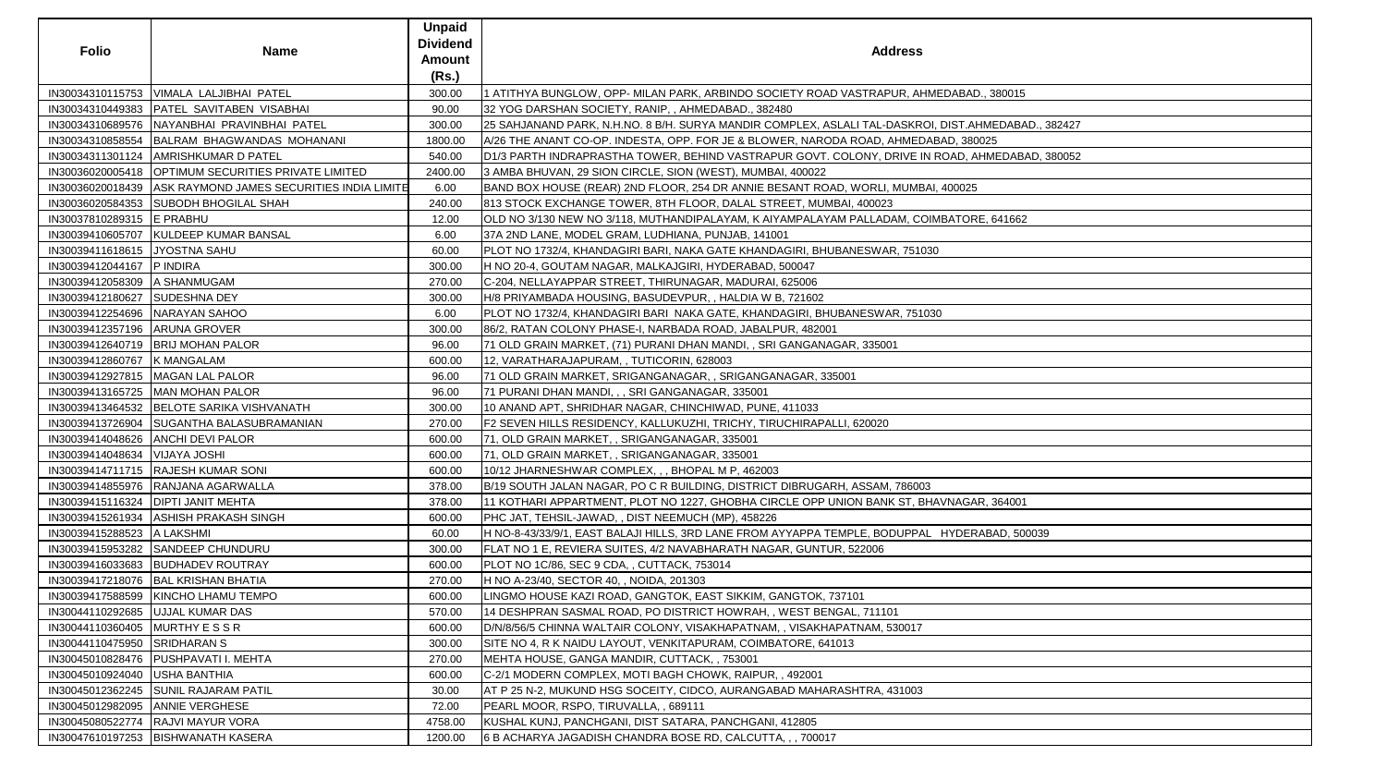| <b>Folio</b>                      | <b>Name</b>                                                | <b>Unpaid</b><br><b>Dividend</b><br>Amount<br>(Rs.) | <b>Address</b>                                                                                      |
|-----------------------------------|------------------------------------------------------------|-----------------------------------------------------|-----------------------------------------------------------------------------------------------------|
|                                   | IN30034310115753   VIMALA LALJIBHAI PATEL                  | 300.00                                              | 1 ATITHYA BUNGLOW, OPP- MILAN PARK, ARBINDO SOCIETY ROAD VASTRAPUR, AHMEDABAD., 380015              |
| IN30034310449383                  | <b>PATEL SAVITABEN VISABHAI</b>                            | 90.00                                               | 32 YOG DARSHAN SOCIETY, RANIP, , AHMEDABAD., 382480                                                 |
|                                   | IN30034310689576 NAYANBHAI PRAVINBHAI PATEL                | 300.00                                              | 25 SAHJANAND PARK, N.H.NO. 8 B/H. SURYA MANDIR COMPLEX, ASLALI TAL-DASKROI, DIST.AHMEDABAD., 382427 |
|                                   | IN30034310858554 BALRAM BHAGWANDAS MOHANANI                | 1800.00                                             | A/26 THE ANANT CO-OP. INDESTA, OPP. FOR JE & BLOWER, NARODA ROAD, AHMEDABAD, 380025                 |
|                                   | IN30034311301124   AMRISHKUMAR D PATEL                     | 540.00                                              | D1/3 PARTH INDRAPRASTHA TOWER, BEHIND VASTRAPUR GOVT. COLONY, DRIVE IN ROAD, AHMEDABAD, 380052      |
|                                   | IN30036020005418   OPTIMUM SECURITIES PRIVATE LIMITED      | 2400.00                                             | 3 AMBA BHUVAN, 29 SION CIRCLE, SION (WEST), MUMBAI, 400022                                          |
|                                   | IN30036020018439 ASK RAYMOND JAMES SECURITIES INDIA LIMITE | 6.00                                                | BAND BOX HOUSE (REAR) 2ND FLOOR, 254 DR ANNIE BESANT ROAD, WORLI, MUMBAI, 400025                    |
|                                   | IN30036020584353 SUBODH BHOGILAL SHAH                      | 240.00                                              | 813 STOCK EXCHANGE TOWER, 8TH FLOOR, DALAL STREET, MUMBAI, 400023                                   |
| IN30037810289315 E PRABHU         |                                                            | 12.00                                               | OLD NO 3/130 NEW NO 3/118, MUTHANDIPALAYAM, K AIYAMPALAYAM PALLADAM, COIMBATORE, 641662             |
|                                   | IN30039410605707  KULDEEP KUMAR BANSAL                     | 6.00                                                | 37A 2ND LANE, MODEL GRAM, LUDHIANA, PUNJAB, 141001                                                  |
| IN30039411618615 JYOSTNA SAHU     |                                                            | 60.00                                               | PLOT NO 1732/4, KHANDAGIRI BARI, NAKA GATE KHANDAGIRI, BHUBANESWAR, 751030                          |
| IN30039412044167 P INDIRA         |                                                            | 300.00                                              | H NO 20-4, GOUTAM NAGAR, MALKAJGIRI, HYDERABAD, 500047                                              |
| IN30039412058309 A SHANMUGAM      |                                                            | 270.00                                              | C-204, NELLAYAPPAR STREET, THIRUNAGAR, MADURAI, 625006                                              |
| IN30039412180627 SUDESHNA DEY     |                                                            | 300.00                                              | H/8 PRIYAMBADA HOUSING, BASUDEVPUR, , HALDIA W B, 721602                                            |
| IN30039412254696   NARAYAN SAHOO  |                                                            | 6.00                                                | PLOT NO 1732/4, KHANDAGIRI BARI  NAKA GATE, KHANDAGIRI, BHUBANESWAR, 751030                         |
| IN30039412357196   ARUNA GROVER   |                                                            | 300.00                                              | 86/2, RATAN COLONY PHASE-I, NARBADA ROAD, JABALPUR, 482001                                          |
|                                   | IN30039412640719   BRIJ MOHAN PALOR                        | 96.00                                               | 71 OLD GRAIN MARKET, (71) PURANI DHAN MANDI, , SRI GANGANAGAR, 335001                               |
| IN30039412860767 K MANGALAM       |                                                            | 600.00                                              | 12, VARATHARAJAPURAM, , TUTICORIN, 628003                                                           |
|                                   | IN30039412927815   MAGAN LAL PALOR                         | 96.00                                               | 71 OLD GRAIN MARKET, SRIGANGANAGAR, , SRIGANGANAGAR, 335001                                         |
|                                   | IN30039413165725   MAN MOHAN PALOR                         | 96.00                                               | 71 PURANI DHAN MANDI, , , SRI GANGANAGAR, 335001                                                    |
|                                   | IN30039413464532   BELOTE SARIKA VISHVANATH                | 300.00                                              | 10 ANAND APT, SHRIDHAR NAGAR, CHINCHIWAD, PUNE, 411033                                              |
|                                   | IN30039413726904 SUGANTHA BALASUBRAMANIAN                  | 270.00                                              | F2 SEVEN HILLS RESIDENCY, KALLUKUZHI, TRICHY, TIRUCHIRAPALLI, 620020                                |
|                                   | IN30039414048626 ANCHI DEVI PALOR                          | 600.00                                              | 71, OLD GRAIN MARKET, , SRIGANGANAGAR, 335001                                                       |
| IN30039414048634   VIJAYA JOSHI   |                                                            | 600.00                                              | 71, OLD GRAIN MARKET, , SRIGANGANAGAR, 335001                                                       |
|                                   | IN30039414711715   RAJESH KUMAR SONI                       | 600.00                                              | 10/12 JHARNESHWAR COMPLEX, , , BHOPAL M P, 462003                                                   |
|                                   | IN30039414855976 RANJANA AGARWALLA                         | 378.00                                              | B/19 SOUTH JALAN NAGAR, PO C R BUILDING, DISTRICT DIBRUGARH, ASSAM, 786003                          |
|                                   | IN30039415116324   DIPTI JANIT MEHTA                       | 378.00                                              | 11 KOTHARI APPARTMENT, PLOT NO 1227, GHOBHA CIRCLE OPP UNION BANK ST, BHAVNAGAR, 364001             |
|                                   | IN30039415261934 ASHISH PRAKASH SINGH                      | 600.00                                              | PHC JAT, TEHSIL-JAWAD, , DIST NEEMUCH (MP), 458226                                                  |
| IN30039415288523   A LAKSHMI      |                                                            | 60.00                                               | H NO-8-43/33/9/1, EAST BALAJI HILLS, 3RD LANE FROM AYYAPPA TEMPLE, BODUPPAL HYDERABAD, 500039       |
|                                   | IN30039415953282 SANDEEP CHUNDURU                          | 300.00                                              | FLAT NO 1 E, REVIERA SUITES, 4/2 NAVABHARATH NAGAR, GUNTUR, 522006                                  |
| IN30039416033683                  | <b>BUDHADEV ROUTRAY</b>                                    | 600.00                                              | PLOT NO 1C/86, SEC 9 CDA,, CUTTACK, 753014                                                          |
|                                   | IN30039417218076   BAL KRISHAN BHATIA                      | 270.00                                              | H NO A-23/40, SECTOR 40, , NOIDA, 201303                                                            |
| IN30039417588599                  | KINCHO LHAMU TEMPO                                         | 600.00                                              | LINGMO HOUSE KAZI ROAD, GANGTOK, EAST SIKKIM, GANGTOK, 737101                                       |
|                                   | IN30044110292685 UJJJAL KUMAR DAS                          | 570.00                                              | 14 DESHPRAN SASMAL ROAD, PO DISTRICT HOWRAH, , WEST BENGAL, 711101                                  |
| IN30044110360405   MURTHY E S S R |                                                            | 600.00                                              | D/N/8/56/5 CHINNA WALTAIR COLONY, VISAKHAPATNAM, , VISAKHAPATNAM, 530017                            |
| IN30044110475950                  | <b>SRIDHARAN S</b>                                         | 300.00                                              | SITE NO 4, R K NAIDU LAYOUT, VENKITAPURAM, COIMBATORE, 641013                                       |
|                                   | IN30045010828476   PUSHPAVATI I. MEHTA                     | 270.00                                              | MEHTA HOUSE, GANGA MANDIR, CUTTACK, , 753001                                                        |
| IN30045010924040                  | <b>USHA BANTHIA</b>                                        | 600.00                                              | C-2/1 MODERN COMPLEX, MOTI BAGH CHOWK, RAIPUR, , 492001                                             |
|                                   | IN30045012362245 SUNIL RAJARAM PATIL                       | 30.00                                               | AT P 25 N-2, MUKUND HSG SOCEITY, CIDCO, AURANGABAD MAHARASHTRA, 431003                              |
|                                   | IN30045012982095 ANNIE VERGHESE                            | 72.00                                               | PEARL MOOR, RSPO, TIRUVALLA, , 689111                                                               |
| IN30045080522774                  | <b>RAJVI MAYUR VORA</b>                                    | 4758.00                                             | KUSHAL KUNJ, PANCHGANI, DIST SATARA, PANCHGANI, 412805                                              |
|                                   | IN30047610197253  BISHWANATH KASERA                        | 1200.00                                             | 6 B ACHARYA JAGADISH CHANDRA BOSE RD, CALCUTTA, ,, 700017                                           |

| 0ABAD., 380015         |
|------------------------|
|                        |
| IST.AHMEDABAD., 382427 |
| D, 380025              |
| AD, AHMEDABAD, 380052  |
|                        |
| 00025                  |
|                        |
| ATORE, 641662          |
|                        |
|                        |
|                        |
|                        |
|                        |
|                        |
|                        |
|                        |
|                        |
|                        |
|                        |
|                        |
|                        |
|                        |
|                        |
|                        |
|                        |
|                        |
| <u>NAGAR, 364001</u>   |
|                        |
| YDERABAD, 500039       |
|                        |
|                        |
|                        |
|                        |
|                        |
|                        |
|                        |
|                        |
|                        |
|                        |
|                        |
|                        |
|                        |
|                        |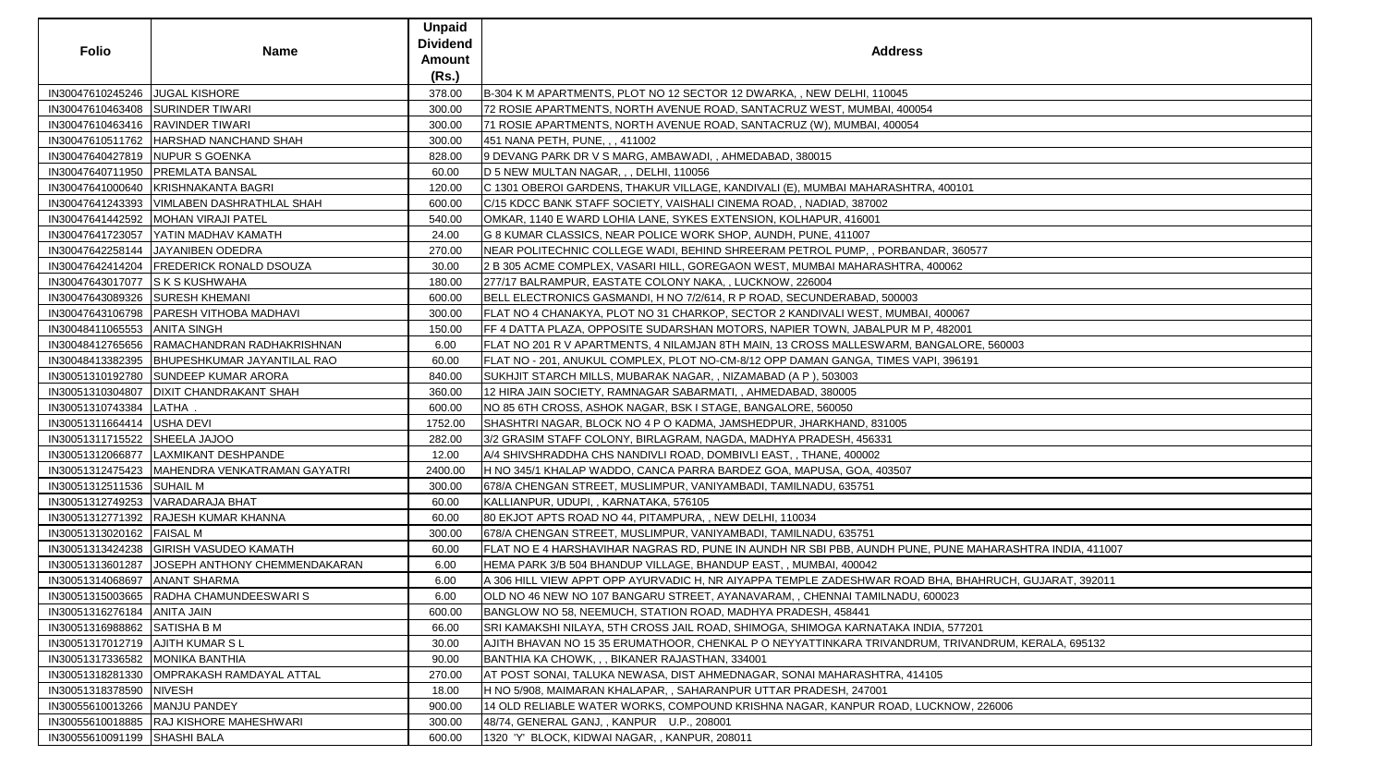| <b>Folio</b>                       | <b>Name</b>                                     | <b>Unpaid</b><br><b>Dividend</b><br>Amount<br>(Rs.) | <b>Address</b>                                                                                         |
|------------------------------------|-------------------------------------------------|-----------------------------------------------------|--------------------------------------------------------------------------------------------------------|
| IN30047610245246 JJUGAL KISHORE    |                                                 | 378.00                                              | B-304 K M APARTMENTS, PLOT NO 12 SECTOR 12 DWARKA, , NEW DELHI, 110045                                 |
|                                    | IN30047610463408 SURINDER TIWARI                | 300.00                                              | 72 ROSIE APARTMENTS, NORTH AVENUE ROAD, SANTACRUZ WEST, MUMBAI, 400054                                 |
|                                    | IN30047610463416   RAVINDER TIWARI              | 300.00                                              | 71 ROSIE APARTMENTS, NORTH AVENUE ROAD, SANTACRUZ (W), MUMBAI, 400054                                  |
|                                    | IN30047610511762   HARSHAD NANCHAND SHAH        | 300.00                                              | 451 NANA PETH, PUNE, , , 411002                                                                        |
|                                    | IN30047640427819 NUPUR S GOENKA                 | 828.00                                              | 9 DEVANG PARK DR V S MARG, AMBAWADI, , AHMEDABAD, 380015                                               |
|                                    | IN30047640711950   PREMLATA BANSAL              | 60.00                                               | D 5 NEW MULTAN NAGAR, , , DELHI, 110056                                                                |
|                                    | IN30047641000640   KRISHNAKANTA BAGRI           | 120.00                                              | C 1301 OBEROI GARDENS, THAKUR VILLAGE, KANDIVALI (E), MUMBAI MAHARASHTRA, 400101                       |
|                                    | IN30047641243393   VIMLABEN DASHRATHLAL SHAH    | 600.00                                              | C/15 KDCC BANK STAFF SOCIETY, VAISHALI CINEMA ROAD, , NADIAD, 387002                                   |
|                                    | IN30047641442592   MOHAN VIRAJI PATEL           | 540.00                                              | OMKAR, 1140 E WARD LOHIA LANE, SYKES EXTENSION, KOLHAPUR, 416001                                       |
|                                    | IN30047641723057   YATIN MADHAV KAMATH          | 24.00                                               | G 8 KUMAR CLASSICS, NEAR POLICE WORK SHOP, AUNDH, PUNE, 411007                                         |
|                                    | IN30047642258144 JJAYANIBEN ODEDRA              | 270.00                                              | NEAR POLITECHNIC COLLEGE WADI, BEHIND SHREERAM PETROL PUMP,, PORBANDAR, 360577                         |
|                                    | IN30047642414204   FREDERICK RONALD DSOUZA      | 30.00                                               | 2 B 305 ACME COMPLEX, VASARI HILL, GOREGAON WEST, MUMBAI MAHARASHTRA, 400062                           |
| IN30047643017077 S K S KUSHWAHA    |                                                 | 180.00                                              | 277/17 BALRAMPUR, EASTATE COLONY NAKA, , LUCKNOW, 226004                                               |
|                                    | IN30047643089326 SURESH KHEMANI                 | 600.00                                              | BELL ELECTRONICS GASMANDI, H NO 7/2/614, R P ROAD, SECUNDERABAD, 500003                                |
|                                    | IN30047643106798   PARESH VITHOBA MADHAVI       | 300.00                                              | FLAT NO 4 CHANAKYA, PLOT NO 31 CHARKOP, SECTOR 2 KANDIVALI WEST, MUMBAI, 400067                        |
| IN30048411065553 ANITA SINGH       |                                                 | 150.00                                              | FF 4 DATTA PLAZA, OPPOSITE SUDARSHAN MOTORS, NAPIER TOWN, JABALPUR M P, 482001                         |
|                                    | IN30048412765656 RAMACHANDRAN RADHAKRISHNAN     | 6.00                                                | FLAT NO 201 R V APARTMENTS, 4 NILAMJAN 8TH MAIN, 13 CROSS MALLESWARM, BANGALORE, 560003                |
|                                    | IN30048413382395   BHUPESHKUMAR JAYANTILAL RAO  | 60.00                                               | FLAT NO - 201, ANUKUL COMPLEX, PLOT NO-CM-8/12 OPP DAMAN GANGA, TIMES VAPI, 396191                     |
|                                    | IN30051310192780 SUNDEEP KUMAR ARORA            | 840.00                                              | SUKHJIT STARCH MILLS, MUBARAK NAGAR, , NIZAMABAD (A P), 503003                                         |
|                                    | IN30051310304807   DIXIT CHANDRAKANT SHAH       | 360.00                                              | 12 HIRA JAIN SOCIETY, RAMNAGAR SABARMATI, , AHMEDABAD, 380005                                          |
| IN30051310743384 LATHA.            |                                                 | 600.00                                              | NO 85 6TH CROSS, ASHOK NAGAR, BSK I STAGE, BANGALORE, 560050                                           |
| IN30051311664414   USHA DEVI       |                                                 | 1752.00                                             | SHASHTRI NAGAR, BLOCK NO 4 P O KADMA, JAMSHEDPUR, JHARKHAND, 831005                                    |
| IN30051311715522 SHEELA JAJOO      |                                                 | 282.00                                              | 3/2 GRASIM STAFF COLONY, BIRLAGRAM, NAGDA, MADHYA PRADESH, 456331                                      |
|                                    | IN30051312066877   LAXMIKANT DESHPANDE          | 12.00                                               | A/4 SHIVSHRADDHA CHS NANDIVLI ROAD, DOMBIVLI EAST, , THANE, 400002                                     |
|                                    | IN30051312475423   MAHENDRA VENKATRAMAN GAYATRI | 2400.00                                             | H NO 345/1 KHALAP WADDO, CANCA PARRA BARDEZ GOA, MAPUSA, GOA, 403507                                   |
| IN30051312511536 SUHAIL M          |                                                 | 300.00                                              | 678/A CHENGAN STREET, MUSLIMPUR, VANIYAMBADI, TAMILNADU, 635751                                        |
|                                    | IN30051312749253 VARADARAJA BHAT                | 60.00                                               | KALLIANPUR, UDUPI, , KARNATAKA, 576105                                                                 |
|                                    | IN30051312771392   RAJESH KUMAR KHANNA          | 60.00                                               | 80 EKJOT APTS ROAD NO 44, PITAMPURA, , NEW DELHI, 110034                                               |
| IN30051313020162   FAISAL M        |                                                 | 300.00                                              | 678/A CHENGAN STREET, MUSLIMPUR, VANIYAMBADI, TAMILNADU, 635751                                        |
|                                    | IN30051313424238 GIRISH VASUDEO KAMATH          | 60.00                                               | FLAT NO E 4 HARSHAVIHAR NAGRAS RD, PUNE IN AUNDH NR SBI PBB, AUNDH PUNE, PUNE MAHARASHTRA INDIA, 41100 |
|                                    | IN30051313601287 JJOSEPH ANTHONY CHEMMENDAKARAN | 6.00                                                | HEMA PARK 3/B 504 BHANDUP VILLAGE, BHANDUP EAST, , MUMBAI, 400042                                      |
| IN30051314068697   ANANT SHARMA    |                                                 | 6.00                                                | A 306 HILL VIEW APPT OPP AYURVADIC H, NR AIYAPPA TEMPLE ZADESHWAR ROAD BHA, BHAHRUCH, GUJARAT, 392011  |
|                                    | IN30051315003665 RADHA CHAMUNDEESWARIS          | 6.00                                                | OLD NO 46 NEW NO 107 BANGARU STREET, AYANAVARAM, , CHENNAI TAMILNADU, 600023                           |
| IN30051316276184   ANITA JAIN      |                                                 | 600.00                                              | BANGLOW NO 58, NEEMUCH, STATION ROAD, MADHYA PRADESH, 458441                                           |
| IN30051316988862 SATISHA B M       |                                                 | 66.00                                               | SRI KAMAKSHI NILAYA, 5TH CROSS JAIL ROAD, SHIMOGA, SHIMOGA KARNATAKA INDIA, 577201                     |
| IN30051317012719   AJITH KUMAR S L |                                                 | 30.00                                               | AJITH BHAVAN NO 15 35 ERUMATHOOR, CHENKAL P O NEYYATTINKARA TRIVANDRUM, TRIVANDRUM, KERALA, 695132     |
| IN30051317336582 MONIKA BANTHIA    |                                                 | 90.00                                               | BANTHIA KA CHOWK, , , BIKANER RAJASTHAN, 334001                                                        |
|                                    | IN30051318281330 OMPRAKASH RAMDAYAL ATTAL       | 270.00                                              | AT POST SONAI, TALUKA NEWASA, DIST AHMEDNAGAR, SONAI MAHARASHTRA, 414105                               |
| IN30051318378590 NIVESH            |                                                 | 18.00                                               | H NO 5/908, MAIMARAN KHALAPAR, , SAHARANPUR UTTAR PRADESH, 247001                                      |
| IN30055610013266   MANJU PANDEY    |                                                 | 900.00                                              | 14 OLD RELIABLE WATER WORKS, COMPOUND KRISHNA NAGAR, KANPUR ROAD, LUCKNOW, 226006                      |
|                                    | IN30055610018885   RAJ KISHORE MAHESHWARI       | 300.00                                              | 48/74, GENERAL GANJ, , KANPUR U.P., 208001                                                             |
| IN30055610091199 SHASHI BALA       |                                                 | 600.00                                              | 1320 'Y' BLOCK, KIDWAI NAGAR, , KANPUR, 208011                                                         |

| ress                                 |
|--------------------------------------|
| 45                                   |
| 400054                               |
| 054                                  |
|                                      |
|                                      |
|                                      |
| SHTRA, 400101                        |
|                                      |
|                                      |
|                                      |
| RBANDAR, 360577                      |
| TRA, 400062                          |
|                                      |
| 003                                  |
| JMBAI, 400067                        |
| JR M P, 482001                       |
| M, BANGALORE, 560003                 |
| ES VAPI, 396191                      |
|                                      |
|                                      |
|                                      |
| )5                                   |
|                                      |
|                                      |
| 07                                   |
|                                      |
|                                      |
|                                      |
| PUNE, PUNE MAHARASHTRA INDIA, 411007 |
|                                      |
| ROAD BHA, BHAHRUCH, GUJARAT, 392011  |
| ADU, 600023                          |
|                                      |
| <b>KA INDIA, 577201</b>              |
| NDRUM, TRIVANDRUM, KERALA, 695132    |
|                                      |
| A, 414105                            |
|                                      |
| AD, LUCKNOW, 226006                  |
|                                      |
|                                      |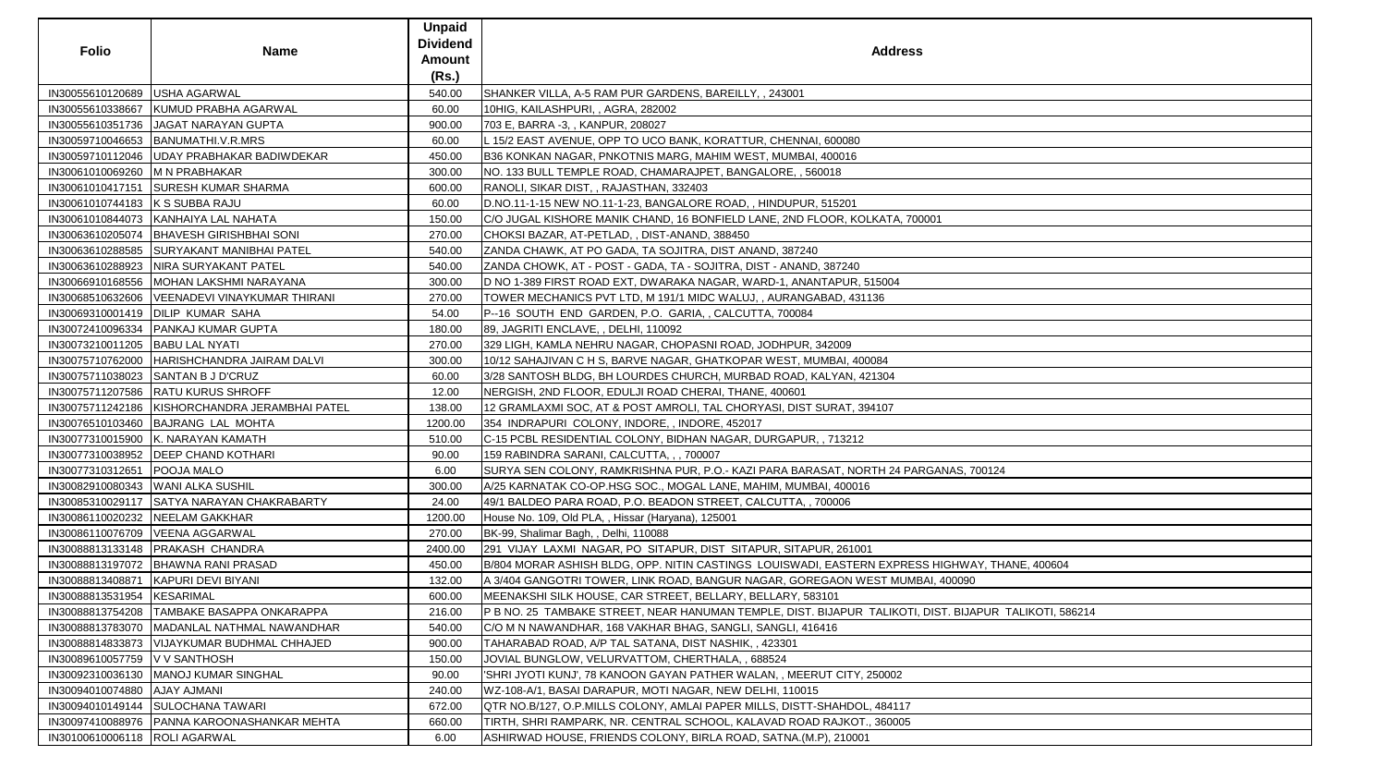| <b>Folio</b>                     | Name                                             | <b>Unpaid</b><br><b>Dividend</b><br><b>Amount</b><br>(Rs.) | <b>Address</b>                                                                                            |
|----------------------------------|--------------------------------------------------|------------------------------------------------------------|-----------------------------------------------------------------------------------------------------------|
| IN30055610120689 USHA AGARWAL    |                                                  | 540.00                                                     | SHANKER VILLA, A-5 RAM PUR GARDENS, BAREILLY,, 243001                                                     |
|                                  | IN30055610338667   KUMUD PRABHA AGARWAL          | 60.00                                                      | 10HIG, KAILASHPURI, , AGRA, 282002                                                                        |
|                                  | IN30055610351736   JAGAT NARAYAN GUPTA           | 900.00                                                     | 703 E, BARRA -3, , KANPUR, 208027                                                                         |
|                                  | IN30059710046653   BANUMATHI.V.R.MRS             | 60.00                                                      | L 15/2 EAST AVENUE, OPP TO UCO BANK, KORATTUR, CHENNAI, 600080                                            |
|                                  | IN30059710112046   UDAY PRABHAKAR BADIWDEKAR     | 450.00                                                     | B36 KONKAN NAGAR, PNKOTNIS MARG, MAHIM WEST, MUMBAI, 400016                                               |
| IN30061010069260  M N PRABHAKAR  |                                                  | 300.00                                                     | NO. 133 BULL TEMPLE ROAD, CHAMARAJPET, BANGALORE, , 560018                                                |
|                                  | IN30061010417151 SURESH KUMAR SHARMA             | 600.00                                                     | RANOLI, SIKAR DIST, , RAJASTHAN, 332403                                                                   |
| IN30061010744183 K S SUBBA RAJU  |                                                  | 60.00                                                      | D.NO.11-1-15 NEW NO.11-1-23, BANGALORE ROAD,, HINDUPUR, 515201                                            |
|                                  | IN30061010844073 KANHAIYA LAL NAHATA             | 150.00                                                     | C/O JUGAL KISHORE MANIK CHAND, 16 BONFIELD LANE, 2ND FLOOR, KOLKATA, 700001                               |
|                                  | IN30063610205074  BHAVESH GIRISHBHAI SONI        | 270.00                                                     | CHOKSI BAZAR, AT-PETLAD, , DIST-ANAND, 388450                                                             |
|                                  | IN30063610288585 SURYAKANT MANIBHAI PATEL        | 540.00                                                     | ZANDA CHAWK, AT PO GADA, TA SOJITRA, DIST ANAND, 387240                                                   |
|                                  | IN30063610288923   NIRA SURYAKANT PATEL          | 540.00                                                     | ZANDA CHOWK, AT - POST - GADA, TA - SOJITRA, DIST - ANAND, 387240                                         |
|                                  | IN30066910168556   MOHAN LAKSHMI NARAYANA        | 300.00                                                     | D NO 1-389 FIRST ROAD EXT, DWARAKA NAGAR, WARD-1, ANANTAPUR, 515004                                       |
|                                  | IN30068510632606   VEENADEVI VINAYKUMAR THIRANI  | 270.00                                                     | TOWER MECHANICS PVT LTD, M 191/1 MIDC WALUJ,, AURANGABAD, 431136                                          |
|                                  | IN30069310001419   DILIP KUMAR SAHA              | 54.00                                                      | P--16 SOUTH END GARDEN, P.O. GARIA, , CALCUTTA, 700084                                                    |
|                                  | IN30072410096334   PANKAJ KUMAR GUPTA            | 180.00                                                     | 89, JAGRITI ENCLAVE, , DELHI, 110092                                                                      |
| IN30073210011205  BABU LAL NYATI |                                                  | 270.00                                                     | 329 LIGH, KAMLA NEHRU NAGAR, CHOPASNI ROAD, JODHPUR, 342009                                               |
|                                  | IN30075710762000 HARISHCHANDRA JAIRAM DALVI      | 300.00                                                     | 10/12 SAHAJIVAN C H S, BARVE NAGAR, GHATKOPAR WEST, MUMBAI, 400084                                        |
|                                  | IN30075711038023 SANTAN B J D'CRUZ               | 60.00                                                      | 3/28 SANTOSH BLDG, BH LOURDES CHURCH, MURBAD ROAD, KALYAN, 421304                                         |
|                                  | IN30075711207586   RATU KURUS SHROFF             | 12.00                                                      | NERGISH, 2ND FLOOR, EDULJI ROAD CHERAI, THANE, 400601                                                     |
|                                  | IN30075711242186   KISHORCHANDRA JERAMBHAI PATEL | 138.00                                                     | 12 GRAMLAXMI SOC, AT & POST AMROLI, TAL CHORYASI, DIST SURAT, 394107                                      |
|                                  | IN30076510103460 BAJRANG LAL MOHTA               | 1200.00                                                    | 354 INDRAPURI COLONY, INDORE, , INDORE, 452017                                                            |
|                                  | IN30077310015900   K. NARAYAN KAMATH             | 510.00                                                     | C-15 PCBL RESIDENTIAL COLONY, BIDHAN NAGAR, DURGAPUR, , 713212                                            |
|                                  | IN30077310038952   DEEP CHAND KOTHARI            | 90.00                                                      | 159 RABINDRA SARANI, CALCUTTA, , , 700007                                                                 |
| IN30077310312651   POOJA MALO    |                                                  | 6.00                                                       | SURYA SEN COLONY, RAMKRISHNA PUR, P.O.- KAZI PARA BARASAT, NORTH 24 PARGANAS, 700124                      |
|                                  | IN30082910080343 WANI ALKA SUSHIL                | 300.00                                                     | A/25 KARNATAK CO-OP.HSG SOC., MOGAL LANE, MAHIM, MUMBAI, 400016                                           |
|                                  | IN30085310029117 SATYA NARAYAN CHAKRABARTY       | 24.00                                                      | 49/1 BALDEO PARA ROAD, P.O. BEADON STREET, CALCUTTA, , 700006                                             |
|                                  | IN30086110020232 NEELAM GAKKHAR                  | 1200.00                                                    | House No. 109, Old PLA, , Hissar (Haryana), 125001                                                        |
|                                  | IN30086110076709   VEENA AGGARWAL                | 270.00                                                     | BK-99, Shalimar Bagh,, Delhi, 110088                                                                      |
|                                  | IN30088813133148   PRAKASH CHANDRA               | 2400.00                                                    | 291 VIJAY LAXMI NAGAR, PO SITAPUR, DIST SITAPUR, SITAPUR, 261001                                          |
|                                  | IN30088813197072   BHAWNA RANI PRASAD            | 450.00                                                     | B/804 MORAR ASHISH BLDG, OPP. NITIN CASTINGS  LOUISWADI, EASTERN EXPRESS HIGHWAY, THANE, 400604           |
| IN30088813408871                 | KAPURI DEVI BIYANI                               | 132.00                                                     | A 3/404 GANGOTRI TOWER, LINK ROAD, BANGUR NAGAR, GOREGAON WEST MUMBAI, 400090                             |
| IN30088813531954 KESARIMAL       |                                                  | 600.00                                                     | MEENAKSHI SILK HOUSE, CAR STREET, BELLARY, BELLARY, 583101                                                |
|                                  | IN30088813754208   TAMBAKE BASAPPA ONKARAPPA     | 216.00                                                     | P B NO. 25  TAMBAKE STREET, NEAR HANUMAN TEMPLE, DIST. BIJAPUR  TALIKOTI, DIST. BIJAPUR  TALIKOTI, 586214 |
|                                  | IN30088813783070   MADANLAL NATHMAL NAWANDHAR    | 540.00                                                     | C/O M N NAWANDHAR, 168 VAKHAR BHAG, SANGLI, SANGLI, 416416                                                |
|                                  | IN30088814833873   VIJAYKUMAR BUDHMAL CHHAJED    | 900.00                                                     | TAHARABAD ROAD, A/P TAL SATANA, DIST NASHIK, , 423301                                                     |
| IN30089610057759   V V SANTHOSH  |                                                  | 150.00                                                     | JOVIAL BUNGLOW, VELURVATTOM, CHERTHALA, , 688524                                                          |
|                                  | IN30092310036130   MANOJ KUMAR SINGHAL           | 90.00                                                      | 'SHRI JYOTI KUNJ', 78 KANOON GAYAN PATHER WALAN, , MEERUT CITY, 250002                                    |
| IN30094010074880 AJAY AJMANI     |                                                  | 240.00                                                     | WZ-108-A/1, BASAI DARAPUR, MOTI NAGAR, NEW DELHI, 110015                                                  |
|                                  | IN30094010149144 SULOCHANA TAWARI                | 672.00                                                     | QTR NO.B/127, O.P.MILLS COLONY, AMLAI PAPER MILLS, DISTT-SHAHDOL, 484117                                  |
|                                  | IN30097410088976   PANNA KAROONASHANKAR MEHTA    | 660.00                                                     | TIRTH, SHRI RAMPARK, NR. CENTRAL SCHOOL, KALAVAD ROAD RAJKOT., 360005                                     |
| IN30100610006118   ROLI AGARWAL  |                                                  | 6.00                                                       | ASHIRWAD HOUSE, FRIENDS COLONY, BIRLA ROAD, SATNA.(M.P), 210001                                           |

| 00124                |  |
|----------------------|--|
|                      |  |
|                      |  |
|                      |  |
|                      |  |
|                      |  |
|                      |  |
|                      |  |
|                      |  |
|                      |  |
| Y, THANE, 400604     |  |
|                      |  |
|                      |  |
|                      |  |
|                      |  |
|                      |  |
| PUR TALIKOTI, 586214 |  |
|                      |  |
|                      |  |
|                      |  |
|                      |  |
|                      |  |
|                      |  |
|                      |  |
|                      |  |
|                      |  |
|                      |  |
|                      |  |
|                      |  |
|                      |  |
|                      |  |
|                      |  |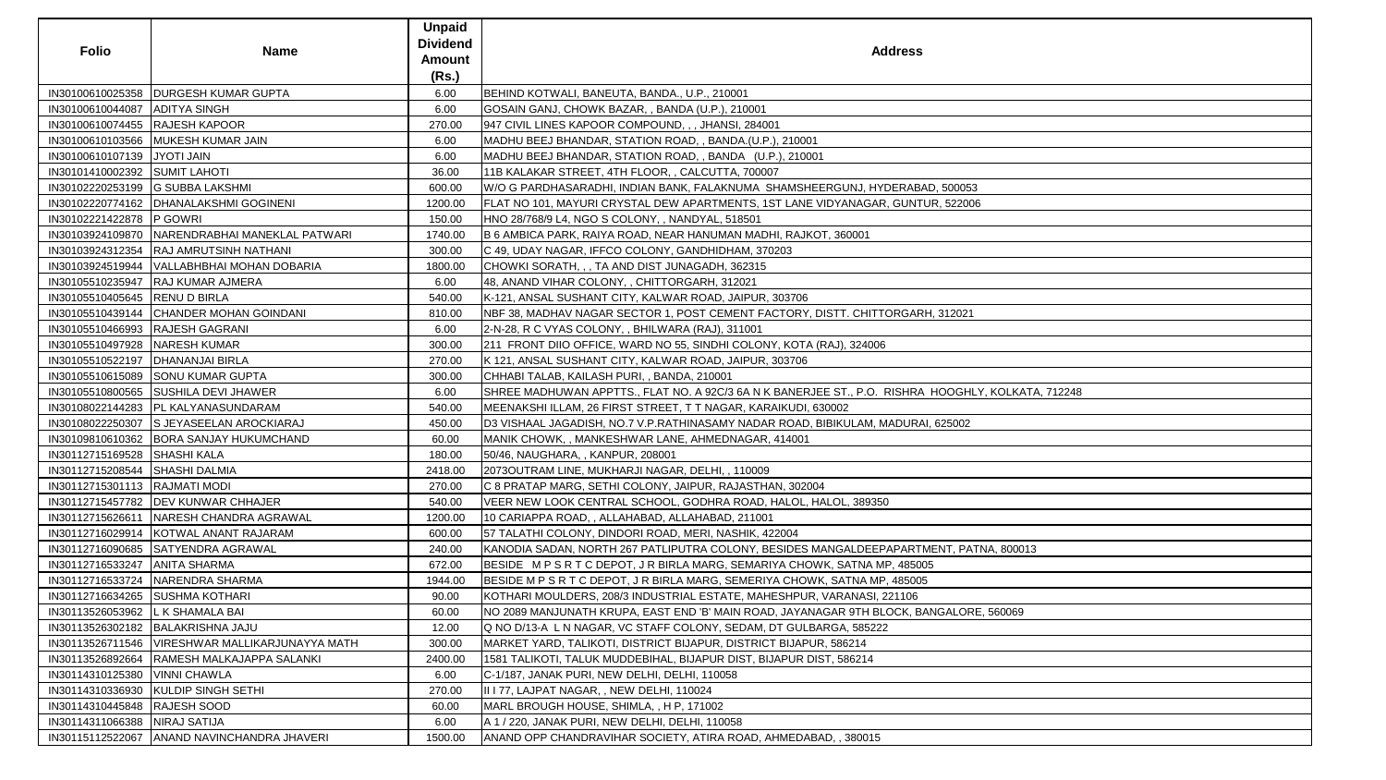|                                    |                                          | <b>Unpaid</b>   |                                                                                                    |
|------------------------------------|------------------------------------------|-----------------|----------------------------------------------------------------------------------------------------|
|                                    |                                          | <b>Dividend</b> |                                                                                                    |
| <b>Folio</b>                       | <b>Name</b>                              | Amount          | <b>Address</b>                                                                                     |
|                                    |                                          | (Rs.)           |                                                                                                    |
|                                    | IN30100610025358  DURGESH KUMAR GUPTA    | 6.00            | BEHIND KOTWALI, BANEUTA, BANDA., U.P., 210001                                                      |
| IN30100610044087 ADITYA SINGH      |                                          | 6.00            | GOSAIN GANJ, CHOWK BAZAR, , BANDA (U.P.), 210001                                                   |
| IN30100610074455 RAJESH KAPOOR     |                                          | 270.00          | 947 CIVIL LINES KAPOOR COMPOUND, , , JHANSI, 284001                                                |
|                                    | IN30100610103566 MUKESH KUMAR JAIN       | 6.00            | MADHU BEEJ BHANDAR, STATION ROAD, , BANDA.(U.P.), 210001                                           |
| IN30100610107139 JYOTI JAIN        |                                          | 6.00            | MADHU BEEJ BHANDAR, STATION ROAD, , BANDA (U.P.), 210001                                           |
| IN30101410002392 SUMIT LAHOTI      |                                          | 36.00           | 11B KALAKAR STREET, 4TH FLOOR, , CALCUTTA, 700007                                                  |
|                                    | IN30102220253199 G SUBBA LAKSHMI         | 600.00          | W/O G PARDHASARADHI, INDIAN BANK, FALAKNUMA SHAMSHEERGUNJ, HYDERABAD, 500053                       |
|                                    | IN30102220774162   DHANALAKSHMI GOGINENI | 1200.00         | FLAT NO 101, MAYURI CRYSTAL DEW APARTMENTS, 1ST LANE VIDYANAGAR, GUNTUR, 522006                    |
| IN30102221422878 P GOWRI           |                                          | 150.00          | HNO 28/768/9 L4, NGO S COLONY, , NANDYAL, 518501                                                   |
| IN30103924109870                   | NARENDRABHAI MANEKLAL PATWARI            | 1740.00         | B 6 AMBICA PARK, RAIYA ROAD, NEAR HANUMAN MADHI, RAJKOT, 360001                                    |
| IN30103924312354                   | <b>RAJ AMRUTSINH NATHANI</b>             | 300.00          | C 49, UDAY NAGAR, IFFCO COLONY, GANDHIDHAM, 370203                                                 |
| IN30103924519944                   | VALLABHBHAI MOHAN DOBARIA                | 1800.00         | CHOWKI SORATH, , , TA AND DIST JUNAGADH, 362315                                                    |
|                                    | IN30105510235947  RAJ KUMAR AJMERA       | 6.00            | 48, ANAND VIHAR COLONY, , CHITTORGARH, 312021                                                      |
| IN30105510405645 RENU D BIRLA      |                                          | 540.00          | K-121, ANSAL SUSHANT CITY, KALWAR ROAD, JAIPUR, 303706                                             |
| IN30105510439144                   | <b>CHANDER MOHAN GOINDANI</b>            | 810.00          | NBF 38, MADHAV NAGAR SECTOR 1, POST CEMENT FACTORY, DISTT. CHITTORGARH, 312021                     |
| IN30105510466993  RAJESH GAGRANI   |                                          | 6.00            | 2-N-28, R C VYAS COLONY, , BHILWARA (RAJ), 311001                                                  |
| IN30105510497928                   | NARESH KUMAR                             | 300.00          | 211 FRONT DIIO OFFICE, WARD NO 55, SINDHI COLONY, KOTA (RAJ), 324006                               |
| IN30105510522197   DHANANJAI BIRLA |                                          | 270.00          | K 121, ANSAL SUSHANT CITY, KALWAR ROAD, JAIPUR, 303706                                             |
|                                    | IN30105510615089 SONU KUMAR GUPTA        | 300.00          | CHHABI TALAB, KAILASH PURI, , BANDA, 210001                                                        |
|                                    | IN30105510800565 SUSHILA DEVI JHAWER     | 6.00            | SHREE MADHUWAN APPTTS., FLAT NO. A 92C/3 6A N K BANERJEE ST., P.O. RISHRA HOOGHLY, KOLKATA, 712248 |
|                                    | IN30108022144283  PL KALYANASUNDARAM     | 540.00          | MEENAKSHI ILLAM, 26 FIRST STREET, TT NAGAR, KARAIKUDI, 630002                                      |
|                                    | IN30108022250307 S JEYASEELAN AROCKIARAJ | 450.00          | D3 VISHAAL JAGADISH, NO.7 V.P.RATHINASAMY NADAR ROAD, BIBIKULAM, MADURAI, 625002                   |
|                                    | IN30109810610362 BORA SANJAY HUKUMCHAND  | 60.00           | MANIK CHOWK,, MANKESHWAR LANE, AHMEDNAGAR, 414001                                                  |
| IN30112715169528                   | <b>SHASHI KALA</b>                       | 180.00          | 50/46, NAUGHARA, , KANPUR, 208001                                                                  |
| IN30112715208544 SHASHI DALMIA     |                                          | 2418.00         | 2073OUTRAM LINE, MUKHARJI NAGAR, DELHI,, 110009                                                    |
| IN30112715301113  RAJMATI MODI     |                                          | 270.00          | C 8 PRATAP MARG, SETHI COLONY, JAIPUR, RAJASTHAN, 302004                                           |
|                                    | IN30112715457782   DEV KUNWAR CHHAJER    | 540.00          | VEER NEW LOOK CENTRAL SCHOOL, GODHRA ROAD, HALOL, HALOL, 389350                                    |
| IN30112715626611                   | NARESH CHANDRA AGRAWAL                   | 1200.00         | 10 CARIAPPA ROAD, , ALLAHABAD, ALLAHABAD, 211001                                                   |
| IN30112716029914                   | KOTWAL ANANT RAJARAM                     | 600.00          | 57 TALATHI COLONY, DINDORI ROAD, MERI, NASHIK, 422004                                              |
|                                    | IN30112716090685  SATYENDRA AGRAWAL      | 240.00          | KANODIA SADAN, NORTH 267 PATLIPUTRA COLONY, BESIDES MANGALDEEPAPARTMENT, PATNA, 800013             |
| IN30112716533247                   | <b>ANITA SHARMA</b>                      | 672.00          | BESIDE M P S R T C DEPOT, J R BIRLA MARG, SEMARIYA CHOWK, SATNA MP, 485005                         |
| IN30112716533724                   | NARENDRA SHARMA                          | 1944.00         | BESIDE M P S R T C DEPOT, J R BIRLA MARG, SEMERIYA CHOWK, SATNA MP, 485005                         |
| IN30112716634265                   | <b>SUSHMA KOTHARI</b>                    | 90.00           | KOTHARI MOULDERS, 208/3 INDUSTRIAL ESTATE, MAHESHPUR, VARANASI, 221106                             |
| IN30113526053962                   | L K SHAMALA BAI                          | 60.00           | NO 2089 MANJUNATH KRUPA, EAST END 'B' MAIN ROAD, JAYANAGAR 9TH BLOCK, BANGALORE, 560069            |
|                                    | IN30113526302182   BALAKRISHNA JAJU      | 12.00           | Q NO D/13-A L N NAGAR, VC STAFF COLONY, SEDAM, DT GULBARGA, 585222                                 |
| IN30113526711546                   | VIRESHWAR MALLIKARJUNAYYA MATH           | 300.00          | MARKET YARD, TALIKOTI, DISTRICT BIJAPUR, DISTRICT BIJAPUR, 586214                                  |
| IN30113526892664                   | <b>RAMESH MALKAJAPPA SALANKI</b>         | 2400.00         | 1581 TALIKOTI, TALUK MUDDEBIHAL, BIJAPUR DIST, BIJAPUR DIST, 586214                                |
| IN30114310125380                   | <b>VINNI CHAWLA</b>                      | 6.00            | C-1/187, JANAK PURI, NEW DELHI, DELHI, 110058                                                      |
| IN30114310336930                   | <b>KULDIP SINGH SETHI</b>                | 270.00          | III 177, LAJPAT NAGAR, , NEW DELHI, 110024                                                         |
| IN30114310445848  RAJESH SOOD      |                                          | 60.00           | MARL BROUGH HOUSE, SHIMLA, H P, 171002                                                             |
| IN30114311066388                   | <b>NIRAJ SATIJA</b>                      | 6.00            | A 1 / 220, JANAK PURI, NEW DELHI, DELHI, 110058                                                    |
| IN30115112522067                   | <b>ANAND NAVINCHANDRA JHAVERI</b>        | 1500.00         | ANAND OPP CHANDRAVIHAR SOCIETY, ATIRA ROAD, AHMEDABAD, , 380015                                    |

| , 500053                 |  |
|--------------------------|--|
| २, 522006                |  |
|                          |  |
|                          |  |
|                          |  |
|                          |  |
|                          |  |
|                          |  |
|                          |  |
|                          |  |
|                          |  |
| 312021                   |  |
|                          |  |
|                          |  |
|                          |  |
|                          |  |
|                          |  |
|                          |  |
|                          |  |
|                          |  |
| HOOGHLY, KOLKATA, 712248 |  |
|                          |  |
|                          |  |
| 625002                   |  |
|                          |  |
|                          |  |
|                          |  |
|                          |  |
|                          |  |
|                          |  |
|                          |  |
|                          |  |
|                          |  |
|                          |  |
|                          |  |
| ENT, PATNA, 800013       |  |
|                          |  |
|                          |  |
|                          |  |
|                          |  |
| <b>IGALORE, 560069</b>   |  |
|                          |  |
|                          |  |
|                          |  |
|                          |  |
|                          |  |
|                          |  |
|                          |  |
|                          |  |
|                          |  |
|                          |  |
|                          |  |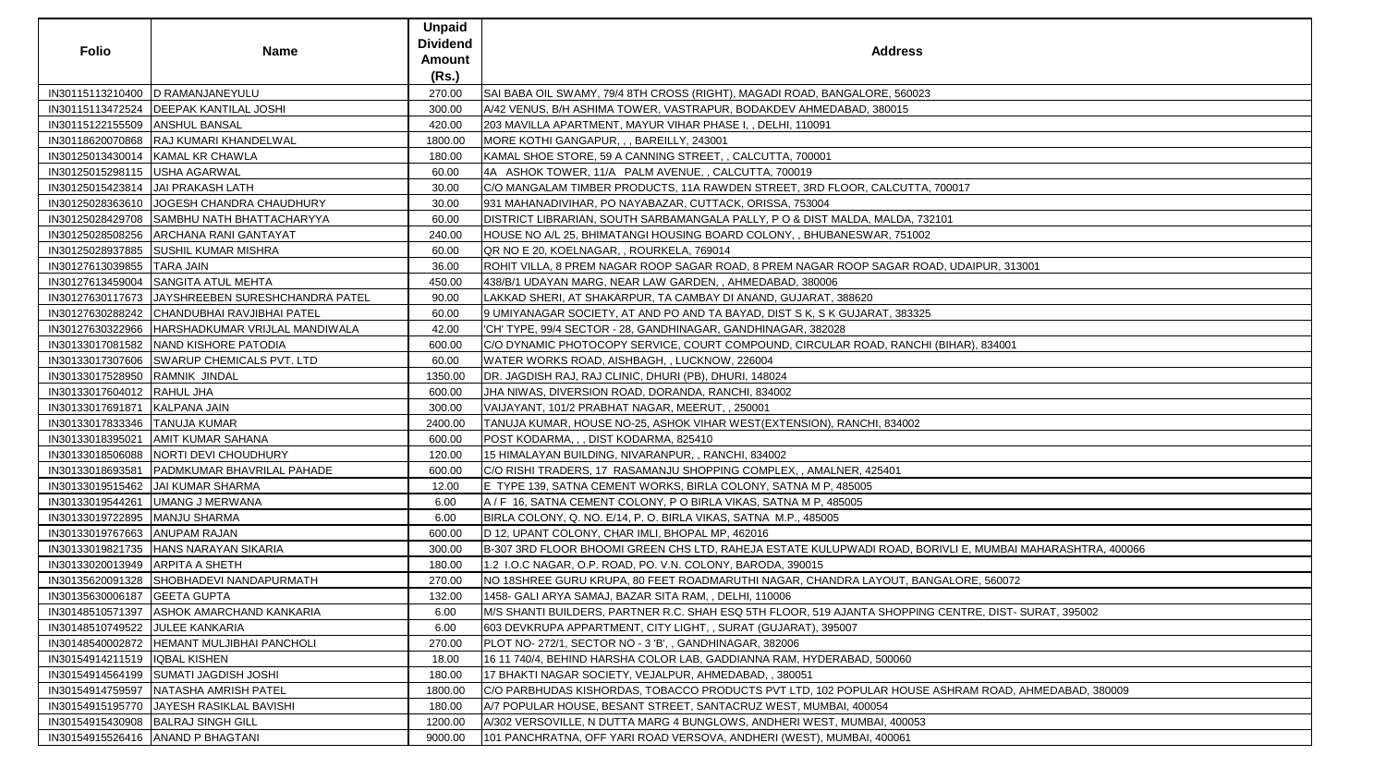| <b>Folio</b>                    | <b>Name</b>                                | <b>Unpaid</b><br><b>Dividend</b><br>Amount<br>(Rs.) | <b>Address</b>                                                                                            |
|---------------------------------|--------------------------------------------|-----------------------------------------------------|-----------------------------------------------------------------------------------------------------------|
| IN30115113210400                | <b>D RAMANJANEYULU</b>                     | 270.00                                              | SAI BABA OIL SWAMY, 79/4 8TH CROSS (RIGHT), MAGADI ROAD, BANGALORE, 560023                                |
| IN30115113472524                | <b>DEEPAK KANTILAL JOSHI</b>               | 300.00                                              | A/42 VENUS, B/H ASHIMA TOWER, VASTRAPUR, BODAKDEV AHMEDABAD, 380015                                       |
| IN30115122155509 ANSHUL BANSAL  |                                            | 420.00                                              | 203 MAVILLA APARTMENT, MAYUR VIHAR PHASE I, , DELHI, 110091                                               |
|                                 | IN30118620070868 RAJ KUMARI KHANDELWAL     | 1800.00                                             | MORE KOTHI GANGAPUR, , , BAREILLY, 243001                                                                 |
| IN30125013430014                | KAMAL KR CHAWLA                            | 180.00                                              | KAMAL SHOE STORE, 59 A CANNING STREET, , CALCUTTA, 700001                                                 |
| IN30125015298115                | USHA AGARWAL                               | 60.00                                               | 4A ASHOK TOWER, 11/A PALM AVENUE, , CALCUTTA, 700019                                                      |
| IN30125015423814                | JAI PRAKASH LATH                           | 30.00                                               | C/O MANGALAM TIMBER PRODUCTS, 11A RAWDEN STREET, 3RD FLOOR, CALCUTTA, 700017                              |
| IN30125028363610                | <b>JOGESH CHANDRA CHAUDHURY</b>            | 30.00                                               | 931 MAHANADIVIHAR, PO NAYABAZAR, CUTTACK, ORISSA, 753004                                                  |
| IN30125028429708                | SAMBHU NATH BHATTACHARYYA                  | 60.00                                               | DISTRICT LIBRARIAN, SOUTH SARBAMANGALA PALLY, P O & DIST MALDA, MALDA, 732101                             |
| IN30125028508256                | <b>ARCHANA RANI GANTAYAT</b>               | 240.00                                              | HOUSE NO A/L 25, BHIMATANGI HOUSING BOARD COLONY, , BHUBANESWAR, 751002                                   |
|                                 | IN30125028937885 SUSHIL KUMAR MISHRA       | 60.00                                               | QR NO E 20, KOELNAGAR, , ROURKELA, 769014                                                                 |
| IN30127613039855                | <b>TARA JAIN</b>                           | 36.00                                               | ROHIT VILLA, 8 PREM NAGAR ROOP SAGAR ROAD, 8 PREM NAGAR ROOP SAGAR ROAD, UDAIPUR, 313001                  |
| IN30127613459004                | <b>SANGITA ATUL MEHTA</b>                  | 450.00                                              | 438/B/1 UDAYAN MARG, NEAR LAW GARDEN, , AHMEDABAD, 380006                                                 |
| IN30127630117673                | JAYSHREEBEN SURESHCHANDRA PATEL            | 90.00                                               | LAKKAD SHERI, AT SHAKARPUR, TA CAMBAY DI ANAND, GUJARAT, 388620                                           |
| IN30127630288242                | CHANDUBHAI RAVJIBHAI PATEL                 | 60.00                                               | 9 UMIYANAGAR SOCIETY, AT AND PO AND TA BAYAD, DIST S K, S K GUJARAT, 383325                               |
| IN30127630322966                | HARSHADKUMAR VRIJLAL MANDIWALA             | 42.00                                               | 'CH' TYPE, 99/4 SECTOR - 28, GANDHINAGAR, GANDHINAGAR, 382028                                             |
| IN30133017081582                | NAND KISHORE PATODIA                       | 600.00                                              | C/O DYNAMIC PHOTOCOPY SERVICE, COURT COMPOUND, CIRCULAR ROAD, RANCHI (BIHAR), 834001                      |
|                                 | IN30133017307606 SWARUP CHEMICALS PVT. LTD | 60.00                                               | WATER WORKS ROAD, AISHBAGH, , LUCKNOW, 226004                                                             |
| IN30133017528950                | RAMNIK JINDAL                              | 1350.00                                             | DR. JAGDISH RAJ, RAJ CLINIC, DHURI (PB), DHURI, 148024                                                    |
| IN30133017604012 RAHUL JHA      |                                            | 600.00                                              | JHA NIWAS, DIVERSION ROAD, DORANDA, RANCHI, 834002                                                        |
| IN30133017691871                | KALPANA JAIN                               | 300.00                                              | VAIJAYANT, 101/2 PRABHAT NAGAR, MEERUT, , 250001                                                          |
| IN30133017833346   TANUJA KUMAR |                                            | 2400.00                                             | TANUJA KUMAR, HOUSE NO-25, ASHOK VIHAR WEST(EXTENSION), RANCHI, 834002                                    |
| IN30133018395021                | <b>AMIT KUMAR SAHANA</b>                   | 600.00                                              | POST KODARMA, , , DIST KODARMA, 825410                                                                    |
| IN30133018506088                | NORTI DEVI CHOUDHURY                       | 120.00                                              | 15 HIMALAYAN BUILDING, NIVARANPUR, , RANCHI, 834002                                                       |
| IN30133018693581                | <b>PADMKUMAR BHAVRILAL PAHADE</b>          | 600.00                                              | C/O RISHI TRADERS, 17  RASAMANJU SHOPPING COMPLEX, , AMALNER, 425401                                      |
| IN30133019515462                | JAI KUMAR SHARMA                           | 12.00                                               | E TYPE 139, SATNA CEMENT WORKS, BIRLA COLONY, SATNA M P, 485005                                           |
|                                 | IN30133019544261 UMANG J MERWANA           | 6.00                                                | A / F 16, SATNA CEMENT COLONY, P O BIRLA VIKAS, SATNA M P, 485005                                         |
| IN30133019722895                | <b>MANJU SHARMA</b>                        | 6.00                                                | BIRLA COLONY, Q. NO. E/14, P. O. BIRLA VIKAS, SATNA M.P., 485005                                          |
| IN30133019767663                | <b>ANUPAM RAJAN</b>                        | 600.00                                              | D 12, UPANT COLONY, CHAR IMLI, BHOPAL MP, 462016                                                          |
| IN30133019821735                | HANS NARAYAN SIKARIA                       | 300.00                                              | B-307 3RD FLOOR BHOOMI GREEN CHS LTD, RAHEJA ESTATE KULUPWADI ROAD, BORIVLI E, MUMBAI MAHARASHTRA, 400066 |
| IN30133020013949                | <b>ARPITA A SHETH</b>                      | 180.00                                              | 1.2 I.O.C NAGAR, O.P. ROAD, PO. V.N. COLONY, BARODA, 390015                                               |
| IN30135620091328                | SHOBHADEVI NANDAPURMATH                    | 270.00                                              | INO 18SHREE GURU KRUPA, 80 FEET ROADMARUTHI NAGAR, CHANDRA LAYOUT, BANGALORE, 560072                      |
| IN30135630006187                | <b>GEETA GUPTA</b>                         | 132.00                                              | 1458- GALI ARYA SAMAJ, BAZAR SITA RAM, , DELHI, 110006                                                    |
| IN30148510571397                | <b>ASHOK AMARCHAND KANKARIA</b>            | 6.00                                                | M/S SHANTI BUILDERS, PARTNER R.C. SHAH ESQ 5TH FLOOR, 519 AJANTA SHOPPING CENTRE, DIST- SURAT, 395002     |
| IN30148510749522                | JULEE KANKARIA                             | 6.00                                                | 603 DEVKRUPA APPARTMENT, CITY LIGHT, , SURAT (GUJARAT), 395007                                            |
| IN30148540002872                | <b>HEMANT MULJIBHAI PANCHOLI</b>           | 270.00                                              | PLOT NO- 272/1, SECTOR NO - 3 'B', , GANDHINAGAR, 382006                                                  |
| IN30154914211519                | <b>IQBAL KISHEN</b>                        | 18.00                                               | 16 11 740/4, BEHIND HARSHA COLOR LAB, GADDIANNA RAM, HYDERABAD, 500060                                    |
| IN30154914564199                | <b>SUMATI JAGDISH JOSHI</b>                | 180.00                                              | 17 BHAKTI NAGAR SOCIETY, VEJALPUR, AHMEDABAD, , 380051                                                    |
| IN30154914759597                | <b>NATASHA AMRISH PATEL</b>                | 1800.00                                             | C/O PARBHUDAS KISHORDAS, TOBACCO PRODUCTS PVT LTD, 102 POPULAR HOUSE ASHRAM ROAD, AHMEDABAD, 380009       |
| IN30154915195770                | <b>JAYESH RASIKLAL BAVISHI</b>             | 180.00                                              | A/7 POPULAR HOUSE, BESANT STREET, SANTACRUZ WEST, MUMBAI, 400054                                          |
| IN30154915430908                | <b>BALRAJ SINGH GILL</b>                   | 1200.00                                             | A/302 VERSOVILLE, N DUTTA MARG 4 BUNGLOWS, ANDHERI WEST, MUMBAI, 400053                                   |
| IN30154915526416                | <b>ANAND P BHAGTANI</b>                    | 9000.00                                             | 101 PANCHRATNA, OFF YARI ROAD VERSOVA, ANDHERI (WEST), MUMBAI, 400061                                     |

| 00017                             |
|-----------------------------------|
|                                   |
| 01                                |
|                                   |
|                                   |
| , UDAIPUR, 313001                 |
|                                   |
|                                   |
|                                   |
|                                   |
|                                   |
| 3IHAR), 834001                    |
|                                   |
|                                   |
|                                   |
|                                   |
|                                   |
|                                   |
|                                   |
|                                   |
|                                   |
|                                   |
|                                   |
|                                   |
|                                   |
| VLI E, MUMBAI MAHARASHTRA, 400066 |
|                                   |
| ALORE, 560072                     |
|                                   |
| CENTRE, DIST-SURAT, 395002        |
|                                   |
|                                   |
|                                   |
|                                   |
|                                   |
| SHRAM ROAD, AHMEDABAD, 380009     |
|                                   |
|                                   |
|                                   |
|                                   |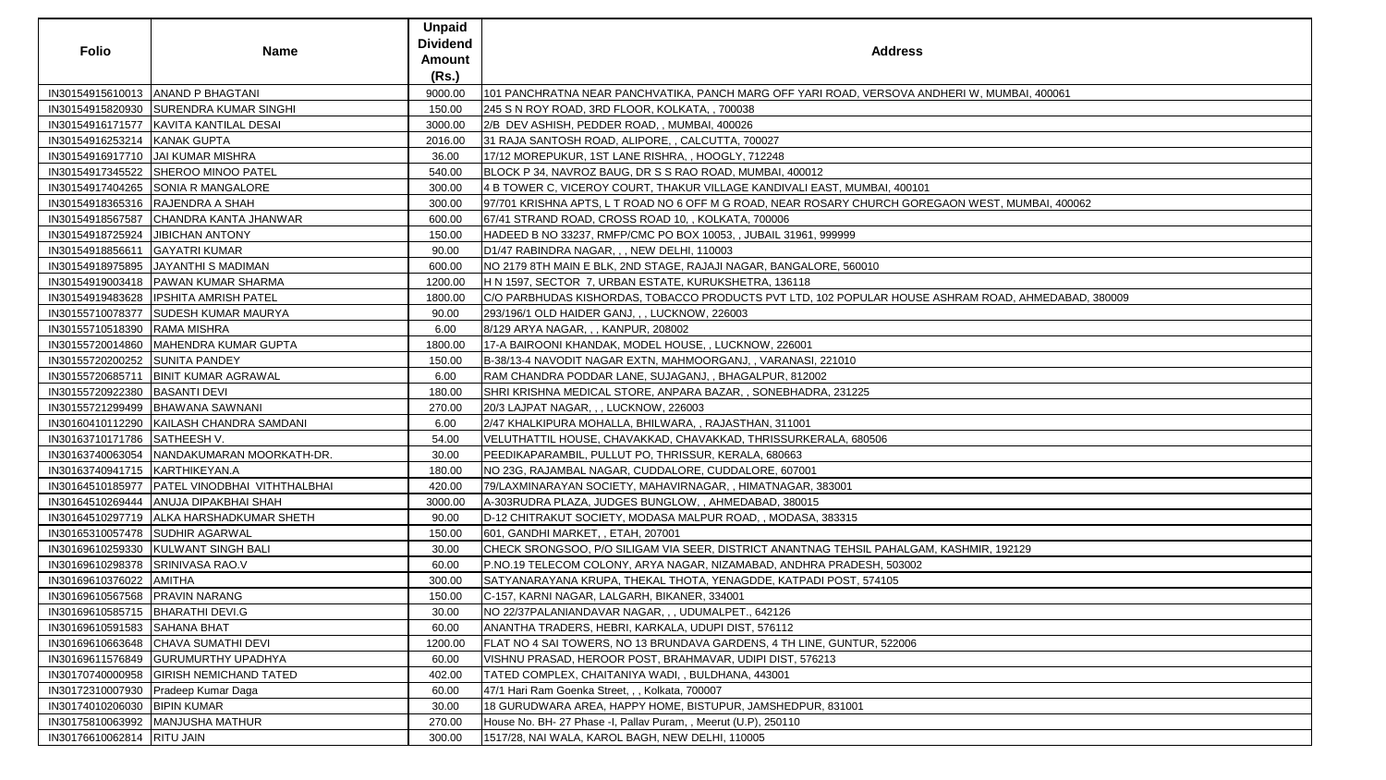| <b>Folio</b>                       | <b>Name</b>                                     | <b>Unpaid</b><br><b>Dividend</b><br><b>Amount</b><br>(Rs.) | <b>Address</b>                                                                                      |
|------------------------------------|-------------------------------------------------|------------------------------------------------------------|-----------------------------------------------------------------------------------------------------|
|                                    | IN30154915610013   ANAND P BHAGTANI             | 9000.00                                                    | 101 PANCHRATNA NEAR PANCHVATIKA, PANCH MARG OFF YARI ROAD, VERSOVA ANDHERI W, MUMBAI, 400061        |
|                                    | IN30154915820930 SURENDRA KUMAR SINGHI          | 150.00                                                     | 245 S N ROY ROAD, 3RD FLOOR, KOLKATA, , 700038                                                      |
|                                    | IN30154916171577   KAVITA KANTILAL DESAI        | 3000.00                                                    | 2/B DEV ASHISH, PEDDER ROAD, , MUMBAI, 400026                                                       |
| IN30154916253214 KANAK GUPTA       |                                                 | 2016.00                                                    | 31 RAJA SANTOSH ROAD, ALIPORE, , CALCUTTA, 700027                                                   |
|                                    | IN30154916917710   JAI KUMAR MISHRA             | 36.00                                                      | 17/12 MOREPUKUR, 1ST LANE RISHRA, , HOOGLY, 712248                                                  |
|                                    | IN30154917345522 SHEROO MINOO PATEL             | 540.00                                                     | BLOCK P 34, NAVROZ BAUG, DR S S RAO ROAD, MUMBAI, 400012                                            |
|                                    | IN30154917404265 SONIA R MANGALORE              | 300.00                                                     | 4 B TOWER C, VICEROY COURT, THAKUR VILLAGE KANDIVALI EAST, MUMBAI, 400101                           |
|                                    | IN30154918365316   RAJENDRA A SHAH              | 300.00                                                     | 97/701 KRISHNA APTS, L T ROAD NO 6 OFF M G ROAD, NEAR ROSARY CHURCH GOREGAON WEST, MUMBAI, 400062   |
|                                    | IN30154918567587 CHANDRA KANTA JHANWAR          | 600.00                                                     | 67/41 STRAND ROAD, CROSS ROAD 10, , KOLKATA, 700006                                                 |
|                                    | IN30154918725924 JJIBICHAN ANTONY               | 150.00                                                     | HADEED B NO 33237, RMFP/CMC PO BOX 10053, , JUBAIL 31961, 999999                                    |
| IN30154918856611                   | <b>GAYATRI KUMAR</b>                            | 90.00                                                      | D1/47 RABINDRA NAGAR, , , NEW DELHI, 110003                                                         |
|                                    | IN30154918975895   JAYANTHI S MADIMAN           | 600.00                                                     | NO 2179 8TH MAIN E BLK, 2ND STAGE, RAJAJI NAGAR, BANGALORE, 560010                                  |
|                                    | IN30154919003418   PAWAN KUMAR SHARMA           | 1200.00                                                    | H N 1597, SECTOR 7, URBAN ESTATE, KURUKSHETRA, 136118                                               |
|                                    | IN30154919483628  IPSHITA AMRISH PATEL          | 1800.00                                                    | C/O PARBHUDAS KISHORDAS, TOBACCO PRODUCTS PVT LTD, 102 POPULAR HOUSE ASHRAM ROAD, AHMEDABAD, 380009 |
|                                    | IN30155710078377 SUDESH KUMAR MAURYA            | 90.00                                                      | 293/196/1 OLD HAIDER GANJ, , , LUCKNOW, 226003                                                      |
| IN30155710518390 RAMA MISHRA       |                                                 | 6.00                                                       | 8/129 ARYA NAGAR, , , KANPUR, 208002                                                                |
|                                    | IN30155720014860   MAHENDRA KUMAR GUPTA         | 1800.00                                                    | 17-A BAIROONI KHANDAK, MODEL HOUSE, , LUCKNOW, 226001                                               |
| IN30155720200252 SUNITA PANDEY     |                                                 | 150.00                                                     | B-38/13-4 NAVODIT NAGAR EXTN, MAHMOORGANJ, , VARANASI, 221010                                       |
| IN30155720685711                   | <b>BINIT KUMAR AGRAWAL</b>                      | 6.00                                                       | RAM CHANDRA PODDAR LANE, SUJAGANJ, , BHAGALPUR, 812002                                              |
| IN30155720922380  BASANTI DEVI     |                                                 | 180.00                                                     | SHRI KRISHNA MEDICAL STORE, ANPARA BAZAR, , SONEBHADRA, 231225                                      |
|                                    | IN30155721299499   BHAWANA SAWNANI              | 270.00                                                     | 20/3 LAJPAT NAGAR, , , LUCKNOW, 226003                                                              |
|                                    | IN30160410112290 KAILASH CHANDRA SAMDANI        | 6.00                                                       | 2/47 KHALKIPURA MOHALLA, BHILWARA,, RAJASTHAN, 311001                                               |
| IN30163710171786 SATHEESH V.       |                                                 | 54.00                                                      | VELUTHATTIL HOUSE, CHAVAKKAD, CHAVAKKAD, THRISSURKERALA, 680506                                     |
|                                    | IN30163740063054 NANDAKUMARAN MOORKATH-DR.      | 30.00                                                      | PEEDIKAPARAMBIL, PULLUT PO, THRISSUR, KERALA, 680663                                                |
| IN30163740941715   KARTHIKEYAN.A   |                                                 | 180.00                                                     | NO 23G, RAJAMBAL NAGAR, CUDDALORE, CUDDALORE, 607001                                                |
|                                    | IN30164510185977   PATEL VINODBHAI VITHTHALBHAI | 420.00                                                     | 79/LAXMINARAYAN SOCIETY, MAHAVIRNAGAR, , HIMATNAGAR, 383001                                         |
|                                    | IN30164510269444 ANUJA DIPAKBHAI SHAH           | 3000.00                                                    | A-303RUDRA PLAZA, JUDGES BUNGLOW,, AHMEDABAD, 380015                                                |
|                                    | IN30164510297719   ALKA HARSHADKUMAR SHETH      | 90.00                                                      | D-12 CHITRAKUT SOCIETY, MODASA MALPUR ROAD, , MODASA, 383315                                        |
|                                    | IN30165310057478 SUDHIR AGARWAL                 | 150.00                                                     | 601, GANDHI MARKET, , ETAH, 207001                                                                  |
|                                    | IN30169610259330 KULWANT SINGH BALI             | 30.00                                                      | CHECK SRONGSOO, P/O SILIGAM VIA SEER, DISTRICT ANANTNAG TEHSIL PAHALGAM, KASHMIR, 192129            |
| IN30169610298378 SRINIVASA RAO.V   |                                                 | 60.00                                                      | P.NO.19 TELECOM COLONY, ARYA NAGAR, NIZAMABAD, ANDHRA PRADESH, 503002                               |
| IN30169610376022 AMITHA            |                                                 | 300.00                                                     | SATYANARAYANA KRUPA, THEKAL THOTA, YENAGDDE, KATPADI POST, 574105                                   |
| IN30169610567568   PRAVIN NARANG   |                                                 | 150.00                                                     | C-157, KARNI NAGAR, LALGARH, BIKANER, 334001                                                        |
| IN30169610585715   BHARATHI DEVI.G |                                                 | 30.00                                                      | NO 22/37PALANIANDAVAR NAGAR, , , UDUMALPET., 642126                                                 |
| IN30169610591583 SAHANA BHAT       |                                                 | 60.00                                                      | ANANTHA TRADERS, HEBRI, KARKALA, UDUPI DIST, 576112                                                 |
|                                    | IN30169610663648 CHAVA SUMATHI DEVI             | 1200.00                                                    | FLAT NO 4 SAI TOWERS, NO 13 BRUNDAVA GARDENS, 4 TH LINE, GUNTUR, 522006                             |
|                                    | IN30169611576849 GURUMURTHY UPADHYA             | 60.00                                                      | VISHNU PRASAD, HEROOR POST, BRAHMAVAR, UDIPI DIST, 576213                                           |
|                                    | IN30170740000958 GIRISH NEMICHAND TATED         | 402.00                                                     | TATED COMPLEX, CHAITANIYA WADI, , BULDHANA, 443001                                                  |
|                                    | IN30172310007930   Pradeep Kumar Daga           | 60.00                                                      | 47/1 Hari Ram Goenka Street, , , Kolkata, 700007                                                    |
| IN30174010206030   BIPIN KUMAR     |                                                 | 30.00                                                      | 18 GURUDWARA AREA, HAPPY HOME, BISTUPUR, JAMSHEDPUR, 831001                                         |
|                                    | IN30175810063992   MANJUSHA MATHUR              | 270.00                                                     | House No. BH- 27 Phase -I, Pallav Puram, , Meerut (U.P), 250110                                     |
| IN30176610062814   RITU JAIN       |                                                 | 300.00                                                     | 1517/28, NAI WALA, KAROL BAGH, NEW DELHI, 110005                                                    |

| V, MUMBAI, 400061                 |
|-----------------------------------|
|                                   |
|                                   |
|                                   |
|                                   |
|                                   |
|                                   |
|                                   |
|                                   |
|                                   |
|                                   |
| VEST, MUMBAI, 400062              |
|                                   |
|                                   |
|                                   |
|                                   |
|                                   |
|                                   |
|                                   |
|                                   |
| <u> A ROAD, AHMEDABAD, 380009</u> |
|                                   |
|                                   |
|                                   |
|                                   |
|                                   |
|                                   |
|                                   |
|                                   |
|                                   |
|                                   |
|                                   |
|                                   |
|                                   |
|                                   |
|                                   |
|                                   |
|                                   |
|                                   |
|                                   |
|                                   |
|                                   |
|                                   |
|                                   |
| <u> IIR, 192129</u>               |
|                                   |
|                                   |
|                                   |
|                                   |
|                                   |
|                                   |
|                                   |
|                                   |
|                                   |
|                                   |
|                                   |
|                                   |
|                                   |
|                                   |
|                                   |
|                                   |
|                                   |
|                                   |
|                                   |
|                                   |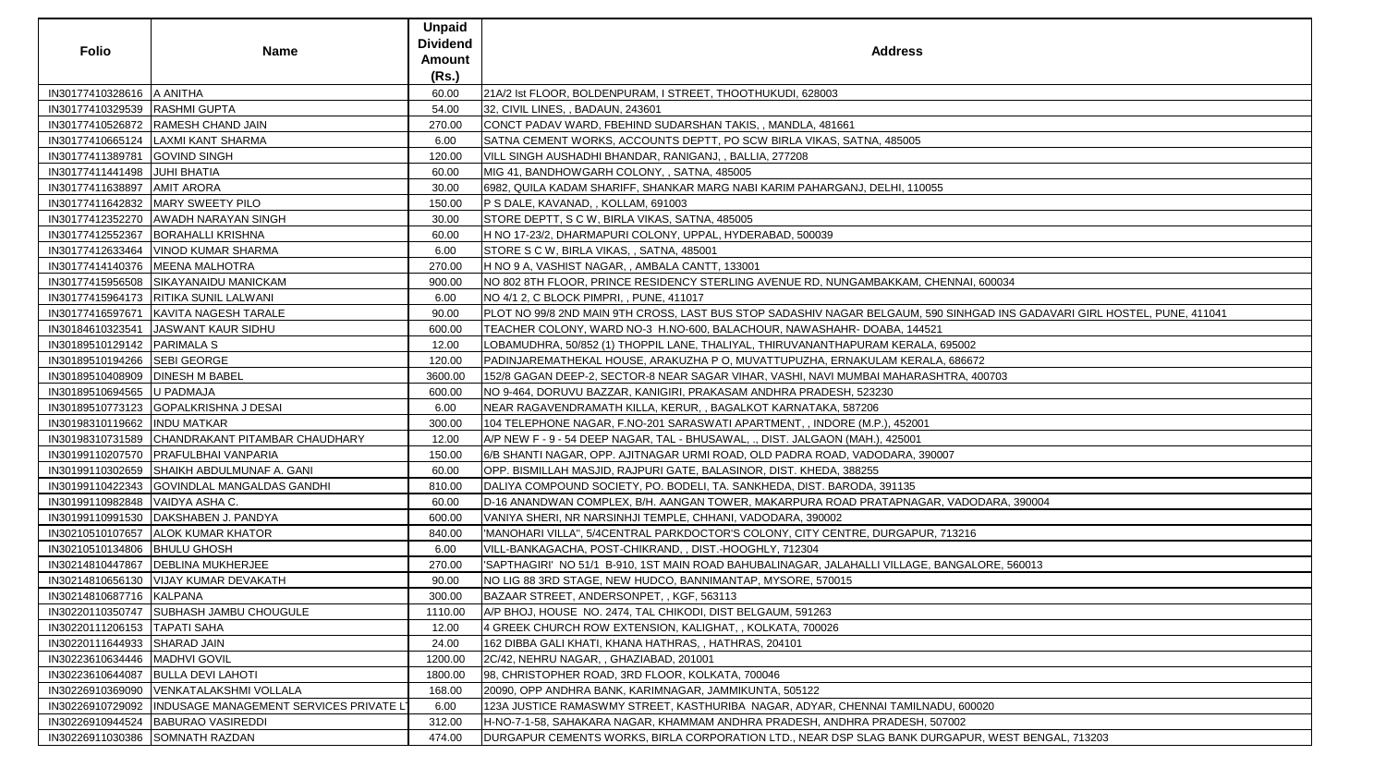| <b>Folio</b>                      | <b>Name</b>                                               | <b>Unpaid</b><br><b>Dividend</b><br><b>Amount</b><br>(Rs.) | <b>Address</b>                                                                                                            |
|-----------------------------------|-----------------------------------------------------------|------------------------------------------------------------|---------------------------------------------------------------------------------------------------------------------------|
| IN30177410328616   A ANITHA       |                                                           | 60.00                                                      | 21A/2 Ist FLOOR, BOLDENPURAM, I STREET, THOOTHUKUDI, 628003                                                               |
| IN30177410329539  RASHMI GUPTA    |                                                           | 54.00                                                      | 32, CIVIL LINES, , BADAUN, 243601                                                                                         |
|                                   | IN30177410526872 RAMESH CHAND JAIN                        | 270.00                                                     | CONCT PADAV WARD, FBEHIND SUDARSHAN TAKIS, , MANDLA, 481661                                                               |
|                                   | IN30177410665124   LAXMI KANT SHARMA                      | 6.00                                                       | SATNA CEMENT WORKS, ACCOUNTS DEPTT, PO SCW BIRLA VIKAS, SATNA, 485005                                                     |
| IN30177411389781 GOVIND SINGH     |                                                           | 120.00                                                     | VILL SINGH AUSHADHI BHANDAR, RANIGANJ, , BALLIA, 277208                                                                   |
| IN30177411441498 JUHI BHATIA      |                                                           | 60.00                                                      | MIG 41, BANDHOWGARH COLONY, , SATNA, 485005                                                                               |
| IN30177411638897   AMIT ARORA     |                                                           | 30.00                                                      | 6982, QUILA KADAM SHARIFF, SHANKAR MARG NABI KARIM PAHARGANJ, DELHI, 110055                                               |
|                                   | IN30177411642832   MARY SWEETY PILO                       | 150.00                                                     | P S DALE, KAVANAD, , KOLLAM, 691003                                                                                       |
|                                   | IN30177412352270 AWADH NARAYAN SINGH                      | 30.00                                                      | STORE DEPTT, S C W, BIRLA VIKAS, SATNA, 485005                                                                            |
|                                   | IN30177412552367 BORAHALLI KRISHNA                        | 60.00                                                      | H NO 17-23/2, DHARMAPURI COLONY, UPPAL, HYDERABAD, 500039                                                                 |
|                                   | IN30177412633464   VINOD KUMAR SHARMA                     | 6.00                                                       | STORE S C W, BIRLA VIKAS, , SATNA, 485001                                                                                 |
|                                   | IN30177414140376   MEENA MALHOTRA                         | 270.00                                                     | H NO 9 A, VASHIST NAGAR,, AMBALA CANTT, 133001                                                                            |
|                                   | IN30177415956508 SIKAYANAIDU MANICKAM                     | 900.00                                                     | NO 802 8TH FLOOR, PRINCE RESIDENCY STERLING AVENUE RD, NUNGAMBAKKAM, CHENNAI, 600034                                      |
|                                   | IN30177415964173   RITIKA SUNIL LALWANI                   | 6.00                                                       | NO 4/1 2, C BLOCK PIMPRI, , PUNE, 411017                                                                                  |
|                                   | IN30177416597671   KAVITA NAGESH TARALE                   | 90.00                                                      | PLOT NO 99/8 2ND MAIN 9TH CROSS, LAST BUS STOP SADASHIV NAGAR BELGAUM, 590 SINHGAD INS GADAVARI GIRL HOSTEL, PUNE, 411041 |
|                                   | IN30184610323541   JASWANT KAUR SIDHU                     | 600.00                                                     | TEACHER COLONY, WARD NO-3 H.NO-600, BALACHOUR, NAWASHAHR- DOABA, 144521                                                   |
| IN30189510129142 PARIMALA S       |                                                           | 12.00                                                      | LOBAMUDHRA, 50/852 (1) THOPPIL LANE, THALIYAL, THIRUVANANTHAPURAM KERALA, 695002                                          |
| IN30189510194266 SEBI GEORGE      |                                                           | 120.00                                                     | PADINJAREMATHEKAL HOUSE, ARAKUZHA P O, MUVATTUPUZHA, ERNAKULAM KERALA, 686672                                             |
| IN30189510408909   DINESH M BABEL |                                                           | 3600.00                                                    | 152/8 GAGAN DEEP-2, SECTOR-8 NEAR SAGAR VIHAR, VASHI, NAVI MUMBAI MAHARASHTRA, 400703                                     |
| IN30189510694565 U PADMAJA        |                                                           | 600.00                                                     | NO 9-464, DORUVU BAZZAR, KANIGIRI, PRAKASAM ANDHRA PRADESH, 523230                                                        |
|                                   | IN30189510773123 GOPALKRISHNA J DESAI                     | 6.00                                                       | NEAR RAGAVENDRAMATH KILLA, KERUR, , BAGALKOT KARNATAKA, 587206                                                            |
| IN30198310119662  INDU MATKAR     |                                                           | 300.00                                                     | 104 TELEPHONE NAGAR, F.NO-201 SARASWATI APARTMENT, , INDORE (M.P.), 452001                                                |
|                                   | IN30198310731589 CHANDRAKANT PITAMBAR CHAUDHARY           | 12.00                                                      | A/P NEW F - 9 - 54 DEEP NAGAR, TAL - BHUSAWAL, ., DIST. JALGAON (MAH.), 425001                                            |
|                                   | IN30199110207570   PRAFULBHAI VANPARIA                    | 150.00                                                     | 6/B SHANTI NAGAR, OPP. AJITNAGAR URMI ROAD, OLD PADRA ROAD, VADODARA, 390007                                              |
|                                   | IN30199110302659 SHAIKH ABDULMUNAF A. GANI                | 60.00                                                      | OPP. BISMILLAH MASJID, RAJPURI GATE, BALASINOR, DIST. KHEDA, 388255                                                       |
|                                   | IN30199110422343 GOVINDLAL MANGALDAS GANDHI               | 810.00                                                     | DALIYA COMPOUND SOCIETY, PO. BODELI, TA. SANKHEDA, DIST. BARODA, 391135                                                   |
| IN30199110982848   VAIDYA ASHA C. |                                                           | 60.00                                                      | D-16 ANANDWAN COMPLEX, B/H. AANGAN TOWER, MAKARPURA ROAD PRATAPNAGAR, VADODARA, 390004                                    |
|                                   | IN30199110991530   DAKSHABEN J. PANDYA                    | 600.00                                                     | VANIYA SHERI, NR NARSINHJI TEMPLE, CHHANI, VADODARA, 390002                                                               |
|                                   | IN30210510107657 ALOK KUMAR KHATOR                        | 840.00                                                     | 'MANOHARI VILLA", 5/4CENTRAL PARKDOCTOR'S COLONY, CITY CENTRE, DURGAPUR, 713216                                           |
| IN30210510134806   BHULU GHOSH    |                                                           | 6.00                                                       | VILL-BANKAGACHA, POST-CHIKRAND, , DIST.-HOOGHLY, 712304                                                                   |
|                                   | IN30214810447867   DEBLINA MUKHERJEE                      | 270.00                                                     | 'SAPTHAGIRI' NO 51/1 B-910, 1ST MAIN ROAD BAHUBALINAGAR, JALAHALLI VILLAGE, BANGALORE, 560013                             |
|                                   | IN30214810656130   VIJAY KUMAR DEVAKATH                   | 90.00                                                      | INO LIG 88 3RD STAGE, NEW HUDCO, BANNIMANTAP, MYSORE, 570015                                                              |
| IN30214810687716 KALPANA          |                                                           | 300.00                                                     | BAZAAR STREET, ANDERSONPET, , KGF, 563113                                                                                 |
|                                   | IN30220110350747 SUBHASH JAMBU CHOUGULE                   | 1110.00                                                    | A/P BHOJ, HOUSE NO. 2474, TAL CHIKODI, DIST BELGAUM, 591263                                                               |
| IN30220111206153   TAPATI SAHA    |                                                           | 12.00                                                      | 4 GREEK CHURCH ROW EXTENSION, KALIGHAT, , KOLKATA, 700026                                                                 |
| IN30220111644933 SHARAD JAIN      |                                                           | 24.00                                                      | 162 DIBBA GALI KHATI, KHANA HATHRAS,, HATHRAS, 204101                                                                     |
| IN30223610634446   MADHVI GOVIL   |                                                           | 1200.00                                                    | 2C/42, NEHRU NAGAR, , GHAZIABAD, 201001                                                                                   |
|                                   | IN30223610644087   BULLA DEVI LAHOTI                      | 1800.00                                                    | 98, CHRISTOPHER ROAD, 3RD FLOOR, KOLKATA, 700046                                                                          |
|                                   | IN30226910369090   VENKATALAKSHMI VOLLALA                 | 168.00                                                     | 20090, OPP ANDHRA BANK, KARIMNAGAR, JAMMIKUNTA, 505122                                                                    |
|                                   | IN30226910729092  INDUSAGE MANAGEMENT SERVICES PRIVATE LT | 6.00                                                       | 123A JUSTICE RAMASWMY STREET, KASTHURIBA NAGAR, ADYAR, CHENNAI TAMILNADU, 600020                                          |
|                                   | IN30226910944524   BABURAO VASIREDDI                      | 312.00                                                     | H-NO-7-1-58, SAHAKARA NAGAR, KHAMMAM ANDHRA PRADESH, ANDHRA PRADESH, 507002                                               |
|                                   | IN30226911030386 SOMNATH RAZDAN                           | 474.00                                                     | DURGAPUR CEMENTS WORKS, BIRLA CORPORATION LTD., NEAR DSP SLAG BANK DURGAPUR, WEST BENGAL, 713203                          |
|                                   |                                                           |                                                            |                                                                                                                           |

| NI, 600034                                         |
|----------------------------------------------------|
|                                                    |
| <b>IGAD INS GADAVARI GIRL HOSTEL, PUNE, 411041</b> |
|                                                    |
| $\overline{2}$                                     |
| 672                                                |
| 400703                                             |
|                                                    |
|                                                    |
|                                                    |
|                                                    |
|                                                    |
|                                                    |
|                                                    |
| ODARA, 390004                                      |
|                                                    |
| 16                                                 |
|                                                    |
| ALORE, 560013                                      |
|                                                    |
|                                                    |
|                                                    |
|                                                    |
|                                                    |
|                                                    |
|                                                    |
|                                                    |
| 00020                                              |
|                                                    |
| UR, WEST BENGAL, 713203                            |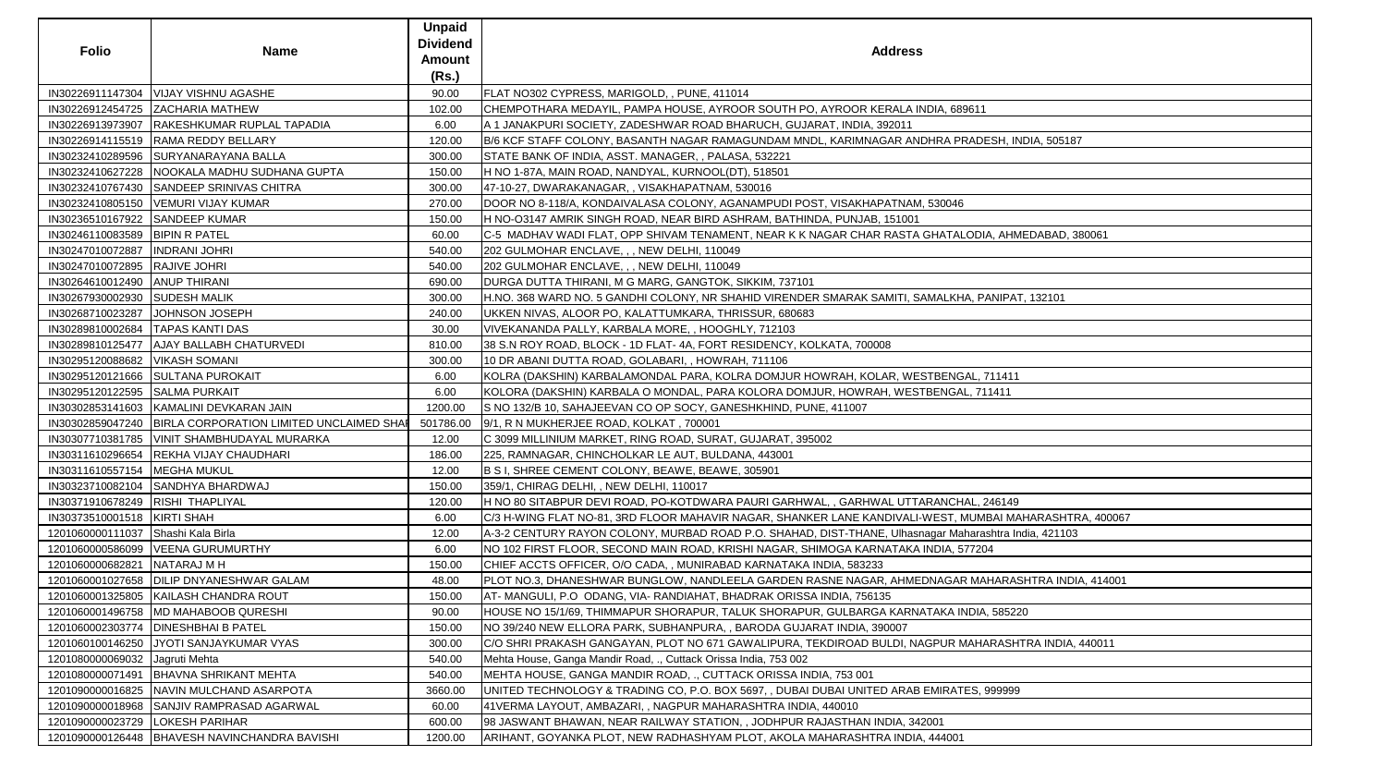| <b>Folio</b>                     | <b>Name</b>                                                 | <b>Unpaid</b><br><b>Dividend</b><br><b>Amount</b><br>(Rs.) | <b>Address</b>                                                                                          |
|----------------------------------|-------------------------------------------------------------|------------------------------------------------------------|---------------------------------------------------------------------------------------------------------|
| IN30226911147304                 | VIJAY VISHNU AGASHE                                         | 90.00                                                      | FLAT NO302 CYPRESS, MARIGOLD, , PUNE, 411014                                                            |
| IN30226912454725                 | <b>ZACHARIA MATHEW</b>                                      | 102.00                                                     | CHEMPOTHARA MEDAYIL, PAMPA HOUSE, AYROOR SOUTH PO, AYROOR KERALA INDIA, 689611                          |
|                                  | IN30226913973907   RAKESHKUMAR RUPLAL TAPADIA               | 6.00                                                       | A 1 JANAKPURI SOCIETY, ZADESHWAR ROAD BHARUCH, GUJARAT, INDIA, 392011                                   |
|                                  | IN30226914115519  RAMA REDDY BELLARY                        | 120.00                                                     | B/6 KCF STAFF COLONY, BASANTH NAGAR RAMAGUNDAM MNDL, KARIMNAGAR ANDHRA PRADESH, INDIA, 505187           |
|                                  | IN30232410289596 SURYANARAYANA BALLA                        | 300.00                                                     | STATE BANK OF INDIA, ASST. MANAGER, , PALASA, 532221                                                    |
|                                  | IN30232410627228   NOOKALA MADHU SUDHANA GUPTA              | 150.00                                                     | H NO 1-87A, MAIN ROAD, NANDYAL, KURNOOL(DT), 518501                                                     |
| IN30232410767430                 | SANDEEP SRINIVAS CHITRA                                     | 300.00                                                     | 47-10-27, DWARAKANAGAR,, VISAKHAPATNAM, 530016                                                          |
|                                  | IN30232410805150   VEMURI VIJAY KUMAR                       | 270.00                                                     | DOOR NO 8-118/A, KONDAIVALASA COLONY, AGANAMPUDI POST, VISAKHAPATNAM, 530046                            |
| IN30236510167922 SANDEEP KUMAR   |                                                             | 150.00                                                     | H NO-03147 AMRIK SINGH ROAD, NEAR BIRD ASHRAM, BATHINDA, PUNJAB, 151001                                 |
| IN30246110083589   BIPIN R PATEL |                                                             | 60.00                                                      | C-5 MADHAV WADI FLAT, OPP SHIVAM TENAMENT, NEAR K K NAGAR CHAR RASTA GHATALODIA, AHMEDABAD, 380061      |
| IN30247010072887  INDRANI JOHRI  |                                                             | 540.00                                                     | 202 GULMOHAR ENCLAVE, , , NEW DELHI, 110049                                                             |
| IN30247010072895  RAJIVE JOHRI   |                                                             | 540.00                                                     | 202 GULMOHAR ENCLAVE, , , NEW DELHI, 110049                                                             |
| IN30264610012490 ANUP THIRANI    |                                                             | 690.00                                                     | DURGA DUTTA THIRANI, M G MARG, GANGTOK, SIKKIM, 737101                                                  |
| IN30267930002930 SUDESH MALIK    |                                                             | 300.00                                                     | H.NO. 368 WARD NO. 5 GANDHI COLONY, NR SHAHID VIRENDER SMARAK SAMITI, SAMALKHA, PANIPAT, 132101         |
| IN30268710023287                 | JOHNSON JOSEPH                                              | 240.00                                                     | UKKEN NIVAS, ALOOR PO, KALATTUMKARA, THRISSUR, 680683                                                   |
| IN30289810002684                 | <b>TAPAS KANTI DAS</b>                                      | 30.00                                                      | VIVEKANANDA PALLY, KARBALA MORE, , HOOGHLY, 712103                                                      |
|                                  | IN30289810125477   AJAY BALLABH CHATURVEDI                  | 810.00                                                     | 38 S.N ROY ROAD, BLOCK - 1D FLAT- 4A, FORT RESIDENCY, KOLKATA, 700008                                   |
| IN30295120088682   VIKASH SOMANI |                                                             | 300.00                                                     | 10 DR ABANI DUTTA ROAD, GOLABARI, , HOWRAH, 711106                                                      |
|                                  | IN30295120121666 SULTANA PUROKAIT                           | 6.00                                                       | KOLRA (DAKSHIN) KARBALAMONDAL PARA, KOLRA DOMJUR HOWRAH, KOLAR, WESTBENGAL, 711411                      |
| IN30295120122595 SALMA PURKAIT   |                                                             | 6.00                                                       | KOLORA (DAKSHIN) KARBALA O MONDAL, PARA KOLORA DOMJUR, HOWRAH, WESTBENGAL, 711411                       |
|                                  | IN30302853141603 KAMALINI DEVKARAN JAIN                     | 1200.00                                                    | S NO 132/B 10, SAHAJEEVAN CO OP SOCY, GANESHKHIND, PUNE, 411007                                         |
|                                  | IN30302859047240   BIRLA CORPORATION LIMITED UNCLAIMED SHAP | 501786.00                                                  | 9/1, R N MUKHERJEE ROAD, KOLKAT, 700001                                                                 |
|                                  | IN30307710381785   VINIT SHAMBHUDAYAL MURARKA               | 12.00                                                      | C 3099 MILLINIUM MARKET, RING ROAD, SURAT, GUJARAT, 395002                                              |
| IN30311610296654                 | <b>REKHA VIJAY CHAUDHARI</b>                                | 186.00                                                     | 225, RAMNAGAR, CHINCHOLKAR LE AUT, BULDANA, 443001                                                      |
| IN30311610557154                 | <b>MEGHA MUKUL</b>                                          | 12.00                                                      | B S I, SHREE CEMENT COLONY, BEAWE, BEAWE, 305901                                                        |
|                                  | IN30323710082104 SANDHYA BHARDWAJ                           | 150.00                                                     | 359/1, CHIRAG DELHI, , NEW DELHI, 110017                                                                |
| IN30371910678249 RISHI THAPLIYAL |                                                             | 120.00                                                     | H NO 80 SITABPUR DEVI ROAD, PO-KOTDWARA PAURI GARHWAL, , GARHWAL UTTARANCHAL, 246149                    |
| IN30373510001518   KIRTI SHAH    |                                                             | 6.00                                                       | C/3 H-WING FLAT NO-81, 3RD FLOOR MAHAVIR NAGAR, SHANKER LANE KANDIVALI-WEST, MUMBAI MAHARASHTRA, 400067 |
| 1201060000111037                 | Shashi Kala Birla                                           | 12.00                                                      | A-3-2 CENTURY RAYON COLONY, MURBAD ROAD P.O. SHAHAD, DIST-THANE, Ulhasnagar Maharashtra India, 421103   |
|                                  | 1201060000586099   VEENA GURUMURTHY                         | 6.00                                                       | NO 102 FIRST FLOOR, SECOND MAIN ROAD, KRISHI NAGAR, SHIMOGA KARNATAKA INDIA, 577204                     |
| 1201060000682821                 | NATARAJ M H                                                 | 150.00                                                     | CHIEF ACCTS OFFICER, O/O CADA,, MUNIRABAD KARNATAKA INDIA, 583233                                       |
| 1201060001027658                 | <b>DILIP DNYANESHWAR GALAM</b>                              | 48.00                                                      | PLOT NO.3, DHANESHWAR BUNGLOW, NANDLEELA GARDEN RASNE NAGAR, AHMEDNAGAR MAHARASHTRA INDIA, 414001       |
| 1201060001325805                 | KAILASH CHANDRA ROUT                                        | 150.00                                                     | AT-MANGULI, P.O. ODANG, VIA-RANDIAHAT, BHADRAK ORISSA INDIA, 756135                                     |
|                                  | 1201060001496758 MD MAHABOOB QURESHI                        | 90.00                                                      | HOUSE NO 15/1/69, THIMMAPUR SHORAPUR, TALUK SHORAPUR, GULBARGA KARNATAKA INDIA, 585220                  |
|                                  | 1201060002303774   DINESHBHAI B PATEL                       | 150.00                                                     | NO 39/240 NEW ELLORA PARK, SUBHANPURA,, BARODA GUJARAT INDIA, 390007                                    |
| 1201060100146250                 | JYOTI SANJAYKUMAR VYAS                                      | 300.00                                                     | C/O SHRI PRAKASH GANGAYAN, PLOT NO 671 GAWALIPURA, TEKDIROAD BULDI, NAGPUR MAHARASHTRA INDIA, 440011    |
| 1201080000069032                 | Jagruti Mehta                                               | 540.00                                                     | Mehta House, Ganga Mandir Road, ., Cuttack Orissa India, 753 002                                        |
| 1201080000071491                 | <b>BHAVNA SHRIKANT MEHTA</b>                                | 540.00                                                     | MEHTA HOUSE, GANGA MANDIR ROAD, ., CUTTACK ORISSA INDIA, 753 001                                        |
|                                  | 1201090000016825   NAVIN MULCHAND ASARPOTA                  | 3660.00                                                    | UNITED TECHNOLOGY & TRADING CO, P.O. BOX 5697, , DUBAI DUBAI UNITED ARAB EMIRATES, 999999               |
|                                  | 1201090000018968 SANJIV RAMPRASAD AGARWAL                   | 60.00                                                      | 41VERMA LAYOUT, AMBAZARI, , NAGPUR MAHARASHTRA INDIA, 440010                                            |
| 1201090000023729                 | <b>LOKESH PARIHAR</b>                                       | 600.00                                                     | 98 JASWANT BHAWAN, NEAR RAILWAY STATION, , JODHPUR RAJASTHAN INDIA, 342001                              |
|                                  | 1201090000126448   BHAVESH NAVINCHANDRA BAVISHI             | 1200.00                                                    | ARIHANT, GOYANKA PLOT, NEW RADHASHYAM PLOT, AKOLA MAHARASHTRA INDIA, 444001                             |

| $\overline{1}$            |
|---------------------------|
|                           |
| DESH, INDIA, 505187       |
|                           |
|                           |
|                           |
|                           |
|                           |
|                           |
| DIA, AHMEDABAD, 380061    |
|                           |
|                           |
|                           |
| PANIPAT, 132101           |
|                           |
|                           |
|                           |
|                           |
| , 711411                  |
| 711411                    |
|                           |
|                           |
|                           |
|                           |
|                           |
|                           |
|                           |
| , 246149                  |
| MBAI MAHARASHTRA, 400067  |
| rashtra India, 421103     |
| 204                       |
|                           |
| IAHARASHTRA INDIA, 414001 |
|                           |
| IA, 585220                |
|                           |
| HARASHTRA INDIA, 440011   |
|                           |
|                           |
| <u>, 999999</u>           |
|                           |
|                           |
|                           |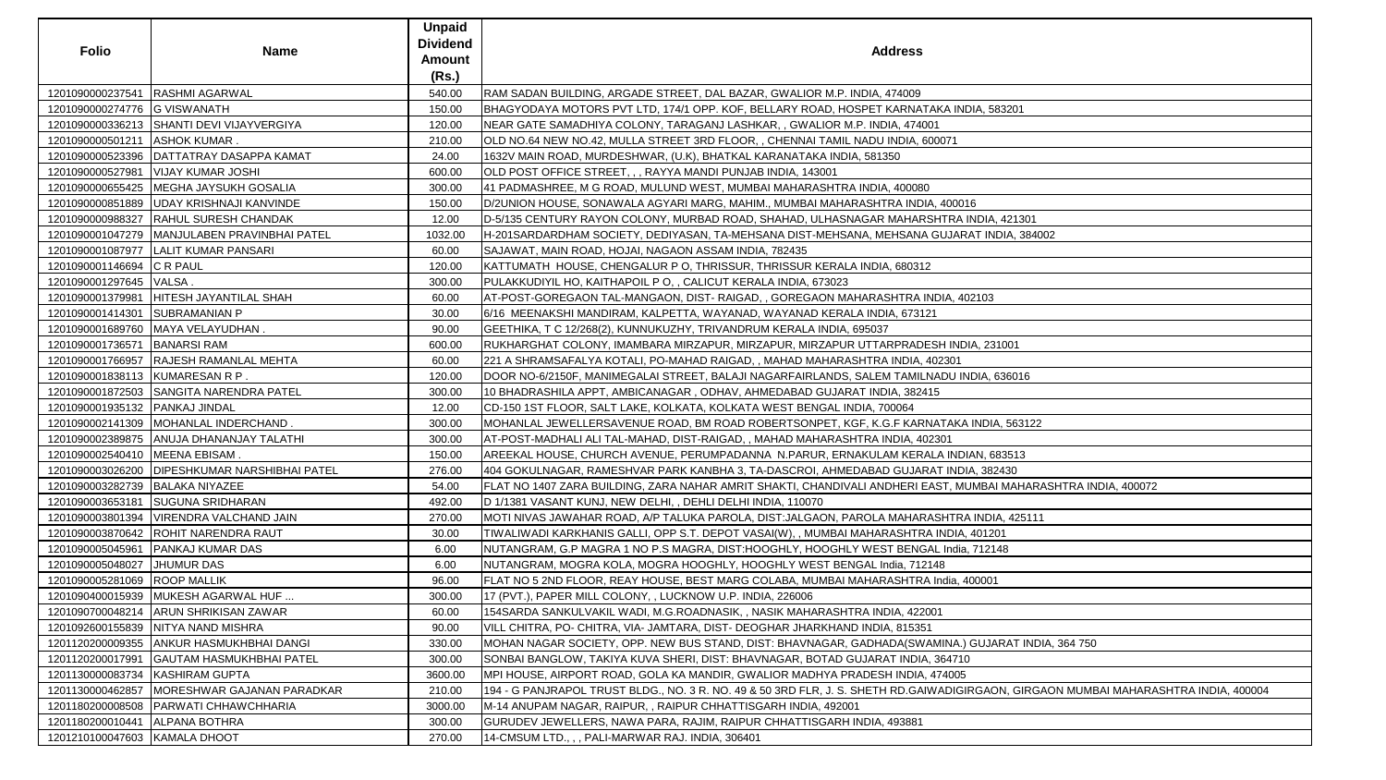| <b>Folio</b>                     | <b>Name</b>                                    | <b>Unpaid</b><br><b>Dividend</b><br><b>Amount</b><br>(Rs.) | <b>Address</b>                                                                                                                       |
|----------------------------------|------------------------------------------------|------------------------------------------------------------|--------------------------------------------------------------------------------------------------------------------------------------|
| 1201090000237541                 | <b>RASHMI AGARWAL</b>                          | 540.00                                                     | RAM SADAN BUILDING, ARGADE STREET, DAL BAZAR, GWALIOR M.P. INDIA, 474009                                                             |
| 1201090000274776 G VISWANATH     |                                                | 150.00                                                     | BHAGYODAYA MOTORS PVT LTD, 174/1 OPP. KOF, BELLARY ROAD, HOSPET KARNATAKA INDIA, 583201                                              |
|                                  | 1201090000336213 SHANTI DEVI VIJAYVERGIYA      | 120.00                                                     | NEAR GATE SAMADHIYA COLONY, TARAGANJ LASHKAR, , GWALIOR M.P. INDIA, 474001                                                           |
| 1201090000501211   ASHOK KUMAR.  |                                                | 210.00                                                     | OLD NO.64 NEW NO.42, MULLA STREET 3RD FLOOR, , CHENNAI TAMIL NADU INDIA, 600071                                                      |
|                                  | 1201090000523396   DATTATRAY DASAPPA KAMAT     | 24.00                                                      | 1632V MAIN ROAD, MURDESHWAR, (U.K), BHATKAL KARANATAKA INDIA, 581350                                                                 |
|                                  | 1201090000527981   VIJAY KUMAR JOSHI           | 600.00                                                     | OLD POST OFFICE STREET, , , RAYYA MANDI PUNJAB INDIA, 143001                                                                         |
|                                  | 1201090000655425   MEGHA JAYSUKH GOSALIA       | 300.00                                                     | 41 PADMASHREE, M G ROAD, MULUND WEST, MUMBAI MAHARASHTRA INDIA, 400080                                                               |
|                                  | 1201090000851889   UDAY KRISHNAJI KANVINDE     | 150.00                                                     | D/2UNION HOUSE, SONAWALA AGYARI MARG, MAHIM., MUMBAI MAHARASHTRA INDIA, 400016                                                       |
|                                  | 1201090000988327   RAHUL SURESH CHANDAK        | 12.00                                                      | D-5/135 CENTURY RAYON COLONY, MURBAD ROAD, SHAHAD, ULHASNAGAR MAHARSHTRA INDIA, 421301                                               |
|                                  | 1201090001047279   MANJULABEN PRAVINBHAI PATEL | 1032.00                                                    | H-201SARDARDHAM SOCIETY, DEDIYASAN, TA-MEHSANA DIST-MEHSANA, MEHSANA GUJARAT INDIA, 384002                                           |
|                                  | 1201090001087977   LALIT KUMAR PANSARI         | 60.00                                                      | SAJAWAT, MAIN ROAD, HOJAI, NAGAON ASSAM INDIA, 782435                                                                                |
| 1201090001146694 C R PAUL        |                                                | 120.00                                                     | KATTUMATH HOUSE, CHENGALUR P O, THRISSUR, THRISSUR KERALA INDIA, 680312                                                              |
| 1201090001297645   VALSA.        |                                                | 300.00                                                     | PULAKKUDIYIL HO, KAITHAPOIL P O, , CALICUT KERALA INDIA, 673023                                                                      |
| 1201090001379981                 | HITESH JAYANTILAL SHAH                         | 60.00                                                      | AT-POST-GOREGAON TAL-MANGAON, DIST- RAIGAD, , GOREGAON MAHARASHTRA INDIA, 402103                                                     |
| 1201090001414301 SUBRAMANIAN P   |                                                | 30.00                                                      | 6/16  MEENAKSHI MANDIRAM, KALPETTA, WAYANAD, WAYANAD KERALA INDIA, 673121                                                            |
|                                  | 1201090001689760   MAYA VELAYUDHAN.            | 90.00                                                      | GEETHIKA, T C 12/268(2), KUNNUKUZHY, TRIVANDRUM KERALA INDIA, 695037                                                                 |
| 1201090001736571 BANARSI RAM     |                                                | 600.00                                                     | RUKHARGHAT COLONY, IMAMBARA MIRZAPUR, MIRZAPUR, MIRZAPUR UTTARPRADESH INDIA, 231001                                                  |
|                                  | 1201090001766957 RAJESH RAMANLAL MEHTA         | 60.00                                                      | 221 A SHRAMSAFALYA KOTALI, PO-MAHAD RAIGAD, , MAHAD MAHARASHTRA INDIA, 402301                                                        |
| 1201090001838113 KUMARESAN R P.  |                                                | 120.00                                                     | DOOR NO-6/2150F, MANIMEGALAI STREET, BALAJI NAGARFAIRLANDS, SALEM TAMILNADU INDIA, 636016                                            |
|                                  | 1201090001872503 SANGITA NARENDRA PATEL        | 300.00                                                     | 10 BHADRASHILA APPT, AMBICANAGAR, ODHAV, AHMEDABAD GUJARAT INDIA, 382415                                                             |
| 1201090001935132   PANKAJ JINDAL |                                                | 12.00                                                      | CD-150 1ST FLOOR, SALT LAKE, KOLKATA, KOLKATA WEST BENGAL INDIA, 700064                                                              |
|                                  | 1201090002141309   MOHANLAL INDERCHAND         | 300.00                                                     | MOHANLAL JEWELLERSAVENUE ROAD, BM ROAD ROBERTSONPET, KGF, K.G.F KARNATAKA INDIA, 563122                                              |
|                                  | 1201090002389875 ANUJA DHANANJAY TALATHI       | 300.00                                                     | AT-POST-MADHALI ALI TAL-MAHAD, DIST-RAIGAD, , MAHAD MAHARASHTRA INDIA, 402301                                                        |
| 1201090002540410   MEENA EBISAM. |                                                | 150.00                                                     | AREEKAL HOUSE, CHURCH AVENUE, PERUMPADANNA  N.PARUR, ERNAKULAM KERALA INDIAN, 683513                                                 |
|                                  | 1201090003026200 DIPESHKUMAR NARSHIBHAI PATEL  | 276.00                                                     | 404 GOKULNAGAR, RAMESHVAR PARK KANBHA 3, TA-DASCROI, AHMEDABAD GUJARAT INDIA, 382430                                                 |
| 1201090003282739 BALAKA NIYAZEE  |                                                | 54.00                                                      | FLAT NO 1407 ZARA BUILDING, ZARA NAHAR AMRIT SHAKTI, CHANDIVALI ANDHERI EAST, MUMBAI MAHARASHTRA INDIA, 400072                       |
|                                  | 1201090003653181 SUGUNA SRIDHARAN              | 492.00                                                     | D 1/1381 VASANT KUNJ, NEW DELHI, , DEHLI DELHI INDIA, 110070                                                                         |
|                                  | 1201090003801394   VIRENDRA VALCHAND JAIN      | 270.00                                                     | MOTI NIVAS JAWAHAR ROAD, A/P TALUKA PAROLA, DIST:JALGAON, PAROLA MAHARASHTRA INDIA, 425111                                           |
|                                  | 1201090003870642 ROHIT NARENDRA RAUT           | 30.00                                                      | TIWALIWADI KARKHANIS GALLI, OPP S.T. DEPOT VASAI(W), , MUMBAI MAHARASHTRA INDIA, 401201                                              |
| 1201090005045961                 | <b>PANKAJ KUMAR DAS</b>                        | 6.00                                                       | NUTANGRAM, G.P MAGRA 1 NO P.S MAGRA, DIST:HOOGHLY, HOOGHLY WEST BENGAL India, 712148                                                 |
| 1201090005048027                 | <b>JHUMUR DAS</b>                              | 6.00                                                       | NUTANGRAM, MOGRA KOLA, MOGRA HOOGHLY, HOOGHLY WEST BENGAL India, 712148                                                              |
| 1201090005281069 ROOP MALLIK     |                                                | 96.00                                                      | FLAT NO 5 2ND FLOOR, REAY HOUSE, BEST MARG COLABA, MUMBAI MAHARASHTRA India, 400001                                                  |
|                                  | 1201090400015939 MUKESH AGARWAL HUF            | 300.00                                                     | 17 (PVT.), PAPER MILL COLONY, , LUCKNOW U.P. INDIA, 226006                                                                           |
|                                  | 1201090700048214   ARUN SHRIKISAN ZAWAR        | 60.00                                                      | 154SARDA SANKULVAKIL WADI, M.G.ROADNASIK, , NASIK MAHARASHTRA INDIA, 422001                                                          |
|                                  | 1201092600155839   NITYA NAND MISHRA           | 90.00                                                      | VILL CHITRA, PO- CHITRA, VIA- JAMTARA, DIST- DEOGHAR JHARKHAND INDIA, 815351                                                         |
|                                  | 1201120200009355 ANKUR HASMUKHBHAI DANGI       | 330.00                                                     | MOHAN NAGAR SOCIETY, OPP. NEW BUS STAND, DIST: BHAVNAGAR, GADHADA(SWAMINA.) GUJARAT INDIA, 364 750                                   |
| 1201120200017991                 | <b>GAUTAM HASMUKHBHAI PATEL</b>                | 300.00                                                     | SONBAI BANGLOW, TAKIYA KUVA SHERI, DIST: BHAVNAGAR, BOTAD GUJARAT INDIA, 364710                                                      |
| 1201130000083734 KASHIRAM GUPTA  |                                                | 3600.00                                                    | MPI HOUSE, AIRPORT ROAD, GOLA KA MANDIR, GWALIOR MADHYA PRADESH INDIA, 474005                                                        |
| 1201130000462857                 | MORESHWAR GAJANAN PARADKAR                     | 210.00                                                     | 194 - G PANJRAPOL TRUST BLDG., NO. 3 R. NO. 49 & 50 3RD FLR, J. S. SHETH RD.GAIWADIGIRGAON, GIRGAON MUMBAI MAHARASHTRA INDIA, 400004 |
|                                  | 1201180200008508   PARWATI CHHAWCHHARIA        | 3000.00                                                    | M-14 ANUPAM NAGAR, RAIPUR, , RAIPUR CHHATTISGARH INDIA, 492001                                                                       |
| 1201180200010441                 | <b>ALPANA BOTHRA</b>                           | 300.00                                                     | GURUDEV JEWELLERS, NAWA PARA, RAJIM, RAIPUR CHHATTISGARH INDIA, 493881                                                               |
| 1201210100047603 KAMALA DHOOT    |                                                | 270.00                                                     | 14-CMSUM LTD., , , PALI-MARWAR RAJ. INDIA, 306401                                                                                    |
|                                  |                                                |                                                            |                                                                                                                                      |

| A, 583201                                      |
|------------------------------------------------|
|                                                |
|                                                |
|                                                |
|                                                |
|                                                |
|                                                |
| DIA, 421301                                    |
| T INDIA, 384002                                |
|                                                |
|                                                |
|                                                |
| 103                                            |
|                                                |
|                                                |
| , 231001                                       |
|                                                |
| IA, 636016                                     |
|                                                |
|                                                |
| <b>VDIA, 563122</b>                            |
|                                                |
| N, 683513                                      |
| , 382430                                       |
| <b>IBAI MAHARASHTRA INDIA, 400072</b>          |
|                                                |
| NDIA, 425111                                   |
| 01201                                          |
| 12148                                          |
|                                                |
| 0001                                           |
|                                                |
|                                                |
|                                                |
| UJARAT INDIA, 364 750                          |
|                                                |
|                                                |
| GAON, GIRGAON MUMBAI MAHARASHTRA INDIA, 400004 |
|                                                |
|                                                |
|                                                |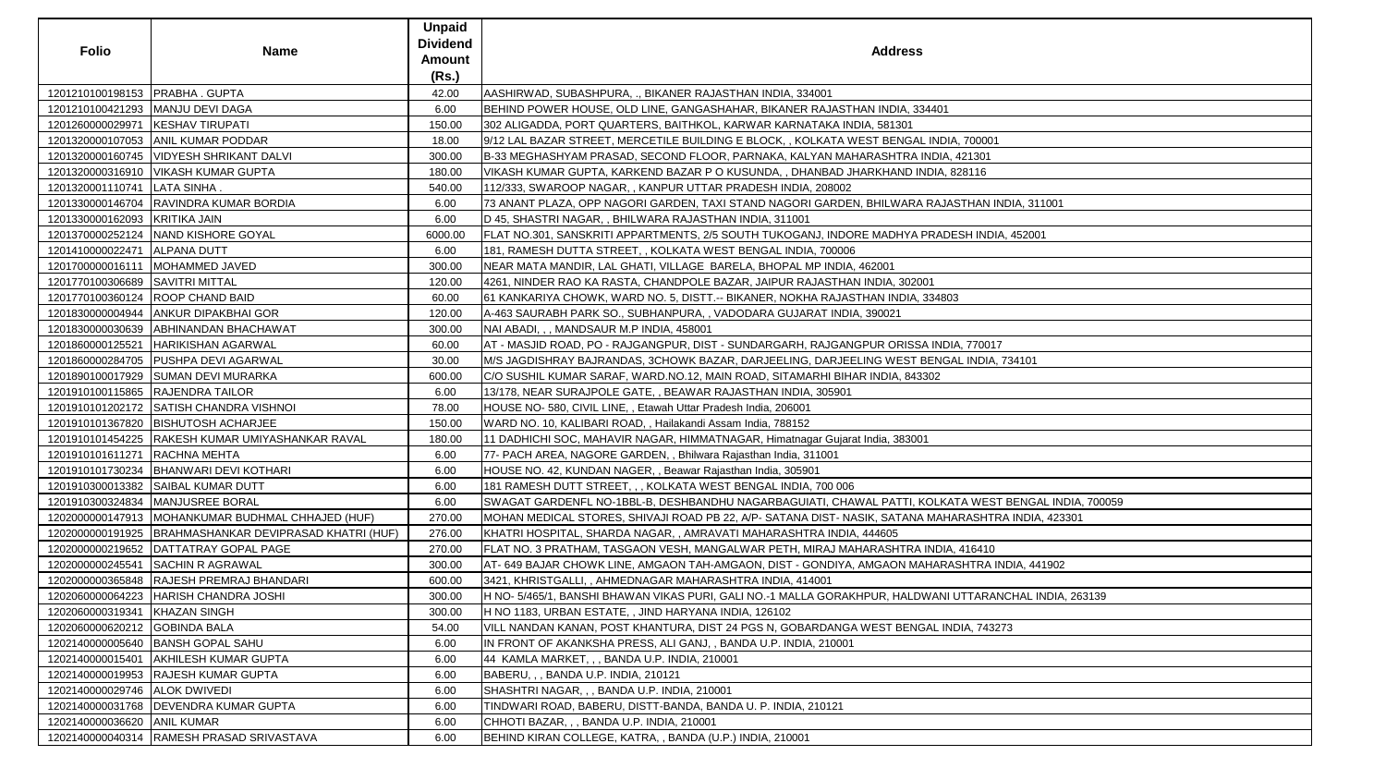| <b>Folio</b>                      | <b>Name</b>                                            | <b>Unpaid</b><br><b>Dividend</b><br><b>Amount</b><br>(Rs.) | <b>Address</b>                                                                                          |
|-----------------------------------|--------------------------------------------------------|------------------------------------------------------------|---------------------------------------------------------------------------------------------------------|
| 1201210100198153   PRABHA . GUPTA |                                                        | 42.00                                                      | AASHIRWAD, SUBASHPURA, ., BIKANER RAJASTHAN INDIA, 334001                                               |
|                                   | 1201210100421293   MANJU DEVI DAGA                     | 6.00                                                       | BEHIND POWER HOUSE, OLD LINE, GANGASHAHAR, BIKANER RAJASTHAN INDIA, 334401                              |
| 1201260000029971                  | <b>KESHAV TIRUPATI</b>                                 | 150.00                                                     | 302 ALIGADDA, PORT QUARTERS, BAITHKOL, KARWAR KARNATAKA INDIA, 581301                                   |
|                                   | 1201320000107053 ANIL KUMAR PODDAR                     | 18.00                                                      | 9/12 LAL BAZAR STREET, MERCETILE BUILDING E BLOCK, , KOLKATA WEST BENGAL INDIA, 700001                  |
|                                   | 1201320000160745   VIDYESH SHRIKANT DALVI              | 300.00                                                     | B-33 MEGHASHYAM PRASAD, SECOND FLOOR, PARNAKA, KALYAN MAHARASHTRA INDIA, 421301                         |
|                                   | 1201320000316910   VIKASH KUMAR GUPTA                  | 180.00                                                     | VIKASH KUMAR GUPTA, KARKEND BAZAR P O KUSUNDA, , DHANBAD JHARKHAND INDIA, 828116                        |
| 1201320001110741   LATA SINHA.    |                                                        | 540.00                                                     | 112/333, SWAROOP NAGAR, , KANPUR UTTAR PRADESH INDIA, 208002                                            |
|                                   | 1201330000146704 RAVINDRA KUMAR BORDIA                 | 6.00                                                       | 73 ANANT PLAZA, OPP NAGORI GARDEN, TAXI STAND NAGORI GARDEN, BHILWARA RAJASTHAN INDIA, 311001           |
| 1201330000162093 KRITIKA JAIN     |                                                        | 6.00                                                       | D 45, SHASTRI NAGAR, , BHILWARA RAJASTHAN INDIA, 311001                                                 |
|                                   | 1201370000252124   NAND KISHORE GOYAL                  | 6000.00                                                    | FLAT NO.301, SANSKRITI APPARTMENTS, 2/5 SOUTH TUKOGANJ, INDORE MADHYA PRADESH INDIA, 452001             |
| 1201410000022471                  | <b>ALPANA DUTT</b>                                     | 6.00                                                       | 181, RAMESH DUTTA STREET, , KOLKATA WEST BENGAL INDIA, 700006                                           |
| 1201700000016111                  | MOHAMMED JAVED                                         | 300.00                                                     | NEAR MATA MANDIR, LAL GHATI, VILLAGE BARELA, BHOPAL MP INDIA, 462001                                    |
| 1201770100306689 SAVITRI MITTAL   |                                                        | 120.00                                                     | 4261, NINDER RAO KA RASTA, CHANDPOLE BAZAR, JAIPUR RAJASTHAN INDIA, 302001                              |
|                                   | 1201770100360124   ROOP CHAND BAID                     | 60.00                                                      | 61 KANKARIYA CHOWK, WARD NO. 5, DISTT.-- BIKANER, NOKHA RAJASTHAN INDIA, 334803                         |
|                                   | 1201830000004944   ANKUR DIPAKBHAI GOR                 | 120.00                                                     | A-463 SAURABH PARK SO., SUBHANPURA,, VADODARA GUJARAT INDIA, 390021                                     |
|                                   | 1201830000030639 ABHINANDAN BHACHAWAT                  | 300.00                                                     | NAI ABADI, , , MANDSAUR M.P INDIA, 458001                                                               |
| 1201860000125521                  | <b>HARIKISHAN AGARWAL</b>                              | 60.00                                                      | AT - MASJID ROAD, PO - RAJGANGPUR, DIST - SUNDARGARH, RAJGANGPUR ORISSA INDIA, 770017                   |
|                                   | 1201860000284705   PUSHPA DEVI AGARWAL                 | 30.00                                                      | M/S JAGDISHRAY BAJRANDAS, 3CHOWK BAZAR, DARJEELING, DARJEELING WEST BENGAL INDIA, 734101                |
|                                   | 1201890100017929 SUMAN DEVI MURARKA                    | 600.00                                                     | C/O SUSHIL KUMAR SARAF, WARD.NO.12, MAIN ROAD, SITAMARHI BIHAR INDIA, 843302                            |
|                                   | 1201910100115865 RAJENDRA TAILOR                       | 6.00                                                       | 13/178, NEAR SURAJPOLE GATE, , BEAWAR RAJASTHAN INDIA, 305901                                           |
|                                   | 1201910101202172 SATISH CHANDRA VISHNOI                | 78.00                                                      | HOUSE NO- 580, CIVIL LINE,, Etawah Uttar Pradesh India, 206001                                          |
|                                   | 1201910101367820   BISHUTOSH ACHARJEE                  | 150.00                                                     | WARD NO. 10, KALIBARI ROAD, , Hailakandi Assam India, 788152                                            |
|                                   | 1201910101454225 RAKESH KUMAR UMIYASHANKAR RAVAL       | 180.00                                                     | 11 DADHICHI SOC, MAHAVIR NAGAR, HIMMATNAGAR, Himatnagar Gujarat India, 383001                           |
| 1201910101611271                  | RACHNA MEHTA                                           | 6.00                                                       | 77- PACH AREA, NAGORE GARDEN, , Bhilwara Rajasthan India, 311001                                        |
|                                   | 1201910101730234   BHANWARI DEVI KOTHARI               | 6.00                                                       | HOUSE NO. 42, KUNDAN NAGER, , Beawar Rajasthan India, 305901                                            |
|                                   | 1201910300013382 SAIBAL KUMAR DUTT                     | 6.00                                                       | 181 RAMESH DUTT STREET, , , KOLKATA WEST BENGAL INDIA, 700 006                                          |
|                                   | 1201910300324834   MANJUSREE BORAL                     | 6.00                                                       | SWAGAT GARDENFL NO-1BBL-B, DESHBANDHU NAGARBAGUIATI, CHAWAL PATTI, KOLKATA WEST BENGAL INDIA, 700059    |
|                                   | 1202000000147913   MOHANKUMAR BUDHMAL CHHAJED (HUF)    | 270.00                                                     | MOHAN MEDICAL STORES, SHIVAJI ROAD PB 22, A/P- SATANA DIST- NASIK, SATANA MAHARASHTRA INDIA, 423301     |
|                                   | 1202000000191925 BRAHMASHANKAR DEVIPRASAD KHATRI (HUF) | 276.00                                                     | KHATRI HOSPITAL, SHARDA NAGAR,, AMRAVATI MAHARASHTRA INDIA, 444605                                      |
|                                   | 1202000000219652   DATTATRAY GOPAL PAGE                | 270.00                                                     | FLAT NO. 3 PRATHAM, TASGAON VESH, MANGALWAR PETH, MIRAJ MAHARASHTRA INDIA, 416410                       |
| 1202000000245541                  | SACHIN R AGRAWAL                                       | 300.00                                                     | AT- 649 BAJAR CHOWK LINE, AMGAON TAH-AMGAON, DIST - GONDIYA, AMGAON MAHARASHTRA INDIA, 441902           |
|                                   | 1202000000365848   RAJESH PREMRAJ BHANDARI             | 600.00                                                     | 3421, KHRISTGALLI,, AHMEDNAGAR MAHARASHTRA INDIA, 414001                                                |
| 1202060000064223                  | HARISH CHANDRA JOSHI                                   | 300.00                                                     | H NO- 5/465/1, BANSHI BHAWAN VIKAS PURI, GALI NO.-1 MALLA GORAKHPUR, HALDWANI UTTARANCHAL INDIA, 263139 |
| 1202060000319341                  | <b>KHAZAN SINGH</b>                                    | 300.00                                                     | H NO 1183, URBAN ESTATE, , JIND HARYANA INDIA, 126102                                                   |
| 1202060000620212 GOBINDA BALA     |                                                        | 54.00                                                      | VILL NANDAN KANAN, POST KHANTURA, DIST 24 PGS N, GOBARDANGA WEST BENGAL INDIA, 743273                   |
|                                   | 1202140000005640   BANSH GOPAL SAHU                    | 6.00                                                       | IN FRONT OF AKANKSHA PRESS, ALI GANJ, , BANDA U.P. INDIA, 210001                                        |
| 1202140000015401                  | <b>AKHILESH KUMAR GUPTA</b>                            | 6.00                                                       | 44 KAMLA MARKET, , , BANDA U.P. INDIA, 210001                                                           |
|                                   | 1202140000019953 RAJESH KUMAR GUPTA                    | 6.00                                                       | BABERU, , , BANDA U.P. INDIA, 210121                                                                    |
| 1202140000029746   ALOK DWIVEDI   |                                                        | 6.00                                                       | SHASHTRI NAGAR, , , BANDA U.P. INDIA, 210001                                                            |
|                                   | 1202140000031768   DEVENDRA KUMAR GUPTA                | 6.00                                                       | TINDWARI ROAD, BABERU, DISTT-BANDA, BANDA U. P. INDIA, 210121                                           |
| 1202140000036620                  | <b>ANIL KUMAR</b>                                      | 6.00                                                       | CHHOTI BAZAR, , , BANDA U.P. INDIA, 210001                                                              |
| 1202140000040314                  | <b>RAMESH PRASAD SRIVASTAVA</b>                        | 6.00                                                       | BEHIND KIRAN COLLEGE, KATRA, , BANDA (U.P.) INDIA, 210001                                               |

| 0001                      |
|---------------------------|
| 301                       |
|                           |
| $\overline{16}$           |
|                           |
| AN INDIA, 311001          |
|                           |
| <b>INDIA, 452001</b>      |
|                           |
|                           |
|                           |
|                           |
|                           |
|                           |
|                           |
|                           |
| 70017                     |
| DIA, 734101               |
|                           |
|                           |
|                           |
|                           |
|                           |
|                           |
|                           |
|                           |
|                           |
| VEST BENGAL INDIA, 700059 |
| SHTRA INDIA, 423301       |
|                           |
|                           |
| 410                       |
| RA INDIA, 441902          |
|                           |
| ARANCHAL INDIA, 263139    |
|                           |
| 743273                    |
|                           |
|                           |
|                           |
|                           |
|                           |
|                           |
|                           |
|                           |
|                           |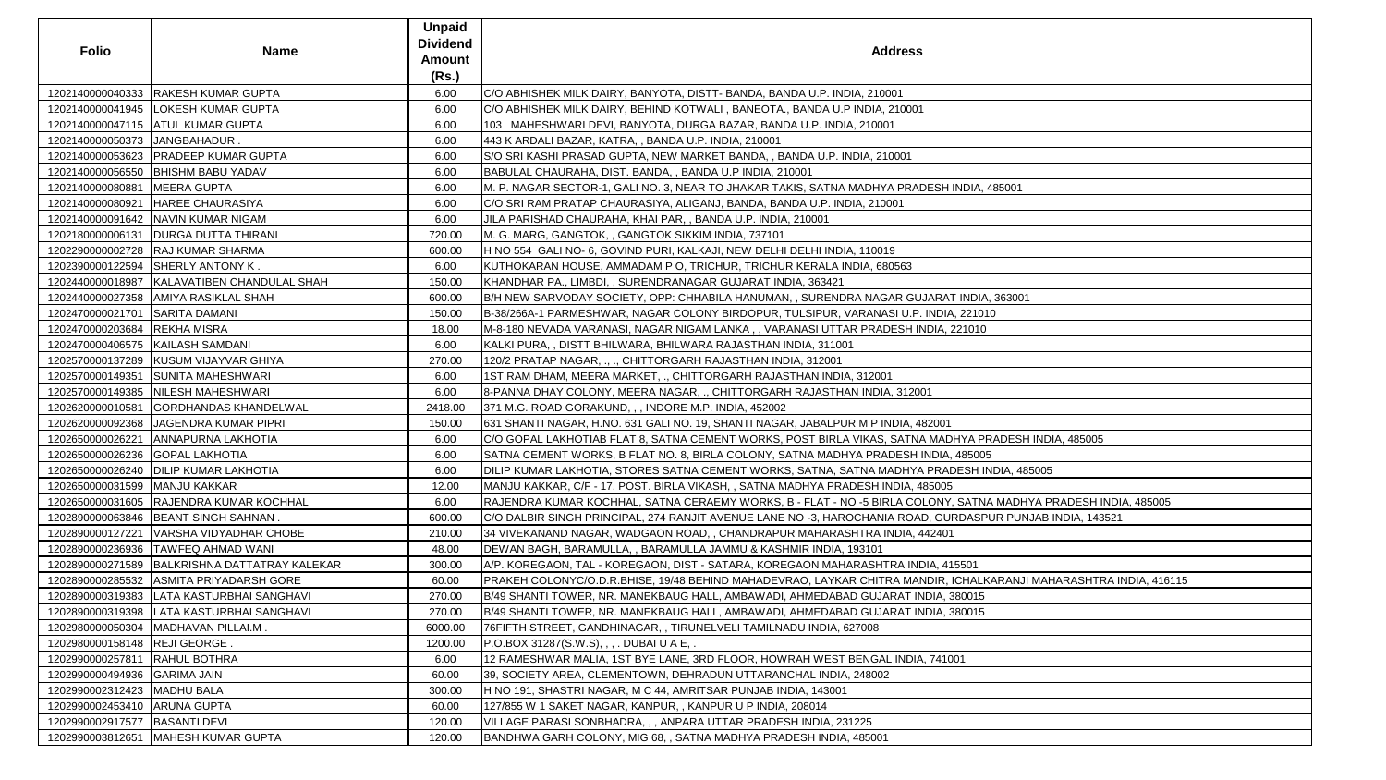| <b>Folio</b>                       | <b>Name</b>                                   | <b>Unpaid</b><br><b>Dividend</b><br><b>Amount</b><br>(Rs.) | <b>Address</b>                                                                                                    |
|------------------------------------|-----------------------------------------------|------------------------------------------------------------|-------------------------------------------------------------------------------------------------------------------|
|                                    | 1202140000040333 RAKESH KUMAR GUPTA           | 6.00                                                       | C/O ABHISHEK MILK DAIRY, BANYOTA, DISTT- BANDA, BANDA U.P. INDIA, 210001                                          |
|                                    | 1202140000041945   LOKESH KUMAR GUPTA         | 6.00                                                       | C/O ABHISHEK MILK DAIRY, BEHIND KOTWALI, BANEOTA., BANDA U.P INDIA, 210001                                        |
|                                    | 1202140000047115 ATUL KUMAR GUPTA             | 6.00                                                       | 103 MAHESHWARI DEVI, BANYOTA, DURGA BAZAR, BANDA U.P. INDIA, 210001                                               |
| 1202140000050373 JANGBAHADUR.      |                                               | 6.00                                                       | 443 K ARDALI BAZAR, KATRA, , BANDA U.P. INDIA, 210001                                                             |
|                                    | 1202140000053623   PRADEEP KUMAR GUPTA        | 6.00                                                       | S/O SRI KASHI PRASAD GUPTA, NEW MARKET BANDA, , BANDA U.P. INDIA, 210001                                          |
|                                    | 1202140000056550  BHISHM BABU YADAV           | 6.00                                                       | BABULAL CHAURAHA, DIST. BANDA, , BANDA U.P INDIA, 210001                                                          |
| 1202140000080881   MEERA GUPTA     |                                               | 6.00                                                       | M. P. NAGAR SECTOR-1, GALI NO. 3, NEAR TO JHAKAR TAKIS, SATNA MADHYA PRADESH INDIA, 485001                        |
|                                    | 1202140000080921 HAREE CHAURASIYA             | 6.00                                                       | C/O SRI RAM PRATAP CHAURASIYA, ALIGANJ, BANDA, BANDA U.P. INDIA, 210001                                           |
|                                    | 1202140000091642 NAVIN KUMAR NIGAM            | 6.00                                                       | JILA PARISHAD CHAURAHA, KHAI PAR, , BANDA U.P. INDIA, 210001                                                      |
|                                    | 1202180000006131   DURGA DUTTA THIRANI        | 720.00                                                     | M. G. MARG, GANGTOK, , GANGTOK SIKKIM INDIA, 737101                                                               |
|                                    | 1202290000002728  RAJ KUMAR SHARMA            | 600.00                                                     | H NO 554 GALI NO- 6, GOVIND PURI, KALKAJI, NEW DELHI DELHI INDIA, 110019                                          |
|                                    | 1202390000122594 SHERLY ANTONY K.             | 6.00                                                       | KUTHOKARAN HOUSE, AMMADAM P O, TRICHUR, TRICHUR KERALA INDIA, 680563                                              |
|                                    | 1202440000018987   KALAVATIBEN CHANDULAL SHAH | 150.00                                                     | KHANDHAR PA., LIMBDI,, SURENDRANAGAR GUJARAT INDIA, 363421                                                        |
|                                    | 1202440000027358 AMIYA RASIKLAL SHAH          | 600.00                                                     | B/H NEW SARVODAY SOCIETY, OPP: CHHABILA HANUMAN, , SURENDRA NAGAR GUJARAT INDIA, 363001                           |
| 1202470000021701 SARITA DAMANI     |                                               | 150.00                                                     | B-38/266A-1 PARMESHWAR, NAGAR COLONY BIRDOPUR, TULSIPUR, VARANASI U.P. INDIA, 221010                              |
| 1202470000203684 REKHA MISRA       |                                               | 18.00                                                      | M-8-180 NEVADA VARANASI, NAGAR NIGAM LANKA,, VARANASI UTTAR PRADESH INDIA, 221010                                 |
| 1202470000406575   KAILASH SAMDANI |                                               | 6.00                                                       | KALKI PURA,, DISTT BHILWARA, BHILWARA RAJASTHAN INDIA, 311001                                                     |
|                                    | 1202570000137289 KUSUM VIJAYVAR GHIYA         | 270.00                                                     | 120/2 PRATAP NAGAR, ., ., CHITTORGARH RAJASTHAN INDIA, 312001                                                     |
|                                    | 1202570000149351 SUNITA MAHESHWARI            | 6.00                                                       | 1ST RAM DHAM, MEERA MARKET, ., CHITTORGARH RAJASTHAN INDIA, 312001                                                |
|                                    | 1202570000149385 NILESH MAHESHWARI            | 6.00                                                       | 8-PANNA DHAY COLONY, MEERA NAGAR, ., CHITTORGARH RAJASTHAN INDIA, 312001                                          |
|                                    | 1202620000010581 GORDHANDAS KHANDELWAL        | 2418.00                                                    | 371 M.G. ROAD GORAKUND, , , INDORE M.P. INDIA, 452002                                                             |
|                                    | 1202620000092368 JAGENDRA KUMAR PIPRI         | 150.00                                                     | 631 SHANTI NAGAR, H.NO. 631 GALI NO. 19, SHANTI NAGAR, JABALPUR M P INDIA, 482001                                 |
|                                    | 1202650000026221   ANNAPURNA LAKHOTIA         | 6.00                                                       | C/O GOPAL LAKHOTIAB FLAT 8, SATNA CEMENT WORKS, POST BIRLA VIKAS, SATNA MADHYA PRADESH INDIA, 485005              |
| 1202650000026236 GOPAL LAKHOTIA    |                                               | 6.00                                                       | SATNA CEMENT WORKS, B FLAT NO. 8, BIRLA COLONY, SATNA MADHYA PRADESH INDIA, 485005                                |
|                                    | 1202650000026240   DILIP KUMAR LAKHOTIA       | 6.00                                                       | DILIP KUMAR LAKHOTIA, STORES SATNA CEMENT WORKS, SATNA, SATNA MADHYA PRADESH INDIA, 485005                        |
| 1202650000031599   MANJU KAKKAR    |                                               | 12.00                                                      | MANJU KAKKAR, C/F - 17. POST. BIRLA VIKASH, , SATNA MADHYA PRADESH INDIA, 485005                                  |
|                                    | 1202650000031605 RAJENDRA KUMAR KOCHHAL       | 6.00                                                       | RAJENDRA KUMAR KOCHHAL, SATNA CERAEMY WORKS, B - FLAT - NO -5 BIRLA COLONY, SATNA MADHYA PRADESH INDIA, 485005    |
|                                    | 1202890000063846   BEANT SINGH SAHNAN.        | 600.00                                                     | C/O DALBIR SINGH PRINCIPAL, 274 RANJIT AVENUE LANE NO -3, HAROCHANIA ROAD, GURDASPUR PUNJAB INDIA, 143521         |
|                                    | 1202890000127221   VARSHA VIDYADHAR CHOBE     | 210.00                                                     | 34 VIVEKANAND NAGAR, WADGAON ROAD, , CHANDRAPUR MAHARASHTRA INDIA, 442401                                         |
|                                    | 1202890000236936   TAWFEQ AHMAD WANI          | 48.00                                                      | DEWAN BAGH, BARAMULLA, , BARAMULLA JAMMU & KASHMIR INDIA, 193101                                                  |
|                                    | 1202890000271589 BALKRISHNA DATTATRAY KALEKAR | 300.00                                                     | A/P. KOREGAON, TAL - KOREGAON, DIST - SATARA, KOREGAON MAHARASHTRA INDIA, 415501                                  |
|                                    | 1202890000285532 ASMITA PRIYADARSH GORE       | 60.00                                                      | PRAKEH COLONYC/O.D.R.BHISE, 19/48 BEHIND MAHADEVRAO, LAYKAR CHITRA MANDIR, ICHALKARANJI MAHARASHTRA INDIA, 416115 |
|                                    | 1202890000319383   LATA KASTURBHAI SANGHAVI   | 270.00                                                     | [B/49 SHANTI TOWER, NR. MANEKBAUG HALL, AMBAWADI, AHMEDABAD GUJARAT INDIA, 380015                                 |
|                                    | 1202890000319398   LATA KASTURBHAI SANGHAVI   | 270.00                                                     | B/49 SHANTI TOWER, NR. MANEKBAUG HALL, AMBAWADI, AHMEDABAD GUJARAT INDIA, 380015                                  |
|                                    | 1202980000050304   MADHAVAN PILLAI.M.         | 6000.00                                                    | 76FIFTH STREET, GANDHINAGAR, , TIRUNELVELI TAMILNADU INDIA, 627008                                                |
| 1202980000158148 REJI GEORGE.      |                                               | 1200.00                                                    | P.O.BOX 31287(S.W.S), , , . DUBAI U A E, .                                                                        |
| 1202990000257811   RAHUL BOTHRA    |                                               | 6.00                                                       | 12 RAMESHWAR MALIA, 1ST BYE LANE, 3RD FLOOR, HOWRAH WEST BENGAL INDIA, 741001                                     |
| 1202990000494936 GARIMA JAIN       |                                               | 60.00                                                      | 39, SOCIETY AREA, CLEMENTOWN, DEHRADUN UTTARANCHAL INDIA, 248002                                                  |
| 1202990002312423   MADHU BALA      |                                               | 300.00                                                     | H NO 191, SHASTRI NAGAR, M C 44, AMRITSAR PUNJAB INDIA, 143001                                                    |
| 1202990002453410 ARUNA GUPTA       |                                               | 60.00                                                      | 127/855 W 1 SAKET NAGAR, KANPUR, , KANPUR U P INDIA, 208014                                                       |
| 1202990002917577   BASANTI DEVI    |                                               | 120.00                                                     | VILLAGE PARASI SONBHADRA, , , ANPARA UTTAR PRADESH INDIA, 231225                                                  |
|                                    | 1202990003812651   MAHESH KUMAR GUPTA         | 120.00                                                     | BANDHWA GARH COLONY, MIG 68, , SATNA MADHYA PRADESH INDIA, 485001                                                 |

| <b>SS</b>                                                                                        |
|--------------------------------------------------------------------------------------------------|
| 001                                                                                              |
| 1                                                                                                |
| RADESH INDIA, 485001                                                                             |
|                                                                                                  |
| 3<br>GUJARAT INDIA, 363001                                                                       |
| J.P. INDIA, 221010<br>H INDIA, 221010                                                            |
| 2001                                                                                             |
| 1,482001<br>TNA MADHYA PRADESH INDIA, 485005                                                     |
| SH INDIA, 485005<br>IYA PRADESH INDIA, 485005                                                    |
| 4,485005<br>COLONY, SATNA MADHYA PRADESH INDIA, 485005                                           |
| OAD, GURDASPUR PUNJAB INDIA, 143521<br>A, 442401                                                 |
| <b>INDIA, 415501</b><br><b>JANDIR, ICHALKARANJI MAHARASHTRA INDIA, 416115</b><br>T INDIA, 380015 |
| T INDIA, 380015                                                                                  |
| DIA, 741001                                                                                      |
|                                                                                                  |
|                                                                                                  |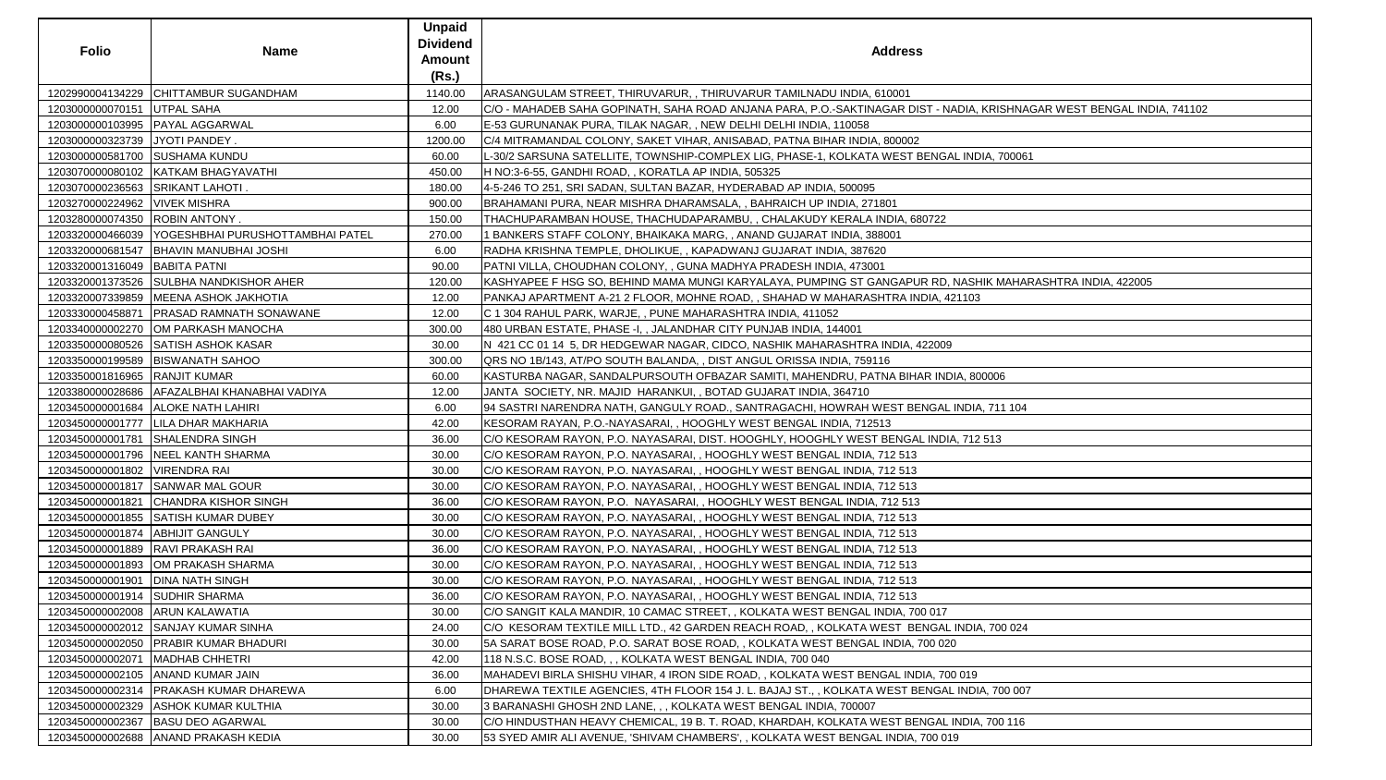| <b>Folio</b>                        | Name                                                | <b>Unpaid</b><br><b>Dividend</b><br><b>Amount</b><br>(Rs.) | <b>Address</b>                                                                                                         |
|-------------------------------------|-----------------------------------------------------|------------------------------------------------------------|------------------------------------------------------------------------------------------------------------------------|
|                                     | 1202990004134229 CHITTAMBUR SUGANDHAM               | 1140.00                                                    | ARASANGULAM STREET, THIRUVARUR, , THIRUVARUR TAMILNADU INDIA, 610001                                                   |
| 1203000000070151 UTPAL SAHA         |                                                     | 12.00                                                      | C/O - MAHADEB SAHA GOPINATH, SAHA ROAD ANJANA PARA, P.O.-SAKTINAGAR DIST - NADIA, KRISHNAGAR WEST BENGAL INDIA, 741102 |
| 1203000000103995   PAYAL AGGARWAL   |                                                     | 6.00                                                       | E-53 GURUNANAK PURA, TILAK NAGAR, , NEW DELHI DELHI INDIA, 110058                                                      |
| 1203000000323739 JYOTI PANDEY.      |                                                     | 1200.00                                                    | C/4 MITRAMANDAL COLONY, SAKET VIHAR, ANISABAD, PATNA BIHAR INDIA, 800002                                               |
| 1203000000581700 SUSHAMA KUNDU      |                                                     | 60.00                                                      | L-30/2 SARSUNA SATELLITE, TOWNSHIP-COMPLEX LIG, PHASE-1, KOLKATA WEST BENGAL INDIA, 700061                             |
|                                     | 1203070000080102   KATKAM BHAGYAVATHI               | 450.00                                                     | H NO:3-6-55, GANDHI ROAD, , KORATLA AP INDIA, 505325                                                                   |
| 1203070000236563 SRIKANT LAHOTI.    |                                                     | 180.00                                                     | 4-5-246 TO 251, SRI SADAN, SULTAN BAZAR, HYDERABAD AP INDIA, 500095                                                    |
| 1203270000224962   VIVEK MISHRA     |                                                     | 900.00                                                     | BRAHAMANI PURA, NEAR MISHRA DHARAMSALA, , BAHRAICH UP INDIA, 271801                                                    |
| 1203280000074350 ROBIN ANTONY.      |                                                     | 150.00                                                     | THACHUPARAMBAN HOUSE, THACHUDAPARAMBU, , CHALAKUDY KERALA INDIA, 680722                                                |
|                                     | 1203320000466039   YOGESHBHAI PURUSHOTTAMBHAI PATEL | 270.00                                                     | I BANKERS STAFF COLONY, BHAIKAKA MARG, , ANAND GUJARAT INDIA, 388001                                                   |
|                                     | 1203320000681547   BHAVIN MANUBHAI JOSHI            | 6.00                                                       | RADHA KRISHNA TEMPLE, DHOLIKUE,, KAPADWANJ GUJARAT INDIA, 387620                                                       |
| 1203320001316049 BABITA PATNI       |                                                     | 90.00                                                      | PATNI VILLA, CHOUDHAN COLONY, , GUNA MADHYA PRADESH INDIA, 473001                                                      |
|                                     | 1203320001373526 SULBHA NANDKISHOR AHER             | 120.00                                                     | KASHYAPEE F HSG SO, BEHIND MAMA MUNGI KARYALAYA, PUMPING ST GANGAPUR RD, NASHIK MAHARASHTRA INDIA, 422005              |
|                                     | 1203320007339859   MEENA ASHOK JAKHOTIA             | 12.00                                                      | PANKAJ APARTMENT A-21 2 FLOOR, MOHNE ROAD, , SHAHAD W MAHARASHTRA INDIA, 421103                                        |
| 1203330000458871                    | <b>PRASAD RAMNATH SONAWANE</b>                      | 12.00                                                      | C 1 304 RAHUL PARK, WARJE,, PUNE MAHARASHTRA INDIA, 411052                                                             |
|                                     | 1203340000002270 OM PARKASH MANOCHA                 | 300.00                                                     | 480 URBAN ESTATE, PHASE -I, , JALANDHAR CITY PUNJAB INDIA, 144001                                                      |
|                                     | 1203350000080526 SATISH ASHOK KASAR                 | 30.00                                                      | N 421 CC 01 14 5, DR HEDGEWAR NAGAR, CIDCO, NASHIK MAHARASHTRA INDIA, 422009                                           |
|                                     | 1203350000199589   BISWANATH SAHOO                  | 300.00                                                     | QRS NO 1B/143, AT/PO SOUTH BALANDA, , DIST ANGUL ORISSA INDIA, 759116                                                  |
| 1203350001816965 RANJIT KUMAR       |                                                     | 60.00                                                      | KASTURBA NAGAR, SANDALPURSOUTH OFBAZAR SAMITI, MAHENDRU, PATNA BIHAR INDIA, 800006                                     |
|                                     | 1203380000028686   AFAZALBHAI KHANABHAI VADIYA      | 12.00                                                      | JANTA SOCIETY, NR. MAJID HARANKUI, , BOTAD GUJARAT INDIA, 364710                                                       |
|                                     | 1203450000001684   ALOKE NATH LAHIRI                | 6.00                                                       | 94 SASTRI NARENDRA NATH, GANGULY ROAD., SANTRAGACHI, HOWRAH WEST BENGAL INDIA, 711 104                                 |
|                                     | 1203450000001777   LILA DHAR MAKHARIA               | 42.00                                                      | KESORAM RAYAN, P.O.-NAYASARAI, , HOOGHLY WEST BENGAL INDIA, 712513                                                     |
|                                     | 1203450000001781 SHALENDRA SINGH                    | 36.00                                                      | C/O KESORAM RAYON, P.O. NAYASARAI, DIST. HOOGHLY, HOOGHLY WEST BENGAL INDIA, 712 513                                   |
|                                     | 1203450000001796 NEEL KANTH SHARMA                  | 30.00                                                      | C/O KESORAM RAYON, P.O. NAYASARAI, , HOOGHLY WEST BENGAL INDIA, 712 513                                                |
| 1203450000001802   VIRENDRA RAI     |                                                     | 30.00                                                      | C/O KESORAM RAYON, P.O. NAYASARAI, , HOOGHLY WEST BENGAL INDIA, 712 513                                                |
|                                     | 1203450000001817 SANWAR MAL GOUR                    | 30.00                                                      | C/O KESORAM RAYON, P.O. NAYASARAI,, HOOGHLY WEST BENGAL INDIA, 712 513                                                 |
|                                     | 1203450000001821 CHANDRA KISHOR SINGH               | 36.00                                                      | C/O KESORAM RAYON, P.O. NAYASARAI, , HOOGHLY WEST BENGAL INDIA, 712 513                                                |
|                                     | 1203450000001855 SATISH KUMAR DUBEY                 | 30.00                                                      | C/O KESORAM RAYON, P.O. NAYASARAI, , HOOGHLY WEST BENGAL INDIA, 712 513                                                |
| 1203450000001874   ABHIJIT GANGULY  |                                                     | 30.00                                                      | [C/O KESORAM RAYON, P.O. NAYASARAI, , HOOGHLY WEST BENGAL INDIA, 712 513                                               |
| 1203450000001889   RAVI PRAKASH RAI |                                                     | 36.00                                                      | CO KESORAM RAYON, P.O. NAYASARAI, , HOOGHLY WEST BENGAL INDIA, 712 513                                                 |
|                                     | 1203450000001893 OM PRAKASH SHARMA                  | 30.00                                                      | C/O KESORAM RAYON, P.O. NAYASARAI, , HOOGHLY WEST BENGAL INDIA, 712 513                                                |
| 1203450000001901                    | <b>DINA NATH SINGH</b>                              | 30.00                                                      | C/O KESORAM RAYON, P.O. NAYASARAI, , HOOGHLY WEST BENGAL INDIA, 712 513                                                |
| 1203450000001914 SUDHIR SHARMA      |                                                     | 36.00                                                      | C/O KESORAM RAYON, P.O. NAYASARAI, , HOOGHLY WEST BENGAL INDIA, 712 513                                                |
| 1203450000002008 ARUN KALAWATIA     |                                                     | 30.00                                                      | C/O SANGIT KALA MANDIR, 10 CAMAC STREET, , KOLKATA WEST BENGAL INDIA, 700 017                                          |
|                                     | 1203450000002012 SANJAY KUMAR SINHA                 | 24.00                                                      | IC/O_KESORAM TEXTILE MILL LTD., 42 GARDEN REACH ROAD, , KOLKATA WEST_BENGAL INDIA, 700 024                             |
|                                     | 1203450000002050 PRABIR KUMAR BHADURI               | 30.00                                                      | 5A SARAT BOSE ROAD, P.O. SARAT BOSE ROAD, , KOLKATA WEST BENGAL INDIA, 700 020                                         |
| 1203450000002071                    | MADHAB CHHETRI                                      | 42.00                                                      | 118 N.S.C. BOSE ROAD, , , KOLKATA WEST BENGAL INDIA, 700 040                                                           |
|                                     | 1203450000002105 ANAND KUMAR JAIN                   | 36.00                                                      | MAHADEVI BIRLA SHISHU VIHAR, 4 IRON SIDE ROAD, , KOLKATA WEST BENGAL INDIA, 700 019                                    |
|                                     | 1203450000002314   PRAKASH KUMAR DHAREWA            | 6.00                                                       | DHAREWA TEXTILE AGENCIES, 4TH FLOOR 154 J. L. BAJAJ ST., , KOLKATA WEST BENGAL INDIA, 700 007                          |
|                                     | 1203450000002329 ASHOK KUMAR KULTHIA                | 30.00                                                      | 3 BARANASHI GHOSH 2ND LANE, , , KOLKATA WEST BENGAL INDIA, 700007                                                      |
|                                     | 1203450000002367   BASU DEO AGARWAL                 | 30.00                                                      | IC/O HINDUSTHAN HEAVY CHEMICAL, 19 B. T. ROAD, KHARDAH, KOLKATA WEST BENGAL INDIA, 700 116                             |
|                                     | 1203450000002688 ANAND PRAKASH KEDIA                | 30.00                                                      | 53 SYED AMIR ALI AVENUE, 'SHIVAM CHAMBERS', , KOLKATA WEST BENGAL INDIA, 700 019                                       |

| A, KRISHNAGAR WEST BENGAL INDIA, 741102 |
|-----------------------------------------|
|                                         |
|                                         |
| <b>VDIA, 700061</b>                     |
|                                         |
|                                         |
|                                         |
|                                         |
|                                         |
|                                         |
| SHIK MAHARASHTRA INDIA, 422005          |
| 03                                      |
|                                         |
|                                         |
|                                         |
|                                         |
| 800006                                  |
|                                         |
| DIA, 711 104                            |
|                                         |
| 12 513                                  |
|                                         |
|                                         |
|                                         |
|                                         |
|                                         |
|                                         |
|                                         |
|                                         |
|                                         |
|                                         |
| DIA, 700 024                            |
|                                         |
|                                         |
| $\overline{9}$                          |
| DIA, 700 007                            |
|                                         |
| IA, 700 116                             |
|                                         |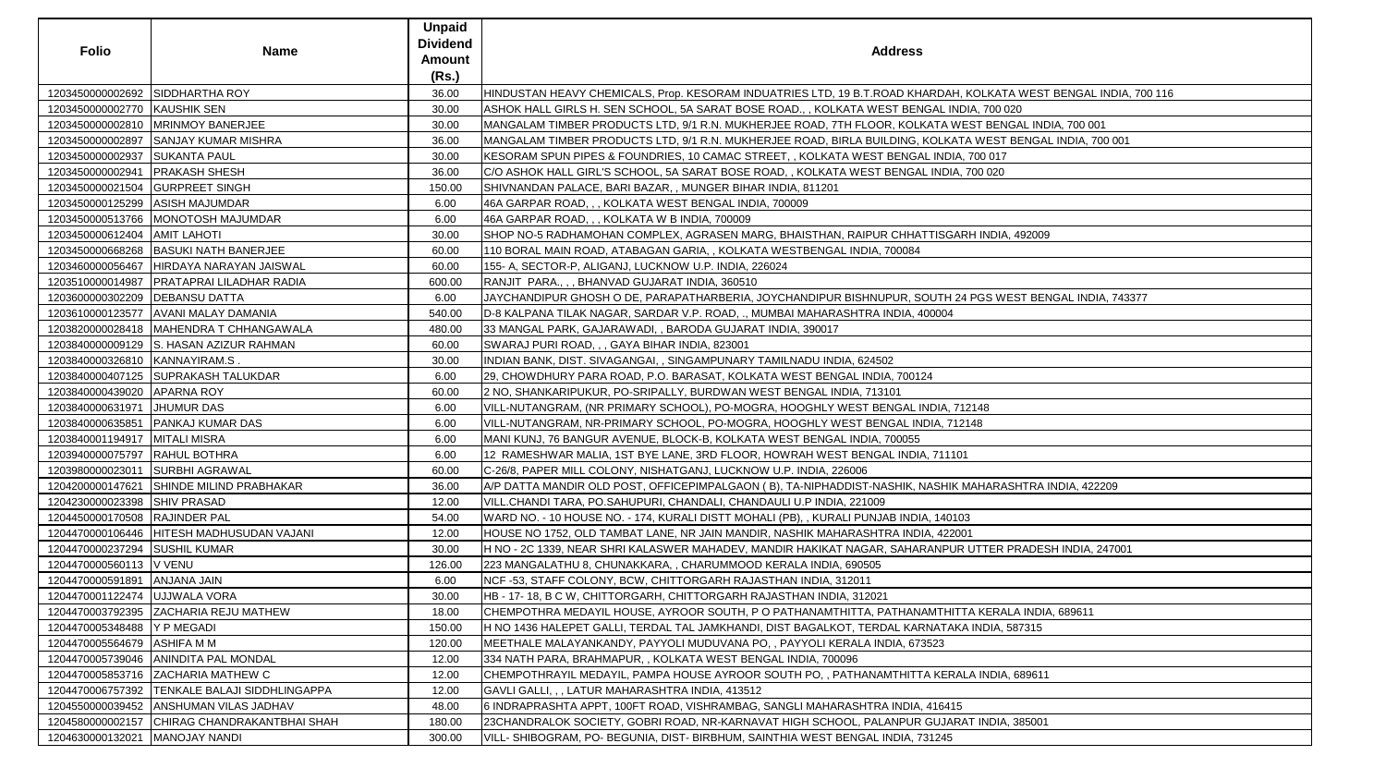| <b>Folio</b>                     | <b>Name</b>                                     | <b>Unpaid</b><br><b>Dividend</b><br>Amount<br>(Rs.) | <b>Address</b>                                                                                                   |
|----------------------------------|-------------------------------------------------|-----------------------------------------------------|------------------------------------------------------------------------------------------------------------------|
| 1203450000002692 SIDDHARTHA ROY  |                                                 | 36.00                                               | HINDUSTAN HEAVY CHEMICALS, Prop. KESORAM INDUATRIES LTD, 19 B.T.ROAD KHARDAH, KOLKATA WEST BENGAL INDIA, 700 116 |
| 1203450000002770 KAUSHIK SEN     |                                                 | 30.00                                               | ASHOK HALL GIRLS H. SEN SCHOOL, 5A SARAT BOSE ROAD., , KOLKATA WEST BENGAL INDIA, 700 020                        |
|                                  | 1203450000002810   MRINMOY BANERJEE             | 30.00                                               | MANGALAM TIMBER PRODUCTS LTD, 9/1 R.N. MUKHERJEE ROAD, 7TH FLOOR, KOLKATA WEST BENGAL INDIA, 700 001             |
|                                  | 1203450000002897 SANJAY KUMAR MISHRA            | 36.00                                               | MANGALAM TIMBER PRODUCTS LTD, 9/1 R.N. MUKHERJEE ROAD, BIRLA BUILDING, KOLKATA WEST BENGAL INDIA, 700 001        |
| 1203450000002937 SUKANTA PAUL    |                                                 | 30.00                                               | KESORAM SPUN PIPES & FOUNDRIES, 10 CAMAC STREET, , KOLKATA WEST BENGAL INDIA, 700 017                            |
| 1203450000002941   PRAKASH SHESH |                                                 | 36.00                                               | C/O ASHOK HALL GIRL'S SCHOOL, 5A SARAT BOSE ROAD, , KOLKATA WEST BENGAL INDIA, 700 020                           |
| 1203450000021504 GURPREET SINGH  |                                                 | 150.00                                              | SHIVNANDAN PALACE, BARI BAZAR,, MUNGER BIHAR INDIA, 811201                                                       |
| 1203450000125299 ASISH MAJUMDAR  |                                                 | 6.00                                                | 46A GARPAR ROAD, , , KOLKATA WEST BENGAL INDIA, 700009                                                           |
|                                  | 1203450000513766   MONOTOSH MAJUMDAR            | 6.00                                                | 46A GARPAR ROAD, , , KOLKATA W B INDIA, 700009                                                                   |
| 1203450000612404   AMIT LAHOTI   |                                                 | 30.00                                               | SHOP NO-5 RADHAMOHAN COMPLEX, AGRASEN MARG, BHAISTHAN, RAIPUR CHHATTISGARH INDIA, 492009                         |
|                                  | 1203450000668268   BASUKI NATH BANERJEE         | 60.00                                               | 110 BORAL MAIN ROAD, ATABAGAN GARIA, , KOLKATA WESTBENGAL INDIA, 700084                                          |
|                                  | 1203460000056467 HIRDAYA NARAYAN JAISWAL        | 60.00                                               | 155- A, SECTOR-P, ALIGANJ, LUCKNOW U.P. INDIA, 226024                                                            |
|                                  | 1203510000014987   PRATAPRAI LILADHAR RADIA     | 600.00                                              | RANJIT PARA.,,, BHANVAD GUJARAT INDIA, 360510                                                                    |
| 1203600000302209   DEBANSU DATTA |                                                 | 6.00                                                | JAYCHANDIPUR GHOSH O DE, PARAPATHARBERIA, JOYCHANDIPUR BISHNUPUR, SOUTH 24 PGS WEST BENGAL INDIA, 743377         |
|                                  | 1203610000123577   AVANI MALAY DAMANIA          | 540.00                                              | D-8 KALPANA TILAK NAGAR, SARDAR V.P. ROAD, ., MUMBAI MAHARASHTRA INDIA, 400004                                   |
|                                  | 1203820000028418   MAHENDRA T CHHANGAWALA       | 480.00                                              | 33 MANGAL PARK, GAJARAWADI, , BARODA GUJARAT INDIA, 390017                                                       |
|                                  | 1203840000009129 S. HASAN AZIZUR RAHMAN         | 60.00                                               | SWARAJ PURI ROAD, , , GAYA BIHAR INDIA, 823001                                                                   |
| 1203840000326810 KANNAYIRAM.S.   |                                                 | 30.00                                               | INDIAN BANK, DIST. SIVAGANGAI, , SINGAMPUNARY TAMILNADU INDIA, 624502                                            |
|                                  | 1203840000407125 SUPRAKASH TALUKDAR             | 6.00                                                | 29, CHOWDHURY PARA ROAD, P.O. BARASAT, KOLKATA WEST BENGAL INDIA, 700124                                         |
| 1203840000439020 APARNA ROY      |                                                 | 60.00                                               | 2 NO, SHANKARIPUKUR, PO-SRIPALLY, BURDWAN WEST BENGAL INDIA, 713101                                              |
| 1203840000631971 JHUMUR DAS      |                                                 | 6.00                                                | VILL-NUTANGRAM, (NR PRIMARY SCHOOL), PO-MOGRA, HOOGHLY WEST BENGAL INDIA, 712148                                 |
|                                  | 1203840000635851 PANKAJ KUMAR DAS               | 6.00                                                | VILL-NUTANGRAM, NR-PRIMARY SCHOOL, PO-MOGRA, HOOGHLY WEST BENGAL INDIA, 712148                                   |
| 1203840001194917   MITALI MISRA  |                                                 | 6.00                                                | MANI KUNJ, 76 BANGUR AVENUE, BLOCK-B, KOLKATA WEST BENGAL INDIA, 700055                                          |
| 1203940000075797 RAHUL BOTHRA    |                                                 | 6.00                                                | 12 RAMESHWAR MALIA, 1ST BYE LANE, 3RD FLOOR, HOWRAH WEST BENGAL INDIA, 711101                                    |
| 1203980000023011 SURBHI AGRAWAL  |                                                 | 60.00                                               | C-26/8, PAPER MILL COLONY, NISHATGANJ, LUCKNOW U.P. INDIA, 226006                                                |
|                                  | 1204200000147621 SHINDE MILIND PRABHAKAR        | 36.00                                               | A/P DATTA MANDIR OLD POST, OFFICEPIMPALGAON ( B), TA-NIPHADDIST-NASHIK, NASHIK MAHARASHTRA INDIA, 422209         |
| 1204230000023398 SHIV PRASAD     |                                                 | 12.00                                               | VILL.CHANDI TARA, PO.SAHUPURI, CHANDALI, CHANDAULI U.P INDIA, 221009                                             |
| 1204450000170508 RAJINDER PAL    |                                                 | 54.00                                               | WARD NO. - 10 HOUSE NO. - 174, KURALI DISTT MOHALI (PB), , KURALI PUNJAB INDIA, 140103                           |
|                                  | 1204470000106446 HITESH MADHUSUDAN VAJANI       | 12.00                                               | HOUSE NO 1752, OLD TAMBAT LANE, NR JAIN MANDIR, NASHIK MAHARASHTRA INDIA, 422001                                 |
| 1204470000237294 SUSHIL KUMAR    |                                                 | 30.00                                               | H NO - 2C 1339, NEAR SHRI KALASWER MAHADEV, MANDIR HAKIKAT NAGAR, SAHARANPUR UTTER PRADESH INDIA, 247001         |
| 1204470000560113 V VENU          |                                                 | 126.00                                              | 223 MANGALATHU 8, CHUNAKKARA, , CHARUMMOOD KERALA INDIA, 690505                                                  |
| 1204470000591891 ANJANA JAIN     |                                                 | 6.00                                                | NCF -53, STAFF COLONY, BCW, CHITTORGARH RAJASTHAN INDIA, 312011                                                  |
| 1204470001122474 UJJWALA VORA    |                                                 | 30.00                                               | HB - 17- 18, B C W, CHITTORGARH, CHITTORGARH RAJASTHAN INDIA, 312021                                             |
|                                  | 1204470003792395 ZACHARIA REJU MATHEW           | 18.00                                               | CHEMPOTHRA MEDAYIL HOUSE, AYROOR SOUTH, P O PATHANAMTHITTA, PATHANAMTHITTA KERALA INDIA, 689611                  |
| 1204470005348488   Y P MEGADI    |                                                 | 150.00                                              | H NO 1436 HALEPET GALLI, TERDAL TAL JAMKHANDI, DIST BAGALKOT, TERDAL KARNATAKA INDIA, 587315                     |
| 1204470005564679 ASHIFA M M      |                                                 | 120.00                                              | MEETHALE MALAYANKANDY, PAYYOLI MUDUVANA PO, , PAYYOLI KERALA INDIA, 673523                                       |
|                                  | 1204470005739046 ANINDITA PAL MONDAL            | 12.00                                               | 334 NATH PARA, BRAHMAPUR, , KOLKATA WEST BENGAL INDIA, 700096                                                    |
|                                  | 1204470005853716 ZACHARIA MATHEW C              | 12.00                                               | CHEMPOTHRAYIL MEDAYIL, PAMPA HOUSE AYROOR SOUTH PO, , PATHANAMTHITTA KERALA INDIA, 689611                        |
|                                  | 1204470006757392   TENKALE BALAJI SIDDHLINGAPPA | 12.00                                               | [GAVLI GALLI, , , LATUR MAHARASHTRA INDIA, 413512]                                                               |
|                                  | 1204550000039452 ANSHUMAN VILAS JADHAV          | 48.00                                               | 6 INDRAPRASHTA APPT, 100FT ROAD, VISHRAMBAG, SANGLI MAHARASHTRA INDIA, 416415                                    |
|                                  | 1204580000002157 CHIRAG CHANDRAKANTBHAI SHAH    | 180.00                                              | 23CHANDRALOK SOCIETY, GOBRI ROAD, NR-KARNAVAT HIGH SCHOOL, PALANPUR GUJARAT INDIA, 385001                        |
| 1204630000132021   MANOJAY NANDI |                                                 | 300.00                                              | VILL- SHIBOGRAM, PO- BEGUNIA, DIST- BIRBHUM, SAINTHIA WEST BENGAL INDIA, 731245                                  |

| <b>DLKATA WEST BENGAL INDIA, 700 116</b> |
|------------------------------------------|
| , 700 020                                |
| T BENGAL INDIA, 700 001                  |
| <b>WEST BENGAL INDIA, 700 001</b>        |
| 00 017                                   |
| 0020                                     |
|                                          |
|                                          |
| INDIA, 492009                            |
|                                          |
|                                          |
|                                          |
| GS WEST BENGAL INDIA, 743377             |
|                                          |
|                                          |
|                                          |
|                                          |
|                                          |
| 48                                       |
| 8                                        |
|                                          |
|                                          |
|                                          |
| HARASHTRA INDIA, 422209                  |
|                                          |
|                                          |
| TTER PRADESH INDIA, 247001               |
|                                          |
|                                          |
|                                          |
| KERALA INDIA, 689611                     |
| <b>VDIA, 587315</b>                      |
|                                          |
|                                          |
| INDIA, 689611                            |
|                                          |
|                                          |
| INDIA, 385001                            |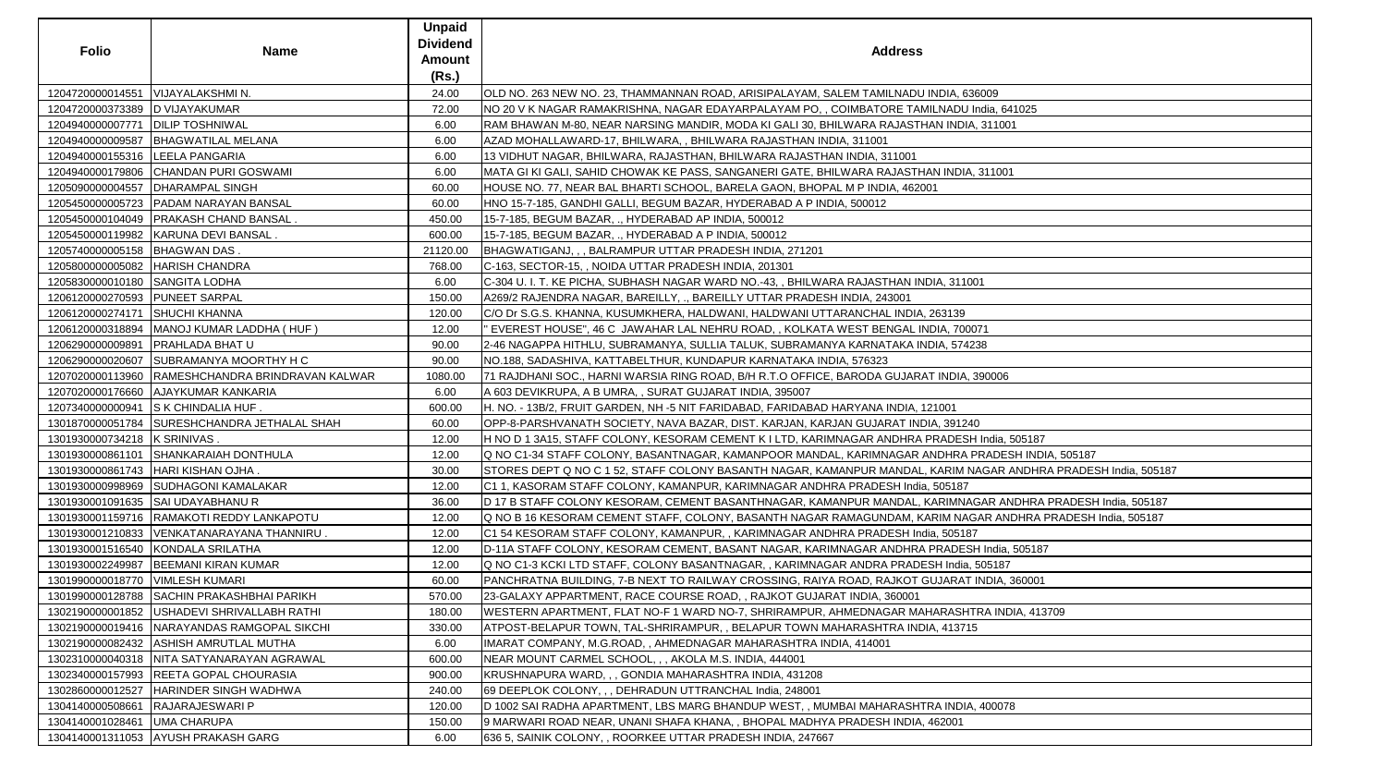| <b>Folio</b>                       | <b>Name</b>                                      | <b>Unpaid</b><br><b>Dividend</b><br><b>Amount</b><br>(Rs.) | <b>Address</b>                                                                                                 |
|------------------------------------|--------------------------------------------------|------------------------------------------------------------|----------------------------------------------------------------------------------------------------------------|
| 1204720000014551                   | VIJAYALAKSHMI N.                                 | 24.00                                                      | OLD NO. 263 NEW NO. 23, THAMMANNAN ROAD, ARISIPALAYAM, SALEM TAMILNADU INDIA, 636009                           |
| 1204720000373389                   | <b>D VIJAYAKUMAR</b>                             | 72.00                                                      | NO 20 V K NAGAR RAMAKRISHNA, NAGAR EDAYARPALAYAM PO, , COIMBATORE TAMILNADU India, 641025                      |
| 1204940000007771   DILIP TOSHNIWAL |                                                  | 6.00                                                       | RAM BHAWAN M-80, NEAR NARSING MANDIR, MODA KI GALI 30, BHILWARA RAJASTHAN INDIA, 311001                        |
| 1204940000009587                   | <b>BHAGWATILAL MELANA</b>                        | 6.00                                                       | AZAD MOHALLAWARD-17, BHILWARA, , BHILWARA RAJASTHAN INDIA, 311001                                              |
| 1204940000155316  LEELA PANGARIA   |                                                  | 6.00                                                       | 13 VIDHUT NAGAR, BHILWARA, RAJASTHAN, BHILWARA RAJASTHAN INDIA, 311001                                         |
|                                    | 1204940000179806 CHANDAN PURI GOSWAMI            | 6.00                                                       | MATA GI KI GALI, SAHID CHOWAK KE PASS, SANGANERI GATE, BHILWARA RAJASTHAN INDIA, 311001                        |
| 1205090000004557                   | <b>DHARAMPAL SINGH</b>                           | 60.00                                                      | HOUSE NO. 77, NEAR BAL BHARTI SCHOOL, BARELA GAON, BHOPAL M P INDIA, 462001                                    |
|                                    | 1205450000005723   PADAM NARAYAN BANSAL          | 60.00                                                      | HNO 15-7-185, GANDHI GALLI, BEGUM BAZAR, HYDERABAD A P INDIA, 500012                                           |
|                                    | 1205450000104049   PRAKASH CHAND BANSAL.         | 450.00                                                     | 15-7-185, BEGUM BAZAR, ., HYDERABAD AP INDIA, 500012                                                           |
|                                    | 1205450000119982   KARUNA DEVI BANSAL.           | 600.00                                                     | 15-7-185, BEGUM BAZAR, ., HYDERABAD A P INDIA, 500012                                                          |
| 1205740000005158  BHAGWAN DAS.     |                                                  | 21120.00                                                   | BHAGWATIGANJ,,, BALRAMPUR UTTAR PRADESH INDIA, 271201                                                          |
|                                    | 1205800000005082   HARISH CHANDRA                | 768.00                                                     | C-163, SECTOR-15, , NOIDA UTTAR PRADESH INDIA, 201301                                                          |
| 1205830000010180 SANGITA LODHA     |                                                  | 6.00                                                       | C-304 U. I. T. KE PICHA, SUBHASH NAGAR WARD NO.-43, , BHILWARA RAJASTHAN INDIA, 311001                         |
| 1206120000270593 PUNEET SARPAL     |                                                  | 150.00                                                     | A269/2 RAJENDRA NAGAR, BAREILLY, ., BAREILLY UTTAR PRADESH INDIA, 243001                                       |
| 1206120000274171 SHUCHI KHANNA     |                                                  | 120.00                                                     | C/O Dr S.G.S. KHANNA, KUSUMKHERA, HALDWANI, HALDWANI UTTARANCHAL INDIA, 263139                                 |
| 1206120000318894                   | MANOJ KUMAR LADDHA (HUF)                         | 12.00                                                      | EVEREST HOUSE", 46 C JAWAHAR LAL NEHRU ROAD, , KOLKATA WEST BENGAL INDIA, 700071                               |
| 1206290000009891                   | <b>PRAHLADA BHAT U</b>                           | 90.00                                                      | 2-46 NAGAPPA HITHLU, SUBRAMANYA, SULLIA TALUK, SUBRAMANYA KARNATAKA INDIA, 574238                              |
|                                    | 1206290000020607 SUBRAMANYA MOORTHY HC           | 90.00                                                      | NO.188, SADASHIVA, KATTABELTHUR, KUNDAPUR KARNATAKA INDIA, 576323                                              |
|                                    | 1207020000113960 RAMESHCHANDRA BRINDRAVAN KALWAR | 1080.00                                                    | 71 RAJDHANI SOC., HARNI WARSIA RING ROAD, B/H R.T.O OFFICE, BARODA GUJARAT INDIA, 390006                       |
|                                    | 1207020000176660 AJAYKUMAR KANKARIA              | 6.00                                                       | A 603 DEVIKRUPA, A B UMRA, , SURAT GUJARAT INDIA, 395007                                                       |
|                                    | 1207340000000941 S K CHINDALIA HUF.              | 600.00                                                     | H. NO. - 13B/2, FRUIT GARDEN, NH -5 NIT FARIDABAD, FARIDABAD HARYANA INDIA, 121001                             |
|                                    | 1301870000051784 SURESHCHANDRA JETHALAL SHAH     | 60.00                                                      | OPP-8-PARSHVANATH SOCIETY, NAVA BAZAR, DIST. KARJAN, KARJAN GUJARAT INDIA, 391240                              |
| 1301930000734218   K SRINIVAS.     |                                                  | 12.00                                                      | H NO D 1 3A15, STAFF COLONY, KESORAM CEMENT K I LTD, KARIMNAGAR ANDHRA PRADESH India, 505187                   |
|                                    | 1301930000861101 SHANKARAIAH DONTHULA            | 12.00                                                      | Q NO C1-34 STAFF COLONY, BASANTNAGAR, KAMANPOOR MANDAL, KARIMNAGAR ANDHRA PRADESH INDIA, 505187                |
|                                    | 1301930000861743   HARI KISHAN OJHA.             | 30.00                                                      | STORES DEPT Q NO C 1 52, STAFF COLONY BASANTH NAGAR, KAMANPUR MANDAL, KARIM NAGAR ANDHRA PRADESH India, 505187 |
|                                    | 1301930000998969 SUDHAGONI KAMALAKAR             | 12.00                                                      | C1 1, KASORAM STAFF COLONY, KAMANPUR, KARIMNAGAR ANDHRA PRADESH India, 505187                                  |
|                                    | 1301930001091635 SAI UDAYABHANU R                | 36.00                                                      | D 17 B STAFF COLONY KESORAM, CEMENT BASANTHNAGAR, KAMANPUR MANDAL, KARIMNAGAR ANDHRA PRADESH India, 505187     |
|                                    | 1301930001159716  RAMAKOTI REDDY LANKAPOTU       | 12.00                                                      | IQ NO B 16 KESORAM CEMENT STAFF, COLONY, BASANTH NAGAR RAMAGUNDAM, KARIM NAGAR ANDHRA PRADESH India, 505187    |
|                                    | 1301930001210833 VENKATANARAYANA THANNIRU.       | 12.00                                                      | C1 54 KESORAM STAFF COLONY, KAMANPUR, , KARIMNAGAR ANDHRA PRADESH India, 505187                                |
|                                    | 1301930001516540 KONDALA SRILATHA                | 12.00                                                      | D-11A STAFF COLONY, KESORAM CEMENT, BASANT NAGAR, KARIMNAGAR ANDHRA PRADESH India, 505187                      |
| 1301930002249987                   | <b>BEEMANI KIRAN KUMAR</b>                       | 12.00                                                      | Q NO C1-3 KCKI LTD STAFF, COLONY BASANTNAGAR, , KARIMNAGAR ANDRA PRADESH India, 505187                         |
| 1301990000018770   VIMLESH KUMARI  |                                                  | 60.00                                                      | PANCHRATNA BUILDING, 7-B NEXT TO RAILWAY CROSSING, RAIYA ROAD, RAJKOT GUJARAT INDIA, 360001                    |
| 1301990000128788                   | SACHIN PRAKASHBHAI PARIKH                        | 570.00                                                     | 23-GALAXY APPARTMENT, RACE COURSE ROAD, , RAJKOT GUJARAT INDIA, 360001                                         |
|                                    | 1302190000001852   USHADEVI SHRIVALLABH RATHI    | 180.00                                                     | WESTERN APARTMENT, FLAT NO-F 1 WARD NO-7, SHRIRAMPUR, AHMEDNAGAR MAHARASHTRA INDIA, 413709                     |
|                                    | 1302190000019416   NARAYANDAS RAMGOPAL SIKCHI    | 330.00                                                     | ATPOST-BELAPUR TOWN, TAL-SHRIRAMPUR, , BELAPUR TOWN MAHARASHTRA INDIA, 413715                                  |
|                                    | 1302190000082432 ASHISH AMRUTLAL MUTHA           | 6.00                                                       | IMARAT COMPANY, M.G.ROAD, , AHMEDNAGAR MAHARASHTRA INDIA, 414001                                               |
|                                    | 1302310000040318 NITA SATYANARAYAN AGRAWAL       | 600.00                                                     | NEAR MOUNT CARMEL SCHOOL, , , AKOLA M.S. INDIA, 444001                                                         |
| 1302340000157993                   | <b>REETA GOPAL CHOURASIA</b>                     | 900.00                                                     | KRUSHNAPURA WARD, , , GONDIA MAHARASHTRA INDIA, 431208                                                         |
| 1302860000012527                   | HARINDER SINGH WADHWA                            | 240.00                                                     | 69 DEEPLOK COLONY, , , DEHRADUN UTTRANCHAL India, 248001                                                       |
| 1304140000508661                   | RAJARAJESWARI P                                  | 120.00                                                     | D 1002 SAI RADHA APARTMENT, LBS MARG BHANDUP WEST, , MUMBAI MAHARASHTRA INDIA, 400078                          |
| 1304140001028461                   | <b>UMA CHARUPA</b>                               | 150.00                                                     | 9 MARWARI ROAD NEAR, UNANI SHAFA KHANA, , BHOPAL MADHYA PRADESH INDIA, 462001                                  |
|                                    | 1304140001311053 AYUSH PRAKASH GARG              | 6.00                                                       | 636 5, SAINIK COLONY, , ROORKEE UTTAR PRADESH INDIA, 247667                                                    |
|                                    |                                                  |                                                            |                                                                                                                |

| 6009                              |
|-----------------------------------|
| ndia, 641025                      |
| 311001                            |
|                                   |
|                                   |
| 311001                            |
|                                   |
|                                   |
|                                   |
|                                   |
|                                   |
|                                   |
| $\overline{1}$                    |
|                                   |
|                                   |
| 71                                |
| 38                                |
|                                   |
| 90006                             |
|                                   |
|                                   |
| )                                 |
| India, 505187                     |
| RADESH INDIA, 505187              |
| AGAR ANDHRA PRADESH India, 505187 |
|                                   |
| GAR ANDHRA PRADESH India, 505187  |
| AR ANDHRA PRADESH India, 505187   |
|                                   |
| I India, 505187                   |
| 505187                            |
| NDIA, 360001                      |
|                                   |
| RA INDIA, 413709                  |
|                                   |
|                                   |
|                                   |
|                                   |
|                                   |
|                                   |
| 400078                            |
|                                   |
|                                   |